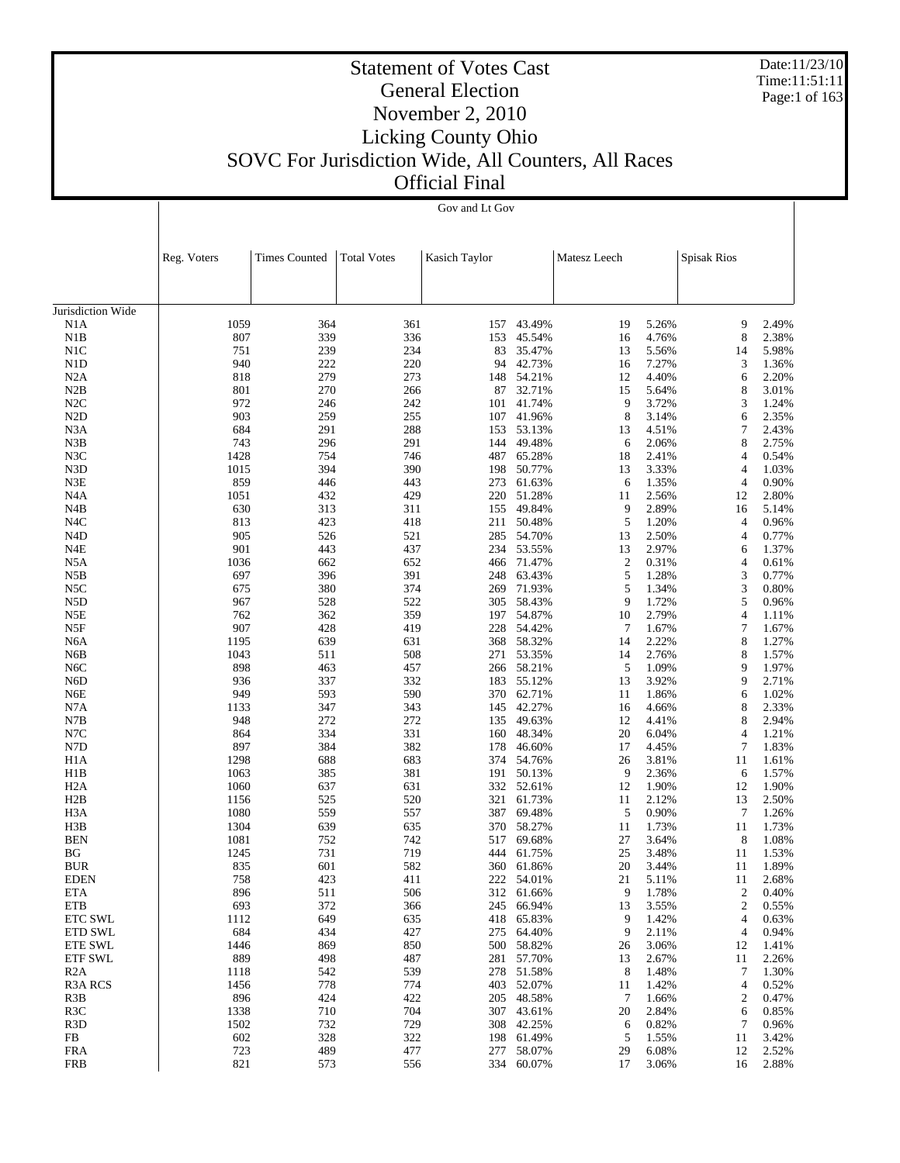Date:11/23/10 Time:11:51:11 Page:1 of 163

# Statement of Votes Cast General Election November 2, 2010 Licking County Ohio SOVC For Jurisdiction Wide, All Counters, All Races

Official Final

|                                      | Gov and Lt Gov |                      |                    |               |                          |                  |                |                    |                |
|--------------------------------------|----------------|----------------------|--------------------|---------------|--------------------------|------------------|----------------|--------------------|----------------|
|                                      |                | <b>Times Counted</b> |                    |               |                          |                  |                |                    |                |
|                                      | Reg. Voters    |                      | <b>Total Votes</b> | Kasich Taylor |                          | Matesz Leech     |                | <b>Spisak Rios</b> |                |
| Jurisdiction Wide                    |                |                      |                    |               |                          |                  |                |                    |                |
| N1A                                  | 1059           | 364                  | 361                | 157           | 43.49%                   | 19               | 5.26%          | 9                  | 2.49%          |
| N1B                                  | 807            | 339                  | 336                | 153           | 45.54%                   | 16               | 4.76%          | 8                  | 2.38%          |
| N1C                                  | 751            | 239                  | 234                |               | 83 35.47%                | 13               | 5.56%          | 14                 | 5.98%          |
| N1D                                  | 940            | 222                  | 220                |               | 94 42.73%                | 16               | 7.27%          | 3                  | 1.36%          |
| N2A<br>N2B                           | 818<br>801     | 279<br>270           | 273<br>266         | 87            | 148 54.21%<br>32.71%     | 12<br>15         | 4.40%<br>5.64% | 6<br>8             | 2.20%<br>3.01% |
| N2C                                  | 972            | 246                  | 242                |               | 101 41.74%               | 9                | 3.72%          | 3                  | 1.24%          |
| N <sub>2</sub> D                     | 903            | 259                  | 255                | 107           | 41.96%                   | 8                | 3.14%          | 6                  | 2.35%          |
| N <sub>3</sub> A                     | 684            | 291                  | 288                |               | 153 53.13%               | 13               | 4.51%          | 7                  | 2.43%          |
| N3B                                  | 743            | 296                  | 291                | 144           | 49.48%                   | 6                | 2.06%          | 8                  | 2.75%          |
| N3C                                  | 1428           | 754                  | 746                | 487           | 65.28%                   | 18               | 2.41%          | 4                  | 0.54%          |
| N3D                                  | 1015           | 394                  | 390                | 198           | 50.77%                   | 13               | 3.33%          | 4                  | 1.03%          |
| N3E                                  | 859            | 446                  | 443                | 273           | 61.63%                   | 6                | 1.35%          | 4                  | 0.90%          |
| N <sub>4</sub> A                     | 1051           | 432                  | 429                | 220           | 51.28%                   | 11               | 2.56%          | 12                 | 2.80%          |
| N <sub>4</sub> B                     | 630            | 313                  | 311                | 155           | 49.84%                   | 9                | 2.89%          | 16                 | 5.14%          |
| N <sub>4</sub> C                     | 813            | 423                  | 418                | 211           | 50.48%                   | 5                | 1.20%          | 4                  | 0.96%          |
| N <sub>4</sub> D<br>N <sub>4</sub> E | 905<br>901     | 526<br>443           | 521<br>437         |               | 285 54.70%<br>234 53.55% | 13<br>13         | 2.50%<br>2.97% | 4                  | 0.77%<br>1.37% |
| N <sub>5</sub> A                     | 1036           | 662                  | 652                |               | 466 71.47%               | $\boldsymbol{2}$ | 0.31%          | 6<br>4             | 0.61%          |
| N5B                                  | 697            | 396                  | 391                | 248           | 63.43%                   | 5                | 1.28%          | 3                  | 0.77%          |
| N <sub>5</sub> C                     | 675            | 380                  | 374                | 269           | 71.93%                   | 5                | 1.34%          | 3                  | 0.80%          |
| N <sub>5</sub> D                     | 967            | 528                  | 522                | 305           | 58.43%                   | 9                | 1.72%          | 5                  | 0.96%          |
| N5E                                  | 762            | 362                  | 359                |               | 197 54.87%               | 10               | 2.79%          | 4                  | 1.11%          |
| N5F                                  | 907            | 428                  | 419                |               | 228 54.42%               | $\tau$           | 1.67%          | 7                  | 1.67%          |
| N6A                                  | 1195           | 639                  | 631                |               | 368 58.32%               | 14               | 2.22%          | 8                  | 1.27%          |
| N <sub>6</sub> B                     | 1043           | 511                  | 508                | 271           | 53.35%                   | 14               | 2.76%          | 8                  | 1.57%          |
| N <sub>6</sub> C                     | 898            | 463                  | 457                |               | 266 58.21%               | 5                | 1.09%          | 9                  | 1.97%          |
| N <sub>6</sub> D                     | 936            | 337                  | 332                |               | 183 55.12%               | 13               | 3.92%          | 9                  | 2.71%          |
| N6E                                  | 949            | 593                  | 590                |               | 370 62.71%               | 11               | 1.86%          | 6                  | 1.02%          |
| N7A                                  | 1133           | 347                  | 343                | 145           | 42.27%                   | 16               | 4.66%          | 8                  | 2.33%          |
| N7B<br>N7C                           | 948<br>864     | 272<br>334           | 272<br>331         | 135<br>160    | 49.63%<br>48.34%         | 12<br>20         | 4.41%<br>6.04% | 8<br>4             | 2.94%<br>1.21% |
| N7D                                  | 897            | 384                  | 382                | 178           | 46.60%                   | 17               | 4.45%          | 7                  | 1.83%          |
| H1A                                  | 1298           | 688                  | 683                | 374           | 54.76%                   | 26               | 3.81%          | 11                 | 1.61%          |
| H1B                                  | 1063           | 385                  | 381                | 191           | 50.13%                   | 9                | 2.36%          | 6                  | 1.57%          |
| H <sub>2</sub> A                     | 1060           | 637                  | 631                |               | 332 52.61%               | 12               | 1.90%          | 12                 | 1.90%          |
| H2B                                  | 1156           | 525                  | 520                |               | 321 61.73%               | 11               | 2.12%          | 13                 | 2.50%          |
| H <sub>3</sub> A                     | 1080           | 559                  | 557                | 387           | 69.48%                   | 5                | 0.90%          | 7                  | 1.26%          |
| H3B                                  | 1304           | 639                  | 635                | 370           | 58.27%                   | 11               | 1.73%          | 11                 | 1.73%          |
| <b>BEN</b>                           | 1081           | 752                  | 742                | 517           | 69.68%                   | 27               | 3.64%          | 8                  | 1.08%          |
| ΒG                                   | 1245           | 731                  | 719                |               | 444 61.75%               | 25               | 3.48%          | 11                 | 1.53%          |
| <b>BUR</b>                           | 835            | 601                  | 582                |               | 360 61.86%               | 20               | 3.44%          | 11                 | 1.89%          |
| <b>EDEN</b><br><b>ETA</b>            | 758<br>896     | 423<br>511           | 411<br>506         | 312           | 222 54.01%<br>61.66%     | 21<br>9          | 5.11%<br>1.78% | 11<br>2            | 2.68%<br>0.40% |
| <b>ETB</b>                           | 693            | 372                  | 366                | 245           | 66.94%                   | 13               | 3.55%          | 2                  | 0.55%          |
| ETC SWL                              | 1112           | 649                  | 635                | 418           | 65.83%                   | 9                | 1.42%          | 4                  | 0.63%          |
| ETD SWL                              | 684            | 434                  | 427                | 275           | 64.40%                   | 9                | 2.11%          | 4                  | 0.94%          |
| ETE SWL                              | 1446           | 869                  | 850                | 500           | 58.82%                   | 26               | 3.06%          | 12                 | 1.41%          |
| <b>ETF SWL</b>                       | 889            | 498                  | 487                | 281           | 57.70%                   | 13               | 2.67%          | 11                 | 2.26%          |
| R2A                                  | 1118           | 542                  | 539                | 278           | 51.58%                   | 8                | 1.48%          | 7                  | 1.30%          |
| <b>R3A RCS</b>                       | 1456           | 778                  | 774                | 403           | 52.07%                   | 11               | 1.42%          | 4                  | 0.52%          |
| R3B                                  | 896            | 424                  | 422                | 205           | 48.58%                   | 7                | 1.66%          | 2                  | 0.47%          |
| R3C                                  | 1338           | 710                  | 704                | 307           | 43.61%                   | 20               | 2.84%          | 6                  | 0.85%          |
| R <sub>3</sub> D                     | 1502           | 732                  | 729                | 308           | 42.25%                   | 6                | 0.82%          | 7                  | 0.96%          |
| FB                                   | 602            | 328                  | 322                | 198           | 61.49%                   | 5                | 1.55%          | 11                 | 3.42%          |
| <b>FRA</b>                           | 723            | 489                  | 477                | 277           | 58.07%                   | 29               | 6.08%          | 12                 | 2.52%          |
| <b>FRB</b>                           | 821            | 573                  | 556                | 334           | 60.07%                   | 17               | 3.06%          | 16                 | 2.88%          |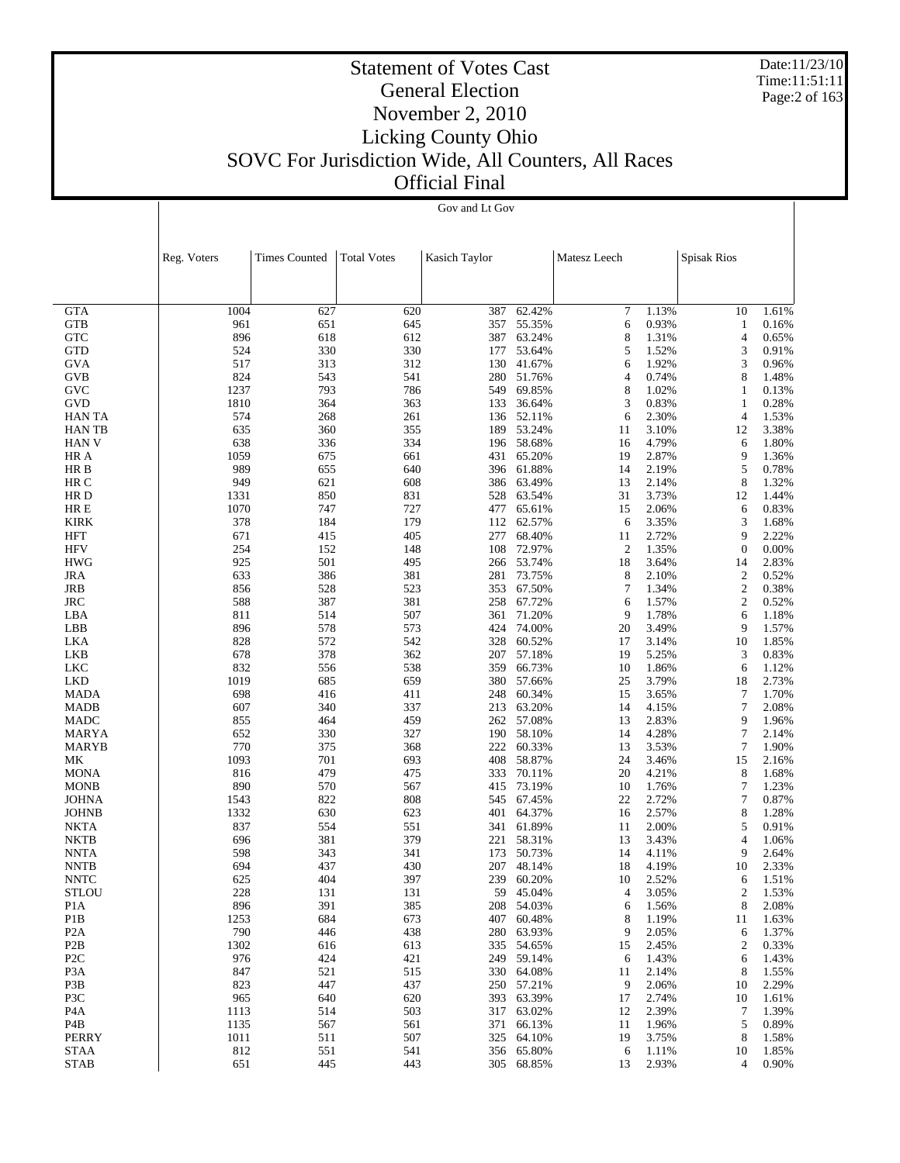Date:11/23/10 Time:11:51:11 Page:2 of 163

| лгени типат |                |  |
|-------------|----------------|--|
|             | Gov and Lt Gov |  |

|                                      | Reg. Voters | <b>Times Counted</b> | <b>Total Votes</b> | Kasich Taylor |                          | Matesz Leech         |                | <b>Spisak Rios</b>   |                |
|--------------------------------------|-------------|----------------------|--------------------|---------------|--------------------------|----------------------|----------------|----------------------|----------------|
|                                      |             |                      |                    |               |                          |                      |                |                      |                |
|                                      |             |                      |                    |               |                          |                      |                |                      |                |
| <b>GTA</b>                           | 1004        | 627                  | 620                | 387           | 62.42%                   | 7                    | 1.13%          | 10                   | 1.61%          |
| <b>GTB</b>                           | 961         | 651                  | 645                | 357           | 55.35%                   | 6                    | 0.93%          | 1                    | 0.16%          |
| <b>GTC</b>                           | 896         | 618                  | 612                |               | 387 63.24%               | 8                    | 1.31%          | 4                    | 0.65%          |
| <b>GTD</b>                           | 524         | 330                  | 330                | 177           | 53.64%                   | 5                    | 1.52%          | 3                    | 0.91%          |
| GVA                                  | 517<br>824  | 313<br>543           | 312<br>541         |               | 130 41.67%<br>280 51.76% | 6<br>4               | 1.92%<br>0.74% | 3<br>8               | 0.96%          |
| <b>GVB</b><br><b>GVC</b>             | 1237        | 793                  | 786                | 549           | 69.85%                   | 8                    | 1.02%          | 1                    | 1.48%<br>0.13% |
| <b>GVD</b>                           | 1810        | 364                  | 363                | 133           | 36.64%                   | 3                    | 0.83%          | 1                    | 0.28%          |
| HAN TA                               | 574         | 268                  | 261                |               | 136 52.11%               | 6                    | 2.30%          | 4                    | 1.53%          |
| <b>HAN TB</b>                        | 635         | 360                  | 355                | 189           | 53.24%                   | 11                   | 3.10%          | 12                   | 3.38%          |
| HAN V                                | 638         | 336                  | 334                |               | 196 58.68%               | 16                   | 4.79%          | 6                    | 1.80%          |
| HR A                                 | 1059        | 675                  | 661                | 431           | 65.20%                   | 19                   | 2.87%          | 9                    | 1.36%          |
| HR B                                 | 989         | 655                  | 640                |               | 396 61.88%               | 14                   | 2.19%          | 5                    | 0.78%          |
| HR C                                 | 949         | 621                  | 608                |               | 386 63.49%               | 13                   | 2.14%          | 8                    | 1.32%          |
| HR D                                 | 1331        | 850                  | 831                | 528           | 63.54%                   | 31                   | 3.73%          | 12                   | 1.44%          |
| HR E                                 | 1070        | 747                  | 727                | 477           | 65.61%                   | 15                   | 2.06%          | 6                    | 0.83%          |
| <b>KIRK</b>                          | 378         | 184                  | 179                | 112           | 62.57%                   | 6                    | 3.35%          | 3                    | 1.68%          |
| <b>HFT</b>                           | 671         | 415                  | 405                | 277           | 68.40%                   | 11                   | 2.72%          | 9                    | 2.22%          |
| <b>HFV</b><br><b>HWG</b>             | 254<br>925  | 152<br>501           | 148                | 108           | 72.97%<br>266 53.74%     | $\overline{c}$<br>18 | 1.35%<br>3.64% | $\boldsymbol{0}$     | 0.00%<br>2.83% |
| JRA                                  | 633         | 386                  | 495<br>381         |               | 281 73.75%               | 8                    | 2.10%          | 14<br>$\overline{2}$ | 0.52%          |
| JRB                                  | 856         | 528                  | 523                |               | 353 67.50%               | $\tau$               | 1.34%          | $\sqrt{2}$           | 0.38%          |
| <b>JRC</b>                           | 588         | 387                  | 381                | 258           | 67.72%                   | 6                    | 1.57%          | 2                    | 0.52%          |
| LBA                                  | 811         | 514                  | 507                | 361           | 71.20%                   | 9                    | 1.78%          | 6                    | 1.18%          |
| LBB                                  | 896         | 578                  | 573                |               | 424 74.00%               | 20                   | 3.49%          | 9                    | 1.57%          |
| LKA                                  | 828         | 572                  | 542                | 328           | 60.52%                   | 17                   | 3.14%          | 10                   | 1.85%          |
| LKB                                  | 678         | 378                  | 362                |               | 207 57.18%               | 19                   | 5.25%          | 3                    | 0.83%          |
| LKC                                  | 832         | 556                  | 538                | 359           | 66.73%                   | 10                   | 1.86%          | 6                    | 1.12%          |
| LKD                                  | 1019        | 685                  | 659                |               | 380 57.66%               | 25                   | 3.79%          | 18                   | 2.73%          |
| <b>MADA</b>                          | 698         | 416                  | 411                | 248           | 60.34%                   | 15                   | 3.65%          | $\overline{7}$       | 1.70%          |
| <b>MADB</b>                          | 607         | 340                  | 337                | 213           | 63.20%                   | 14                   | 4.15%          | 7                    | 2.08%          |
| MADC                                 | 855         | 464                  | 459                |               | 262 57.08%               | 13                   | 2.83%          | 9                    | 1.96%          |
| MARYA                                | 652         | 330                  | 327                |               | 190 58.10%               | 14                   | 4.28%          | 7                    | 2.14%          |
| <b>MARYB</b>                         | 770<br>1093 | 375<br>701           | 368                | 222           | 60.33%<br>58.87%         | 13<br>24             | 3.53%          | 7                    | 1.90%          |
| МK<br><b>MONA</b>                    | 816         | 479                  | 693<br>475         | 408<br>333    | 70.11%                   | 20                   | 3.46%<br>4.21% | 15<br>8              | 2.16%<br>1.68% |
| <b>MONB</b>                          | 890         | 570                  | 567                |               | 415 73.19%               | 10                   | 1.76%          | 7                    | 1.23%          |
| <b>JOHNA</b>                         | 1543        | 822                  | 808                | 545           | 67.45%                   | 22                   | 2.72%          | 7                    | 0.87%          |
| <b>JOHNB</b>                         | 1332        | 630                  | 623                |               | 401 64.37%               | 16                   | 2.57%          | 8                    | 1.28%          |
| <b>NKTA</b>                          | 837         | 554                  | 551                | 341           | 61.89%                   | 11                   | 2.00%          | 5                    | 0.91%          |
| <b>NKTB</b>                          | 696         | 381                  | 379                | 221           | 58.31%                   | 13                   | 3.43%          | 4                    | 1.06%          |
| <b>NNTA</b>                          | 598         | 343                  | 341                | 173           | 50.73%                   | 14                   | 4.11%          | 9                    | 2.64%          |
| <b>NNTB</b>                          | 694         | 437                  | 430                |               | 207 48.14%               | 18                   | 4.19%          | 10                   | 2.33%          |
| $\ensuremath{\text{NNTC}}$           | 625         | 404                  | 397                |               | 239 60.20%               | 10                   | 2.52%          | 6                    | 1.51%          |
| STLOU                                | 228         | 131                  | 131                |               | 59 45.04%                | 4                    | 3.05%          | 2                    | 1.53%          |
| P <sub>1</sub> A                     | 896         | 391                  | 385                |               | 208 54.03%               | 6                    | 1.56%          | 8                    | 2.08%          |
| P <sub>1</sub> B                     | 1253        | 684                  | 673                |               | 407 60.48%               | 8                    | 1.19%          | 11                   | 1.63%          |
| P <sub>2</sub> A                     | 790         | 446                  | 438                |               | 280 63.93%               | 9                    | 2.05%          | 6                    | 1.37%          |
| P <sub>2</sub> B<br>P <sub>2</sub> C | 1302<br>976 | 616<br>424           | 613<br>421         |               | 335 54.65%<br>249 59.14% | 15<br>6              | 2.45%<br>1.43% | 2<br>6               | 0.33%<br>1.43% |
| P <sub>3</sub> A                     | 847         | 521                  | 515                |               | 330 64.08%               | 11                   | 2.14%          | 8                    | 1.55%          |
| P3B                                  | 823         | 447                  | 437                |               | 250 57.21%               | 9                    | 2.06%          | 10                   | 2.29%          |
| P3C                                  | 965         | 640                  | 620                |               | 393 63.39%               | 17                   | 2.74%          | 10                   | 1.61%          |
| P4A                                  | 1113        | 514                  | 503                |               | 317 63.02%               | 12                   | 2.39%          | 7                    | 1.39%          |
| P4B                                  | 1135        | 567                  | 561                |               | 371 66.13%               | 11                   | 1.96%          | 5                    | 0.89%          |
| <b>PERRY</b>                         | 1011        | 511                  | 507                |               | 325 64.10%               | 19                   | 3.75%          | 8                    | 1.58%          |
| <b>STAA</b>                          | 812         | 551                  | 541                |               | 356 65.80%               | 6                    | 1.11%          | 10                   | 1.85%          |
| <b>STAB</b>                          | 651         | 445                  | 443                |               | 305 68.85%               | 13                   | 2.93%          | 4                    | 0.90%          |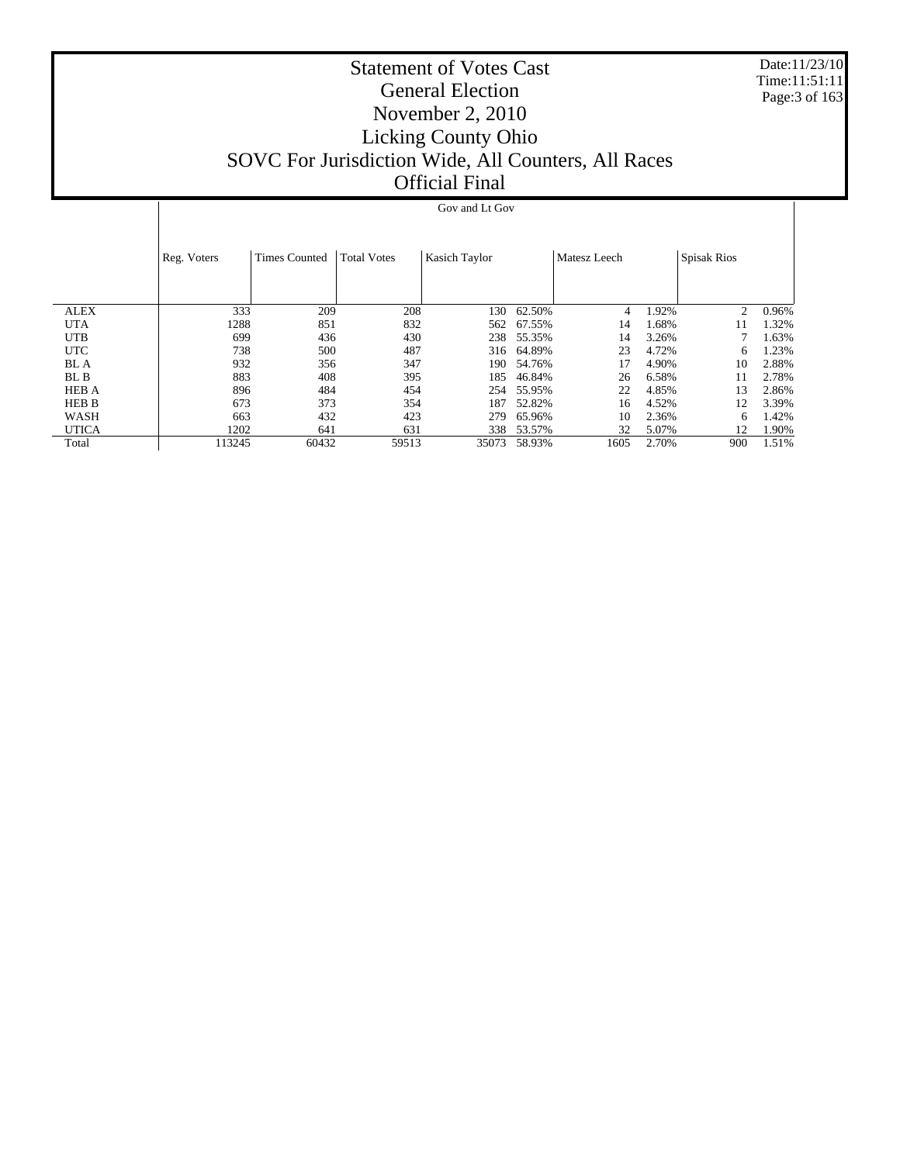Date:11/23/10 Time:11:51:11 Page:3 of 163

# Statement of Votes Cast General Election November 2, 2010 Licking County Ohio SOVC For Jurisdiction Wide, All Counters, All Races Official Final

|              | Reg. Voters | <b>Times Counted</b> | <b>Total Votes</b> | Kasich Taylor |        | Matesz Leech |       | <b>Spisak Rios</b> |       |
|--------------|-------------|----------------------|--------------------|---------------|--------|--------------|-------|--------------------|-------|
|              |             |                      |                    |               |        |              |       |                    |       |
|              |             |                      |                    |               |        |              |       |                    |       |
| <b>ALEX</b>  | 333         | 209                  | 208                | 130           | 62.50% | 4            | 1.92% | 2                  | 0.96% |
|              |             |                      |                    |               |        |              |       |                    |       |
| <b>UTA</b>   | 1288        | 851                  | 832                | 562           | 67.55% | 14           | .68%  | 11                 | 1.32% |
| <b>UTB</b>   | 699         | 436                  | 430                | 238           | 55.35% | 14           | 3.26% |                    | 1.63% |
| <b>UTC</b>   | 738         | 500                  | 487                | 316           | 64.89% | 23           | 4.72% | 6                  | 1.23% |
| BL A         | 932         | 356                  | 347                | 190           | 54.76% | 17           | 4.90% | 10                 | 2.88% |
| BL B         | 883         | 408                  | 395                | 185           | 46.84% | 26           | 6.58% | 11                 | 2.78% |
| <b>HEB A</b> | 896         | 484                  | 454                | 254           | 55.95% | 22           | 4.85% | 13                 | 2.86% |
| HEB B        | 673         | 373                  | 354                | 187           | 52.82% | 16           | 4.52% | 12                 | 3.39% |
| WASH         | 663         | 432                  | 423                | 279           | 65.96% | 10           | 2.36% | 6                  | 1.42% |
| <b>UTICA</b> | 1202        | 641                  | 631                | 338           | 53.57% | 32           | 5.07% | 12                 | 1.90% |
| Total        | 113245      | 60432                | 59513              | 35073         | 58.93% | 1605         | 2.70% | 900                | 1.51% |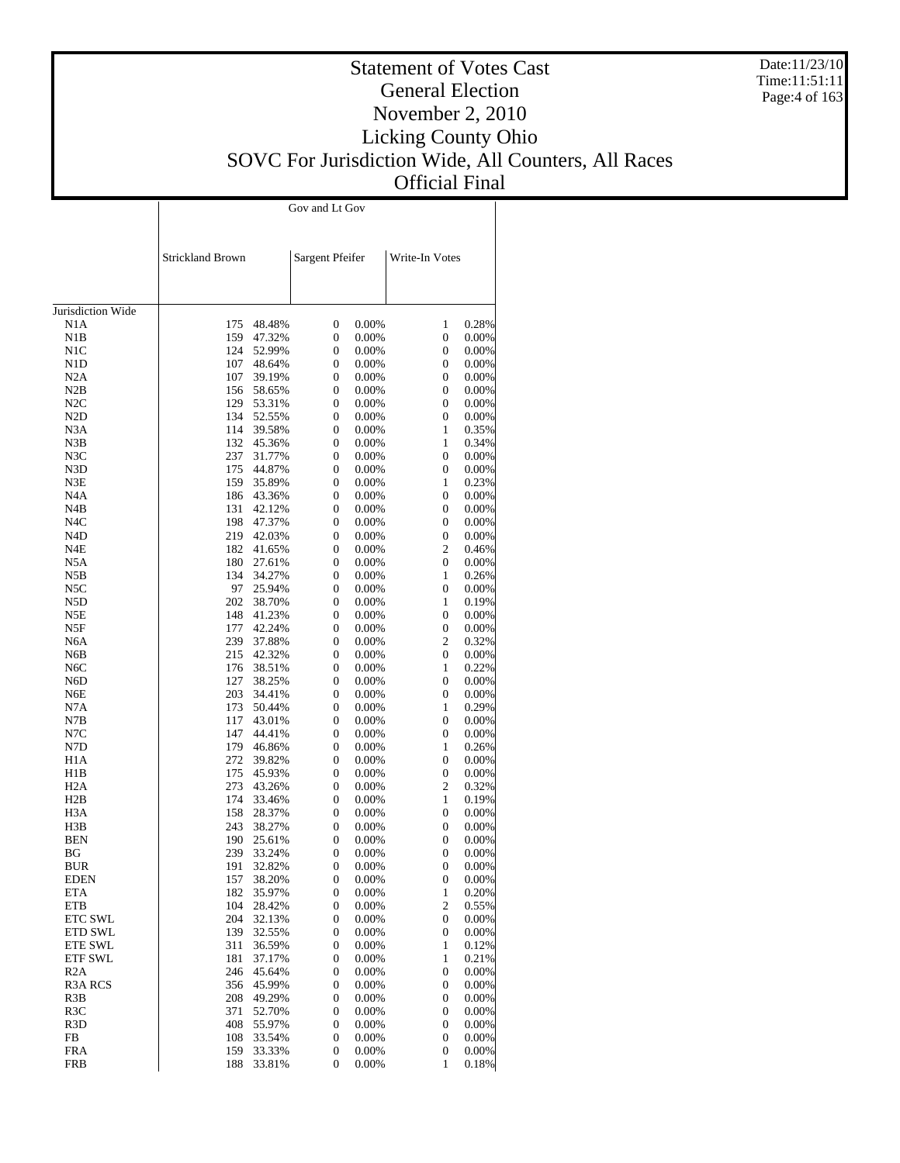Date:11/23/10 Time:11:51:11 Page:4 of 163

# Statement of Votes Cast General Election November 2, 2010 Licking County Ohio SOVC For Jurisdiction Wide, All Counters, All Races Official Final

|                             | <b>Strickland Brown</b> |                  | Sargent Pfeifer                      |                | Write-In Votes        |                   |
|-----------------------------|-------------------------|------------------|--------------------------------------|----------------|-----------------------|-------------------|
| Jurisdiction Wide           |                         |                  |                                      |                |                       |                   |
| N1A                         | 175                     | 48.48%           | $\boldsymbol{0}$                     | 0.00%          | 1                     | 0.28%             |
| N1B                         | 159                     | 47.32%           | $\boldsymbol{0}$                     | 0.00%          | 0                     | $0.00\%$          |
| N1C                         | 124                     | 52.99%           | $\boldsymbol{0}$                     | 0.00%          | $\boldsymbol{0}$      | 0.00%             |
| N1D                         | 107                     | 48.64%           | $\boldsymbol{0}$                     | 0.00%          | 0                     | 0.00%             |
| N <sub>2</sub> A            | 107                     | 39.19%           | $\boldsymbol{0}$                     | 0.00%          | 0                     | 0.00%             |
| N2B                         | 156                     | 58.65%           | $\boldsymbol{0}$                     | 0.00%          | 0                     | 0.00%             |
| N2C                         | 129                     | 53.31%           | $\boldsymbol{0}$                     | 0.00%          | $\boldsymbol{0}$      | 0.00%             |
| N <sub>2</sub> D            | 134                     | 52.55%           | $\boldsymbol{0}$                     | 0.00%          | $\boldsymbol{0}$      | $0.00\%$          |
| N3A                         | 114                     | 39.58%           | $\boldsymbol{0}$                     | 0.00%          | $\mathbf{1}$          | 0.35%             |
| N3B                         | 132                     | 45.36%           | $\boldsymbol{0}$                     | 0.00%          | $\mathbf{1}$          | 0.34%             |
| N3C                         | 237                     | 31.77%           | $\boldsymbol{0}$<br>$\boldsymbol{0}$ | 0.00%          | $\boldsymbol{0}$<br>0 | 0.00%             |
| N3D<br>N3E                  | 175<br>159              | 44.87%<br>35.89% | $\boldsymbol{0}$                     | 0.00%<br>0.00% | $\mathbf{1}$          | $0.00\%$<br>0.23% |
| N <sub>4</sub> A            | 186                     | 43.36%           | $\boldsymbol{0}$                     | 0.00%          | 0                     | 0.00%             |
| N4B                         | 131                     | 42.12%           | $\boldsymbol{0}$                     | 0.00%          | $\boldsymbol{0}$      | 0.00%             |
| N4C                         | 198                     | 47.37%           | $\boldsymbol{0}$                     | 0.00%          | 0                     | $0.00\%$          |
| N4D                         | 219                     | 42.03%           | $\boldsymbol{0}$                     | 0.00%          | $\boldsymbol{0}$      | $0.00\%$          |
| N4E                         | 182                     | 41.65%           | $\boldsymbol{0}$                     | 0.00%          | $\mathfrak{2}$        | 0.46%             |
| N <sub>5</sub> A            | 180                     | 27.61%           | $\boldsymbol{0}$                     | 0.00%          | $\boldsymbol{0}$      | 0.00%             |
| N5B                         | 134                     | 34.27%           | $\boldsymbol{0}$                     | 0.00%          | $\mathbf{1}$          | 0.26%             |
| N5C                         | 97                      | 25.94%           | $\boldsymbol{0}$                     | 0.00%          | $\boldsymbol{0}$      | 0.00%             |
| N5D                         | 202                     | 38.70%           | $\boldsymbol{0}$                     | 0.00%          | $\mathbf{1}$          | 0.19%             |
| N5E                         | 148                     | 41.23%           | $\boldsymbol{0}$                     | 0.00%          | $\boldsymbol{0}$      | 0.00%             |
| N5F                         | 177                     | 42.24%           | $\boldsymbol{0}$                     | 0.00%          | 0                     | $0.00\%$          |
| N6A                         | 239                     | 37.88%           | $\boldsymbol{0}$                     | 0.00%          | 2                     | 0.32%             |
| N6B                         | 215                     | 42.32%           | $\boldsymbol{0}$                     | 0.00%          | 0                     | 0.00%             |
| N <sub>6</sub> C            | 176                     | 38.51%           | $\boldsymbol{0}$                     | 0.00%          | $\mathbf{1}$          | 0.22%             |
| N6D                         | 127                     | 38.25%           | $\boldsymbol{0}$                     | 0.00%          | 0                     | $0.00\%$          |
| N6E                         | 203                     | 34.41%           | $\boldsymbol{0}$                     | 0.00%          | $\boldsymbol{0}$      | 0.00%             |
| N7A                         | 173                     | 50.44%           | $\boldsymbol{0}$                     | 0.00%          | $\mathbf{1}$          | 0.29%             |
| N7B                         | 117                     | 43.01%           | $\boldsymbol{0}$                     | 0.00%          | $\boldsymbol{0}$      | 0.00%             |
| N7C                         | 147                     | 44.41%           | $\boldsymbol{0}$                     | 0.00%          | $\boldsymbol{0}$      | $0.00\%$          |
| N7D                         | 179                     | 46.86%           | $\boldsymbol{0}$                     | 0.00%          | 1                     | 0.26%             |
| H <sub>1</sub> A            | 272                     | 39.82%           | $\boldsymbol{0}$                     | 0.00%          | 0                     | 0.00%             |
| H1B                         | 175                     | 45.93%           | $\boldsymbol{0}$                     | 0.00%          | $\boldsymbol{0}$      | 0.00%             |
| H <sub>2</sub> A            | 273                     | 43.26%           | $\boldsymbol{0}$                     | 0.00%          | $\mathbf{2}$          | 0.32%             |
| H2B                         | 174                     | 33.46%           | $\boldsymbol{0}$                     | 0.00%          | $\mathbf{1}$          | 0.19%             |
| H <sub>3</sub> A            | 158                     | 28.37%           | $\boldsymbol{0}$                     | 0.00%          | 0                     | $0.00\%$          |
| H3B                         | 243                     | 38.27%           | $\boldsymbol{0}$                     | 0.00%          | 0                     | $0.00\%$          |
| <b>BEN</b>                  | 190                     | 25.61%           | $\boldsymbol{0}$                     | 0.00%          | 0                     | 0.00%             |
| BG                          | 239                     | 33.24%           | $\boldsymbol{0}$                     | 0.00%          | 0                     | $0.00\%$          |
| <b>BUR</b>                  | 191                     | 32.82%           | $\boldsymbol{0}$                     | 0.00%          | $\boldsymbol{0}$      | 0.00%             |
| <b>EDEN</b>                 | 157                     | 38.20%           | 0                                    | $0.00\%$       | 0                     | $0.00\%$          |
| ETA                         | 182                     | 35.97%           | $\boldsymbol{0}$                     | 0.00%          | $\mathbf{1}$          | 0.20%             |
| <b>ETB</b>                  | 104                     | 28.42%           | 0                                    | 0.00%          | $\mathbf{2}$          | 0.55%             |
| ETC SWL                     | 204                     | 32.13%           | 0                                    | 0.00%          | 0                     | 0.00%             |
| <b>ETD SWL</b>              | 139                     | 32.55%           | 0                                    | 0.00%          | 0                     | 0.00%             |
| <b>ETE SWL</b>              | 311<br>181              | 36.59%           | 0                                    | 0.00%          | $\mathbf{1}$          | 0.12%<br>0.21%    |
| <b>ETF SWL</b>              |                         | 37.17%           | 0                                    | 0.00%          | 1                     |                   |
| R2A<br>R <sub>3</sub> A RCS | 246<br>356              | 45.64%<br>45.99% | 0<br>0                               | 0.00%          | 0                     | 0.00%<br>0.00%    |
| R3B                         | 208                     |                  | 0                                    | 0.00%<br>0.00% | 0                     | 0.00%             |
| R <sub>3</sub> C            | 371                     | 49.29%<br>52.70% | 0                                    | 0.00%          | 0<br>0                | 0.00%             |
| R <sub>3</sub> D            | 408                     | 55.97%           | 0                                    | 0.00%          | 0                     | 0.00%             |
| FB                          | 108                     | 33.54%           | 0                                    | 0.00%          | 0                     | 0.00%             |
| <b>FRA</b>                  | 159                     | 33.33%           | 0                                    | 0.00%          | 0                     | $0.00\%$          |
| <b>FRB</b>                  | 188                     | 33.81%           | $\boldsymbol{0}$                     | 0.00%          | 1                     | 0.18%             |
|                             |                         |                  |                                      |                |                       |                   |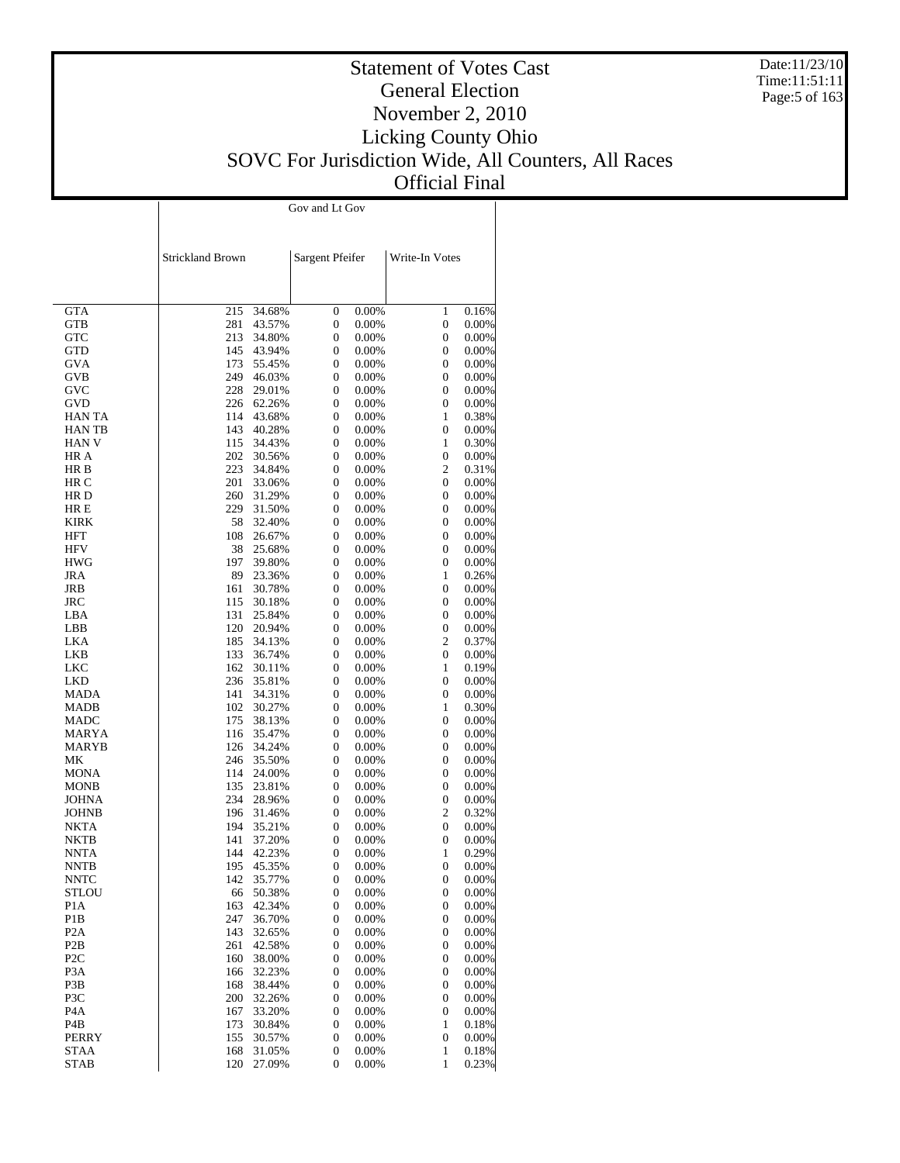Date:11/23/10 Time:11:51:11 Page:5 of 163

# Statement of Votes Cast General Election November 2, 2010 Licking County Ohio SOVC For Jurisdiction Wide, All Counters, All Races Official Final

|                                      | Strickland Brown |                  | Sargent Pfeifer                      |                | Write-In Votes        |                |
|--------------------------------------|------------------|------------------|--------------------------------------|----------------|-----------------------|----------------|
| <b>GTA</b>                           | 215              | 34.68%           | $\boldsymbol{0}$                     | 0.00%          | $\mathbf{1}$          | 0.16%          |
| <b>GTB</b>                           | 281              | 43.57%           | $\boldsymbol{0}$                     | 0.00%          | $\boldsymbol{0}$      | 0.00%          |
| <b>GTC</b>                           | 213              | 34.80%           | $\boldsymbol{0}$                     | 0.00%          | 0                     | 0.00%          |
| GTD                                  | 145              | 43.94%           | $\boldsymbol{0}$                     | 0.00%          | 0                     | 0.00%          |
| GVA                                  | 173<br>249       | 55.45%<br>46.03% | $\boldsymbol{0}$<br>$\boldsymbol{0}$ | 0.00%          | 0<br>0                | 0.00%          |
| GVB<br>GVC                           | 228              | 29.01%           | $\boldsymbol{0}$                     | 0.00%<br>0.00% | 0                     | 0.00%<br>0.00% |
| GVD                                  | 226              | 62.26%           | $\boldsymbol{0}$                     | 0.00%          | $\boldsymbol{0}$      | 0.00%          |
| <b>HAN TA</b>                        | 114              | 43.68%           | $\boldsymbol{0}$                     | 0.00%          | $\mathbf{1}$          | 0.38%          |
| <b>HANTB</b>                         | 143              | 40.28%           | $\boldsymbol{0}$                     | 0.00%          | $\boldsymbol{0}$      | 0.00%          |
| <b>HAN V</b>                         | 115              | 34.43%           | $\boldsymbol{0}$                     | 0.00%          | $\mathbf{1}$          | 0.30%          |
| HR A                                 | 202              | 30.56%           | $\boldsymbol{0}$                     | 0.00%          | 0                     | 0.00%          |
| HR B                                 | 223              | 34.84%           | $\boldsymbol{0}$                     | 0.00%          | 2                     | 0.31%          |
| HR C                                 | 201              | 33.06%           | $\boldsymbol{0}$                     | 0.00%          | $\boldsymbol{0}$      | 0.00%          |
| HR D                                 | 260              | 31.29%           | $\boldsymbol{0}$                     | 0.00%          | 0                     | 0.00%          |
| HR E<br>KIRK                         | 229<br>58        | 31.50%           | $\boldsymbol{0}$<br>$\boldsymbol{0}$ | 0.00%          | 0<br>0                | 0.00%          |
| HFT                                  | 108              | 32.40%<br>26.67% | $\boldsymbol{0}$                     | 0.00%<br>0.00% | 0                     | 0.00%<br>0.00% |
| <b>HFV</b>                           | 38               | 25.68%           | $\boldsymbol{0}$                     | 0.00%          | 0                     | 0.00%          |
| <b>HWG</b>                           | 197              | 39.80%           | $\boldsymbol{0}$                     | 0.00%          | $\boldsymbol{0}$      | 0.00%          |
| JRA                                  | 89               | 23.36%           | $\boldsymbol{0}$                     | 0.00%          | $\mathbf{1}$          | 0.26%          |
| JRB                                  | 161              | 30.78%           | $\boldsymbol{0}$                     | 0.00%          | 0                     | 0.00%          |
| <b>JRC</b>                           | 115              | 30.18%           | $\boldsymbol{0}$                     | 0.00%          | 0                     | 0.00%          |
| LBA                                  | 131              | 25.84%           | $\boldsymbol{0}$                     | 0.00%          | 0                     | 0.00%          |
| LBB                                  | 120              | 20.94%           | $\boldsymbol{0}$                     | 0.00%          | 0                     | 0.00%          |
| LKA                                  | 185              | 34.13%           | $\boldsymbol{0}$                     | 0.00%          | 2                     | 0.37%          |
| LKB                                  | 133              | 36.74%           | $\boldsymbol{0}$<br>$\boldsymbol{0}$ | 0.00%          | 0<br>$\mathbf{1}$     | 0.00%          |
| LKC<br>LKD                           | 162<br>236       | 30.11%<br>35.81% | $\boldsymbol{0}$                     | 0.00%<br>0.00% | 0                     | 0.19%<br>0.00% |
| MADA                                 | 141              | 34.31%           | $\boldsymbol{0}$                     | 0.00%          | $\boldsymbol{0}$      | 0.00%          |
| MADB                                 | 102              | 30.27%           | $\boldsymbol{0}$                     | 0.00%          | $\mathbf{1}$          | 0.30%          |
| <b>MADC</b>                          | 175              | 38.13%           | $\boldsymbol{0}$                     | 0.00%          | 0                     | 0.00%          |
| MARYA                                | 116              | 35.47%           | $\boldsymbol{0}$                     | 0.00%          | 0                     | 0.00%          |
| MARYB                                | 126              | 34.24%           | $\boldsymbol{0}$                     | 0.00%          | 0                     | 0.00%          |
| МK                                   | 246              | 35.50%           | $\boldsymbol{0}$                     | 0.00%          | 0                     | 0.00%          |
| MONA                                 | 114              | 24.00%           | $\boldsymbol{0}$                     | 0.00%          | 0                     | 0.00%          |
| <b>MONB</b><br><b>JOHNA</b>          | 135<br>234       | 23.81%<br>28.96% | $\boldsymbol{0}$<br>$\boldsymbol{0}$ | 0.00%<br>0.00% | 0<br>0                | 0.00%<br>0.00% |
| <b>JOHNB</b>                         | 196              | 31.46%           | $\boldsymbol{0}$                     | 0.00%          | 2                     | 0.32%          |
| <b>NKTA</b>                          | 194              | 35.21%           | $\boldsymbol{0}$                     | 0.00%          | 0                     | 0.00%          |
| NKTB                                 | 141              | 37.20%           | $\boldsymbol{0}$                     | 0.00%          | 0                     | $0.00\%$       |
| <b>NNTA</b>                          | 144              | 42.23%           | $\boldsymbol{0}$                     | 0.00%          | $\mathbf{1}$          | 0.29%          |
| NNTB                                 | 195              | 45.35%           | $\boldsymbol{0}$                     | 0.00%          | $\boldsymbol{0}$      | 0.00%          |
| NNTC                                 | 142              | 35.77%           | $\mathbf{0}$                         | 0.00%          | 0                     | 0.00%          |
| STLOU                                | 66               | 50.38%           | $\boldsymbol{0}$                     | 0.00%          | 0                     | 0.00%          |
| P <sub>1</sub> A                     | 163              | 42.34%           | 0                                    | 0.00%          | 0                     | 0.00%          |
| P1B                                  | 247              | 36.70%           | 0                                    | 0.00%          | 0                     | 0.00%          |
| P <sub>2</sub> A<br>P <sub>2</sub> B | 143<br>261       | 32.65%<br>42.58% | $\boldsymbol{0}$<br>0                | 0.00%<br>0.00% | $\boldsymbol{0}$<br>0 | 0.00%<br>0.00% |
| P <sub>2</sub> C                     | 160              | 38.00%           | $\boldsymbol{0}$                     | 0.00%          | 0                     | 0.00%          |
| P <sub>3</sub> A                     | 166              | 32.23%           | 0                                    | 0.00%          | 0                     | 0.00%          |
| P3B                                  | 168              | 38.44%           | $\boldsymbol{0}$                     | 0.00%          | 0                     | 0.00%          |
| P3C                                  | 200              | 32.26%           | 0                                    | 0.00%          | 0                     | 0.00%          |
| P <sub>4</sub> A                     | 167              | 33.20%           | $\boldsymbol{0}$                     | 0.00%          | 0                     | 0.00%          |
| P4B                                  | 173              | 30.84%           | 0                                    | 0.00%          | 1                     | 0.18%          |
| PERRY                                | 155              | 30.57%           | $\boldsymbol{0}$                     | 0.00%          | 0                     | 0.00%          |
| <b>STAA</b>                          | 168              | 31.05%           | 0                                    | 0.00%          | $\mathbf{1}$          | 0.18%          |
| <b>STAB</b>                          | 120              | 27.09%           | $\boldsymbol{0}$                     | 0.00%          | 1                     | 0.23%          |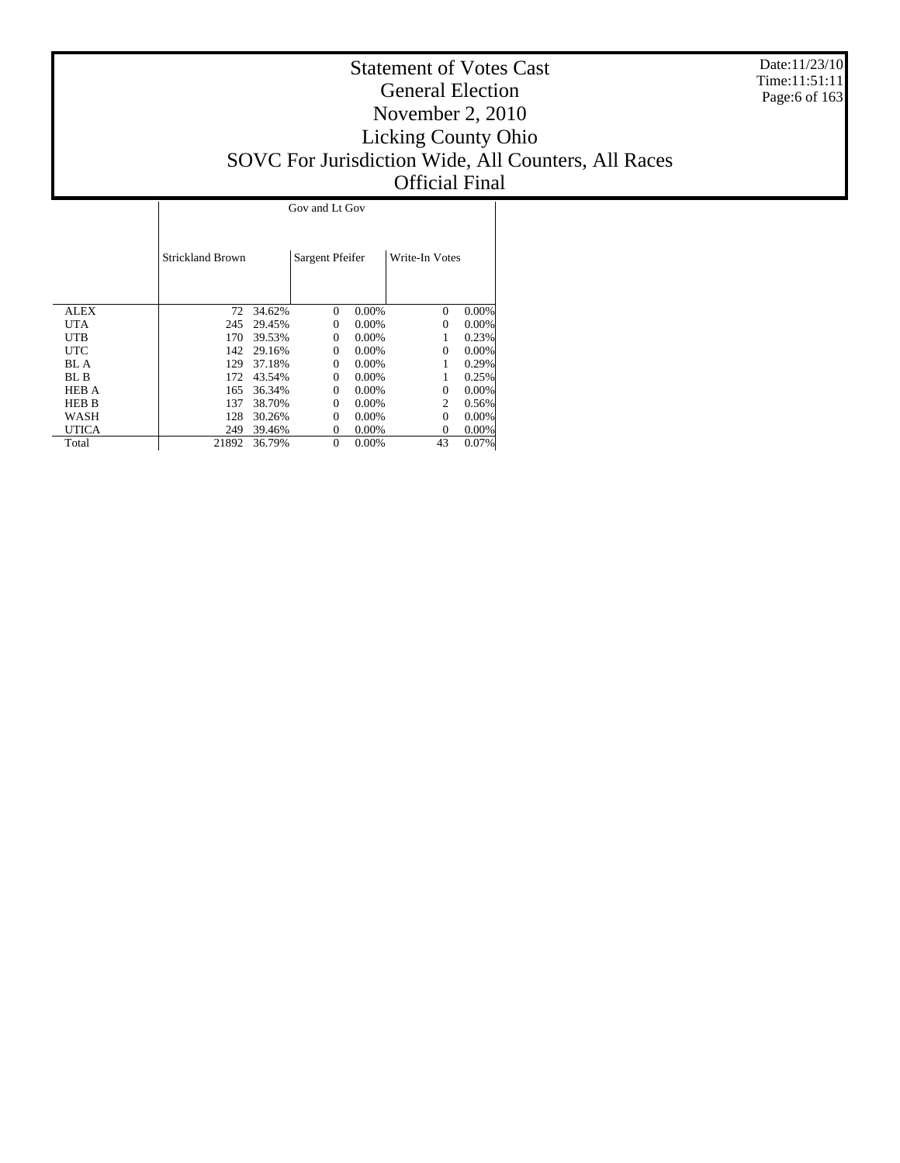Date:11/23/10 Time:11:51:11 Page:6 of 163

# Statement of Votes Cast General Election November 2, 2010 Licking County Ohio SOVC For Jurisdiction Wide, All Counters, All Races Official Final

 $\overline{1}$ 

|              | <b>Strickland Brown</b> |           | Sargent Pfeifer |          | Write-In Votes              |          |
|--------------|-------------------------|-----------|-----------------|----------|-----------------------------|----------|
| ALEX         |                         | 72 34.62% | $\Omega$        | 0.00%    | $\Omega$                    | 0.00%    |
| <b>UTA</b>   | 245                     | 29.45%    | $\Omega$        | $0.00\%$ | $\Omega$                    | 0.00%    |
| <b>UTB</b>   | 170                     | 39.53%    | $\Omega$        | $0.00\%$ |                             | 0.23%    |
| <b>UTC</b>   | 142                     | 29.16%    | $\Omega$        | $0.00\%$ | $\Omega$                    | $0.00\%$ |
| BL A         | 129                     | 37.18%    | $\Omega$        | $0.00\%$ |                             | 0.29%    |
| BL B         | 172                     | 43.54%    | $\Omega$        | 0.00%    |                             | 0.25%    |
| <b>HEB A</b> | 165                     | 36.34%    | $\Omega$        | $0.00\%$ | $\Omega$                    | 0.00%    |
| <b>HEB B</b> | 137                     | 38.70%    | $\Omega$        | $0.00\%$ | $\mathcal{D}_{\mathcal{L}}$ | 0.56%    |
| WASH         | 128                     | 30.26%    | $\Omega$        | $0.00\%$ | $\Omega$                    | 0.00%    |
| <b>UTICA</b> | 249                     | 39.46%    | $\Omega$        | $0.00\%$ | $\Omega$                    | $0.00\%$ |
| Total        | 21892                   | 36.79%    | $\Omega$        | 0.00%    | 43                          | 0.07%    |

 $\mathbf{I}$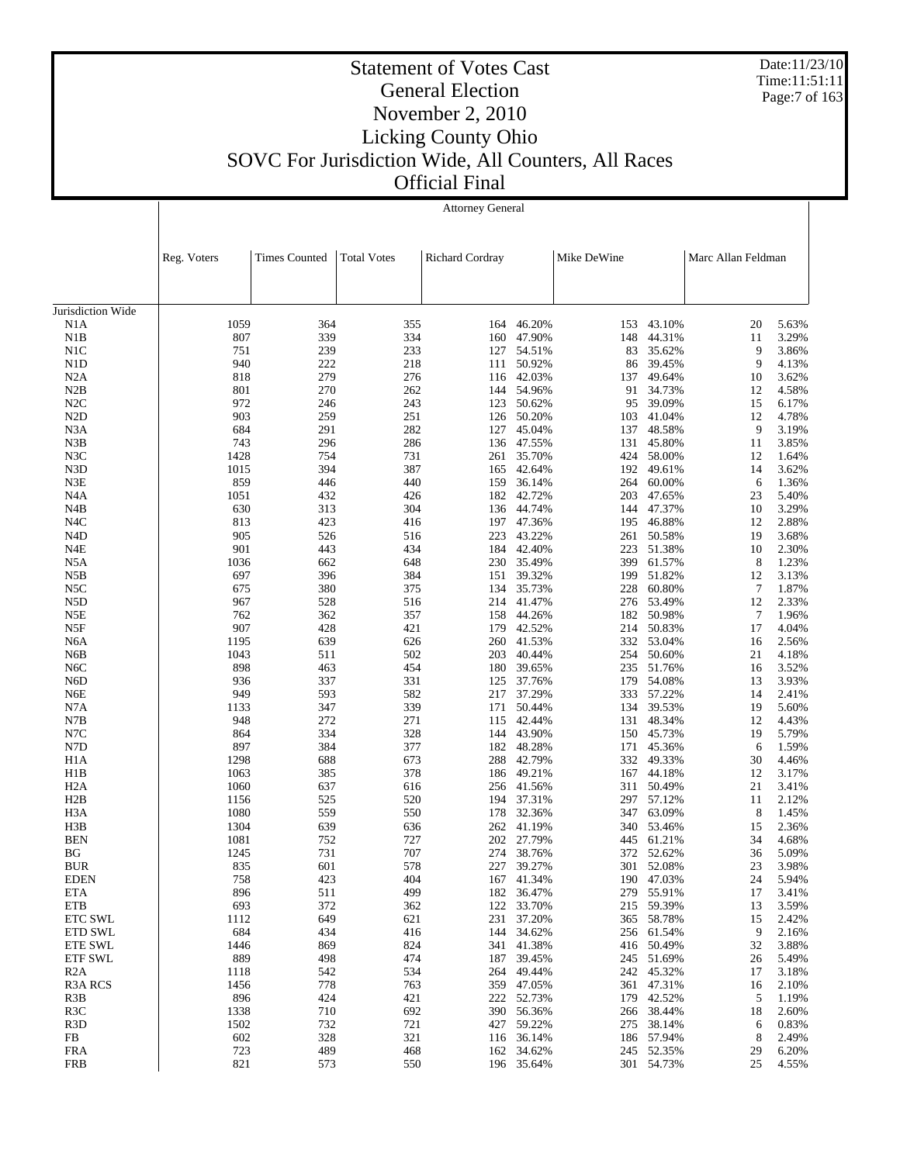Date:11/23/10 Time:11:51:11 Page:7 of 163

 $\mathbf{I}$ 

# Statement of Votes Cast General Election November 2, 2010 Licking County Ohio SOVC For Jurisdiction Wide, All Counters, All Races

Official Final

|                         | <b>Attorney General</b> |                      |                    |                 |                  |             |                      |                    |                |
|-------------------------|-------------------------|----------------------|--------------------|-----------------|------------------|-------------|----------------------|--------------------|----------------|
|                         |                         |                      |                    |                 |                  |             |                      |                    |                |
|                         |                         |                      |                    |                 |                  |             |                      |                    |                |
|                         | Reg. Voters             | <b>Times Counted</b> | <b>Total Votes</b> | Richard Cordray |                  | Mike DeWine |                      | Marc Allan Feldman |                |
|                         |                         |                      |                    |                 |                  |             |                      |                    |                |
|                         |                         |                      |                    |                 |                  |             |                      |                    |                |
| Jurisdiction Wide       |                         |                      |                    |                 |                  |             |                      |                    |                |
| N1A                     | 1059                    | 364                  | 355                | 164             | 46.20%           | 153         | 43.10%               | 20                 | 5.63%          |
| N1B                     | 807                     | 339                  | 334                | 160             | 47.90%           | 148         | 44.31%               | 11                 | 3.29%          |
| N1C                     | 751                     | 239                  | 233                | 127             | 54.51%           | 83          | 35.62%               | 9                  | 3.86%          |
| N <sub>1</sub> D        | 940                     | 222                  | 218                | 111             | 50.92%           | 86          | 39.45%               | 9                  | 4.13%          |
| N2A                     | 818                     | 279                  | 276                | 116             | 42.03%           | 137         | 49.64%               | 10                 | 3.62%          |
| N2B                     | 801                     | 270                  | 262                | 144             | 54.96%           | 91          | 34.73%               | 12                 | 4.58%          |
| N2C                     | 972                     | 246                  | 243                | 123             | 50.62%           | 95          | 39.09%               | 15                 | 6.17%          |
| N <sub>2</sub> D        | 903                     | 259                  | 251                | 126             | 50.20%           | 103         | 41.04%               | 12                 | 4.78%          |
| N3A                     | 684                     | 291                  | 282                | 127             | 45.04%           | 137         | 48.58%               | 9                  | 3.19%          |
| N3B                     | 743                     | 296                  | 286                | 136             | 47.55%           | 131         | 45.80%               | 11                 | 3.85%          |
| N3C                     | 1428                    | 754                  | 731                | 261             | 35.70%           | 424         | 58.00%               | 12                 | 1.64%          |
| N3D<br>N3E              | 1015<br>859             | 394<br>446           | 387<br>440         | 165<br>159      | 42.64%<br>36.14% | 192         | 49.61%<br>60.00%     | 14<br>6            | 3.62%<br>1.36% |
| N <sub>4</sub> A        | 1051                    | 432                  | 426                | 182             | 42.72%           | 264<br>203  | 47.65%               | 23                 | 5.40%          |
| N4B                     | 630                     | 313                  | 304                |                 | 136 44.74%       | 144         | 47.37%               | 10                 | 3.29%          |
| N <sub>4</sub> C        | 813                     | 423                  | 416                | 197             | 47.36%           | 195         | 46.88%               | 12                 | 2.88%          |
| N <sub>4</sub> D        | 905                     | 526                  | 516                | 223             | 43.22%           | 261         | 50.58%               | 19                 | 3.68%          |
| N4E                     | 901                     | 443                  | 434                | 184             | 42.40%           | 223         | 51.38%               | 10                 | 2.30%          |
| N5A                     | 1036                    | 662                  | 648                |                 | 230 35.49%       | 399         | 61.57%               | 8                  | 1.23%          |
| N5B                     | 697                     | 396                  | 384                | 151             | 39.32%           | 199         | 51.82%               | 12                 | 3.13%          |
| N5C                     | 675                     | 380                  | 375                | 134             | 35.73%           | 228         | 60.80%               | $\overline{7}$     | 1.87%          |
| N5D                     | 967                     | 528                  | 516                | 214             | 41.47%           | 276         | 53.49%               | 12                 | 2.33%          |
| N5E                     | 762                     | 362                  | 357                | 158             | 44.26%           |             | 182 50.98%           | $\overline{7}$     | 1.96%          |
| N5F                     | 907                     | 428                  | 421                | 179             | 42.52%           | 214         | 50.83%               | 17                 | 4.04%          |
| N <sub>6</sub> A        | 1195                    | 639                  | 626                |                 | 260 41.53%       |             | 332 53.04%           | 16                 | 2.56%          |
| N6B                     | 1043                    | 511                  | 502                | 203             | 40.44%           | 254         | 50.60%               | 21                 | 4.18%          |
| N <sub>6</sub> C        | 898                     | 463                  | 454                | 180             | 39.65%           | 235         | 51.76%               | 16                 | 3.52%          |
| N <sub>6</sub> D        | 936                     | 337                  | 331                | 125             | 37.76%           | 179         | 54.08%               | 13                 | 3.93%          |
| N6E                     | 949                     | 593                  | 582                | 217             | 37.29%           |             | 333 57.22%           | 14                 | 2.41%          |
| N7A                     | 1133                    | 347                  | 339                | 171             | 50.44%           | 134         | 39.53%               | 19                 | 5.60%          |
| N7B                     | 948                     | 272                  | 271                | 115             | 42.44%           | 131         | 48.34%               | 12                 | 4.43%          |
| N7C                     | 864                     | 334                  | 328                | 144             | 43.90%           | 150         | 45.73%               | 19                 | 5.79%          |
| N7D                     | 897                     | 384                  | 377                | 182             | 48.28%           | 171         | 45.36%               | 6                  | 1.59%          |
| H <sub>1</sub> A        | 1298                    | 688                  | 673                | 288             | 42.79%           | 332         | 49.33%               | 30                 | 4.46%          |
| H1B                     | 1063                    | 385                  | 378                | 186             | 49.21%           |             | 167 44.18%           | 12                 | 3.17%          |
| H <sub>2</sub> A        | 1060                    | 637<br>525           | 616                | 256             | 41.56%<br>37.31% | 311         | 50.49%               | 21                 | 3.41%          |
| H2B<br>H <sub>3</sub> A | 1156<br>1080            | 559                  | 520<br>550         | 194<br>178      | 32.36%           | 347         | 297 57.12%<br>63.09% | 11<br>8            | 2.12%<br>1.45% |
| H3B                     | 1304                    | 639                  | 636                | 262             | 41.19%           | 340         | 53.46%               | 15                 | 2.36%          |
| <b>BEN</b>              | 1081                    | 752                  | 727                | 202             | 27.79%           | 445         | 61.21%               | 34                 | 4.68%          |
| ΒG                      | 1245                    | 731                  | 707                |                 | 274 38.76%       | 372         | 52.62%               | 36                 | 5.09%          |
| <b>BUR</b>              | 835                     | 601                  | 578                |                 | 227 39.27%       |             | 301 52.08%           | 23                 | 3.98%          |
| <b>EDEN</b>             | 758                     | 423                  | 404                |                 | 167 41.34%       |             | 190 47.03%           | 24                 | 5.94%          |
| ETA                     | 896                     | 511                  | 499                | 182             | 36.47%           | 279         | 55.91%               | 17                 | 3.41%          |
| ETB                     | 693                     | 372                  | 362                |                 | 122 33.70%       |             | 215 59.39%           | 13                 | 3.59%          |
| <b>ETC SWL</b>          | 1112                    | 649                  | 621                |                 | 231 37.20%       | 365         | 58.78%               | 15                 | 2.42%          |
| ETD SWL                 | 684                     | 434                  | 416                |                 | 144 34.62%       |             | 256 61.54%           | 9                  | 2.16%          |
| <b>ETE SWL</b>          | 1446                    | 869                  | 824                |                 | 341 41.38%       | 416         | 50.49%               | 32                 | 3.88%          |
| ETF SWL                 | 889                     | 498                  | 474                |                 | 187 39.45%       |             | 245 51.69%           | 26                 | 5.49%          |
| R <sub>2</sub> A        | 1118                    | 542                  | 534                | 264             | 49.44%           |             | 242 45.32%           | 17                 | 3.18%          |
| R <sub>3</sub> A RCS    | 1456                    | 778                  | 763                |                 | 359 47.05%       |             | 361 47.31%           | 16                 | 2.10%          |
| R <sub>3</sub> B        | 896                     | 424                  | 421                |                 | 222 52.73%       | 179         | 42.52%               | 5                  | 1.19%          |
| R <sub>3</sub> C        | 1338                    | 710                  | 692                |                 | 390 56.36%       | 266         | 38.44%               | 18                 | 2.60%          |
| R <sub>3</sub> D        | 1502                    | 732                  | 721                | 427             | 59.22%           | 275         | 38.14%               | 6                  | 0.83%          |
| FB                      | 602                     | 328                  | 321                |                 | 116 36.14%       |             | 186 57.94%           | 8                  | 2.49%          |
| FRA                     | 723                     | 489                  | 468                | 162             | 34.62%           | 245         | 52.35%               | 29                 | 6.20%          |
| <b>FRB</b>              | 821                     | 573                  | 550                |                 | 196 35.64%       |             | 301 54.73%           | 25                 | 4.55%          |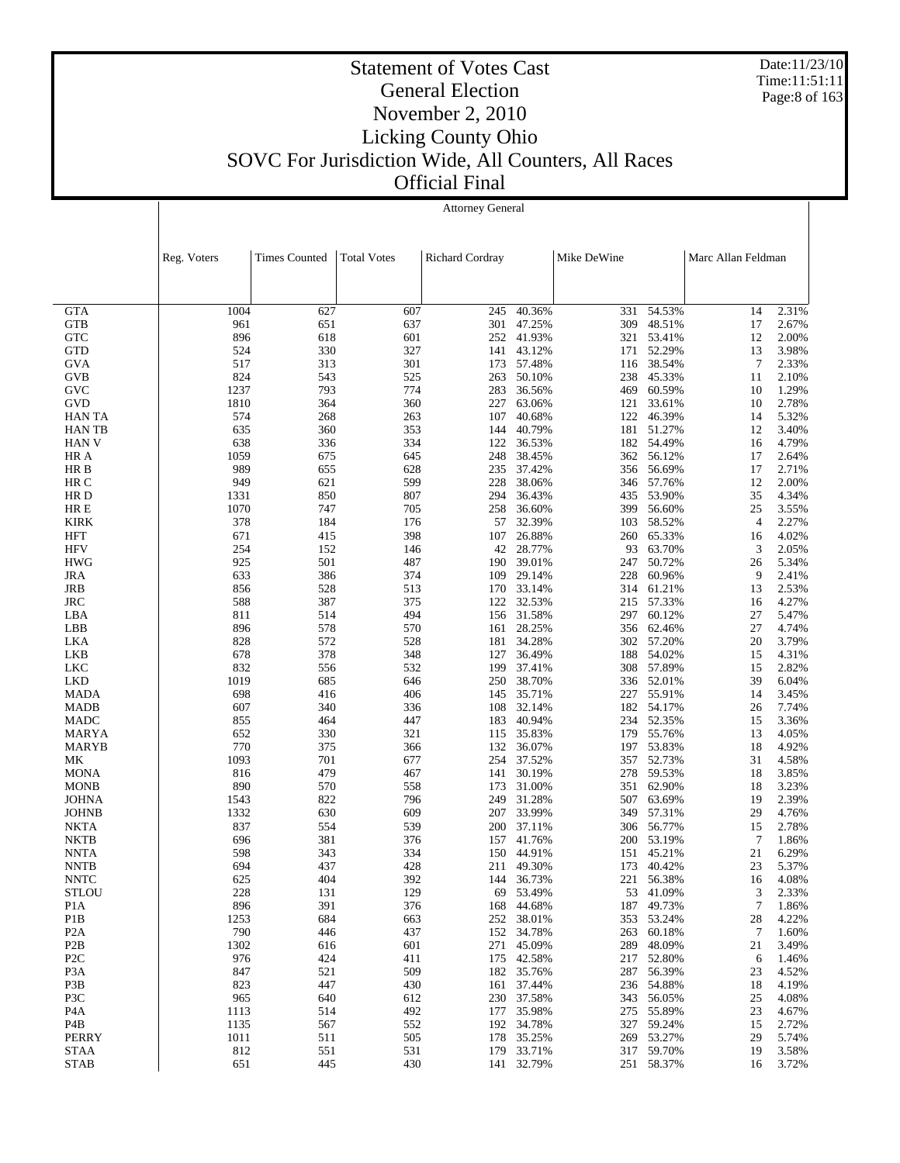Date:11/23/10 Time:11:51:11 Page:8 of 163

# Statement of Votes Cast General Election November 2, 2010 Licking County Ohio SOVC For Jurisdiction Wide, All Counters, All Races Official Final

|                         |              | <b>Attorney General</b> |                    |                 |                  |             |                  |                    |                |  |
|-------------------------|--------------|-------------------------|--------------------|-----------------|------------------|-------------|------------------|--------------------|----------------|--|
|                         | Reg. Voters  | <b>Times Counted</b>    | <b>Total Votes</b> | Richard Cordray |                  | Mike DeWine |                  | Marc Allan Feldman |                |  |
|                         |              |                         |                    |                 |                  |             |                  |                    |                |  |
| <b>GTA</b>              | 1004         | 627                     | 607                | 245             | 40.36%           | 331         | 54.53%           | 14                 | 2.31%          |  |
| <b>GTB</b>              | 961          | 651                     | 637                | 301             | 47.25%           | 309         | 48.51%           | 17                 | 2.67%          |  |
| <b>GTC</b>              | 896          | 618                     | 601                | 252             | 41.93%           | 321         | 53.41%           | 12                 | 2.00%          |  |
| <b>GTD</b>              | 524          | 330                     | 327                | 141             | 43.12%           | 171         | 52.29%           | 13                 | 3.98%          |  |
| <b>GVA</b>              | 517          | 313                     | 301                | 173             | 57.48%           | 116         | 38.54%           | $\overline{7}$     | 2.33%          |  |
| <b>GVB</b>              | 824          | 543                     | 525                | 263             | 50.10%           | 238         | 45.33%           | 11                 | 2.10%          |  |
| GVC<br><b>GVD</b>       | 1237<br>1810 | 793<br>364              | 774<br>360         | 283<br>227      | 36.56%<br>63.06% | 469<br>121  | 60.59%<br>33.61% | 10<br>10           | 1.29%<br>2.78% |  |
| <b>HAN TA</b>           | 574          | 268                     | 263                | 107             | 40.68%           | 122         | 46.39%           | 14                 | 5.32%          |  |
| <b>HANTB</b>            | 635          | 360                     | 353                | 144             | 40.79%           | 181         | 51.27%           | 12                 | 3.40%          |  |
| <b>HAN V</b>            | 638          | 336                     | 334                | 122             | 36.53%           | 182         | 54.49%           | 16                 | 4.79%          |  |
| HR A                    | 1059         | 675                     | 645                | 248             | 38.45%           |             | 362 56.12%       | 17                 | 2.64%          |  |
| HR B                    | 989          | 655                     | 628                | 235             | 37.42%           |             | 356 56.69%       | 17                 | 2.71%          |  |
| HR C                    | 949          | 621                     | 599                | 228             | 38.06%           | 346         | 57.76%           | 12                 | 2.00%          |  |
| HR D                    | 1331         | 850                     | 807                | 294             | 36.43%           |             | 435 53.90%       | 35                 | 4.34%          |  |
| HR E                    | 1070         | 747                     | 705                | 258             | 36.60%           | 399         | 56.60%           | 25                 | 3.55%          |  |
| <b>KIRK</b>             | 378          | 184                     | 176                | 57              | 32.39%           | 103         | 58.52%           | $\overline{4}$     | 2.27%          |  |
| HFT                     | 671          | 415                     | 398                | 107             | 26.88%           | 260         | 65.33%           | 16                 | 4.02%          |  |
| <b>HFV</b>              | 254          | 152                     | 146                | 42              | 28.77%           | 93          | 63.70%           | 3                  | 2.05%          |  |
| <b>HWG</b>              | 925          | 501                     | 487                | 190             | 39.01%           | 247         | 50.72%           | 26                 | 5.34%          |  |
| <b>JRA</b>              | 633          | 386                     | 374                | 109             | 29.14%           | 228         | 60.96%           | 9                  | 2.41%          |  |
| JRB                     | 856          | 528                     | 513                | 170             | 33.14%           | 314         | 61.21%           | 13                 | 2.53%          |  |
| <b>JRC</b>              | 588          | 387                     | 375                | 122             | 32.53%           | 215         | 57.33%           | 16                 | 4.27%          |  |
| LBA                     | 811          | 514                     | 494                |                 | 156 31.58%       | 297         | 60.12%           | 27                 | 5.47%          |  |
| LBB                     | 896          | 578<br>572              | 570                | 161             | 28.25%<br>34.28% | 356         | 62.46%           | 27<br>20           | 4.74%<br>3.79% |  |
| LKA<br>LKB              | 828<br>678   | 378                     | 528<br>348         | 181<br>127      | 36.49%           | 302         | 57.20%<br>54.02% | 15                 | 4.31%          |  |
| LKC                     | 832          | 556                     | 532                | 199             | 37.41%           | 188<br>308  | 57.89%           | 15                 | 2.82%          |  |
| <b>LKD</b>              | 1019         | 685                     | 646                | 250             | 38.70%           |             | 336 52.01%       | 39                 | 6.04%          |  |
| <b>MADA</b>             | 698          | 416                     | 406                | 145             | 35.71%           | 227         | 55.91%           | 14                 | 3.45%          |  |
| <b>MADB</b>             | 607          | 340                     | 336                | 108             | 32.14%           | 182         | 54.17%           | 26                 | 7.74%          |  |
| MADC                    | 855          | 464                     | 447                | 183             | 40.94%           | 234         | 52.35%           | 15                 | 3.36%          |  |
| MARYA                   | 652          | 330                     | 321                | 115             | 35.83%           |             | 179 55.76%       | 13                 | 4.05%          |  |
| MARYB                   | 770          | 375                     | 366                | 132             | 36.07%           | 197         | 53.83%           | 18                 | 4.92%          |  |
| МK                      | 1093         | 701                     | 677                | 254             | 37.52%           | 357         | 52.73%           | 31                 | 4.58%          |  |
| <b>MONA</b>             | 816          | 479                     | 467                | 141             | 30.19%           | 278         | 59.53%           | 18                 | 3.85%          |  |
| <b>MONB</b>             | 890          | 570                     | 558                | 173             | 31.00%           | 351         | 62.90%           | 18                 | 3.23%          |  |
| <b>JOHNA</b>            | 1543         | 822                     | 796                | 249             | 31.28%           | 507         | 63.69%           | 19                 | 2.39%          |  |
| <b>JOHNB</b>            | 1332         | 630                     | 609                | 207             | 33.99%           | 349         | 57.31%           | 29                 | 4.76%          |  |
| NKTA                    | 837          | 554                     | 539                | 200             | 37.11%           | 306         | 56.77%           | 15                 | 2.78%          |  |
| NKTB                    | 696          | 381                     | 376                | 157             | 41.76%           | 200         | 53.19%           | $\overline{7}$     | 1.86%          |  |
| NNTA                    | 598          | 343                     | 334                | 150             | 44.91%           | 151         | 45.21%           | 21                 | 6.29%          |  |
| NNTB                    | 694          | 437                     | 428                |                 | 211 49.30%       |             | 173 40.42%       | 23                 | 5.37%          |  |
| <b>NNTC</b>             | 625          | 404                     | 392                |                 | 144 36.73%       | 221         | 56.38%           | 16                 | 4.08%          |  |
| <b>STLOU</b>            | 228          | 131                     | 129                | 69              | 53.49%           | 53          | 41.09%           | 3<br>$\tau$        | 2.33%<br>1.86% |  |
| P1A<br>P <sub>1</sub> B | 896<br>1253  | 391<br>684              | 376<br>663         | 168<br>252      | 44.68%<br>38.01% | 187<br>353  | 49.73%<br>53.24% | 28                 | 4.22%          |  |
| P <sub>2</sub> A        | 790          | 446                     | 437                | 152             | 34.78%           | 263         | 60.18%           | 7                  | 1.60%          |  |
| P <sub>2</sub> B        | 1302         | 616                     | 601                | 271             | 45.09%           | 289         | 48.09%           | 21                 | 3.49%          |  |
| P <sub>2</sub> C        | 976          | 424                     | 411                |                 | 175 42.58%       | 217         | 52.80%           | 6                  | 1.46%          |  |
| P <sub>3</sub> A        | 847          | 521                     | 509                |                 | 182 35.76%       | 287         | 56.39%           | 23                 | 4.52%          |  |
| P3B                     | 823          | 447                     | 430                | 161             | 37.44%           | 236         | 54.88%           | 18                 | 4.19%          |  |
| P3C                     | 965          | 640                     | 612                |                 | 230 37.58%       |             | 343 56.05%       | 25                 | 4.08%          |  |
| P <sub>4</sub> A        | 1113         | 514                     | 492                |                 | 177 35.98%       |             | 275 55.89%       | 23                 | 4.67%          |  |
| P4B                     | 1135         | 567                     | 552                |                 | 192 34.78%       |             | 327 59.24%       | 15                 | 2.72%          |  |

1135 567 552 192 34.78% 327 59.24% 15<br>
1011 511 505 178 35.25% 269 53.27% 29 1011 511 505 178 35.25% 269 53.27% 29 5.74%<br>812 551 531 179 33.71% 317 59.70% 19 3.58% 812 551 531 179 33.71% 317 59.70% 19 3.58%

251 58.37%

 P4A P4B PERRY STAA STAB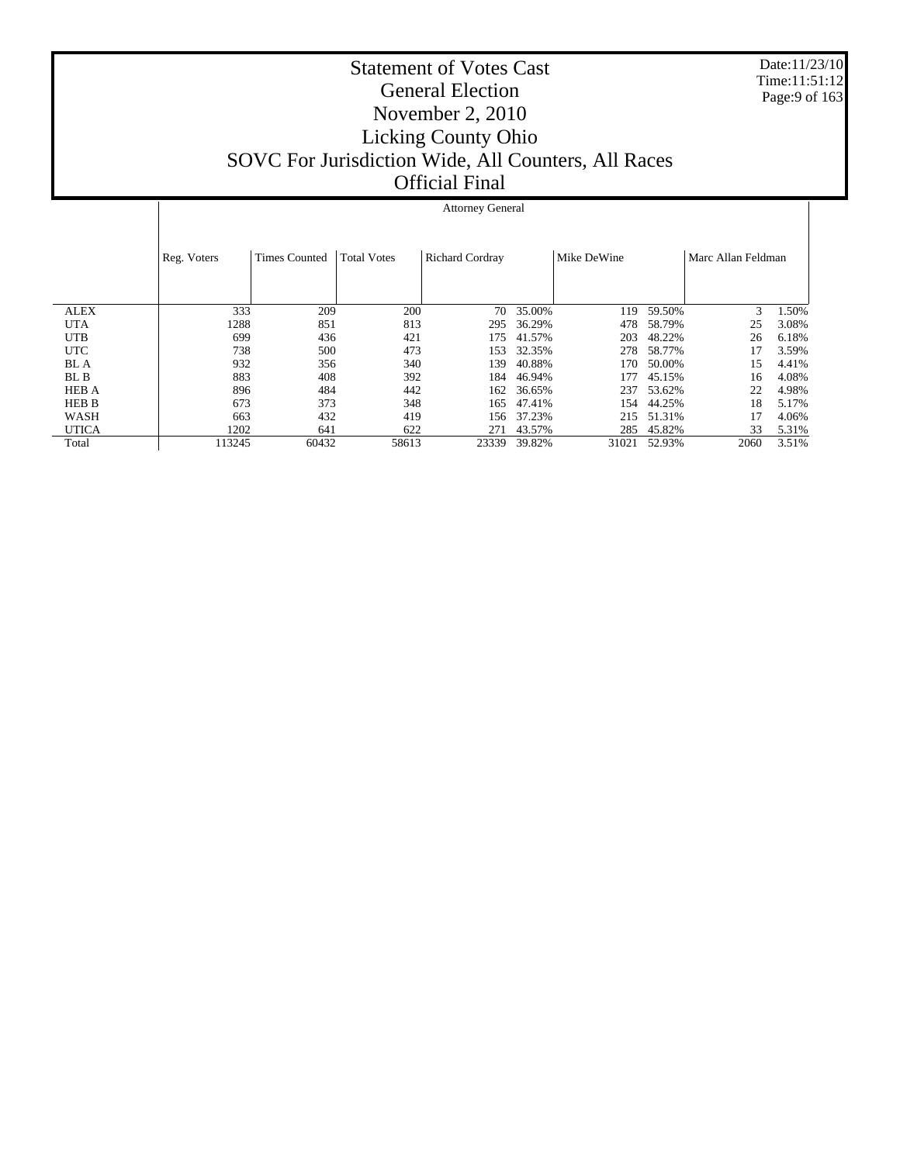Date:11/23/10 Time:11:51:12 Page:9 of 163

# Statement of Votes Cast General Election November 2, 2010 Licking County Ohio SOVC For Jurisdiction Wide, All Counters, All Races Official Final

#### Attorney General

|              | Reg. Voters | Times Counted | <b>Total Votes</b> | Richard Cordray |        | Mike DeWine |        | Marc Allan Feldman |       |
|--------------|-------------|---------------|--------------------|-----------------|--------|-------------|--------|--------------------|-------|
| <b>ALEX</b>  | 333         | 209           | 200                | 70              | 35.00% | 119         | 59.50% | 3                  | 1.50% |
| <b>UTA</b>   | 1288        | 851           | 813                | 295             | 36.29% | 478         | 58.79% | 25                 | 3.08% |
| <b>UTB</b>   | 699         | 436           | 421                | 175             | 41.57% | 203         | 48.22% | 26                 | 6.18% |
| <b>UTC</b>   | 738         | 500           | 473                | 153             | 32.35% | 278         | 58.77% | 17                 | 3.59% |
| <b>BL</b> A  | 932         | 356           | 340                | 139             | 40.88% | 170         | 50.00% | 15                 | 4.41% |
| BL B         | 883         | 408           | 392                | 184             | 46.94% | 177         | 45.15% | 16                 | 4.08% |
| <b>HEB A</b> | 896         | 484           | 442                | 162             | 36.65% | 237         | 53.62% | 22                 | 4.98% |
| <b>HEB B</b> | 673         | 373           | 348                | 165             | 47.41% | 154         | 44.25% | 18                 | 5.17% |
| WASH         | 663         | 432           | 419                | 156             | 37.23% | 215         | 51.31% | 17                 | 4.06% |
| <b>UTICA</b> | 1202        | 641           | 622                | 271             | 43.57% | 285         | 45.82% | 33                 | 5.31% |
| Total        | 113245      | 60432         | 58613              | 23339           | 39.82% | 31021       | 52.93% | 2060               | 3.51% |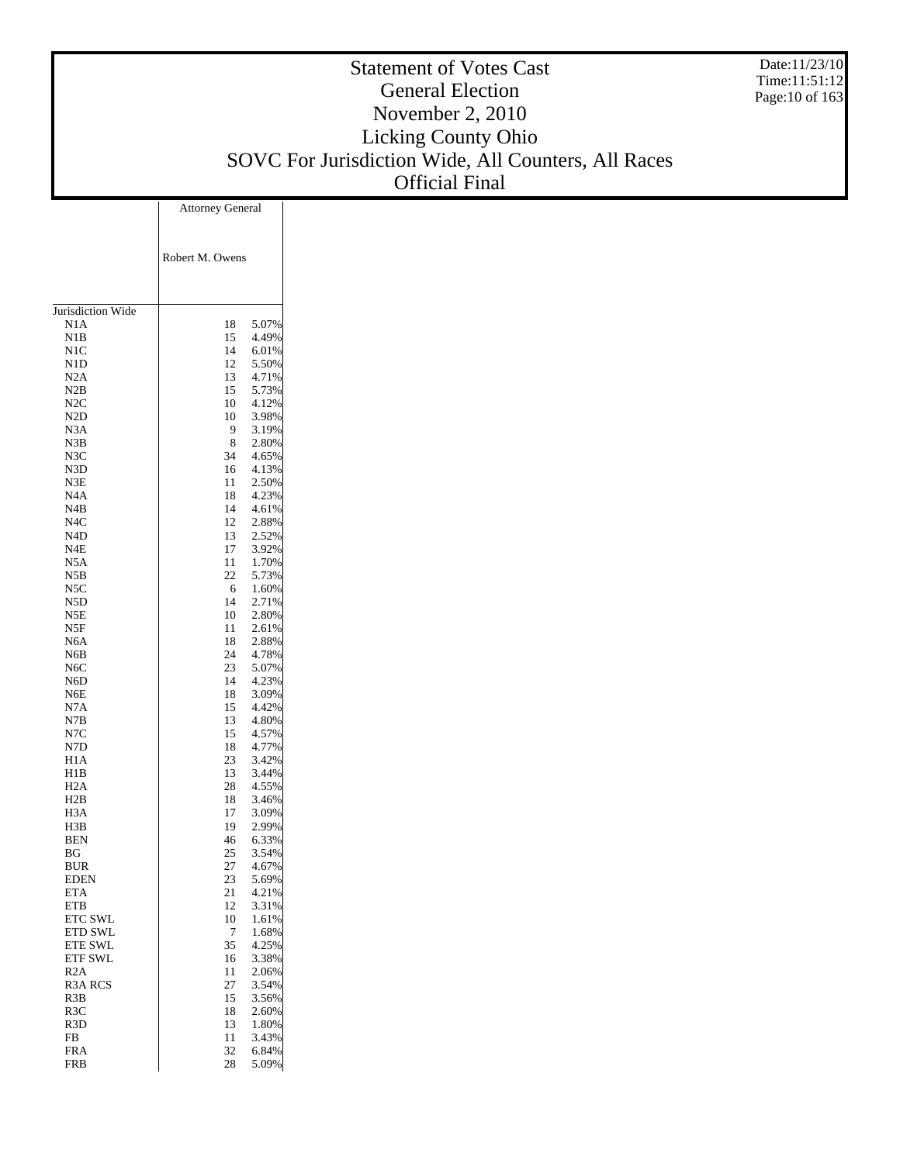#### Statement of Votes Cast General Election November 2, 2010 Licking County Ohio SOVC For Jurisdiction Wide, All Counters, All Races Official Final Date:11/23/10 Time:11:51:12 Page:10 of 163 Attorney General

|                         | Robert M. Owens |                |
|-------------------------|-----------------|----------------|
|                         |                 |                |
|                         |                 |                |
| Jurisdiction Wide       |                 |                |
| N1A                     | 18              | 5.07%          |
| N1B                     | 15              | 4.49%          |
| N1C                     | 14              | 6.01%          |
| N1D                     | 12              | 5.50%          |
| N2A                     | 13              | 4.71%          |
| N2B                     | 15              | 5.73%          |
| N2C                     | 10              | 4.12%          |
| N2D                     | 10              | 3.98%          |
| N3A                     | 9               | 3.19%          |
| N3B                     | 8               | 2.80%          |
| N3C                     | 34              | 4.65%          |
| N3D                     | 16              | 4.13%<br>2.50% |
| N3E<br>N <sub>4</sub> A | 11<br>18        | 4.23%          |
| N4B                     | 14              | 4.61%          |
| N4C                     | 12              | 2.88%          |
| N4D                     | 13              | 2.52%          |
| N4E                     | 17              | 3.92%          |
| N5A                     | 11              | 1.70%          |
| N5B                     | 22              | 5.73%          |
| N5C                     | 6               | 1.60%          |
| N5D                     | 14              | 2.71%          |
| N5E                     | 10              | 2.80%          |
| N5F                     | 11              | 2.61%          |
| N <sub>6</sub> A        | 18              | 2.88%          |
| N6B                     | 24              | 4.78%          |
| N <sub>6</sub> C        | 23              | 5.07%          |
| N6D                     | 14              | 4.23%          |
| N6E                     | 18              | 3.09%          |
| N7A                     | 15              | 4.42%          |
| N7B<br>N7C              | 13<br>15        | 4.80%<br>4.57% |
| N7D                     | 18              | 4.77%          |
| H1A                     | 23              | 3.42%          |
| H1B                     | 13              | 3.44%          |
| H2A                     | 28              | 4.55%          |
| H2B                     | 18              | 3.46%          |
| H <sub>3</sub> A        | 17              | 3.09%          |
| H3B                     | 19              | 2.99%          |
| BEN                     | 46              | 6.33%          |
| ΒG                      | 25              | 3.54%          |
| BUR                     | 27              | 4.67%          |
| <b>EDEN</b>             | 23              | 5.69%          |
| <b>ETA</b>              | 21              | 4.21%          |
| ETB                     | 12              | 3.31%          |
| <b>ETC SWL</b>          | 10              | 1.61%          |
| <b>ETD SWL</b>          | 7               | 1.68%          |
| <b>ETE SWL</b>          | 35              | 4.25%          |
| <b>ETF SWL</b><br>R2A   | 16<br>11        | 3.38%<br>2.06% |
| R3A RCS                 | 27              | 3.54%          |
| R3B                     | 15              | 3.56%          |
| R3C                     | 18              | 2.60%          |
| R <sub>3</sub> D        | 13              | 1.80%          |
| FB                      | 11              | 3.43%          |
| <b>FRA</b>              | 32              | 6.84%          |
| FRB                     | 28              | 5.09%          |
|                         |                 |                |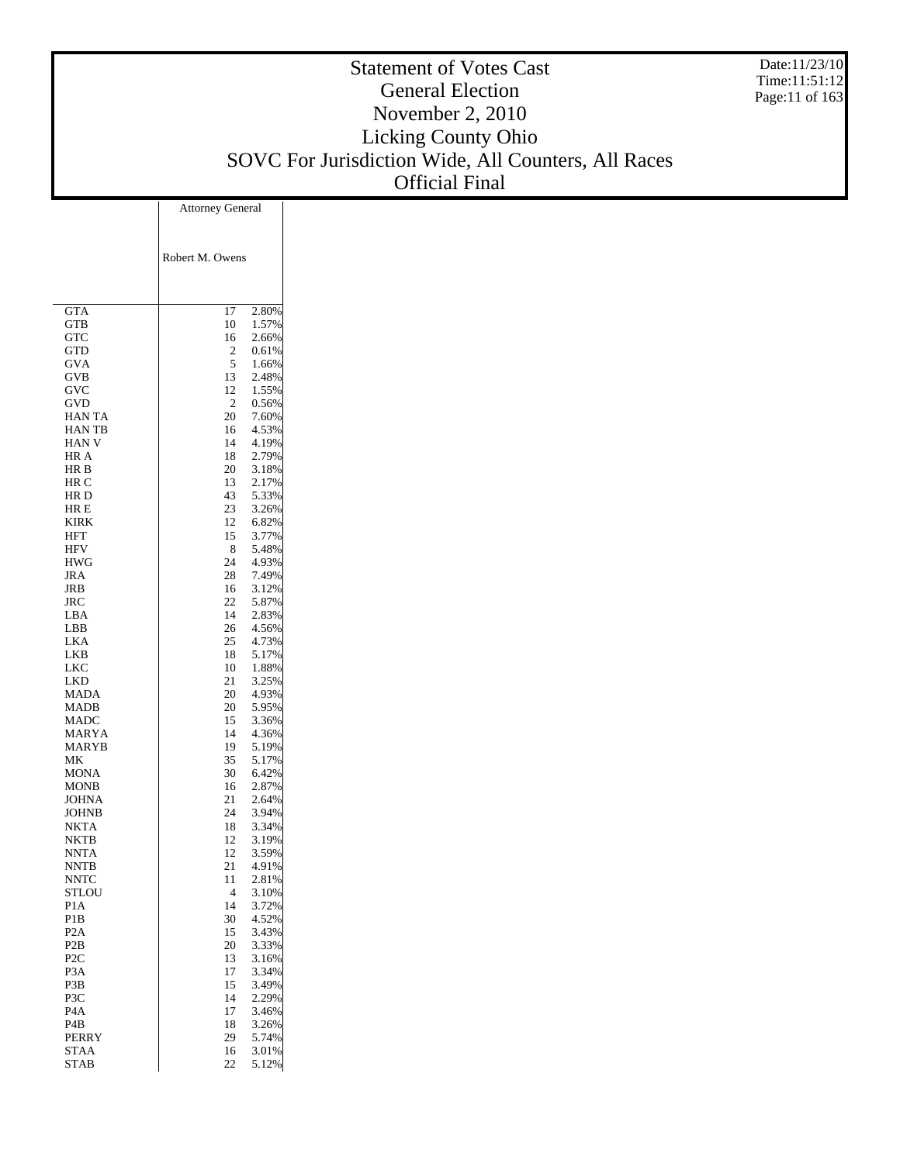#### Statement of Votes Cast General Election November 2, 2010 Licking County Ohio SOVC For Jurisdiction Wide, All Counters, All Races Official Final Date:11/23/10 Time:11:51:12 Page:11 of 163 Attorney General

|                         | Robert M. Owens |                |
|-------------------------|-----------------|----------------|
| GTA                     | 17              | 2.80%          |
| GTB                     | 10              | 1.57%          |
| GTC                     | 16              | 2.66%          |
| GTD                     | 2               | 0.61%          |
| GVA                     | 5               | 1.66%          |
| GVB                     | 13<br>12        | 2.48%<br>1.55% |
| GVC<br>GVD              | 2               | 0.56%          |
| <b>HAN TA</b>           | 20              | 7.60%          |
| <b>HANTB</b>            | 16              | 4.53%          |
| HAN V                   | 14              | 4.19%          |
| HR A                    | 18              | 2.79%          |
| HR B                    | 20              | 3.18%          |
| HR C                    | 13              | 2.17%          |
| HR D                    | 43              | 5.33%          |
| HR E                    | 23              | 3.26%          |
| KIRK                    | 12              | 6.82%          |
| <b>HFT</b>              | 15              | 3.77%          |
| <b>HFV</b>              | 8               | 5.48%          |
| HWG                     | 24              | 4.93%          |
| JRA                     | 28              | 7.49%<br>3.12% |
| JRB<br>JRC              | 16<br>22        | 5.87%          |
| LBA                     | 14              | 2.83%          |
| LBB                     | 26              | 4.56%          |
| <b>LKA</b>              | 25              | 4.73%          |
| LKB                     | 18              | 5.17%          |
| LKC                     | 10              | 1.88%          |
| LKD                     | 21              | 3.25%          |
| <b>MADA</b>             | 20              | 4.93%          |
| MADB                    | 20              | 5.95%          |
| <b>MADC</b>             | 15              | 3.36%          |
| MARYA                   | 14              | 4.36%          |
| <b>MARYB</b>            | 19              | 5.19%          |
| МK                      | 35              | 5.17%          |
| MONA                    | 30              | 6.42%          |
| <b>MONB</b><br>JOHNA    | 16<br>21        | 2.87%<br>2.64% |
| JOHNB                   | 24              | 3.94%          |
| NKTA                    | 18              | 3.34%          |
| NKTB                    | 12              | 3.19%          |
| <b>NNTA</b>             | 12              | 3.59%          |
| NNTB                    | 21              | 4.91%          |
| NNTC                    | 11              | 2.81%          |
| <b>STLOU</b>            | $\overline{4}$  | 3.10%          |
| P1A                     | 14              | 3.72%          |
| P1B                     | 30              | 4.52%          |
| P <sub>2</sub> A        | 15              | 3.43%          |
| P <sub>2</sub> B        | 20              | 3.33%          |
| P <sub>2</sub> C        | 13              | 3.16%          |
| P3A                     | 17              | 3.34%          |
| P3B                     | 15<br>14        | 3.49%          |
| P3C<br>P <sub>4</sub> A | 17              | 2.29%<br>3.46% |
| P4B                     | 18              | 3.26%          |
| <b>PERRY</b>            | 29              | 5.74%          |
| STAA                    | 16              | 3.01%          |
| <b>STAB</b>             | 22              | 5.12%          |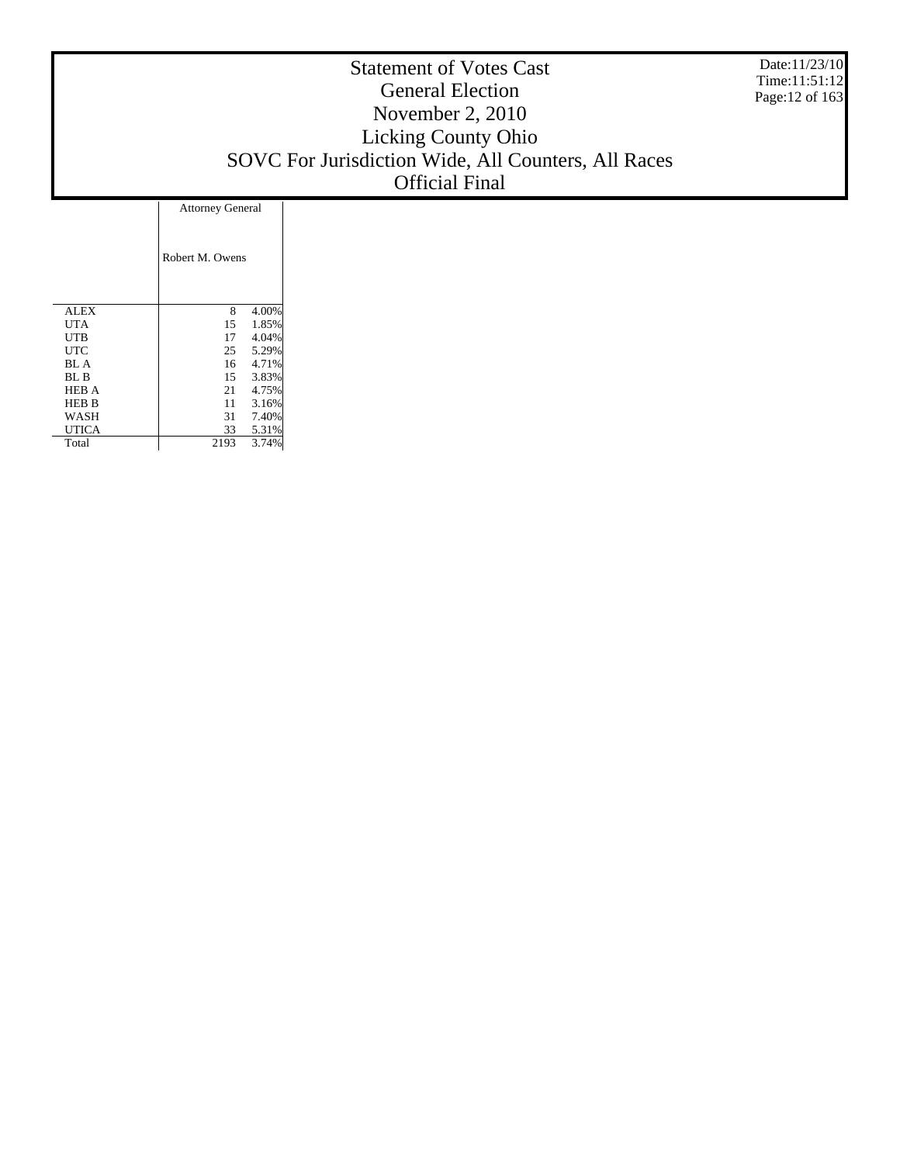Date:11/23/10 Time:11:51:12 Page:12 of 163

# Statement of Votes Cast General Election November 2, 2010 Licking County Ohio SOVC For Jurisdiction Wide, All Counters, All Races Official Final

|              | <b>Attorney General</b> |       |  |  |  |  |  |
|--------------|-------------------------|-------|--|--|--|--|--|
|              | Robert M. Owens         |       |  |  |  |  |  |
| <b>ALEX</b>  | 8                       | 4.00% |  |  |  |  |  |
| UTA          | 15                      | 1.85% |  |  |  |  |  |
| <b>UTB</b>   | 17                      | 4.04% |  |  |  |  |  |
| UTC          | 25                      | 5.29% |  |  |  |  |  |
| BL A         | 16                      | 4.71% |  |  |  |  |  |
| BL B         | 15                      | 3.83% |  |  |  |  |  |
| <b>HEB A</b> | 21                      | 4.75% |  |  |  |  |  |
| <b>HEB B</b> | 11                      | 3.16% |  |  |  |  |  |
| WASH         | 31                      | 7.40% |  |  |  |  |  |
| <b>UTICA</b> | 33                      | 5.31% |  |  |  |  |  |
| Total        | 2193                    | 3.74% |  |  |  |  |  |

T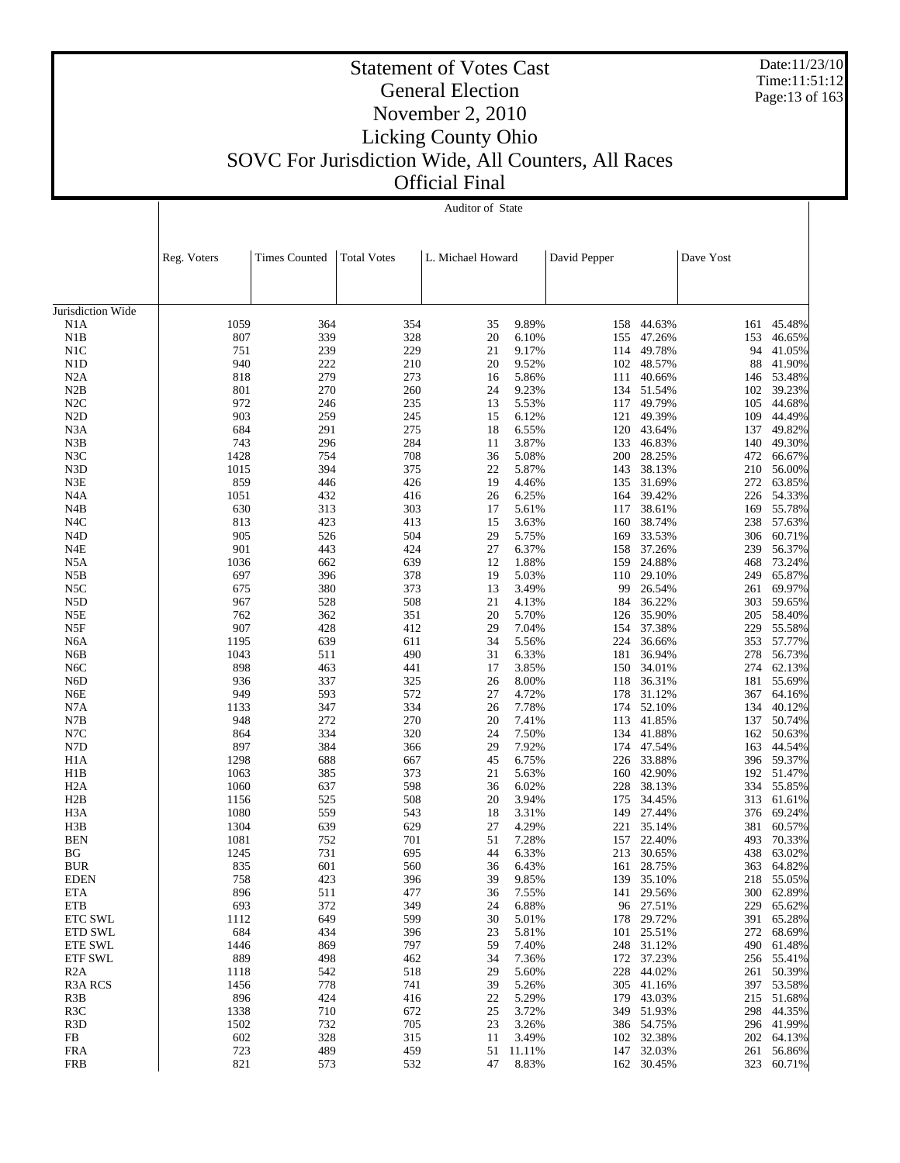Date:11/23/10 Time:11:51:12 Page:13 of 163

# Statement of Votes Cast General Election November 2, 2010 Licking County Ohio SOVC For Jurisdiction Wide, All Counters, All Races Official Final

|                           |              | Auditor of State     |                    |                   |                 |              |                      |            |                      |  |
|---------------------------|--------------|----------------------|--------------------|-------------------|-----------------|--------------|----------------------|------------|----------------------|--|
|                           |              |                      |                    |                   |                 |              |                      |            |                      |  |
|                           |              |                      |                    |                   |                 |              |                      |            |                      |  |
|                           | Reg. Voters  | <b>Times Counted</b> | <b>Total Votes</b> | L. Michael Howard |                 | David Pepper |                      | Dave Yost  |                      |  |
|                           |              |                      |                    |                   |                 |              |                      |            |                      |  |
|                           |              |                      |                    |                   |                 |              |                      |            |                      |  |
| Jurisdiction Wide         |              |                      |                    |                   |                 |              |                      |            |                      |  |
| N1A                       | 1059         | 364                  | 354                | 35                | 9.89%           |              | 158 44.63%           | 161        | 45.48%               |  |
| N1B                       | 807          | 339                  | 328                | 20                | 6.10%           | 155          | 47.26%               | 153        | 46.65%               |  |
| N1C                       | 751          | 239                  | 229                | 21                | 9.17%           | 114          | 49.78%               | 94         | 41.05%               |  |
| N1D                       | 940          | 222                  | 210                | 20                | 9.52%           | 102          | 48.57%               | 88         | 41.90%               |  |
| N2A<br>N2B                | 818<br>801   | 279<br>270           | 273<br>260         | 16<br>24          | 5.86%<br>9.23%  | 111<br>134   | 40.66%<br>51.54%     | 146<br>102 | 53.48%<br>39.23%     |  |
| N2C                       | 972          | 246                  | 235                | 13                | 5.53%           | 117          | 49.79%               | 105        | 44.68%               |  |
| N <sub>2</sub> D          | 903          | 259                  | 245                | 15                | 6.12%           | 121          | 49.39%               | 109        | 44.49%               |  |
| N <sub>3</sub> A          | 684          | 291                  | 275                | 18                | 6.55%           | 120          | 43.64%               | 137        | 49.82%               |  |
| N3B                       | 743          | 296                  | 284                | 11                | 3.87%           | 133          | 46.83%               | 140        | 49.30%               |  |
| N3C                       | 1428         | 754                  | 708                | 36                | 5.08%           | 200          | 28.25%               | 472        | 66.67%               |  |
| N3D                       | 1015         | 394                  | 375                | 22                | 5.87%           | 143          | 38.13%               | 210        | 56.00%               |  |
| N3E<br>N <sub>4</sub> A   | 859<br>1051  | 446<br>432           | 426<br>416         | 19<br>26          | 4.46%<br>6.25%  | 135<br>164   | 31.69%<br>39.42%     | 272<br>226 | 63.85%<br>54.33%     |  |
| N4B                       | 630          | 313                  | 303                | 17                | 5.61%           | 117          | 38.61%               | 169        | 55.78%               |  |
| N <sub>4</sub> C          | 813          | 423                  | 413                | 15                | 3.63%           | 160          | 38.74%               | 238        | 57.63%               |  |
| N <sub>4</sub> D          | 905          | 526                  | 504                | 29                | 5.75%           | 169          | 33.53%               | 306        | 60.71%               |  |
| N4E                       | 901          | 443                  | 424                | 27                | 6.37%           | 158          | 37.26%               | 239        | 56.37%               |  |
| N5A                       | 1036         | 662                  | 639                | 12                | 1.88%           | 159          | 24.88%               | 468        | 73.24%               |  |
| N5B                       | 697          | 396                  | 378                | 19                | 5.03%           | 110          | 29.10%               | 249        | 65.87%               |  |
| N5C                       | 675          | 380                  | 373                | 13                | 3.49%           | 99           | 26.54%               | 261        | 69.97%               |  |
| N5D<br>N5E                | 967<br>762   | 528<br>362           | 508<br>351         | 21<br>20          | 4.13%<br>5.70%  | 184<br>126   | 36.22%<br>35.90%     | 303<br>205 | 59.65%<br>58.40%     |  |
| N5F                       | 907          | 428                  | 412                | 29                | 7.04%           | 154          | 37.38%               | 229        | 55.58%               |  |
| N6A                       | 1195         | 639                  | 611                | 34                | 5.56%           | 224          | 36.66%               | 353        | 57.77%               |  |
| N6B                       | 1043         | 511                  | 490                | 31                | 6.33%           | 181          | 36.94%               | 278        | 56.73%               |  |
| N <sub>6</sub> C          | 898          | 463                  | 441                | 17                | 3.85%           | 150          | 34.01%               | 274        | 62.13%               |  |
| N <sub>6</sub> D          | 936          | 337                  | 325                | 26                | 8.00%           | 118          | 36.31%               | 181        | 55.69%               |  |
| N6E                       | 949          | 593                  | 572                | 27                | 4.72%           | 178          | 31.12%               | 367        | 64.16%               |  |
| N7A<br>N7B                | 1133<br>948  | 347<br>272           | 334<br>270         | 26<br>20          | 7.78%<br>7.41%  | 174<br>113   | 52.10%<br>41.85%     | 134<br>137 | 40.12%<br>50.74%     |  |
| N7C                       | 864          | 334                  | 320                | 24                | 7.50%           | 134          | 41.88%               | 162        | 50.63%               |  |
| N7D                       | 897          | 384                  | 366                | 29                | 7.92%           | 174          | 47.54%               | 163        | 44.54%               |  |
| H <sub>1</sub> A          | 1298         | 688                  | 667                | 45                | 6.75%           | 226          | 33.88%               | 396        | 59.37%               |  |
| H1B                       | 1063         | 385                  | 373                | 21                | 5.63%           | 160          | 42.90%               |            | 192 51.47%           |  |
| H <sub>2</sub> A          | 1060         | 637                  | 598                | 36                | 6.02%           | 228          | 38.13%               | 334        | 55.85%               |  |
| H2B                       | 1156         | 525                  | 508                | 20                | 3.94%           | 175          | 34.45%               |            | 313 61.61%           |  |
| H <sub>3</sub> A<br>H3B   | 1080         | 559<br>639           | 543<br>629         | 18<br>27          | 3.31%<br>4.29%  | 149          | 27.44%               | 376        | 69.24%<br>60.57%     |  |
| <b>BEN</b>                | 1304<br>1081 | 752                  | 701                | 51                | 7.28%           | 221<br>157   | 35.14%<br>22.40%     | 381<br>493 | 70.33%               |  |
| BG                        | 1245         | 731                  | 695                | 44                | 6.33%           |              | 213 30.65%           |            | 438 63.02%           |  |
| <b>BUR</b>                | 835          | 601                  | 560                | 36                | 6.43%           |              | 161 28.75%           |            | 363 64.82%           |  |
| <b>EDEN</b>               | 758          | 423                  | 396                | 39                | 9.85%           |              | 139 35.10%           | 218        | 55.05%               |  |
| ETA                       | 896          | 511                  | 477                | 36                | 7.55%           | 141          | 29.56%               | 300        | 62.89%               |  |
| <b>ETB</b>                | 693          | 372                  | 349                | 24                | 6.88%           |              | 96 27.51%            | 229        | 65.62%               |  |
| ETC SWL                   | 1112         | 649                  | 599                | 30                | 5.01%           | 178          | 29.72%               | 391        | 65.28%               |  |
| ETD SWL<br><b>ETE SWL</b> | 684<br>1446  | 434<br>869           | 396<br>797         | 23<br>59          | 5.81%<br>7.40%  | 248          | 101 25.51%<br>31.12% | 272<br>490 | 68.69%<br>61.48%     |  |
| <b>ETF SWL</b>            | 889          | 498                  | 462                | 34                | 7.36%           | 172          | 37.23%               |            | 256 55.41%           |  |
| R2A                       | 1118         | 542                  | 518                | 29                | 5.60%           | 228          | 44.02%               | 261        | 50.39%               |  |
| <b>R3A RCS</b>            | 1456         | 778                  | 741                | 39                | 5.26%           |              | 305 41.16%           |            | 397 53.58%           |  |
| R <sub>3</sub> B          | 896          | 424                  | 416                | 22                | 5.29%           | 179          | 43.03%               | 215        | 51.68%               |  |
| R <sub>3</sub> C          | 1338         | 710                  | 672                | 25                | 3.72%           | 349          | 51.93%               |            | 298 44.35%           |  |
| R <sub>3</sub> D          | 1502         | 732                  | 705                | 23                | 3.26%           |              | 386 54.75%           |            | 296 41.99%           |  |
| FB<br><b>FRA</b>          | 602<br>723   | 328<br>489           | 315<br>459         | 11<br>51          | 3.49%<br>11.11% | 147          | 102 32.38%<br>32.03% | 261        | 202 64.13%<br>56.86% |  |
| <b>FRB</b>                | 821          | 573                  | 532                | 47                | 8.83%           |              | 162 30.45%           | 323        | 60.71%               |  |
|                           |              |                      |                    |                   |                 |              |                      |            |                      |  |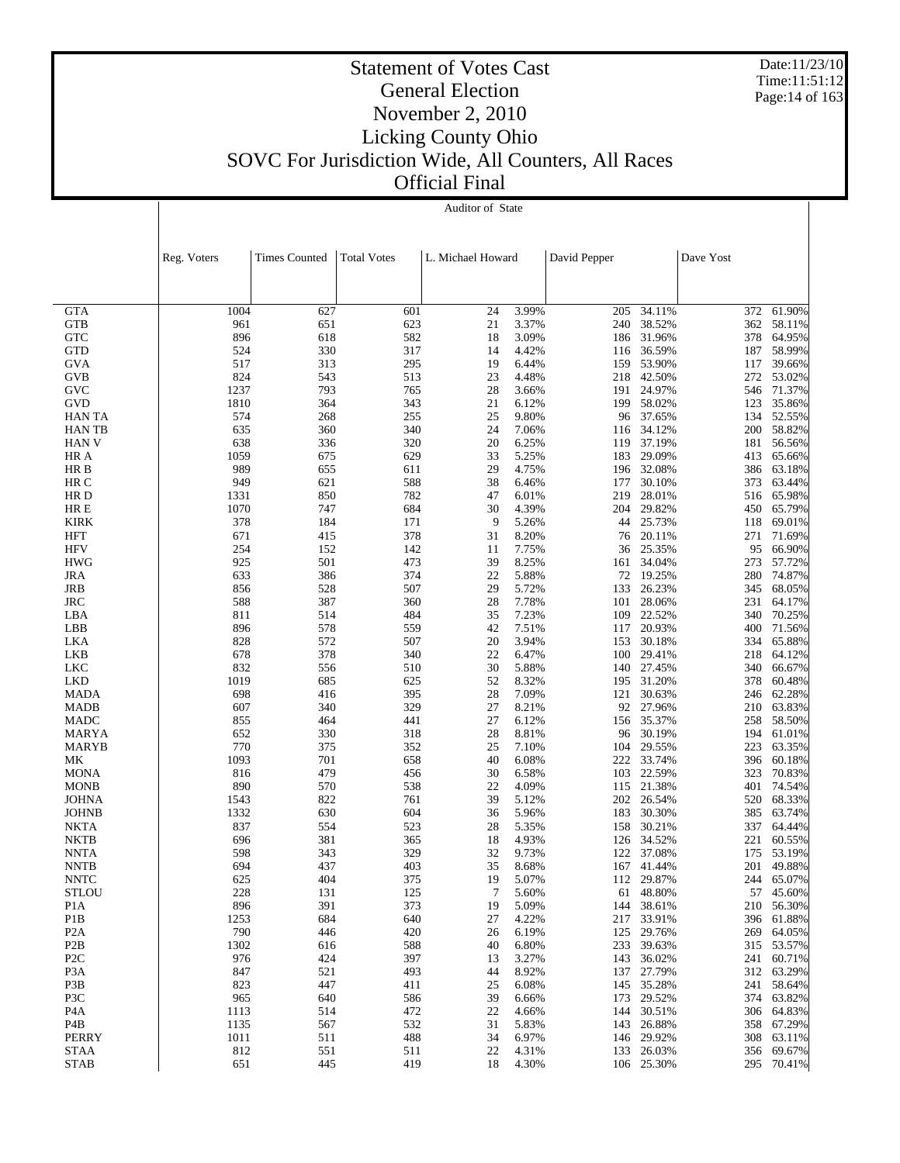Date:11/23/10 Time:11:51:12 Page:14 of 163

| UMI FIIIAI |                  |  |
|------------|------------------|--|
|            | Auditor of State |  |

|                            | Reg. Voters | <b>Times Counted</b> | <b>Total Votes</b> | L. Michael Howard |                | David Pepper |                  | Dave Yost  |                  |
|----------------------------|-------------|----------------------|--------------------|-------------------|----------------|--------------|------------------|------------|------------------|
|                            |             |                      |                    |                   |                |              |                  |            |                  |
|                            |             |                      |                    |                   |                |              |                  |            |                  |
| <b>GTA</b><br><b>GTB</b>   | 1004<br>961 | 627<br>651           | 601<br>623         | 24<br>21          | 3.99%<br>3.37% | 205<br>240   | 34.11%<br>38.52% | 372<br>362 | 61.90%<br>58.11% |
| <b>GTC</b>                 | 896         | 618                  | 582                | 18                | 3.09%          | 186          | 31.96%           | 378        | 64.95%           |
| <b>GTD</b>                 | 524         | 330                  | 317                | 14                | 4.42%          | 116          | 36.59%           | 187        | 58.99%           |
| <b>GVA</b>                 | 517         | 313                  | 295                | 19                | 6.44%          | 159          | 53.90%           | 117        | 39.66%           |
| GVB                        | 824         | 543                  | 513                | 23                | 4.48%          | 218          | 42.50%           |            | 272 53.02%       |
| <b>GVC</b>                 | 1237        | 793                  | 765                | 28                | 3.66%          | 191          | 24.97%           | 546        | 71.37%           |
| <b>GVD</b>                 | 1810        | 364                  | 343                | 21                | 6.12%          | 199          | 58.02%           | 123        | 35.86%           |
| HAN TA                     | 574         | 268                  | 255                | 25                | 9.80%          | 96           | 37.65%           | 134        | 52.55%           |
| <b>HANTB</b>               | 635         | 360                  | 340                | 24                | 7.06%          | 116          | 34.12%           |            | 200 58.82%       |
| <b>HAN V</b>               | 638         | 336                  | 320                | 20                | 6.25%          | 119          | 37.19%           | 181        | 56.56%           |
| HR A                       | 1059        | 675                  | 629                | 33                | 5.25%          | 183          | 29.09%           | 413        | 65.66%           |
| HR B                       | 989         | 655                  | 611                | 29                | 4.75%          | 196          | 32.08%           | 386        | 63.18%           |
| HR C                       | 949         | 621                  | 588                | 38                | 6.46%          | 177          | 30.10%           | 373        | 63.44%           |
| HR D                       | 1331        | 850                  | 782                | 47                | 6.01%          | 219          | 28.01%           | 516        | 65.98%           |
| HR E<br><b>KIRK</b>        | 1070<br>378 | 747<br>184           | 684<br>171         | 30<br>9           | 4.39%          | 204<br>44    | 29.82%<br>25.73% | 450<br>118 | 65.79%<br>69.01% |
| <b>HFT</b>                 | 671         | 415                  | 378                | 31                | 5.26%<br>8.20% | 76           | 20.11%           | 271        | 71.69%           |
| <b>HFV</b>                 | 254         | 152                  | 142                | 11                | 7.75%          | 36           | 25.35%           | 95         | 66.90%           |
| <b>HWG</b>                 | 925         | 501                  | 473                | 39                | 8.25%          | 161          | 34.04%           | 273        | 57.72%           |
| <b>JRA</b>                 | 633         | 386                  | 374                | 22                | 5.88%          | 72           | 19.25%           | 280        | 74.87%           |
| JRB                        | 856         | 528                  | 507                | 29                | 5.72%          | 133          | 26.23%           | 345        | 68.05%           |
| <b>JRC</b>                 | 588         | 387                  | 360                | 28                | 7.78%          | 101          | 28.06%           | 231        | 64.17%           |
| LBA                        | 811         | 514                  | 484                | 35                | 7.23%          | 109          | 22.52%           | 340        | 70.25%           |
| LBB                        | 896         | 578                  | 559                | 42                | 7.51%          | 117          | 20.93%           | 400        | 71.56%           |
| LKA                        | 828         | 572                  | 507                | 20                | 3.94%          | 153          | 30.18%           | 334        | 65.88%           |
| LKB                        | 678         | 378                  | 340                | 22                | 6.47%          | 100          | 29.41%           | 218        | 64.12%           |
| LKC                        | 832         | 556                  | 510                | 30                | 5.88%          | 140          | 27.45%           | 340        | 66.67%           |
| <b>LKD</b>                 | 1019        | 685                  | 625                | 52                | 8.32%          | 195          | 31.20%           | 378        | 60.48%           |
| <b>MADA</b>                | 698         | 416                  | 395                | 28                | 7.09%          | 121          | 30.63%           | 246        | 62.28%           |
| <b>MADB</b>                | 607         | 340                  | 329                | 27                | 8.21%          | 92           | 27.96%           | 210        | 63.83%           |
| <b>MADC</b>                | 855         | 464                  | 441                | 27                | 6.12%          | 156          | 35.37%           | 258        | 58.50%           |
| MARYA                      | 652         | 330                  | 318                | 28                | 8.81%          | 96           | 30.19%           | 194        | 61.01%           |
| <b>MARYB</b>               | 770         | 375                  | 352                | 25                | 7.10%          | 104          | 29.55%           | 223        | 63.35%           |
| МK                         | 1093        | 701                  | 658                | 40                | 6.08%          | 222          | 33.74%           | 396        | 60.18%           |
| <b>MONA</b>                | 816         | 479                  | 456                | 30                | 6.58%          | 103          | 22.59%           | 323        | 70.83%           |
| <b>MONB</b>                | 890         | 570                  | 538                | 22                | 4.09%          | 115          | 21.38%           | 401        | 74.54%           |
| <b>JOHNA</b>               | 1543        | 822                  | 761                | 39                | 5.12%          | 202          | 26.54%           | 520        | 68.33%           |
| <b>JOHNB</b>               | 1332<br>837 | 630<br>554           | 604<br>523         | 36                | 5.96%          | 183          | 30.30%<br>30.21% | 385        | 63.74%<br>64.44% |
| <b>NKTA</b><br><b>NKTB</b> | 696         | 381                  | 365                | 28<br>18          | 5.35%<br>4.93% | 158<br>126   | 34.52%           | 337<br>221 | 60.55%           |
| <b>NNTA</b>                | 598         | 343                  | 329                | 32                | 9.73%          | 122          | 37.08%           | 175        | 53.19%           |
| <b>NNTB</b>                | 694         | 437                  | 403                | 35                | 8.68%          | 167          | 41.44%           |            | 201 49.88%       |
| <b>NNTC</b>                | 625         | 404                  | 375                | 19                | 5.07%          |              | 112 29.87%       |            | 244 65.07%       |
| <b>STLOU</b>               | 228         | 131                  | 125                | $\tau$            | 5.60%          |              | 61 48.80%        |            | 57 45.60%        |
| P <sub>1</sub> A           | 896         | 391                  | 373                | 19                | 5.09%          | 144          | 38.61%           |            | 210 56.30%       |
| P <sub>1</sub> B           | 1253        | 684                  | 640                | 27                | 4.22%          | 217          | 33.91%           | 396        | 61.88%           |
| P <sub>2</sub> A           | 790         | 446                  | 420                | 26                | 6.19%          | 125          | 29.76%           | 269        | 64.05%           |
| P <sub>2</sub> B           | 1302        | 616                  | 588                | 40                | 6.80%          | 233          | 39.63%           | 315        | 53.57%           |
| P <sub>2</sub> C           | 976         | 424                  | 397                | 13                | 3.27%          | 143          | 36.02%           | 241        | 60.71%           |
| P <sub>3</sub> A           | 847         | 521                  | 493                | 44                | 8.92%          | 137          | 27.79%           | 312        | 63.29%           |
| P3B                        | 823         | 447                  | 411                | 25                | 6.08%          | 145          | 35.28%           | 241        | 58.64%           |
| P3C                        | 965         | 640                  | 586                | 39                | 6.66%          | 173          | 29.52%           | 374        | 63.82%           |
| P <sub>4</sub> A           | 1113        | 514                  | 472                | 22                | 4.66%          | 144          | 30.51%           | 306        | 64.83%           |
| P4B                        | 1135        | 567                  | 532                | 31                | 5.83%          | 143          | 26.88%           | 358        | 67.29%           |
| <b>PERRY</b>               | 1011        | 511                  | 488                | 34                | 6.97%          |              | 146 29.92%       | 308        | 63.11%           |
| <b>STAA</b>                | 812         | 551                  | 511                | 22                | 4.31%          |              | 133 26.03%       | 356        | 69.67%           |
| <b>STAB</b>                | 651         | 445                  | 419                | 18                | 4.30%          |              | 106 25.30%       |            | 295 70.41%       |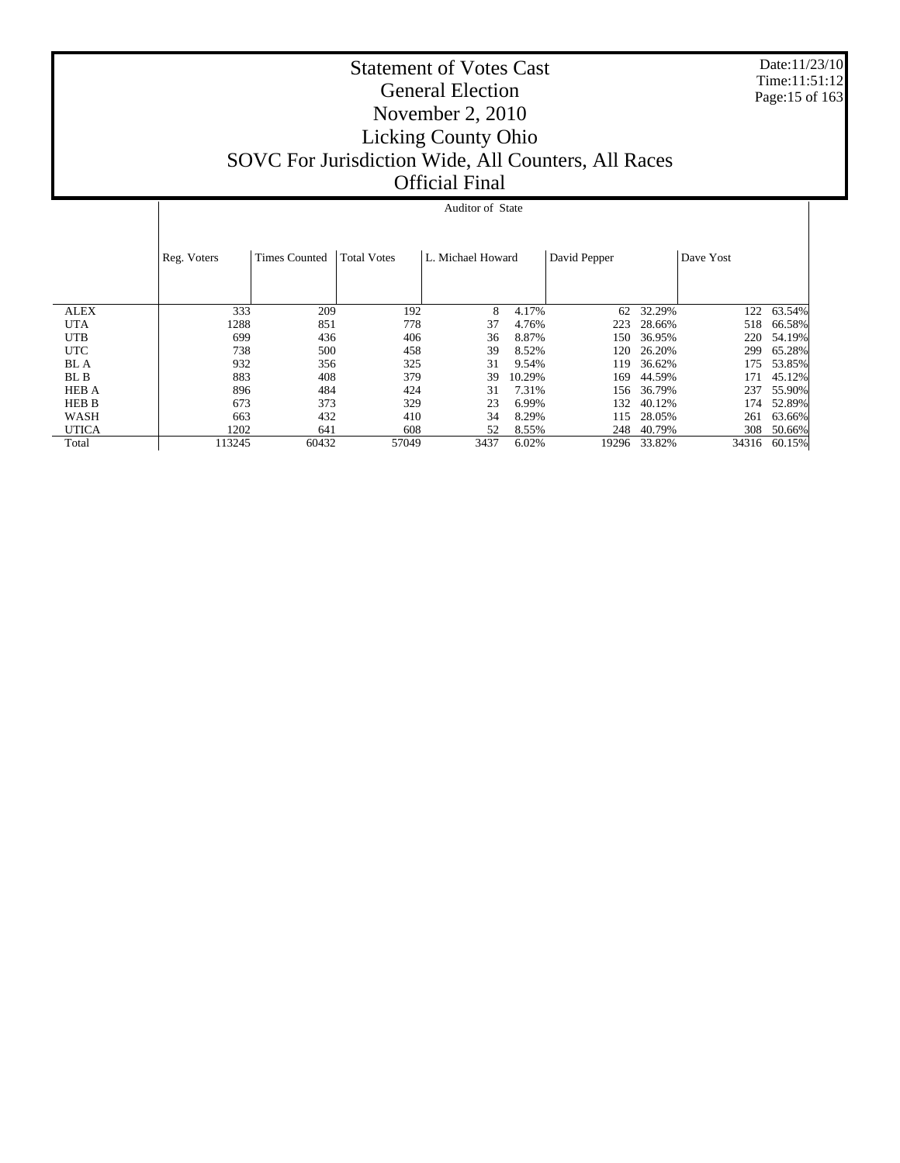Date:11/23/10 Time:11:51:12 Page:15 of 163

# Statement of Votes Cast General Election November 2, 2010 Licking County Ohio SOVC For Jurisdiction Wide, All Counters, All Races Official Final

# Auditor of State

|              | Reg. Voters | <b>Times Counted</b> | <b>Total Votes</b> | L. Michael Howard |        | David Pepper |        | Dave Yost |              |
|--------------|-------------|----------------------|--------------------|-------------------|--------|--------------|--------|-----------|--------------|
| <b>ALEX</b>  | 333         | 209                  | 192                | 8                 | 4.17%  | 62           | 32.29% | 122       | 63.54%       |
| <b>UTA</b>   | 1288        | 851                  | 778                | 37                | 4.76%  | 223          | 28.66% | 518       | 66.58%       |
| <b>UTB</b>   | 699         | 436                  | 406                | 36                | 8.87%  | 150          | 36.95% | 220       | 54.19%       |
| <b>UTC</b>   | 738         | 500                  | 458                | 39                | 8.52%  | 120          | 26.20% | 299       | 65.28%       |
| <b>BL</b> A  | 932         | 356                  | 325                | 31                | 9.54%  | 119          | 36.62% | 175       | 53.85%       |
| BL B         | 883         | 408                  | 379                | 39                | 10.29% | 169          | 44.59% | 171       | 45.12%       |
| <b>HEB A</b> | 896         | 484                  | 424                | 31                | 7.31%  | 156          | 36.79% | 237       | 55.90%       |
| HEB B        | 673         | 373                  | 329                | 23                | 6.99%  | 132          | 40.12% | 174       | 52.89%       |
| WASH         | 663         | 432                  | 410                | 34                | 8.29%  | 115          | 28.05% | 261       | 63.66%       |
| <b>UTICA</b> | 1202        | 641                  | 608                | 52                | 8.55%  | 248          | 40.79% | 308       | 50.66%       |
| Total        | 13245       | 60432                | 57049              | 3437              | 6.02%  | 19296        | 33.82% |           | 34316 60.15% |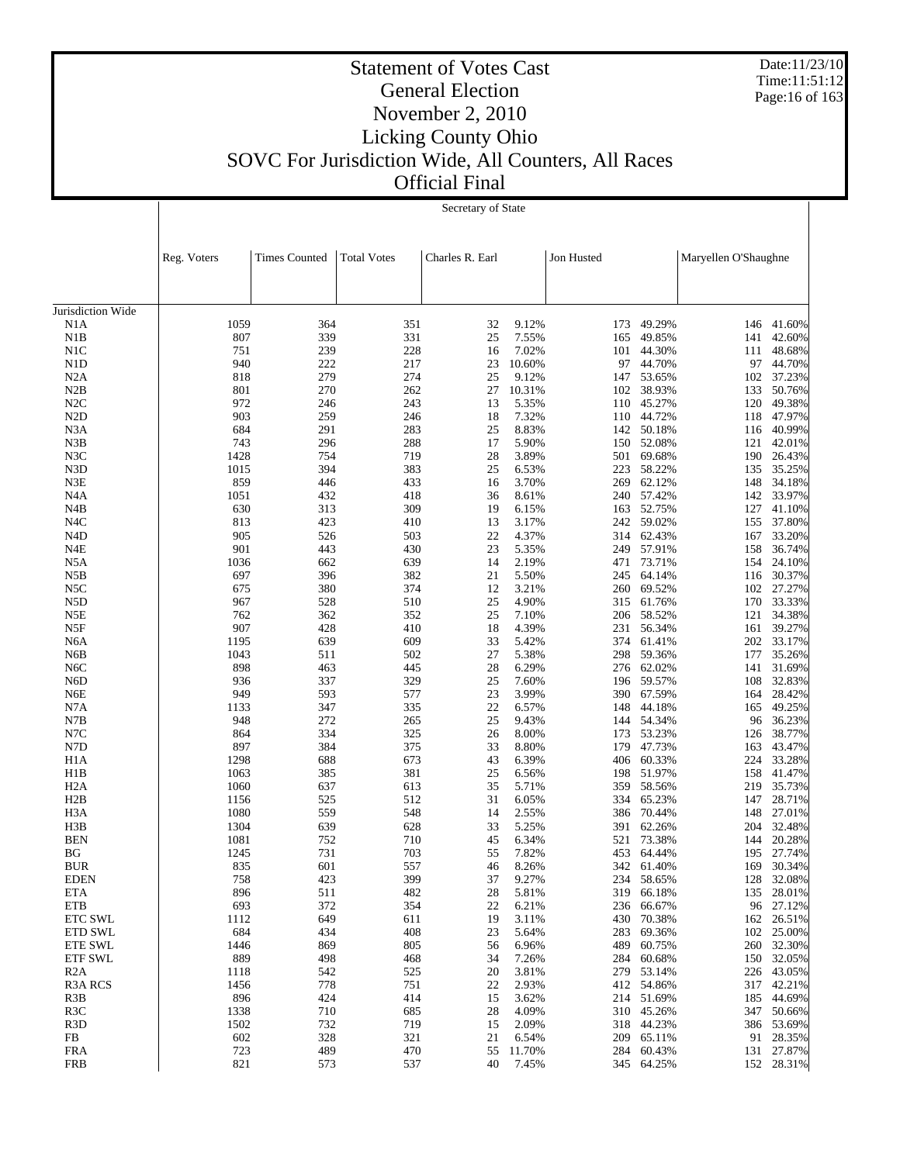Date:11/23/10 Time:11:51:12 Page:16 of 163

# Statement of Votes Cast General Election November 2, 2010 Licking County Ohio SOVC For Jurisdiction Wide, All Counters, All Races

Official Final

|                                      |              | Secretary of State   |                    |                 |                |            |                      |                      |                  |
|--------------------------------------|--------------|----------------------|--------------------|-----------------|----------------|------------|----------------------|----------------------|------------------|
|                                      |              |                      |                    |                 |                |            |                      |                      |                  |
|                                      |              |                      |                    |                 |                |            |                      |                      |                  |
|                                      | Reg. Voters  | <b>Times Counted</b> | <b>Total Votes</b> | Charles R. Earl |                | Jon Husted |                      | Maryellen O'Shaughne |                  |
|                                      |              |                      |                    |                 |                |            |                      |                      |                  |
|                                      |              |                      |                    |                 |                |            |                      |                      |                  |
| Jurisdiction Wide                    |              |                      |                    |                 |                |            |                      |                      |                  |
| N1A<br>N1B                           | 1059<br>807  | 364<br>339           | 351<br>331         | 32<br>25        | 9.12%<br>7.55% | 173<br>165 | 49.29%<br>49.85%     | 146<br>141           | 41.60%<br>42.60% |
| N1C                                  | 751          | 239                  | 228                | 16              | 7.02%          | 101        | 44.30%               | 111                  | 48.68%           |
| N1D                                  | 940          | 222                  | 217                | 23              | 10.60%         | 97         | 44.70%               | 97                   | 44.70%           |
| N2A                                  | 818          | 279                  | 274                | 25              | 9.12%          | 147        | 53.65%               | 102                  | 37.23%           |
| N2B                                  | 801          | 270                  | 262                | 27              | 10.31%         | 102        | 38.93%               | 133                  | 50.76%           |
| N2C<br>N <sub>2</sub> D              | 972          | 246<br>259           | 243                | 13              | 5.35%<br>7.32% | 110        | 45.27%<br>44.72%     | 120                  | 49.38%<br>47.97% |
| N3A                                  | 903<br>684   | 291                  | 246<br>283         | 18<br>25        | 8.83%          | 110<br>142 | 50.18%               | 118<br>116           | 40.99%           |
| N3B                                  | 743          | 296                  | 288                | 17              | 5.90%          | 150        | 52.08%               | 121                  | 42.01%           |
| N3C                                  | 1428         | 754                  | 719                | 28              | 3.89%          | 501        | 69.68%               | 190                  | 26.43%           |
| N3D                                  | 1015         | 394                  | 383                | 25              | 6.53%          | 223        | 58.22%               | 135                  | 35.25%           |
| N3E                                  | 859          | 446                  | 433                | 16              | 3.70%          | 269        | 62.12%               | 148                  | 34.18%           |
| N <sub>4</sub> A                     | 1051         | 432                  | 418                | 36              | 8.61%          | 240        | 57.42%               | 142                  | 33.97%           |
| N4B                                  | 630          | 313                  | 309                | 19              | 6.15%          | 163        | 52.75%               | 127                  | 41.10%           |
| N <sub>4</sub> C                     | 813          | 423                  | 410<br>503         | 13<br>22        | 3.17%<br>4.37% | 242<br>314 | 59.02%               | 155                  | 37.80%           |
| N <sub>4</sub> D<br>N <sub>4</sub> E | 905<br>901   | 526<br>443           | 430                | 23              | 5.35%          | 249        | 62.43%<br>57.91%     | 167<br>158           | 33.20%<br>36.74% |
| N5A                                  | 1036         | 662                  | 639                | 14              | 2.19%          | 471        | 73.71%               | 154                  | 24.10%           |
| N5B                                  | 697          | 396                  | 382                | 21              | 5.50%          | 245        | 64.14%               | 116                  | 30.37%           |
| N5C                                  | 675          | 380                  | 374                | 12              | 3.21%          | 260        | 69.52%               |                      | 102 27.27%       |
| N <sub>5</sub> D                     | 967          | 528                  | 510                | 25              | 4.90%          | 315        | 61.76%               | 170                  | 33.33%           |
| N5E                                  | 762          | 362                  | 352                | 25              | 7.10%          | 206        | 58.52%               | 121                  | 34.38%           |
| N5F                                  | 907          | 428                  | 410                | 18              | 4.39%          | 231        | 56.34%               | 161                  | 39.27%           |
| N <sub>6</sub> A                     | 1195         | 639                  | 609                | 33              | 5.42%          | 374        | 61.41%               |                      | 202 33.17%       |
| N6B<br>N <sub>6</sub> C              | 1043<br>898  | 511<br>463           | 502<br>445         | 27<br>28        | 5.38%<br>6.29% | 298<br>276 | 59.36%<br>62.02%     | 177<br>141           | 35.26%<br>31.69% |
| N <sub>6</sub> D                     | 936          | 337                  | 329                | 25              | 7.60%          | 196        | 59.57%               | 108                  | 32.83%           |
| N6E                                  | 949          | 593                  | 577                | 23              | 3.99%          | 390        | 67.59%               | 164                  | 28.42%           |
| N7A                                  | 1133         | 347                  | 335                | 22              | 6.57%          | 148        | 44.18%               | 165                  | 49.25%           |
| N7B                                  | 948          | 272                  | 265                | 25              | 9.43%          | 144        | 54.34%               | 96                   | 36.23%           |
| N7C                                  | 864          | 334                  | 325                | 26              | 8.00%          | 173        | 53.23%               | 126                  | 38.77%           |
| N7D                                  | 897          | 384                  | 375                | 33              | 8.80%          | 179        | 47.73%               | 163                  | 43.47%           |
| H <sub>1</sub> A<br>H1B              | 1298<br>1063 | 688<br>385           | 673<br>381         | 43<br>25        | 6.39%<br>6.56% | 406<br>198 | 60.33%<br>51.97%     | 224<br>158           | 33.28%<br>41.47% |
| H <sub>2</sub> A                     | 1060         | 637                  | 613                | 35              | 5.71%          | 359        | 58.56%               | 219                  | 35.73%           |
| H2B                                  | 1156         | 525                  | 512                | 31              | 6.05%          | 334        | 65.23%               | 147                  | 28.71%           |
| H <sub>3</sub> A                     | 1080         | 559                  | 548                | 14              | 2.55%          | 386        | 70.44%               | 148                  | 27.01%           |
| H3B                                  | 1304         | 639                  | 628                | 33              | 5.25%          | 391        | 62.26%               | 204                  | 32.48%           |
| <b>BEN</b>                           | 1081         | 752                  | 710                | 45              | 6.34%          | 521        | 73.38%               | 144                  | 20.28%           |
| BG                                   | 1245         | 731                  | 703                | 55              | 7.82%          |            | 453 64.44%           |                      | 195 27.74%       |
| <b>BUR</b>                           | 835          | 601                  | 557                | 46              | 8.26%          | 342        | 61.40%               | 169                  | 30.34%           |
| <b>EDEN</b><br>ETA                   | 758<br>896   | 423<br>511           | 399<br>482         | 37<br>28        | 9.27%<br>5.81% | 234<br>319 | 58.65%<br>66.18%     | 128<br>135           | 32.08%<br>28.01% |
| <b>ETB</b>                           | 693          | 372                  | 354                | 22              | 6.21%          | 236        | 66.67%               | 96                   | 27.12%           |
| ETC SWL                              | 1112         | 649                  | 611                | 19              | 3.11%          | 430        | 70.38%               | 162                  | 26.51%           |
| ETD SWL                              | 684          | 434                  | 408                | 23              | 5.64%          | 283        | 69.36%               | 102                  | 25.00%           |
| <b>ETE SWL</b>                       | 1446         | 869                  | 805                | 56              | 6.96%          | 489        | 60.75%               | 260                  | 32.30%           |
| <b>ETF SWL</b>                       | 889          | 498                  | 468                | 34              | 7.26%          | 284        | 60.68%               | 150                  | 32.05%           |
| R2A                                  | 1118         | 542                  | 525                | 20              | 3.81%          | 279        | 53.14%               | 226                  | 43.05%           |
| <b>R3A RCS</b>                       | 1456         | 778                  | 751                | 22              | 2.93%          |            | 412 54.86%           |                      | 317 42.21%       |
| R <sub>3</sub> B<br>R <sub>3</sub> C | 896<br>1338  | 424<br>710           | 414<br>685         | 15<br>28        | 3.62%<br>4.09% | 214        | 51.69%<br>310 45.26% | 185<br>347           | 44.69%<br>50.66% |
| R <sub>3</sub> D                     | 1502         | 732                  | 719                | 15              | 2.09%          | 318        | 44.23%               | 386                  | 53.69%           |
| FB                                   | 602          | 328                  | 321                | 21              | 6.54%          | 209        | 65.11%               |                      | 91 28.35%        |
| <b>FRA</b>                           | 723          | 489                  | 470                | 55              | 11.70%         | 284        | 60.43%               |                      | 131 27.87%       |
| <b>FRB</b>                           | 821          | 573                  | 537                | 40              | 7.45%          |            | 345 64.25%           |                      | 152 28.31%       |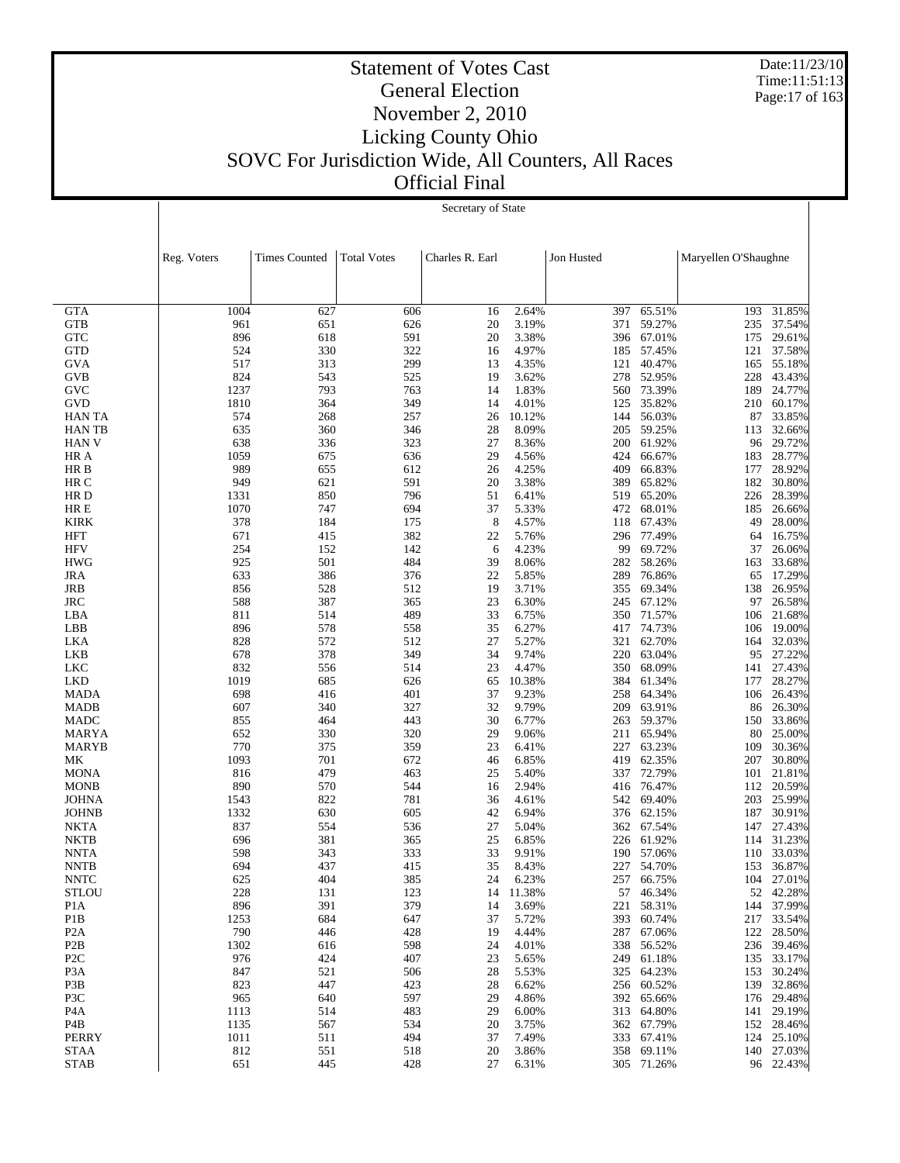Date:11/23/10 Time:11:51:13 Page:17 of 163

# Statement of Votes Cast General Election November 2, 2010 Licking County Ohio SOVC For Jurisdiction Wide, All Counters, All Races Official Final

Secretary of State

|                            | Reg. Voters | <b>Times Counted</b> | <b>Total Votes</b> | Charles R. Earl |                | Jon Husted |                          | Maryellen O'Shaughne |                          |
|----------------------------|-------------|----------------------|--------------------|-----------------|----------------|------------|--------------------------|----------------------|--------------------------|
|                            |             |                      |                    |                 |                |            |                          |                      |                          |
|                            |             |                      |                    |                 |                |            |                          |                      |                          |
| <b>GTA</b>                 | 1004        | 627                  | 606                | 16              | 2.64%          | 397        | 65.51%                   |                      | 193 31.85%               |
| <b>GTB</b><br><b>GTC</b>   | 961<br>896  | 651<br>618           | 626<br>591         | 20<br>20        | 3.19%<br>3.38% | 371<br>396 | 59.27%<br>67.01%         | 235<br>175           | 37.54%<br>29.61%         |
| <b>GTD</b>                 | 524         | 330                  | 322                | 16              | 4.97%          | 185        | 57.45%                   | 121                  | 37.58%                   |
| GVA                        | 517         | 313                  | 299                | 13              | 4.35%          | 121        | 40.47%                   | 165                  | 55.18%                   |
| <b>GVB</b>                 | 824         | 543                  | 525                | 19              | 3.62%          | 278        | 52.95%                   | 228                  | 43.43%                   |
| <b>GVC</b>                 | 1237        | 793                  | 763                | 14              | 1.83%          | 560        | 73.39%                   | 189                  | 24.77%                   |
| <b>GVD</b>                 | 1810        | 364                  | 349                | 14              | 4.01%          | 125        | 35.82%                   | 210                  | 60.17%                   |
| <b>HAN TA</b>              | 574         | 268                  | 257                | 26              | 10.12%         | 144        | 56.03%                   | 87                   | 33.85%                   |
| <b>HANTB</b>               | 635         | 360                  | 346                | 28              | 8.09%          | 205        | 59.25%                   | 113                  | 32.66%                   |
| <b>HAN V</b><br>HR A       | 638<br>1059 | 336<br>675           | 323<br>636         | 27<br>29        | 8.36%<br>4.56% | 200<br>424 | 61.92%<br>66.67%         | 96<br>183            | 29.72%<br>28.77%         |
| HR B                       | 989         | 655                  | 612                | 26              | 4.25%          | 409        | 66.83%                   | 177                  | 28.92%                   |
| HR C                       | 949         | 621                  | 591                | 20              | 3.38%          | 389        | 65.82%                   | 182                  | 30.80%                   |
| HR D                       | 1331        | 850                  | 796                | 51              | 6.41%          | 519        | 65.20%                   | 226                  | 28.39%                   |
| HR E                       | 1070        | 747                  | 694                | 37              | 5.33%          | 472        | 68.01%                   | 185                  | 26.66%                   |
| <b>KIRK</b>                | 378         | 184                  | 175                | 8               | 4.57%          | 118        | 67.43%                   | 49                   | 28.00%                   |
| <b>HFT</b>                 | 671         | 415                  | 382                | 22              | 5.76%          | 296        | 77.49%                   | 64                   | 16.75%                   |
| <b>HFV</b>                 | 254         | 152                  | 142                | 6               | 4.23%          | 99         | 69.72%                   | 37                   | 26.06%                   |
| <b>HWG</b>                 | 925         | 501                  | 484                | 39              | 8.06%          | 282        | 58.26%                   | 163                  | 33.68%                   |
| <b>JRA</b><br>JRB          | 633         | 386                  | 376<br>512         | 22<br>19        | 5.85%<br>3.71% | 289<br>355 | 76.86%<br>69.34%         | 65                   | 17.29%<br>26.95%         |
| <b>JRC</b>                 | 856<br>588  | 528<br>387           | 365                | 23              | 6.30%          | 245        | 67.12%                   | 138<br>97            | 26.58%                   |
| LBA                        | 811         | 514                  | 489                | 33              | 6.75%          | 350        | 71.57%                   | 106                  | 21.68%                   |
| LBB                        | 896         | 578                  | 558                | 35              | 6.27%          | 417        | 74.73%                   | 106                  | 19.00%                   |
| LKA                        | 828         | 572                  | 512                | 27              | 5.27%          | 321        | 62.70%                   | 164                  | 32.03%                   |
| LKB                        | 678         | 378                  | 349                | 34              | 9.74%          | 220        | 63.04%                   | 95                   | 27.22%                   |
| LKC                        | 832         | 556                  | 514                | 23              | 4.47%          | 350        | 68.09%                   |                      | 141 27.43%               |
| LKD                        | 1019        | 685                  | 626                | 65              | 10.38%         | 384        | 61.34%                   | 177                  | 28.27%                   |
| <b>MADA</b>                | 698         | 416                  | 401                | 37              | 9.23%          | 258        | 64.34%                   | 106                  | 26.43%                   |
| <b>MADB</b><br><b>MADC</b> | 607<br>855  | 340<br>464           | 327<br>443         | 32<br>30        | 9.79%<br>6.77% | 209<br>263 | 63.91%<br>59.37%         | 86<br>150            | 26.30%<br>33.86%         |
| MARYA                      | 652         | 330                  | 320                | 29              | 9.06%          | 211        | 65.94%                   | 80                   | 25.00%                   |
| <b>MARYB</b>               | 770         | 375                  | 359                | 23              | 6.41%          | 227        | 63.23%                   | 109                  | 30.36%                   |
| МK                         | 1093        | 701                  | 672                | 46              | 6.85%          | 419        | 62.35%                   | 207                  | 30.80%                   |
| <b>MONA</b>                | 816         | 479                  | 463                | 25              | 5.40%          | 337        | 72.79%                   | 101                  | 21.81%                   |
| <b>MONB</b>                | 890         | 570                  | 544                | 16              | 2.94%          | 416        | 76.47%                   | 112                  | 20.59%                   |
| <b>JOHNA</b>               | 1543        | 822                  | 781                | 36              | 4.61%          | 542        | 69.40%                   | 203                  | 25.99%                   |
| <b>JOHNB</b>               | 1332        | 630                  | 605                | 42              | 6.94%          | 376        | 62.15%                   | 187                  | 30.91%                   |
| <b>NKTA</b>                | 837         | 554                  | 536                | 27              | 5.04%          | 362        | 67.54%                   | 147                  | 27.43%                   |
| <b>NKTB</b><br><b>NNTA</b> | 696<br>598  | 381<br>343           | 365<br>333         | 25<br>33        | 6.85%<br>9.91% | 226<br>190 | 61.92%<br>57.06%         | 114<br>110           | 31.23%<br>33.03%         |
| <b>NNTB</b>                | 694         | 437                  | 415                | 35              | 8.43%          | 227        | 54.70%                   | 153                  | 36.87%                   |
| <b>NNTC</b>                | 625         | 404                  | 385                | 24              | 6.23%          |            | 257 66.75%               |                      | 104 27.01%               |
| STLOU                      | 228         | 131                  | 123                |                 | 14 11.38%      |            | 57 46.34%                |                      | 52 42.28%                |
| P <sub>1</sub> A           | 896         | 391                  | 379                | 14              | 3.69%          |            | 221 58.31%               |                      | 144 37.99%               |
| P1B                        | 1253        | 684                  | 647                | 37              | 5.72%          |            | 393 60.74%               |                      | 217 33.54%               |
| P <sub>2</sub> A           | 790         | 446                  | 428                | 19              | 4.44%          |            | 287 67.06%               |                      | 122 28.50%               |
| P <sub>2</sub> B           | 1302        | 616                  | 598                | 24              | 4.01%          |            | 338 56.52%               |                      | 236 39.46%               |
| P <sub>2</sub> C           | 976         | 424                  | 407                | 23              | 5.65%          | 249        | 61.18%                   |                      | 135 33.17%               |
| P <sub>3</sub> A<br>P3B    | 847<br>823  | 521<br>447           | 506<br>423         | 28<br>28        | 5.53%<br>6.62% |            | 325 64.23%<br>256 60.52% |                      | 153 30.24%<br>139 32.86% |
| P3C                        | 965         | 640                  | 597                | 29              | 4.86%          |            | 392 65.66%               |                      | 176 29.48%               |
| P4A                        | 1113        | 514                  | 483                | 29              | 6.00%          |            | 313 64.80%               |                      | 141 29.19%               |
| P4B                        | 1135        | 567                  | 534                | 20              | 3.75%          |            | 362 67.79%               |                      | 152 28.46%               |
| PERRY                      | 1011        | 511                  | 494                | 37              | 7.49%          |            | 333 67.41%               |                      | 124 25.10%               |
| <b>STAA</b>                | 812         | 551                  | 518                | 20              | 3.86%          |            | 358 69.11%               |                      | 140 27.03%               |
| <b>STAB</b>                | 651         | 445                  | 428                | 27              | 6.31%          |            | 305 71.26%               |                      | 96 22.43%                |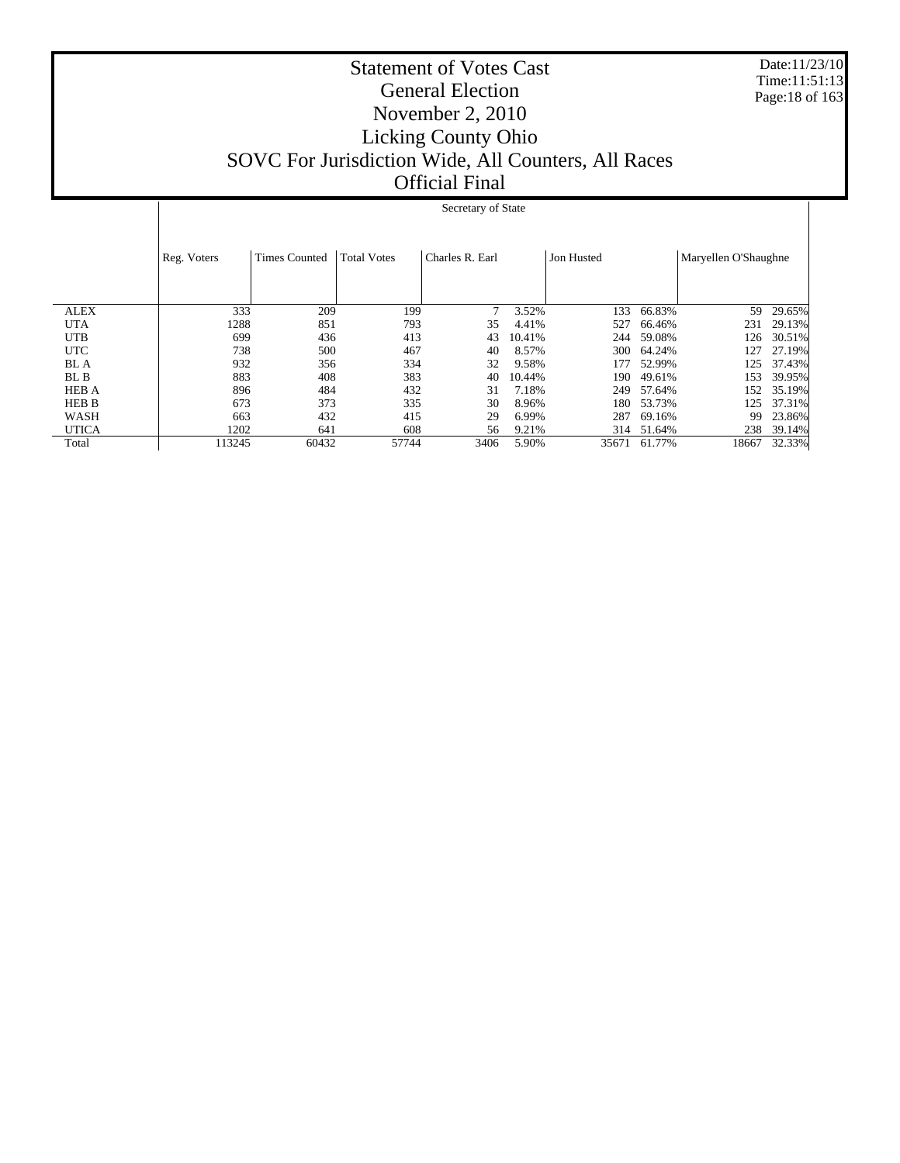Date:11/23/10 Time:11:51:13 Page:18 of 163

# Statement of Votes Cast General Election November 2, 2010 Licking County Ohio SOVC For Jurisdiction Wide, All Counters, All Races Official Final

## Secretary of State

|              | Reg. Voters | <b>Times Counted</b> | <b>Total Votes</b> | Charles R. Earl |        | Jon Husted |        | Maryellen O'Shaughne |        |
|--------------|-------------|----------------------|--------------------|-----------------|--------|------------|--------|----------------------|--------|
|              |             |                      |                    |                 |        |            |        |                      |        |
|              |             |                      |                    |                 |        |            |        |                      |        |
| <b>ALEX</b>  | 333         | 209                  | 199                |                 | 3.52%  | 133        | 66.83% | 59                   | 29.65% |
| <b>UTA</b>   | 1288        | 851                  | 793                | 35              | 4.41%  | 527        | 66.46% | 231                  | 29.13% |
| <b>UTB</b>   | 699         | 436                  | 413                | 43              | 10.41% | 244        | 59.08% | 126                  | 30.51% |
| <b>UTC</b>   | 738         | 500                  | 467                | 40              | 8.57%  | 300        | 64.24% | 127                  | 27.19% |
| BL A         | 932         | 356                  | 334                | 32              | 9.58%  | 177        | 52.99% | 125                  | 37.43% |
| BL B         | 883         | 408                  | 383                | 40              | 10.44% | 190        | 49.61% | 153                  | 39.95% |
| <b>HEB A</b> | 896         | 484                  | 432                | 31              | 7.18%  | 249        | 57.64% | 152                  | 35.19% |
| <b>HEB B</b> | 673         | 373                  | 335                | 30              | 8.96%  | 180        | 53.73% | 125                  | 37.31% |
| WASH         | 663         | 432                  | 415                | 29              | 6.99%  | 287        | 69.16% | 99                   | 23.86% |
| <b>UTICA</b> | 1202        | 641                  | 608                | 56              | 9.21%  | 314        | 51.64% | 238                  | 39.14% |
| Total        | 113245      | 60432                | 57744              | 3406            | 5.90%  | 35671      | 61.77% | 18667                | 32.33% |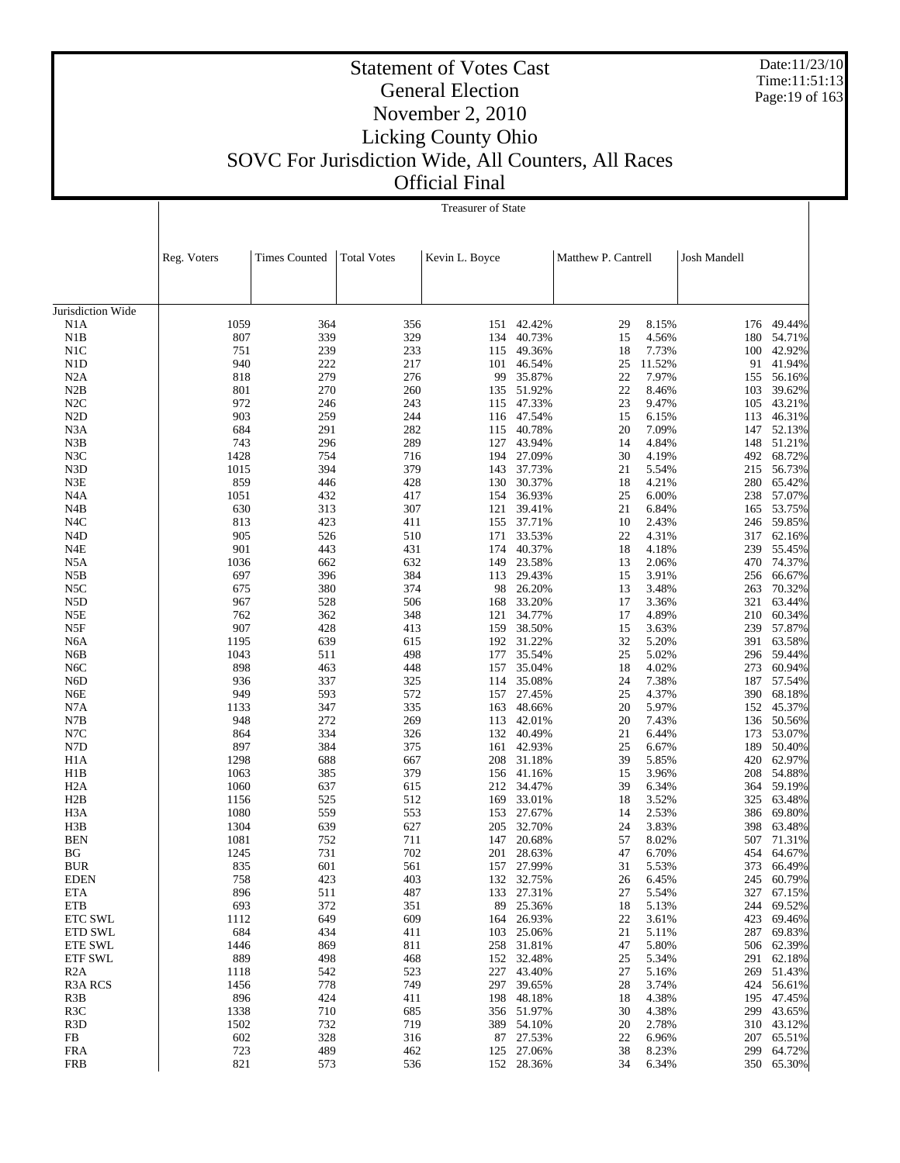Date:11/23/10 Time:11:51:13 Page:19 of 163

# Statement of Votes Cast General Election November 2, 2010 Licking County Ohio SOVC For Jurisdiction Wide, All Counters, All Races

Official Final

|                                     |              | <b>Treasurer of State</b> |                    |                |                          |                     |                |              |                  |  |
|-------------------------------------|--------------|---------------------------|--------------------|----------------|--------------------------|---------------------|----------------|--------------|------------------|--|
|                                     |              |                           |                    |                |                          |                     |                |              |                  |  |
|                                     | Reg. Voters  | <b>Times Counted</b>      | <b>Total Votes</b> | Kevin L. Boyce |                          | Matthew P. Cantrell |                | Josh Mandell |                  |  |
| Jurisdiction Wide                   |              |                           |                    |                |                          |                     |                |              |                  |  |
| N1A                                 | 1059         | 364                       | 356                |                | 151 42.42%               | 29                  | 8.15%          | 176          | 49.44%           |  |
| N1B                                 | 807          | 339                       | 329                | 134            | 40.73%                   | 15                  | 4.56%          | 180          | 54.71%           |  |
| N1C                                 | 751          | 239                       | 233                | 115            | 49.36%                   | 18                  | 7.73%          |              | 100 42.92%       |  |
| N1D                                 | 940          | 222                       | 217                | 101            | 46.54%                   | 25                  | 11.52%         | 91           | 41.94%           |  |
| N2A                                 | 818          | 279                       | 276                | 99             | 35.87%                   | 22                  | 7.97%          |              | 155 56.16%       |  |
| N2B<br>N2C                          | 801<br>972   | 270<br>246                | 260<br>243         |                | 135 51.92%<br>115 47.33% | 22<br>23            | 8.46%<br>9.47% | 103<br>105   | 39.62%<br>43.21% |  |
| N <sub>2</sub> D                    | 903          | 259                       | 244                | 116            | 47.54%                   | 15                  | 6.15%          | 113          | 46.31%           |  |
| N3A                                 | 684          | 291                       | 282                | 115            | 40.78%                   | 20                  | 7.09%          |              | 147 52.13%       |  |
| N3B                                 | 743          | 296                       | 289                | 127            | 43.94%                   | 14                  | 4.84%          | 148          | 51.21%           |  |
| N3C                                 | 1428         | 754                       | 716                |                | 194 27.09%               | 30                  | 4.19%          |              | 492 68.72%       |  |
| N3D                                 | 1015         | 394                       | 379                | 143            | 37.73%                   | 21                  | 5.54%          | 215          | 56.73%           |  |
| N3E                                 | 859          | 446                       | 428                |                | 130 30.37%               | 18                  | 4.21%          | 280          | 65.42%           |  |
| N <sub>4</sub> A                    | 1051         | 432                       | 417                | 154            | 36.93%                   | 25                  | 6.00%          | 238          | 57.07%           |  |
| N <sub>4</sub> B                    | 630          | 313                       | 307                | 121            | 39.41%                   | 21                  | 6.84%          | 165          | 53.75%           |  |
| N <sub>4</sub> C                    | 813<br>905   | 423                       | 411<br>510         | 155            | 37.71%<br>171 33.53%     | 10<br>22            | 2.43%<br>4.31% | 246          | 59.85%<br>62.16% |  |
| N <sub>4</sub> D<br>N <sub>4E</sub> | 901          | 526<br>443                | 431                | 174            | 40.37%                   | 18                  | 4.18%          | 317<br>239   | 55.45%           |  |
| N5A                                 | 1036         | 662                       | 632                | 149            | 23.58%                   | 13                  | 2.06%          |              | 470 74.37%       |  |
| N5B                                 | 697          | 396                       | 384                | 113            | 29.43%                   | 15                  | 3.91%          | 256          | 66.67%           |  |
| N5C                                 | 675          | 380                       | 374                |                | 98 26.20%                | 13                  | 3.48%          | 263          | 70.32%           |  |
| N <sub>5</sub> D                    | 967          | 528                       | 506                | 168            | 33.20%                   | 17                  | 3.36%          | 321          | 63.44%           |  |
| N5E                                 | 762          | 362                       | 348                | 121            | 34.77%                   | 17                  | 4.89%          | 210          | 60.34%           |  |
| N5F                                 | 907          | 428                       | 413                | 159            | 38.50%                   | 15                  | 3.63%          | 239          | 57.87%           |  |
| N <sub>6</sub> A                    | 1195         | 639                       | 615                |                | 192 31.22%               | 32                  | 5.20%          | 391          | 63.58%           |  |
| N <sub>6</sub> B                    | 1043         | 511                       | 498                | 177            | 35.54%                   | 25                  | 5.02%          | 296          | 59.44%           |  |
| N <sub>6</sub> C                    | 898          | 463                       | 448                |                | 157 35.04%               | 18                  | 4.02%          | 273          | 60.94%           |  |
| N <sub>6</sub> D<br>N6E             | 936<br>949   | 337<br>593                | 325<br>572         |                | 114 35.08%<br>157 27.45% | 24<br>25            | 7.38%<br>4.37% | 187<br>390   | 57.54%<br>68.18% |  |
| N7A                                 | 1133         | 347                       | 335                | 163            | 48.66%                   | 20                  | 5.97%          | 152          | 45.37%           |  |
| N7B                                 | 948          | 272                       | 269                | 113            | 42.01%                   | 20                  | 7.43%          | 136          | 50.56%           |  |
| N7C                                 | 864          | 334                       | 326                |                | 132 40.49%               | 21                  | 6.44%          | 173          | 53.07%           |  |
| N7D                                 | 897          | 384                       | 375                |                | 161 42.93%               | 25                  | 6.67%          | 189          | 50.40%           |  |
| H <sub>1</sub> A                    | 1298         | 688                       | 667                |                | 208 31.18%               | 39                  | 5.85%          | 420          | 62.97%           |  |
| H1B                                 | 1063         | 385                       | 379                |                | 156 41.16%               | 15                  | 3.96%          | 208          | 54.88%           |  |
| H <sub>2</sub> A                    | 1060         | 637                       | 615                |                | 212 34.47%               | 39                  | 6.34%          | 364          | 59.19%           |  |
| H2B                                 | 1156         | 525                       | 512                | 169            | 33.01%                   | 18                  | 3.52%          | 325          | 63.48%           |  |
| H <sub>3</sub> A<br>H3B             | 1080<br>1304 | 559<br>639                | 553<br>627         | 153<br>205     | 27.67%<br>32.70%         | 14<br>24            | 2.53%<br>3.83% | 386<br>398   | 69.80%<br>63.48% |  |
| <b>BEN</b>                          | 1081         | 752                       | 711                | 147            | 20.68%                   | 57                  | 8.02%          |              | 507 71.31%       |  |
| BG                                  | 1245         | 731                       | 702                |                | 201 28.63%               | 47                  | 6.70%          |              | 454 64.67%       |  |
| <b>BUR</b>                          | 835          | 601                       | 561                |                | 157 27.99%               | 31                  | 5.53%          | 373          | 66.49%           |  |
| <b>EDEN</b>                         | 758          | 423                       | 403                |                | 132 32.75%               | 26                  | 6.45%          | 245          | 60.79%           |  |
| <b>ETA</b>                          | 896          | 511                       | 487                | 133            | 27.31%                   | 27                  | 5.54%          | 327          | 67.15%           |  |
| ETB                                 | 693          | 372                       | 351                |                | 89 25.36%                | 18                  | 5.13%          | 244          | 69.52%           |  |
| <b>ETC SWL</b>                      | 1112         | 649                       | 609                |                | 164 26.93%               | 22                  | 3.61%          | 423          | 69.46%           |  |
| <b>ETD SWL</b>                      | 684          | 434                       | 411                |                | 103 25.06%               | 21                  | 5.11%          | 287          | 69.83%           |  |
| <b>ETE SWL</b>                      | 1446         | 869                       | 811                |                | 258 31.81%               | 47                  | 5.80%          | 506          | 62.39%           |  |
| <b>ETF SWL</b>                      | 889          | 498                       | 468                |                | 152 32.48%               | 25                  | 5.34%          | 291          | 62.18%           |  |
| R2A<br>R3A RCS                      | 1118<br>1456 | 542<br>778                | 523<br>749         | 227            | 43.40%<br>297 39.65%     | 27<br>28            | 5.16%<br>3.74% | 269<br>424   | 51.43%<br>56.61% |  |
| R3B                                 | 896          | 424                       | 411                |                | 198 48.18%               | 18                  | 4.38%          | 195          | 47.45%           |  |
| R <sub>3</sub> C                    | 1338         | 710                       | 685                |                | 356 51.97%               | 30                  | 4.38%          | 299          | 43.65%           |  |
| R <sub>3</sub> D                    | 1502         | 732                       | 719                |                | 389 54.10%               | 20                  | 2.78%          | 310          | 43.12%           |  |
| FB                                  | 602          | 328                       | 316                |                | 87 27.53%                | 22                  | 6.96%          | 207          | 65.51%           |  |
| <b>FRA</b>                          | 723          | 489                       | 462                |                | 125 27.06%               | 38                  | 8.23%          | 299          | 64.72%           |  |
| <b>FRB</b>                          | 821          | 573                       | 536                |                | 152 28.36%               | 34                  | 6.34%          | 350          | 65.30%           |  |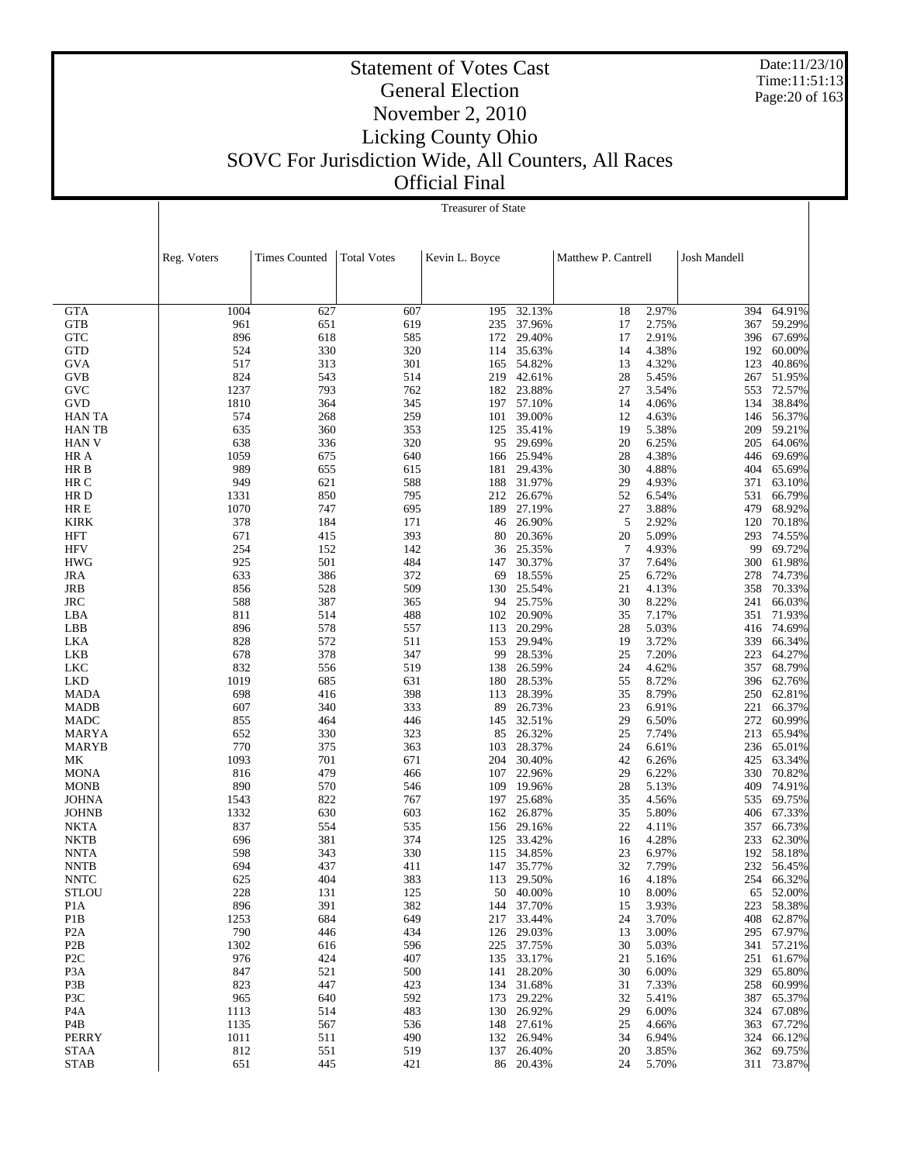Date:11/23/10 Time:11:51:13 Page:20 of 163

# Statement of Votes Cast General Election November 2, 2010 Licking County Ohio SOVC For Jurisdiction Wide, All Counters, All Races Official Final

|                                      | <b>Treasurer of State</b> |                      |                    |                |                  |                            |              |                      |  |
|--------------------------------------|---------------------------|----------------------|--------------------|----------------|------------------|----------------------------|--------------|----------------------|--|
|                                      |                           |                      |                    |                |                  |                            |              |                      |  |
|                                      |                           |                      |                    |                |                  |                            |              |                      |  |
|                                      | Reg. Voters               | <b>Times Counted</b> | <b>Total Votes</b> | Kevin L. Boyce |                  | Matthew P. Cantrell        | Josh Mandell |                      |  |
|                                      |                           |                      |                    |                |                  |                            |              |                      |  |
|                                      |                           |                      |                    |                |                  |                            |              |                      |  |
|                                      |                           |                      |                    |                |                  |                            |              |                      |  |
| <b>GTA</b>                           | 1004                      | 627                  | 607                | 195            | 32.13%           | 2.97%<br>18                | 394          | 64.91%               |  |
| <b>GTB</b>                           | 961                       | 651                  | 619                | 235            | 37.96%           | 2.75%<br>17                | 367          | 59.29%               |  |
| <b>GTC</b>                           | 896                       | 618                  | 585                | 172            | 29.40%           | 17<br>2.91%                |              | 396 67.69%           |  |
| <b>GTD</b>                           | 524                       | 330                  | 320                | 114            | 35.63%           | 4.38%<br>14                | 192          | 60.00%               |  |
| <b>GVA</b>                           | 517                       | 313                  | 301                | 165            | 54.82%           | 4.32%<br>13                | 123          | 40.86%               |  |
| GVB                                  | 824                       | 543                  | 514                |                | 219 42.61%       | 28<br>5.45%                |              | 267 51.95%           |  |
| GVC                                  | 1237                      | 793                  | 762                | 182            | 23.88%           | 3.54%<br>27                | 553          | 72.57%               |  |
| GVD                                  | 1810                      | 364                  | 345                | 101            | 197 57.10%       | 14<br>4.06%<br>4.63%<br>12 | 134          | 38.84%               |  |
| <b>HAN TA</b><br><b>HANTB</b>        | 574<br>635                | 268<br>360           | 259<br>353         | 125            | 39.00%<br>35.41% | 5.38%<br>19                | 146          | 56.37%<br>209 59.21% |  |
| <b>HAN V</b>                         | 638                       | 336                  | 320                | 95             | 29.69%           | 20<br>6.25%                | 205          | 64.06%               |  |
| HR A                                 | 1059                      | 675                  | 640                |                | 166 25.94%       | 4.38%<br>28                | 446          | 69.69%               |  |
| HR B                                 | 989                       | 655                  | 615                | 181            | 29.43%           | 4.88%<br>30                | 404          | 65.69%               |  |
| HR C                                 | 949                       | 621                  | 588                | 188            | 31.97%           | 29<br>4.93%                | 371          | 63.10%               |  |
| HR D                                 | 1331                      | 850                  | 795                | 212            | 26.67%           | 52<br>6.54%                | 531          | 66.79%               |  |
| HR E                                 | 1070                      | 747                  | 695                | 189            | 27.19%           | 3.88%<br>27                | 479          | 68.92%               |  |
| <b>KIRK</b>                          | 378                       | 184                  | 171                | 46             | 26.90%           | 5<br>2.92%                 | 120          | 70.18%               |  |
| HFT                                  | 671                       | 415                  | 393                | 80             | 20.36%           | 5.09%<br>20                | 293          | 74.55%               |  |
| <b>HFV</b>                           | 254                       | 152                  | 142                | 36             | 25.35%           | 4.93%<br>7                 | 99           | 69.72%               |  |
| <b>HWG</b>                           | 925                       | 501                  | 484                | 147            | 30.37%           | 37<br>7.64%                |              | 300 61.98%           |  |
| <b>JRA</b>                           | 633                       | 386                  | 372                | 69             | 18.55%           | 25<br>6.72%                | 278          | 74.73%               |  |
| JRB                                  | 856                       | 528                  | 509                |                | 130 25.54%       | 21<br>4.13%                | 358          | 70.33%               |  |
| <b>JRC</b>                           | 588                       | 387                  | 365                | 94             | 25.75%           | 30<br>8.22%                | 241          | 66.03%               |  |
| LBA                                  | 811                       | 514                  | 488                |                | 102 20.90%       | 35<br>7.17%                | 351          | 71.93%               |  |
| LBB                                  | 896                       | 578                  | 557                | 113            | 20.29%           | 5.03%<br>28                | 416          | 74.69%               |  |
| LKA                                  | 828                       | 572                  | 511                |                | 153 29.94%       | 19<br>3.72%                | 339          | 66.34%               |  |
| LKB                                  | 678                       | 378                  | 347                | 99             | 28.53%           | 25<br>7.20%                | 223          | 64.27%               |  |
| LKC                                  | 832                       | 556                  | 519                |                | 138 26.59%       | 24<br>4.62%<br>8.72%       | 357<br>396   | 68.79%               |  |
| <b>LKD</b><br><b>MADA</b>            | 1019<br>698               | 685<br>416           | 631<br>398         | 180<br>113     | 28.53%<br>28.39% | 55<br>35<br>8.79%          |              | 62.76%<br>250 62.81% |  |
| <b>MADB</b>                          | 607                       | 340                  | 333                | 89             | 26.73%           | 23<br>6.91%                | 221          | 66.37%               |  |
| MADC                                 | 855                       | 464                  | 446                | 145            | 32.51%           | 29<br>6.50%                | 272          | 60.99%               |  |
| <b>MARYA</b>                         | 652                       | 330                  | 323                | 85             | 26.32%           | 25<br>7.74%                | 213          | 65.94%               |  |
| <b>MARYB</b>                         | 770                       | 375                  | 363                | 103            | 28.37%           | 24<br>6.61%                |              | 236 65.01%           |  |
| MK                                   | 1093                      | 701                  | 671                | 204            | 30.40%           | 42<br>6.26%                | 425          | 63.34%               |  |
| <b>MONA</b>                          | 816                       | 479                  | 466                | 107            | 22.96%           | 29<br>6.22%                | 330          | 70.82%               |  |
| <b>MONB</b>                          | 890                       | 570                  | 546                | 109            | 19.96%           | 28<br>5.13%                | 409          | 74.91%               |  |
| <b>JOHNA</b>                         | 1543                      | 822                  | 767                | 197            | 25.68%           | 35<br>4.56%                | 535          | 69.75%               |  |
| <b>JOHNB</b>                         | 1332                      | 630                  | 603                | 162            | 26.87%           | 35<br>5.80%                | 406          | 67.33%               |  |
| <b>NKTA</b>                          | 837                       | 554                  | 535                | 156            | 29.16%           | 22<br>4.11%                | 357          | 66.73%               |  |
| <b>NKTB</b>                          | 696                       | 381                  | 374                | 125            | 33.42%           | 4.28%<br>16                | 233          | 62.30%               |  |
| <b>NNTA</b>                          | 598                       | 343                  | 330                | 115            | 34.85%           | 23<br>6.97%                |              | 192 58.18%           |  |
| <b>NNTB</b>                          | 694                       | 437                  | 411                |                | 147 35.77%       | 32<br>7.79%                |              | 232 56.45%           |  |
| <b>NNTC</b>                          | 625                       | 404                  | 383                | 113            | 29.50%           | 4.18%<br>16                | 254          | 66.32%               |  |
| <b>STLOU</b>                         | 228<br>896                | 131<br>391           | 125<br>382         | 50<br>144      | 40.00%<br>37.70% | 8.00%<br>10<br>3.93%       | 65           | 52.00%<br>58.38%     |  |
| P <sub>1</sub> A<br>P <sub>1</sub> B | 1253                      | 684                  | 649                | 217            | 33.44%           | 15<br>3.70%<br>24          | 223<br>408   | 62.87%               |  |
| P <sub>2</sub> A                     | 790                       | 446                  | 434                |                | 126 29.03%       | 3.00%<br>13                |              | 295 67.97%           |  |
| P <sub>2</sub> B                     | 1302                      | 616                  | 596                | 225            | 37.75%           | 30<br>5.03%                |              | 341 57.21%           |  |
| P <sub>2</sub> C                     | 976                       | 424                  | 407                |                | 135 33.17%       | 21<br>5.16%                |              | 251 61.67%           |  |
| P <sub>3</sub> A                     | 847                       | 521                  | 500                | 141            | 28.20%           | 30<br>6.00%                | 329          | 65.80%               |  |
| P3B                                  | 823                       | 447                  | 423                |                | 134 31.68%       | 31<br>7.33%                |              | 258 60.99%           |  |
| P3C                                  | 965                       | 640                  | 592                | 173            | 29.22%           | 32<br>5.41%                | 387          | 65.37%               |  |
| P <sub>4</sub> A                     | 1113                      | 514                  | 483                |                | 130 26.92%       | 29<br>6.00%                | 324          | 67.08%               |  |
| P4B                                  | 1135                      | 567                  | 536                |                | 148 27.61%       | 25<br>4.66%                | 363          | 67.72%               |  |
| PERRY                                | 1011                      | 511                  | 490                |                | 132 26.94%       | 6.94%<br>34                | 324          | 66.12%               |  |
| <b>STAA</b>                          | 812                       | 551                  | 519                | 137            | 26.40%           | 20<br>3.85%                | 362          | 69.75%               |  |
| <b>STAB</b>                          | 651                       | 445                  | 421                |                | 86 20.43%        | 24<br>5.70%                |              | 311 73.87%           |  |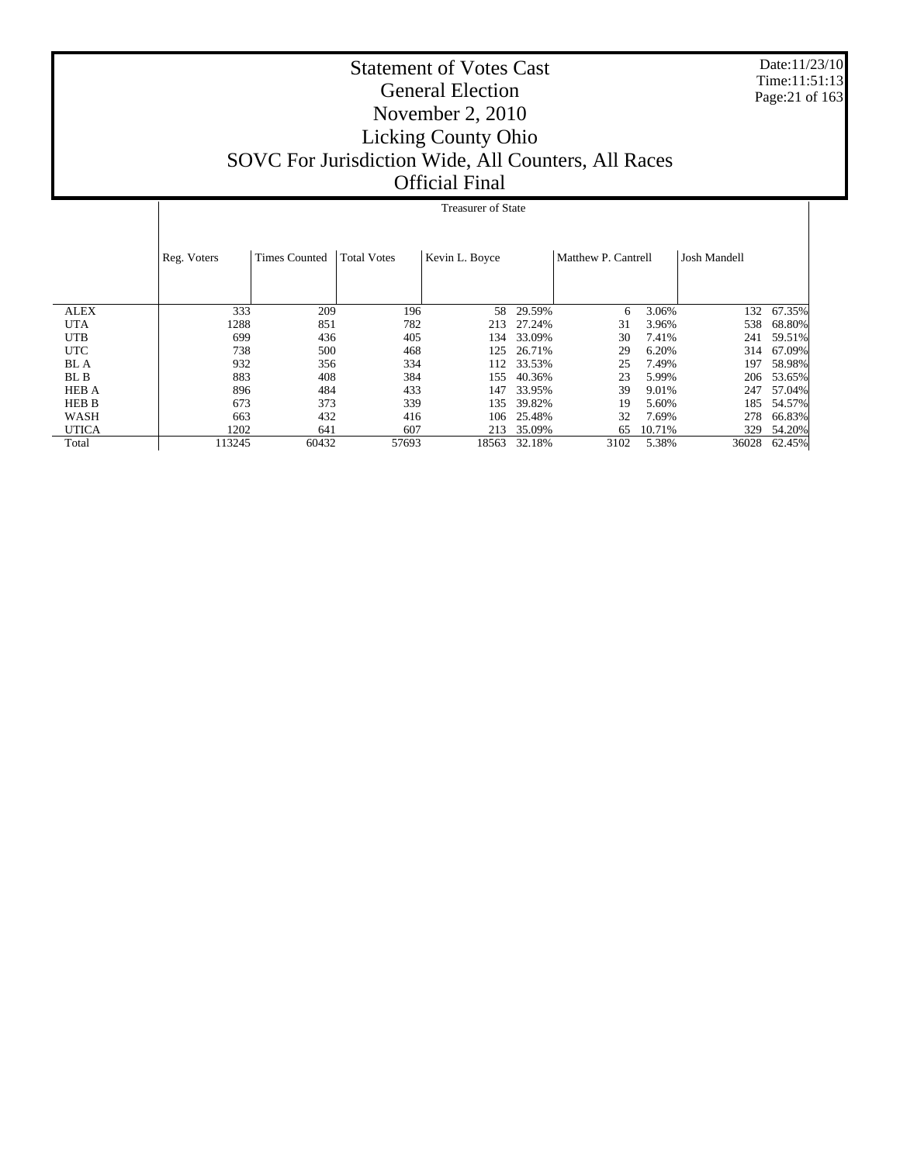Date:11/23/10 Time:11:51:13 Page:21 of 163

# Statement of Votes Cast General Election November 2, 2010 Licking County Ohio SOVC For Jurisdiction Wide, All Counters, All Races Official Final

## Treasurer of State

|              | Reg. Voters | <b>Times Counted</b> | <b>Total Votes</b> | Kevin L. Boyce |        | Matthew P. Cantrell |        | <b>Josh Mandell</b> |        |
|--------------|-------------|----------------------|--------------------|----------------|--------|---------------------|--------|---------------------|--------|
| <b>ALEX</b>  | 333         | 209                  | 196                | 58             | 29.59% | 6                   | 3.06%  | 132                 | 67.35% |
| <b>UTA</b>   | 1288        | 851                  | 782                | 213            | 27.24% | 31                  | 3.96%  | 538                 | 68.80% |
| <b>UTB</b>   | 699         | 436                  | 405                | l 34           | 33.09% | 30                  | 7.41%  | 241                 | 59.51% |
| <b>UTC</b>   | 738         | 500                  | 468                | 125            | 26.71% | 29                  | 6.20%  | 314                 | 67.09% |
| <b>BL</b> A  | 932         | 356                  | 334                | 112            | 33.53% | 25                  | 7.49%  | 197                 | 58.98% |
| BL B         | 883         | 408                  | 384                | 155            | 40.36% | 23                  | 5.99%  | 206                 | 53.65% |
| <b>HEB A</b> | 896         | 484                  | 433                | 147            | 33.95% | 39                  | 9.01%  | 247                 | 57.04% |
| <b>HEB B</b> | 673         | 373                  | 339                | 135            | 39.82% | 19                  | 5.60%  | 185                 | 54.57% |
| WASH         | 663         | 432                  | 416                | 106            | 25.48% | 32                  | 7.69%  | 278                 | 66.83% |
| <b>UTICA</b> | 1202        | 641                  | 607                | 213            | 35.09% | 65                  | 10.71% | 329                 | 54.20% |
| Total        | 113245      | 60432                | 57693              | 18563          | 32.18% | 3102                | 5.38%  | 36028               | 62.45% |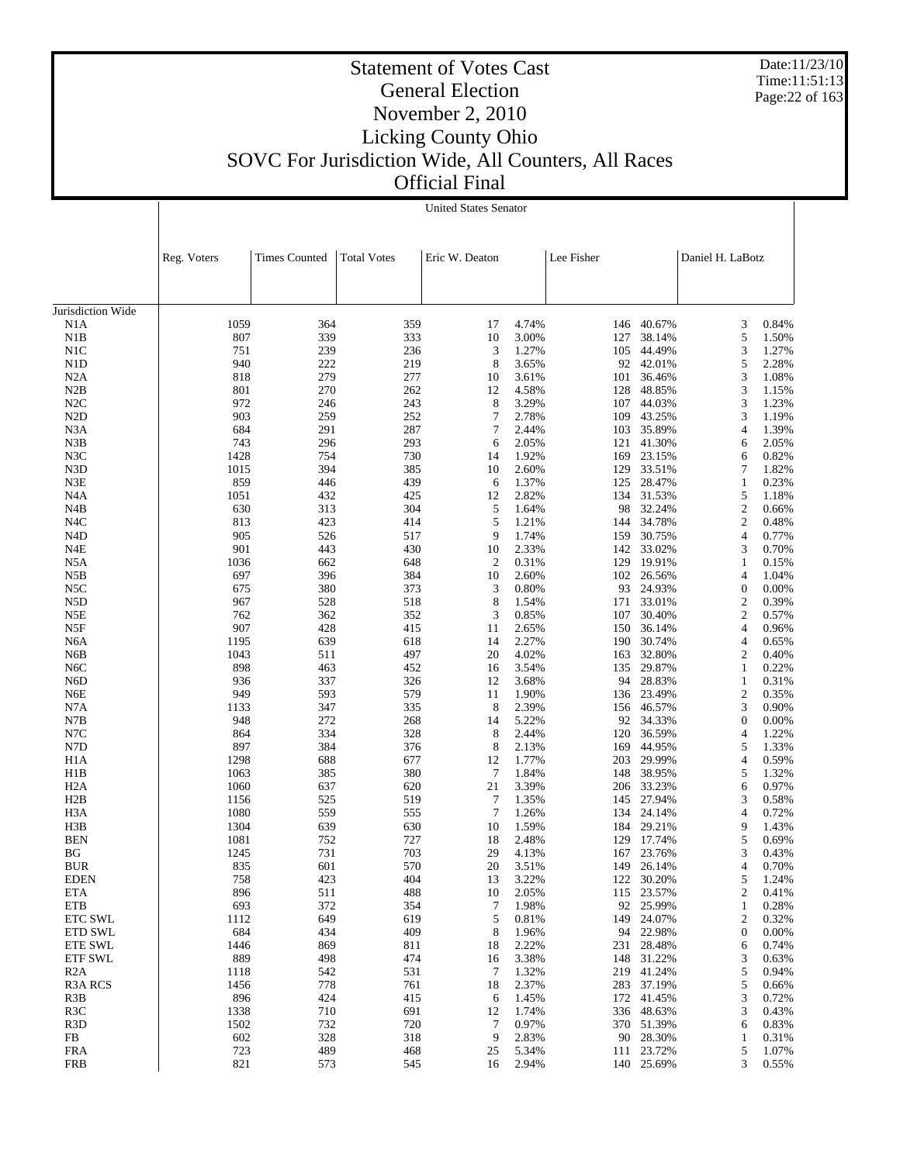Date:11/23/10 Time:11:51:13 Page:22 of 163

### Statement of Votes Cast General Election November 2, 2010 Licking County Ohio SOVC For Jurisdiction Wide, All Counters, All Races Official Final

Jurisdiction Wide N1A N1B N1C N1D N2A N2B N2C N2D N3A N3B N3C N3D N3E N4A N4B N4C N4D N4E N5A N5B N5C N5D N5E N5F N6A N6B N6C N6D N6E N7A N7B N7C N7D H1A H1B H2A H2B H3A H3B BEN BG BUR EDEN ETA ETB ETC SWL ETD SWL ETE SWL ETF SWL R2A R3A RCS R3B R3C R3D FB FRA FRB Reg. Voters Times Counted | Total Votes | Eric W. Deaton | Lee Fisher | Daniel H. LaBotz United States Senator 1059 364 359 17 4.74% 146 40.67% 3 0.84% 807 339 333 10 3.00% 127 38.14% 5 1.50% 751 239 236 3 1.27% 105 44.49% 3 1.27% 940 222 219 8 3.65% 92 42.01% 5 2.28% 818 279 277 10 3.61% 101 36.46% 3 1.08% 801 270 262 12 4.58% 128 48.85% 3 1.15% 972 246 243 8 3.29% 107 44.03% 3 1.23% 903 259 252 7 2.78% 109 43.25% 3 1.19% 684 291 287 7 2.44% 103 35.89% 4 1.39% 743 296 293 6 2.05% 121 41.30% 6 2.05% 1428 754 730 14 1.92% 169 23.15% 6 0.82% 1015 394 385 10 2.60% 129 33.51% 7 1.82% 859 446 439 6 1.37% 125 28.47% 1 0.23% 1051 432 425 12 2.82% 134 31.53% 5 1.18% 630 313 304 5 1.64% 98 32.24% 2 0.66% 813 423 414 5 1.21% 144 34.78% 2 0.48% 905 526 517 9 1.74% 159 30.75% 4 0.77% 901 443 430 10 2.33% 142 33.02% 3 0.70% 1036 662 648 2 0.31% 129 19.91% 1 0.15% 697 396 384 10 2.60% 102 26.56% 4 1.04% 675 380 373 3 0.80% 93 24.93% 0 0.00% 967 528 518 8 1.54% 171 33.01% 2 0.39% 762 362 352 3 0.85% 107 30.40% 2 0.57% 907 428 415 11 2.65% 150 36.14% 4 0.96% 1195 639 618 14 2.27% 190 30.74% 4 0.65% 1043 511 497 20 4.02% 163 32.80% 2 0.40% 898 463 452 16 3.54% 135 29.87% 1 0.22% 936 337 326 12 3.68% 94 28.83% 1 0.31% 949 593 579 11 1.90% 136 23.49% 2 0.35% 1133 347 335 8 2.39% 156 46.57% 3 0.90% 948 272 268 14 5.22% 92 34.33% 0 0.00% 864 334 328 8 2.44% 120 36.59% 4 1.22% 897 384 376 8 2.13% 169 44.95% 5 1.33% 1298 688 677 12 1.77% 203 29.99% 4 0.59% 1063 385 380 7 1.84% 148 38.95% 5 1.32% 1060 637 620 21 3.39% 206 33.23% 6 0.97% 1156 525 519 7 1.35% 145 27.94% 3 0.58% 1080 559 555 7 1.26% 134 24.14% 4 0.72% 1304 639 630 10 1.59% 184 29.21% 9 1.43% 1081 752 727 18 2.48% 129 17.74% 5 0.69% 1245 731 703 29 4.13% 167 23.76% 3 0.43% 835 601 570 20 3.51% 149 26.14% 4 0.70% 758 423 404 13 3.22% 122 30.20% 5 1.24% 896 511 488 10 2.05% 115 23.57% 2 0.41% 693 372 354 7 1.98% 92 25.99% 1 0.28% 1112 649 619 5 0.81% 149 24.07% 2 0.32% 684 434 409 8 1.96% 94 22.98% 0 0.00% 1446 869 811 18 2.22% 231 28.48% 6 0.74% 889 498 474 16 3.38% 148 31.22% 3 0.63% 1118 542 531 7 1.32% 219 41.24% 5 0.94% 1456 778 761 18 2.37% 283 37.19% 5 0.66% 896 424 415 6 1.45% 172 41.45% 3 0.72% 1338 710 691 12 1.74% 336 48.63% 3 0.43% 1502 732 720 7 0.97% 370 51.39% 6 0.83% 602 328 318 9 2.83% 90 28.30% 1 0.31% 723 489 468 25 5.34% 111 23.72% 5 1.07% 821 573 545 16 2.94% 140 25.69% 3 0.55%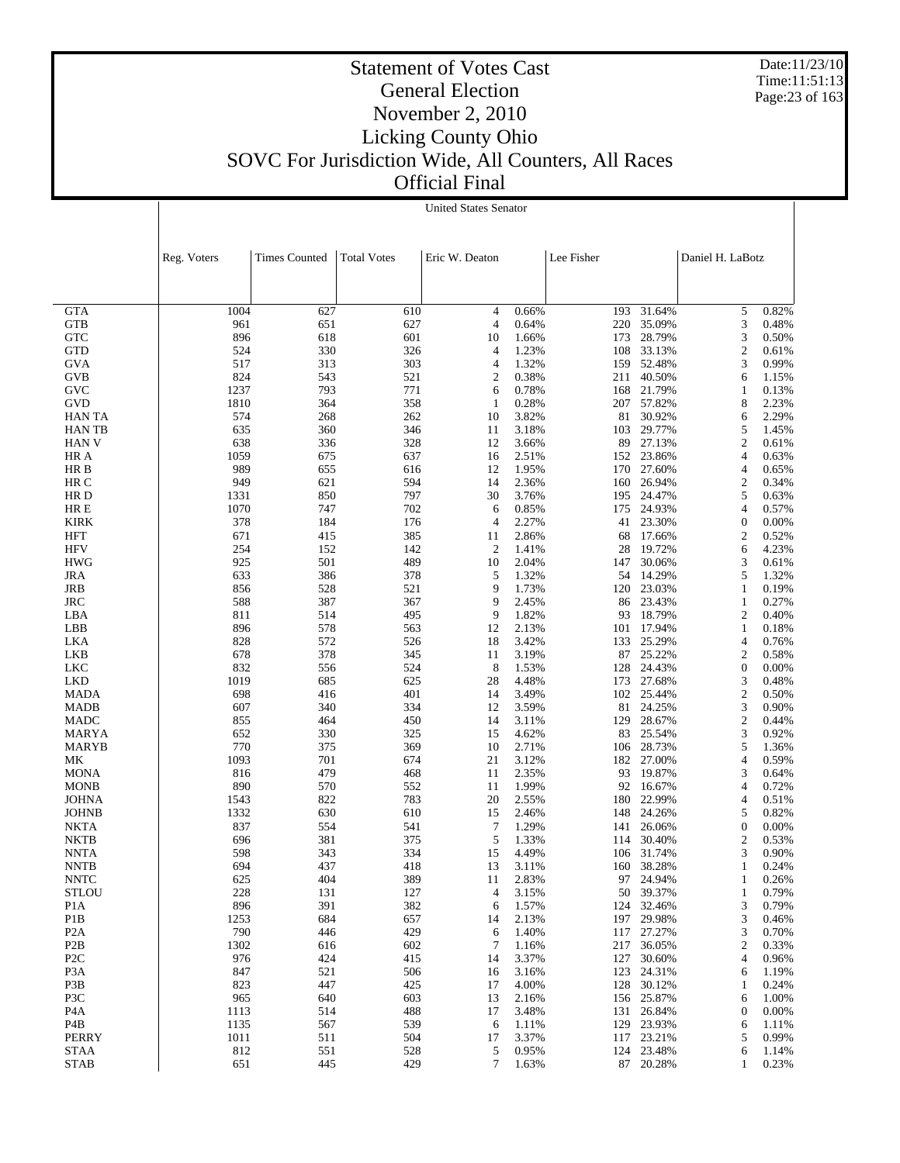Date:11/23/10 Time:11:51:13 Page:23 of 163

|                                  | <b>United States Senator</b> |                      |                    |                     |                |            |                          |                       |                |
|----------------------------------|------------------------------|----------------------|--------------------|---------------------|----------------|------------|--------------------------|-----------------------|----------------|
|                                  |                              |                      |                    |                     |                |            |                          |                       |                |
|                                  | Reg. Voters                  | <b>Times Counted</b> | <b>Total Votes</b> | Eric W. Deaton      |                | Lee Fisher |                          | Daniel H. LaBotz      |                |
|                                  |                              |                      |                    |                     |                |            |                          |                       |                |
| <b>GTA</b>                       | 1004                         | 627                  | 610                | 4                   | 0.66%          |            | 193 31.64%               | 5                     | 0.82%          |
| GTB                              | 961                          | 651                  | 627                | $\overline{4}$      | 0.64%          |            | 220 35.09%               | 3                     | 0.48%          |
| <b>GTC</b>                       | 896                          | 618                  | 601                | 10                  | 1.66%          |            | 173 28.79%               | 3                     | 0.50%          |
| <b>GTD</b>                       | 524                          | 330                  | 326                | 4                   | 1.23%          |            | 108 33.13%               | $\overline{c}$        | 0.61%          |
| <b>GVA</b>                       | 517                          | 313                  | 303                | $\overline{4}$      | 1.32%          |            | 159 52.48%               | 3                     | 0.99%          |
| <b>GVB</b>                       | 824                          | 543                  | 521                | $\overline{2}$      | 0.38%          |            | 211 40.50%               | 6                     | 1.15%          |
| GVC                              | 1237                         | 793                  | 771                | 6                   | 0.78%          |            | 168 21.79%               | 1                     | 0.13%          |
| <b>GVD</b>                       | 1810                         | 364                  | 358                | $\mathbf{1}$        | 0.28%          |            | 207 57.82%               | 8                     | 2.23%          |
| <b>HAN TA</b><br><b>HAN TB</b>   | 574<br>635                   | 268<br>360           | 262<br>346         | 10<br>11            | 3.82%<br>3.18% |            | 81 30.92%<br>103 29.77%  | 6<br>5                | 2.29%<br>1.45% |
| <b>HAN V</b>                     | 638                          | 336                  | 328                | 12                  | 3.66%          |            | 89 27.13%                | $\overline{c}$        | 0.61%          |
| HR A                             | 1059                         | 675                  | 637                | 16                  | 2.51%          |            | 152 23.86%               | 4                     | 0.63%          |
| HR B                             | 989                          | 655                  | 616                | 12                  | 1.95%          |            | 170 27.60%               | 4                     | 0.65%          |
| HR C                             | 949                          | 621                  | 594                | 14                  | 2.36%          |            | 160 26.94%               | $\boldsymbol{2}$      | 0.34%          |
| HR D                             | 1331                         | 850                  | 797                | 30                  | 3.76%          |            | 195 24.47%               | 5                     | 0.63%          |
| HR E                             | 1070                         | 747                  | 702                | 6                   | 0.85%          |            | 175 24.93%               | 4                     | 0.57%          |
| <b>KIRK</b>                      | 378                          | 184                  | 176                | $\overline{4}$      | 2.27%          |            | 41 23.30%                | $\boldsymbol{0}$      | 0.00%          |
| <b>HFT</b>                       | 671                          | 415                  | 385                | 11                  | 2.86%          |            | 68 17.66%                | $\overline{c}$        | 0.52%          |
| <b>HFV</b>                       | 254                          | 152                  | 142                | $\mathfrak{2}$      | 1.41%          |            | 28 19.72%                | 6                     | 4.23%          |
| <b>HWG</b>                       | 925                          | 501                  | 489                | 10                  | 2.04%          |            | 147 30.06%               | 3                     | 0.61%          |
| <b>JRA</b>                       | 633                          | 386                  | 378                | 5                   | 1.32%          |            | 54 14.29%                | 5                     | 1.32%          |
| JRB                              | 856                          | 528                  | 521                | 9                   | 1.73%          |            | 120 23.03%               | $\mathbf{1}$          | 0.19%          |
| <b>JRC</b>                       | 588                          | 387                  | 367                | 9                   | 2.45%          |            | 86 23.43%                | $\mathbf{1}$          | 0.27%          |
| LBA                              | 811                          | 514                  | 495                | 9                   | 1.82%          |            | 93 18.79%                | $\overline{c}$        | 0.40%          |
| LBB                              | 896                          | 578                  | 563                | 12                  | 2.13%          |            | 101 17.94%               | $\mathbf{1}$          | 0.18%          |
| LKA                              | 828                          | 572                  | 526                | 18                  | 3.42%          |            | 133 25.29%               | 4                     | 0.76%          |
| LKB                              | 678                          | 378                  | 345                | 11                  | 3.19%          |            | 87 25.22%                | $\boldsymbol{2}$      | 0.58%          |
| LKC<br><b>LKD</b>                | 832<br>1019                  | 556<br>685           | 524<br>625         | 8<br>28             | 1.53%<br>4.48% |            | 128 24.43%<br>173 27.68% | $\boldsymbol{0}$<br>3 | 0.00%<br>0.48% |
| <b>MADA</b>                      | 698                          | 416                  | 401                | 14                  | 3.49%          |            | 102 25.44%               | $\mathbf{2}$          | 0.50%          |
| <b>MADB</b>                      | 607                          | 340                  | 334                | 12                  | 3.59%          |            | 81 24.25%                | 3                     | 0.90%          |
| <b>MADC</b>                      | 855                          | 464                  | 450                | 14                  | 3.11%          |            | 129 28.67%               | $\mathbf{2}$          | 0.44%          |
| MARYA                            | 652                          | 330                  | 325                | 15                  | 4.62%          |            | 83 25.54%                | 3                     | 0.92%          |
| <b>MARYB</b>                     | 770                          | 375                  | 369                | 10                  | 2.71%          |            | 106 28.73%               | 5                     | 1.36%          |
| МK                               | 1093                         | 701                  | 674                | 21                  | 3.12%          |            | 182 27.00%               | 4                     | 0.59%          |
| <b>MONA</b>                      | 816                          | 479                  | 468                | 11                  | 2.35%          |            | 93 19.87%                | 3                     | 0.64%          |
| <b>MONB</b>                      | 890                          | 570                  | 552                | 11                  | 1.99%          |            | 92 16.67%                | $\overline{4}$        | 0.72%          |
| <b>JOHNA</b>                     | 1543                         | 822                  | 783                | 20                  | 2.55%          | 180        | 22.99%                   | 4                     | 0.51%          |
| <b>JOHNB</b>                     | 1332                         | 630                  | 610                | 15                  | 2.46%          |            | 148 24.26%               | 5                     | 0.82%          |
| <b>NKTA</b>                      | 837                          | 554                  | 541                | $\overline{7}$      | 1.29%          | 141        | 26.06%                   | 0                     | 0.00%          |
| <b>NKTB</b>                      | 696                          | 381                  | 375                | 5                   | 1.33%          | 114        | 30.40%                   | 2                     | 0.53%          |
| <b>NNTA</b>                      | 598                          | 343                  | 334                | 15                  | 4.49%          |            | 106 31.74%               | 3                     | 0.90%          |
| <b>NNTB</b>                      | 694                          | 437                  | 418                | 13                  | 3.11%          |            | 160 38.28%               | 1                     | 0.24%          |
| <b>NNTC</b>                      | 625                          | 404                  | 389                | 11                  | 2.83%          | 97         | 24.94%                   | 1                     | 0.26%          |
| <b>STLOU</b><br>P <sub>1</sub> A | 228<br>896                   | 131<br>391           | 127<br>382         | $\overline{4}$<br>6 | 3.15%<br>1.57% | 124        | 50 39.37%<br>32.46%      | $\mathbf{1}$<br>3     | 0.79%<br>0.79% |
| P1B                              | 1253                         | 684                  | 657                | 14                  | 2.13%          |            | 197 29.98%               | 3                     | 0.46%          |
| P <sub>2</sub> A                 | 790                          | 446                  | 429                | 6                   | 1.40%          | 117        | 27.27%                   | 3                     | 0.70%          |
| P <sub>2</sub> B                 | 1302                         | 616                  | 602                | 7                   | 1.16%          | 217        | 36.05%                   | $\boldsymbol{2}$      | 0.33%          |
| P <sub>2</sub> C                 | 976                          | 424                  | 415                | 14                  | 3.37%          | 127        | 30.60%                   | 4                     | 0.96%          |
| P <sub>3</sub> A                 | 847                          | 521                  | 506                | 16                  | 3.16%          | 123        | 24.31%                   | 6                     | 1.19%          |
| P3B                              | 823                          | 447                  | 425                | 17                  | 4.00%          | 128        | 30.12%                   | 1                     | 0.24%          |
| P3C                              | 965                          | 640                  | 603                | 13                  | 2.16%          |            | 156 25.87%               | 6                     | 1.00%          |
| P <sub>4</sub> A                 | 1113                         | 514                  | 488                | 17                  | 3.48%          | 131        | 26.84%                   | $\boldsymbol{0}$      | 0.00%          |
| P4B                              | 1135                         | 567                  | 539                | 6                   | 1.11%          | 129        | 23.93%                   | 6                     | 1.11%          |
| <b>PERRY</b>                     | 1011                         | 511                  | 504                | 17                  | 3.37%          | 117        | 23.21%                   | 5                     | 0.99%          |
| <b>STAA</b>                      | 812                          | 551                  | 528                | 5                   | 0.95%          | 124        | 23.48%                   | 6                     | 1.14%          |
| <b>STAB</b>                      | 651                          | 445                  | 429                | $\tau$              | 1.63%          | 87         | 20.28%                   | 1                     | 0.23%          |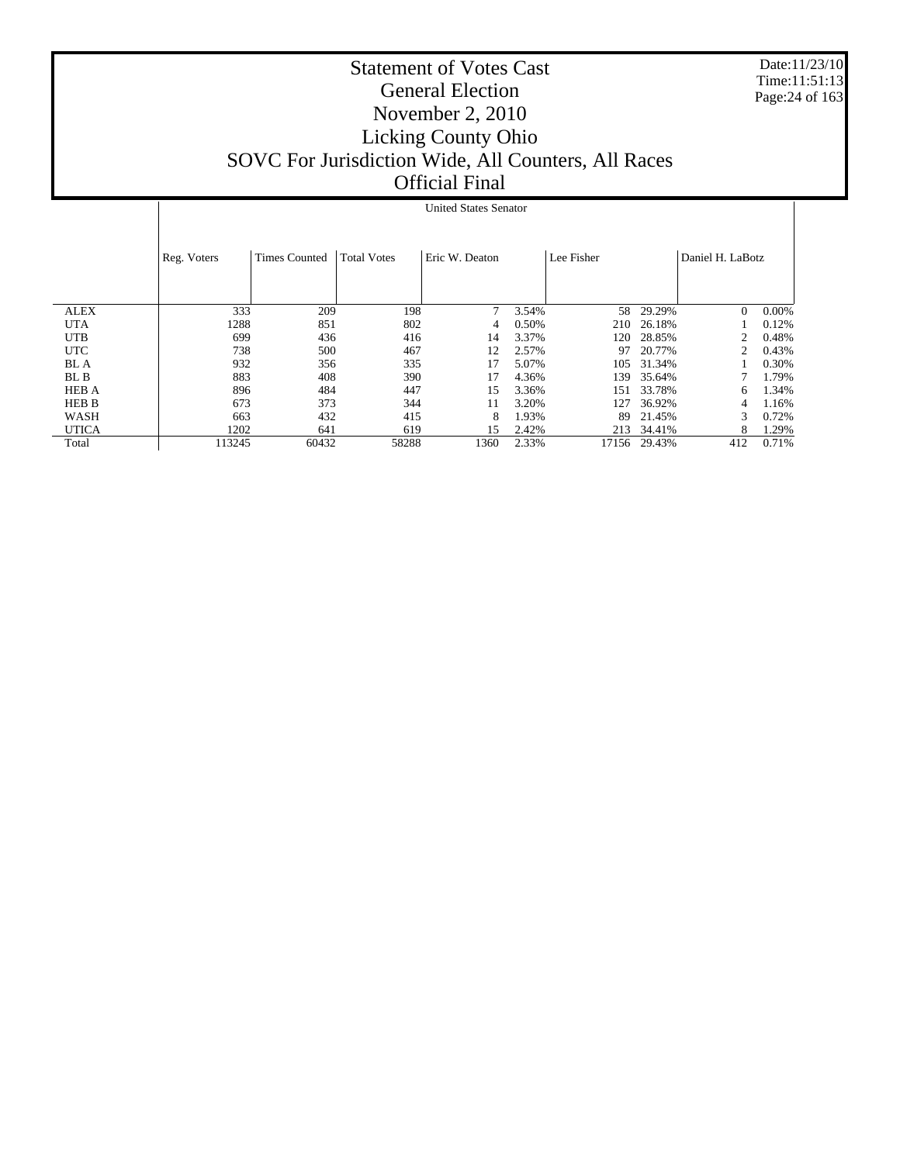Date:11/23/10 Time:11:51:13 Page:24 of 163

|              |             |                      |                    | <b>United States Senator</b> |       |            |        |                  |          |
|--------------|-------------|----------------------|--------------------|------------------------------|-------|------------|--------|------------------|----------|
|              |             |                      |                    |                              |       |            |        |                  |          |
|              |             |                      |                    |                              |       |            |        |                  |          |
|              | Reg. Voters | <b>Times Counted</b> | <b>Total Votes</b> | Eric W. Deaton               |       | Lee Fisher |        | Daniel H. LaBotz |          |
|              |             |                      |                    |                              |       |            |        |                  |          |
|              |             |                      |                    |                              |       |            |        |                  |          |
| <b>ALEX</b>  | 333         | 209                  | 198                | 7                            | 3.54% | 58         | 29.29% | $\Omega$         | $0.00\%$ |
| <b>UTA</b>   | 1288        | 851                  | 802                | 4                            | 0.50% | 210        | 26.18% |                  | 0.12%    |
| <b>UTB</b>   | 699         | 436                  | 416                | 14                           | 3.37% | 120        | 28.85% | 2                | 0.48%    |
| <b>UTC</b>   | 738         | 500                  | 467                | 12                           | 2.57% | 97         | 20.77% | 2                | 0.43%    |
| BL A         | 932         | 356                  | 335                | 17                           | 5.07% | 105        | 31.34% |                  | 0.30%    |
| BL B         | 883         | 408                  | 390                | 17                           | 4.36% | 139        | 35.64% |                  | 1.79%    |
| <b>HEB A</b> | 896         | 484                  | 447                | 15                           | 3.36% | 151        | 33.78% | 6                | 1.34%    |
| <b>HEB B</b> | 673         | 373                  | 344                | 11                           | 3.20% | 127        | 36.92% | 4                | 1.16%    |
| WASH         | 663         | 432                  | 415                | 8                            | 1.93% | 89         | 21.45% | 3                | 0.72%    |
| <b>UTICA</b> | 1202        | 641                  | 619                | 15                           | 2.42% | 213        | 34.41% | 8                | 1.29%    |
| Total        | 113245      | 60432                | 58288              | 1360                         | 2.33% | 17156      | 29.43% | 412              | 0.71%    |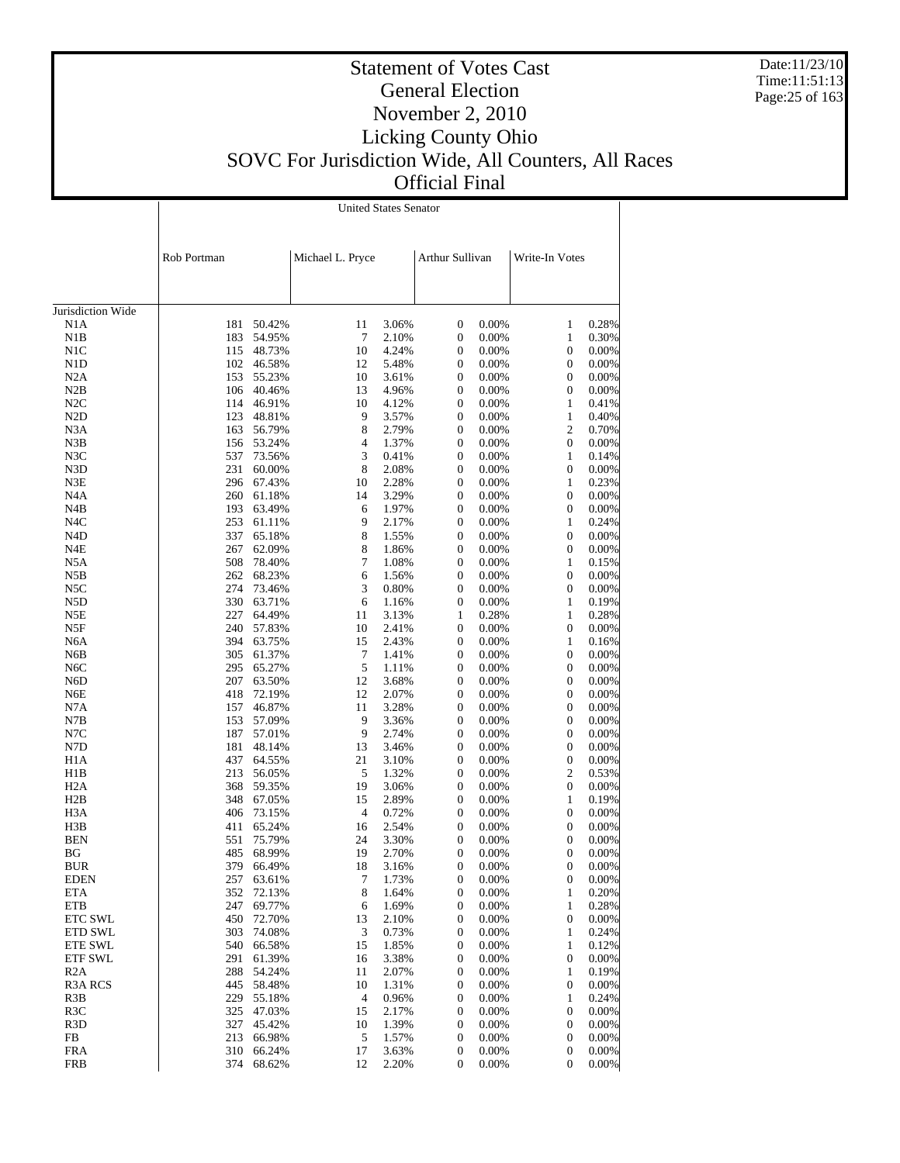Date:11/23/10 Time:11:51:13 Page:25 of 163

### Statement of Votes Cast General Election November 2, 2010 Licking County Ohio SOVC For Jurisdiction Wide, All Counters, All Races Official Final

Jurisdiction Wide N1A N1B N1C N1D N2A N2B N2C N2D N3A N3B N3C N3D N3E N4A N4B N4C N4D N4E N5A N5B N5C N5D N5E N5F N6A N6B N6C N6D N6E N7A N7B N7C N7D H1A H1B H2A H2B H3A H3B BEN BG BUR EDEN ETA ETB ETC SWL ETD SWL ETE SWL ETF SWL R2A R3A RCS R3B R3C R3D FB FRA FRB Rob Portman Michael L. Pryce Arthur Sullivan Write-In Votes United States Senator 181 50.42% 11 3.06% 0 0.00% 1 0.28% 183 54.95% 7 2.10% 0 0.00% 1 0.30% 115 48.73% 10 4.24% 0 0.00% 0 0.00% 102 46.58% 12 5.48% 0 0.00% 0 0.00% 153 55.23% 10 3.61% 0 0.00% 0 0.00% 106 40.46% 13 4.96% 0 0.00% 0 0.00% 114 46.91% 10 4.12% 0 0.00% 1 0.41% 123 48.81% 9 3.57% 0 0.00% 1 0.40% 163 56.79% 8 2.79% 0 0.00% 2 0.70% 156 53.24% 4 1.37% 0 0.00% 0 0.00% 537 73.56% 3 0.41% 0 0.00% 1 0.14% 231 60.00% 8 2.08% 0 0.00% 0 0.00% 296 67.43% 10 2.28% 0 0.00% 1 0.23% 260 61.18% 14 3.29% 0 0.00% 0 0.00% 193 63.49% 6 1.97% 0 0.00% 0 0.00% 253 61.11% 9 2.17% 0 0.00% 1 0.24% 337 65.18% 8 1.55% 0 0.00% 0 0.00% 267 62.09% 8 1.86% 0 0.00% 0 0.00% 508 78.40% 7 1.08% 0 0.00% 1 0.15% 262 68.23% 6 1.56% 0 0.00% 0 0.00% 274 73.46% 3 0.80% 0 0.00% 0 0.00% 330 63.71% 6 1.16% 0 0.00% 1 0.19% 227 64.49% 11 3.13% 1 0.28% 1 0.28% 240 57.83% 10 2.41% 0 0.00% 0 0.00% 394 63.75% 15 2.43% 0 0.00% 1 0.16% 305 61.37% 7 1.41% 0 0.00% 0 0.00% 295 65.27% 5 1.11% 0 0.00% 0 0.00% 207 63.50% 12 3.68% 0 0.00% 0 0.00% 418 72.19% 12 2.07% 0 0.00% 0 0.00% 157 46.87% 11 3.28% 0 0.00% 0 0.00% 153 57.09% 9 3.36% 0 0.00% 0 0.00% 187 57.01% 9 2.74% 0 0.00% 0 0.00% 181 48.14% 13 3.46% 0 0.00% 0 0.00% 437 64.55% 21 3.10% 0 0.00% 0 0.00% 213 56.05% 5 1.32% 0 0.00% 2 0.53% 368 59.35% 19 3.06% 0 0.00% 0 0.00% 348 67.05% 15 2.89% 0 0.00% 1 0.19% 406 73.15% 4 0.72% 0 0.00% 0 0.00% 411 65.24% 16 2.54% 0 0.00% 0 0.00% 551 75.79% 24 3.30% 0 0.00% 0 0.00% 485 68.99% 19 2.70% 0 0.00% 0 0.00% 379 66.49% 18 3.16% 0 0.00% 0 0.00% 257 63.61% 7 1.73% 0 0.00% 0 0.00% 352 72.13% 8 1.64% 0 0.00% 1 0.20% 247 69.77% 6 1.69% 0 0.00% 1 0.28% 450 72.70% 13 2.10% 0 0.00% 0 0.00% 303 74.08% 3 0.73% 0 0.00% 1 0.24% 540 66.58% 15 1.85% 0 0.00% 1 0.12% 291 61.39% 16 3.38% 0 0.00% 0 0.00% 288 54.24% 11 2.07% 0 0.00% 1 0.19% 445 58.48% 10 1.31% 0 0.00% 0 0.00% 229 55.18% 4 0.96% 0 0.00% 1 0.24% 325 47.03% 15 2.17% 0 0.00% 0 0.00% 327 45.42% 10 1.39% 0 0.00% 0 0.00% 213 66.98% 5 1.57% 0 0.00% 0 0.00% 310 66.24% 17 3.63% 0 0.00% 0 0.00% 374 68.62% 12 2.20% 0 0.00% 0 0.00%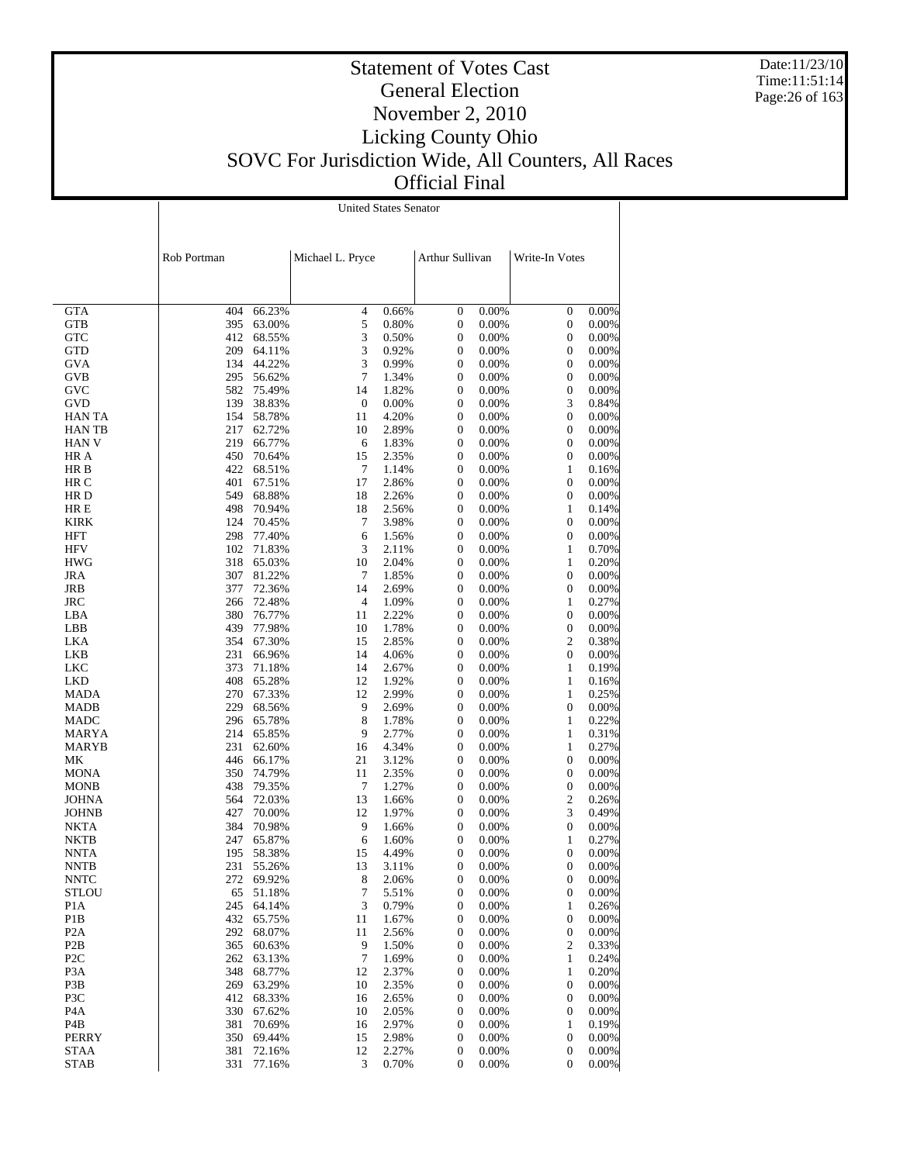Date:11/23/10 Time:11:51:14 Page:26 of 163

# Statement of Votes Cast General Election November 2, 2010 Licking County Ohio SOVC For Jurisdiction Wide, All Counters, All Races Official Final

| Rob Portman |        | Michael L. Pryce |       | Arthur Sullivan  |       | Write-In Votes |       |
|-------------|--------|------------------|-------|------------------|-------|----------------|-------|
|             |        |                  |       |                  |       |                |       |
| 404         | 66.23% | 4                | 0.66% | $\mathbf{0}$     | 0.00% | $\mathbf{0}$   | 0.00% |
| 395         | 63.00% | 5                | 0.80% | $\mathbf{0}$     | 0.00% | $\mathbf{0}$   | 0.00% |
| 412         | 68.55% | 3                | 0.50% | $\overline{0}$   | 0.00% | $\mathbf{0}$   | 0.00% |
| 209         | 64.11% | 3                | 0.92% | 0                | 0.00% | $\mathbf{0}$   | 0.00% |
| 134         | 44.22% | 3                | 0.99% | $\overline{0}$   | 0.00% | $\mathbf{0}$   | 0.00% |
| 295         | 56.62% | 7                | 1.34% | $\mathbf{0}$     | 0.00% | $\mathbf{0}$   | 0.00% |
| 582         | 75.49% | 14               | 1.82% | $\boldsymbol{0}$ | 0.00% | $\mathbf{0}$   | 0.00% |
| 139         | 38.83% | $\mathbf{0}$     | 0.00% | $\boldsymbol{0}$ | 0.00% | 3              | 0.84% |
| 154         | 58.78% | 11               | 4.20% | $\boldsymbol{0}$ | 0.00% | $\mathbf{0}$   | 0.00% |
| 217         | 62.72% | 10               | 2.89% | $\boldsymbol{0}$ | 0.00% | $\mathbf{0}$   | 0.00% |
| 219         | 66.77% | 6                | 1.83% | $\mathbf{0}$     | 0.00% | $\Omega$       | 0.00% |
| 450         | 70.64% | 15               | 2.35% | $\overline{0}$   | 0.00% | $\mathbf{0}$   | 0.00% |
| 422         | 68.51% | $\overline{7}$   | 1.14% | $\mathbf{0}$     | 0.00% | 1              | 0.16% |
| 401         | 67.51% | 17               | 2.86% | $\mathbf{0}$     | 0.00% | $\mathbf{0}$   | 0.00% |
| 549         | 68.88% | 18               | 2.26% | $\overline{0}$   | 0.00% | $\mathbf{0}$   | 0.00% |
| 498         | 70.94% | 18               | 2.56% | $\overline{0}$   | 0.00% | 1              | 0.14% |
| 124         | 70.45% | 7                | 3.98% | $\boldsymbol{0}$ | 0.00% | $\mathbf{0}$   | 0.00% |
| 298         | 77.40% | 6                | 1.56% | $\boldsymbol{0}$ | 0.00% | $\mathbf{0}$   | 0.00% |
| 102         | 71.83% | 3                | 2.11% | $\boldsymbol{0}$ | 0.00% | 1              | 0.70% |
| 318         | 65.03% | 10               | 2.04% | $\boldsymbol{0}$ | 0.00% | 1              | 0.20% |
| 307         | 81.22% | 7                | 1.85% | $\boldsymbol{0}$ | 0.00% | $\Omega$       | 0.00% |
| 377         | 72.36% | 14               | 2.69% | $\overline{0}$   | 0.00% | $\mathbf{0}$   | 0.00% |
| 266         | 72.48% | $\overline{4}$   | 1.09% | $\mathbf{0}$     | 0.00% | 1              | 0.27% |
| 380         | 76.77% | 11               | 2.22% | $\mathbf{0}$     | 0.00% | $\mathbf{0}$   | 0.00% |
| 439         | 77.98% | 10               | 1.78% | $\mathbf{0}$     | 0.00% | $\mathbf{0}$   | 0.00% |
| 354         | 67.30% | 15               | 2.85% | $\mathbf{0}$     | 0.00% | $\overline{c}$ | 0.38% |
| 231         | 66.96% | 14               | 4.06% | $\mathbf{0}$     | 0.00% | $\mathbf{0}$   | 0.00% |
| 373         | 71.18% | 14               | 2.67% | $\mathbf{0}$     | 0.00% | 1              | 0.19% |

 GTA GTB **GTC** 

United States Senator

| <b>GTD</b>       | 209 | 64.11% | 3              | 0.92% | $\boldsymbol{0}$ | 0.00% | $\boldsymbol{0}$ | 0.00% |
|------------------|-----|--------|----------------|-------|------------------|-------|------------------|-------|
| <b>GVA</b>       | 134 | 44.22% | 3              | 0.99% | $\mathbf{0}$     | 0.00% | $\boldsymbol{0}$ | 0.00% |
| <b>GVB</b>       | 295 | 56.62% | $\tau$         | 1.34% | $\boldsymbol{0}$ | 0.00% | $\boldsymbol{0}$ | 0.00% |
| <b>GVC</b>       | 582 | 75.49% | 14             | 1.82% | $\mathbf{0}$     | 0.00% | $\mathbf{0}$     | 0.00% |
| GVD              | 139 | 38.83% | $\overline{0}$ | 0.00% | $\boldsymbol{0}$ | 0.00% | 3                | 0.84% |
| <b>HANTA</b>     | 154 | 58.78% | 11             | 4.20% | $\boldsymbol{0}$ | 0.00% | $\boldsymbol{0}$ | 0.00% |
| HAN TB           | 217 | 62.72% | 10             | 2.89% | $\boldsymbol{0}$ | 0.00% | $\boldsymbol{0}$ | 0.00% |
| <b>HAN V</b>     | 219 | 66.77% | 6              | 1.83% | $\boldsymbol{0}$ | 0.00% | $\boldsymbol{0}$ | 0.00% |
| HR A             | 450 | 70.64% | 15             | 2.35% | $\mathbf{0}$     | 0.00% | $\mathbf{0}$     | 0.00% |
| HR B             | 422 | 68.51% | $\tau$         | 1.14% | $\boldsymbol{0}$ | 0.00% | $\mathbf{1}$     | 0.16% |
| HR C             | 401 | 67.51% | 17             | 2.86% | $\mathbf{0}$     | 0.00% | $\boldsymbol{0}$ | 0.00% |
| HR D             | 549 | 68.88% | 18             | 2.26% | $\boldsymbol{0}$ | 0.00% | $\boldsymbol{0}$ | 0.00% |
| HR E             | 498 | 70.94% | 18             | 2.56% | $\boldsymbol{0}$ | 0.00% | $\mathbf{1}$     | 0.14% |
| <b>KIRK</b>      | 124 | 70.45% | $\tau$         | 3.98% | $\mathbf{0}$     | 0.00% | $\mathbf{0}$     | 0.00% |
| <b>HFT</b>       | 298 | 77.40% | 6              | 1.56% | $\boldsymbol{0}$ | 0.00% | $\boldsymbol{0}$ | 0.00% |
| <b>HFV</b>       | 102 | 71.83% | 3              | 2.11% | $\boldsymbol{0}$ | 0.00% | $\mathbf{1}$     | 0.70% |
| <b>HWG</b>       | 318 | 65.03% | 10             | 2.04% | $\boldsymbol{0}$ | 0.00% | $\mathbf{1}$     | 0.20% |
| <b>JRA</b>       | 307 | 81.22% | $\tau$         | 1.85% | $\mathbf{0}$     | 0.00% | $\mathbf{0}$     | 0.00% |
|                  | 377 | 72.36% | 14             | 2.69% | $\mathbf{0}$     | 0.00% | $\mathbf{0}$     | 0.00% |
| JRB              | 266 |        |                |       | $\boldsymbol{0}$ | 0.00% | $\mathbf{1}$     | 0.27% |
| <b>JRC</b>       |     | 72.48% | $\overline{4}$ | 1.09% |                  |       |                  |       |
| LBA              | 380 | 76.77% | 11             | 2.22% | $\boldsymbol{0}$ | 0.00% | $\boldsymbol{0}$ | 0.00% |
| <b>LBB</b>       | 439 | 77.98% | 10             | 1.78% | $\mathbf{0}$     | 0.00% | $\mathbf{0}$     | 0.00% |
| LKA              | 354 | 67.30% | 15             | 2.85% | $\boldsymbol{0}$ | 0.00% | $\mathfrak{2}$   | 0.38% |
| <b>LKB</b>       | 231 | 66.96% | 14             | 4.06% | $\boldsymbol{0}$ | 0.00% | $\boldsymbol{0}$ | 0.00% |
| <b>LKC</b>       | 373 | 71.18% | 14             | 2.67% | $\boldsymbol{0}$ | 0.00% | 1                | 0.19% |
| <b>LKD</b>       | 408 | 65.28% | 12             | 1.92% | $\boldsymbol{0}$ | 0.00% | $\mathbf{1}$     | 0.16% |
| <b>MADA</b>      | 270 | 67.33% | 12             | 2.99% | $\boldsymbol{0}$ | 0.00% | $\mathbf{1}$     | 0.25% |
| <b>MADB</b>      | 229 | 68.56% | 9              | 2.69% | $\mathbf{0}$     | 0.00% | $\mathbf{0}$     | 0.00% |
| <b>MADC</b>      | 296 | 65.78% | 8              | 1.78% | $\boldsymbol{0}$ | 0.00% | $\mathbf{1}$     | 0.22% |
| <b>MARYA</b>     | 214 | 65.85% | 9              | 2.77% | $\boldsymbol{0}$ | 0.00% | $\mathbf{1}$     | 0.31% |
| MARYB            | 231 | 62.60% | 16             | 4.34% | $\mathbf{0}$     | 0.00% | $\mathbf{1}$     | 0.27% |
| МK               | 446 | 66.17% | 21             | 3.12% | $\boldsymbol{0}$ | 0.00% | $\boldsymbol{0}$ | 0.00% |
| <b>MONA</b>      | 350 | 74.79% | 11             | 2.35% | $\mathbf{0}$     | 0.00% | $\mathbf{0}$     | 0.00% |
| <b>MONB</b>      | 438 | 79.35% | $\tau$         | 1.27% | $\boldsymbol{0}$ | 0.00% | $\boldsymbol{0}$ | 0.00% |
| <b>JOHNA</b>     | 564 | 72.03% | 13             | 1.66% | $\boldsymbol{0}$ | 0.00% | $\mathfrak{2}$   | 0.26% |
| <b>JOHNB</b>     | 427 | 70.00% | 12             | 1.97% | $\mathbf{0}$     | 0.00% | 3                | 0.49% |
| <b>NKTA</b>      | 384 | 70.98% | 9              | 1.66% | $\mathbf{0}$     | 0.00% | $\boldsymbol{0}$ | 0.00% |
| <b>NKTB</b>      | 247 | 65.87% | 6              | 1.60% | $\boldsymbol{0}$ | 0.00% | $\mathbf{1}$     | 0.27% |
| <b>NNTA</b>      | 195 | 58.38% | 15             | 4.49% | $\boldsymbol{0}$ | 0.00% | $\boldsymbol{0}$ | 0.00% |
| <b>NNTB</b>      | 231 | 55.26% | 13             | 3.11% | $\mathbf{0}$     | 0.00% | $\mathbf{0}$     | 0.00% |
| <b>NNTC</b>      | 272 | 69.92% | 8              | 2.06% | $\mathbf{0}$     | 0.00% | $\boldsymbol{0}$ | 0.00% |
| <b>STLOU</b>     | 65  | 51.18% | $\overline{7}$ | 5.51% | $\mathbf{0}$     | 0.00% | $\mathbf{0}$     | 0.00% |
| P <sub>1</sub> A | 245 | 64.14% | 3              | 0.79% | $\boldsymbol{0}$ | 0.00% | $\mathbf{1}$     | 0.26% |
| P <sub>1</sub> B | 432 | 65.75% | 11             | 1.67% | $\boldsymbol{0}$ | 0.00% | $\boldsymbol{0}$ | 0.00% |
| P <sub>2</sub> A | 292 | 68.07% | 11             | 2.56% | $\boldsymbol{0}$ | 0.00% | $\boldsymbol{0}$ | 0.00% |
| P <sub>2</sub> B | 365 | 60.63% | 9              | 1.50% | $\boldsymbol{0}$ | 0.00% | 2                | 0.33% |
| P <sub>2</sub> C | 262 | 63.13% | $\tau$         | 1.69% | $\boldsymbol{0}$ | 0.00% | $\mathbf{1}$     | 0.24% |
| P <sub>3</sub> A | 348 | 68.77% | 12             | 2.37% | $\boldsymbol{0}$ | 0.00% | $\mathbf{1}$     | 0.20% |
| P <sub>3</sub> B |     |        |                |       |                  |       |                  |       |
|                  | 269 | 63.29% | 10             | 2.35% | $\boldsymbol{0}$ | 0.00% | $\boldsymbol{0}$ | 0.00% |
| P3C              | 412 | 68.33% | 16             | 2.65% | $\boldsymbol{0}$ | 0.00% | $\boldsymbol{0}$ | 0.00% |
| P <sub>4</sub> A | 330 | 67.62% | 10             | 2.05% | $\mathbf{0}$     | 0.00% | $\mathbf{0}$     | 0.00% |
| P <sub>4</sub> B | 381 | 70.69% | 16             | 2.97% | $\boldsymbol{0}$ | 0.00% | $\mathbf{1}$     | 0.19% |
| <b>PERRY</b>     | 350 | 69.44% | 15             | 2.98% | $\boldsymbol{0}$ | 0.00% | $\boldsymbol{0}$ | 0.00% |
| <b>STAA</b>      | 381 | 72.16% | 12             | 2.27% | $\mathbf{0}$     | 0.00% | $\mathbf{0}$     | 0.00% |
| <b>STAB</b>      | 331 | 77.16% | 3              | 0.70% | $\Omega$         | 0.00% | $\Omega$         | 0.00% |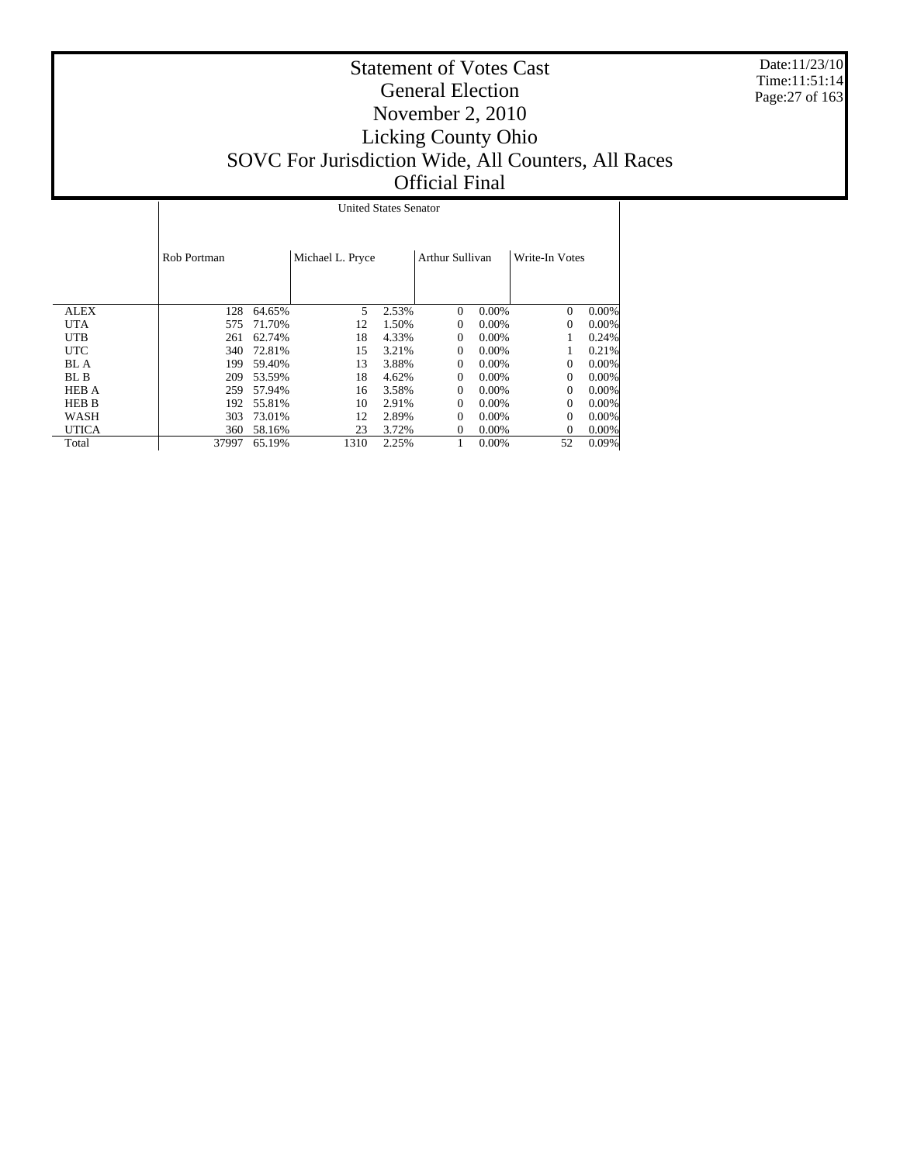Date:11/23/10 Time:11:51:14 Page:27 of 163

|              |             | <b>United States Senator</b> |                  |       |                 |          |                |       |  |  |  |
|--------------|-------------|------------------------------|------------------|-------|-----------------|----------|----------------|-------|--|--|--|
|              | Rob Portman |                              | Michael L. Pryce |       | Arthur Sullivan |          | Write-In Votes |       |  |  |  |
| <b>ALEX</b>  | 128         | 64.65%                       | 5                | 2.53% | $\Omega$        | 0.00%    | $\Omega$       | 0.00% |  |  |  |
| UTA          | 575         | 71.70%                       | 12               | 1.50% | $\Omega$        | $0.00\%$ | $\Omega$       | 0.00% |  |  |  |
| UTB          | 261         | 62.74%                       | 18               | 4.33% | $\Omega$        | 0.00%    |                | 0.24% |  |  |  |
| <b>UTC</b>   | 340         | 72.81%                       | 15               | 3.21% | 0               | 0.00%    |                | 0.21% |  |  |  |
| BL A         | 199         | 59.40%                       | 13               | 3.88% | $\Omega$        | $0.00\%$ | $\Omega$       | 0.00% |  |  |  |
| BL B         | 209         | 53.59%                       | 18               | 4.62% | $\Omega$        | 0.00%    | $\Omega$       | 0.00% |  |  |  |
| <b>HEB A</b> | 259         | 57.94%                       | 16               | 3.58% | 0               | $0.00\%$ | $\Omega$       | 0.00% |  |  |  |
| HEB B        | 192         | 55.81%                       | 10               | 2.91% | 0               | $0.00\%$ | $\Omega$       | 0.00% |  |  |  |
| WASH         | 303         | 73.01%                       | 12               | 2.89% | 0               | $0.00\%$ | $\Omega$       | 0.00% |  |  |  |
| UTICA        | 360         | 58.16%                       | 23               | 3.72% | 0               | 0.00%    | $\Omega$       | 0.00% |  |  |  |
| Total        | 37997       | 65.19%                       | 1310             | 2.25% |                 | $0.00\%$ | 52             | 0.09% |  |  |  |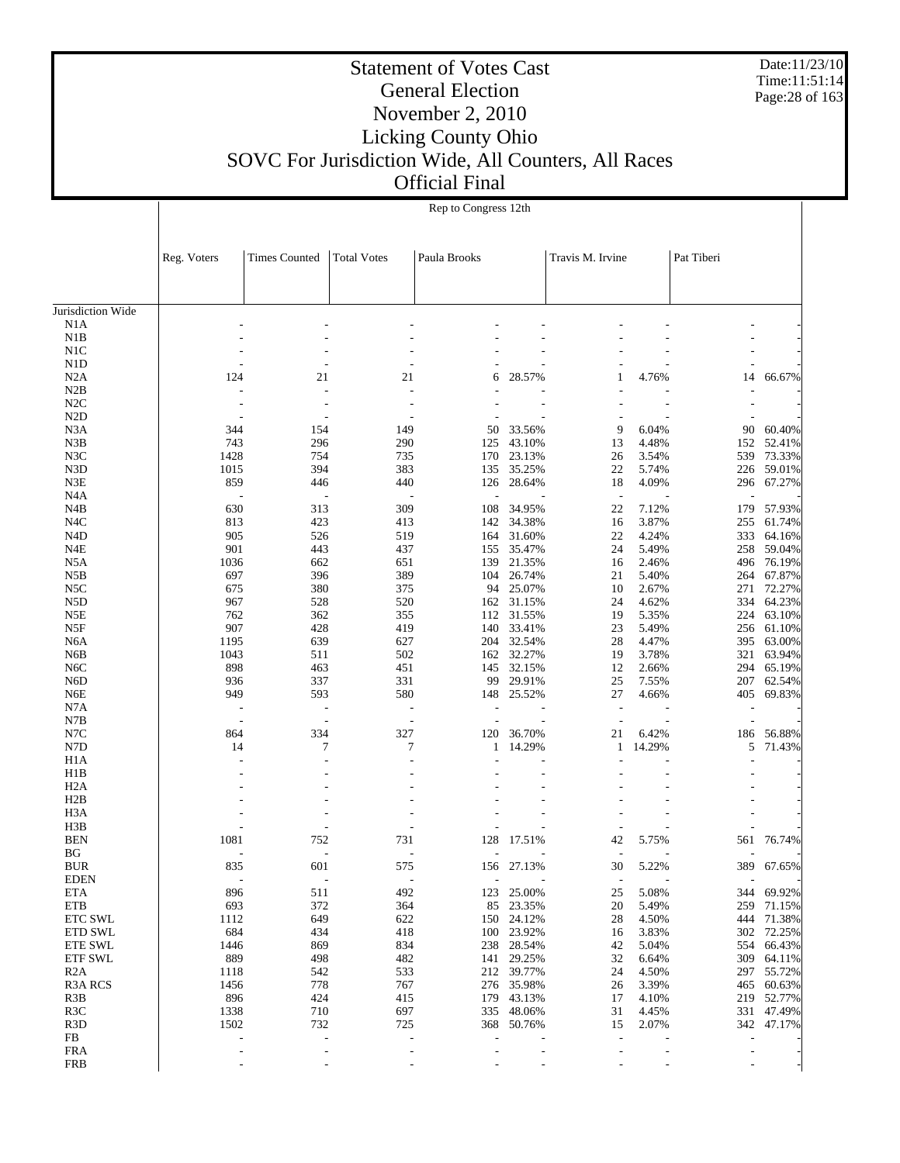Date:11/23/10 Time:11:51:14 Page:28 of 163

### Statement of Votes Cast General Election November 2, 2010 Licking County Ohio SOVC For Jurisdiction Wide, All Counters, All Races Official Final

Jurisdiction Wide N1A N1B N1D N2A N2B N2D N3A N3D N4A N4C N4D N5A N5C N5D N6C N6D N6E N7A N7B N7D H1A H2A H3A H3B BUR EDEN ETA ETB ETC SWL ETD SWL ETE SWL ETF SWL R2A R3A RCS R3D Reg. Voters Times Counted Total Votes Paula Brooks Travis M. Irvine Pat Tiberi Rep to Congress 12th - - - - - - - - - - - - - - - - - - - - - - - - - - - - - - - - - - - - 124 21 21 6 28.57% 1 4.76% 14 66.67% - - - - - - - - - - - - - - - - - - - - - - - - - - - 344 154 149 50 33.56% 9 6.04% 90 60.40% 743 296 290 125 43.10% 13 4.48% 152 52.41% 1428 754 735 170 23.13% 26 3.54% 539 73.33% 1015 394 383 135 35.25% 22 5.74% 226 59.01% 859 446 440 126 28.64% 18 4.09% 296 67.27% - - - - - - - - - 630 313 309 108 34.95% 22 7.12% 179 57.93% 813 423 413 142 34.38% 16 3.87% 255 61.74% 905 526 519 164 31.60% 22 4.24% 333 64.16% 901 443 437 155 35.47% 24 5.49% 258 59.04% 1036 662 651 139 21.35% 16 2.46% 496 76.19% 697 396 389 104 26.74% 21 5.40% 264 67.87% 675 380 375 94 25.07% 10 2.67% 271 72.27% 967 528 520 162 31.15% 24 4.62% 334 64.23% 762 362 355 112 31.55% 19 5.35% 224 63.10% 907 428 419 140 33.41% 23 5.49% 256 61.10% 1195 639 627 204 32.54% 28 4.47% 395 63.00% 1043 511 502 162 32.27% 19 3.78% 321 63.94% 898 463 451 145 32.15% 12 2.66% 294 65.19% 936 337 331 99 29.91% 25 7.55% 207 62.54% 949 593 580 148 25.52% 27 4.66% 405 69.83% - - - - - - - - - - - - - - - - - - 864 334 327 120 36.70% 21 6.42% 186 56.88% 14 7 7 1 14.29% 1 14.29% 5 71.43% - - - - - - - - - - - - - - - - - - - - - - - - - - - - - - - - - - - - - - - - - - - - - - - - - - - - - - 1081 752 731 128 17.51% 42 5.75% 561 76.74% - - - - - - - - - 835 601 575 156 27.13% 30 5.22% 389 67.65% - - - - - - - - - 896 511 492 123 25.00% 25 5.08% 344 69.92% 693 372 364 85 23.35% 20 5.49% 259 71.15% 1112 649 622 150 24.12% 28 4.50% 444 71.38% 684 434 418 100 23.92% 16 3.83% 302 72.25% 1446 869 834 238 28.54% 42 5.04% 554 66.43% 889 498 482 141 29.25% 32 6.64% 309 64.11% 1118 542 533 212 39.77% 24 4.50% 297 55.72% 1456 778 767 276 35.98% 26 3.39% 465 60.63% 896 424 415 179 43.13% 17 4.10% 219 52.77% 1338 710 697 335 48.06% 31 4.45% 331 47.49% 1502 732 725 368 50.76% 15 2.07% 342 47.17% - - - - - - - - -

> - - - - - - - - - - - - - - - - - -

N1C

N2C

 N3B N3C

N3E

N4B

N4E

N5B

 N5E N5F N6A N6B

N7C

H1B

H2B

 BEN BG

 R3B R3C

 FB FRA FRB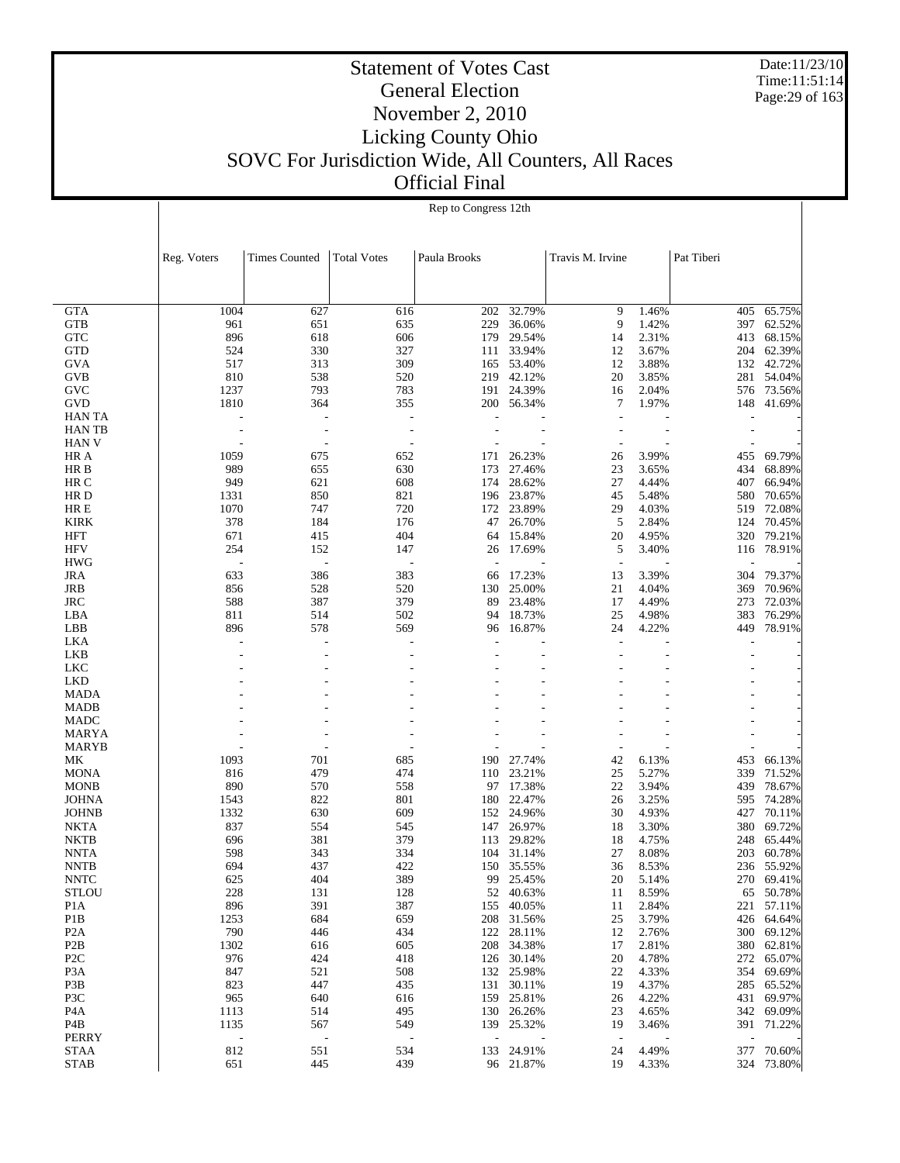Date:11/23/10 Time:11:51:14 Page:29 of 163

|                  |             |                          |                          | Rep to Congress 12th |            |                  |       |                          |            |
|------------------|-------------|--------------------------|--------------------------|----------------------|------------|------------------|-------|--------------------------|------------|
|                  | Reg. Voters | <b>Times Counted</b>     | <b>Total Votes</b>       | Paula Brooks         |            | Travis M. Irvine |       | Pat Tiberi               |            |
|                  |             |                          |                          |                      |            |                  |       |                          |            |
| <b>GTA</b>       | 1004        | 627                      | 616                      | 202                  | 32.79%     | 9                | 1.46% | 405                      | 65.75%     |
| GTB              | 961         | 651                      | 635                      | 229                  | 36.06%     | 9                | 1.42% | 397                      | 62.52%     |
| <b>GTC</b>       | 896         | 618                      | 606                      | 179                  | 29.54%     | 14               | 2.31% | 413                      | 68.15%     |
| <b>GTD</b>       | 524         | 330                      | 327                      | 111                  | 33.94%     | 12               | 3.67% | 204                      | 62.39%     |
| GVA              | 517         | 313                      | 309                      |                      | 165 53.40% | 12               | 3.88% | 132                      | 42.72%     |
| <b>GVB</b>       | 810         | 538                      | 520                      | 219                  | 42.12%     | 20               | 3.85% | 281                      | 54.04%     |
| GVC              | 1237        | 793                      | 783                      | 191                  | 24.39%     | 16               | 2.04% | 576                      | 73.56%     |
| <b>GVD</b>       | 1810        | 364                      | 355                      | 200                  | 56.34%     | 7                | 1.97% | 148                      | 41.69%     |
| <b>HAN TA</b>    |             |                          | ÷,                       |                      |            |                  |       |                          |            |
| <b>HAN TB</b>    |             |                          | $\overline{\phantom{a}}$ |                      |            |                  |       |                          |            |
| <b>HAN V</b>     |             |                          | $\overline{a}$           |                      |            |                  |       |                          |            |
| HR A             | 1059        | 675                      | 652                      | 171                  | 26.23%     | 26               | 3.99% | 455                      | 69.79%     |
| HR B             | 989         | 655                      | 630                      | 173                  | 27.46%     | 23               | 3.65% | 434                      | 68.89%     |
| HR C             | 949         | 621                      | 608                      | 174                  | 28.62%     | 27               | 4.44% | 407                      | 66.94%     |
| HR D             | 1331        | 850                      | 821                      |                      | 196 23.87% | 45               | 5.48% | 580                      | 70.65%     |
| HR E             | 1070        | 747                      | 720                      | 172                  | 23.89%     | 29               | 4.03% | 519                      | 72.08%     |
| <b>KIRK</b>      | 378         | 184                      | 176                      | 47                   | 26.70%     | 5                | 2.84% | 124                      | 70.45%     |
| HFT              | 671         | 415                      | 404                      | 64                   | 15.84%     | 20               | 4.95% | 320                      | 79.21%     |
| <b>HFV</b>       | 254         | 152                      | 147                      | 26                   | 17.69%     | 5                | 3.40% | 116                      | 78.91%     |
| <b>HWG</b>       |             |                          | Ĭ.                       |                      |            |                  |       |                          |            |
| <b>JRA</b>       | 633         | 386                      | 383                      | 66                   | 17.23%     | 13               | 3.39% | 304                      | 79.37%     |
| JRB              | 856         | 528                      | 520                      | 130                  | 25.00%     | 21               | 4.04% | 369                      | 70.96%     |
| <b>JRC</b>       | 588         | 387                      | 379                      | 89                   | 23.48%     | 17               | 4.49% | 273                      | 72.03%     |
| LBA              | 811         | 514                      | 502                      | 94                   | 18.73%     | 25               | 4.98% | 383                      | 76.29%     |
|                  | 896         | 578                      |                          |                      |            | 24               |       |                          |            |
| LBB              |             |                          | 569                      | 96                   | 16.87%     |                  | 4.22% | 449                      | 78.91%     |
| LKA              |             |                          |                          |                      |            |                  |       |                          |            |
| LKB              |             |                          |                          |                      |            |                  |       | ÷.                       |            |
| <b>LKC</b>       |             |                          |                          |                      |            |                  |       |                          |            |
| <b>LKD</b>       |             |                          |                          |                      |            |                  |       |                          |            |
| MADA             |             |                          |                          |                      |            |                  |       |                          |            |
| <b>MADB</b>      |             |                          |                          |                      |            |                  |       |                          |            |
| <b>MADC</b>      |             |                          |                          |                      |            |                  |       |                          |            |
| <b>MARYA</b>     |             |                          |                          |                      |            |                  |       |                          |            |
| <b>MARYB</b>     |             |                          |                          |                      |            |                  |       |                          |            |
| МK               | 1093        | 701                      | 685                      | 190                  | 27.74%     | 42               | 6.13% | 453                      | 66.13%     |
| <b>MONA</b>      | 816         | 479                      | 474                      | 110                  | 23.21%     | 25               | 5.27% | 339                      | 71.52%     |
| <b>MONB</b>      | 890         | 570                      | 558                      | 97                   | 17.38%     | 22               | 3.94% | 439                      | 78.67%     |
| <b>JOHNA</b>     | 1543        | 822                      | 801                      | 180                  | 22.47%     | 26               | 3.25% | 595                      | 74.28%     |
| <b>JOHNB</b>     | 1332        | 630                      | 609                      |                      | 152 24.96% | 30               | 4.93% | 427                      | 70.11%     |
| <b>NKTA</b>      | 837         | 554                      | 545                      | 147                  | 26.97%     | 18               | 3.30% | 380                      | 69.72%     |
| <b>NKTB</b>      | 696         | 381                      | 379                      | 113                  | 29.82%     | 18               | 4.75% | 248                      | 65.44%     |
| <b>NNTA</b>      | 598         | 343                      | 334                      | 104                  | 31.14%     | 27               | 8.08% | 203                      | 60.78%     |
| <b>NNTB</b>      | 694         | 437                      | 422                      |                      | 150 35.55% | 36               | 8.53% |                          | 236 55.92% |
| <b>NNTC</b>      | 625         | 404                      | 389                      | 99                   | 25.45%     | 20               | 5.14% |                          | 270 69.41% |
| <b>STLOU</b>     | 228         | 131                      | 128                      | 52                   | 40.63%     | 11               | 8.59% | 65                       | 50.78%     |
| P <sub>1</sub> A | 896         | 391                      | 387                      | 155                  | 40.05%     | 11               | 2.84% | 221                      | 57.11%     |
| P <sub>1</sub> B | 1253        | 684                      | 659                      | 208                  | 31.56%     | 25               | 3.79% |                          | 426 64.64% |
| P <sub>2</sub> A | 790         | 446                      | 434                      | 122                  | 28.11%     | 12               | 2.76% | 300                      | 69.12%     |
| P <sub>2</sub> B | 1302        | 616                      | 605                      | 208                  | 34.38%     | 17               | 2.81% |                          | 380 62.81% |
| P <sub>2</sub> C | 976         | 424                      | 418                      | 126                  | 30.14%     | 20               | 4.78% | 272                      | 65.07%     |
| P <sub>3</sub> A | 847         | 521                      | 508                      |                      | 132 25.98% | 22               | 4.33% |                          | 354 69.69% |
| P3B              | 823         | 447                      | 435                      | 131                  | 30.11%     | 19               | 4.37% | 285                      | 65.52%     |
|                  |             |                          |                          |                      |            |                  |       |                          |            |
| P3C              | 965         | 640                      | 616                      |                      | 159 25.81% | 26               | 4.22% |                          | 431 69.97% |
| P <sub>4</sub> A | 1113        | 514                      | 495                      |                      | 130 26.26% | 23               | 4.65% |                          | 342 69.09% |
| P4B              | 1135        | 567                      | 549                      |                      | 139 25.32% | 19               | 3.46% |                          | 391 71.22% |
| PERRY            |             | $\overline{\phantom{a}}$ |                          | $\overline{a}$       |            | $\overline{a}$   |       | $\overline{\phantom{a}}$ |            |
| <b>STAA</b>      | 812         | 551                      | 534                      |                      | 133 24.91% | 24               | 4.49% | 377                      | 70.60%     |
| <b>STAB</b>      | 651         | 445                      | 439                      |                      | 96 21.87%  | 19               | 4.33% |                          | 324 73.80% |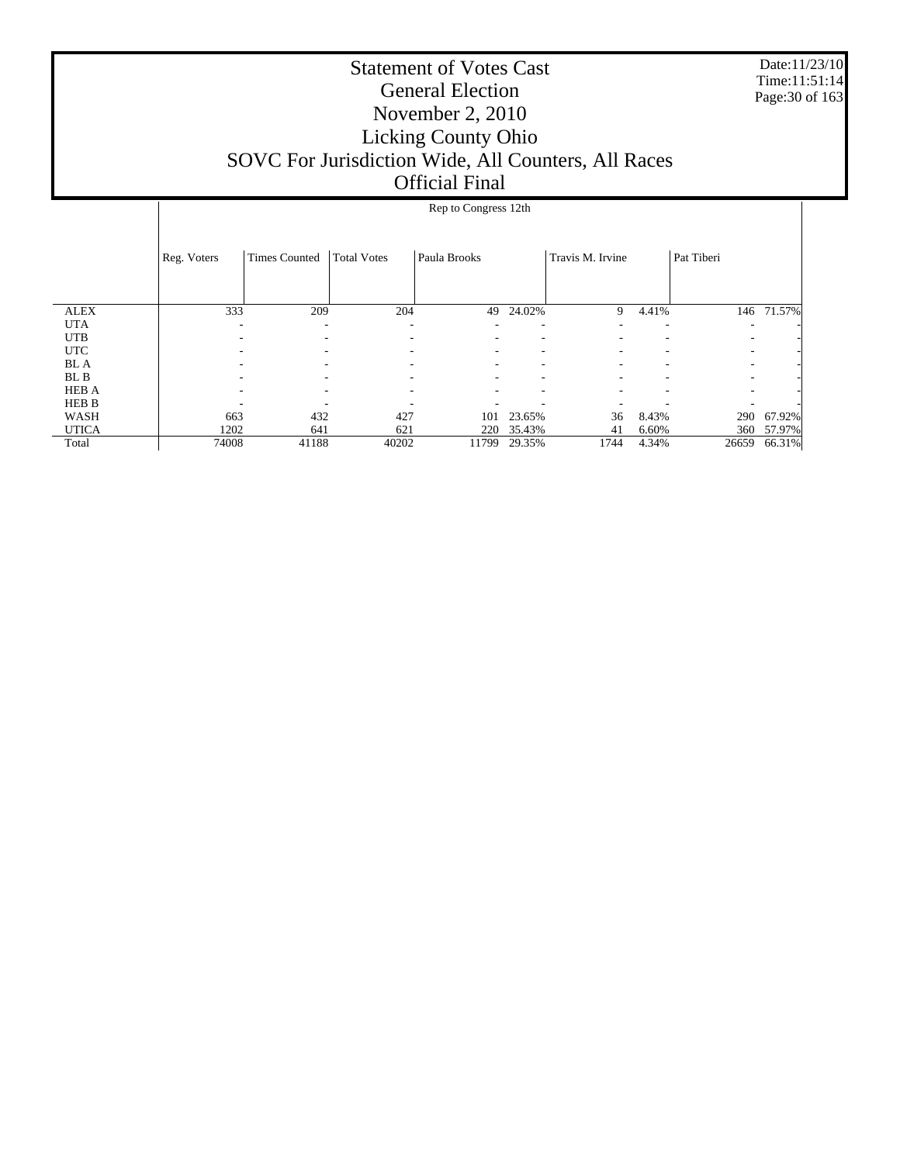Date:11/23/10 Time:11:51:14 Page:30 of 163

|              |             |                          |                    | Rep to Congress 12th |        |                  |       |            |        |
|--------------|-------------|--------------------------|--------------------|----------------------|--------|------------------|-------|------------|--------|
|              |             |                          |                    |                      |        |                  |       |            |        |
|              | Reg. Voters | <b>Times Counted</b>     | <b>Total Votes</b> | Paula Brooks         |        | Travis M. Irvine |       | Pat Tiberi |        |
|              |             |                          |                    |                      |        |                  |       |            |        |
| <b>ALEX</b>  | 333         | 209                      | 204                | 49                   | 24.02% | 9                | 4.41% | 146        | 71.57% |
| <b>UTA</b>   |             | $\overline{\phantom{a}}$ | -                  |                      |        |                  | ۰     | ۰          |        |
| <b>UTB</b>   |             | -                        |                    | ٠                    | ٠      | ۰                | ۰     | ٠          |        |
| <b>UTC</b>   |             | ۰                        |                    | ٠                    | ٠      | ۰                |       | ٠          |        |
| <b>BL</b> A  |             |                          |                    |                      |        |                  |       | ٠          |        |
| BL B         |             |                          |                    |                      |        |                  |       | ۰          |        |
| <b>HEB A</b> |             |                          |                    |                      |        |                  |       | ٠          |        |
| <b>HEB B</b> |             |                          |                    |                      |        |                  |       |            |        |
| WASH         | 663         | 432                      | 427                | 101                  | 23.65% | 36               | 8.43% | 290        | 67.92% |
| <b>UTICA</b> | 1202        | 641                      | 621                | 220                  | 35.43% | 41               | 6.60% | 360        | 57.97% |
| Total        | 74008       | 41188                    | 40202              | 11799                | 29.35% | 1744             | 4.34% | 26659      | 66.31% |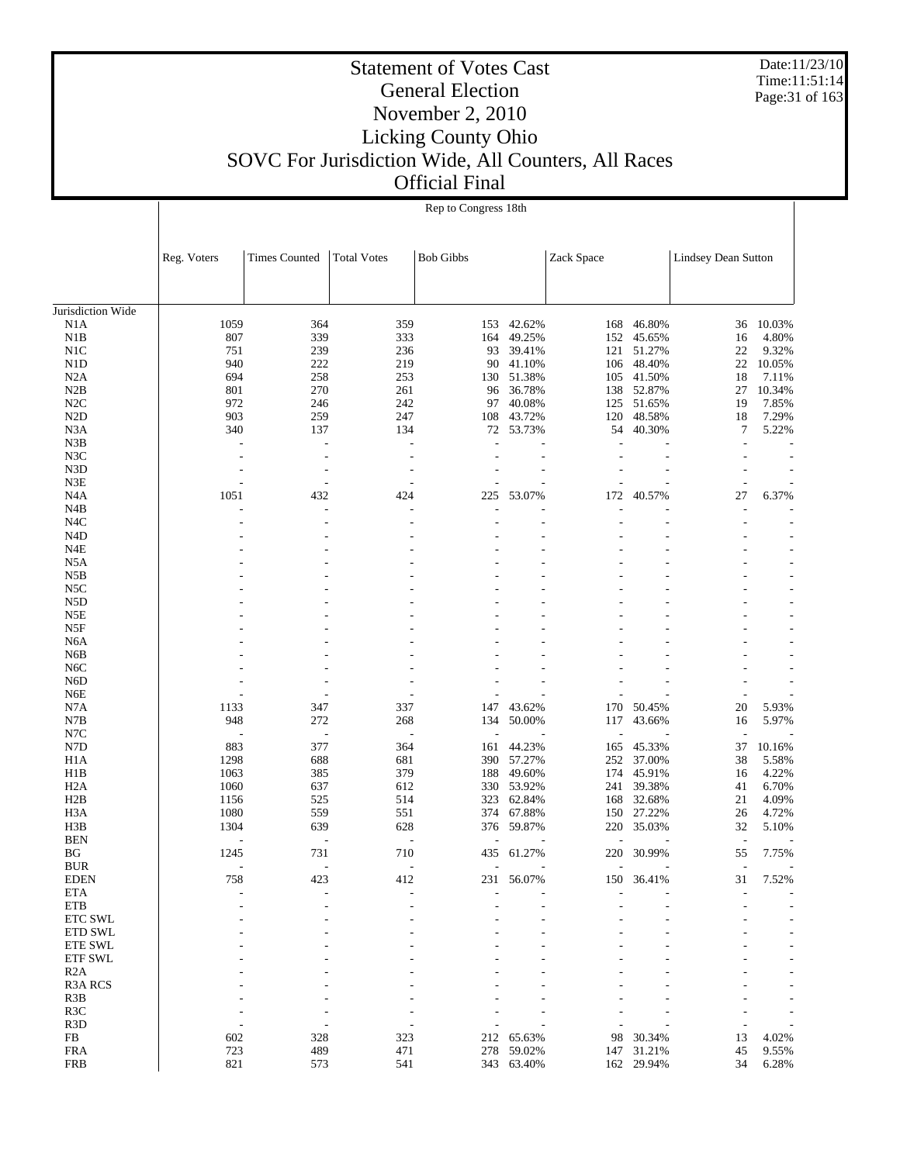Date:11/23/10 Time:11:51:14 Page:31 of 163

### Statement of Votes Cast General Election November 2, 2010 Licking County Ohio SOVC For Jurisdiction Wide, All Counters, All Races Official Final

Jurisdiction Wide N1A N1B N1C N1D N2A N2B N2C N2D N3A N3B N3C N3D N3E N4A N4B N4C N4D N4E N5A N5B N5C N5D N5E N5F N6A N6B N6C N6D N6E N7A N7B N7C N7D H1A H1B H2A H2B H3A H3B BEN BG BUR EDEN ETA ETB ETC SWL ETD SWL ETE SWL ETF SWL R2A R3A RCS R3B R3C R3D FB FRA Reg. Voters Times Counted Total Votes Bob Gibbs Zack Space Lindsey Dean Sutton Rep to Congress 18th 1059 364 359 153 42.62% 168 46.80% 36 10.03%<br>807 339 333 164 49.25% 152 45.65% 16 4.80% 807 333 164 49.25% 152 45.65% 16 4.80% 16<br>239 236 93 39.41% 121 51.27% 22 9.32% 751 239 236 93 39.41% 121 51.27% 22 9.32% 940 222 219 90 41.10% 106 48.40% 22 10.05% 694 258 253 130 51.38% 105 41.50% 18 7.11% 801 270 261 96 36.78% 138 52.87% 27 10.34% 972 246 242 97 40.08% 125 51.65% 19 7.85% 903 259 247 108 43.72% 120 48.58% 18 7.29% 340 137 134 72 53.73% 54 40.30% 7 5.22% - - - - - - - - - - - - - - - - - - - - - - - - - - - - - - - - - - - - 1051 432 424 225 53.07% 172 40.57% 27 6.37% - - - - - - - - - - - - - - - - - - - - - - - - - - - - - - - - - - - - - - - - - - - - - - - - - - - - - - - - - - - - - - - - - - - - - - - - - - - - - - - - - - - - - - - - - - - - - - - - - - - - - - - - - - - - - - - - - - - - - - - - - - - - - - - - - - - - - - - 1133 347 337 147 43.62% 170 50.45% 20 5.93% 948 272 268 134 50.00% 117 43.66% 16 5.97% - - - - - - - - - 883 377 364 161 44.23% 165 45.33% 37 10.16%<br>1298 688 681 390 57.27% 252 37.00% 38 5.58% 1298 688 681 390 57.27% 252 37.00% 38 5.58% 1063 385 379 188 49.60% 174 45.91% 16 4.22% 1060 637 612 330 53.92% 241 39.38% 41 6.70% 1156 525 514 323 62.84% 168 32.68% 21 4.09% 1080 559 551 374 67.88% 150 27.22% 26 4.72% 1304 639 628 376 59.87% 220 35.03% 32 5.10% - - - - - - - - - 1245 731 710 435 61.27% 220 30.99% 55 7.75% - - - - - - - - - 758 423 412 231 56.07% 150 36.41% 31 7.52% - - - - - - - - - - - - - - - - - - - - - - - - - - - - - - - - - - - - - - - - - - - - - - - - - - - - - - - - - - - - - - - - - - - - - - - - - - - - - - - - - - - - - - - - - - - - - - - - - - - 602 328 323 212 65.63% 98 30.34% 13 4.02% 723 489 471 278 59.02% 147 31.21% 45 9.55%

821 573 541 343 63.40% 162 29.94% 34 6.28%

FRB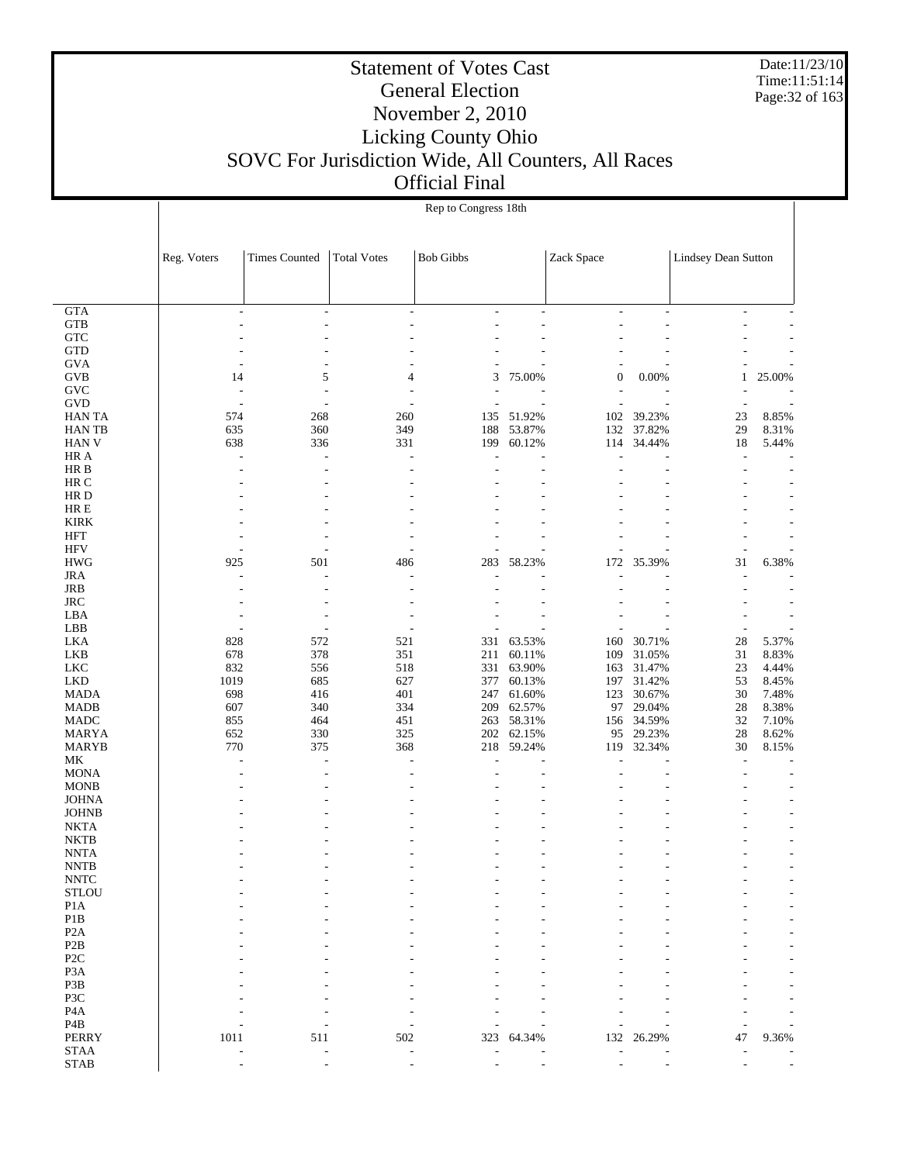Date:11/23/10 Time:11:51:14 Page:32 of 163

| <b>Times Counted</b><br><b>Total Votes</b><br><b>Bob Gibbs</b><br>Zack Space<br><b>Lindsey Dean Sutton</b><br>Reg. Voters<br><b>GTA</b><br>$\overline{\phantom{a}}$<br>$\overline{\phantom{a}}$<br>$\overline{\phantom{a}}$<br>$\overline{\phantom{a}}$<br>$\overline{a}$<br>$\overline{\phantom{a}}$<br>٠<br>$\overline{\phantom{a}}$<br><b>GTB</b><br>$\overline{\phantom{a}}$<br>$\overline{a}$<br>٠<br>L,<br>${\rm GTC}$<br><b>GTD</b><br><b>GVA</b><br>$\overline{\phantom{a}}$<br>5<br><b>GVB</b><br>3<br>75.00%<br>$\mathbf{0}$<br>0.00%<br>14<br>4<br>25.00%<br>1<br><b>GVC</b><br>L.<br>$\overline{a}$<br>$\overline{a}$<br>$\overline{a}$<br><b>GVD</b><br>$\sim$<br>L,<br>$\overline{\phantom{a}}$<br>$\overline{a}$<br>J.<br>574<br>268<br>260<br>51.92%<br>102<br>39.23%<br>8.85%<br><b>HAN TA</b><br>135<br>23<br>37.82%<br>635<br>360<br>349<br>188<br>53.87%<br>132<br>29<br>8.31%<br><b>HANTB</b><br>638<br>336<br>331<br>199<br>60.12%<br>34.44%<br>18<br>HAN V<br>114<br>5.44%<br>HR A<br>L.<br>L,<br>$\sim$<br>L.<br>L,<br>HR B<br>$\overline{a}$<br>$\overline{\phantom{a}}$<br>HR C<br>$\overline{\phantom{a}}$<br>HR D<br>$\overline{a}$<br>HR E<br><b>KIRK</b><br>HFT<br><b>HFV</b><br>$\overline{a}$<br><b>HWG</b><br>925<br>501<br>283<br>58.23%<br>35.39%<br>31<br>6.38%<br>486<br>172<br><b>JRA</b><br>JRB<br>$\overline{a}$<br>$\overline{\phantom{a}}$<br><b>JRC</b><br>$\overline{\phantom{a}}$<br>$\overline{a}$<br>LBA<br>$\overline{a}$<br>$\overline{\phantom{a}}$<br>÷,<br>LBB<br>$\overline{\phantom{a}}$<br>$\sim$<br>÷.<br>$\overline{\phantom{a}}$<br>$\overline{\phantom{a}}$<br>828<br>63.53%<br>160<br>30.71%<br>$28\,$<br>5.37%<br>LKA<br>572<br>521<br>331<br>678<br>378<br>351<br>211<br>60.11%<br>109<br>31.05%<br>31<br>8.83%<br>LKB<br>23<br><b>LKC</b><br>832<br>518<br>331<br>63.90%<br>163<br>31.47%<br>4.44%<br>556<br>1019<br>627<br>377<br>31.42%<br>53<br>8.45%<br>LKD<br>685<br>60.13%<br>197<br>$30\,$<br>698<br>401<br>123<br>30.67%<br>7.48%<br><b>MADA</b><br>416<br>247<br>61.60%<br>607<br>334<br>209<br>62.57%<br>97<br>29.04%<br>$28\,$<br>8.38%<br><b>MADB</b><br>340<br>32<br>855<br>451<br>263<br>58.31%<br>156<br>34.59%<br>7.10%<br><b>MADC</b><br>464<br>$28\,$<br>652<br>330<br>325<br>62.15%<br>29.23%<br>8.62%<br>MARYA<br>202<br>95<br>770<br>375<br>368<br>218<br>59.24%<br>32.34%<br>30<br>MARYB<br>119<br>8.15%<br>МK<br>$\overline{a}$<br>÷,<br>$\overline{\phantom{a}}$<br>Ĭ.<br><b>MONA</b><br>$\overline{a}$<br>$\overline{\phantom{a}}$<br><b>MONB</b><br><b>JOHNA</b><br><b>JOHNB</b><br><b>NKTA</b><br><b>NKTB</b><br>٠<br><b>NNTA</b><br>٠<br>L,<br>٠<br><b>NNTB</b><br><b>NNTC</b><br>$\operatorname{STLOU}$<br>P <sub>1</sub> A<br>P1B<br>P <sub>2</sub> A<br>P <sub>2</sub> B<br>P <sub>2</sub> C<br>P <sub>3</sub> A<br>P3B<br>P3C<br>P <sub>4</sub> A<br>P <sub>4</sub> B<br><b>PERRY</b><br>1011<br>47<br>502<br>323<br>64.34%<br>132 26.29%<br>511<br>9.36%<br><b>STAA</b><br><b>STAB</b><br>٠ |  | Rep to Congress 18th |  |  |  |  |  |  |  |  |
|---------------------------------------------------------------------------------------------------------------------------------------------------------------------------------------------------------------------------------------------------------------------------------------------------------------------------------------------------------------------------------------------------------------------------------------------------------------------------------------------------------------------------------------------------------------------------------------------------------------------------------------------------------------------------------------------------------------------------------------------------------------------------------------------------------------------------------------------------------------------------------------------------------------------------------------------------------------------------------------------------------------------------------------------------------------------------------------------------------------------------------------------------------------------------------------------------------------------------------------------------------------------------------------------------------------------------------------------------------------------------------------------------------------------------------------------------------------------------------------------------------------------------------------------------------------------------------------------------------------------------------------------------------------------------------------------------------------------------------------------------------------------------------------------------------------------------------------------------------------------------------------------------------------------------------------------------------------------------------------------------------------------------------------------------------------------------------------------------------------------------------------------------------------------------------------------------------------------------------------------------------------------------------------------------------------------------------------------------------------------------------------------------------------------------------------------------------------------------------------------------------------------------------------------------------------------------------------------------------------------------------------------------------------------------------------------------------------------------------------------------------------------------------------------------------------------------------------------------------------------------------------------------------------------------------------------------------------------------------------------|--|----------------------|--|--|--|--|--|--|--|--|
|                                                                                                                                                                                                                                                                                                                                                                                                                                                                                                                                                                                                                                                                                                                                                                                                                                                                                                                                                                                                                                                                                                                                                                                                                                                                                                                                                                                                                                                                                                                                                                                                                                                                                                                                                                                                                                                                                                                                                                                                                                                                                                                                                                                                                                                                                                                                                                                                                                                                                                                                                                                                                                                                                                                                                                                                                                                                                                                                                                                             |  |                      |  |  |  |  |  |  |  |  |
|                                                                                                                                                                                                                                                                                                                                                                                                                                                                                                                                                                                                                                                                                                                                                                                                                                                                                                                                                                                                                                                                                                                                                                                                                                                                                                                                                                                                                                                                                                                                                                                                                                                                                                                                                                                                                                                                                                                                                                                                                                                                                                                                                                                                                                                                                                                                                                                                                                                                                                                                                                                                                                                                                                                                                                                                                                                                                                                                                                                             |  |                      |  |  |  |  |  |  |  |  |
|                                                                                                                                                                                                                                                                                                                                                                                                                                                                                                                                                                                                                                                                                                                                                                                                                                                                                                                                                                                                                                                                                                                                                                                                                                                                                                                                                                                                                                                                                                                                                                                                                                                                                                                                                                                                                                                                                                                                                                                                                                                                                                                                                                                                                                                                                                                                                                                                                                                                                                                                                                                                                                                                                                                                                                                                                                                                                                                                                                                             |  |                      |  |  |  |  |  |  |  |  |
|                                                                                                                                                                                                                                                                                                                                                                                                                                                                                                                                                                                                                                                                                                                                                                                                                                                                                                                                                                                                                                                                                                                                                                                                                                                                                                                                                                                                                                                                                                                                                                                                                                                                                                                                                                                                                                                                                                                                                                                                                                                                                                                                                                                                                                                                                                                                                                                                                                                                                                                                                                                                                                                                                                                                                                                                                                                                                                                                                                                             |  |                      |  |  |  |  |  |  |  |  |
|                                                                                                                                                                                                                                                                                                                                                                                                                                                                                                                                                                                                                                                                                                                                                                                                                                                                                                                                                                                                                                                                                                                                                                                                                                                                                                                                                                                                                                                                                                                                                                                                                                                                                                                                                                                                                                                                                                                                                                                                                                                                                                                                                                                                                                                                                                                                                                                                                                                                                                                                                                                                                                                                                                                                                                                                                                                                                                                                                                                             |  |                      |  |  |  |  |  |  |  |  |
|                                                                                                                                                                                                                                                                                                                                                                                                                                                                                                                                                                                                                                                                                                                                                                                                                                                                                                                                                                                                                                                                                                                                                                                                                                                                                                                                                                                                                                                                                                                                                                                                                                                                                                                                                                                                                                                                                                                                                                                                                                                                                                                                                                                                                                                                                                                                                                                                                                                                                                                                                                                                                                                                                                                                                                                                                                                                                                                                                                                             |  |                      |  |  |  |  |  |  |  |  |
|                                                                                                                                                                                                                                                                                                                                                                                                                                                                                                                                                                                                                                                                                                                                                                                                                                                                                                                                                                                                                                                                                                                                                                                                                                                                                                                                                                                                                                                                                                                                                                                                                                                                                                                                                                                                                                                                                                                                                                                                                                                                                                                                                                                                                                                                                                                                                                                                                                                                                                                                                                                                                                                                                                                                                                                                                                                                                                                                                                                             |  |                      |  |  |  |  |  |  |  |  |
|                                                                                                                                                                                                                                                                                                                                                                                                                                                                                                                                                                                                                                                                                                                                                                                                                                                                                                                                                                                                                                                                                                                                                                                                                                                                                                                                                                                                                                                                                                                                                                                                                                                                                                                                                                                                                                                                                                                                                                                                                                                                                                                                                                                                                                                                                                                                                                                                                                                                                                                                                                                                                                                                                                                                                                                                                                                                                                                                                                                             |  |                      |  |  |  |  |  |  |  |  |
|                                                                                                                                                                                                                                                                                                                                                                                                                                                                                                                                                                                                                                                                                                                                                                                                                                                                                                                                                                                                                                                                                                                                                                                                                                                                                                                                                                                                                                                                                                                                                                                                                                                                                                                                                                                                                                                                                                                                                                                                                                                                                                                                                                                                                                                                                                                                                                                                                                                                                                                                                                                                                                                                                                                                                                                                                                                                                                                                                                                             |  |                      |  |  |  |  |  |  |  |  |
|                                                                                                                                                                                                                                                                                                                                                                                                                                                                                                                                                                                                                                                                                                                                                                                                                                                                                                                                                                                                                                                                                                                                                                                                                                                                                                                                                                                                                                                                                                                                                                                                                                                                                                                                                                                                                                                                                                                                                                                                                                                                                                                                                                                                                                                                                                                                                                                                                                                                                                                                                                                                                                                                                                                                                                                                                                                                                                                                                                                             |  |                      |  |  |  |  |  |  |  |  |
|                                                                                                                                                                                                                                                                                                                                                                                                                                                                                                                                                                                                                                                                                                                                                                                                                                                                                                                                                                                                                                                                                                                                                                                                                                                                                                                                                                                                                                                                                                                                                                                                                                                                                                                                                                                                                                                                                                                                                                                                                                                                                                                                                                                                                                                                                                                                                                                                                                                                                                                                                                                                                                                                                                                                                                                                                                                                                                                                                                                             |  |                      |  |  |  |  |  |  |  |  |
|                                                                                                                                                                                                                                                                                                                                                                                                                                                                                                                                                                                                                                                                                                                                                                                                                                                                                                                                                                                                                                                                                                                                                                                                                                                                                                                                                                                                                                                                                                                                                                                                                                                                                                                                                                                                                                                                                                                                                                                                                                                                                                                                                                                                                                                                                                                                                                                                                                                                                                                                                                                                                                                                                                                                                                                                                                                                                                                                                                                             |  |                      |  |  |  |  |  |  |  |  |
|                                                                                                                                                                                                                                                                                                                                                                                                                                                                                                                                                                                                                                                                                                                                                                                                                                                                                                                                                                                                                                                                                                                                                                                                                                                                                                                                                                                                                                                                                                                                                                                                                                                                                                                                                                                                                                                                                                                                                                                                                                                                                                                                                                                                                                                                                                                                                                                                                                                                                                                                                                                                                                                                                                                                                                                                                                                                                                                                                                                             |  |                      |  |  |  |  |  |  |  |  |
|                                                                                                                                                                                                                                                                                                                                                                                                                                                                                                                                                                                                                                                                                                                                                                                                                                                                                                                                                                                                                                                                                                                                                                                                                                                                                                                                                                                                                                                                                                                                                                                                                                                                                                                                                                                                                                                                                                                                                                                                                                                                                                                                                                                                                                                                                                                                                                                                                                                                                                                                                                                                                                                                                                                                                                                                                                                                                                                                                                                             |  |                      |  |  |  |  |  |  |  |  |
|                                                                                                                                                                                                                                                                                                                                                                                                                                                                                                                                                                                                                                                                                                                                                                                                                                                                                                                                                                                                                                                                                                                                                                                                                                                                                                                                                                                                                                                                                                                                                                                                                                                                                                                                                                                                                                                                                                                                                                                                                                                                                                                                                                                                                                                                                                                                                                                                                                                                                                                                                                                                                                                                                                                                                                                                                                                                                                                                                                                             |  |                      |  |  |  |  |  |  |  |  |
|                                                                                                                                                                                                                                                                                                                                                                                                                                                                                                                                                                                                                                                                                                                                                                                                                                                                                                                                                                                                                                                                                                                                                                                                                                                                                                                                                                                                                                                                                                                                                                                                                                                                                                                                                                                                                                                                                                                                                                                                                                                                                                                                                                                                                                                                                                                                                                                                                                                                                                                                                                                                                                                                                                                                                                                                                                                                                                                                                                                             |  |                      |  |  |  |  |  |  |  |  |
|                                                                                                                                                                                                                                                                                                                                                                                                                                                                                                                                                                                                                                                                                                                                                                                                                                                                                                                                                                                                                                                                                                                                                                                                                                                                                                                                                                                                                                                                                                                                                                                                                                                                                                                                                                                                                                                                                                                                                                                                                                                                                                                                                                                                                                                                                                                                                                                                                                                                                                                                                                                                                                                                                                                                                                                                                                                                                                                                                                                             |  |                      |  |  |  |  |  |  |  |  |
|                                                                                                                                                                                                                                                                                                                                                                                                                                                                                                                                                                                                                                                                                                                                                                                                                                                                                                                                                                                                                                                                                                                                                                                                                                                                                                                                                                                                                                                                                                                                                                                                                                                                                                                                                                                                                                                                                                                                                                                                                                                                                                                                                                                                                                                                                                                                                                                                                                                                                                                                                                                                                                                                                                                                                                                                                                                                                                                                                                                             |  |                      |  |  |  |  |  |  |  |  |
|                                                                                                                                                                                                                                                                                                                                                                                                                                                                                                                                                                                                                                                                                                                                                                                                                                                                                                                                                                                                                                                                                                                                                                                                                                                                                                                                                                                                                                                                                                                                                                                                                                                                                                                                                                                                                                                                                                                                                                                                                                                                                                                                                                                                                                                                                                                                                                                                                                                                                                                                                                                                                                                                                                                                                                                                                                                                                                                                                                                             |  |                      |  |  |  |  |  |  |  |  |
|                                                                                                                                                                                                                                                                                                                                                                                                                                                                                                                                                                                                                                                                                                                                                                                                                                                                                                                                                                                                                                                                                                                                                                                                                                                                                                                                                                                                                                                                                                                                                                                                                                                                                                                                                                                                                                                                                                                                                                                                                                                                                                                                                                                                                                                                                                                                                                                                                                                                                                                                                                                                                                                                                                                                                                                                                                                                                                                                                                                             |  |                      |  |  |  |  |  |  |  |  |
|                                                                                                                                                                                                                                                                                                                                                                                                                                                                                                                                                                                                                                                                                                                                                                                                                                                                                                                                                                                                                                                                                                                                                                                                                                                                                                                                                                                                                                                                                                                                                                                                                                                                                                                                                                                                                                                                                                                                                                                                                                                                                                                                                                                                                                                                                                                                                                                                                                                                                                                                                                                                                                                                                                                                                                                                                                                                                                                                                                                             |  |                      |  |  |  |  |  |  |  |  |
|                                                                                                                                                                                                                                                                                                                                                                                                                                                                                                                                                                                                                                                                                                                                                                                                                                                                                                                                                                                                                                                                                                                                                                                                                                                                                                                                                                                                                                                                                                                                                                                                                                                                                                                                                                                                                                                                                                                                                                                                                                                                                                                                                                                                                                                                                                                                                                                                                                                                                                                                                                                                                                                                                                                                                                                                                                                                                                                                                                                             |  |                      |  |  |  |  |  |  |  |  |
|                                                                                                                                                                                                                                                                                                                                                                                                                                                                                                                                                                                                                                                                                                                                                                                                                                                                                                                                                                                                                                                                                                                                                                                                                                                                                                                                                                                                                                                                                                                                                                                                                                                                                                                                                                                                                                                                                                                                                                                                                                                                                                                                                                                                                                                                                                                                                                                                                                                                                                                                                                                                                                                                                                                                                                                                                                                                                                                                                                                             |  |                      |  |  |  |  |  |  |  |  |
|                                                                                                                                                                                                                                                                                                                                                                                                                                                                                                                                                                                                                                                                                                                                                                                                                                                                                                                                                                                                                                                                                                                                                                                                                                                                                                                                                                                                                                                                                                                                                                                                                                                                                                                                                                                                                                                                                                                                                                                                                                                                                                                                                                                                                                                                                                                                                                                                                                                                                                                                                                                                                                                                                                                                                                                                                                                                                                                                                                                             |  |                      |  |  |  |  |  |  |  |  |
|                                                                                                                                                                                                                                                                                                                                                                                                                                                                                                                                                                                                                                                                                                                                                                                                                                                                                                                                                                                                                                                                                                                                                                                                                                                                                                                                                                                                                                                                                                                                                                                                                                                                                                                                                                                                                                                                                                                                                                                                                                                                                                                                                                                                                                                                                                                                                                                                                                                                                                                                                                                                                                                                                                                                                                                                                                                                                                                                                                                             |  |                      |  |  |  |  |  |  |  |  |
|                                                                                                                                                                                                                                                                                                                                                                                                                                                                                                                                                                                                                                                                                                                                                                                                                                                                                                                                                                                                                                                                                                                                                                                                                                                                                                                                                                                                                                                                                                                                                                                                                                                                                                                                                                                                                                                                                                                                                                                                                                                                                                                                                                                                                                                                                                                                                                                                                                                                                                                                                                                                                                                                                                                                                                                                                                                                                                                                                                                             |  |                      |  |  |  |  |  |  |  |  |
|                                                                                                                                                                                                                                                                                                                                                                                                                                                                                                                                                                                                                                                                                                                                                                                                                                                                                                                                                                                                                                                                                                                                                                                                                                                                                                                                                                                                                                                                                                                                                                                                                                                                                                                                                                                                                                                                                                                                                                                                                                                                                                                                                                                                                                                                                                                                                                                                                                                                                                                                                                                                                                                                                                                                                                                                                                                                                                                                                                                             |  |                      |  |  |  |  |  |  |  |  |
|                                                                                                                                                                                                                                                                                                                                                                                                                                                                                                                                                                                                                                                                                                                                                                                                                                                                                                                                                                                                                                                                                                                                                                                                                                                                                                                                                                                                                                                                                                                                                                                                                                                                                                                                                                                                                                                                                                                                                                                                                                                                                                                                                                                                                                                                                                                                                                                                                                                                                                                                                                                                                                                                                                                                                                                                                                                                                                                                                                                             |  |                      |  |  |  |  |  |  |  |  |
|                                                                                                                                                                                                                                                                                                                                                                                                                                                                                                                                                                                                                                                                                                                                                                                                                                                                                                                                                                                                                                                                                                                                                                                                                                                                                                                                                                                                                                                                                                                                                                                                                                                                                                                                                                                                                                                                                                                                                                                                                                                                                                                                                                                                                                                                                                                                                                                                                                                                                                                                                                                                                                                                                                                                                                                                                                                                                                                                                                                             |  |                      |  |  |  |  |  |  |  |  |
|                                                                                                                                                                                                                                                                                                                                                                                                                                                                                                                                                                                                                                                                                                                                                                                                                                                                                                                                                                                                                                                                                                                                                                                                                                                                                                                                                                                                                                                                                                                                                                                                                                                                                                                                                                                                                                                                                                                                                                                                                                                                                                                                                                                                                                                                                                                                                                                                                                                                                                                                                                                                                                                                                                                                                                                                                                                                                                                                                                                             |  |                      |  |  |  |  |  |  |  |  |
|                                                                                                                                                                                                                                                                                                                                                                                                                                                                                                                                                                                                                                                                                                                                                                                                                                                                                                                                                                                                                                                                                                                                                                                                                                                                                                                                                                                                                                                                                                                                                                                                                                                                                                                                                                                                                                                                                                                                                                                                                                                                                                                                                                                                                                                                                                                                                                                                                                                                                                                                                                                                                                                                                                                                                                                                                                                                                                                                                                                             |  |                      |  |  |  |  |  |  |  |  |
|                                                                                                                                                                                                                                                                                                                                                                                                                                                                                                                                                                                                                                                                                                                                                                                                                                                                                                                                                                                                                                                                                                                                                                                                                                                                                                                                                                                                                                                                                                                                                                                                                                                                                                                                                                                                                                                                                                                                                                                                                                                                                                                                                                                                                                                                                                                                                                                                                                                                                                                                                                                                                                                                                                                                                                                                                                                                                                                                                                                             |  |                      |  |  |  |  |  |  |  |  |
|                                                                                                                                                                                                                                                                                                                                                                                                                                                                                                                                                                                                                                                                                                                                                                                                                                                                                                                                                                                                                                                                                                                                                                                                                                                                                                                                                                                                                                                                                                                                                                                                                                                                                                                                                                                                                                                                                                                                                                                                                                                                                                                                                                                                                                                                                                                                                                                                                                                                                                                                                                                                                                                                                                                                                                                                                                                                                                                                                                                             |  |                      |  |  |  |  |  |  |  |  |
|                                                                                                                                                                                                                                                                                                                                                                                                                                                                                                                                                                                                                                                                                                                                                                                                                                                                                                                                                                                                                                                                                                                                                                                                                                                                                                                                                                                                                                                                                                                                                                                                                                                                                                                                                                                                                                                                                                                                                                                                                                                                                                                                                                                                                                                                                                                                                                                                                                                                                                                                                                                                                                                                                                                                                                                                                                                                                                                                                                                             |  |                      |  |  |  |  |  |  |  |  |
|                                                                                                                                                                                                                                                                                                                                                                                                                                                                                                                                                                                                                                                                                                                                                                                                                                                                                                                                                                                                                                                                                                                                                                                                                                                                                                                                                                                                                                                                                                                                                                                                                                                                                                                                                                                                                                                                                                                                                                                                                                                                                                                                                                                                                                                                                                                                                                                                                                                                                                                                                                                                                                                                                                                                                                                                                                                                                                                                                                                             |  |                      |  |  |  |  |  |  |  |  |
|                                                                                                                                                                                                                                                                                                                                                                                                                                                                                                                                                                                                                                                                                                                                                                                                                                                                                                                                                                                                                                                                                                                                                                                                                                                                                                                                                                                                                                                                                                                                                                                                                                                                                                                                                                                                                                                                                                                                                                                                                                                                                                                                                                                                                                                                                                                                                                                                                                                                                                                                                                                                                                                                                                                                                                                                                                                                                                                                                                                             |  |                      |  |  |  |  |  |  |  |  |
|                                                                                                                                                                                                                                                                                                                                                                                                                                                                                                                                                                                                                                                                                                                                                                                                                                                                                                                                                                                                                                                                                                                                                                                                                                                                                                                                                                                                                                                                                                                                                                                                                                                                                                                                                                                                                                                                                                                                                                                                                                                                                                                                                                                                                                                                                                                                                                                                                                                                                                                                                                                                                                                                                                                                                                                                                                                                                                                                                                                             |  |                      |  |  |  |  |  |  |  |  |
|                                                                                                                                                                                                                                                                                                                                                                                                                                                                                                                                                                                                                                                                                                                                                                                                                                                                                                                                                                                                                                                                                                                                                                                                                                                                                                                                                                                                                                                                                                                                                                                                                                                                                                                                                                                                                                                                                                                                                                                                                                                                                                                                                                                                                                                                                                                                                                                                                                                                                                                                                                                                                                                                                                                                                                                                                                                                                                                                                                                             |  |                      |  |  |  |  |  |  |  |  |
|                                                                                                                                                                                                                                                                                                                                                                                                                                                                                                                                                                                                                                                                                                                                                                                                                                                                                                                                                                                                                                                                                                                                                                                                                                                                                                                                                                                                                                                                                                                                                                                                                                                                                                                                                                                                                                                                                                                                                                                                                                                                                                                                                                                                                                                                                                                                                                                                                                                                                                                                                                                                                                                                                                                                                                                                                                                                                                                                                                                             |  |                      |  |  |  |  |  |  |  |  |
|                                                                                                                                                                                                                                                                                                                                                                                                                                                                                                                                                                                                                                                                                                                                                                                                                                                                                                                                                                                                                                                                                                                                                                                                                                                                                                                                                                                                                                                                                                                                                                                                                                                                                                                                                                                                                                                                                                                                                                                                                                                                                                                                                                                                                                                                                                                                                                                                                                                                                                                                                                                                                                                                                                                                                                                                                                                                                                                                                                                             |  |                      |  |  |  |  |  |  |  |  |
|                                                                                                                                                                                                                                                                                                                                                                                                                                                                                                                                                                                                                                                                                                                                                                                                                                                                                                                                                                                                                                                                                                                                                                                                                                                                                                                                                                                                                                                                                                                                                                                                                                                                                                                                                                                                                                                                                                                                                                                                                                                                                                                                                                                                                                                                                                                                                                                                                                                                                                                                                                                                                                                                                                                                                                                                                                                                                                                                                                                             |  |                      |  |  |  |  |  |  |  |  |
|                                                                                                                                                                                                                                                                                                                                                                                                                                                                                                                                                                                                                                                                                                                                                                                                                                                                                                                                                                                                                                                                                                                                                                                                                                                                                                                                                                                                                                                                                                                                                                                                                                                                                                                                                                                                                                                                                                                                                                                                                                                                                                                                                                                                                                                                                                                                                                                                                                                                                                                                                                                                                                                                                                                                                                                                                                                                                                                                                                                             |  |                      |  |  |  |  |  |  |  |  |
|                                                                                                                                                                                                                                                                                                                                                                                                                                                                                                                                                                                                                                                                                                                                                                                                                                                                                                                                                                                                                                                                                                                                                                                                                                                                                                                                                                                                                                                                                                                                                                                                                                                                                                                                                                                                                                                                                                                                                                                                                                                                                                                                                                                                                                                                                                                                                                                                                                                                                                                                                                                                                                                                                                                                                                                                                                                                                                                                                                                             |  |                      |  |  |  |  |  |  |  |  |
|                                                                                                                                                                                                                                                                                                                                                                                                                                                                                                                                                                                                                                                                                                                                                                                                                                                                                                                                                                                                                                                                                                                                                                                                                                                                                                                                                                                                                                                                                                                                                                                                                                                                                                                                                                                                                                                                                                                                                                                                                                                                                                                                                                                                                                                                                                                                                                                                                                                                                                                                                                                                                                                                                                                                                                                                                                                                                                                                                                                             |  |                      |  |  |  |  |  |  |  |  |
|                                                                                                                                                                                                                                                                                                                                                                                                                                                                                                                                                                                                                                                                                                                                                                                                                                                                                                                                                                                                                                                                                                                                                                                                                                                                                                                                                                                                                                                                                                                                                                                                                                                                                                                                                                                                                                                                                                                                                                                                                                                                                                                                                                                                                                                                                                                                                                                                                                                                                                                                                                                                                                                                                                                                                                                                                                                                                                                                                                                             |  |                      |  |  |  |  |  |  |  |  |
|                                                                                                                                                                                                                                                                                                                                                                                                                                                                                                                                                                                                                                                                                                                                                                                                                                                                                                                                                                                                                                                                                                                                                                                                                                                                                                                                                                                                                                                                                                                                                                                                                                                                                                                                                                                                                                                                                                                                                                                                                                                                                                                                                                                                                                                                                                                                                                                                                                                                                                                                                                                                                                                                                                                                                                                                                                                                                                                                                                                             |  |                      |  |  |  |  |  |  |  |  |
|                                                                                                                                                                                                                                                                                                                                                                                                                                                                                                                                                                                                                                                                                                                                                                                                                                                                                                                                                                                                                                                                                                                                                                                                                                                                                                                                                                                                                                                                                                                                                                                                                                                                                                                                                                                                                                                                                                                                                                                                                                                                                                                                                                                                                                                                                                                                                                                                                                                                                                                                                                                                                                                                                                                                                                                                                                                                                                                                                                                             |  |                      |  |  |  |  |  |  |  |  |
|                                                                                                                                                                                                                                                                                                                                                                                                                                                                                                                                                                                                                                                                                                                                                                                                                                                                                                                                                                                                                                                                                                                                                                                                                                                                                                                                                                                                                                                                                                                                                                                                                                                                                                                                                                                                                                                                                                                                                                                                                                                                                                                                                                                                                                                                                                                                                                                                                                                                                                                                                                                                                                                                                                                                                                                                                                                                                                                                                                                             |  |                      |  |  |  |  |  |  |  |  |
|                                                                                                                                                                                                                                                                                                                                                                                                                                                                                                                                                                                                                                                                                                                                                                                                                                                                                                                                                                                                                                                                                                                                                                                                                                                                                                                                                                                                                                                                                                                                                                                                                                                                                                                                                                                                                                                                                                                                                                                                                                                                                                                                                                                                                                                                                                                                                                                                                                                                                                                                                                                                                                                                                                                                                                                                                                                                                                                                                                                             |  |                      |  |  |  |  |  |  |  |  |
|                                                                                                                                                                                                                                                                                                                                                                                                                                                                                                                                                                                                                                                                                                                                                                                                                                                                                                                                                                                                                                                                                                                                                                                                                                                                                                                                                                                                                                                                                                                                                                                                                                                                                                                                                                                                                                                                                                                                                                                                                                                                                                                                                                                                                                                                                                                                                                                                                                                                                                                                                                                                                                                                                                                                                                                                                                                                                                                                                                                             |  |                      |  |  |  |  |  |  |  |  |
|                                                                                                                                                                                                                                                                                                                                                                                                                                                                                                                                                                                                                                                                                                                                                                                                                                                                                                                                                                                                                                                                                                                                                                                                                                                                                                                                                                                                                                                                                                                                                                                                                                                                                                                                                                                                                                                                                                                                                                                                                                                                                                                                                                                                                                                                                                                                                                                                                                                                                                                                                                                                                                                                                                                                                                                                                                                                                                                                                                                             |  |                      |  |  |  |  |  |  |  |  |
|                                                                                                                                                                                                                                                                                                                                                                                                                                                                                                                                                                                                                                                                                                                                                                                                                                                                                                                                                                                                                                                                                                                                                                                                                                                                                                                                                                                                                                                                                                                                                                                                                                                                                                                                                                                                                                                                                                                                                                                                                                                                                                                                                                                                                                                                                                                                                                                                                                                                                                                                                                                                                                                                                                                                                                                                                                                                                                                                                                                             |  |                      |  |  |  |  |  |  |  |  |
|                                                                                                                                                                                                                                                                                                                                                                                                                                                                                                                                                                                                                                                                                                                                                                                                                                                                                                                                                                                                                                                                                                                                                                                                                                                                                                                                                                                                                                                                                                                                                                                                                                                                                                                                                                                                                                                                                                                                                                                                                                                                                                                                                                                                                                                                                                                                                                                                                                                                                                                                                                                                                                                                                                                                                                                                                                                                                                                                                                                             |  |                      |  |  |  |  |  |  |  |  |
|                                                                                                                                                                                                                                                                                                                                                                                                                                                                                                                                                                                                                                                                                                                                                                                                                                                                                                                                                                                                                                                                                                                                                                                                                                                                                                                                                                                                                                                                                                                                                                                                                                                                                                                                                                                                                                                                                                                                                                                                                                                                                                                                                                                                                                                                                                                                                                                                                                                                                                                                                                                                                                                                                                                                                                                                                                                                                                                                                                                             |  |                      |  |  |  |  |  |  |  |  |
|                                                                                                                                                                                                                                                                                                                                                                                                                                                                                                                                                                                                                                                                                                                                                                                                                                                                                                                                                                                                                                                                                                                                                                                                                                                                                                                                                                                                                                                                                                                                                                                                                                                                                                                                                                                                                                                                                                                                                                                                                                                                                                                                                                                                                                                                                                                                                                                                                                                                                                                                                                                                                                                                                                                                                                                                                                                                                                                                                                                             |  |                      |  |  |  |  |  |  |  |  |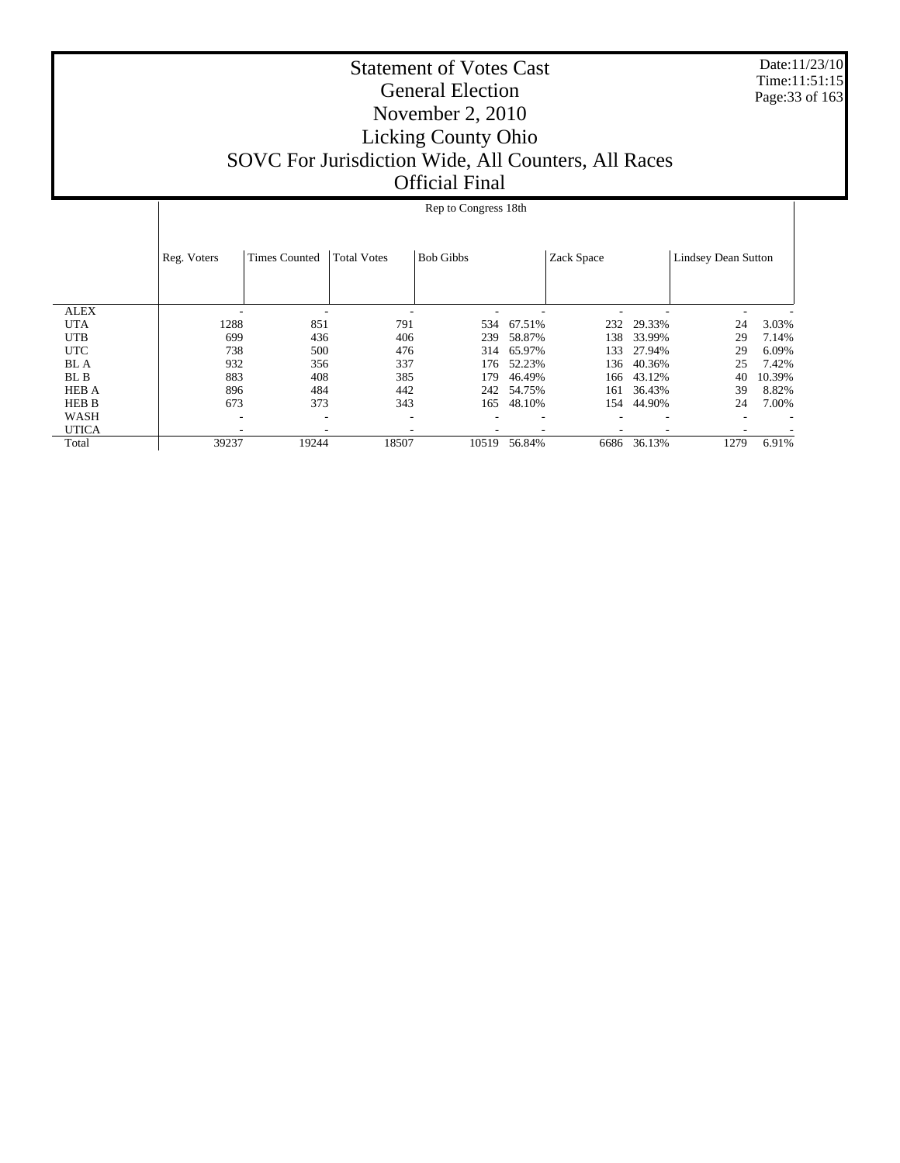Date:11/23/10 Time:11:51:15 Page:33 of 163

|              |             |                          |                    | Rep to Congress 18th |        |            |        |                            |        |
|--------------|-------------|--------------------------|--------------------|----------------------|--------|------------|--------|----------------------------|--------|
|              |             |                          |                    |                      |        |            |        |                            |        |
|              | Reg. Voters | <b>Times Counted</b>     | <b>Total Votes</b> | <b>Bob Gibbs</b>     |        | Zack Space |        | <b>Lindsey Dean Sutton</b> |        |
|              |             |                          |                    |                      |        |            |        |                            |        |
|              |             |                          |                    |                      |        |            |        |                            |        |
| <b>ALEX</b>  |             |                          |                    |                      |        |            |        |                            |        |
| <b>UTA</b>   | 1288        | 851                      | 791                | 534                  | 67.51% | 232        | 29.33% | 24                         | 3.03%  |
| <b>UTB</b>   | 699         | 436                      | 406                | 239                  | 58.87% | 138        | 33.99% | 29                         | 7.14%  |
| <b>UTC</b>   | 738         | 500                      | 476                | 314                  | 65.97% | 133        | 27.94% | 29                         | 6.09%  |
| <b>BL</b> A  | 932         | 356                      | 337                | 176                  | 52.23% | 136        | 40.36% | 25                         | 7.42%  |
| BL B         | 883         | 408                      | 385                | 179                  | 46.49% | 166        | 43.12% | 40                         | 10.39% |
| <b>HEB A</b> | 896         | 484                      | 442                | 242                  | 54.75% | 161        | 36.43% | 39                         | 8.82%  |
| HEB B        | 673         | 373                      | 343                | 165                  | 48.10% | 154        | 44.90% | 24                         | 7.00%  |
| <b>WASH</b>  | ٠           | $\overline{\phantom{a}}$ | -                  |                      |        |            |        |                            |        |
| <b>UTICA</b> |             |                          |                    |                      |        |            |        |                            |        |
| Total        | 39237       | 19244                    | 18507              | 10519                | 56.84% | 6686       | 36.13% | 1279                       | 6.91%  |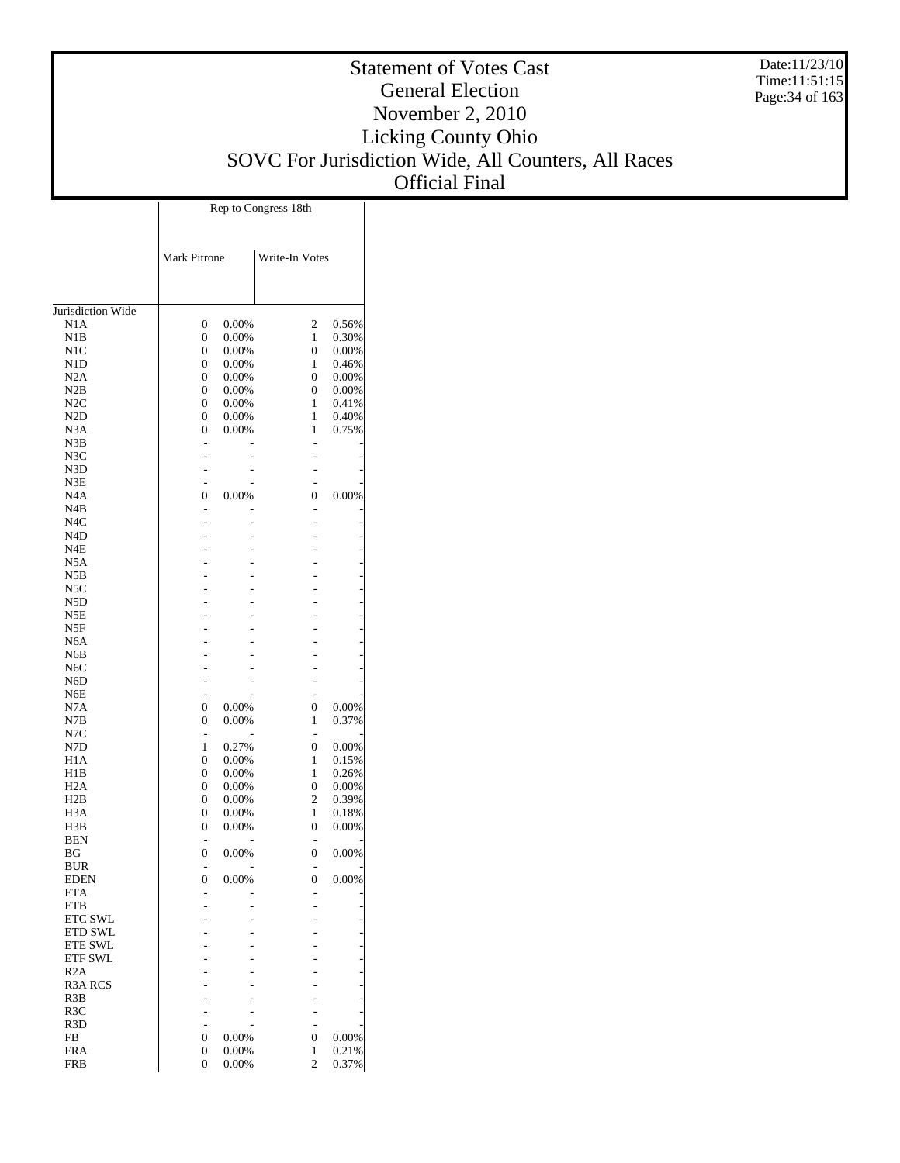Date:11/23/10 Time:11:51:15 Page:34 of 163

|                                      |                                  |                | Rep to Congress 18th |                |
|--------------------------------------|----------------------------------|----------------|----------------------|----------------|
|                                      | Mark Pitrone                     |                | Write-In Votes       |                |
|                                      |                                  |                |                      |                |
| Jurisdiction Wide<br>N1A             | 0                                | 0.00%          | $\boldsymbol{2}$     | 0.56%          |
| N1B                                  | $\overline{0}$                   | 0.00%          | 1                    | 0.30%          |
| N1C                                  | $\overline{0}$                   | 0.00%          | 0                    | 0.00%          |
| N1D                                  | $\overline{0}$                   | 0.00%          | 1                    | 0.46%          |
| N2A                                  | $\boldsymbol{0}$                 | 0.00%          | 0                    | 0.00%          |
| N2B                                  | $\boldsymbol{0}$                 | 0.00%          | 0                    | 0.00%          |
| N2C                                  | $\overline{0}$                   | 0.00%          | 1                    | 0.41%          |
| N <sub>2</sub> D                     | $\boldsymbol{0}$                 | 0.00%          | 1                    | 0.40%          |
| N3A<br>N3B                           | $\overline{0}$                   | 0.00%          | 1                    | 0.75%          |
| N3C                                  |                                  |                |                      |                |
| N3D                                  |                                  |                |                      |                |
| N3E                                  |                                  |                |                      |                |
| N <sub>4</sub> A                     | 0                                | 0.00%          | 0                    | 0.00%          |
| N4B                                  |                                  |                |                      |                |
| N <sub>4</sub> C                     |                                  |                | -                    |                |
| N4D                                  |                                  |                |                      |                |
| N4E                                  |                                  |                |                      |                |
| N5A                                  |                                  |                |                      |                |
| N5B                                  |                                  |                |                      |                |
| N5C                                  |                                  |                |                      |                |
| N5D                                  |                                  |                |                      |                |
| N5E<br>N5F                           |                                  |                |                      |                |
| N <sub>6</sub> A                     |                                  |                |                      |                |
| N6B                                  |                                  |                |                      |                |
| N <sub>6</sub> C                     |                                  |                |                      |                |
| N <sub>6</sub> D                     |                                  |                |                      |                |
| N6E                                  |                                  |                |                      |                |
| N7A                                  | $\boldsymbol{0}$                 | 0.00%          | 0                    | 0.00%          |
| N7B                                  | $\overline{0}$                   | 0.00%          | 1                    | 0.37%          |
| N7C                                  |                                  |                |                      |                |
| N7D                                  | 1                                | 0.27%          | 0                    | 0.00%          |
| H1A                                  | $\overline{0}$                   | 0.00%          | 1                    | 0.15%          |
| H1B                                  | 0                                | 0.00%          | 1                    | 0.26%          |
| H2A                                  | $\overline{0}$                   | 0.00%          | 0                    | 0.00%          |
| H2B                                  | 0                                | 0.00%          | 2                    | 0.39%          |
| H <sub>3</sub> A<br>H3B              | $\overline{0}$<br>$\overline{0}$ | 0.00%<br>0.00% | 1<br>0               | 0.18%<br>0.00% |
| <b>BEN</b>                           |                                  |                |                      |                |
| BG                                   | $\overline{0}$                   | 0.00%          | $\overline{0}$       | 0.00%          |
| <b>BUR</b>                           |                                  |                |                      |                |
| <b>EDEN</b>                          | $\overline{0}$                   | 0.00%          | 0                    | 0.00%          |
| <b>ETA</b>                           |                                  |                |                      |                |
| <b>ETB</b>                           |                                  |                |                      |                |
| <b>ETC SWL</b>                       |                                  |                |                      |                |
| <b>ETD SWL</b>                       |                                  |                |                      |                |
| <b>ETE SWL</b>                       |                                  |                |                      |                |
| <b>ETF SWL</b>                       |                                  |                |                      |                |
| R2A                                  |                                  |                |                      |                |
| <b>R3A RCS</b>                       |                                  |                |                      |                |
| R3B                                  |                                  |                |                      |                |
| R <sub>3</sub> C<br>R <sub>3</sub> D |                                  |                |                      |                |
| FB                                   | 0                                | 0.00%          | 0                    | 0.00%          |
| <b>FRA</b>                           | 0                                | 0.00%          | 1                    | 0.21%          |
| <b>FRB</b>                           | $\overline{0}$                   | 0.00%          | $\overline{c}$       | 0.37%          |
|                                      |                                  |                |                      |                |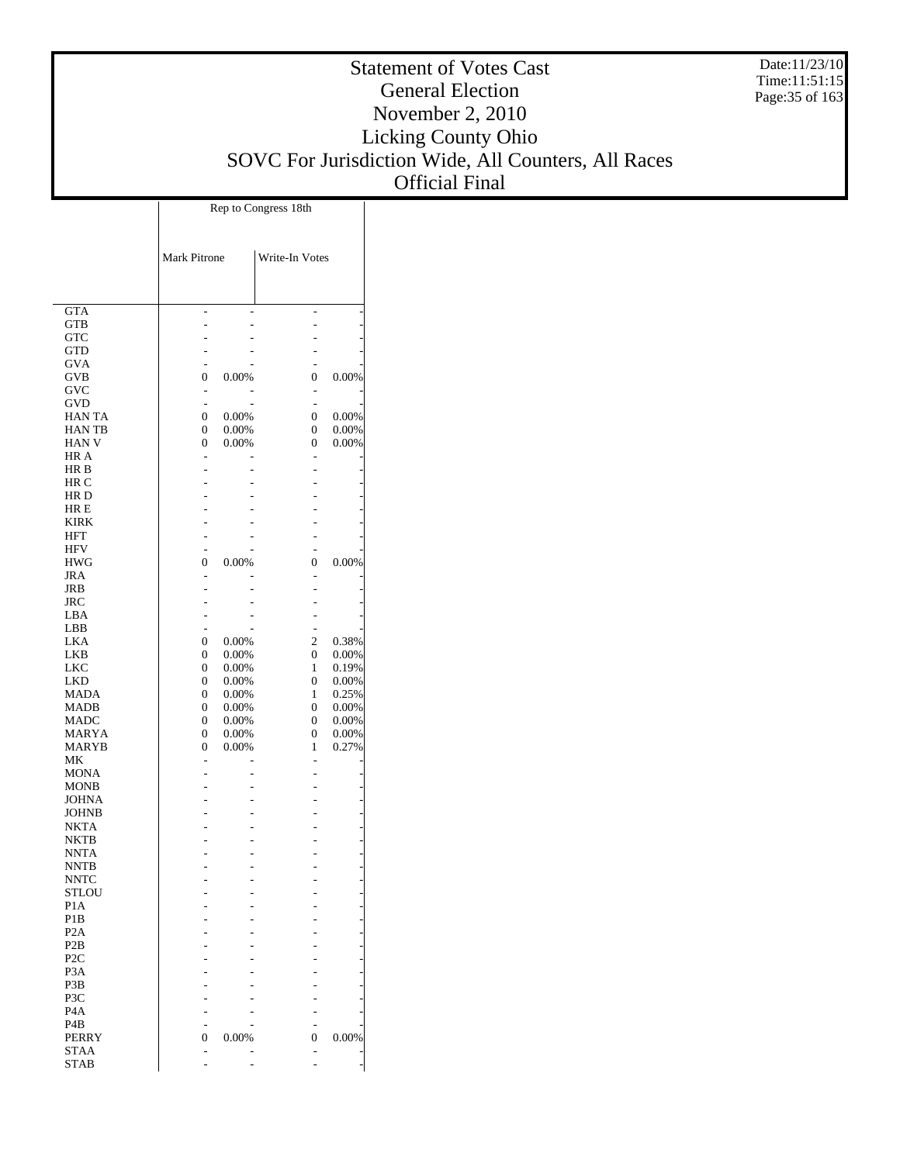Date:11/23/10 Time:11:51:15 Page:35 of 163

# Statement of Votes Cast General Election November 2, 2010 Licking County Ohio SOVC For Jurisdiction Wide, All Counters, All Races Official Final

|                             |              |                | Rep to Congress 18th |                |
|-----------------------------|--------------|----------------|----------------------|----------------|
|                             | Mark Pitrone |                | Write-In Votes       |                |
|                             |              |                |                      |                |
| <b>GTA</b>                  |              |                |                      |                |
| <b>GTB</b><br><b>GTC</b>    |              |                |                      |                |
| <b>GTD</b>                  |              |                |                      |                |
| GVA                         |              |                |                      |                |
| GVB                         | 0            | 0.00%          | 0                    | 0.00%          |
| GVC                         |              |                | $\overline{a}$       |                |
| GVD                         | ÷,           |                | $\overline{a}$       |                |
| HAN TA                      | 0            | 0.00%          | 0                    | 0.00%          |
| HAN TB                      | 0            | 0.00%          | 0                    | 0.00%          |
| <b>HAN V</b><br>HR A        | 0            | 0.00%          | 0<br>$\overline{a}$  | 0.00%          |
| HR B                        |              |                |                      |                |
| HR C                        |              |                |                      |                |
| HR D                        |              |                |                      |                |
| HR E                        |              |                |                      |                |
| <b>KIRK</b>                 |              |                |                      |                |
| HFT                         |              |                |                      |                |
| <b>HFV</b>                  |              |                |                      |                |
| <b>HWG</b>                  | 0            | 0.00%          | 0                    | 0.00%          |
| JRA                         |              |                | $\overline{a}$       |                |
| JRB<br>JRC                  |              |                |                      |                |
| LBA                         |              |                |                      |                |
| LBB                         |              |                | $\overline{a}$       |                |
| LKA                         | 0            | $0.00\%$       | 2                    | 0.38%          |
| LKB                         | 0            | $0.00\%$       | $\boldsymbol{0}$     | 0.00%          |
| <b>LKC</b>                  | 0            | $0.00\%$       | 1                    | 0.19%          |
| LKD                         | 0            | 0.00%          | 0                    | 0.00%          |
| <b>MADA</b>                 | 0            | $0.00\%$       | 1                    | 0.25%          |
| MADB                        | 0            | $0.00\%$       | 0                    | 0.00%          |
| MADC                        | 0            | 0.00%          | 0                    | 0.00%          |
| MARYA                       | 0            | 0.00%<br>0.00% | 0<br>1               | 0.00%<br>0.27% |
| MARYB<br>МK                 | 0            |                | L,                   |                |
| <b>MONA</b>                 |              |                |                      |                |
| <b>MONB</b>                 |              |                |                      |                |
| JOHNA                       |              |                |                      |                |
| JOHNB                       |              |                |                      |                |
| NKTA                        |              |                |                      |                |
| <b>NKTB</b>                 |              |                |                      |                |
| <b>NNTA</b>                 |              |                |                      |                |
| <b>NNTB</b>                 |              |                |                      |                |
| <b>NNTC</b><br><b>STLOU</b> |              |                |                      |                |
| P <sub>1</sub> A            |              |                |                      |                |
| P <sub>1</sub> B            |              |                |                      |                |
| P <sub>2</sub> A            |              |                |                      |                |
| P <sub>2</sub> B            |              |                |                      |                |
| P <sub>2</sub> C            |              |                |                      |                |
| P3A                         |              |                |                      |                |
| P3B                         |              |                |                      |                |
| P3C                         |              |                |                      |                |
| P <sub>4</sub> A            |              |                |                      |                |
| P4B                         |              |                |                      |                |
| <b>PERRY</b><br>STAA        | 0            | 0.00%          | 0                    | 0.00%          |
| <b>STAB</b>                 |              |                |                      |                |
|                             |              |                |                      |                |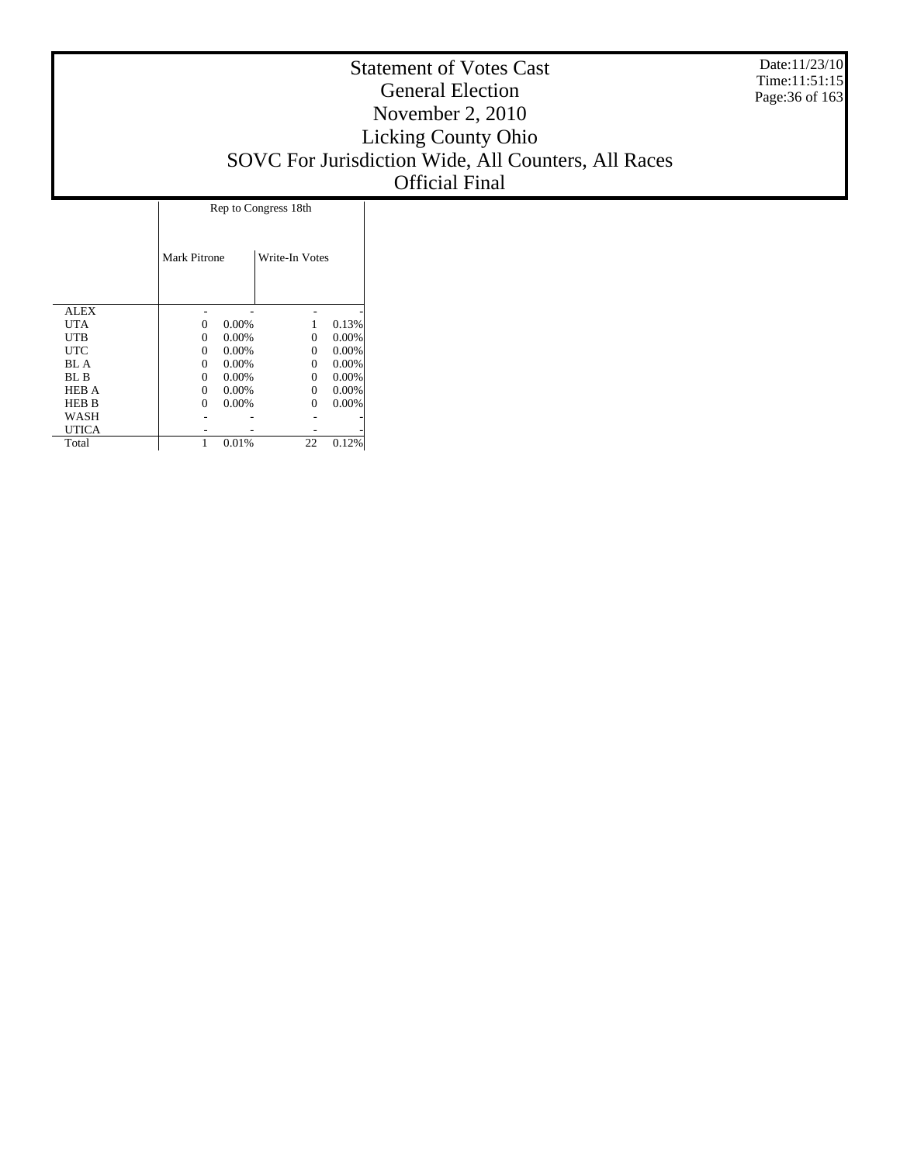Date:11/23/10 Time:11:51:15 Page:36 of 163

|              |              | Rep to Congress 18th |                |       |  |  |  |  |  |
|--------------|--------------|----------------------|----------------|-------|--|--|--|--|--|
|              | Mark Pitrone |                      | Write-In Votes |       |  |  |  |  |  |
| <b>ALEX</b>  |              |                      |                |       |  |  |  |  |  |
| UTA          | $\Omega$     | 0.00%                |                | 0.13% |  |  |  |  |  |
| UTB          | $\Omega$     | 0.00%                | 0              | 0.00% |  |  |  |  |  |
| UTC          | $\Omega$     | 0.00%                | 0              | 0.00% |  |  |  |  |  |
| BL A         | $\Omega$     | 0.00%                | 0              | 0.00% |  |  |  |  |  |
| BL B         | $\theta$     | 0.00%                | 0              | 0.00% |  |  |  |  |  |
| <b>HEB A</b> | $\Omega$     | 0.00%                | 0              | 0.00% |  |  |  |  |  |
| <b>HEB B</b> | $\Omega$     | 0.00%                | 0              | 0.00% |  |  |  |  |  |
| WASH         |              |                      |                |       |  |  |  |  |  |
| UTICA        |              |                      |                |       |  |  |  |  |  |
| Total        |              | 0.01%                | 22             | 0.12% |  |  |  |  |  |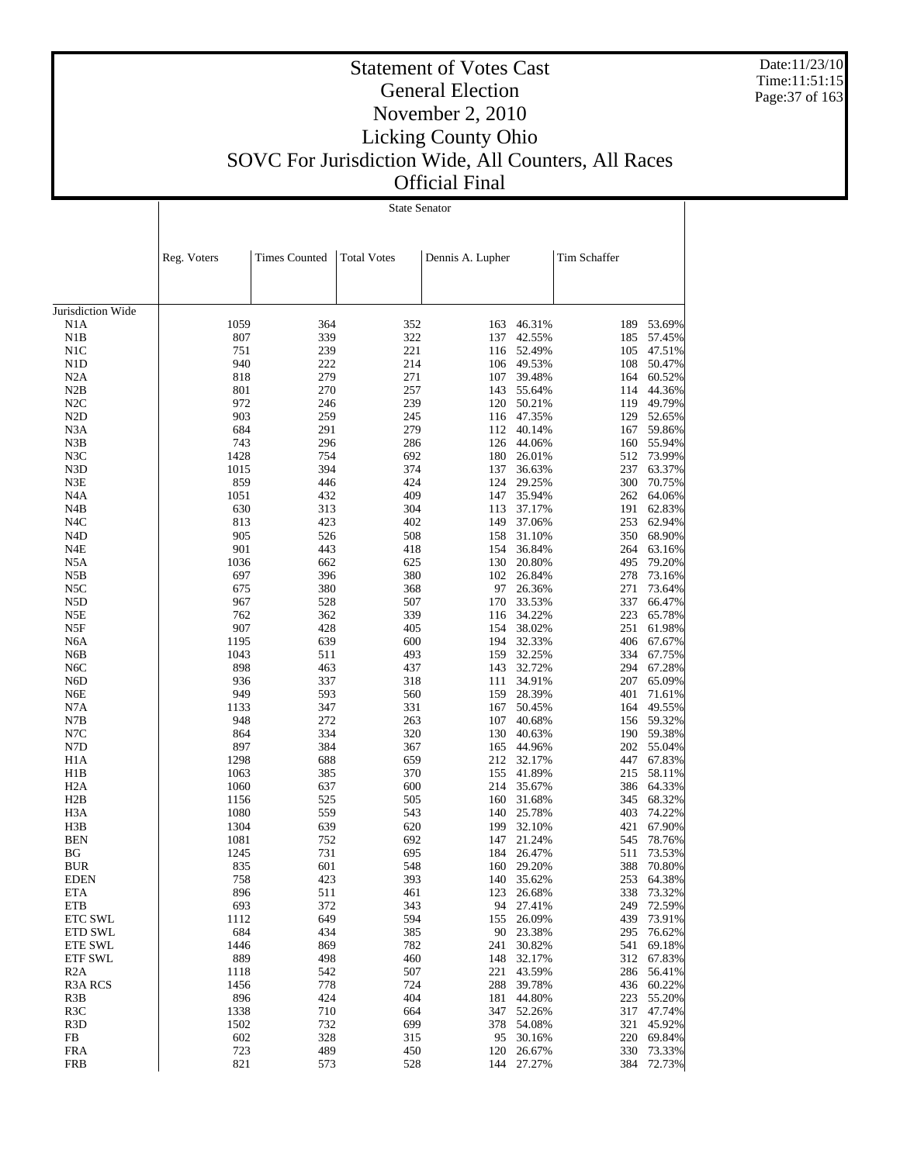Date:11/23/10 Time:11:51:15 Page:37 of 163

 $\mathbf{I}$ 

#### Statement of Votes Cast General Election November 2, 2010 Licking County Ohio SOVC For Jurisdiction Wide, All Counters, All Races Official Final

State Senator

 $\overline{1}$ 

|                          | Reg. Voters | <b>Times Counted</b> | <b>Total Votes</b> | Dennis A. Lupher |                      | Tim Schaffer |                      |
|--------------------------|-------------|----------------------|--------------------|------------------|----------------------|--------------|----------------------|
|                          |             |                      |                    |                  |                      |              |                      |
| Jurisdiction Wide        |             |                      |                    |                  |                      |              |                      |
| N1A                      | 1059        | 364                  | 352                | 163              | 46.31%               | 189          | 53.69%               |
| N1B                      | 807         | 339                  | 322                | 137              | 42.55%               | 185          | 57.45%               |
| N1C                      | 751         | 239                  | 221                |                  | 116 52.49%           | 105          | 47.51%               |
| N <sub>1</sub> D         | 940         | 222                  | 214                | 106              | 49.53%               | 108          | 50.47%               |
| N2A                      | 818         | 279                  | 271                | 107              | 39.48%               | 164          | 60.52%               |
| N2B                      | 801         | 270                  | 257                | 143              | 55.64%               | 114          | 44.36%               |
| N2C                      | 972         | 246                  | 239                | 120              | 50.21%               | 119          | 49.79%               |
| N <sub>2</sub> D         | 903         | 259                  | 245                |                  | 116 47.35%           | 129          | 52.65%               |
| N <sub>3</sub> A         | 684         | 291                  | 279                | 112              | 40.14%               | 167          | 59.86%               |
| N3B                      | 743         | 296                  | 286                | 126              | 44.06%               | 160          | 55.94%               |
| N3C                      | 1428        | 754                  | 692                | 180              | 26.01%               | 512          | 73.99%               |
| N3D                      | 1015<br>859 | 394                  | 374<br>424         | 137<br>124       | 36.63%               | 237<br>300   | 63.37%               |
| N3E<br>N <sub>4</sub> A  | 1051        | 446<br>432           | 409                | 147              | 29.25%<br>35.94%     | 262          | 70.75%<br>64.06%     |
| N4B                      | 630         | 313                  | 304                | 113              | 37.17%               | 191          | 62.83%               |
| N <sub>4</sub> C         | 813         | 423                  | 402                | 149              | 37.06%               | 253          | 62.94%               |
| N <sub>4</sub> D         | 905         | 526                  | 508                | 158              | 31.10%               | 350          | 68.90%               |
| N4E                      | 901         | 443                  | 418                | 154              | 36.84%               | 264          | 63.16%               |
| N <sub>5</sub> A         | 1036        | 662                  | 625                | 130              | 20.80%               | 495          | 79.20%               |
| N5B                      | 697         | 396                  | 380                |                  | 102 26.84%           | 278          | 73.16%               |
| N5C                      | 675         | 380                  | 368                | 97               | 26.36%               | 271          | 73.64%               |
| N <sub>5</sub> D         | 967         | 528                  | 507                | 170              | 33.53%               | 337          | 66.47%               |
| N5E                      | 762         | 362                  | 339                | 116              | 34.22%               | 223          | 65.78%               |
| N5F                      | 907         | 428                  | 405                | 154              | 38.02%               | 251          | 61.98%               |
| N <sub>6</sub> A         | 1195        | 639                  | 600                |                  | 194 32.33%           | 406          | 67.67%               |
| N6B                      | 1043        | 511                  | 493                | 159              | 32.25%               | 334          | 67.75%               |
| N <sub>6</sub> C         | 898         | 463                  | 437                | 143              | 32.72%               | 294          | 67.28%               |
| N <sub>6</sub> D         | 936         | 337                  | 318                | 111              | 34.91%               | 207          | 65.09%               |
| N <sub>6</sub> E         | 949         | 593                  | 560                | 159              | 28.39%               | 401          | 71.61%               |
| N7A                      | 1133        | 347                  | 331                | 167              | 50.45%               | 164          | 49.55%               |
| N7B                      | 948         | 272                  | 263                | 107              | 40.68%               | 156          | 59.32%               |
| N7C                      | 864         | 334                  | 320                | 130              | 40.63%               | 190          | 59.38%               |
| N7D                      | 897         | 384                  | 367                | 165              | 44.96%               | 202          | 55.04%               |
| H <sub>1</sub> A         | 1298        | 688                  | 659                | 212              | 32.17%               | 447          | 67.83%               |
| H1B                      | 1063        | 385                  | 370                | 155              | 41.89%               | 215          | 58.11%               |
| H <sub>2</sub> A         | 1060        | 637                  | 600                | 214              | 35.67%               | 386          | 64.33%               |
| H2B                      | 1156        | 525                  | 505                | 160              | 31.68%               | 345          | 68.32%               |
| H <sub>3</sub> A         | 1080        | 559                  | 543                | 140              | 25.78%               | 403          | 74.22%               |
| H3B                      | 1304        | 639                  | 620                | 199              | 32.10%               | 421          | 67.90%               |
| <b>BEN</b>               | 1081        | 752                  | 692                | 147              | 21.24%               | 545          | 78.76%               |
| ΒG                       | 1245        | 731                  | 695                | 184              | 26.47%               | 511          | 73.53%               |
| BUR                      | 835         | 601                  | 548                | 160              | 29.20%               | 388          | 70.80%               |
| EDEN                     | 758         | 423                  | 393                |                  | 140 35.62%           |              | 253 64.38%<br>73.32% |
| <b>ETA</b><br><b>ETB</b> | 896<br>693  | 511<br>372           | 461<br>343         | 94               | 123 26.68%<br>27.41% | 338<br>249   | 72.59%               |
| ETC SWL                  | 1112        | 649                  | 594                | 155              | 26.09%               | 439          | 73.91%               |
| ETD SWL                  | 684         | 434                  | 385                | 90               | 23.38%               | 295          | 76.62%               |
| <b>ETE SWL</b>           | 1446        | 869                  | 782                | 241              | 30.82%               | 541          | 69.18%               |
| <b>ETF SWL</b>           | 889         | 498                  | 460                | 148              | 32.17%               | 312          | 67.83%               |
| R2A                      | 1118        | 542                  | 507                | 221              | 43.59%               | 286          | 56.41%               |
| R <sub>3</sub> A RCS     | 1456        | 778                  | 724                | 288              | 39.78%               | 436          | 60.22%               |
| R <sub>3</sub> B         | 896         | 424                  | 404                | 181              | 44.80%               | 223          | 55.20%               |
| R <sub>3</sub> C         | 1338        | 710                  | 664                | 347              | 52.26%               | 317          | 47.74%               |
| R <sub>3</sub> D         | 1502        | 732                  | 699                | 378              | 54.08%               | 321          | 45.92%               |
| FB                       | 602         | 328                  | 315                | 95               | 30.16%               | 220          | 69.84%               |
| <b>FRA</b>               | 723         | 489                  | 450                | 120              | 26.67%               | 330          | 73.33%               |
| <b>FRB</b>               | 821         | 573                  | 528                |                  | 144 27.27%           |              | 384 72.73%           |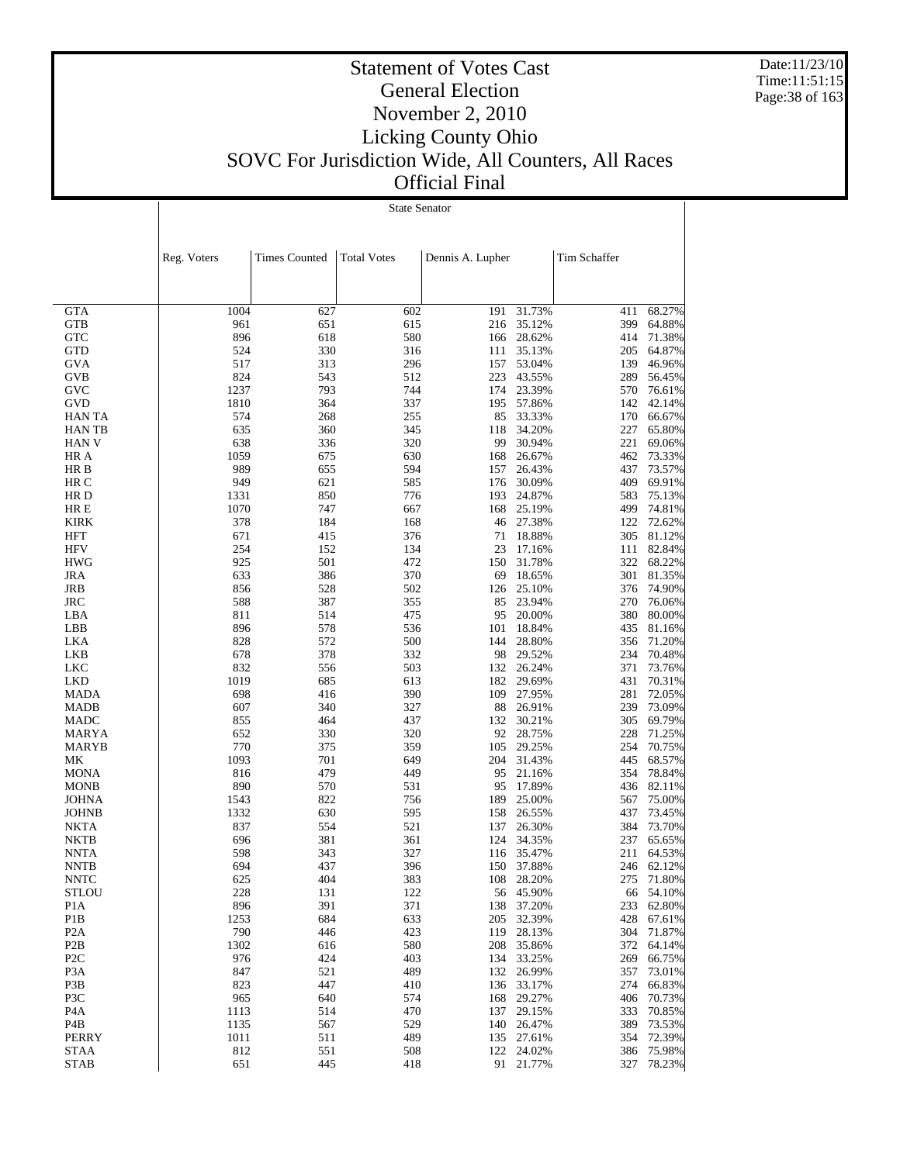Date:11/23/10 Time:11:51:15 Page:38 of 163

#### Statement of Votes Cast General Election November 2, 2010 Licking County Ohio SOVC For Jurisdiction Wide, All Counters, All Races Official Final

**GTA**  GTB **GTC**  GTD **GVA**  GVB GVC GVD HAN TA HAN TB HAN V HR A HR B HR C HR D HR E KIRK HFT **HFV**  HWG JRA JRB JRC LBA LBB LKA LKB LKC LKD MADA MADB MADC MARYA MARYB MK MONA MONB JOHNA JOHNB NKTA NKTB NNTA NNTB NNTC **STLOU**  P1A P1B P2A P2B P2C P3A P3B P3C P4A P4B PERRY STAA Reg. Voters | Times Counted | Total Votes | Dennis A. Lupher | Tim Schaffer State Senator 1004 627 602 191 31.73% 411 68.27% 961 651 615 216 35.12% 399 64.88% 896 618 580 166 28.62% 414 71.38% 524 330 316 111 35.13% 205 64.87% 517 313 296 157 53.04% 139 46.96% 824 543 512 223 43.55% 289 56.45% 1237 793 744 174 23.39% 570 76.61% 1810 364 337 195 57.86% 142 42.14% 574 268 255 85 33.33% 170 66.67% 635 360 345 118 34.20% 227 65.80% 638 336 320 99 30.94% 221 69.06% 1059 675 630 168 26.67% 462 73.33% 989 655 594 157 26.43% 437 73.57% 949 621 585 176 30.09% 409 69.91% 1331 850 776 193 24.87% 583 75.13% 1070 747 667 168 25.19% 499 74.81% 378 184 168 46 27.38% 122 72.62% 671 415 376 71 18.88% 305 81.12% 254 152 134 23 17.16% 111 82.84% 925 501 472 150 31.78% 322 68.22% 633 386 370 69 18.65% 301 81.35% 856 528 502 126 25.10% 376 74.90% 588 387 355 85 23.94% 270 76.06% 811 514 475 95 20.00% 380 80.00% 896 578 536 101 18.84% 435 81.16% 828 572 500 144 28.80% 356 71.20% 678 378 332 98 29.52% 234 70.48% 832 556 503 132 26.24% 371 73.76% 1019 685 613 182 29.69% 431 70.31% 698 416 390 109 27.95% 281 72.05% 607 340 327 88 26.91% 239 73.09% 855 464 437 132 30.21% 305 69.79% 652 330 320 92 28.75% 228 71.25% 770 375 359 105 29.25% 254 70.75% 1093 701 649 204 31.43% 445 68.57% 816 479 449 95 21.16% 354 78.84% 890 570 531 95 17.89% 436 82.11% 1543 822 756 189 25.00% 567 75.00% 1332 630 595 158 26.55% 437 73.45% 837 554 521 137 26.30% 384 73.70% 696 381 361 124 34.35% 237 65.65% 598 343 327 116 35.47% 211 64.53% 694 437 396 150 37.88% 246 62.12% 625 404 383 108 28.20% 275 71.80% 228 131 122 56 45.90% 66 54.10% 896 391 371 138 37.20% 233 62.80% 1253 684 633 205 32.39% 428 67.61% 790 446 423 119 28.13% 304 71.87% 1302 616 580 208 35.86% 372 64.14% 976 424 403 134 33.25% 269 66.75% 847 521 489 132 26.99% 357 73.01% 823 447 410 136 33.17% 274 66.83% 965 640 574 168 29.27% 406 70.73% 1113 514 470 137 29.15% 333 70.85% 1135 567 529 140 26.47% 389 73.53% 1011 511 489 135 27.61% 354 72.39% 812 551 508 122 24.02% 386 75.98%

651 445 418 91 21.77% 327 78.23%

STAB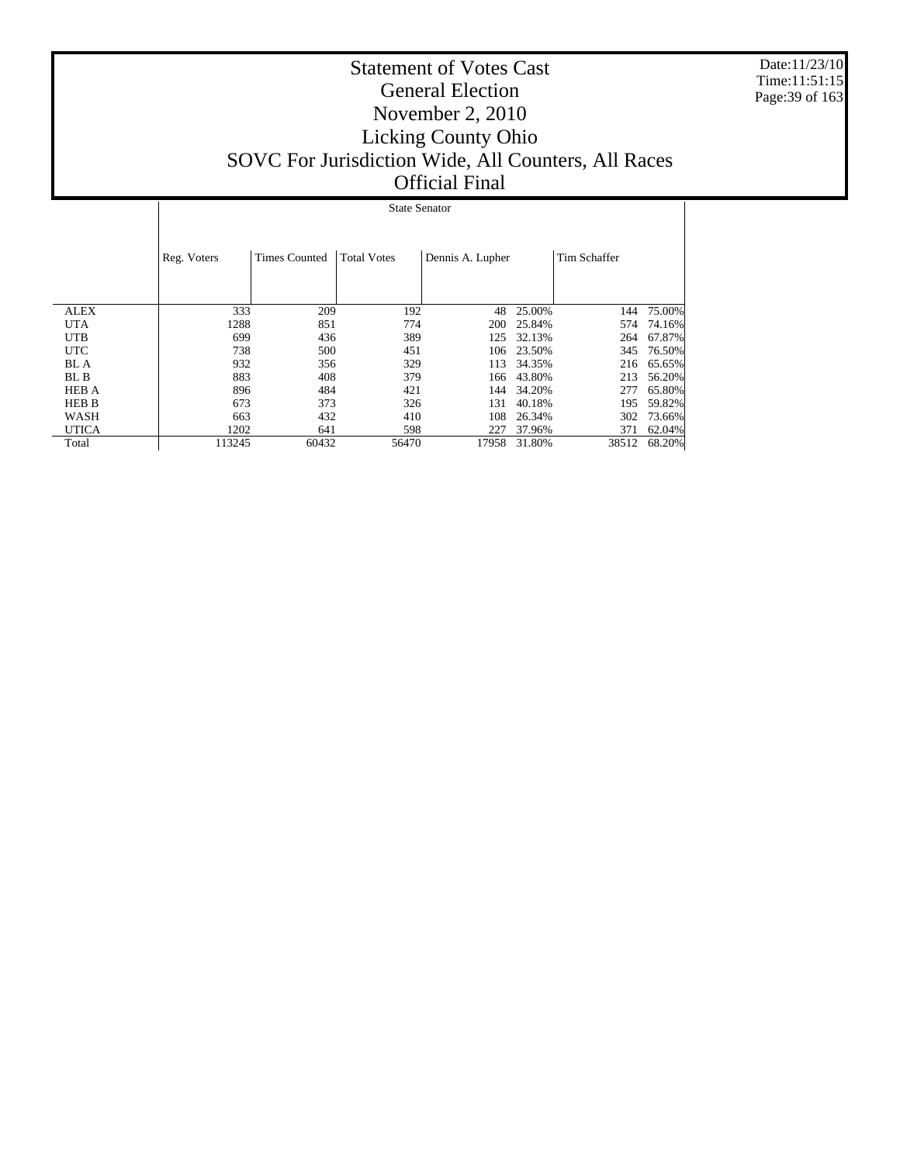Date:11/23/10 Time:11:51:15 Page:39 of 163

|              |                                                                                               | <b>State Senator</b> |       |       |        |       |        |  |  |  |  |  |  |
|--------------|-----------------------------------------------------------------------------------------------|----------------------|-------|-------|--------|-------|--------|--|--|--|--|--|--|
|              | <b>Total Votes</b><br>Reg. Voters<br>Tim Schaffer<br><b>Times Counted</b><br>Dennis A. Lupher |                      |       |       |        |       |        |  |  |  |  |  |  |
| <b>ALEX</b>  | 333                                                                                           | 209                  | 192   | 48    | 25.00% | 144   | 75.00% |  |  |  |  |  |  |
| <b>UTA</b>   | 1288                                                                                          | 851                  | 774   | 200   | 25.84% | 574   | 74.16% |  |  |  |  |  |  |
| <b>UTB</b>   | 699                                                                                           | 436                  | 389   | 125   | 32.13% | 264   | 67.87% |  |  |  |  |  |  |
| <b>UTC</b>   | 738                                                                                           | 500                  | 451   | 106   | 23.50% | 345   | 76.50% |  |  |  |  |  |  |
| BL A         | 932                                                                                           | 356                  | 329   | 113   | 34.35% | 216   | 65.65% |  |  |  |  |  |  |
| BL B         | 883                                                                                           | 408                  | 379   | 166   | 43.80% | 213   | 56.20% |  |  |  |  |  |  |
| <b>HEB A</b> | 896                                                                                           | 484                  | 421   | 144   | 34.20% | 277   | 65.80% |  |  |  |  |  |  |
| <b>HEB B</b> | 673                                                                                           | 373                  | 326   | 131   | 40.18% | 195   | 59.82% |  |  |  |  |  |  |
| WASH         | 663                                                                                           | 432                  | 410   | 108   | 26.34% | 302   | 73.66% |  |  |  |  |  |  |
| <b>UTICA</b> | 1202                                                                                          | 641                  | 598   | 227   | 37.96% | 371   | 62.04% |  |  |  |  |  |  |
| Total        | 113245                                                                                        | 60432                | 56470 | 17958 | 31.80% | 38512 | 68.20% |  |  |  |  |  |  |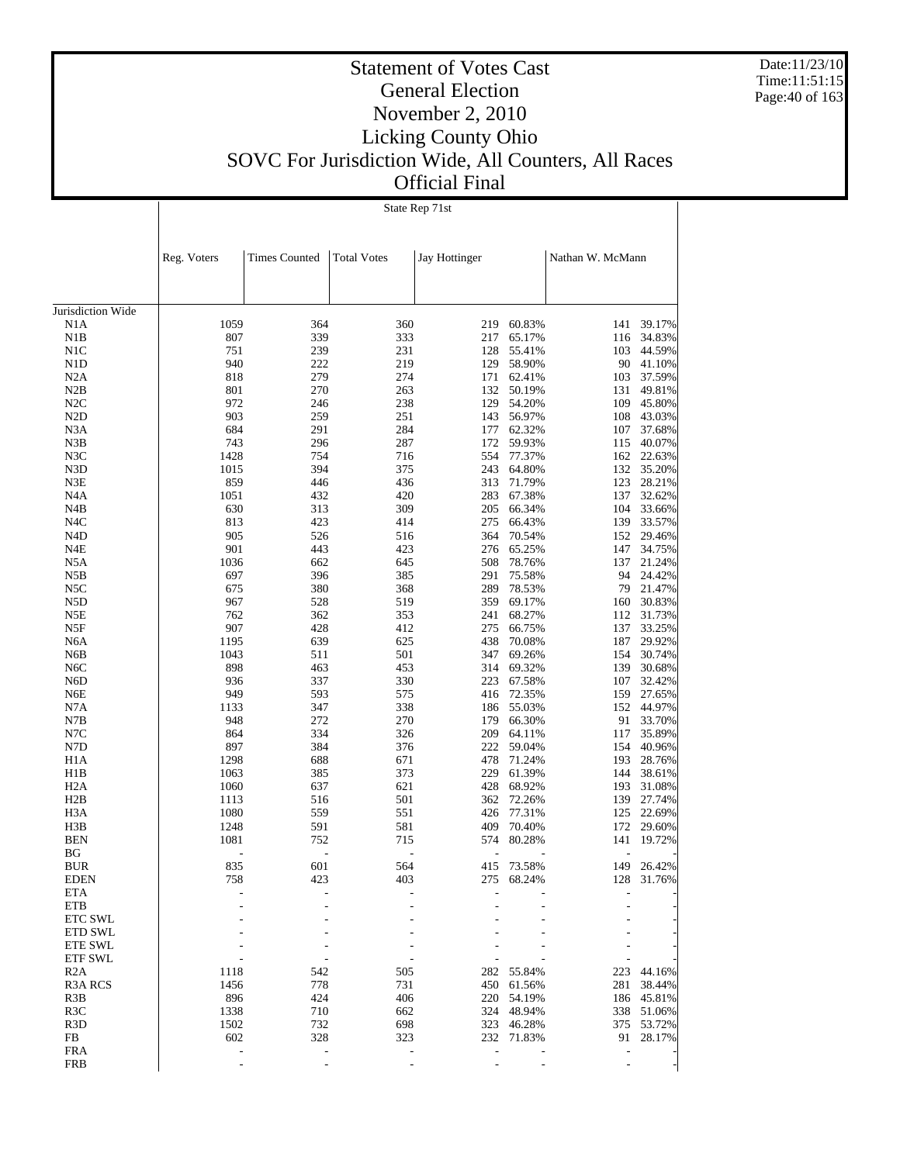Date:11/23/10 Time:11:51:15 Page:40 of 163

 $\overline{\phantom{a}}$ 

#### Statement of Votes Cast General Election November 2, 2010 Licking County Ohio SOVC For Jurisdiction Wide, All Counters, All Races Official Final

State Rep 71st

 $\overline{1}$ 

|                         | Reg. Voters  | <b>Times Counted</b> | <b>Total Votes</b> | Jay Hottinger |                      | Nathan W. McMann         |                  |
|-------------------------|--------------|----------------------|--------------------|---------------|----------------------|--------------------------|------------------|
|                         |              |                      |                    |               |                      |                          |                  |
| Jurisdiction Wide       |              |                      |                    |               |                      |                          |                  |
| N1A                     | 1059         | 364                  | 360                |               | 219 60.83%           | 141                      | 39.17%           |
| N1B                     | 807          | 339                  | 333                | 217           | 65.17%               | 116                      | 34.83%           |
| N <sub>1</sub> C        | 751          | 239                  | 231                | 128           | 55.41%               | 103                      | 44.59%           |
| N <sub>1</sub> D        | 940          | 222<br>279           | 219<br>274         | 129<br>171    | 58.90%               | 90                       | 41.10%<br>37.59% |
| N2A<br>N2B              | 818<br>801   | 270                  | 263                |               | 62.41%<br>132 50.19% | 103<br>131               | 49.81%           |
| N2C                     | 972          | 246                  | 238                | 129           | 54.20%               | 109                      | 45.80%           |
| N <sub>2</sub> D        | 903          | 259                  | 251                | 143           | 56.97%               | 108                      | 43.03%           |
| N3A                     | 684          | 291                  | 284                | 177           | 62.32%               | 107                      | 37.68%           |
| N3B                     | 743          | 296                  | 287                | 172           | 59.93%               | 115                      | 40.07%           |
| N3C                     | 1428         | 754                  | 716                | 554           | 77.37%               |                          | 162 22.63%       |
| N <sub>3</sub> D        | 1015         | 394                  | 375                |               | 243 64.80%           |                          | 132 35.20%       |
| N3E                     | 859          | 446                  | 436                | 313           | 71.79%               | 123                      | 28.21%           |
| N <sub>4</sub> A        | 1051         | 432                  | 420                | 283           | 67.38%               | 137                      | 32.62%           |
| N4B                     | 630          | 313                  | 309                | 205           | 66.34%               | 104                      | 33.66%           |
| N <sub>4</sub> C        | 813          | 423                  | 414                | 275           | 66.43%               |                          | 139 33.57%       |
| N <sub>4</sub> D        | 905          | 526                  | 516                | 364           | 70.54%               |                          | 152 29.46%       |
| N4E                     | 901          | 443                  | 423                | 276           | 65.25%               | 147                      | 34.75%           |
| N5A                     | 1036         | 662                  | 645                | 508           | 78.76%               | 137                      | 21.24%           |
| N5B                     | 697          | 396                  | 385                | 291           | 75.58%               | 94                       | 24.42%           |
| N5C                     | 675          | 380                  | 368                | 289           | 78.53%               | 79                       | 21.47%           |
| N5D                     | 967          | 528                  | 519                | 359           | 69.17%               | 160                      | 30.83%           |
| N5E                     | 762          | 362                  | 353                | 241           | 68.27%               | 112                      | 31.73%           |
| N5F                     | 907          | 428                  | 412                | 275           | 66.75%               | 137                      | 33.25%           |
| N <sub>6</sub> A        | 1195         | 639                  | 625                | 438           | 70.08%               | 187                      | 29.92%           |
| N6B                     | 1043         | 511                  | 501                | 347           | 69.26%               | 154                      | 30.74%           |
| N <sub>6</sub> C        | 898          | 463                  | 453                |               | 314 69.32%           | 139                      | 30.68%           |
| N <sub>6</sub> D        | 936          | 337                  | 330                | 223           | 67.58%               | 107                      | 32.42%           |
| N6E                     | 949          | 593                  | 575                | 416           | 72.35%               | 159                      | 27.65%           |
| N7A                     | 1133         | 347                  | 338                | 186           | 55.03%               | 152                      | 44.97%           |
| N7B                     | 948          | 272                  | 270                | 179           | 66.30%               | 91                       | 33.70%           |
| N7C                     | 864          | 334                  | 326                | 209           | 64.11%               | 117                      | 35.89%           |
| N7D                     | 897          | 384<br>688           | 376                | 222<br>478    | 59.04%               | 154<br>193               | 40.96%           |
| H <sub>1</sub> A<br>H1B | 1298<br>1063 | 385                  | 671<br>373         | 229           | 71.24%<br>61.39%     | 144                      | 28.76%<br>38.61% |
| H <sub>2</sub> A        | 1060         | 637                  | 621                | 428           | 68.92%               | 193                      | 31.08%           |
| H2B                     | 1113         | 516                  | 501                |               | 362 72.26%           | 139                      | 27.74%           |
| H <sub>3</sub> A        | 1080         | 559                  | 551                | 426           | 77.31%               | 125                      | 22.69%           |
| H3B                     | 1248         | 591                  | 581                | 409           | 70.40%               | 172                      | 29.60%           |
| <b>BEN</b>              | 1081         | 752                  | 715                | 574           | 80.28%               | 141                      | 19.72%           |
| BG                      |              |                      |                    |               |                      |                          |                  |
| <b>BUR</b>              | 835          | 601                  | 564                |               | 415 73.58%           | 149                      | 26.42%           |
| <b>EDEN</b>             | 758          | 423                  | 403                | 275           | 68.24%               | 128                      | 31.76%           |
| ETA                     |              |                      |                    |               |                      |                          |                  |
| <b>ETB</b>              |              |                      |                    |               |                      |                          |                  |
| ETC SWL                 |              |                      |                    |               |                      |                          |                  |
| ETD SWL                 |              |                      |                    |               |                      |                          |                  |
| ETE SWL                 |              |                      |                    |               |                      |                          |                  |
| ETF SWL                 |              |                      |                    |               |                      |                          |                  |
| R2A                     | 1118         | 542                  | 505                |               | 282 55.84%           | 223                      | 44.16%           |
| <b>R3A RCS</b>          | 1456         | 778                  | 731                |               | 450 61.56%           | 281                      | 38.44%           |
| R3B                     | 896          | 424                  | 406                |               | 220 54.19%           |                          | 186 45.81%       |
| R <sub>3</sub> C        | 1338         | 710                  | 662                |               | 324 48.94%           |                          | 338 51.06%       |
| R <sub>3</sub> D        | 1502         | 732                  | 698                |               | 323 46.28%           |                          | 375 53.72%       |
| FB                      | 602          | 328                  | 323                |               | 232 71.83%           | 91                       | 28.17%           |
| <b>FRA</b>              | ÷,           | $\overline{a}$       |                    | ÷,            |                      | $\overline{\phantom{m}}$ |                  |
| <b>FRB</b>              |              |                      |                    |               |                      |                          |                  |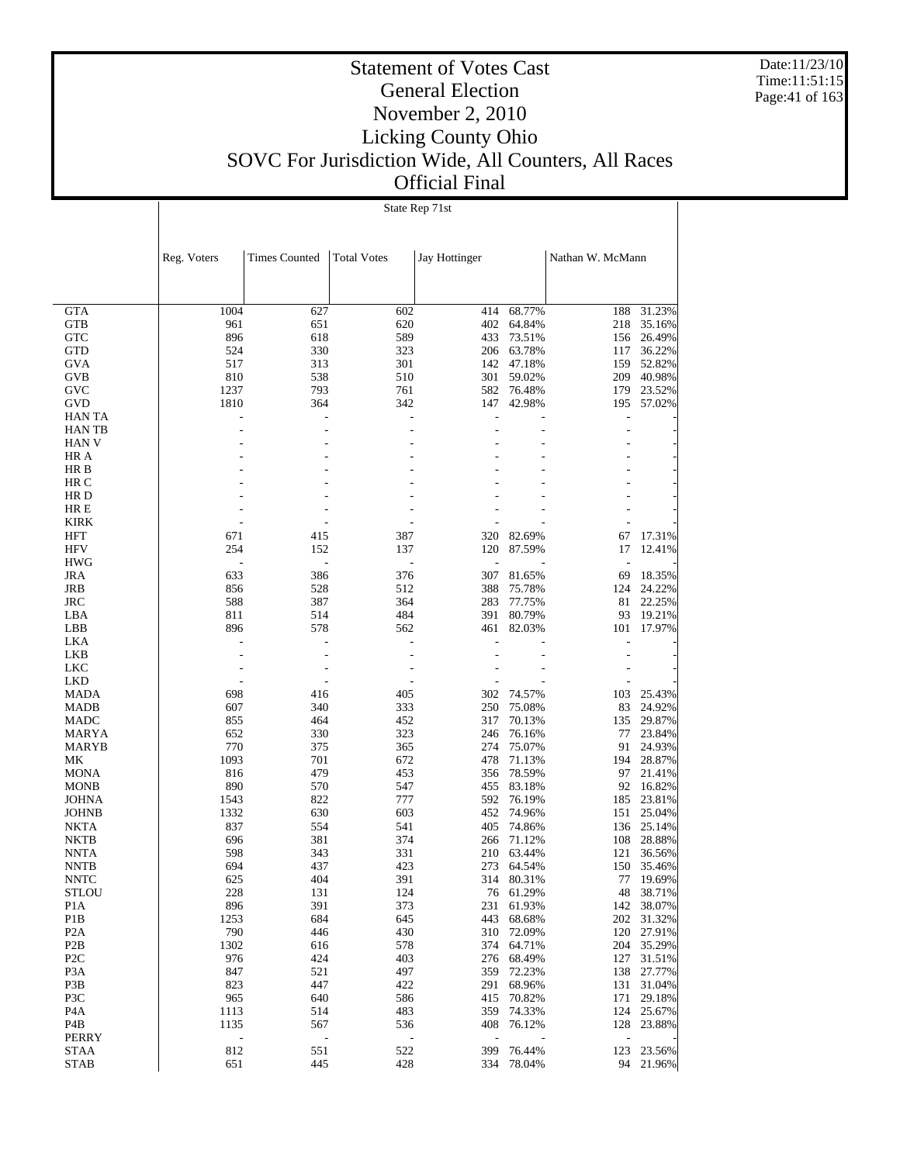Date:11/23/10 Time:11:51:15 Page:41 of 163

#### Statement of Votes Cast General Election November 2, 2010 Licking County Ohio SOVC For Jurisdiction Wide, All Counters, All Races Official Final

State Rep 71st

|                            | Reg. Voters | <b>Times Counted</b> | <b>Total Votes</b>       | Jay Hottinger  |                  | Nathan W. McMann         |                  |
|----------------------------|-------------|----------------------|--------------------------|----------------|------------------|--------------------------|------------------|
|                            |             |                      |                          |                |                  |                          |                  |
|                            |             |                      |                          |                |                  |                          |                  |
| <b>GTA</b>                 | 1004        | 627                  | 602                      | 414            | 68.77%           | 188                      | 31.23%           |
| <b>GTB</b>                 | 961         | 651                  | 620                      | 402            | 64.84%           | 218                      | 35.16%           |
| <b>GTC</b>                 | 896         | 618                  | 589                      | 433            | 73.51%           | 156                      | 26.49%           |
| <b>GTD</b>                 | 524         | 330                  | 323                      |                | 206 63.78%       | 117                      | 36.22%           |
| <b>GVA</b>                 | 517         | 313                  | 301                      |                | 142 47.18%       | 159                      | 52.82%           |
| GVB                        | 810         | 538                  | 510                      | 301            | 59.02%           | 209                      | 40.98%           |
| GVC                        | 1237        | 793                  | 761                      | 582            | 76.48%           | 179                      | 23.52%           |
| GVD<br><b>HAN TA</b>       | 1810        | 364                  | 342                      | 147            | 42.98%           | 195<br>Ĭ.                | 57.02%           |
| <b>HAN TB</b>              |             | $\overline{a}$       | L,                       |                |                  | $\overline{a}$           |                  |
| <b>HAN V</b>               |             |                      |                          |                |                  |                          |                  |
| HR A                       |             |                      | L,                       |                |                  |                          |                  |
| HR B                       |             |                      |                          |                |                  |                          |                  |
| HR C                       |             |                      | L,                       |                |                  |                          |                  |
| HR D                       |             |                      |                          |                |                  |                          |                  |
| HR E                       |             |                      | L,                       |                |                  |                          |                  |
| <b>KIRK</b>                |             |                      |                          |                |                  |                          |                  |
| <b>HFT</b>                 | 671         | 415                  | 387                      | 320            | 82.69%           | 67                       | 17.31%           |
| <b>HFV</b>                 | 254         | 152                  | 137                      | 120            | 87.59%           | 17                       | 12.41%           |
| <b>HWG</b>                 |             | $\overline{a}$       | $\overline{a}$           | $\overline{a}$ |                  | $\overline{\phantom{a}}$ |                  |
| <b>JRA</b>                 | 633         | 386                  | 376                      | 307            | 81.65%           | 69                       | 18.35%           |
| JRB                        | 856         | 528                  | 512                      | 388            | 75.78%           | 124                      | 24.22%           |
| <b>JRC</b>                 | 588         | 387                  | 364                      | 283            | 77.75%           | 81                       | 22.25%           |
| LBA                        | 811         | 514                  | 484                      | 391            | 80.79%           | 93                       | 19.21%           |
| LBB<br><b>LKA</b>          | 896         | 578                  | 562                      | 461<br>L,      | 82.03%           | 101                      | 17.97%           |
| <b>LKB</b>                 |             | $\overline{a}$       | $\overline{a}$<br>L,     |                |                  | $\overline{a}$           |                  |
| <b>LKC</b>                 |             | L,                   | $\overline{\phantom{a}}$ |                |                  |                          |                  |
| <b>LKD</b>                 |             | $\overline{a}$       | ÷,                       |                |                  |                          |                  |
| <b>MADA</b>                | 698         | 416                  | 405                      | 302            | 74.57%           | 103                      | 25.43%           |
| <b>MADB</b>                | 607         | 340                  | 333                      | 250            | 75.08%           | 83                       | 24.92%           |
| MADC                       | 855         | 464                  | 452                      | 317            | 70.13%           | 135                      | 29.87%           |
| <b>MARYA</b>               | 652         | 330                  | 323                      | 246            | 76.16%           | 77                       | 23.84%           |
| <b>MARYB</b>               | 770         | 375                  | 365                      | 274            | 75.07%           | 91                       | 24.93%           |
| МK                         | 1093        | 701                  | 672                      | 478            | 71.13%           | 194                      | 28.87%           |
| <b>MONA</b>                | 816         | 479                  | 453                      | 356            | 78.59%           | 97                       | 21.41%           |
| <b>MONB</b>                | 890         | 570                  | 547                      | 455            | 83.18%           | 92                       | 16.82%           |
| <b>JOHNA</b>               | 1543        | 822                  | 777                      | 592            | 76.19%           | 185                      | 23.81%           |
| <b>JOHNB</b>               | 1332        | 630                  | 603                      | 452            | 74.96%           | 151                      | 25.04%           |
| <b>NKTA</b>                | 837         | 554                  | 541                      | 405<br>266     | 74.86%           | 136<br>108               | 25.14%<br>28.88% |
| <b>NKTB</b><br><b>NNTA</b> | 696<br>598  | 381<br>343           | 374<br>331               | 210            | 71.12%<br>63.44% | 121                      | 36.56%           |
| <b>NNTB</b>                | 694         | 437                  | 423                      | 273            | 64.54%           | 150                      | 35.46%           |
| <b>NNTC</b>                | 625         | 404                  | 391                      |                | 314 80.31%       | 77                       | 19.69%           |
| <b>STLOU</b>               | 228         | 131                  | 124                      |                | 76 61.29%        |                          | 48 38.71%        |
| P <sub>1</sub> A           | 896         | 391                  | 373                      | 231            | 61.93%           | 142                      | 38.07%           |
| P1B                        | 1253        | 684                  | 645                      | 443            | 68.68%           | 202                      | 31.32%           |
| P <sub>2</sub> A           | 790         | 446                  | 430                      | 310            | 72.09%           | 120                      | 27.91%           |
| P <sub>2</sub> B           | 1302        | 616                  | 578                      | 374            | 64.71%           | 204                      | 35.29%           |
| P <sub>2C</sub>            | 976         | 424                  | 403                      | 276            | 68.49%           | 127                      | 31.51%           |
| P <sub>3</sub> A           | 847         | 521                  | 497                      | 359            | 72.23%           | 138                      | 27.77%           |
| P3B                        | 823         | 447                  | 422                      | 291            | 68.96%           | 131                      | 31.04%           |
| P3C                        | 965         | 640                  | 586                      | 415            | 70.82%           | 171                      | 29.18%           |
| P <sub>4</sub> A           | 1113        | 514                  | 483                      |                | 359 74.33%       |                          | 124 25.67%       |
| P <sub>4</sub> B           | 1135        | 567                  | 536                      | 408            | 76.12%           | 128                      | 23.88%           |
| <b>PERRY</b>               | ÷,          |                      |                          |                |                  | $\overline{a}$           |                  |
| <b>STAA</b>                | 812         | 551                  | 522<br>428               | 399            | 76.44%<br>78.04% | 123<br>94                | 23.56%<br>21.96% |
| <b>STAB</b>                | 651         | 445                  |                          | 334            |                  |                          |                  |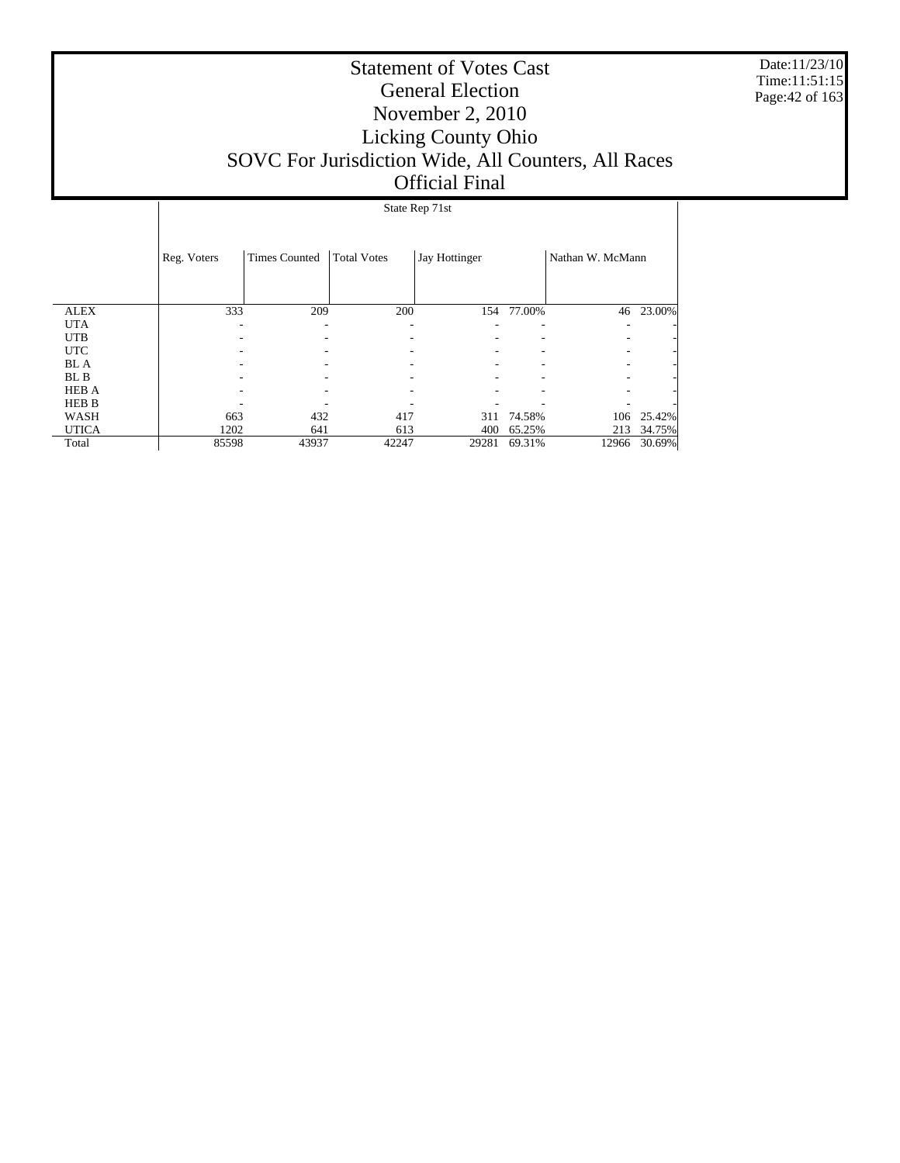Date:11/23/10 Time:11:51:15 Page:42 of 163

### Statement of Votes Cast General Election November 2, 2010 Licking County Ohio SOVC For Jurisdiction Wide, All Counters, All Races Official Final

## State Rep 71st

|              | Reg. Voters | <b>Times Counted</b> | <b>Total Votes</b> | Jay Hottinger |        | Nathan W. McMann |        |
|--------------|-------------|----------------------|--------------------|---------------|--------|------------------|--------|
| <b>ALEX</b>  | 333         | 209                  | 200                | 154           | 77.00% | 46               | 23.00% |
| <b>UTA</b>   |             | ۰                    |                    |               |        |                  |        |
| <b>UTB</b>   |             |                      |                    |               |        |                  |        |
| <b>UTC</b>   |             |                      |                    |               |        |                  |        |
| <b>BL</b> A  |             |                      |                    |               |        |                  |        |
| BL B         |             |                      |                    |               |        |                  |        |
| <b>HEB A</b> |             |                      |                    |               |        |                  |        |
| <b>HEB B</b> |             |                      |                    |               |        |                  |        |
| WASH         | 663         | 432                  | 417                | 311           | 74.58% | 106              | 25.42% |
| <b>UTICA</b> | 1202        | 641                  | 613                | 400           | 65.25% | 213              | 34.75% |
| Total        | 85598       | 43937                | 42247              | 29281         | 69.31% | 12966            | 30.69% |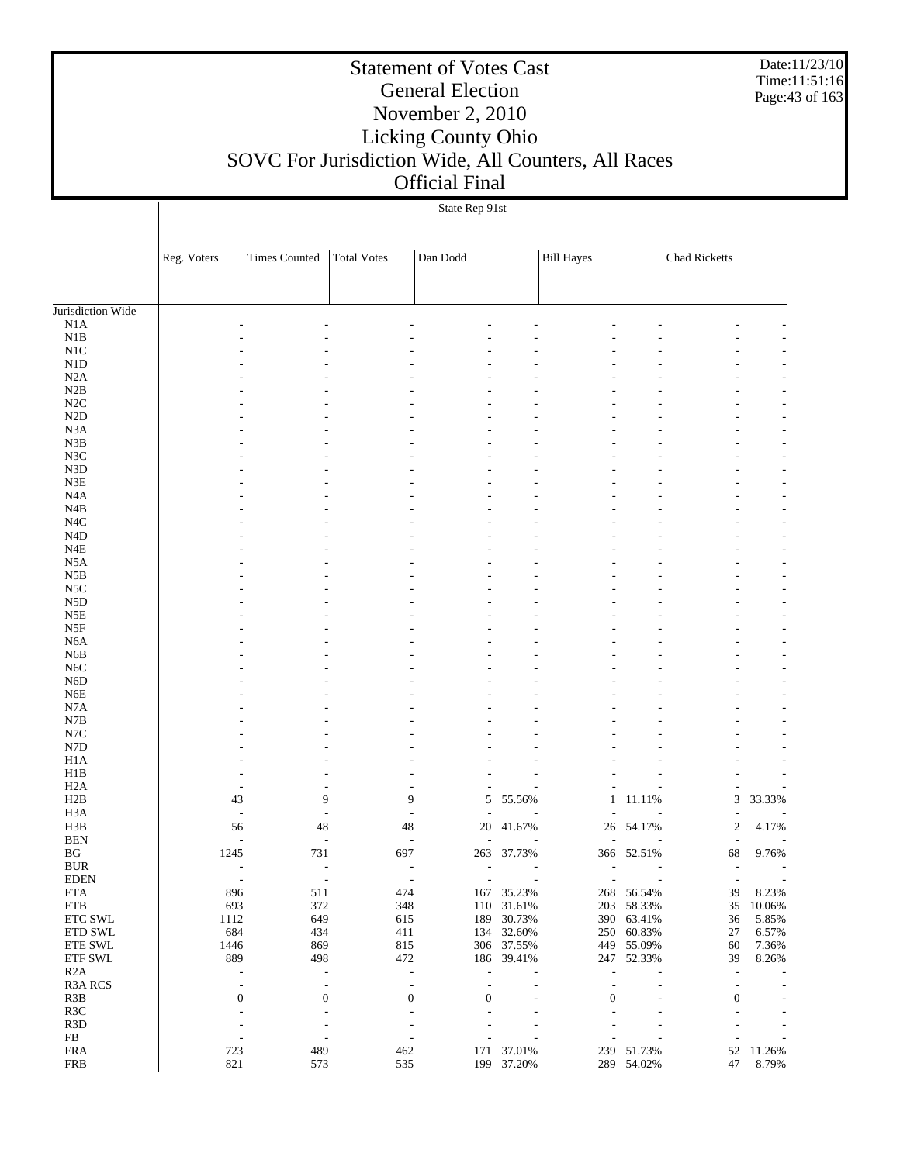Date:11/23/10 Time:11:51:16 Page:43 of 163

#### Statement of Votes Cast General Election November 2, 2010 Licking County Ohio SOVC For Jurisdiction Wide, All Counters, All Races Official Final

#### State Rep 91st

|                                   | Reg. Voters | <b>Times Counted</b>     | <b>Total Votes</b>       | Dan Dodd                                             |                          | <b>Bill Hayes</b> |                          | <b>Chad Ricketts</b>     |                 |
|-----------------------------------|-------------|--------------------------|--------------------------|------------------------------------------------------|--------------------------|-------------------|--------------------------|--------------------------|-----------------|
|                                   |             |                          |                          |                                                      |                          |                   |                          |                          |                 |
| Jurisdiction Wide                 |             |                          |                          |                                                      |                          |                   |                          |                          |                 |
| N1A                               |             |                          |                          |                                                      |                          |                   |                          |                          |                 |
| $_{\rm N1B}$                      |             |                          |                          |                                                      |                          |                   |                          |                          |                 |
| $\rm N1C$<br>$\rm N1D$            |             |                          |                          |                                                      |                          |                   |                          |                          |                 |
| N2A                               |             |                          |                          |                                                      |                          |                   |                          |                          |                 |
| N2B                               |             |                          |                          |                                                      |                          |                   |                          |                          |                 |
| $\rm N2C$                         |             |                          |                          |                                                      |                          |                   |                          |                          |                 |
| $\rm N2D$                         |             |                          |                          |                                                      |                          |                   |                          |                          |                 |
| N <sub>3</sub> A                  |             |                          |                          |                                                      |                          |                   |                          |                          |                 |
| $_{\rm N3B}$                      |             |                          |                          |                                                      |                          |                   |                          |                          |                 |
| N3C                               |             |                          |                          |                                                      |                          |                   |                          |                          |                 |
| ${\rm N3D}$                       |             |                          |                          |                                                      |                          |                   |                          |                          |                 |
| $\ensuremath{\mathsf{N3E}}$       |             |                          |                          |                                                      |                          |                   |                          |                          |                 |
| $_{\mathrm{N4A}}$                 |             |                          |                          |                                                      |                          |                   |                          |                          |                 |
| N4B                               |             |                          |                          |                                                      |                          |                   |                          |                          |                 |
| $_{\mathrm{N4C}}$<br>$\rm N4D$    |             |                          |                          |                                                      |                          |                   |                          |                          |                 |
| $_{\rm N4E}$                      |             |                          |                          |                                                      |                          |                   |                          |                          |                 |
| N5A                               |             |                          |                          |                                                      |                          |                   |                          |                          |                 |
| N5B                               |             |                          |                          |                                                      |                          |                   |                          |                          |                 |
| $_{\rm NSC}$                      |             |                          |                          |                                                      |                          |                   |                          |                          |                 |
| ${\rm N5D}$                       |             |                          |                          |                                                      |                          |                   |                          |                          |                 |
| $_{\rm N5E}$                      |             |                          |                          |                                                      |                          |                   |                          |                          |                 |
| N5F                               |             |                          |                          |                                                      |                          |                   |                          |                          |                 |
| N <sub>6</sub> A                  |             |                          |                          |                                                      |                          |                   |                          |                          |                 |
| N6B                               |             |                          |                          |                                                      |                          |                   |                          |                          |                 |
| N <sub>6</sub> C                  |             |                          |                          |                                                      |                          |                   |                          |                          |                 |
| N6D                               |             |                          |                          |                                                      |                          |                   |                          |                          |                 |
| ${\rm N6E}$                       |             |                          |                          |                                                      |                          |                   |                          |                          |                 |
| N7A                               |             |                          |                          |                                                      |                          |                   |                          |                          |                 |
| $_{\rm N7B}$<br>$_{\mathrm{N7C}}$ |             |                          |                          |                                                      |                          |                   |                          |                          |                 |
| ${\rm N7D}$                       |             |                          |                          |                                                      |                          |                   |                          |                          |                 |
| H1A                               |             |                          |                          |                                                      |                          |                   |                          |                          |                 |
| H1B                               |             |                          |                          |                                                      |                          |                   |                          |                          |                 |
| H2A                               |             |                          |                          |                                                      |                          |                   |                          | $\overline{\phantom{a}}$ |                 |
| H2B                               |             | 43                       | 9                        | 9<br>5                                               | 55.56%                   | $\mathbf{1}$      | 11.11%                   | $\mathfrak 3$            | 33.33%          |
| H3A                               |             | ÷,                       | L,                       | ÷,                                                   |                          |                   |                          | $\overline{a}$           |                 |
| H3B                               |             | 48<br>56                 |                          | 48<br>20                                             | 41.67%                   |                   | 26 54.17%                | $\sqrt{2}$               | 4.17%           |
| <b>BEN</b>                        |             | $\frac{1}{2}$            | $\overline{\phantom{a}}$ | $\overline{\phantom{a}}$                             |                          |                   |                          | $\overline{\phantom{a}}$ |                 |
| $\operatorname{B} G$              | 1245        | 731                      |                          | 697                                                  | 263 37.73%               |                   | 366 52.51%               | 68                       | 9.76%           |
| $\rm BUR$                         |             | L,                       | ÷,                       | $\overline{a}$                                       |                          |                   |                          | $\overline{\phantom{a}}$ |                 |
| <b>EDEN</b>                       |             |                          |                          |                                                      |                          |                   |                          |                          |                 |
| <b>ETA</b><br>${\rm ETB}$         | 693         | 896<br>511<br>372        |                          | 474                                                  | 167 35.23%<br>110 31.61% |                   | 268 56.54%<br>203 58.33% | 39<br>35                 | 8.23%           |
| ETC SWL                           | 1112        | 649                      |                          | 348<br>615<br>189                                    | 30.73%                   |                   | 390 63.41%               | 36                       | 10.06%<br>5.85% |
| ETD SWL                           | 684         | 434                      |                          | 411                                                  | 134 32.60%               |                   | 250 60.83%               | $27\,$                   | 6.57%           |
| ETE SWL                           | 1446        | 869                      |                          | 815                                                  | 306 37.55%               |                   | 449 55.09%               | 60                       | 7.36%           |
| ETF SWL                           | 889         | 498                      |                          | 472                                                  | 186 39.41%               |                   | 247 52.33%               | 39                       | 8.26%           |
| R2A                               |             | $\overline{\phantom{a}}$ | $\overline{\phantom{a}}$ | $\frac{1}{2}$<br>L,                                  |                          | ÷,                |                          | $\overline{\phantom{a}}$ |                 |
| R3A RCS                           |             | $\overline{\phantom{a}}$ | $\overline{\phantom{a}}$ | $\overline{\phantom{a}}$<br>$\overline{\phantom{a}}$ |                          | $\overline{a}$    | L,                       | $\overline{\phantom{a}}$ |                 |
| R3B                               |             | $\boldsymbol{0}$         | $\boldsymbol{0}$         | $\boldsymbol{0}$<br>$\boldsymbol{0}$                 |                          | $\boldsymbol{0}$  |                          | $\boldsymbol{0}$         |                 |
| R <sub>3</sub> C                  |             | ÷,                       | $\overline{\phantom{a}}$ | $\overline{\phantom{a}}$                             |                          |                   |                          | $\overline{\phantom{a}}$ |                 |
| R3D                               |             | ÷,                       | $\overline{\phantom{a}}$ | $\overline{\phantom{a}}$                             |                          |                   |                          | L,                       |                 |
| FB                                |             | $\overline{\phantom{a}}$ | $\overline{\phantom{a}}$ | $\overline{\phantom{a}}$                             |                          |                   |                          | $\overline{\phantom{a}}$ |                 |
| <b>FRA</b>                        | 723         | 489                      |                          | 462                                                  | 171 37.01%               |                   | 239 51.73%               | 52                       | 11.26%          |
| ${\rm FRB}$                       | 821         | 573                      |                          | 535                                                  | 199 37.20%               |                   | 289 54.02%               | 47                       | 8.79%           |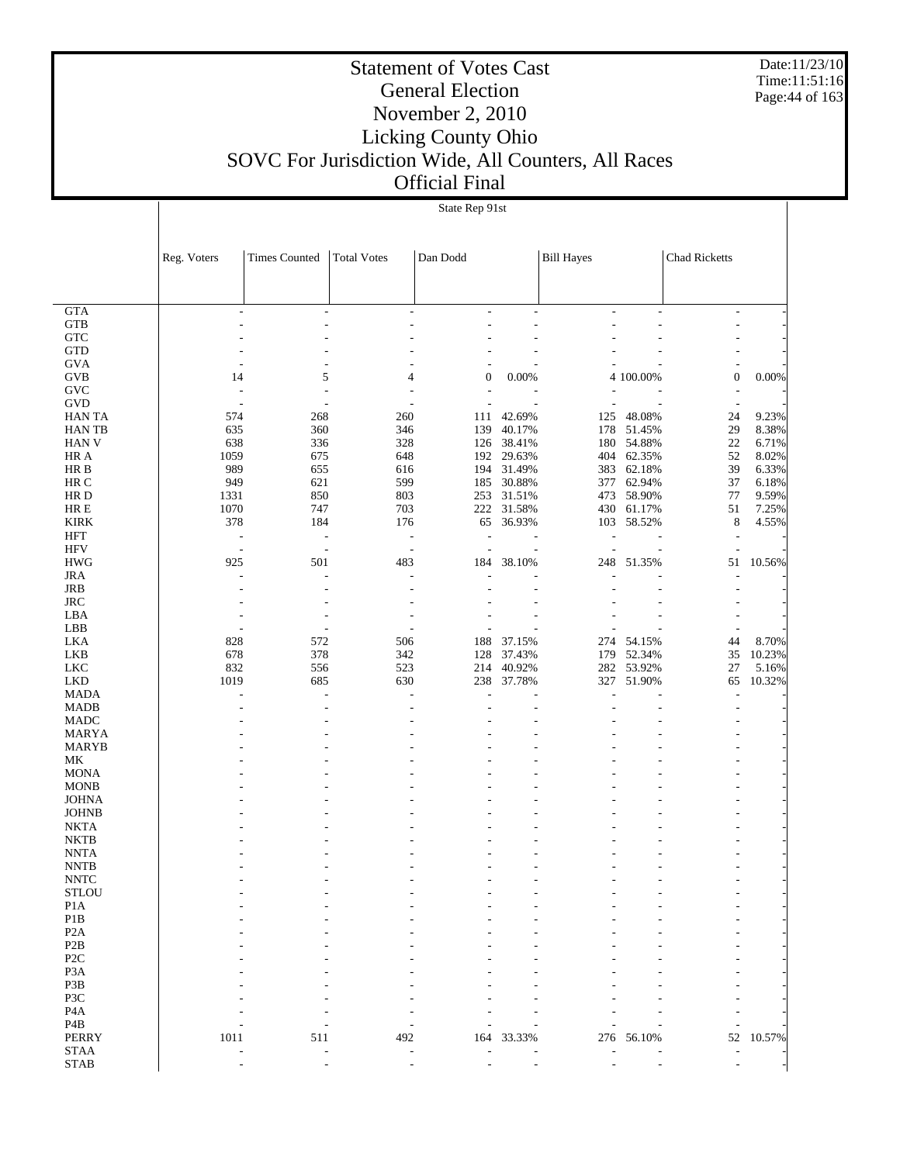Date:11/23/10 Time:11:51:16 Page:44 of 163

#### Statement of Votes Cast General Election November 2, 2010 Licking County Ohio SOVC For Jurisdiction Wide, All Counters, All Races Official Final

#### State Rep 91st

|                            | Reg. Voters              | <b>Times Counted</b>     | <b>Total Votes</b>       | Dan Dodd                 |                | <b>Bill Hayes</b> |            | <b>Chad Ricketts</b>           |          |
|----------------------------|--------------------------|--------------------------|--------------------------|--------------------------|----------------|-------------------|------------|--------------------------------|----------|
|                            |                          |                          |                          |                          |                |                   |            |                                |          |
|                            |                          |                          |                          |                          |                |                   |            |                                |          |
| <b>GTA</b>                 | ÷,                       | $\overline{\phantom{a}}$ | $\overline{\phantom{a}}$ | L,                       | $\overline{a}$ | $\overline{a}$    | ٠          | $\overline{\phantom{a}}$       |          |
| <b>GTB</b>                 |                          |                          |                          |                          |                |                   |            |                                |          |
| <b>GTC</b>                 |                          |                          |                          |                          |                |                   |            |                                |          |
| <b>GTD</b><br><b>GVA</b>   |                          |                          |                          |                          |                |                   |            |                                |          |
| <b>GVB</b>                 | 14                       | 5                        | $\overline{4}$           | $\boldsymbol{0}$         | 0.00%          |                   | 4 100.00%  | $\boldsymbol{0}$               | $0.00\%$ |
| <b>GVC</b>                 | ÷,                       | $\overline{a}$           |                          | $\overline{a}$           |                |                   |            |                                |          |
| <b>GVD</b>                 | $\overline{\phantom{a}}$ | $\overline{\phantom{a}}$ |                          |                          |                |                   |            | $\overline{\phantom{a}}$       |          |
| <b>HAN TA</b>              | 574                      | 268                      | 260                      |                          | 111 42.69%     |                   | 125 48.08% | 24                             | 9.23%    |
| <b>HANTB</b>               | 635                      | 360                      | 346                      | 139                      | 40.17%         | 178               | 51.45%     | 29                             | 8.38%    |
| <b>HAN V</b>               | 638                      | 336                      | 328                      |                          | 126 38.41%     | 180               | 54.88%     | 22                             | 6.71%    |
| HR A                       | 1059                     | 675                      | 648                      |                          | 192 29.63%     | 404               | 62.35%     | 52                             | 8.02%    |
| HR B                       | 989                      | 655                      | 616                      |                          | 194 31.49%     |                   | 383 62.18% | 39                             | 6.33%    |
| HR C                       | 949                      | 621                      | 599                      |                          | 185 30.88%     |                   | 377 62.94% | 37                             | 6.18%    |
| HR D                       | 1331                     | 850                      | 803                      |                          | 253 31.51%     | 473               | 58.90%     | 77                             | 9.59%    |
| $HRE$                      | 1070                     | 747                      | 703                      |                          | 222 31.58%     |                   | 430 61.17% | 51                             | 7.25%    |
| <b>KIRK</b>                | 378                      | 184                      | 176                      |                          | 65 36.93%      |                   | 103 58.52% | $\,8\,$                        | 4.55%    |
| <b>HFT</b>                 | $\overline{\phantom{a}}$ | $\overline{\phantom{a}}$ | $\overline{\phantom{a}}$ | $\overline{\phantom{a}}$ |                | $\overline{a}$    |            | $\overline{\phantom{a}}$       |          |
| <b>HFV</b>                 | $\overline{\phantom{a}}$ | $\overline{\phantom{a}}$ | $\overline{\phantom{a}}$ | $\overline{\phantom{a}}$ |                | L,                |            |                                |          |
| <b>HWG</b>                 | 925                      | 501                      | 483                      |                          | 184 38.10%     | 248               | 51.35%     | 51                             | 10.56%   |
| <b>JRA</b>                 |                          | L,                       |                          |                          |                |                   |            |                                |          |
| JRB                        |                          |                          |                          |                          |                |                   |            |                                |          |
| <b>JRC</b><br>LBA          |                          |                          |                          |                          |                |                   |            |                                |          |
| LBB                        |                          | $\overline{a}$           |                          | $\overline{a}$           |                |                   |            |                                |          |
| <b>LKA</b>                 | 828                      | 572                      | 506                      |                          | 188 37.15%     |                   | 274 54.15% | $\overline{\phantom{a}}$<br>44 | 8.70%    |
| <b>LKB</b>                 | 678                      | 378                      | 342                      |                          | 128 37.43%     |                   | 179 52.34% | 35                             | 10.23%   |
| <b>LKC</b>                 | 832                      | 556                      | 523                      | 214                      | 40.92%         |                   | 282 53.92% | 27                             | 5.16%    |
| <b>LKD</b>                 | 1019                     | 685                      | 630                      | 238                      | 37.78%         | 327               | 51.90%     | 65                             | 10.32%   |
| <b>MADA</b>                |                          | $\sim$                   |                          |                          |                |                   |            | $\overline{a}$                 |          |
| <b>MADB</b>                |                          |                          |                          |                          |                |                   |            |                                |          |
| <b>MADC</b>                |                          |                          |                          |                          |                |                   |            |                                |          |
| <b>MARYA</b>               |                          |                          |                          |                          |                |                   |            |                                |          |
| <b>MARYB</b>               |                          |                          |                          |                          |                |                   |            |                                |          |
| MK                         |                          |                          |                          |                          |                |                   |            |                                |          |
| <b>MONA</b>                |                          |                          |                          |                          |                |                   |            |                                |          |
| <b>MONB</b>                |                          |                          |                          |                          |                |                   |            |                                |          |
| <b>JOHNA</b>               |                          |                          |                          |                          |                |                   |            |                                |          |
| <b>JOHNB</b>               |                          |                          |                          |                          |                |                   |            |                                |          |
| <b>NKTA</b>                |                          |                          |                          |                          |                |                   |            |                                |          |
| <b>NKTB</b>                |                          |                          |                          |                          |                |                   |            |                                |          |
| <b>NNTA</b><br><b>NNTB</b> |                          |                          |                          |                          |                |                   |            |                                |          |
| <b>NNTC</b>                |                          |                          |                          |                          |                |                   |            |                                |          |
| <b>STLOU</b>               |                          |                          |                          |                          |                |                   |            |                                |          |
| $\rm{P1}A$                 |                          |                          |                          |                          |                |                   |            |                                |          |
| $\mathbf{P}1\mathbf{B}$    |                          |                          |                          |                          |                |                   |            |                                |          |
| P <sub>2</sub> A           |                          |                          |                          |                          |                |                   |            |                                |          |
| $\mathbf{P2B}$             |                          |                          |                          |                          |                |                   |            |                                |          |
| P <sub>2</sub> C           |                          |                          |                          |                          |                |                   |            |                                |          |
| P <sub>3</sub> A           |                          |                          |                          |                          |                |                   |            |                                |          |
| P3B                        |                          |                          |                          |                          |                |                   |            |                                |          |
| P3C                        |                          |                          |                          |                          |                |                   |            |                                |          |
| P <sub>4</sub> A           |                          |                          |                          |                          |                |                   |            |                                |          |
| P4B                        |                          |                          |                          |                          |                |                   |            |                                |          |
| PERRY                      | 1011                     | 511                      | 492                      | 164                      | 33.33%         | 276               | 56.10%     | 52                             | 10.57%   |
| <b>STAA</b>                |                          |                          |                          |                          |                |                   |            |                                |          |
| $\operatorname{STAB}$      |                          |                          |                          |                          |                |                   |            |                                |          |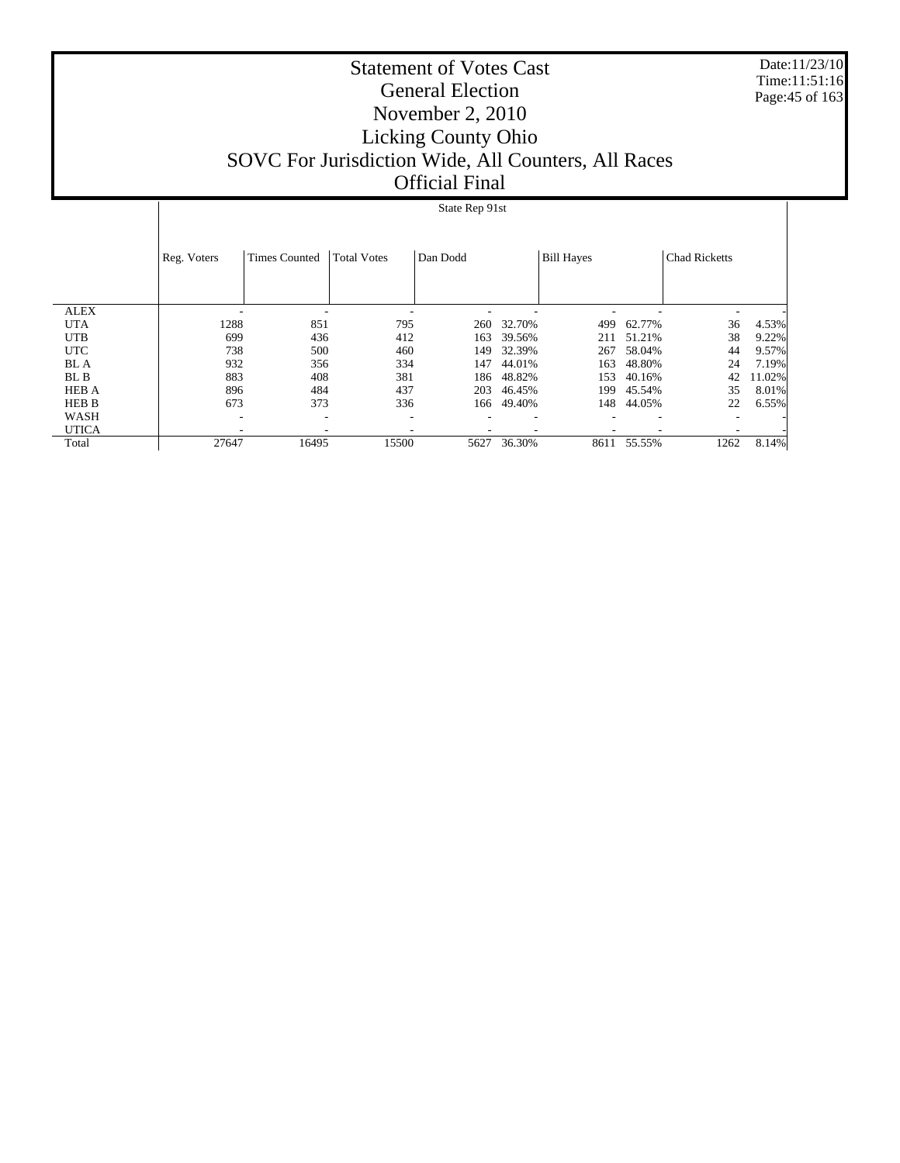Date:11/23/10 Time:11:51:16 Page:45 of 163

#### Statement of Votes Cast General Election November 2, 2010 Licking County Ohio SOVC For Jurisdiction Wide, All Counters, All Races Official Final

#### State Rep 91st

|              | Reg. Voters | <b>Times Counted</b> | <b>Total Votes</b> | Dan Dodd |            | <b>Bill Hayes</b> |        | <b>Chad Ricketts</b> |        |
|--------------|-------------|----------------------|--------------------|----------|------------|-------------------|--------|----------------------|--------|
| <b>ALEX</b>  | ۰           |                      | -                  |          |            |                   |        |                      |        |
| <b>UTA</b>   | 1288        | 851                  | 795                | 260      | 32.70%     | 499               | 62.77% | 36                   | 4.53%  |
| <b>UTB</b>   | 699         | 436                  | 412                | 163      | 39.56%     | 211               | 51.21% | 38                   | 9.22%  |
| <b>UTC</b>   | 738         | 500                  | 460                | 149      | 32.39%     | 267               | 58.04% | 44                   | 9.57%  |
| <b>BL</b> A  | 932         | 356                  | 334                | 147      | 44.01%     | 163               | 48.80% | 24                   | 7.19%  |
| BL B         | 883         | 408                  | 381                | 186      | 48.82%     | 153               | 40.16% | 42                   | 11.02% |
| <b>HEB A</b> | 896         | 484                  | 437                | 203      | 46.45%     | 199               | 45.54% | 35                   | 8.01%  |
| <b>HEB B</b> | 673         | 373                  | 336                |          | 166 49.40% | 148               | 44.05% | 22                   | 6.55%  |
| WASH         | ۰           |                      |                    |          |            |                   |        |                      |        |
| <b>UTICA</b> |             |                      |                    |          |            |                   |        |                      |        |
| Total        | 27647       | 16495                | 15500              | 5627     | 36.30%     | 8611              | 55.55% | 1262                 | 8.14%  |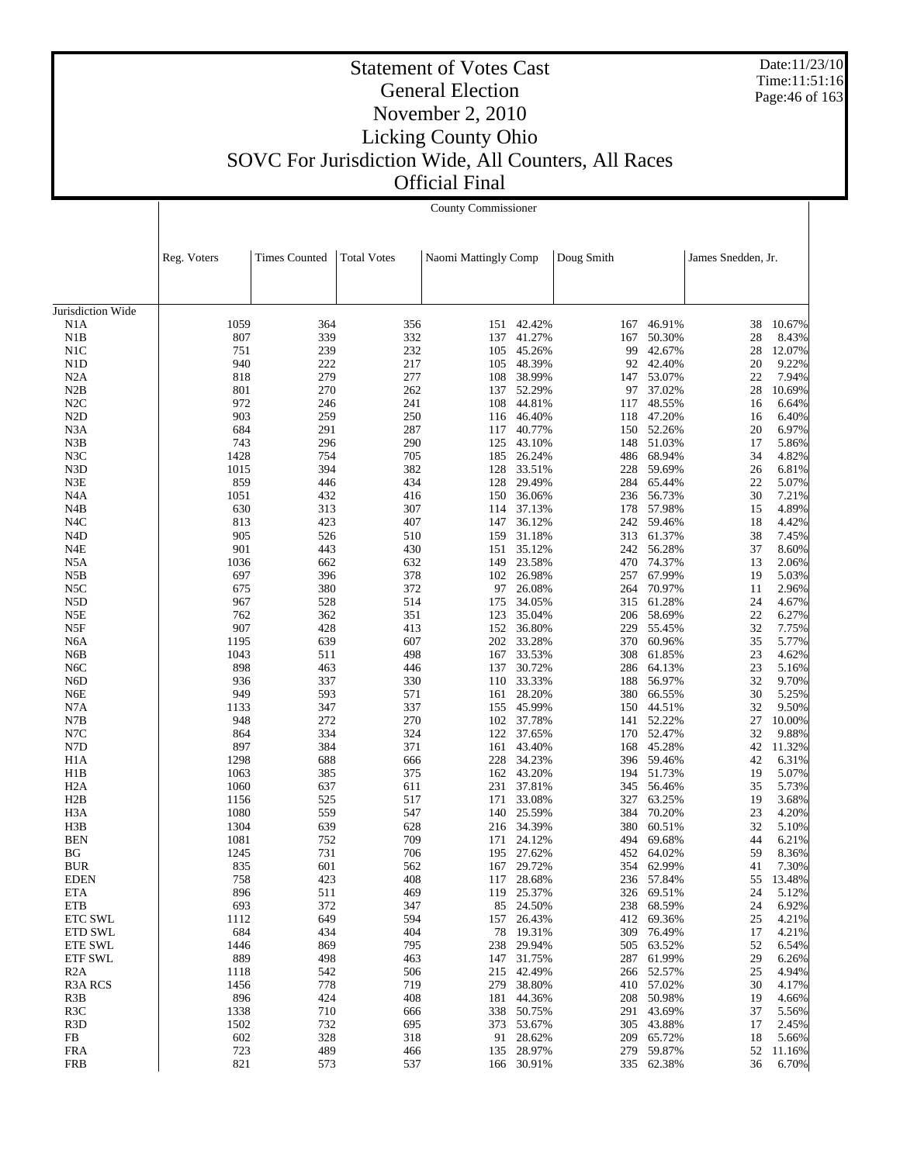Date:11/23/10 Time:11:51:16 Page:46 of 163

|                          |              | County Commissioner  |                    |                      |                  |            |                  |                    |                |  |  |
|--------------------------|--------------|----------------------|--------------------|----------------------|------------------|------------|------------------|--------------------|----------------|--|--|
|                          | Reg. Voters  | <b>Times Counted</b> | <b>Total Votes</b> | Naomi Mattingly Comp |                  | Doug Smith |                  | James Snedden, Jr. |                |  |  |
|                          |              |                      |                    |                      |                  |            |                  |                    |                |  |  |
| Jurisdiction Wide<br>N1A | 1059         | 364                  | 356                | 151                  | 42.42%           | 167        | 46.91%           | 38                 | 10.67%         |  |  |
| N1B                      | 807          | 339                  | 332                | 137                  | 41.27%           | 167        | 50.30%           | 28                 | 8.43%          |  |  |
| N <sub>1</sub> C         | 751          | 239                  | 232                | 105                  | 45.26%           | 99         | 42.67%           | 28                 | 12.07%         |  |  |
| N <sub>1</sub> D         | 940          | 222                  | 217                | 105                  | 48.39%           | 92         | 42.40%           | 20                 | 9.22%          |  |  |
| N2A                      | 818          | 279                  | 277                | 108                  | 38.99%           | 147        | 53.07%           | 22                 | 7.94%          |  |  |
| N2B                      | 801          | 270                  | 262                | 137                  | 52.29%           | 97         | 37.02%           | 28                 | 10.69%         |  |  |
| N2C                      | 972          | 246                  | 241                | 108                  | 44.81%           | 117        | 48.55%           | 16                 | 6.64%          |  |  |
| N <sub>2</sub> D         | 903          | 259                  | 250                |                      | 116 46.40%       | 118        | 47.20%           | 16                 | 6.40%          |  |  |
| N3A                      | 684          | 291                  | 287                | 117                  | 40.77%           | 150        | 52.26%           | 20                 | 6.97%          |  |  |
| N3B<br>N3C               | 743<br>1428  | 296                  | 290<br>705         | 125                  | 43.10%<br>26.24% | 148        | 51.03%           | 17<br>34           | 5.86%<br>4.82% |  |  |
| N3D                      | 1015         | 754<br>394           | 382                | 185<br>128           | 33.51%           | 486<br>228 | 68.94%<br>59.69% | 26                 | 6.81%          |  |  |
| N3E                      | 859          | 446                  | 434                | 128                  | 29.49%           | 284        | 65.44%           | 22                 | 5.07%          |  |  |
| N <sub>4</sub> A         | 1051         | 432                  | 416                | 150                  | 36.06%           | 236        | 56.73%           | 30                 | 7.21%          |  |  |
| N4B                      | 630          | 313                  | 307                | 114                  | 37.13%           | 178        | 57.98%           | 15                 | 4.89%          |  |  |
| N <sub>4</sub> C         | 813          | 423                  | 407                | 147                  | 36.12%           | 242        | 59.46%           | 18                 | 4.42%          |  |  |
| N <sub>4</sub> D         | 905          | 526                  | 510                | 159                  | 31.18%           | 313        | 61.37%           | 38                 | 7.45%          |  |  |
| N4E                      | 901          | 443                  | 430                | 151                  | 35.12%           | 242        | 56.28%           | 37                 | 8.60%          |  |  |
| N5A                      | 1036         | 662                  | 632                | 149                  | 23.58%           | 470        | 74.37%           | 13                 | 2.06%          |  |  |
| N5B                      | 697          | 396                  | 378                | 102                  | 26.98%           | 257        | 67.99%           | 19                 | 5.03%          |  |  |
| N5C                      | 675          | 380                  | 372                | 97                   | 26.08%           | 264        | 70.97%           | 11                 | 2.96%          |  |  |
| N5D                      | 967          | 528                  | 514                | 175                  | 34.05%           |            | 315 61.28%       | 24                 | 4.67%          |  |  |
| N5E                      | 762<br>907   | 362<br>428           | 351<br>413         | 123<br>152           | 35.04%           | 206<br>229 | 58.69%           | 22<br>32           | 6.27%          |  |  |
| N5F<br>N <sub>6</sub> A  | 1195         | 639                  | 607                | 202                  | 36.80%<br>33.28% | 370        | 55.45%<br>60.96% | 35                 | 7.75%<br>5.77% |  |  |
| N6B                      | 1043         | 511                  | 498                | 167                  | 33.53%           | 308        | 61.85%           | 23                 | 4.62%          |  |  |
| N <sub>6</sub> C         | 898          | 463                  | 446                | 137                  | 30.72%           | 286        | 64.13%           | 23                 | 5.16%          |  |  |
| N <sub>6</sub> D         | 936          | 337                  | 330                | 110                  | 33.33%           | 188        | 56.97%           | 32                 | 9.70%          |  |  |
| N6E                      | 949          | 593                  | 571                | 161                  | 28.20%           | 380        | 66.55%           | 30                 | 5.25%          |  |  |
| N7A                      | 1133         | 347                  | 337                | 155                  | 45.99%           | 150        | 44.51%           | 32                 | 9.50%          |  |  |
| N7B                      | 948          | 272                  | 270                | 102                  | 37.78%           | 141        | 52.22%           | 27                 | 10.00%         |  |  |
| N7C                      | 864          | 334                  | 324                | 122                  | 37.65%           | 170        | 52.47%           | 32                 | 9.88%          |  |  |
| N7D                      | 897          | 384                  | 371                | 161                  | 43.40%           | 168        | 45.28%           | 42                 | 11.32%         |  |  |
| H <sub>1</sub> A         | 1298         | 688                  | 666                | 228                  | 34.23%           |            | 396 59.46%       | 42                 | 6.31%          |  |  |
| H1B                      | 1063         | 385                  | 375                | 162                  | 43.20%           | 194        | 51.73%           | 19                 | 5.07%          |  |  |
| H <sub>2</sub> A         | 1060         | 637                  | 611                | 231                  | 37.81%           | 345        | 56.46%           | 35                 | 5.73%          |  |  |
| H2B<br>H <sub>3</sub> A  | 1156<br>1080 | 525<br>559           | 517<br>547         | 171<br>140           | 33.08%<br>25.59% | 327<br>384 | 63.25%<br>70.20% | 19<br>23           | 3.68%<br>4.20% |  |  |
| H3B                      | 1304         | 639                  | 628                | 216                  | 34.39%           | 380        | 60.51%           | 32                 | 5.10%          |  |  |
| <b>BEN</b>               | 1081         | 752                  | 709                | 171                  | 24.12%           | 494        | 69.68%           | 44                 | 6.21%          |  |  |
| BG                       | 1245         | 731                  | 706                |                      | 195 27.62%       | 452        | 64.02%           | 59                 | 8.36%          |  |  |
| <b>BUR</b>               | 835          | 601                  | 562                |                      | 167 29.72%       |            | 354 62.99%       | 41                 | 7.30%          |  |  |
| <b>EDEN</b>              | 758          | 423                  | 408                | 117                  | 28.68%           |            | 236 57.84%       | 55                 | 13.48%         |  |  |
| <b>ETA</b>               | 896          | 511                  | 469                | 119                  | 25.37%           |            | 326 69.51%       | 24                 | 5.12%          |  |  |
| <b>ETB</b>               | 693          | 372                  | 347                | 85                   | 24.50%           | 238        | 68.59%           | 24                 | 6.92%          |  |  |
| <b>ETC SWL</b>           | 1112         | 649                  | 594                | 157                  | 26.43%           | 412        | 69.36%           | 25                 | 4.21%          |  |  |
| <b>ETD SWL</b>           | 684          | 434                  | 404                | 78                   | 19.31%           | 309        | 76.49%           | 17                 | 4.21%          |  |  |
| ETE SWL                  | 1446         | 869                  | 795                | 238                  | 29.94%           |            | 505 63.52%       | 52                 | 6.54%          |  |  |
| <b>ETF SWL</b>           | 889          | 498                  | 463                | 147                  | 31.75%           | 287        | 61.99%           | 29                 | 6.26%          |  |  |
| R <sub>2</sub> A         | 1118         | 542                  | 506                |                      | 215 42.49%       |            | 266 52.57%       | 25                 | 4.94%          |  |  |
| <b>R3A RCS</b>           | 1456<br>896  | 778<br>424           | 719<br>408         | 279                  | 38.80%<br>44.36% | 410        | 57.02%<br>50.98% | 30<br>19           | 4.17%          |  |  |
| R3B<br>R <sub>3</sub> C  | 1338         | 710                  | 666                | 181<br>338           | 50.75%           | 208<br>291 | 43.69%           | 37                 | 4.66%<br>5.56% |  |  |
| R <sub>3</sub> D         | 1502         | 732                  | 695                | 373                  | 53.67%           |            | 305 43.88%       | 17                 | 2.45%          |  |  |
| FB                       | 602          | 328                  | 318                | 91                   | 28.62%           | 209        | 65.72%           | 18                 | 5.66%          |  |  |
| <b>FRA</b>               | 723          | 489                  | 466                | 135                  | 28.97%           |            | 279 59.87%       | 52                 | 11.16%         |  |  |
| <b>FRB</b>               | 821          | 573                  | 537                |                      | 166 30.91%       |            | 335 62.38%       | 36                 | 6.70%          |  |  |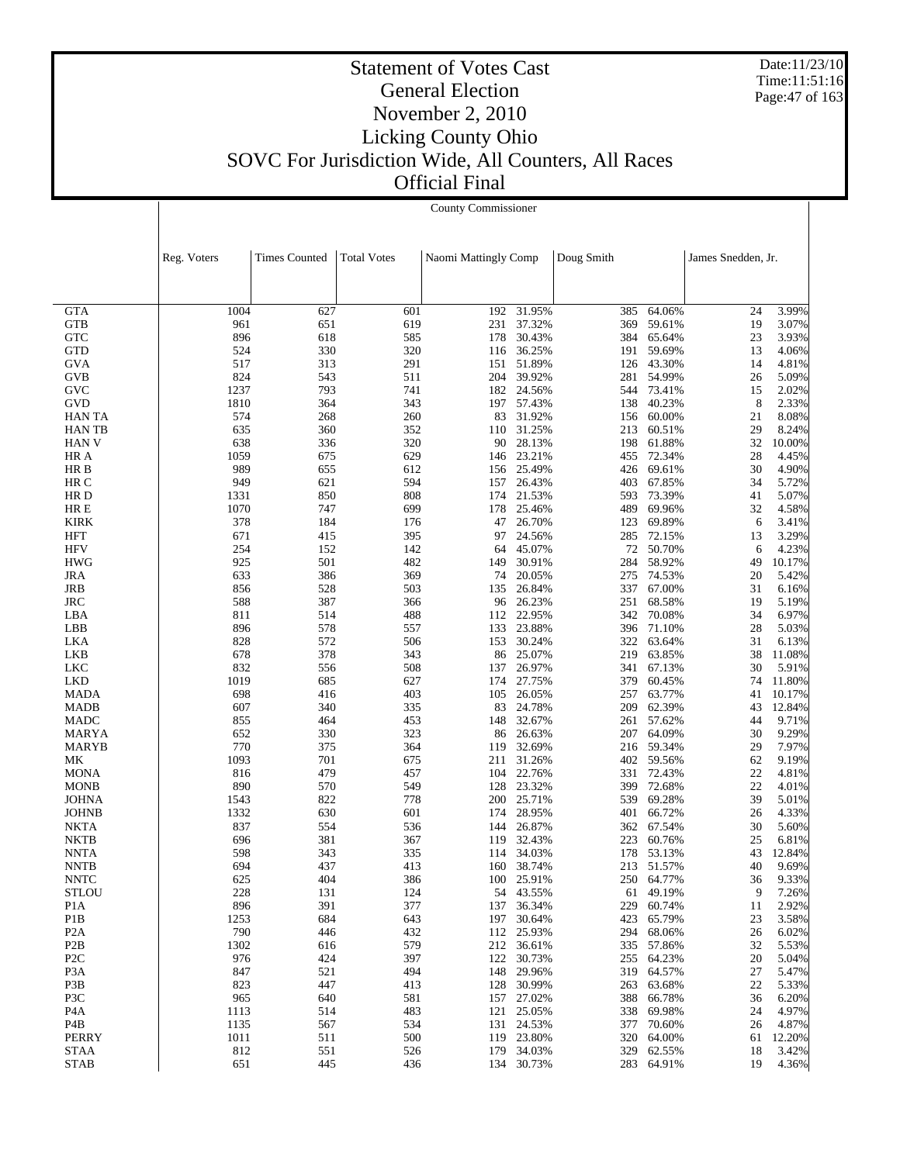Date:11/23/10 Time:11:51:16 Page:47 of 163

|                            |             | County Commissioner  |                    |                      |                      |            |                      |                    |                 |  |
|----------------------------|-------------|----------------------|--------------------|----------------------|----------------------|------------|----------------------|--------------------|-----------------|--|
|                            |             |                      |                    |                      |                      |            |                      |                    |                 |  |
|                            | Reg. Voters | <b>Times Counted</b> | <b>Total Votes</b> | Naomi Mattingly Comp |                      | Doug Smith |                      | James Snedden, Jr. |                 |  |
|                            |             |                      |                    |                      |                      |            |                      |                    |                 |  |
|                            |             |                      |                    |                      |                      |            |                      |                    |                 |  |
| <b>GTA</b>                 | 1004        | 627                  | 601                | 192                  | 31.95%               | 385        | 64.06%               | 24                 | 3.99%           |  |
| <b>GTB</b>                 | 961         | 651                  | 619<br>585         | 231                  | 37.32%               | 369        | 59.61%               | 19<br>23           | 3.07%           |  |
| <b>GTC</b><br><b>GTD</b>   | 896<br>524  | 618<br>330           | 320                | 178<br>116           | 30.43%<br>36.25%     | 384<br>191 | 65.64%<br>59.69%     | 13                 | 3.93%<br>4.06%  |  |
| <b>GVA</b>                 | 517         | 313                  | 291                | 151                  | 51.89%               | 126        | 43.30%               | 14                 | 4.81%           |  |
| <b>GVB</b>                 | 824         | 543                  | 511                | 204                  | 39.92%               | 281        | 54.99%               | 26                 | 5.09%           |  |
| <b>GVC</b>                 | 1237        | 793                  | 741                |                      | 182 24.56%           |            | 544 73.41%           | 15                 | 2.02%           |  |
| <b>GVD</b>                 | 1810        | 364                  | 343                | 197                  | 57.43%               | 138        | 40.23%               | 8                  | 2.33%           |  |
| <b>HANTA</b>               | 574         | 268                  | 260                | 83                   | 31.92%               |            | 156 60.00%           | 21                 | 8.08%           |  |
| <b>HANTB</b>               | 635         | 360                  | 352                | 110                  | 31.25%               | 213        | 60.51%               | 29                 | 8.24%           |  |
| <b>HAN V</b>               | 638<br>1059 | 336                  | 320<br>629         | 90                   | 28.13%<br>23.21%     | 198        | 61.88%               | 32<br>28           | 10.00%          |  |
| HR A<br>HR B               | 989         | 675<br>655           | 612                | 146<br>156           | 25.49%               | 455        | 72.34%<br>426 69.61% | 30                 | 4.45%<br>4.90%  |  |
| HR C                       | 949         | 621                  | 594                | 157                  | 26.43%               | 403        | 67.85%               | 34                 | 5.72%           |  |
| HR D                       | 1331        | 850                  | 808                | 174                  | 21.53%               | 593        | 73.39%               | 41                 | 5.07%           |  |
| HR E                       | 1070        | 747                  | 699                | 178                  | 25.46%               | 489        | 69.96%               | 32                 | 4.58%           |  |
| <b>KIRK</b>                | 378         | 184                  | 176                | 47                   | 26.70%               | 123        | 69.89%               | 6                  | 3.41%           |  |
| HFT                        | 671         | 415                  | 395                | 97                   | 24.56%               | 285        | 72.15%               | 13                 | 3.29%           |  |
| <b>HFV</b>                 | 254         | 152                  | 142                | 64                   | 45.07%               | 72         | 50.70%               | 6                  | 4.23%           |  |
| <b>HWG</b>                 | 925         | 501                  | 482                | 149                  | 30.91%               | 284        | 58.92%               | 49                 | 10.17%          |  |
| <b>JRA</b>                 | 633         | 386                  | 369<br>503         | 74<br>135            | 20.05%               | 275<br>337 | 74.53%<br>67.00%     | 20<br>31           | 5.42%           |  |
| JRB<br><b>JRC</b>          | 856<br>588  | 528<br>387           | 366                | 96                   | 26.84%<br>26.23%     | 251        | 68.58%               | 19                 | 6.16%<br>5.19%  |  |
| LBA                        | 811         | 514                  | 488                | 112                  | 22.95%               | 342        | 70.08%               | 34                 | 6.97%           |  |
| LBB                        | 896         | 578                  | 557                | 133                  | 23.88%               |            | 396 71.10%           | 28                 | 5.03%           |  |
| LKA                        | 828         | 572                  | 506                | 153                  | 30.24%               | 322        | 63.64%               | 31                 | 6.13%           |  |
| LKB                        | 678         | 378                  | 343                | 86                   | 25.07%               | 219        | 63.85%               | 38                 | 11.08%          |  |
| <b>LKC</b>                 | 832         | 556                  | 508                | 137                  | 26.97%               | 341        | 67.13%               | 30                 | 5.91%           |  |
| <b>LKD</b>                 | 1019        | 685                  | 627                | 174                  | 27.75%               | 379        | 60.45%               | 74                 | 11.80%          |  |
| <b>MADA</b>                | 698         | 416                  | 403                | 105                  | 26.05%               | 257        | 63.77%               | 41                 | 10.17%          |  |
| <b>MADB</b><br><b>MADC</b> | 607<br>855  | 340<br>464           | 335<br>453         | 83<br>148            | 24.78%<br>32.67%     | 209<br>261 | 62.39%<br>57.62%     | 43<br>44           | 12.84%<br>9.71% |  |
| MARYA                      | 652         | 330                  | 323                | 86                   | 26.63%               | 207        | 64.09%               | 30                 | 9.29%           |  |
| MARYB                      | 770         | 375                  | 364                | 119                  | 32.69%               | 216        | 59.34%               | 29                 | 7.97%           |  |
| МK                         | 1093        | 701                  | 675                | 211                  | 31.26%               |            | 402 59.56%           | 62                 | 9.19%           |  |
| <b>MONA</b>                | 816         | 479                  | 457                | 104                  | 22.76%               | 331        | 72.43%               | 22                 | 4.81%           |  |
| <b>MONB</b>                | 890         | 570                  | 549                | 128                  | 23.32%               | 399        | 72.68%               | 22                 | 4.01%           |  |
| <b>JOHNA</b>               | 1543        | 822                  | 778                | 200                  | 25.71%               | 539        | 69.28%               | 39                 | 5.01%           |  |
| <b>JOHNB</b>               | 1332        | 630                  | 601                | 174                  | 28.95%               | 401        | 66.72%               | 26                 | 4.33%           |  |
| NKTA                       | 837         | 554                  | 536                | 144                  | 26.87%               | 362        | 67.54%               | 30                 | 5.60%           |  |
| <b>NKTB</b><br><b>NNTA</b> | 696<br>598  | 381<br>343           | 367<br>335         | 119<br>114           | 32.43%<br>34.03%     | 223<br>178 | 60.76%<br>53.13%     | 25<br>43           | 6.81%<br>12.84% |  |
| <b>NNTB</b>                | 694         | 437                  | 413                |                      | 160 38.74%           |            | 213 51.57%           | 40                 | 9.69%           |  |
| <b>NNTC</b>                | 625         | 404                  | 386                |                      | 100 25.91%           |            | 250 64.77%           | 36                 | 9.33%           |  |
| <b>STLOU</b>               | 228         | 131                  | 124                |                      | 54 43.55%            | 61         | 49.19%               | 9                  | 7.26%           |  |
| P <sub>1</sub> A           | 896         | 391                  | 377                | 137                  | 36.34%               | 229        | 60.74%               | 11                 | 2.92%           |  |
| P <sub>1</sub> B           | 1253        | 684                  | 643                |                      | 197 30.64%           | 423        | 65.79%               | 23                 | 3.58%           |  |
| P <sub>2</sub> A           | 790         | 446                  | 432                |                      | 112 25.93%           | 294        | 68.06%               | 26                 | 6.02%           |  |
| P <sub>2</sub> B           | 1302        | 616                  | 579                |                      | 212 36.61%           |            | 335 57.86%           | 32                 | 5.53%           |  |
| P <sub>2</sub> C           | 976         | 424                  | 397                | 122                  | 30.73%               | 255        | 64.23%               | 20                 | 5.04%           |  |
| P <sub>3</sub> A<br>P3B    | 847<br>823  | 521<br>447           | 494<br>413         | 128                  | 148 29.96%<br>30.99% | 263        | 319 64.57%<br>63.68% | 27<br>22           | 5.47%<br>5.33%  |  |
| P3C                        | 965         | 640                  | 581                |                      | 157 27.02%           | 388        | 66.78%               | 36                 | 6.20%           |  |
| P <sub>4</sub> A           | 1113        | 514                  | 483                |                      | 121 25.05%           | 338        | 69.98%               | 24                 | 4.97%           |  |
| P4B                        | 1135        | 567                  | 534                |                      | 131 24.53%           | 377        | 70.60%               | 26                 | 4.87%           |  |
| PERRY                      | 1011        | 511                  | 500                |                      | 119 23.80%           | 320        | 64.00%               | 61                 | 12.20%          |  |
| STAA                       | 812         | 551                  | 526                |                      | 179 34.03%           | 329        | 62.55%               | 18                 | 3.42%           |  |
| <b>STAB</b>                | 651         | 445                  | 436                |                      | 134 30.73%           |            | 283 64.91%           | 19                 | 4.36%           |  |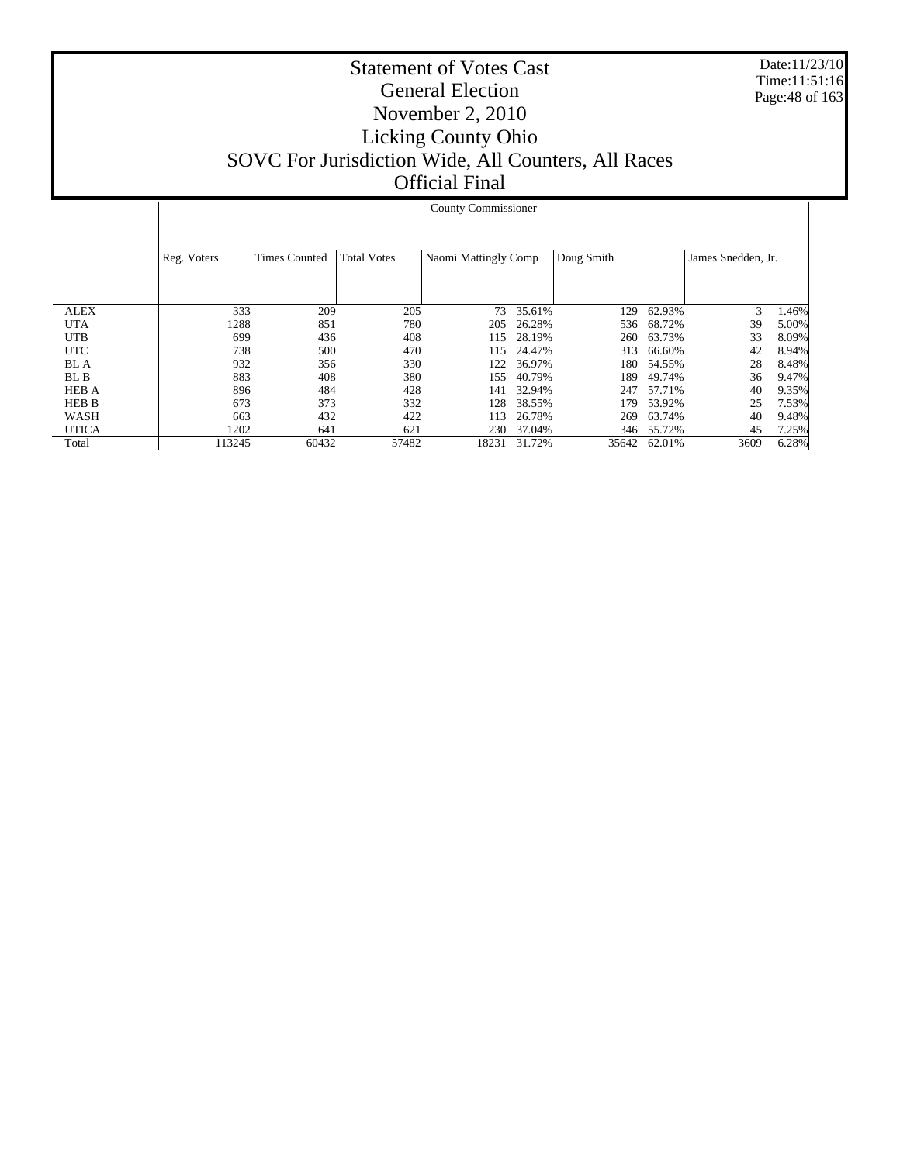Date:11/23/10 Time:11:51:16 Page:48 of 163

|              |             | <b>County Commissioner</b> |                    |                      |        |            |        |                    |       |  |
|--------------|-------------|----------------------------|--------------------|----------------------|--------|------------|--------|--------------------|-------|--|
|              | Reg. Voters | <b>Times Counted</b>       | <b>Total Votes</b> | Naomi Mattingly Comp |        | Doug Smith |        | James Snedden, Jr. |       |  |
|              |             |                            |                    |                      |        |            |        |                    |       |  |
| <b>ALEX</b>  | 333         | 209                        | 205                | 73                   | 35.61% | 129        | 62.93% | 3                  | 1.46% |  |
| <b>UTA</b>   | 1288        | 851                        | 780                | 205                  | 26.28% | 536        | 68.72% | 39                 | 5.00% |  |
| <b>UTB</b>   | 699         | 436                        | 408                | 115                  | 28.19% | 260        | 63.73% | 33                 | 8.09% |  |
| <b>UTC</b>   | 738         | 500                        | 470                | 115                  | 24.47% | 313        | 66.60% | 42                 | 8.94% |  |
| <b>BL</b> A  | 932         | 356                        | 330                | 122                  | 36.97% | 180        | 54.55% | 28                 | 8.48% |  |
| BL B         | 883         | 408                        | 380                | 155                  | 40.79% | 189        | 49.74% | 36                 | 9.47% |  |
| <b>HEB A</b> | 896         | 484                        | 428                | 141                  | 32.94% | 247        | 57.71% | 40                 | 9.35% |  |
| <b>HEB B</b> | 673         | 373                        | 332                | 128                  | 38.55% | 179        | 53.92% | 25                 | 7.53% |  |
| WASH         | 663         | 432                        | 422                | 113                  | 26.78% | 269        | 63.74% | 40                 | 9.48% |  |
| <b>UTICA</b> | 1202        | 641                        | 621                | 230                  | 37.04% | 346        | 55.72% | 45                 | 7.25% |  |
| Total        | 113245      | 60432                      | 57482              | 18231                | 31.72% | 35642      | 62.01% | 3609               | 6.28% |  |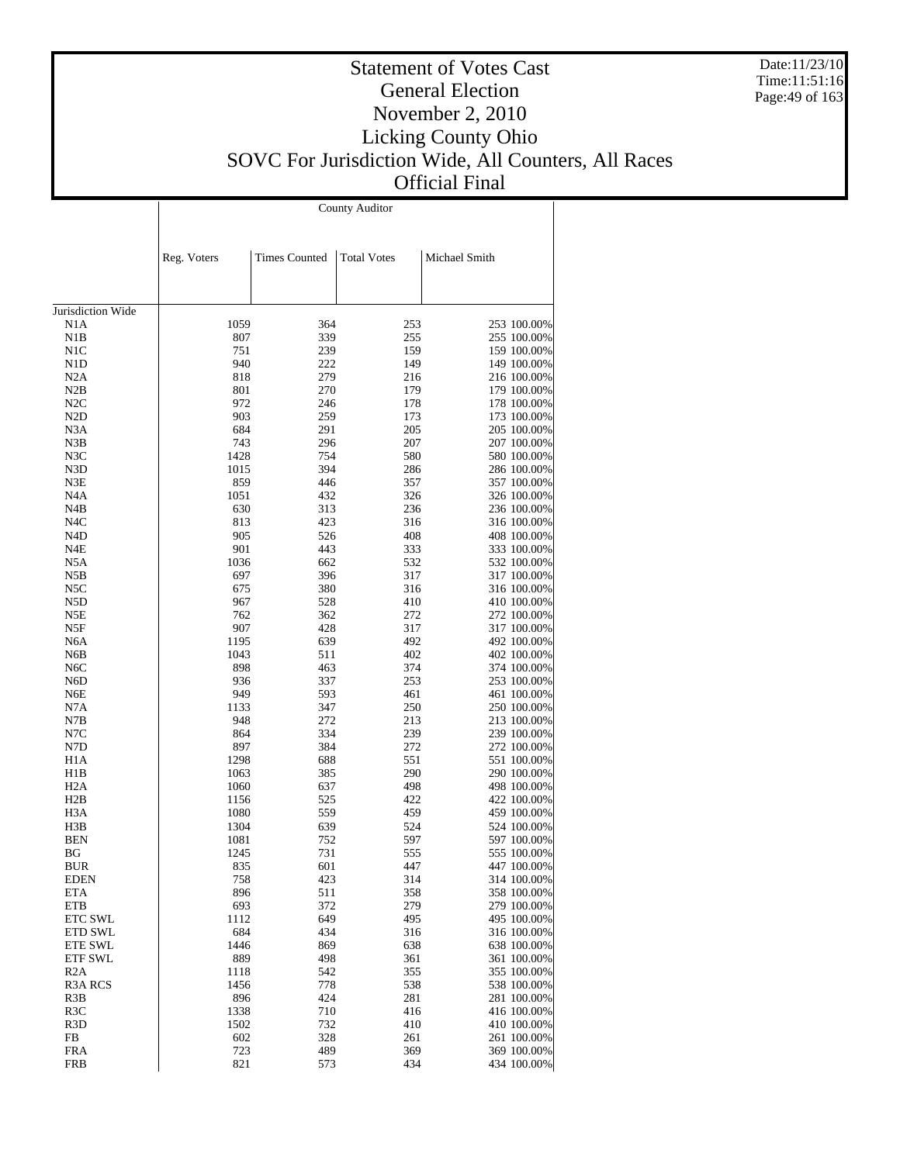Date:11/23/10 Time:11:51:16 Page:49 of 163

### Statement of Votes Cast General Election November 2, 2010 Licking County Ohio SOVC For Jurisdiction Wide, All Counters, All Races Official Final

|                       |              |                      | <b>County Auditor</b> |                            |
|-----------------------|--------------|----------------------|-----------------------|----------------------------|
|                       |              |                      |                       |                            |
|                       | Reg. Voters  | <b>Times Counted</b> | <b>Total Votes</b>    | Michael Smith              |
|                       |              |                      |                       |                            |
|                       |              |                      |                       |                            |
| Jurisdiction Wide     |              |                      |                       |                            |
| N1A                   | 1059         | 364                  | 253                   | 253 100.00%                |
| N1B                   | 807          | 339                  | 255                   | 255 100.00%                |
| N1C                   | 751          | 239                  | 159                   | 159 100.00%                |
| N1D<br>N2A            | 940<br>818   | 222<br>279           | 149<br>216            | 149 100.00%<br>216 100.00% |
| N2B                   | 801          | 270                  | 179                   | 179 100.00%                |
| N2C                   | 972          | 246                  | 178                   | 178 100.00%                |
| N <sub>2</sub> D      | 903          | 259                  | 173                   | 173 100.00%                |
| N3A                   | 684          | 291                  | 205                   | 205 100.00%                |
| N3B                   | 743          | 296                  | 207                   | 207 100.00%                |
| N3C                   | 1428         | 754<br>394           | 580                   | 580 100.00%                |
| N3D<br>N3E            | 1015<br>859  | 446                  | 286<br>357            | 286 100.00%<br>357 100.00% |
| N4A                   | 1051         | 432                  | 326                   | 326 100.00%                |
| N4B                   | 630          | 313                  | 236                   | 236 100.00%                |
| N4C                   | 813          | 423                  | 316                   | 316 100.00%                |
| N4D                   | 905          | 526                  | 408                   | 408 100.00%                |
| N4E                   | 901          | 443                  | 333                   | 333 100.00%                |
| N5A                   | 1036         | 662                  | 532                   | 532 100.00%                |
| N5B                   | 697          | 396                  | 317                   | 317 100.00%                |
| N5C                   | 675          | 380                  | 316                   | 316 100.00%                |
| N5D<br>N5E            | 967<br>762   | 528<br>362           | 410<br>272            | 410 100.00%<br>272 100.00% |
| N5F                   | 907          | 428                  | 317                   | 317 100.00%                |
| N6A                   | 1195         | 639                  | 492                   | 492 100.00%                |
| N6B                   | 1043         | 511                  | 402                   | 402 100.00%                |
| N6C                   | 898          | 463                  | 374                   | 374 100.00%                |
| N6D                   | 936          | 337                  | 253                   | 253 100.00%                |
| N6E                   | 949          | 593                  | 461                   | 461 100.00%                |
| N7A                   | 1133         | 347                  | 250                   | 250 100.00%                |
| N7B<br>N7C            | 948<br>864   | 272<br>334           | 213<br>239            | 213 100.00%                |
| N7D                   | 897          | 384                  | 272                   | 239 100.00%<br>272 100.00% |
| H <sub>1</sub> A      | 1298         | 688                  | 551                   | 551 100.00%                |
| H1B                   | 1063         | 385                  | 290                   | 290 100.00%                |
| H <sub>2</sub> A      | 1060         | 637                  | 498                   | 498 100.00%                |
| H2B                   | 1156         | 525                  | 422                   | 422 100.00%                |
| H3A                   | 1080         | 559                  | 459                   | 459 100.00%                |
| H3B                   | 1304         | 639                  | 524                   | 524 100.00%                |
| <b>BEN</b><br>ΒG      | 1081<br>1245 | 752<br>731           | 597<br>555            | 597 100.00%<br>555 100.00% |
| <b>BUR</b>            | 835          | 601                  | 447                   | 447 100.00%                |
| <b>EDEN</b>           | 758          | 423                  | 314                   | 314 100.00%                |
| <b>ETA</b>            | 896          | 511                  | 358                   | 358 100.00%                |
| ETB                   | 693          | 372                  | 279                   | 279 100.00%                |
| ETC SWL               | 1112         | 649                  | 495                   | 495 100.00%                |
| ETD SWL               | 684          | 434                  | 316                   | 316 100.00%                |
| <b>ETE SWL</b>        | 1446         | 869                  | 638                   | 638 100.00%                |
| <b>ETF SWL</b>        | 889          | 498                  | 361                   | 361 100.00%                |
| R2A<br><b>R3A RCS</b> | 1118<br>1456 | 542<br>778           | 355<br>538            | 355 100.00%<br>538 100.00% |
| R3B                   | 896          | 424                  | 281                   | 281 100.00%                |
| R3C                   | 1338         | 710                  | 416                   | 416 100.00%                |
| R3D                   | 1502         | 732                  | 410                   | 410 100.00%                |
| FB                    | 602          | 328                  | 261                   | 261 100.00%                |
| <b>FRA</b>            | 723          | 489                  | 369                   | 369 100.00%                |
| <b>FRB</b>            | 821          | 573                  | 434                   | 434 100.00%                |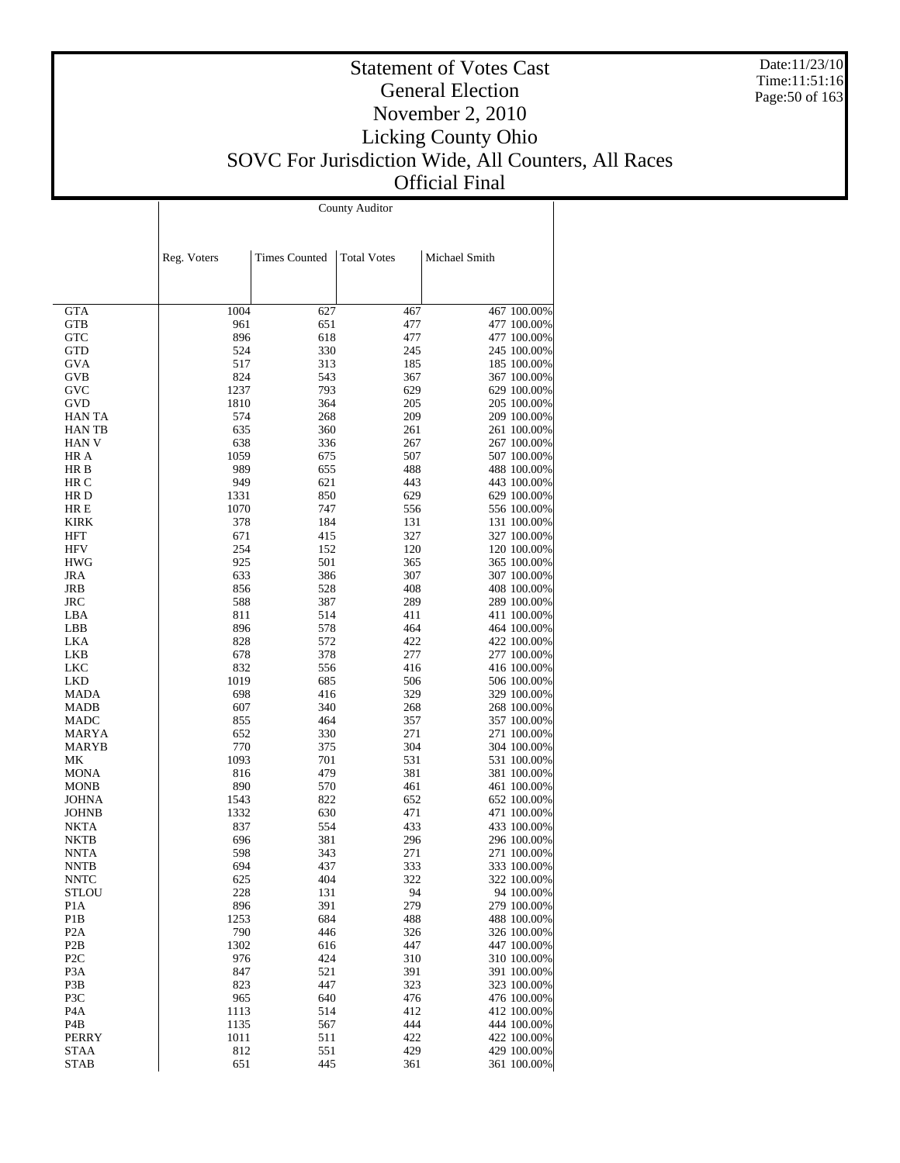Date:11/23/10 Time:11:51:16 Page:50 of 163

### Statement of Votes Cast General Election November 2, 2010 Licking County Ohio SOVC For Jurisdiction Wide, All Counters, All Races Official Final

 $\overline{\phantom{a}}$ 

County Auditor

 $\overline{1}$ 

|                          | Reg. Voters | <b>Times Counted</b> | <b>Total Votes</b> | Michael Smith |                            |
|--------------------------|-------------|----------------------|--------------------|---------------|----------------------------|
|                          |             |                      |                    |               |                            |
| <b>GTA</b>               | 1004        | 627                  | 467                |               | 467 100.00%                |
| <b>GTB</b>               | 961         | 651                  | 477                |               | 477 100.00%                |
| <b>GTC</b>               | 896         | 618                  | 477                |               | 477 100.00%                |
| <b>GTD</b>               | 524         | 330                  | 245                |               | 245 100.00%                |
| <b>GVA</b><br><b>GVB</b> | 517<br>824  | 313<br>543           | 185<br>367         |               | 185 100.00%<br>367 100.00% |
| GVC                      | 1237        | 793                  | 629                |               | 629 100.00%                |
| GVD                      | 1810        | 364                  | 205                |               | 205 100.00%                |
| <b>HAN TA</b>            | 574         | 268                  | 209                |               | 209 100.00%                |
| <b>HANTB</b>             | 635         | 360                  | 261                |               | 261 100.00%                |
| <b>HAN V</b>             | 638         | 336                  | 267                |               | 267 100.00%                |
| HR A                     | 1059        | 675                  | 507                |               | 507 100.00%                |
| HR B<br>HR C             | 989<br>949  | 655<br>621           | 488<br>443         |               | 488 100.00%<br>443 100.00% |
| HR D                     | 1331        | 850                  | 629                |               | 629 100.00%                |
| HR E                     | 1070        | 747                  | 556                |               | 556 100.00%                |
| KIRK                     | 378         | 184                  | 131                |               | 131 100.00%                |
| HFT                      | 671         | 415                  | 327                |               | 327 100.00%                |
| <b>HFV</b>               | 254         | 152                  | 120                |               | 120 100.00%                |
| <b>HWG</b>               | 925         | 501                  | 365                |               | 365 100.00%                |
| <b>JRA</b>               | 633         | 386                  | 307                |               | 307 100.00%                |
| JRB                      | 856         | 528                  | 408                |               | 408 100.00%                |
| <b>JRC</b><br>LBA        | 588<br>811  | 387<br>514           | 289<br>411         |               | 289 100.00%<br>411 100.00% |
| LBB                      | 896         | 578                  | 464                |               | 464 100.00%                |
| LKA                      | 828         | 572                  | 422                |               | 422 100.00%                |
| <b>LKB</b>               | 678         | 378                  | 277                |               | 277 100.00%                |
| LKC                      | 832         | 556                  | 416                |               | 416 100.00%                |
| <b>LKD</b>               | 1019        | 685                  | 506                |               | 506 100.00%                |
| MADA                     | 698         | 416                  | 329                |               | 329 100.00%                |
| MADB                     | 607         | 340                  | 268                |               | 268 100.00%                |
| MADC<br>MARYA            | 855<br>652  | 464<br>330           | 357<br>271         |               | 357 100.00%<br>271 100.00% |
| MARYB                    | 770         | 375                  | 304                |               | 304 100.00%                |
| МK                       | 1093        | 701                  | 531                |               | 531 100.00%                |
| <b>MONA</b>              | 816         | 479                  | 381                |               | 381 100.00%                |
| <b>MONB</b>              | 890         | 570                  | 461                |               | 461 100.00%                |
| <b>JOHNA</b>             | 1543        | 822                  | 652                |               | 652 100.00%                |
| <b>JOHNB</b>             | 1332        | 630                  | 471                |               | 471 100.00%                |
| NKTA                     | 837         | 554                  | 433                |               | 433 100.00%                |
| <b>NKTB</b><br>NNTA      | 696<br>598  | 381<br>343           | 296<br>271         |               | 296 100.00%<br>271 100.00% |
| <b>NNTB</b>              | 694         | 437                  | 333                |               | 333 100.00%                |
| <b>NNTC</b>              | 625         | 404                  | 322                |               | 322 100.00%                |
| STLOU                    | 228         | 131                  | 94                 |               | 94 100.00%                 |
| P <sub>1</sub> A         | 896         | 391                  | 279                |               | 279 100.00%                |
| P <sub>1</sub> B         | 1253        | 684                  | 488                |               | 488 100.00%                |
| P <sub>2</sub> A         | 790         | 446                  | 326                |               | 326 100.00%                |
| P <sub>2</sub> B         | 1302        | 616                  | 447                |               | 447 100.00%                |
| P <sub>2C</sub>          | 976         | 424                  | 310                |               | 310 100.00%                |
| P <sub>3</sub> A<br>P3B  | 847<br>823  | 521<br>447           | 391<br>323         |               | 391 100.00%<br>323 100.00% |
| P3C                      | 965         | 640                  | 476                |               | 476 100.00%                |
| P <sub>4</sub> A         | 1113        | 514                  | 412                |               | 412 100.00%                |
| P <sub>4</sub> B         | 1135        | 567                  | 444                |               | 444 100.00%                |
| <b>PERRY</b>             | 1011        | 511                  | 422                |               | 422 100.00%                |
| <b>STAA</b>              | 812         | 551                  | 429                |               | 429 100.00%                |
| <b>STAB</b>              | 651         | 445                  | 361                |               | 361 100.00%                |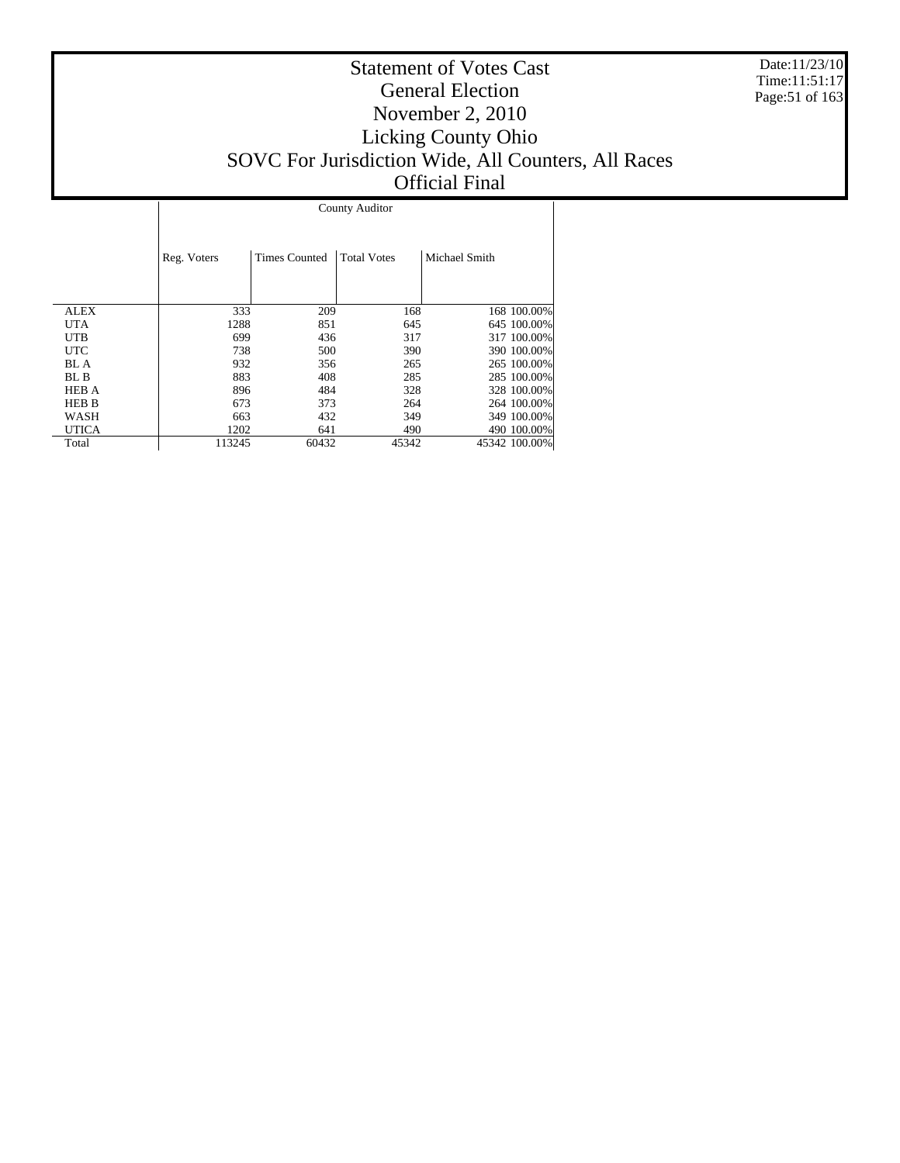Date:11/23/10 Time:11:51:17 Page:51 of 163

|              |             | County Auditor       |                    |               |               |  |  |  |  |  |
|--------------|-------------|----------------------|--------------------|---------------|---------------|--|--|--|--|--|
|              | Reg. Voters | <b>Times Counted</b> | <b>Total Votes</b> | Michael Smith |               |  |  |  |  |  |
| <b>ALEX</b>  | 333         | 209                  | 168                |               | 168 100,00%   |  |  |  |  |  |
| <b>UTA</b>   | 1288        | 851                  | 645                |               | 645 100.00%   |  |  |  |  |  |
| UTB.         | 699         | 436                  | 317                |               | 317 100.00%   |  |  |  |  |  |
| <b>UTC</b>   | 738         | 500                  | 390                |               | 390 100.00%   |  |  |  |  |  |
| <b>BL</b> A  | 932         | 356                  | 265                |               | 265 100.00%   |  |  |  |  |  |
| BL B         | 883         | 408                  | 285                |               | 285 100.00%   |  |  |  |  |  |
| <b>HEB A</b> | 896         | 484                  | 328                |               | 328 100.00%   |  |  |  |  |  |
| <b>HEB B</b> | 673         | 373                  | 264                |               | 264 100.00%   |  |  |  |  |  |
| WASH         | 663         | 432                  | 349                |               | 349 100.00%   |  |  |  |  |  |
| <b>UTICA</b> | 1202        | 641                  | 490                |               | 490 100.00%   |  |  |  |  |  |
| Total        | 113245      | 60432                | 45342              |               | 45342 100.00% |  |  |  |  |  |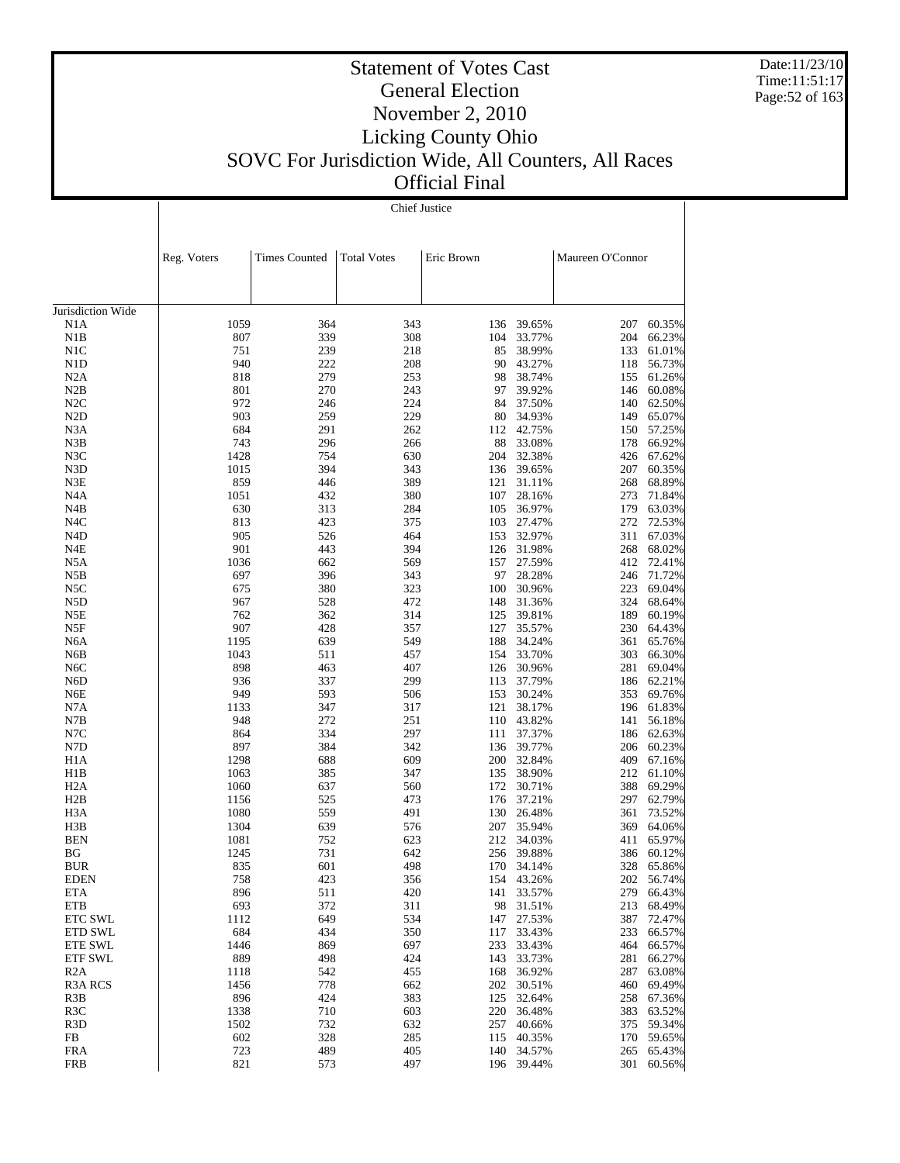Date:11/23/10 Time:11:51:17 Page:52 of 163

#### Statement of Votes Cast General Election November 2, 2010 Licking County Ohio SOVC For Jurisdiction Wide, All Counters, All Races Official Final

Chief Justice

 $\overline{1}$ 

|                           | Reg. Voters | <b>Times Counted</b> | <b>Total Votes</b> | Eric Brown |                  | Maureen O'Connor |                  |
|---------------------------|-------------|----------------------|--------------------|------------|------------------|------------------|------------------|
|                           |             |                      |                    |            |                  |                  |                  |
| Jurisdiction Wide         |             |                      |                    |            |                  |                  |                  |
| N1A                       | 1059        | 364                  | 343                |            | 136 39.65%       | 207              | 60.35%           |
| N1B                       | 807         | 339                  | 308                | 104        | 33.77%           | 204              | 66.23%           |
| N1C                       | 751         | 239                  | 218                | 85         | 38.99%           | 133              | 61.01%           |
| N1D                       | 940         | 222                  | 208                |            | 90 43.27%        |                  | 118 56.73%       |
| N2A                       | 818         | 279                  | 253                | 98         | 38.74%           | 155              | 61.26%           |
| N2B                       | 801         | 270                  | 243                | 97         | 39.92%           | 146              | 60.08%           |
| N2C                       | 972         | 246                  | 224                | 84         | 37.50%           | 140              | 62.50%           |
| N <sub>2</sub> D          | 903         | 259                  | 229                | 80         | 34.93%           |                  | 149 65.07%       |
| N3A                       | 684         | 291                  | 262                | 112        | 42.75%           | 150              | 57.25%           |
| N3B                       | 743         | 296                  | 266                | 88         | 33.08%           | 178              | 66.92%           |
| N3C                       | 1428        | 754                  | 630                | 204        | 32.38%           | 426              | 67.62%           |
| N3D                       | 1015        | 394                  | 343                |            | 136 39.65%       | 207              | 60.35%           |
| N3E                       | 859         | 446                  | 389                | 121        | 31.11%           | 268              | 68.89%           |
| N4A                       | 1051        | 432                  | 380                | 107        | 28.16%           | 273              | 71.84%           |
| N4B                       | 630         | 313                  | 284                | 105        | 36.97%           | 179              | 63.03%           |
| N4C                       | 813<br>905  | 423                  | 375                | 103        | 27.47%<br>32.97% | 272<br>311       | 72.53%<br>67.03% |
| N4D<br>N4E                | 901         | 526<br>443           | 464<br>394         | 153        | 126 31.98%       | 268              | 68.02%           |
| N5A                       | 1036        | 662                  | 569                | 157        | 27.59%           | 412              | 72.41%           |
| N5B                       | 697         | 396                  | 343                | 97         | 28.28%           | 246              | 71.72%           |
| N5C                       | 675         | 380                  | 323                | 100        | 30.96%           | 223              | 69.04%           |
| N <sub>5</sub> D          | 967         | 528                  | 472                | 148        | 31.36%           | 324              | 68.64%           |
| N5E                       | 762         | 362                  | 314                | 125        | 39.81%           | 189              | 60.19%           |
| N5F                       | 907         | 428                  | 357                | 127        | 35.57%           | 230              | 64.43%           |
| N6A                       | 1195        | 639                  | 549                | 188        | 34.24%           | 361              | 65.76%           |
| N6B                       | 1043        | 511                  | 457                | 154        | 33.70%           | 303              | 66.30%           |
| N <sub>6</sub> C          | 898         | 463                  | 407                | 126        | 30.96%           | 281              | 69.04%           |
| N6D                       | 936         | 337                  | 299                |            | 113 37.79%       | 186              | 62.21%           |
| N6E                       | 949         | 593                  | 506                | 153        | 30.24%           | 353              | 69.76%           |
| N7A                       | 1133        | 347                  | 317                | 121        | 38.17%           |                  | 196 61.83%       |
| N7B                       | 948         | 272                  | 251                |            | 110 43.82%       | 141              | 56.18%           |
| N7C                       | 864         | 334                  | 297                |            | 111 37.37%       | 186              | 62.63%           |
| N7D                       | 897         | 384                  | 342                | 136        | 39.77%           | 206              | 60.23%           |
| H <sub>1</sub> A          | 1298        | 688                  | 609                |            | 200 32.84%       | 409              | 67.16%           |
| H1B                       | 1063        | 385                  | 347                | 135        | 38.90%           | 212              | 61.10%           |
| H2A                       | 1060        | 637                  | 560                |            | 172 30.71%       | 388              | 69.29%           |
| H2B                       | 1156        | 525                  | 473                | 176        | 37.21%           | 297              | 62.79%           |
| H3A                       | 1080        | 559                  | 491                |            | 130 26.48%       | 361              | 73.52%           |
| H3B                       | 1304        | 639                  | 576                | 207        | 35.94%           | 369              | 64.06%           |
| <b>BEN</b>                | 1081        | 752                  | 623                |            | 212 34.03%       | 411              | 65.97%           |
| ΒG                        | 1245        | 731                  | 642                | 256        | 39.88%           | 386              | 60.12%           |
| <b>BUR</b>                | 835         | 601                  | 498                |            | 170 34.14%       |                  | 328 65.86%       |
| EDEN                      | 758         | 423                  | 356                |            | 154 43.26%       |                  | 202 56.74%       |
| ETA                       | 896         | 511                  | 420                |            | 141 33.57%       |                  | 279 66.43%       |
| ETB                       | 693<br>1112 | 372<br>649           | 311                | 98         | 31.51%           | 213              | 68.49%           |
| ETC SWL                   | 684         |                      | 534                | 147        | 27.53%           | 387              | 72.47%           |
| ETD SWL                   | 1446        | 434<br>869           | 350<br>697         | 117<br>233 | 33.43%           | 233<br>464       | 66.57%<br>66.57% |
| ETE SWL<br><b>ETF SWL</b> | 889         | 498                  | 424                | 143        | 33.43%<br>33.73% | 281              | 66.27%           |
| R2A                       | 1118        | 542                  | 455                | 168        | 36.92%           | 287              | 63.08%           |
| <b>R3A RCS</b>            | 1456        | 778                  | 662                | 202        | 30.51%           | 460              | 69.49%           |
| R <sub>3</sub> B          | 896         | 424                  | 383                | 125        | 32.64%           | 258              | 67.36%           |
| R <sub>3</sub> C          | 1338        | 710                  | 603                | 220        | 36.48%           | 383              | 63.52%           |
| R <sub>3</sub> D          | 1502        | 732                  | 632                | 257        | 40.66%           | 375              | 59.34%           |
| FB                        | 602         | 328                  | 285                | 115        | 40.35%           | 170              | 59.65%           |
| <b>FRA</b>                | 723         | 489                  | 405                |            | 140 34.57%       | 265              | 65.43%           |
| <b>FRB</b>                | 821         | 573                  | 497                |            | 196 39.44%       | 301              | 60.56%           |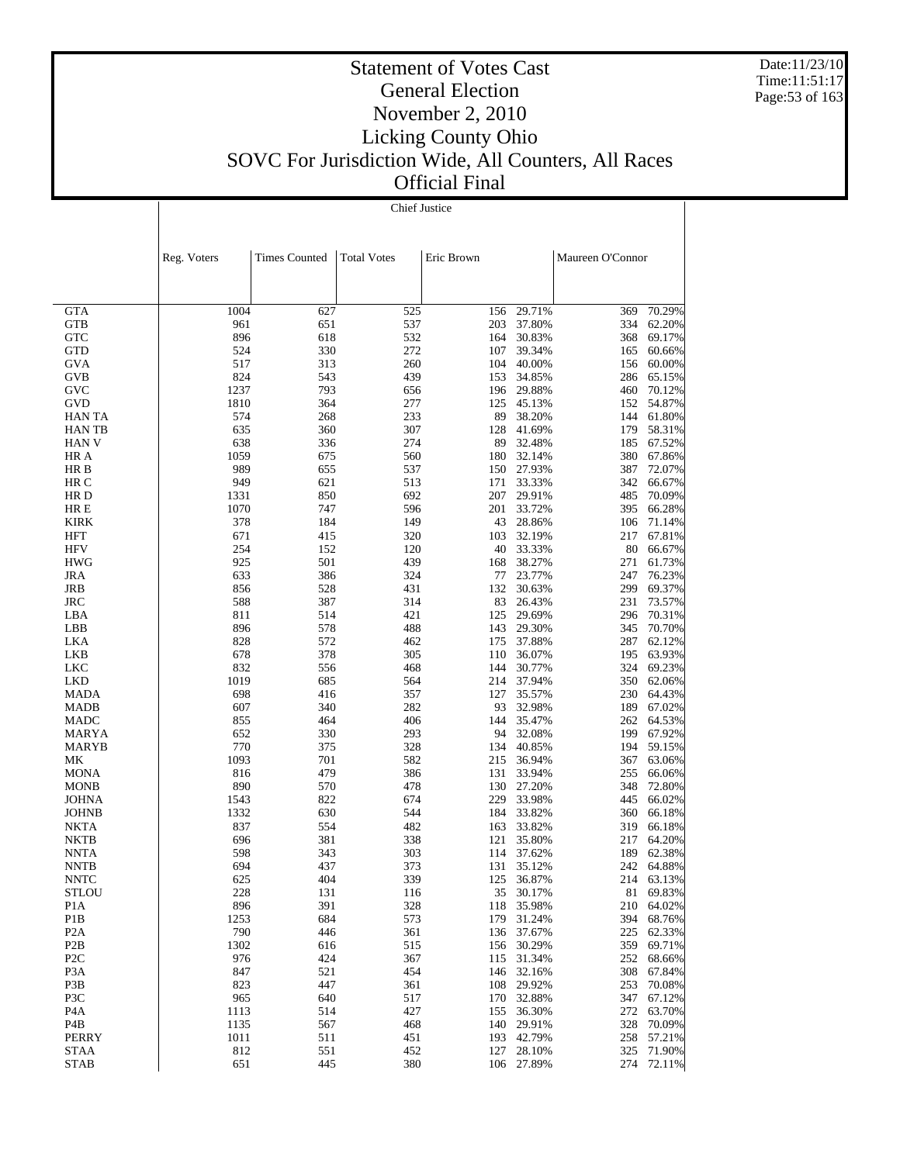Date:11/23/10 Time:11:51:17 Page:53 of 163

#### Statement of Votes Cast General Election November 2, 2010 Licking County Ohio SOVC For Jurisdiction Wide, All Counters, All Races Official Final

Chief Justice

|                         | Reg. Voters | <b>Times Counted</b> | <b>Total Votes</b> | Eric Brown |                      | Maureen O'Connor |                  |
|-------------------------|-------------|----------------------|--------------------|------------|----------------------|------------------|------------------|
|                         |             |                      |                    |            |                      |                  |                  |
|                         |             |                      |                    |            |                      |                  |                  |
| <b>GTA</b>              | 1004        | 627                  | 525                | 156        | 29.71%               | 369              | 70.29%           |
| GTB                     | 961         | 651                  | 537                | 203        | 37.80%               | 334              | 62.20%           |
| <b>GTC</b>              | 896         | 618                  | 532                | 164        | 30.83%               | 368              | 69.17%           |
| <b>GTD</b>              | 524         | 330                  | 272                |            | 107 39.34%           | 165              | 60.66%           |
| GVA                     | 517         | 313                  | 260                |            | 104 40.00%           | 156              | 60.00%           |
| GVB                     | 824         | 543                  | 439                | 153        | 34.85%               | 286              | 65.15%           |
| GVC                     | 1237        | 793<br>364           | 656                |            | 196 29.88%           | 460<br>152       | 70.12%           |
| GVD<br><b>HANTA</b>     | 1810<br>574 | 268                  | 277<br>233         | 89         | 125 45.13%<br>38.20% | 144              | 54.87%<br>61.80% |
| HAN TB                  | 635         | 360                  | 307                |            | 128 41.69%           | 179              | 58.31%           |
| HAN V                   | 638         | 336                  | 274                | 89         | 32.48%               | 185              | 67.52%           |
| HR A                    | 1059        | 675                  | 560                |            | 180 32.14%           | 380              | 67.86%           |
| HR B                    | 989         | 655                  | 537                |            | 150 27.93%           | 387              | 72.07%           |
| HR C                    | 949         | 621                  | 513                | 171        | 33.33%               | 342              | 66.67%           |
| HR D                    | 1331        | 850                  | 692                | 207        | 29.91%               | 485              | 70.09%           |
| HR E                    | 1070        | 747                  | 596                |            | 201 33.72%           | 395              | 66.28%           |
| <b>KIRK</b>             | 378         | 184                  | 149                | 43         | 28.86%               | 106              | 71.14%           |
| HFT                     | 671         | 415                  | 320                |            | 103 32.19%           | 217              | 67.81%           |
| HFV                     | 254         | 152                  | 120                |            | 40 33.33%            | 80               | 66.67%           |
| <b>HWG</b>              | 925         | 501                  | 439                | 168        | 38.27%               | 271              | 61.73%           |
| JRA                     | 633         | 386                  | 324                | 77         | 23.77%               | 247              | 76.23%           |
| JRB                     | 856         | 528                  | 431                | 132        | 30.63%               | 299              | 69.37%           |
| JRC                     | 588         | 387                  | 314                | 83<br>125  | 26.43%               | 231<br>296       | 73.57%           |
| LBA<br>LBB              | 811<br>896  | 514<br>578           | 421<br>488         | 143        | 29.69%<br>29.30%     | 345              | 70.31%<br>70.70% |
| LKA                     | 828         | 572                  | 462                |            | 175 37.88%           | 287              | 62.12%           |
| LKB                     | 678         | 378                  | 305                | 110        | 36.07%               | 195              | 63.93%           |
| <b>LKC</b>              | 832         | 556                  | 468                | 144        | 30.77%               | 324              | 69.23%           |
| LKD                     | 1019        | 685                  | 564                | 214        | 37.94%               | 350              | 62.06%           |
| MADA                    | 698         | 416                  | 357                | 127        | 35.57%               | 230              | 64.43%           |
| MADB                    | 607         | 340                  | 282                |            | 93 32.98%            | 189              | 67.02%           |
| MADC                    | 855         | 464                  | 406                | 144        | 35.47%               | 262              | 64.53%           |
| MARYA                   | 652         | 330                  | 293                | 94         | 32.08%               | 199              | 67.92%           |
| MARYB                   | 770         | 375                  | 328                |            | 134 40.85%           | 194              | 59.15%           |
| MК                      | 1093        | 701                  | 582                | 215        | 36.94%               | 367              | 63.06%           |
| MONA                    | 816         | 479                  | 386                | 130        | 131 33.94%           | 255<br>348       | 66.06%           |
| MONB<br>JOHNA           | 890<br>1543 | 570<br>822           | 478<br>674         | 229        | 27.20%<br>33.98%     | 445              | 72.80%<br>66.02% |
| <b>JOHNB</b>            | 1332        | 630                  | 544                |            | 184 33.82%           | 360              | 66.18%           |
| NKTA                    | 837         | 554                  | 482                |            | 163 33.82%           | 319              | 66.18%           |
| NKTB                    | 696         | 381                  | 338                | 121        | 35.80%               | 217              | 64.20%           |
| <b>NNTA</b>             | 598         | 343                  | 303                | 114        | 37.62%               | 189              | 62.38%           |
| <b>NNTB</b>             | 694         | 437                  | 373                | 131        | 35.12%               |                  | 242 64.88%       |
| <b>NNTC</b>             | 625         | 404                  | 339                | 125        | 36.87%               |                  | 214 63.13%       |
| STLOU                   | 228         | 131                  | 116                | 35         | 30.17%               |                  | 81 69.83%        |
| P <sub>1</sub> A        | 896         | 391                  | 328                | 118        | 35.98%               | 210              | 64.02%           |
| P1B                     | 1253        | 684                  | 573                | 179        | 31.24%               | 394              | 68.76%           |
| P <sub>2</sub> A        | 790         | 446                  | 361                | 136        | 37.67%               | 225              | 62.33%           |
| P <sub>2</sub> B        | 1302        | 616                  | 515                | 156        | 30.29%               | 359              | 69.71%           |
| P <sub>2</sub> C        | 976         | 424                  | 367                | 115        | 31.34%               | 252              | 68.66%           |
| P <sub>3</sub> A<br>P3B | 847<br>823  | 521<br>447           | 454                | 146        | 32.16%<br>29.92%     | 308<br>253       | 67.84%<br>70.08% |
| P3C                     | 965         | 640                  | 361<br>517         | 108<br>170 | 32.88%               | 347              | 67.12%           |
| P <sub>4</sub> A        | 1113        | 514                  | 427                | 155        | 36.30%               | 272              | 63.70%           |
| P4B                     | 1135        | 567                  | 468                | 140        | 29.91%               | 328              | 70.09%           |
| <b>PERRY</b>            | 1011        | 511                  | 451                | 193        | 42.79%               | 258              | 57.21%           |
| <b>STAA</b>             | 812         | 551                  | 452                | 127        | 28.10%               | 325              | 71.90%           |
| <b>STAB</b>             | 651         | 445                  | 380                | 106        | 27.89%               | 274              | 72.11%           |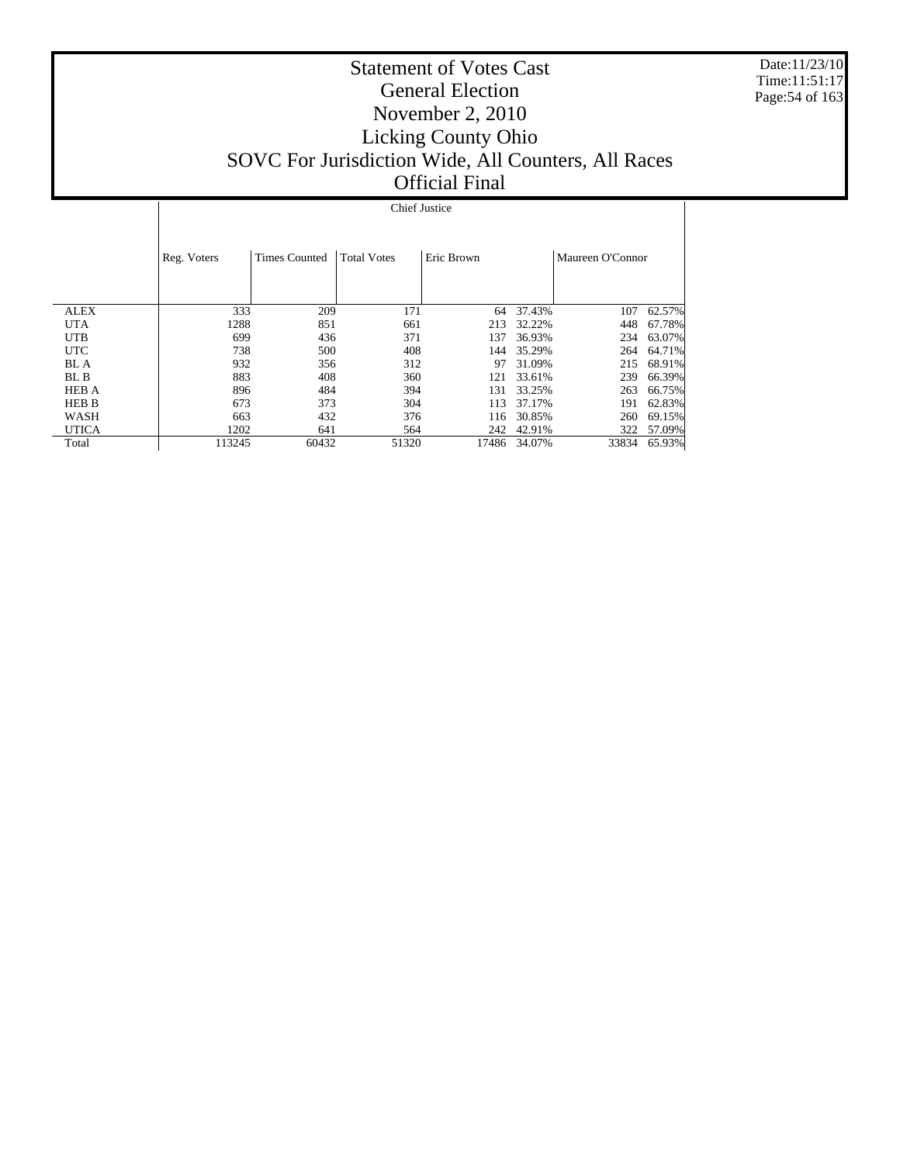Date:11/23/10 Time:11:51:17 Page:54 of 163

#### Statement of Votes Cast General Election November 2, 2010 Licking County Ohio SOVC For Jurisdiction Wide, All Counters, All Races Official Final

 ALEX UTA UTB UTC BL A BL B HEB A HEB B WASH UTICA Total Reg. Voters | Times Counted | Total Votes | Eric Brown | Maureen O'Connor Chief Justice 333 209 171 64 37.43% 107 62.57%<br>1288 851 661 213 32.22% 448 67.78% 1288 851 661 213 32.22% 448 67.78%<br>699 436 371 137 36.93% 234 63.07% 699 436 371 137 36.93% 234 63.07% 738 500 408 144 35.29% 264 64.71% 932 356 312 97 31.09% 215 68.91% 883 408 360 121 33.61% 239 66.39%<br>896 484 394 131 33.25% 263 66.75% 896 484 394 131 33.25% 263 66.75% 113 37.17% 191 62.83%<br>116 30.85% 260 69.15% 063 432 376 116 30.85% 260 69.15%<br>1202 641 564 242 42.91% 322 57.09%  $\begin{array}{ccccccccc} 1202 & & & 641 & & & 564 & & & 242 & 42.91\% \\ 113245 & & & 60432 & & & 51320 & & & 17486 & 34.07\% \end{array}$ 33834 65.93%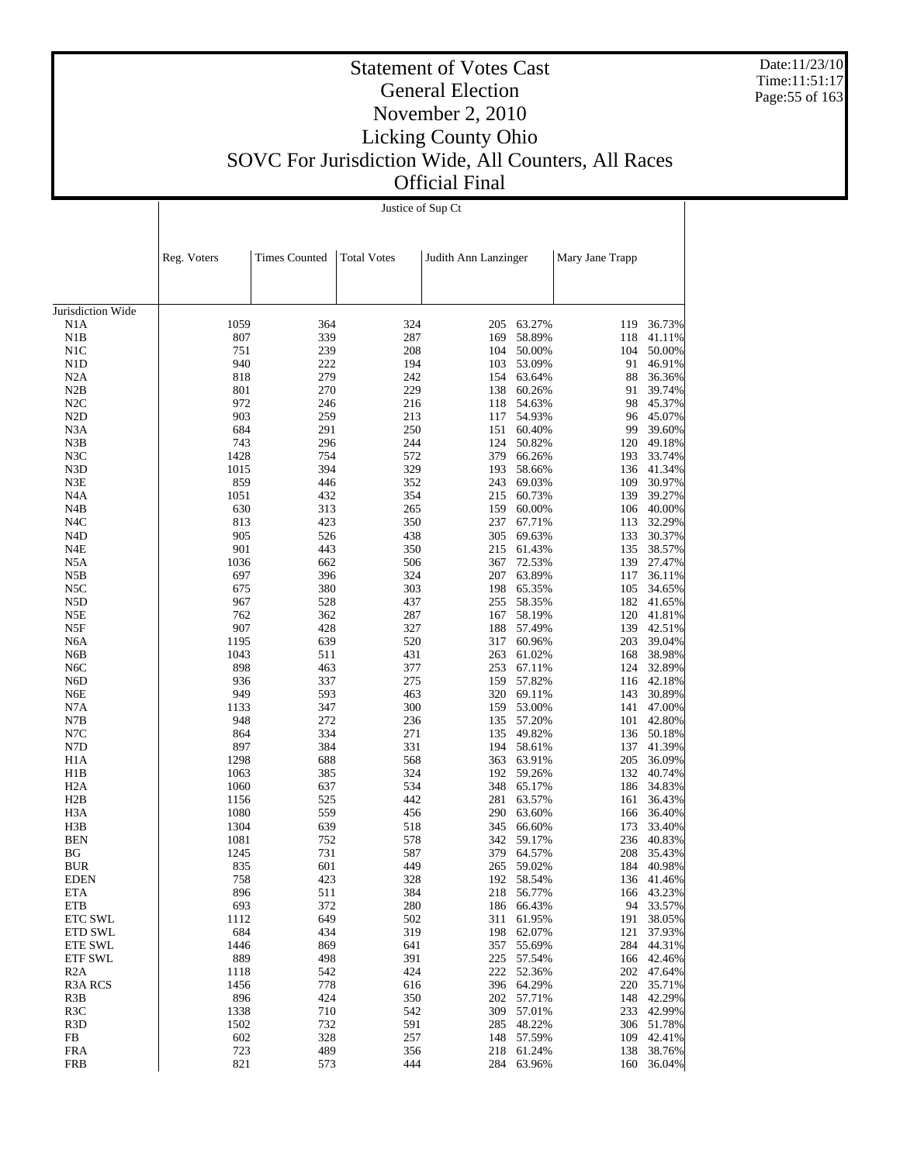Date:11/23/10 Time:11:51:17 Page:55 of 163

#### Statement of Votes Cast General Election November 2, 2010 Licking County Ohio SOVC For Jurisdiction Wide, All Counters, All Races Official Final

Justice of Sup Ct

 $\mathbf{I}$ 

|                         | Reg. Voters  | <b>Times Counted</b> | <b>Total Votes</b> | Judith Ann Lanzinger |                      | Mary Jane Trapp |                      |
|-------------------------|--------------|----------------------|--------------------|----------------------|----------------------|-----------------|----------------------|
|                         |              |                      |                    |                      |                      |                 |                      |
|                         |              |                      |                    |                      |                      |                 |                      |
| Jurisdiction Wide       |              |                      |                    |                      |                      |                 |                      |
| N1A                     | 1059         | 364                  | 324                | 205                  | 63.27%               | 119             | 36.73%               |
| N1B                     | 807          | 339                  | 287                | 169                  | 58.89%               | 118             | 41.11%               |
| N1C                     | 751          | 239                  | 208                |                      | 104 50.00%           | 104             | 50.00%               |
| N <sub>1</sub> D        | 940          | 222                  | 194                |                      | 103 53.09%           | 91              | 46.91%               |
| N2A                     | 818          | 279                  | 242                |                      | 154 63.64%           | 88              | 36.36%               |
| N2B                     | 801          | 270                  | 229                |                      | 138 60.26%           | 91              | 39.74%               |
| N2C                     | 972          | 246                  | 216                |                      | 118 54.63%           | 98              | 45.37%               |
| N <sub>2</sub> D        | 903          | 259                  | 213                |                      | 117 54.93%           |                 | 96 45.07%<br>39.60%  |
| N3A                     | 684<br>743   | 291                  | 250                |                      | 151 60.40%           | 99              |                      |
| N3B                     | 1428         | 296                  | 244                | 124                  | 50.82%               | 120             | 49.18%               |
| N3C<br>N <sub>3</sub> D | 1015         | 754<br>394           | 572<br>329         | 379<br>193           | 66.26%<br>58.66%     | 193             | 33.74%<br>136 41.34% |
| N3E                     | 859          | 446                  | 352                |                      | 243 69.03%           | 109             | 30.97%               |
| N <sub>4</sub> A        | 1051         | 432                  | 354                |                      | 215 60.73%           | 139             | 39.27%               |
| N4B                     | 630          | 313                  | 265                | 159                  | 60.00%               |                 | 106 40.00%           |
| N4C                     | 813          | 423                  | 350                | 237                  | 67.71%               | 113             | 32.29%               |
| N <sub>4</sub> D        | 905          | 526                  | 438                |                      | 305 69.63%           | 133             | 30.37%               |
| N4E                     | 901          | 443                  | 350                |                      | 215 61.43%           | 135             | 38.57%               |
| N5A                     | 1036         | 662                  | 506                |                      | 367 72.53%           | 139             | 27.47%               |
| N5B                     | 697          | 396                  | 324                |                      | 207 63.89%           | 117             | 36.11%               |
| N5C                     | 675          | 380                  | 303                |                      | 198 65.35%           | 105             | 34.65%               |
| N <sub>5</sub> D        | 967          | 528                  | 437                |                      | 255 58.35%           |                 | 182 41.65%           |
| N5E                     | 762          | 362                  | 287                | 167                  | 58.19%               |                 | 120 41.81%           |
| N5F                     | 907          | 428                  | 327                |                      | 188 57.49%           |                 | 139 42.51%           |
| N6A                     | 1195         | 639                  | 520                |                      | 317 60.96%           | 203             | 39.04%               |
| N6B                     | 1043         | 511                  | 431                |                      | 263 61.02%           | 168             | 38.98%               |
| N <sub>6</sub> C        | 898          | 463                  | 377                |                      | 253 67.11%           | 124             | 32.89%               |
| N <sub>6</sub> D        | 936          | 337                  | 275                |                      | 159 57.82%           |                 | 116 42.18%           |
| N6E                     | 949          | 593                  | 463                |                      | 320 69.11%           | 143             | 30.89%               |
| N7A                     | 1133         | 347                  | 300                |                      | 159 53.00%           |                 | 141 47.00%           |
| N7B                     | 948          | 272                  | 236                |                      | 135 57.20%           | 101             | 42.80%               |
| N7C                     | 864          | 334                  | 271                |                      | 135 49.82%           |                 | 136 50.18%           |
| N7D                     | 897          | 384                  | 331                |                      | 194 58.61%           | 137             | 41.39%               |
| H <sub>1</sub> A        | 1298         | 688                  | 568                |                      | 363 63.91%           | 205             | 36.09%               |
| H1B                     | 1063         | 385                  | 324                |                      | 192 59.26%           | 132             | 40.74%               |
| H <sub>2</sub> A        | 1060         | 637                  | 534                |                      | 348 65.17%           | 186             | 34.83%               |
| H2B                     | 1156         | 525                  | 442                |                      | 281 63.57%           | 161             | 36.43%               |
| H3A                     | 1080<br>1304 | 559                  | 456                | 290                  | 63.60%<br>345 66.60% | 166             | 36.40%<br>33.40%     |
| H3B<br><b>BEN</b>       | 1081         | 639<br>752           | 518<br>578         | 342                  | 59.17%               | 173<br>236      | 40.83%               |
| ΒG                      | 1245         | 731                  | 587                | 379                  | 64.57%               | 208             | 35.43%               |
| BUR                     | 835          | 601                  | 449                | 265                  | 59.02%               |                 | 184 40.98%           |
| <b>EDEN</b>             | 758          | 423                  | 328                |                      | 192 58.54%           |                 | 136 41.46%           |
| ETA                     | 896          | 511                  | 384                |                      | 218 56.77%           |                 | 166 43.23%           |
| ETB                     | 693          | 372                  | 280                |                      | 186 66.43%           |                 | 94 33.57%            |
| ETC SWL                 | 1112         | 649                  | 502                | 311                  | 61.95%               | 191             | 38.05%               |
| ETD SWL                 | 684          | 434                  | 319                | 198                  | 62.07%               | 121             | 37.93%               |
| ETE SWL                 | 1446         | 869                  | 641                | 357                  | 55.69%               |                 | 284 44.31%           |
| ETF SWL                 | 889          | 498                  | 391                | 225                  | 57.54%               |                 | 166 42.46%           |
| R <sub>2</sub> A        | 1118         | 542                  | 424                |                      | 222 52.36%           |                 | 202 47.64%           |
| R3A RCS                 | 1456         | 778                  | 616                |                      | 396 64.29%           | 220             | 35.71%               |
| R3B                     | 896          | 424                  | 350                | 202                  | 57.71%               |                 | 148 42.29%           |
| R3C                     | 1338         | 710                  | 542                | 309                  | 57.01%               |                 | 233 42.99%           |
| R3D                     | 1502         | 732                  | 591                |                      | 285 48.22%           |                 | 306 51.78%           |
| FB                      | 602          | 328                  | 257                | 148                  | 57.59%               | 109             | 42.41%               |
| <b>FRA</b>              | 723          | 489                  | 356                |                      | 218 61.24%           | 138             | 38.76%               |
| FRB                     | 821          | 573                  | 444                |                      | 284 63.96%           | 160             | 36.04%               |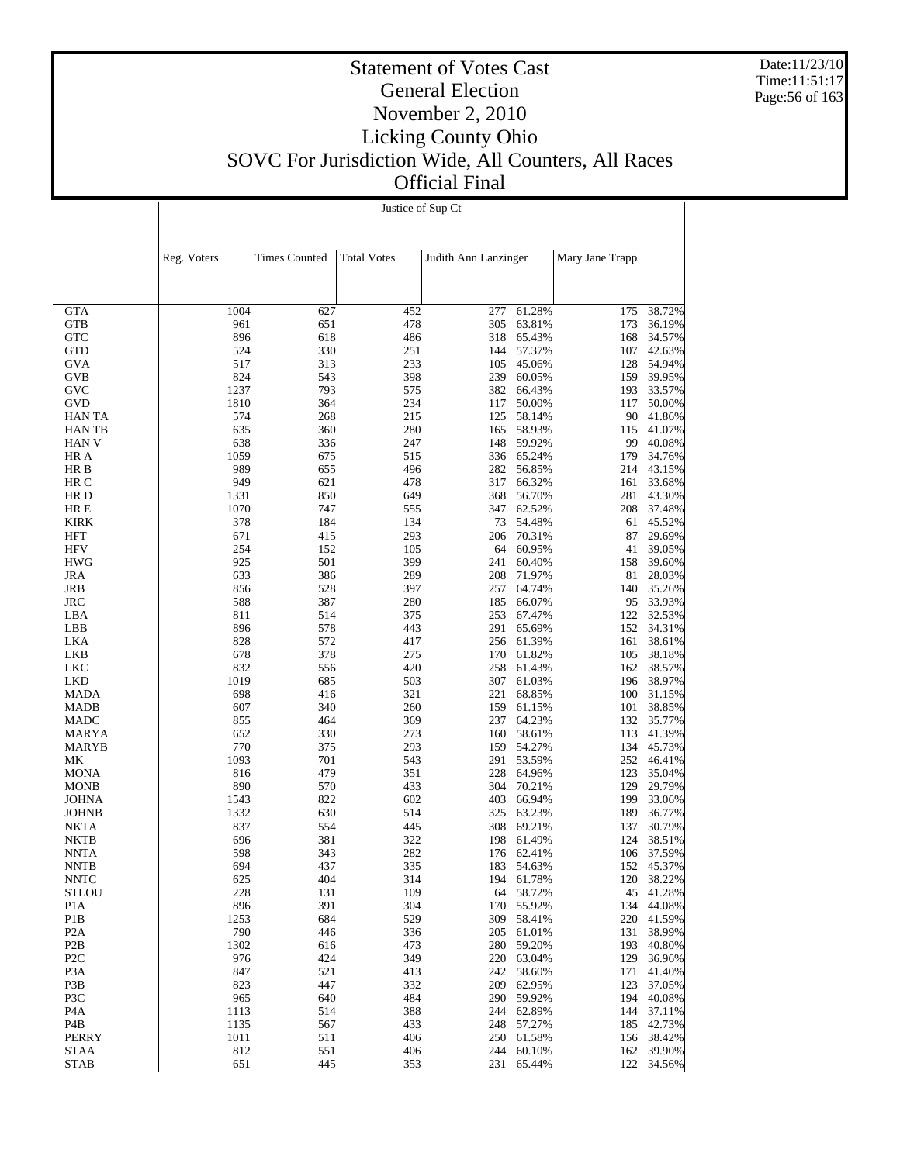Date:11/23/10 Time:11:51:17 Page:56 of 163

#### Statement of Votes Cast General Election November 2, 2010 Licking County Ohio SOVC For Jurisdiction Wide, All Counters, All Races Official Final

Justice of Sup Ct

|                                  | Reg. Voters | <b>Times Counted</b> | <b>Total Votes</b> | Judith Ann Lanzinger |                     | Mary Jane Trapp |                         |
|----------------------------------|-------------|----------------------|--------------------|----------------------|---------------------|-----------------|-------------------------|
|                                  |             |                      |                    |                      |                     |                 |                         |
|                                  |             |                      |                    |                      |                     |                 |                         |
| <b>GTA</b>                       | 1004        | 627                  | 452                | 277                  | 61.28%              | 175             | 38.72%                  |
| <b>GTB</b>                       | 961         | 651                  | 478                | 305                  | 63.81%              | 173             | 36.19%                  |
| <b>GTC</b>                       | 896         | 618                  | 486                |                      | 318 65.43%          | 168             | 34.57%                  |
| GTD                              | 524         | 330                  | 251                |                      | 144 57.37%          | 107             | 42.63%                  |
| <b>GVA</b>                       | 517<br>824  | 313<br>543           | 233<br>398         | 105<br>239           | 45.06%              | 128<br>159      | 54.94%                  |
| GVB<br>GVC                       | 1237        | 793                  | 575                | 382                  | 60.05%<br>66.43%    | 193             | 39.95%<br>33.57%        |
| GVD                              | 1810        | 364                  | 234                | 117                  | 50.00%              | 117             | 50.00%                  |
| <b>HAN TA</b>                    | 574         | 268                  | 215                | 125                  | 58.14%              | 90              | 41.86%                  |
| <b>HANTB</b>                     | 635         | 360                  | 280                | 165                  | 58.93%              | 115             | 41.07%                  |
| <b>HAN V</b>                     | 638         | 336                  | 247                |                      | 148 59.92%          | 99              | 40.08%                  |
| HR A                             | 1059        | 675                  | 515                |                      | 336 65.24%          | 179             | 34.76%                  |
| HR B                             | 989         | 655                  | 496                |                      | 282 56.85%          | 214             | 43.15%                  |
| HR C                             | 949         | 621                  | 478                | 317                  | 66.32%              | 161             | 33.68%                  |
| HR D                             | 1331        | 850                  | 649                | 368                  | 56.70%              | 281             | 43.30%                  |
| HR E                             | 1070        | 747                  | 555                |                      | 347 62.52%          | 208             | 37.48%                  |
| <b>KIRK</b>                      | 378         | 184                  | 134                |                      | 73 54.48%           | 61              | 45.52%                  |
| <b>HFT</b>                       | 671         | 415                  | 293                | 206                  | 70.31%              | 87              | 29.69%                  |
| <b>HFV</b>                       | 254         | 152                  | 105                |                      | 64 60.95%           | 41              | 39.05%                  |
| <b>HWG</b>                       | 925         | 501                  | 399                | 241                  | 60.40%              | 158             | 39.60%                  |
| <b>JRA</b>                       | 633         | 386                  | 289                | 208                  | 71.97%              | 81              | 28.03%                  |
| JRB                              | 856         | 528                  | 397                |                      | 257 64.74%          | 140             | 35.26%                  |
| <b>JRC</b>                       | 588         | 387                  | 280                | 185                  | 66.07%              | 95              | 33.93%                  |
| LBA                              | 811         | 514                  | 375                | 253                  | 67.47%              | 122             | 32.53%                  |
| LBB                              | 896         | 578                  | 443                | 291                  | 65.69%              | 152             | 34.31%                  |
| LKA                              | 828         | 572                  | 417                |                      | 256 61.39%          | 161             | 38.61%                  |
| LKB                              | 678         | 378                  | 275                |                      | 170 61.82%          | 105             | 38.18%                  |
| <b>LKC</b><br><b>LKD</b>         | 832<br>1019 | 556<br>685           | 420<br>503         | 307                  | 258 61.43%          | 162<br>196      | 38.57%                  |
| <b>MADA</b>                      | 698         | 416                  | 321                | 221                  | 61.03%<br>68.85%    | 100             | 38.97%<br>31.15%        |
| <b>MADB</b>                      | 607         | 340                  | 260                | 159                  | 61.15%              | 101             | 38.85%                  |
| MADC                             | 855         | 464                  | 369                | 237                  | 64.23%              | 132             | 35.77%                  |
| <b>MARYA</b>                     | 652         | 330                  | 273                | 160                  | 58.61%              | 113             | 41.39%                  |
| MARYB                            | 770         | 375                  | 293                |                      | 159 54.27%          |                 | 134 45.73%              |
| МK                               | 1093        | 701                  | 543                |                      | 291 53.59%          | 252             | 46.41%                  |
| MONA                             | 816         | 479                  | 351                | 228                  | 64.96%              | 123             | 35.04%                  |
| MONB                             | 890         | 570                  | 433                | 304                  | 70.21%              | 129             | 29.79%                  |
| <b>JOHNA</b>                     | 1543        | 822                  | 602                | 403                  | 66.94%              | 199             | 33.06%                  |
| <b>JOHNB</b>                     | 1332        | 630                  | 514                | 325                  | 63.23%              | 189             | 36.77%                  |
| NKTA                             | 837         | 554                  | 445                |                      | 308 69.21%          | 137             | 30.79%                  |
| <b>NKTB</b>                      | 696         | 381                  | 322                | 198                  | 61.49%              | 124             | 38.51%                  |
| NNTA                             | 598         | 343                  | 282                | 176                  | 62.41%              | 106             | 37.59%                  |
| <b>NNTB</b>                      | 694         | 437                  | 335                | 183                  | 54.63%              | 152             | 45.37%                  |
| <b>NNTC</b>                      | 625         | 404                  | 314                | 194                  | 61.78%              | 120             | 38.22%                  |
| <b>STLOU</b><br>P <sub>1</sub> A | 228<br>896  | 131<br>391           | 109<br>304         | 170                  | 64 58.72%<br>55.92% |                 | 45 41.28%<br>134 44.08% |
| P <sub>1</sub> B                 | 1253        | 684                  | 529                | 309                  | 58.41%              | 220             | 41.59%                  |
| P <sub>2</sub> A                 | 790         | 446                  | 336                | 205                  | 61.01%              | 131             | 38.99%                  |
| P <sub>2</sub> B                 | 1302        | 616                  | 473                | 280                  | 59.20%              | 193             | 40.80%                  |
| P <sub>2C</sub>                  | 976         | 424                  | 349                | 220                  | 63.04%              | 129             | 36.96%                  |
| P <sub>3</sub> A                 | 847         | 521                  | 413                | 242                  | 58.60%              | 171             | 41.40%                  |
| P3B                              | 823         | 447                  | 332                | 209                  | 62.95%              | 123             | 37.05%                  |
| P3C                              | 965         | 640                  | 484                | 290                  | 59.92%              | 194             | 40.08%                  |
| P <sub>4</sub> A                 | 1113        | 514                  | 388                | 244                  | 62.89%              | 144             | 37.11%                  |
| P4B                              | 1135        | 567                  | 433                | 248                  | 57.27%              | 185             | 42.73%                  |
| PERRY                            | 1011        | 511                  | 406                | 250                  | 61.58%              | 156             | 38.42%                  |
| <b>STAA</b>                      | 812         | 551                  | 406                | 244                  | 60.10%              |                 | 162 39.90%              |
| <b>STAB</b>                      | 651         | 445                  | 353                | 231                  | 65.44%              |                 | 122 34.56%              |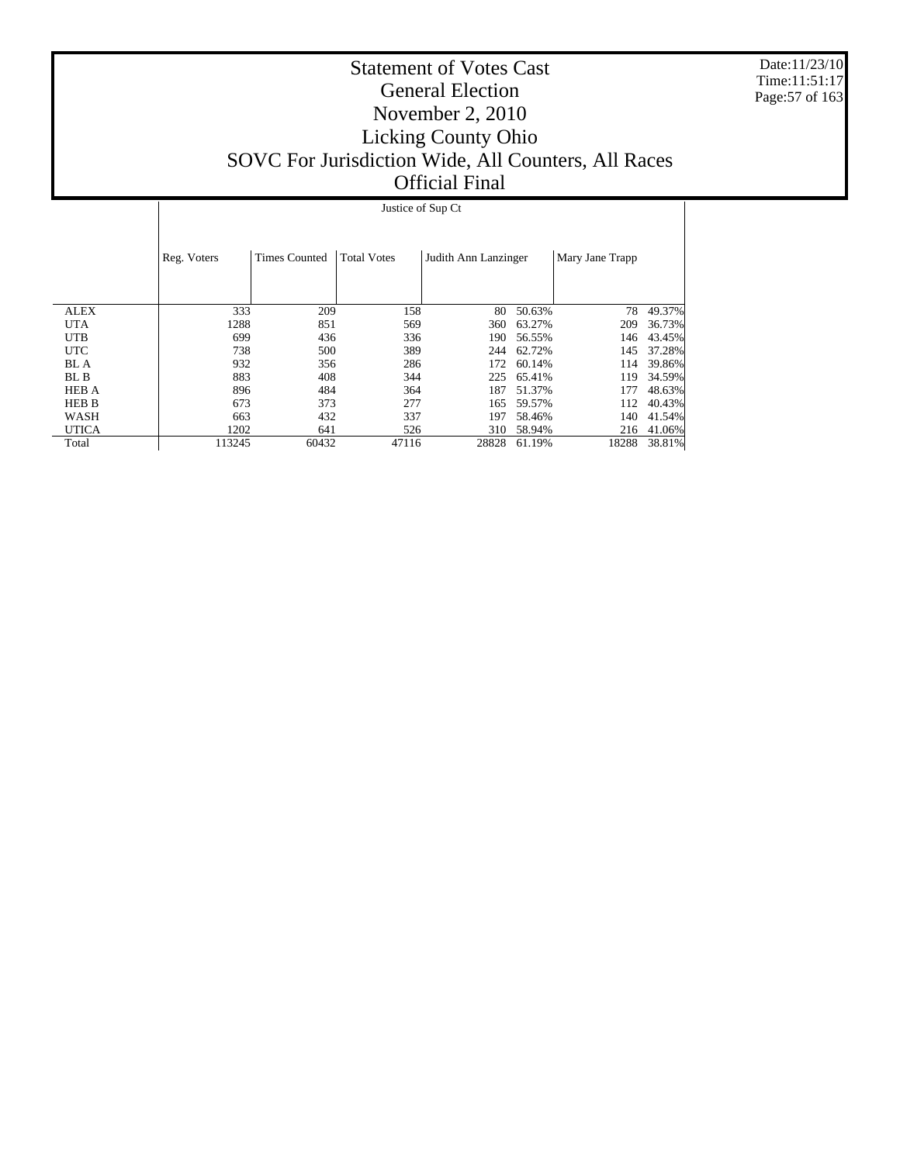Date:11/23/10 Time:11:51:17 Page:57 of 163

#### Statement of Votes Cast General Election November 2, 2010 Licking County Ohio SOVC For Jurisdiction Wide, All Counters, All Races Official Final

 ALEX UTA UTB UTC BL A BL B HEB A HEB B WASH UTICA Total Reg. Voters Times Counted | Total Votes | Judith Ann Lanzinger | Mary Jane Trapp Justice of Sup Ct  $\begin{array}{ccccccccc} \textbf{333} & \textbf{209} & \textbf{158} & \textbf{80} & \textbf{50.63\%} & \textbf{78} & \textbf{49.37\%} \\ \textbf{1288} & \textbf{851} & \textbf{569} & \textbf{360} & \textbf{63.27\%} & \textbf{209} & \textbf{36.73\%} \\ \end{array}$ 1288 851 569 360 63.27% 209 36.73%<br>699 436 336 190 56.55% 146 43.45% 699 436 336 190 56.55% 146 43.45% 738 500 389 244 62.72% 145 37.28% 932 356 286 172 60.14% 114 39.86%<br>883 408 344 225 65.41% 119 34.59%  $\begin{array}{lllll} 408 & 344 & 225 & 65.41\% \\ 484 & 364 & 187 & 51.37\% \end{array}$ 896 484 364 187 51.37% 177 48.63%<br>673 373 277 165 59.57% 112 40.43% 112 40.43%<br>140 41.54% 663 432 337 197 58.46% 140 41.54%<br>1202 641 526 310 58.94% 216 41.06%  $\begin{array}{ccccccccc} 1202 & & & 641 & & & 526 & & & 310 & 58.94\% \\ 113245 & & & 60432 & & & 47116 & & & 28828 & 61.19\% \end{array}$ 18288 38.81%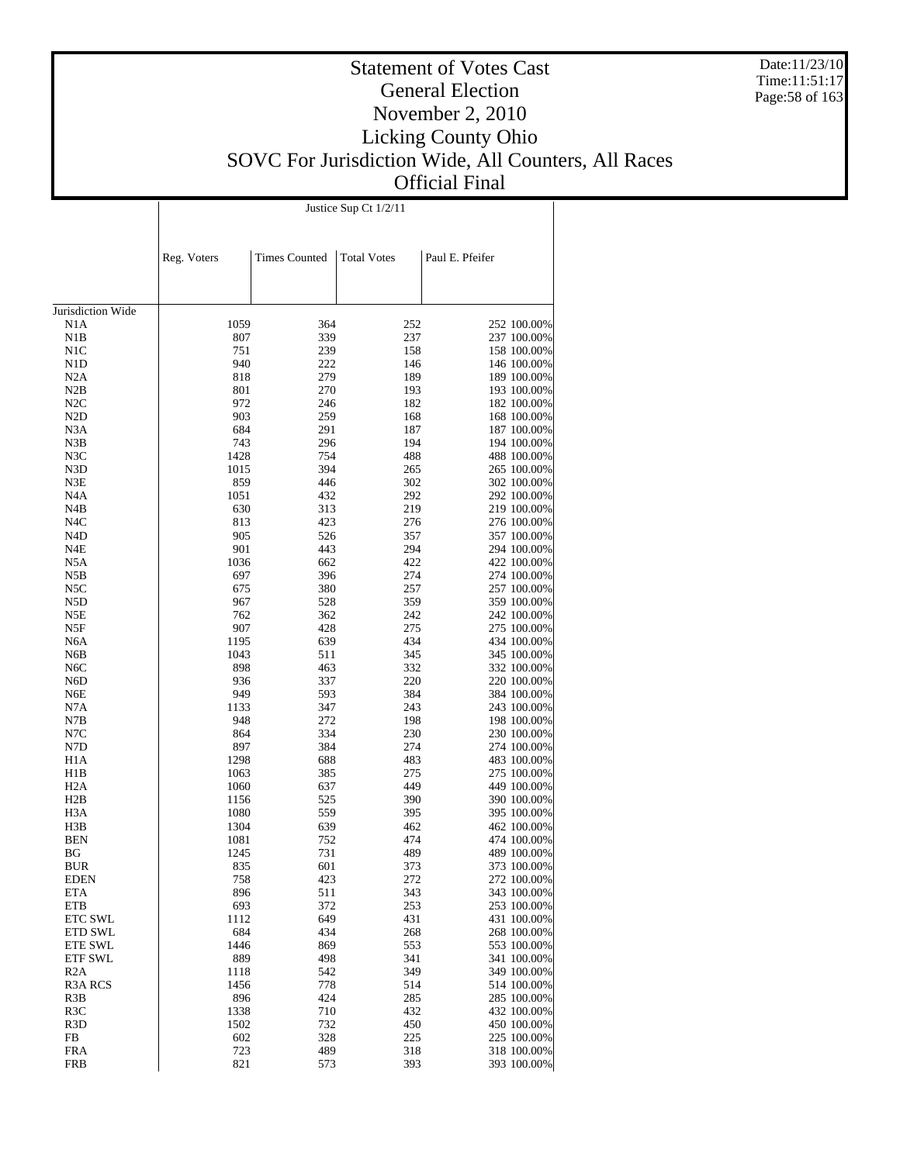Date:11/23/10 Time:11:51:17 Page:58 of 163

### Statement of Votes Cast General Election November 2, 2010 Licking County Ohio SOVC For Jurisdiction Wide, All Counters, All Races Official Final

Justice Sup Ct 1/2/11

|                          | Reg. Voters  | <b>Times Counted</b> | <b>Total Votes</b> | Paul E. Pfeifer            |
|--------------------------|--------------|----------------------|--------------------|----------------------------|
|                          |              |                      |                    |                            |
|                          |              |                      |                    |                            |
| Jurisdiction Wide        |              |                      |                    |                            |
| N1A                      | 1059         | 364                  | 252                | 252 100.00%                |
| N1B                      | 807          | 339                  | 237                | 237 100.00%                |
| N1C                      | 751          | 239                  | 158                | 158 100.00%                |
| N <sub>1</sub> D         | 940          | 222                  | 146                | 146 100.00%                |
| N2A                      | 818          | 279                  | 189                | 189 100.00%                |
| N2B                      | 801          | 270                  | 193                | 193 100.00%                |
| N2C                      | 972          | 246                  | 182                | 182 100.00%                |
| N2D                      | 903          | 259                  | 168                | 168 100.00%                |
| N <sub>3</sub> A         | 684          | 291                  | 187                | 187 100.00%                |
| N3B                      | 743          | 296                  | 194                | 194 100.00%                |
| N3C                      | 1428         | 754                  | 488                | 488 100.00%                |
| N3D                      | 1015         | 394                  | 265                | 265 100.00%                |
| N3E                      | 859          | 446                  | 302                | 302 100.00%                |
| N <sub>4</sub> A         | 1051         | 432                  | 292                | 292 100.00%                |
| N4B                      | 630          | 313                  | 219                | 219 100.00%                |
| N <sub>4</sub> C         | 813          | 423<br>526           | 276                | 276 100.00%<br>357 100.00% |
| N4D<br>N4E               | 905<br>901   | 443                  | 357<br>294         | 294 100.00%                |
| N5A                      | 1036         | 662                  | 422                | 422 100.00%                |
| N5B                      | 697          | 396                  | 274                | 274 100.00%                |
| N5C                      | 675          | 380                  | 257                | 257 100.00%                |
| N5D                      | 967          | 528                  | 359                | 359 100.00%                |
| N5E                      | 762          | 362                  | 242                | 242 100.00%                |
| N5F                      | 907          | 428                  | 275                | 275 100.00%                |
| N <sub>6</sub> A         | 1195         | 639                  | 434                | 434 100.00%                |
| N6B                      | 1043         | 511                  | 345                | 345 100.00%                |
| N <sub>6</sub> C         | 898          | 463                  | 332                | 332 100.00%                |
| N6D                      | 936          | 337                  | 220                | 220 100.00%                |
| N6E                      | 949          | 593                  | 384                | 384 100.00%                |
| N7A                      | 1133         | 347                  | 243                | 243 100.00%                |
| N7B                      | 948          | 272                  | 198                | 198 100.00%                |
| N7C                      | 864          | 334                  | 230                | 230 100.00%                |
| N7D                      | 897          | 384                  | 274                | 274 100.00%                |
| H1A                      | 1298         | 688                  | 483                | 483 100.00%                |
| H1B                      | 1063         | 385                  | 275                | 275 100.00%                |
| H <sub>2</sub> A         | 1060         | 637                  | 449                | 449 100.00%                |
| H2B<br>H <sub>3</sub> A  | 1156<br>1080 | 525<br>559           | 390<br>395         | 390 100.00%<br>395 100.00% |
| H3B                      | 1304         | 639                  | 462                | 462 100.00%                |
| <b>BEN</b>               | 1081         | 752                  | 474                | 474 100.00%                |
| BG                       | 1245         | 731                  | 489                | 489 100.00%                |
| <b>BUR</b>               | 835          | 601                  | 373                | 373 100.00%                |
| <b>EDEN</b>              | 758          | 423                  | 272                | 272 100.00%                |
| <b>ETA</b>               | 896          | 511                  | 343                | 343 100.00%                |
| <b>ETB</b>               | 693          | 372                  | 253                | 253 100.00%                |
| ETC SWL                  | 1112         | 649                  | 431                | 431 100.00%                |
| <b>ETD SWL</b>           | 684          | 434                  | 268                | 268 100.00%                |
| ETE SWL                  | 1446         | 869                  | 553                | 553 100.00%                |
| <b>ETF SWL</b>           | 889          | 498                  | 341                | 341 100.00%                |
| R2A                      | 1118         | 542                  | 349                | 349 100.00%                |
| R <sub>3</sub> A RCS     | 1456         | 778                  | 514                | 514 100.00%                |
| R <sub>3</sub> B         | 896          | 424                  | 285                | 285 100.00%                |
| R <sub>3</sub> C         | 1338         | 710                  | 432                | 432 100.00%                |
| R <sub>3</sub> D         | 1502         | 732                  | 450                | 450 100.00%                |
| FB                       | 602          | 328                  | 225                | 225 100.00%                |
| <b>FRA</b><br><b>FRB</b> | 723<br>821   | 489<br>573           | 318<br>393         | 318 100.00%<br>393 100.00% |
|                          |              |                      |                    |                            |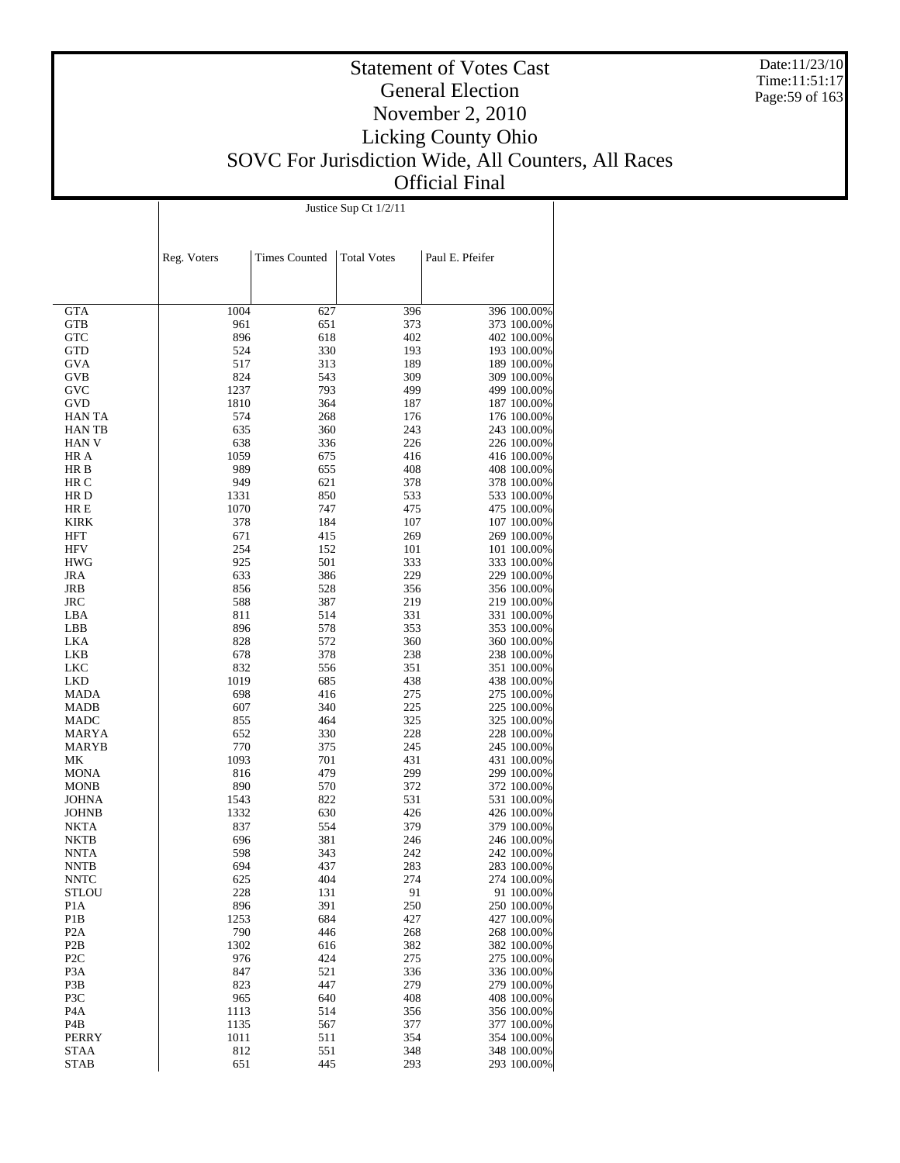Date:11/23/10 Time:11:51:17 Page:59 of 163

#### Statement of Votes Cast General Election November 2, 2010 Licking County Ohio SOVC For Jurisdiction Wide, All Counters, All Races Official Final

Justice Sup Ct 1/2/11

|                                      | Reg. Voters | <b>Times Counted</b> | <b>Total Votes</b> | Paul E. Pfeifer            |
|--------------------------------------|-------------|----------------------|--------------------|----------------------------|
|                                      |             |                      |                    |                            |
|                                      |             |                      |                    |                            |
| GTA                                  | 1004        | 627                  | 396                | 396 100.00%                |
| GTB                                  | 961         | 651                  | 373                | 373 100.00%                |
| GTC                                  | 896         | 618                  | 402                | 402 100.00%                |
| GTD                                  | 524         | 330                  | 193                | 193 100.00%                |
| GVA                                  | 517         | 313                  | 189                | 189 100.00%                |
| GVB                                  | 824         | 543                  | 309                | 309 100.00%                |
| GVC                                  | 1237        | 793                  | 499                | 499 100.00%                |
| GVD                                  | 1810        | 364                  | 187                | 187 100.00%                |
| HAN TA                               | 574         | 268                  | 176                | 176 100.00%                |
| HAN TB<br>HAN V                      | 635<br>638  | 360<br>336           | 243<br>226         | 243 100.00%<br>226 100.00% |
| HR A                                 | 1059        | 675                  | 416                | 416 100.00%                |
| HR B                                 | 989         | 655                  | 408                | 408 100.00%                |
| HR C                                 | 949         | 621                  | 378                | 378 100.00%                |
| HR D                                 | 1331        | 850                  | 533                | 533 100.00%                |
| HR E                                 | 1070        | 747                  | 475                | 475 100.00%                |
| KIRK                                 | 378         | 184                  | 107                | 107 100.00%                |
| HFT                                  | 671         | 415                  | 269                | 269 100.00%                |
| <b>HFV</b>                           | 254         | 152                  | 101                | 101 100.00%                |
| HWG                                  | 925         | 501                  | 333                | 333 100.00%                |
| JRA                                  | 633         | 386                  | 229                | 229 100.00%                |
| JRB                                  | 856         | 528                  | 356                | 356 100.00%                |
| JRC                                  | 588         | 387                  | 219                | 219 100.00%                |
| LBA<br>LBB                           | 811<br>896  | 514<br>578           | 331<br>353         | 331 100.00%<br>353 100.00% |
| LKA                                  | 828         | 572                  | 360                | 360 100.00%                |
| LKB                                  | 678         | 378                  | 238                | 238 100.00%                |
| LKC                                  | 832         | 556                  | 351                | 351 100.00%                |
| LKD                                  | 1019        | 685                  | 438                | 438 100.00%                |
| MADA                                 | 698         | 416                  | 275                | 275 100.00%                |
| <b>MADB</b>                          | 607         | 340                  | 225                | 225 100.00%                |
| MADC                                 | 855         | 464                  | 325                | 325 100.00%                |
| MARYA                                | 652         | 330                  | 228                | 228 100.00%                |
| MARYB                                | 770         | 375                  | 245                | 245 100.00%                |
| МK                                   | 1093        | 701                  | 431                | 431 100.00%                |
| MONA                                 | 816<br>890  | 479<br>570           | 299<br>372         | 299 100.00%<br>372 100.00% |
| MONB<br>JOHNA                        | 1543        | 822                  | 531                | 531 100.00%                |
| JOHNB                                | 1332        | 630                  | 426                | 426 100.00%                |
| NKTA                                 | 837         | 554                  | 379                | 379 100.00%                |
| NKTB                                 | 696         | 381                  | 246                | 246 100.00%                |
| <b>NNTA</b>                          | 598         | 343                  | 242                | 242 100.00%                |
| NNTB                                 | 694         | 437                  | 283                | 283 100.00%                |
| NNTC                                 | 625         | 404                  | 274                | 274 100.00%                |
| STLOU                                | 228         | 131                  | 91                 | 91 100.00%                 |
| P1A                                  | 896         | 391                  | 250                | 250 100.00%                |
| P1B                                  | 1253        | 684                  | 427                | 427 100.00%                |
| P <sub>2</sub> A                     | 790         | 446                  | 268                | 268 100.00%                |
| P <sub>2</sub> B<br>P <sub>2</sub> C | 1302<br>976 | 616<br>424           | 382<br>275         | 382 100.00%<br>275 100.00% |
| P3A                                  | 847         | 521                  | 336                | 336 100.00%                |
| P3B                                  | 823         | 447                  | 279                | 279 100.00%                |
| P3C                                  | 965         | 640                  | 408                | 408 100.00%                |
| P4A                                  | 1113        | 514                  | 356                | 356 100.00%                |
| P4B                                  | 1135        | 567                  | 377                | 377 100.00%                |
| PERRY                                | 1011        | 511                  | 354                | 354 100.00%                |
| STAA                                 | 812         | 551                  | 348                | 348 100.00%                |
| <b>STAB</b>                          | 651         | 445                  | 293                | 293 100.00%                |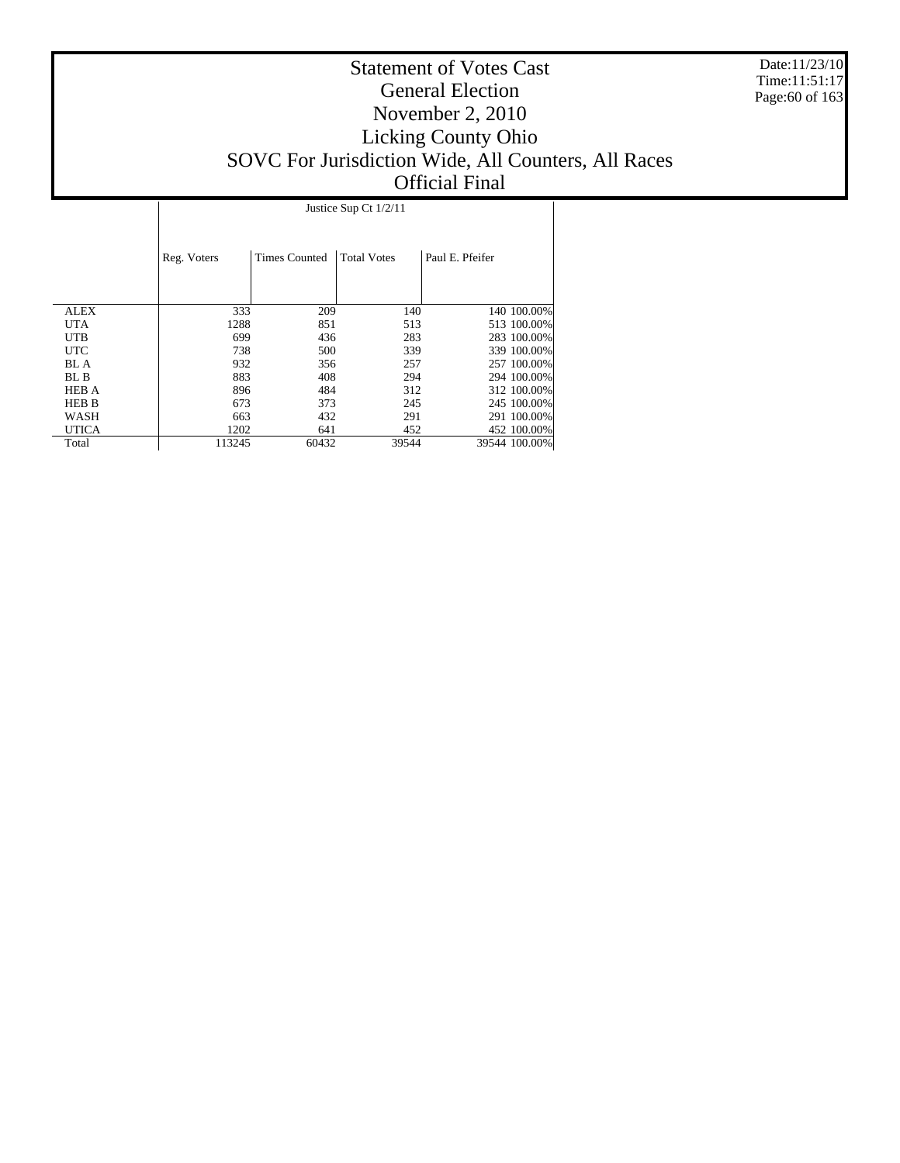Date:11/23/10 Time:11:51:17 Page:60 of 163

#### Statement of Votes Cast General Election November 2, 2010 Licking County Ohio SOVC For Jurisdiction Wide, All Counters, All Races Official Final

 ALEX UTA UTB UTC BL A BL B HEB A HEB B WASH UTICA Total Reg. Voters | Times Counted | Total Votes | Paul E. Pfeifer Justice Sup Ct 1/2/11 333 209 140 140 100.00%<br>1288 851 513 513 100.00% 1288 851 513 513 100.00%<br>
699 436 283 283 100.00% 699 436 283 283 100.00% 738 500 339 339 100.00% 932 356 257 257 100.00%<br>883 408 294 294 100.00% 883 408 294 294 100.00%<br>896 484 312 312 100.00% 896 484 312 312 100.00% 673 373 245 245 100.00% 673 373 245 245 100.00% 063 432 291 291 100.00%<br>1202 641 452 452 100.00%  $\begin{array}{cccccc} 1202 & 641 & 452 & 452 & 100.00\% \\ 113245 & 60432 & 39544 & 39544 & 100.00\% \end{array}$ 39544 100.00%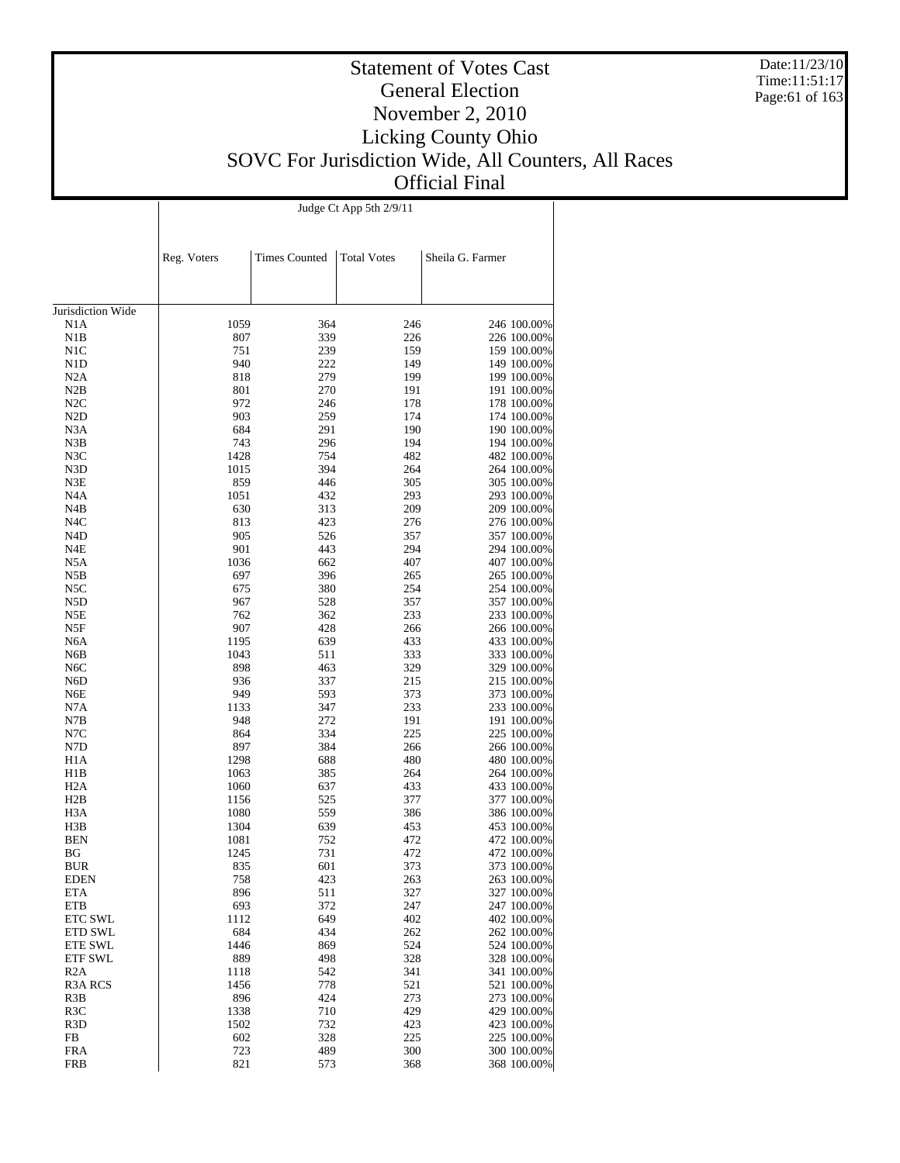Date:11/23/10 Time:11:51:17 Page:61 of 163

### Statement of Votes Cast General Election November 2, 2010 Licking County Ohio SOVC For Jurisdiction Wide, All Counters, All Races Official Final

Judge Ct App 5th 2/9/11

|                         | Reg. Voters  | <b>Times Counted</b> | <b>Total Votes</b> | Sheila G. Farmer           |
|-------------------------|--------------|----------------------|--------------------|----------------------------|
|                         |              |                      |                    |                            |
|                         |              |                      |                    |                            |
| Jurisdiction Wide       |              |                      |                    |                            |
| N1A                     | 1059         | 364                  | 246                | 246 100.00%                |
| N1B                     | 807          | 339                  | 226                | 226 100.00%                |
| N1C                     | 751          | 239                  | 159                | 159 100.00%                |
| N <sub>1</sub> D        | 940          | 222                  | 149                | 149 100.00%                |
| N2A                     | 818          | 279                  | 199                | 199 100.00%                |
| N2B                     | 801          | 270                  | 191                | 191 100.00%                |
| N2C                     | 972          | 246                  | 178                | 178 100.00%                |
| N <sub>2</sub> D        | 903          | 259                  | 174                | 174 100.00%                |
| N3A                     | 684          | 291                  | 190                | 190 100.00%                |
| N3B                     | 743          | 296                  | 194                | 194 100.00%                |
| N3C                     | 1428         | 754                  | 482                | 482 100.00%                |
| N3D                     | 1015         | 394                  | 264                | 264 100.00%                |
| N3E                     | 859          | 446                  | 305                | 305 100.00%                |
| N <sub>4</sub> A<br>N4B | 1051<br>630  | 432                  | 293<br>209         | 293 100.00%                |
| N <sub>4</sub> C        | 813          | 313<br>423           | 276                | 209 100.00%<br>276 100.00% |
| N <sub>4</sub> D        | 905          | 526                  | 357                | 357 100.00%                |
| N4E                     | 901          | 443                  | 294                | 294 100.00%                |
| N5A                     | 1036         | 662                  | 407                | 407 100.00%                |
| N5B                     | 697          | 396                  | 265                | 265 100.00%                |
| N5C                     | 675          | 380                  | 254                | 254 100.00%                |
| N5D                     | 967          | 528                  | 357                | 357 100.00%                |
| N5E                     | 762          | 362                  | 233                | 233 100.00%                |
| N5F                     | 907          | 428                  | 266                | 266 100.00%                |
| N <sub>6</sub> A        | 1195         | 639                  | 433                | 433 100.00%                |
| N6B                     | 1043         | 511                  | 333                | 333 100.00%                |
| N6C                     | 898          | 463                  | 329                | 329 100.00%                |
| N6D                     | 936          | 337                  | 215                | 215 100.00%                |
| N6E                     | 949          | 593                  | 373                | 373 100.00%                |
| N7A                     | 1133         | 347                  | 233                | 233 100.00%                |
| N7B                     | 948          | 272                  | 191                | 191 100.00%                |
| N7C                     | 864          | 334                  | 225                | 225 100.00%                |
| N7D                     | 897          | 384                  | 266                | 266 100.00%                |
| H1A                     | 1298         | 688                  | 480                | 480 100.00%                |
| H1B<br>H <sub>2</sub> A | 1063<br>1060 | 385<br>637           | 264<br>433         | 264 100.00%<br>433 100.00% |
| H2B                     | 1156         | 525                  | 377                | 377 100.00%                |
| H3A                     | 1080         | 559                  | 386                | 386 100.00%                |
| H3B                     | 1304         | 639                  | 453                | 453 100.00%                |
| <b>BEN</b>              | 1081         | 752                  | 472                | 472 100.00%                |
| BG                      | 1245         | 731                  | 472                | 472 100.00%                |
| <b>BUR</b>              | 835          | 601                  | 373                | 373 100.00%                |
| <b>EDEN</b>             | 758          | 423                  | 263                | 263 100.00%                |
| ETA                     | 896          | 511                  | 327                | 327 100.00%                |
| ETB                     | 693          | 372                  | 247                | 247 100.00%                |
| ETC SWL                 | 1112         | 649                  | 402                | 402 100.00%                |
| <b>ETD SWL</b>          | 684          | 434                  | 262                | 262 100.00%                |
| ETE SWL                 | 1446         | 869                  | 524                | 524 100.00%                |
| <b>ETF SWL</b>          | 889          | 498                  | 328                | 328 100.00%                |
| R <sub>2</sub> A        | 1118         | 542                  | 341                | 341 100.00%                |
| R <sub>3</sub> A RCS    | 1456         | 778                  | 521                | 521 100.00%                |
| R3B<br>R <sub>3</sub> C | 896<br>1338  | 424<br>710           | 273<br>429         | 273 100.00%                |
| R <sub>3</sub> D        | 1502         | 732                  | 423                | 429 100.00%<br>423 100.00% |
| FB                      | 602          | 328                  | 225                | 225 100.00%                |
| <b>FRA</b>              | 723          | 489                  | 300                | 300 100.00%                |
| <b>FRB</b>              | 821          | 573                  | 368                | 368 100.00%                |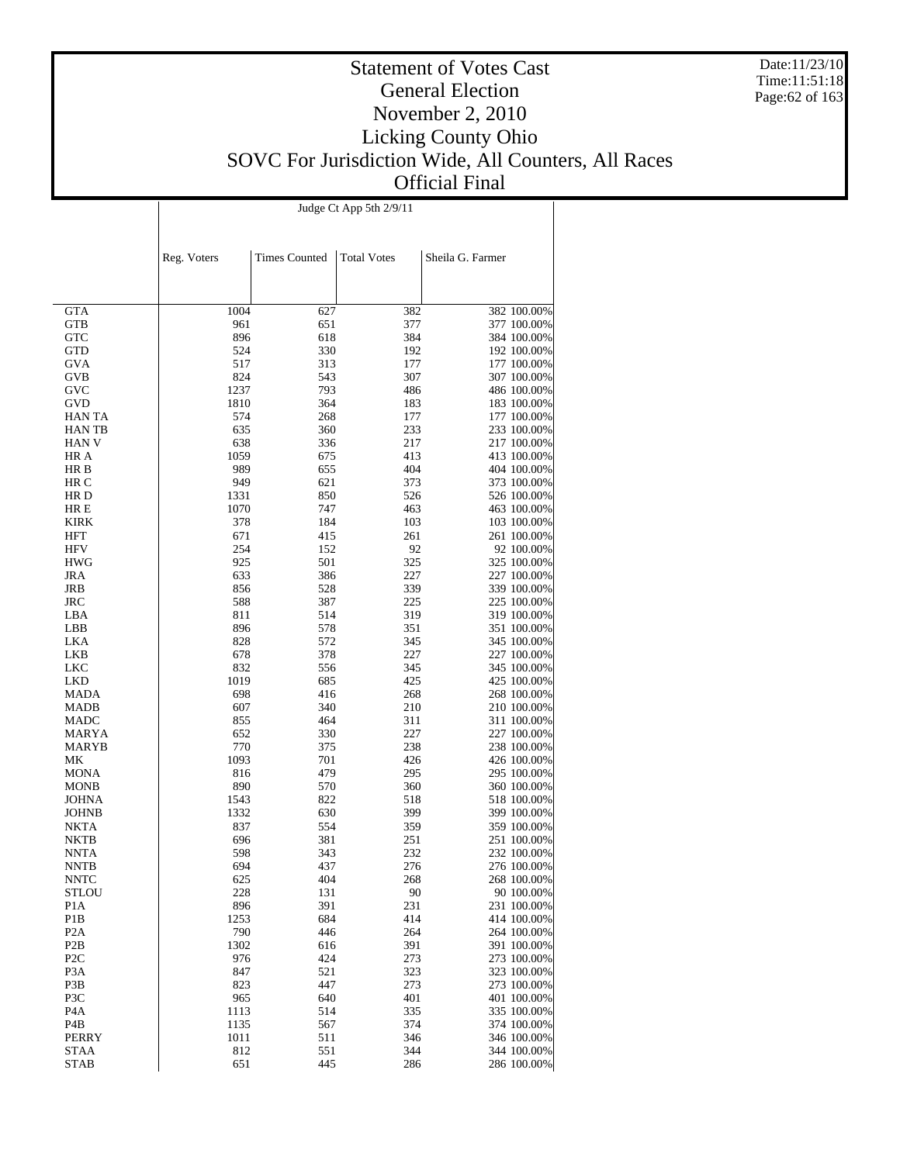Date:11/23/10 Time:11:51:18 Page:62 of 163

#### Statement of Votes Cast General Election November 2, 2010 Licking County Ohio SOVC For Jurisdiction Wide, All Counters, All Races Official Final

|                                      | Judge Ct App 5th 2/9/11 |                      |                    |                  |                            |  |  |  |
|--------------------------------------|-------------------------|----------------------|--------------------|------------------|----------------------------|--|--|--|
|                                      |                         |                      |                    |                  |                            |  |  |  |
|                                      |                         |                      |                    |                  |                            |  |  |  |
|                                      | Reg. Voters             | <b>Times Counted</b> | <b>Total Votes</b> | Sheila G. Farmer |                            |  |  |  |
|                                      |                         |                      |                    |                  |                            |  |  |  |
|                                      |                         |                      |                    |                  |                            |  |  |  |
|                                      |                         |                      |                    |                  |                            |  |  |  |
| <b>GTA</b>                           | 1004                    | 627                  | 382                |                  | 382 100.00%                |  |  |  |
| GTB<br>GTC                           | 961<br>896              | 651<br>618           | 377<br>384         |                  | 377 100.00%<br>384 100.00% |  |  |  |
| GTD                                  | 524                     | 330                  | 192                |                  | 192 100.00%                |  |  |  |
| <b>GVA</b>                           | 517                     | 313                  | 177                |                  | 177 100.00%                |  |  |  |
| GVB                                  | 824                     | 543                  | 307                |                  | 307 100.00%                |  |  |  |
| GVC                                  | 1237                    | 793                  | 486                |                  | 486 100.00%                |  |  |  |
| GVD                                  | 1810                    | 364                  | 183                |                  | 183 100.00%                |  |  |  |
| HAN TA                               | 574                     | 268                  | 177                |                  | 177 100.00%                |  |  |  |
| HAN TB                               | 635                     | 360                  | 233                |                  | 233 100.00%                |  |  |  |
| HAN V                                | 638                     | 336                  | 217                |                  | 217 100.00%                |  |  |  |
| HR A                                 | 1059                    | 675                  | 413                |                  | 413 100.00%                |  |  |  |
| HR B                                 | 989                     | 655                  | 404                |                  | 404 100.00%                |  |  |  |
| HR C                                 | 949                     | 621                  | 373                |                  | 373 100.00%                |  |  |  |
| HR D                                 | 1331                    | 850                  | 526                |                  | 526 100.00%                |  |  |  |
| HR E                                 | 1070                    | 747                  | 463                |                  | 463 100.00%                |  |  |  |
| <b>KIRK</b>                          | 378                     | 184                  | 103                |                  | 103 100.00%                |  |  |  |
| HFT                                  | 671<br>254              | 415                  | 261                |                  | 261 100.00%                |  |  |  |
| HFV<br><b>HWG</b>                    | 925                     | 152<br>501           | 92<br>325          |                  | 92 100.00%<br>325 100.00%  |  |  |  |
| JRA                                  | 633                     | 386                  | 227                |                  | 227 100.00%                |  |  |  |
| JRB                                  | 856                     | 528                  | 339                |                  | 339 100.00%                |  |  |  |
| JRC                                  | 588                     | 387                  | 225                |                  | 225 100.00%                |  |  |  |
| LBA                                  | 811                     | 514                  | 319                |                  | 319 100.00%                |  |  |  |
| LBB                                  | 896                     | 578                  | 351                |                  | 351 100.00%                |  |  |  |
| LKA                                  | 828                     | 572                  | 345                |                  | 345 100.00%                |  |  |  |
| LKB                                  | 678                     | 378                  | 227                |                  | 227 100.00%                |  |  |  |
| LKC                                  | 832                     | 556                  | 345                |                  | 345 100.00%                |  |  |  |
| LKD                                  | 1019                    | 685                  | 425                |                  | 425 100.00%                |  |  |  |
| MADA                                 | 698                     | 416                  | 268                |                  | 268 100.00%                |  |  |  |
| MADB                                 | 607                     | 340                  | 210                |                  | 210 100.00%                |  |  |  |
| MADC                                 | 855                     | 464                  | 311                |                  | 311 100.00%                |  |  |  |
| MARYA                                | 652                     | 330                  | 227                |                  | 227 100.00%                |  |  |  |
| MARYB                                | 770<br>1093             | 375                  | 238                |                  | 238 100.00%                |  |  |  |
| МK<br>MONA                           | 816                     | 701<br>479           | 426<br>295         |                  | 426 100.00%<br>295 100.00% |  |  |  |
| MONB                                 | 890                     | 570                  | 360                |                  | 360 100.00%                |  |  |  |
| JOHNA                                | 1543                    | 822                  | 518                |                  | 518 100.00%                |  |  |  |
| JOHNB                                | 1332                    | 630                  | 399                |                  | 399 100.00%                |  |  |  |
| NKTA                                 | 837                     | 554                  | 359                |                  | 359 100.00%                |  |  |  |
| NKTB                                 | 696                     | 381                  | 251                |                  | 251 100.00%                |  |  |  |
| NNTA                                 | 598                     | 343                  | 232                |                  | 232 100.00%                |  |  |  |
| <b>NNTB</b>                          | 694                     | 437                  | 276                |                  | 276 100.00%                |  |  |  |
| <b>NNTC</b>                          | 625                     | 404                  | 268                |                  | 268 100.00%                |  |  |  |
| STLOU                                | 228                     | 131                  | 90                 |                  | 90 100.00%                 |  |  |  |
| P1A                                  | 896                     | 391                  | 231                |                  | 231 100.00%                |  |  |  |
| P1B                                  | 1253                    | 684                  | 414                |                  | 414 100.00%                |  |  |  |
| P <sub>2</sub> A                     | 790                     | 446                  | 264                |                  | 264 100.00%                |  |  |  |
| P <sub>2</sub> B                     | 1302                    | 616                  | 391                |                  | 391 100.00%                |  |  |  |
| P <sub>2</sub> C<br>P <sub>3</sub> A | 976<br>847              | 424<br>521           | 273<br>323         |                  | 273 100.00%<br>323 100.00% |  |  |  |
| P3B                                  | 823                     | 447                  | 273                |                  | 273 100.00%                |  |  |  |
| P3C                                  | 965                     | 640                  | 401                |                  | 401 100.00%                |  |  |  |
| P4A                                  | 1113                    | 514                  | 335                |                  | 335 100.00%                |  |  |  |
| P4B                                  | 1135                    | 567                  | 374                |                  | 374 100.00%                |  |  |  |
| PERRY                                | 1011                    | 511                  | 346                |                  | 346 100.00%                |  |  |  |
| <b>STAA</b>                          | 812                     | 551                  | 344                |                  | 344 100.00%                |  |  |  |
| STAB                                 | 651                     | 445                  | 286                |                  | 286 100.00%                |  |  |  |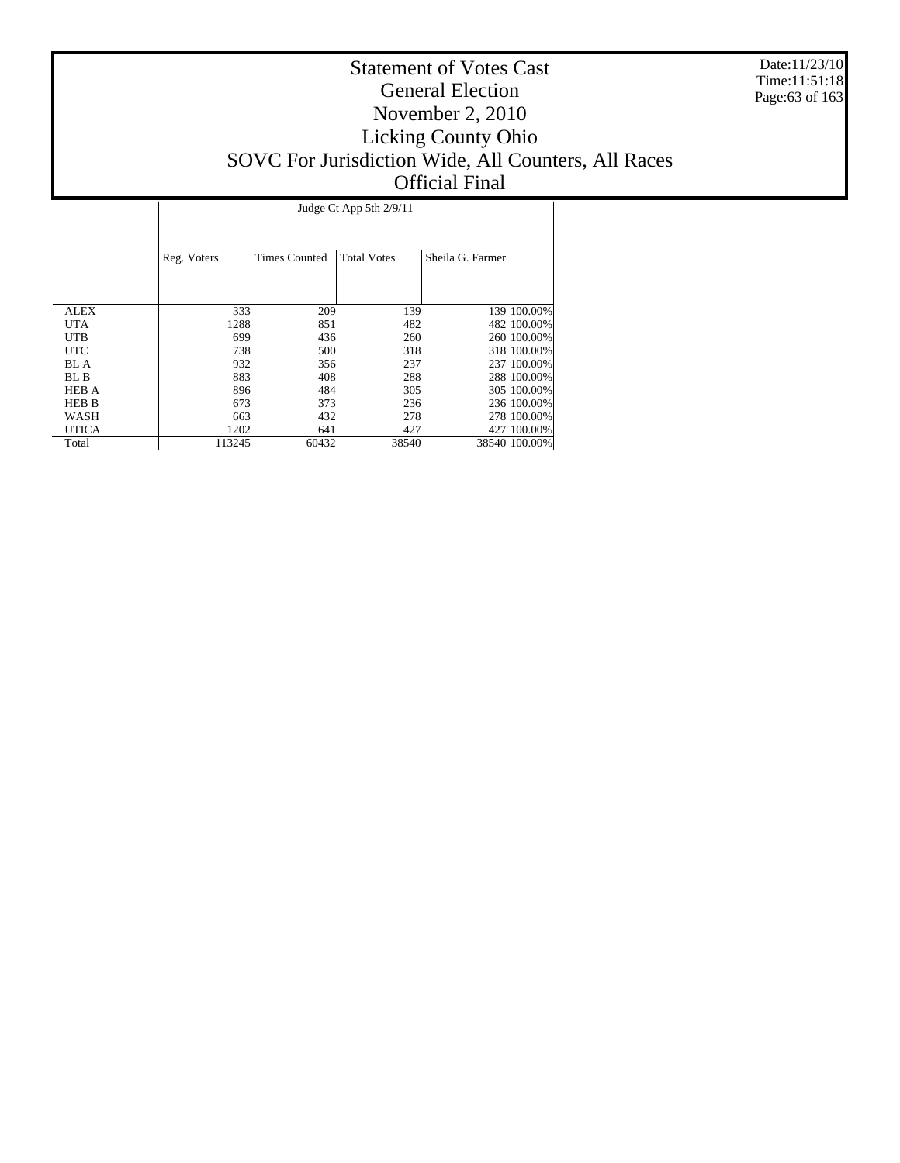Date:11/23/10 Time:11:51:18 Page:63 of 163

|              |             | Judge Ct App 5th 2/9/11 |                    |                  |  |  |  |  |  |  |
|--------------|-------------|-------------------------|--------------------|------------------|--|--|--|--|--|--|
|              | Reg. Voters | <b>Times Counted</b>    | <b>Total Votes</b> | Sheila G. Farmer |  |  |  |  |  |  |
|              |             |                         |                    |                  |  |  |  |  |  |  |
| ALEX         | 333         | 209                     | 139                | 139 100.00%      |  |  |  |  |  |  |
| <b>UTA</b>   | 1288        | 851                     | 482                | 482 100.00%      |  |  |  |  |  |  |
| UTB          | 699         | 436                     | 260                | 260 100.00%      |  |  |  |  |  |  |
| <b>UTC</b>   | 738         | 500                     | 318                | 318 100.00%      |  |  |  |  |  |  |
| <b>BL</b> A  | 932         | 356                     | 237                | 237 100.00%      |  |  |  |  |  |  |
| BL B         | 883         | 408                     | 288                | 288 100.00%      |  |  |  |  |  |  |
| <b>HEB A</b> | 896         | 484                     | 305                | 305 100,00%      |  |  |  |  |  |  |
| <b>HEB B</b> | 673         | 373                     | 236                | 236 100.00%      |  |  |  |  |  |  |
| WASH         | 663         | 432                     | 278                | 278 100,00%      |  |  |  |  |  |  |
| <b>UTICA</b> | 1202        | 641                     | 427                | 427 100.00%      |  |  |  |  |  |  |
| Total        | 113245      | 60432                   | 38540              | 38540 100.00%    |  |  |  |  |  |  |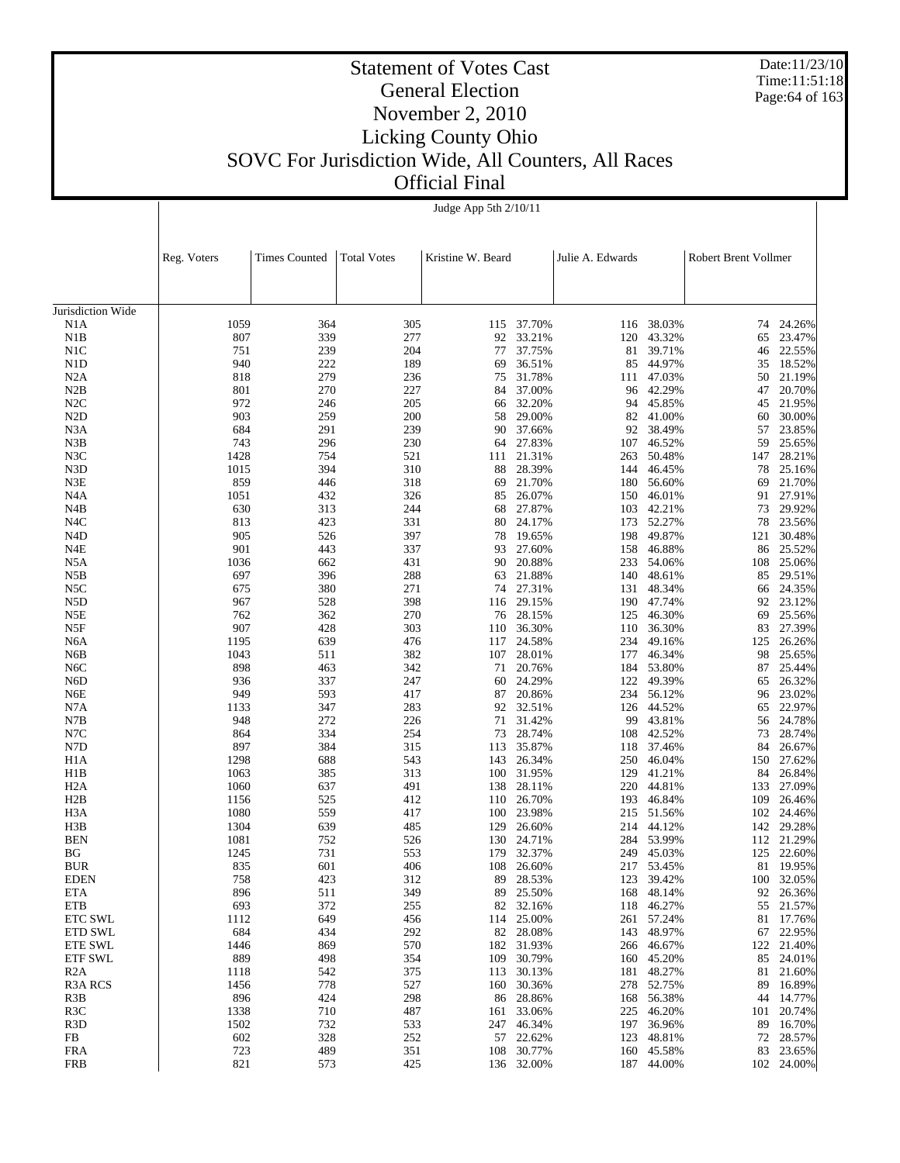Date:11/23/10 Time:11:51:18 Page:64 of 163

# Statement of Votes Cast General Election November 2, 2010 Licking County Ohio SOVC For Jurisdiction Wide, All Counters, All Races

 $\overline{1}$ 

Official Final Judge App 5th 2/10/11

|                         | Reg. Voters  | <b>Times Counted</b> | <b>Total Votes</b> | Kristine W. Beard |                  | Julie A. Edwards |                  | Robert Brent Vollmer |                  |
|-------------------------|--------------|----------------------|--------------------|-------------------|------------------|------------------|------------------|----------------------|------------------|
|                         |              |                      |                    |                   |                  |                  |                  |                      |                  |
| Jurisdiction Wide       |              |                      |                    |                   |                  |                  |                  |                      |                  |
| N1A                     | 1059         | 364                  | 305                | 115               | 37.70%           | 116              | 38.03%           | 74                   | 24.26%           |
| N1B                     | 807          | 339                  | 277                | 92                | 33.21%           | 120              | 43.32%           | 65                   | 23.47%           |
| N1C                     | 751          | 239                  | 204                | 77                | 37.75%           | 81               | 39.71%           | 46                   | 22.55%           |
| N <sub>1</sub> D        | 940          | 222                  | 189                | 69                | 36.51%           | 85               | 44.97%           | 35                   | 18.52%           |
| N2A                     | 818          | 279                  | 236                | 75                | 31.78%           | 111              | 47.03%           | 50                   | 21.19%           |
| N2B                     | 801          | 270                  | 227                | 84                | 37.00%           | 96               | 42.29%           | 47                   | 20.70%           |
| N2C                     | 972          | 246                  | 205                | 66                | 32.20%           | 94               | 45.85%           | 45                   | 21.95%           |
| N <sub>2</sub> D        | 903          | 259                  | 200                | 58                | 29.00%           |                  | 82 41.00%        | 60                   | 30.00%           |
| N <sub>3</sub> A        | 684          | 291                  | 239                | 90                | 37.66%           | 92               | 38.49%           | 57                   | 23.85%           |
| N3B                     | 743          | 296                  | 230                | 64                | 27.83%           | 107              | 46.52%           | 59                   | 25.65%           |
| N3C                     | 1428         | 754                  | 521                | 111               | 21.31%           | 263              | 50.48%           | 147                  | 28.21%           |
| N3D                     | 1015         | 394                  | 310                | 88                | 28.39%           | 144              | 46.45%           | 78                   | 25.16%           |
| N3E                     | 859          | 446                  | 318                | 69                | 21.70%           | 180              | 56.60%           | 69                   | 21.70%           |
| N <sub>4</sub> A        | 1051         | 432                  | 326                | 85                | 26.07%           | 150              | 46.01%           | 91                   | 27.91%           |
| N4B                     | 630          | 313                  | 244                | 68                | 27.87%           | 103              | 42.21%           | 73                   | 29.92%           |
| N4C                     | 813          | 423                  | 331                | 80                | 24.17%           | 173              | 52.27%           | 78                   | 23.56%           |
| N <sub>4</sub> D        | 905          | 526                  | 397                | 78                | 19.65%           | 198              | 49.87%           | 121                  | 30.48%           |
| N4E                     | 901          | 443                  | 337                | 93                | 27.60%           | 158              | 46.88%           | 86                   | 25.52%           |
| N5A                     | 1036         | 662                  | 431                | 90                | 20.88%           | 233              | 54.06%           | 108                  | 25.06%           |
| N5B                     | 697          | 396                  | 288                | 63                | 21.88%           | 140              | 48.61%           | 85                   | 29.51%           |
| N5C                     | 675          | 380                  | 271                | 74                | 27.31%           | 131              | 48.34%           | 66                   | 24.35%           |
| N5D                     | 967          | 528                  | 398                | 116               | 29.15%           | 190              | 47.74%           | 92                   | 23.12%           |
| N5E                     | 762          | 362                  | 270                | 76                | 28.15%           | 125              | 46.30%           | 69                   | 25.56%           |
| N5F                     | 907          | 428                  | 303                | 110               | 36.30%           | 110              | 36.30%           | 83                   | 27.39%           |
| N <sub>6</sub> A        | 1195         | 639                  | 476                | 117               | 24.58%           | 234              | 49.16%           | 125                  | 26.26%           |
| N6B                     | 1043         | 511                  | 382                | 107               | 28.01%           | 177              | 46.34%           | 98                   | 25.65%           |
| N <sub>6</sub> C        | 898          | 463                  | 342                | 71                | 20.76%           | 184              | 53.80%           | 87                   | 25.44%           |
| N <sub>6</sub> D        | 936          | 337                  | 247                | 60                | 24.29%           | 122              | 49.39%           | 65                   | 26.32%           |
| N6E                     | 949          | 593                  | 417                | 87                | 20.86%           | 234              | 56.12%           | 96                   | 23.02%           |
| N7A                     | 1133         | 347                  | 283                | 92                | 32.51%           | 126              | 44.52%           | 65                   | 22.97%           |
| N7B                     | 948          | 272                  | 226                | 71                | 31.42%           | 99               | 43.81%           | 56                   | 24.78%           |
| N7C                     | 864          | 334                  | 254                | 73                | 28.74%           | 108              | 42.52%           | 73                   | 28.74%           |
| N7D                     | 897          | 384                  | 315                | 113               | 35.87%           | 118              | 37.46%           | 84                   | 26.67%           |
| H <sub>1</sub> A        | 1298         | 688                  | 543                | 143               | 26.34%           | 250              | 46.04%           | 150                  | 27.62%           |
| H1B                     | 1063         | 385                  | 313                | 100               | 31.95%           | 129              | 41.21%           | 84                   | 26.84%           |
| H <sub>2</sub> A        | 1060         | 637                  | 491<br>412         | 138               | 28.11%           | 220              | 44.81%           | 133                  | 27.09%           |
| H2B                     | 1156<br>1080 | 525                  |                    | 110               | 26.70%           | 193              | 46.84%           | 109                  | 26.46%           |
| H <sub>3</sub> A<br>H3B | 1304         | 559<br>639           | 417<br>485         | 100               | 23.98%<br>26.60% | 215<br>214       | 51.56%<br>44.12% | 102                  | 24.46%<br>29.28% |
| <b>BEN</b>              | 1081         | 752                  | 526                | 129<br>130        | 24.71%           | 284              | 53.99%           | 142<br>112           | 21.29%           |
| BG                      | 1245         | 731                  | 553                | 179               | 32.37%           | 249              | 45.03%           | 125                  | 22.60%           |
| <b>BUR</b>              | 835          | 601                  | 406                | 108               | 26.60%           | 217              | 53.45%           | 81                   | 19.95%           |
| EDEN                    | 758          | 423                  | 312                | 89                | 28.53%           | 123              | 39.42%           | 100                  | 32.05%           |
| ETA                     | 896          | 511                  | 349                |                   | 89 25.50%        | 168              | 48.14%           | 92                   | 26.36%           |
| ETB                     | 693          | 372                  | 255                | 82                | 32.16%           | 118              | 46.27%           | 55                   | 21.57%           |
| <b>ETC SWL</b>          | 1112         | 649                  | 456                | 114               | 25.00%           | 261              | 57.24%           | 81                   | 17.76%           |
| <b>ETD SWL</b>          | 684          | 434                  | 292                |                   | 82 28.08%        | 143              | 48.97%           | 67                   | 22.95%           |
| <b>ETE SWL</b>          | 1446         | 869                  | 570                | 182               | 31.93%           | 266              | 46.67%           | 122                  | 21.40%           |
| <b>ETF SWL</b>          | 889          | 498                  | 354                | 109               | 30.79%           |                  | 160 45.20%       | 85                   | 24.01%           |
| R <sub>2</sub> A        | 1118         | 542                  | 375                | 113               | 30.13%           | 181              | 48.27%           | 81                   | 21.60%           |
| R <sub>3</sub> A RCS    | 1456         | 778                  | 527                | 160               | 30.36%           | 278              | 52.75%           | 89                   | 16.89%           |
| R3B                     | 896          | 424                  | 298                | 86                | 28.86%           | 168              | 56.38%           | 44                   | 14.77%           |
| R3C                     | 1338         | 710                  | 487                | 161               | 33.06%           | 225              | 46.20%           | 101                  | 20.74%           |
| R <sub>3</sub> D        | 1502         | 732                  | 533                | 247               | 46.34%           | 197              | 36.96%           | 89                   | 16.70%           |
| FB                      | 602          | 328                  | 252                |                   | 57 22.62%        | 123              | 48.81%           | 72                   | 28.57%           |
| <b>FRA</b>              | 723          | 489                  | 351                | 108               | 30.77%           | 160              | 45.58%           | 83                   | 23.65%           |
| FRB                     | 821          | 573                  | 425                |                   | 136 32.00%       |                  | 187 44.00%       |                      | 102 24.00%       |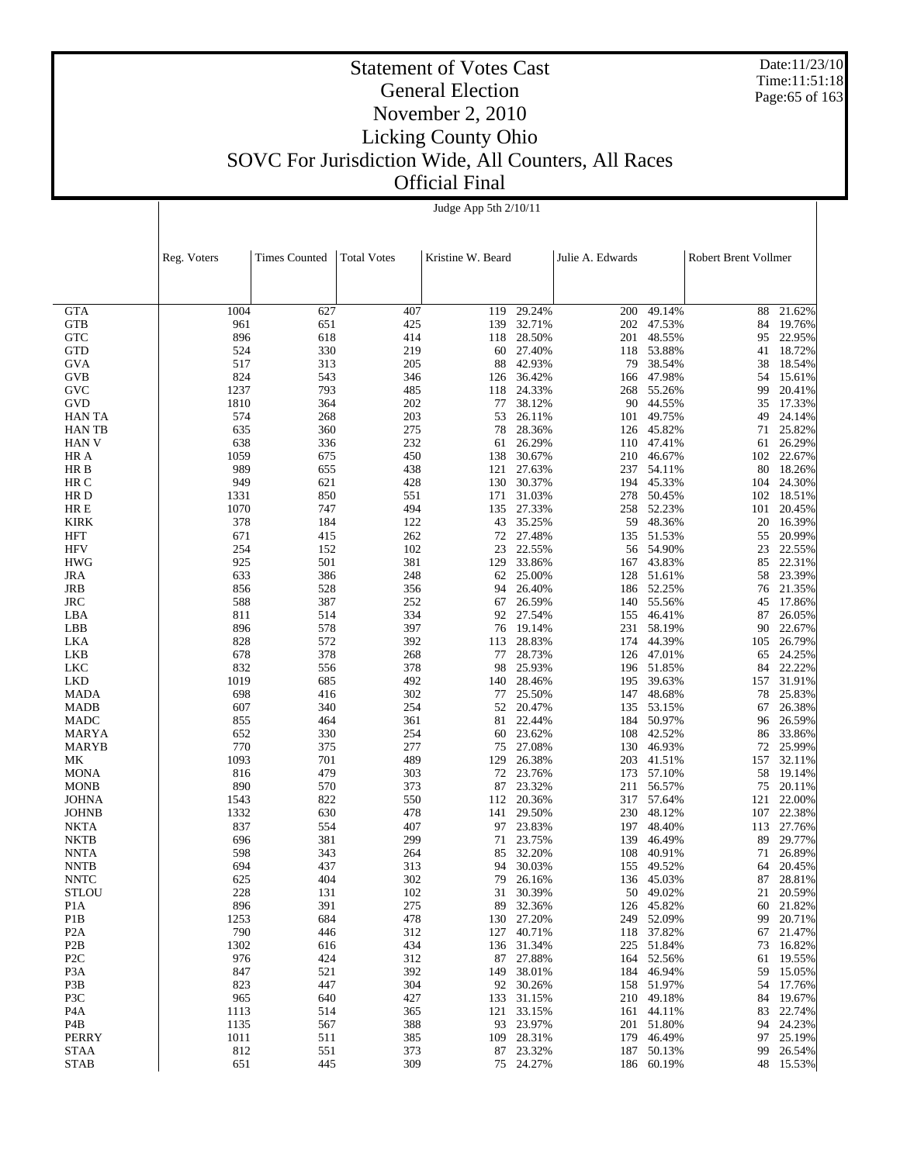Date:11/23/10 Time:11:51:18 Page:65 of 163

|                                      | Judge App 5th 2/10/11 |                      |                    |                   |                     |                  |                          |                      |                  |  |
|--------------------------------------|-----------------------|----------------------|--------------------|-------------------|---------------------|------------------|--------------------------|----------------------|------------------|--|
|                                      |                       |                      |                    |                   |                     |                  |                          |                      |                  |  |
|                                      |                       |                      |                    |                   |                     |                  |                          |                      |                  |  |
|                                      | Reg. Voters           | <b>Times Counted</b> | <b>Total Votes</b> | Kristine W. Beard |                     | Julie A. Edwards |                          | Robert Brent Vollmer |                  |  |
|                                      |                       |                      |                    |                   |                     |                  |                          |                      |                  |  |
|                                      |                       |                      |                    |                   |                     |                  |                          |                      |                  |  |
| <b>GTA</b>                           | 1004                  | 627                  | 407                | 119               | 29.24%              | 200              | 49.14%                   | 88                   | 21.62%           |  |
| <b>GTB</b>                           | 961                   | 651                  | 425                | 139               | 32.71%              |                  | 202 47.53%               | 84                   | 19.76%           |  |
| <b>GTC</b>                           | 896                   | 618                  | 414                | 118               | 28.50%              | 201              | 48.55%                   | 95                   | 22.95%           |  |
| <b>GTD</b>                           | 524                   | 330                  | 219                |                   | 60 27.40%<br>42.93% |                  | 118 53.88%               | 41                   | 18.72%           |  |
| <b>GVA</b><br><b>GVB</b>             | 517<br>824            | 313<br>543           | 205<br>346         | 88<br>126         | 36.42%              | 79<br>166        | 38.54%<br>47.98%         | 38<br>54             | 18.54%<br>15.61% |  |
| GVC                                  | 1237                  | 793                  | 485                | 118               | 24.33%              | 268              | 55.26%                   | 99                   | 20.41%           |  |
| GVD                                  | 1810                  | 364                  | 202                | 77                | 38.12%              | 90               | 44.55%                   | 35                   | 17.33%           |  |
| <b>HAN TA</b>                        | 574                   | 268                  | 203                | 53                | 26.11%              | 101              | 49.75%                   | 49                   | 24.14%           |  |
| <b>HANTB</b>                         | 635                   | 360                  | 275                | 78                | 28.36%              | 126              | 45.82%                   | 71                   | 25.82%           |  |
| <b>HAN V</b><br>HR A                 | 638<br>1059           | 336<br>675           | 232<br>450         | 61<br>138         | 26.29%<br>30.67%    | 110<br>210       | 47.41%<br>46.67%         | 61<br>102            | 26.29%<br>22.67% |  |
| HR B                                 | 989                   | 655                  | 438                | 121               | 27.63%              | 237              | 54.11%                   | 80                   | 18.26%           |  |
| HR C                                 | 949                   | 621                  | 428                |                   | 130 30.37%          |                  | 194 45.33%               | 104                  | 24.30%           |  |
| HR D                                 | 1331                  | 850                  | 551                | 171               | 31.03%              | 278              | 50.45%                   | 102                  | 18.51%           |  |
| HR E                                 | 1070                  | 747                  | 494                | 135               | 27.33%              |                  | 258 52.23%               | 101                  | 20.45%           |  |
| <b>KIRK</b><br><b>HFT</b>            | 378<br>671            | 184<br>415           | 122<br>262         | 43<br>72          | 35.25%<br>27.48%    | 59<br>135        | 48.36%<br>51.53%         | 20<br>55             | 16.39%<br>20.99% |  |
| <b>HFV</b>                           | 254                   | 152                  | 102                | 23                | 22.55%              | 56               | 54.90%                   | 23                   | 22.55%           |  |
| <b>HWG</b>                           | 925                   | 501                  | 381                | 129               | 33.86%              | 167              | 43.83%                   | 85                   | 22.31%           |  |
| <b>JRA</b>                           | 633                   | 386                  | 248                | 62                | 25.00%              | 128              | 51.61%                   | 58                   | 23.39%           |  |
| <b>JRB</b>                           | 856                   | 528                  | 356                | 94                | 26.40%              |                  | 186 52.25%               | 76                   | 21.35%           |  |
| <b>JRC</b>                           | 588                   | 387                  | 252<br>334         | 67                | 26.59%              | 140              | 55.56%                   | 45                   | 17.86%           |  |
| LBA<br>LBB                           | 811<br>896            | 514<br>578           | 397                | 92<br>76          | 27.54%<br>19.14%    | 155<br>231       | 46.41%<br>58.19%         | 87<br>90             | 26.05%<br>22.67% |  |
| LKA                                  | 828                   | 572                  | 392                | 113               | 28.83%              |                  | 174 44.39%               | 105                  | 26.79%           |  |
| LKB                                  | 678                   | 378                  | 268                | 77                | 28.73%              | 126              | 47.01%                   | 65                   | 24.25%           |  |
| LKC                                  | 832                   | 556                  | 378                | 98                | 25.93%              |                  | 196 51.85%               | 84                   | 22.22%           |  |
| <b>LKD</b>                           | 1019                  | 685                  | 492                | 140               | 28.46%              | 195              | 39.63%                   | 157                  | 31.91%           |  |
| <b>MADA</b><br><b>MADB</b>           | 698<br>607            | 416<br>340           | 302<br>254         | 77<br>52          | 25.50%<br>20.47%    | 147<br>135       | 48.68%<br>53.15%         | 78<br>67             | 25.83%<br>26.38% |  |
| <b>MADC</b>                          | 855                   | 464                  | 361                | 81                | 22.44%              | 184              | 50.97%                   | 96                   | 26.59%           |  |
| MARYA                                | 652                   | 330                  | 254                | 60                | 23.62%              | 108              | 42.52%                   | 86                   | 33.86%           |  |
| <b>MARYB</b>                         | 770                   | 375                  | 277                | 75                | 27.08%              | 130              | 46.93%                   | 72                   | 25.99%           |  |
| MK                                   | 1093                  | 701                  | 489                | 129               | 26.38%              | 203              | 41.51%                   | 157                  | 32.11%           |  |
| <b>MONA</b><br><b>MONB</b>           | 816<br>890            | 479<br>570           | 303<br>373         | 72<br>87          | 23.76%<br>23.32%    | 173<br>211       | 57.10%<br>56.57%         | 58<br>75             | 19.14%<br>20.11% |  |
| <b>JOHNA</b>                         | 1543                  | 822                  | 550                | 112               | 20.36%              |                  | 317 57.64%               | 121                  | 22.00%           |  |
| <b>JOHNB</b>                         | 1332                  | 630                  | 478                | 141               | 29.50%              | 230              | 48.12%                   | 107                  | 22.38%           |  |
| <b>NKTA</b>                          | 837                   | 554                  | 407                | 97                | 23.83%              | 197              | 48.40%                   | 113                  | 27.76%           |  |
| <b>NKTB</b>                          | 696                   | 381                  | 299                | 71                | 23.75%              | 139              | 46.49%                   | 89                   | 29.77%           |  |
| <b>NNTA</b><br><b>NNTB</b>           | 598<br>694            | 343<br>437           | 264<br>313         | 94                | 85 32.20%<br>30.03% | 108              | 40.91%<br>155 49.52%     | 71<br>64             | 26.89%<br>20.45% |  |
| <b>NNTC</b>                          | 625                   | 404                  | 302                | 79                | 26.16%              |                  | 136 45.03%               | 87                   | 28.81%           |  |
| <b>STLOU</b>                         | 228                   | 131                  | 102                | 31                | 30.39%              | 50               | 49.02%                   | 21                   | 20.59%           |  |
| P <sub>1</sub> A                     | 896                   | 391                  | 275                | 89                | 32.36%              |                  | 126 45.82%               | 60                   | 21.82%           |  |
| P <sub>1</sub> B                     | 1253                  | 684                  | 478                | 130               | 27.20%              |                  | 249 52.09%               | 99                   | 20.71%           |  |
| P <sub>2</sub> A                     | 790                   | 446                  | 312                | 127               | 40.71%              |                  | 118 37.82%               | 67                   | 21.47%           |  |
| P <sub>2</sub> B<br>P <sub>2</sub> C | 1302<br>976           | 616<br>424           | 434<br>312         | 136<br>87         | 31.34%<br>27.88%    |                  | 225 51.84%<br>164 52.56% | 73<br>61             | 16.82%<br>19.55% |  |
| P <sub>3</sub> A                     | 847                   | 521                  | 392                | 149               | 38.01%              |                  | 184 46.94%               | 59                   | 15.05%           |  |
| P3B                                  | 823                   | 447                  | 304                | 92                | 30.26%              |                  | 158 51.97%               | 54                   | 17.76%           |  |
| P3C                                  | 965                   | 640                  | 427                | 133               | 31.15%              |                  | 210 49.18%               | 84                   | 19.67%           |  |
| P <sub>4</sub> A                     | 1113                  | 514                  | 365                | 121               | 33.15%              |                  | 161 44.11%               | 83                   | 22.74%           |  |
| P4B<br>PERRY                         | 1135<br>1011          | 567<br>511           | 388<br>385         | 93<br>109         | 23.97%<br>28.31%    |                  | 201 51.80%<br>179 46.49% | 94<br>97             | 24.23%<br>25.19% |  |
| <b>STAA</b>                          | 812                   | 551                  | 373                | 87                | 23.32%              |                  | 187 50.13%               | 99                   | 26.54%           |  |
| <b>STAB</b>                          | 651                   | 445                  | 309                |                   | 75 24.27%           |                  | 186 60.19%               |                      | 48 15.53%        |  |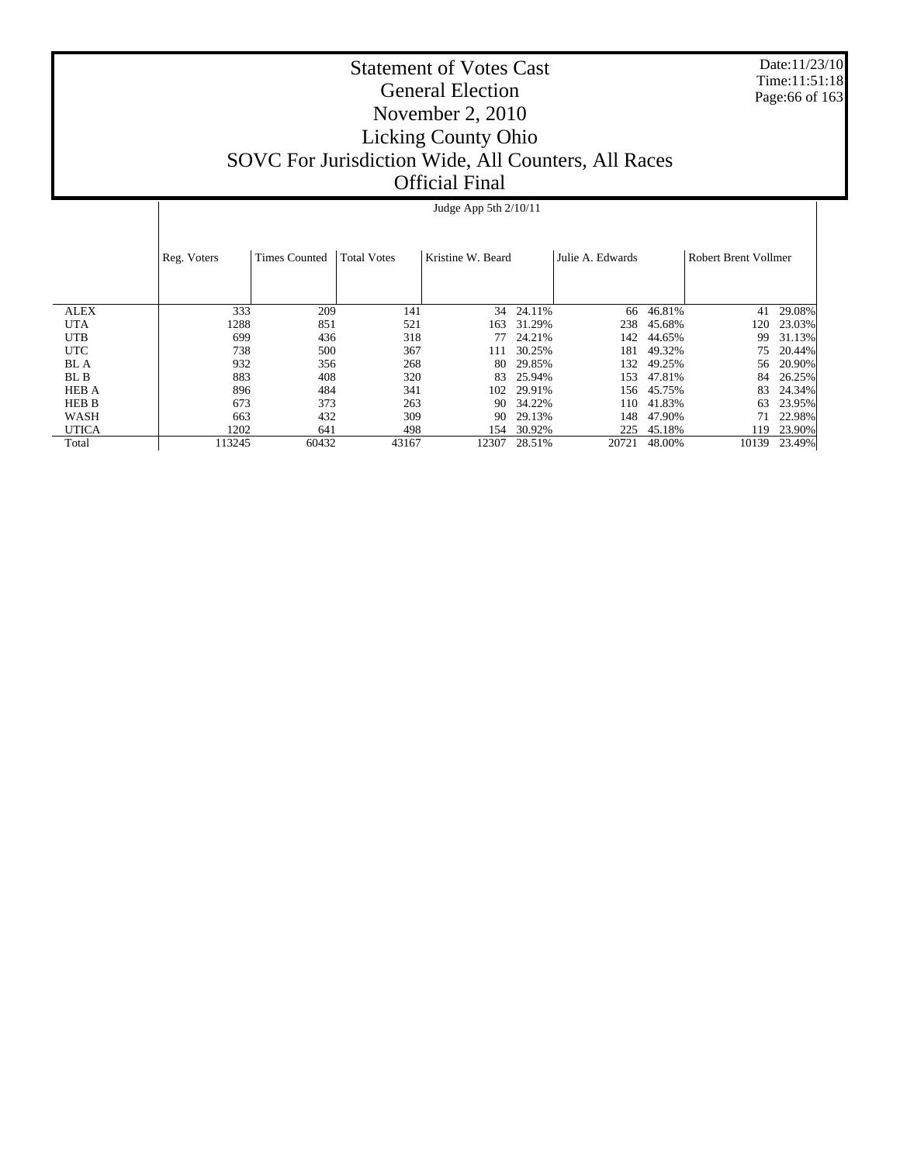Date:11/23/10 Time:11:51:18 Page:66 of 163

|              | Judge App 5th $2/10/11$             |       |                                         |       |                  |       |                      |       |        |  |
|--------------|-------------------------------------|-------|-----------------------------------------|-------|------------------|-------|----------------------|-------|--------|--|
|              | <b>Times Counted</b><br>Reg. Voters |       | <b>Total Votes</b><br>Kristine W. Beard |       | Julie A. Edwards |       | Robert Brent Vollmer |       |        |  |
|              |                                     |       |                                         |       |                  |       |                      |       |        |  |
| <b>ALEX</b>  | 333                                 | 209   | 141                                     | 34    | 24.11%           | 66    | 46.81%               | 41    | 29.08% |  |
| <b>UTA</b>   | 1288                                | 851   | 521                                     | 163   | 31.29%           | 238   | 45.68%               | 20    | 23.03% |  |
| <b>UTB</b>   | 699                                 | 436   | 318                                     | 77    | 24.21%           | 142   | 44.65%               | 99    | 31.13% |  |
| <b>UTC</b>   | 738                                 | 500   | 367                                     | 111   | 30.25%           | 181   | 49.32%               | 75    | 20.44% |  |
| BL A         | 932                                 | 356   | 268                                     | 80    | 29.85%           | 132   | 49.25%               | 56    | 20.90% |  |
| BL B         | 883                                 | 408   | 320                                     | 83    | 25.94%           | 153   | 47.81%               | 84    | 26.25% |  |
| <b>HEB A</b> | 896                                 | 484   | 341                                     | 102   | 29.91%           | 156   | 45.75%               | 83    | 24.34% |  |
| HEB B        | 673                                 | 373   | 263                                     | 90    | 34.22%           | 110   | 41.83%               | 63    | 23.95% |  |
| WASH         | 663                                 | 432   | 309                                     | 90    | 29.13%           | 148   | 47.90%               |       | 22.98% |  |
| <b>UTICA</b> | 1202                                | 641   | 498                                     | 154   | 30.92%           | 225   | 45.18%               | 19    | 23.90% |  |
| Total        | 113245                              | 60432 | 43167                                   | 12307 | 28.51%           | 20721 | 48.00%               | 10139 | 23.49% |  |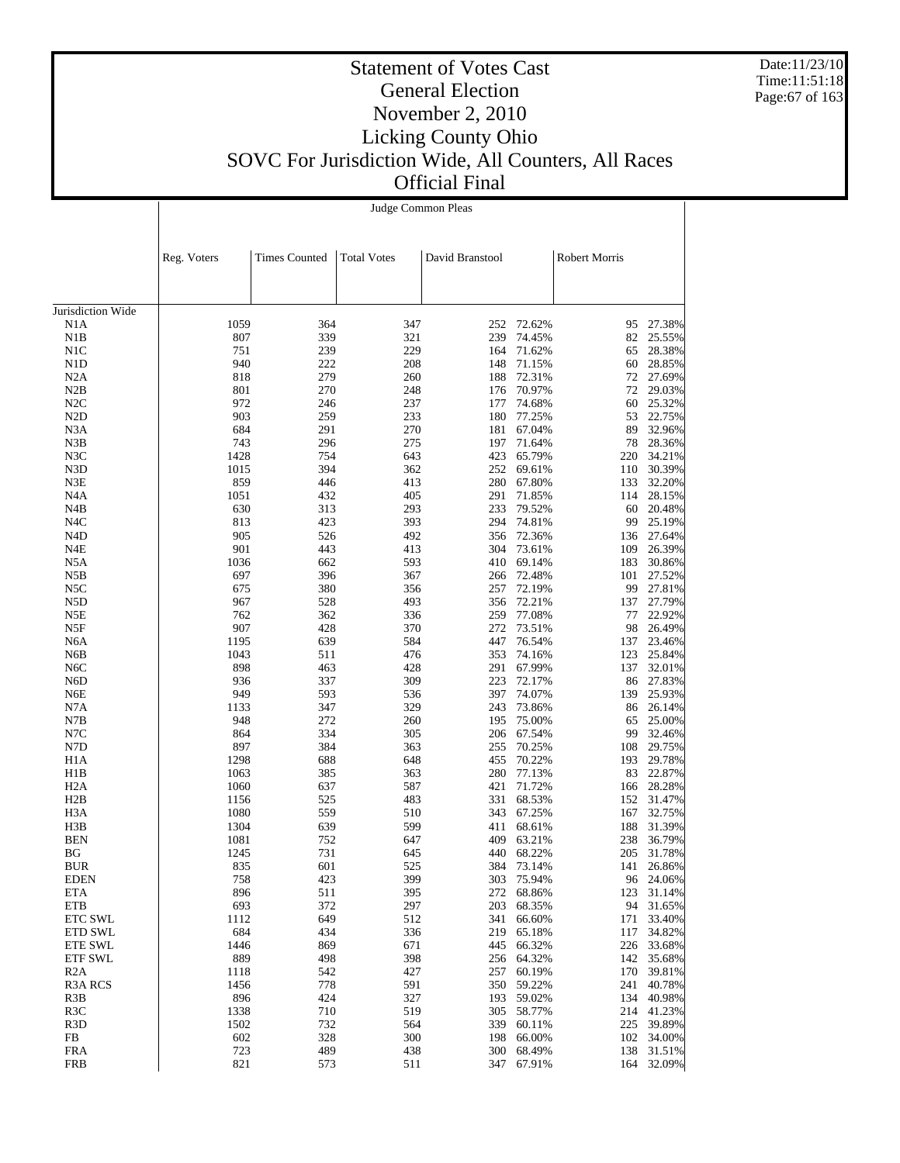Date:11/23/10 Time:11:51:18 Page:67 of 163

|                           | Judge Common Pleas |                      |                    |                 |                  |                      |                      |  |  |  |
|---------------------------|--------------------|----------------------|--------------------|-----------------|------------------|----------------------|----------------------|--|--|--|
|                           |                    |                      |                    |                 |                  |                      |                      |  |  |  |
|                           | Reg. Voters        | <b>Times Counted</b> | <b>Total Votes</b> | David Branstool |                  | <b>Robert Morris</b> |                      |  |  |  |
|                           |                    |                      |                    |                 |                  |                      |                      |  |  |  |
| Jurisdiction Wide         |                    |                      |                    |                 |                  |                      |                      |  |  |  |
| N1A<br>N1B                | 1059<br>807        | 364<br>339           | 347<br>321         | 252<br>239      | 72.62%<br>74.45% | 95<br>82             | 27.38%<br>25.55%     |  |  |  |
| N1C                       | 751                | 239                  | 229                | 164             | 71.62%           | 65                   | 28.38%               |  |  |  |
| N <sub>1</sub> D          | 940                | 222                  | 208                | 148             | 71.15%           | 60                   | 28.85%               |  |  |  |
| N2A                       | 818                | 279                  | 260                | 188             | 72.31%           |                      | 72 27.69%            |  |  |  |
| N2B                       | 801                | 270                  | 248                | 176             | 70.97%           | 72                   | 29.03%               |  |  |  |
| N2C                       | 972                | 246                  | 237                | 177             | 74.68%           | 60                   | 25.32%               |  |  |  |
| N <sub>2</sub> D          | 903                | 259                  | 233                | 180             | 77.25%           | 53                   | 22.75%               |  |  |  |
| N <sub>3</sub> A          | 684                | 291                  | 270                |                 | 181 67.04%       | 89                   | 32.96%               |  |  |  |
| N3B                       | 743                | 296                  | 275                | 197             | 71.64%           | 78                   | 28.36%               |  |  |  |
| N3C<br>N3D                | 1428<br>1015       | 754<br>394           | 643<br>362         | 423<br>252      | 65.79%<br>69.61% | 220<br>110           | 34.21%<br>30.39%     |  |  |  |
| N3E                       | 859                | 446                  | 413                | 280             | 67.80%           |                      | 133 32.20%           |  |  |  |
| N4A                       | 1051               | 432                  | 405                | 291             | 71.85%           | 114                  | 28.15%               |  |  |  |
| N4B                       | 630                | 313                  | 293                | 233             | 79.52%           | 60                   | 20.48%               |  |  |  |
| N4C                       | 813                | 423                  | 393                | 294             | 74.81%           | 99                   | 25.19%               |  |  |  |
| N4D                       | 905                | 526                  | 492                | 356             | 72.36%           |                      | 136 27.64%           |  |  |  |
| N4E                       | 901                | 443                  | 413                | 304             | 73.61%           | 109                  | 26.39%               |  |  |  |
| N5A                       | 1036               | 662                  | 593                | 410             | 69.14%           | 183                  | 30.86%               |  |  |  |
| N5B                       | 697                | 396                  | 367                | 266             | 72.48%           | 101                  | 27.52%               |  |  |  |
| N5C                       | 675                | 380                  | 356                | 257             | 72.19%           | 99                   | 27.81%               |  |  |  |
| N5D                       | 967                | 528                  | 493                | 356             | 72.21%           | 137                  | 27.79%               |  |  |  |
| N5E                       | 762                | 362                  | 336                | 259             | 77.08%           | 77                   | 22.92%               |  |  |  |
| N5F<br>N <sub>6</sub> A   | 907<br>1195        | 428<br>639           | 370<br>584         | 272<br>447      | 73.51%<br>76.54% | 98<br>137            | 26.49%<br>23.46%     |  |  |  |
| N6B                       | 1043               | 511                  | 476                | 353             | 74.16%           | 123                  | 25.84%               |  |  |  |
| N <sub>6</sub> C          | 898                | 463                  | 428                | 291             | 67.99%           |                      | 137 32.01%           |  |  |  |
| N6D                       | 936                | 337                  | 309                | 223             | 72.17%           | 86                   | 27.83%               |  |  |  |
| N6E                       | 949                | 593                  | 536                | 397             | 74.07%           | 139                  | 25.93%               |  |  |  |
| N7A                       | 1133               | 347                  | 329                | 243             | 73.86%           | 86                   | 26.14%               |  |  |  |
| N7B                       | 948                | 272                  | 260                | 195             | 75.00%           | 65                   | 25.00%               |  |  |  |
| N7C                       | 864                | 334                  | 305                | 206             | 67.54%           | 99                   | 32.46%               |  |  |  |
| N7D                       | 897                | 384                  | 363                | 255             | 70.25%           | 108                  | 29.75%               |  |  |  |
| H <sub>1</sub> A          | 1298               | 688                  | 648                | 455             | 70.22%           | 193                  | 29.78%               |  |  |  |
| H1B                       | 1063               | 385                  | 363                | 280             | 77.13%           |                      | 83 22.87%            |  |  |  |
| H <sub>2</sub> A<br>H2B   | 1060<br>1156       | 637<br>525           | 587<br>483         | 421<br>331      | 71.72%<br>68.53% | 166                  | 28.28%<br>152 31.47% |  |  |  |
| H <sub>3</sub> A          | 1080               | 559                  | 510                | 343             | 67.25%           | 167                  | 32.75%               |  |  |  |
| H3B                       | 1304               | 639                  | 599                | 411             | 68.61%           | 188                  | 31.39%               |  |  |  |
| <b>BEN</b>                | 1081               | 752                  | 647                | 409             | 63.21%           | 238                  | 36.79%               |  |  |  |
| BG                        | 1245               | 731                  | 645                |                 | 440 68.22%       |                      | 205 31.78%           |  |  |  |
| <b>BUR</b>                | 835                | 601                  | 525                |                 | 384 73.14%       |                      | 141 26.86%           |  |  |  |
| <b>EDEN</b>               | 758                | 423                  | 399                | 303             | 75.94%           |                      | 96 24.06%            |  |  |  |
| <b>ETA</b>                | 896                | 511                  | 395                | 272             | 68.86%           | 123                  | 31.14%               |  |  |  |
| ETB                       | 693                | 372                  | 297                | 203             | 68.35%           |                      | 94 31.65%            |  |  |  |
| <b>ETC SWL</b>            | 1112<br>684        | 649                  | 512                | 341             | 66.60%           | 171                  | 33.40%               |  |  |  |
| ETD SWL<br><b>ETE SWL</b> | 1446               | 434<br>869           | 336<br>671         | 219<br>445      | 65.18%<br>66.32% | 117<br>226           | 34.82%<br>33.68%     |  |  |  |
| ETF SWL                   | 889                | 498                  | 398                | 256             | 64.32%           |                      | 142 35.68%           |  |  |  |
| R2A                       | 1118               | 542                  | 427                | 257             | 60.19%           | 170                  | 39.81%               |  |  |  |
| R <sub>3</sub> A RCS      | 1456               | 778                  | 591                | 350             | 59.22%           | 241                  | 40.78%               |  |  |  |
| R3B                       | 896                | 424                  | 327                | 193             | 59.02%           | 134                  | 40.98%               |  |  |  |
| R3C                       | 1338               | 710                  | 519                | 305             | 58.77%           | 214                  | 41.23%               |  |  |  |
| R <sub>3</sub> D          | 1502               | 732                  | 564                | 339             | 60.11%           | 225                  | 39.89%               |  |  |  |
| FB                        | 602                | 328                  | 300                | 198             | 66.00%           |                      | 102 34.00%           |  |  |  |
| <b>FRA</b>                | 723                | 489                  | 438                | 300             | 68.49%           | 138                  | 31.51%               |  |  |  |
| FRB                       | 821                | 573                  | 511                |                 | 347 67.91%       |                      | 164 32.09%           |  |  |  |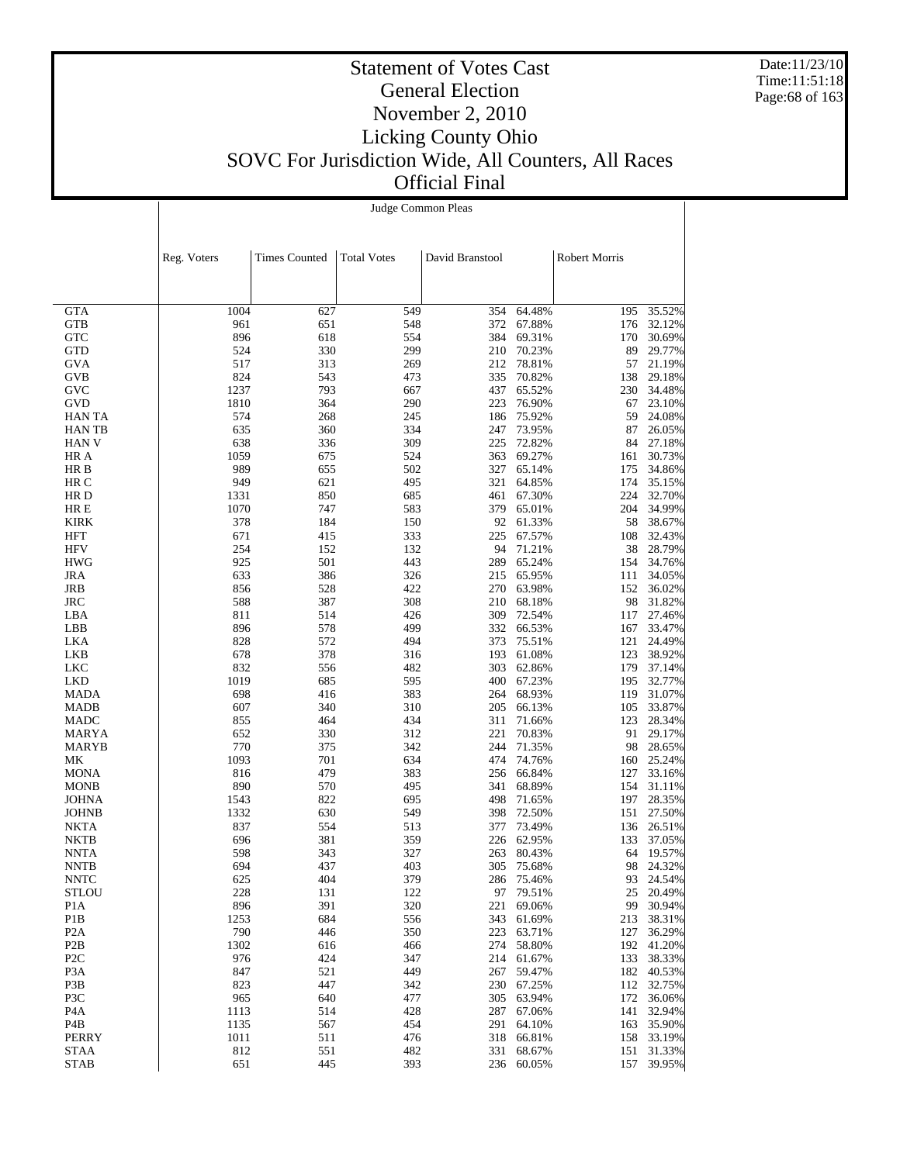Date:11/23/10 Time:11:51:18 Page:68 of 163

#### Statement of Votes Cast General Election November 2, 2010 Licking County Ohio SOVC For Jurisdiction Wide, All Counters, All Races Official Final

|                   | Judge Common Pleas |                      |                    |                 |                  |                      |                  |  |  |  |
|-------------------|--------------------|----------------------|--------------------|-----------------|------------------|----------------------|------------------|--|--|--|
|                   |                    |                      |                    |                 |                  |                      |                  |  |  |  |
|                   |                    |                      |                    |                 |                  |                      |                  |  |  |  |
|                   |                    |                      |                    |                 |                  |                      |                  |  |  |  |
|                   | Reg. Voters        | <b>Times Counted</b> | <b>Total Votes</b> | David Branstool |                  | <b>Robert Morris</b> |                  |  |  |  |
|                   |                    |                      |                    |                 |                  |                      |                  |  |  |  |
|                   |                    |                      |                    |                 |                  |                      |                  |  |  |  |
| <b>GTA</b>        | 1004               | 627                  | 549                | 354             | 64.48%           | 195                  | 35.52%           |  |  |  |
| GTB               | 961                | 651                  | 548                | 372             | 67.88%           | 176                  | 32.12%           |  |  |  |
| <b>GTC</b>        | 896                | 618                  | 554                | 384             | 69.31%           | 170                  | 30.69%           |  |  |  |
| GTD               | 524                | 330                  | 299                |                 | 210 70.23%       | 89                   | 29.77%           |  |  |  |
| GVA               | 517                | 313                  | 269                |                 | 212 78.81%       | 57                   | 21.19%           |  |  |  |
| GVB               | 824                | 543                  | 473                | 335             | 70.82%           | 138                  | 29.18%           |  |  |  |
| GVC               | 1237               | 793                  | 667                | 437             | 65.52%           | 230                  | 34.48%           |  |  |  |
| GVD               | 1810               | 364                  | 290                | 223             | 76.90%           | 67                   | 23.10%           |  |  |  |
| <b>HAN TA</b>     | 574                | 268                  | 245                |                 | 186 75.92%       | 59                   | 24.08%           |  |  |  |
| HAN TB            | 635                | 360                  | 334                |                 | 247 73.95%       | 87                   | 26.05%           |  |  |  |
| HAN V             | 638                | 336                  | 309                | 225             | 72.82%           | 84                   | 27.18%           |  |  |  |
| HR A              | 1059               | 675                  | 524                | 363             | 69.27%           | 161                  | 30.73%           |  |  |  |
| HR B              | 989                | 655                  | 502                | 327             | 65.14%           | 175                  | 34.86%           |  |  |  |
| HR C              | 949                | 621                  | 495                | 321             | 64.85%           | 174                  | 35.15%           |  |  |  |
| HR D              | 1331               | 850                  | 685                | 461             | 67.30%           | 224                  | 32.70%           |  |  |  |
| HR E              | 1070               | 747                  | 583                |                 | 379 65.01%       | 204                  | 34.99%           |  |  |  |
| <b>KIRK</b>       | 378                | 184                  | 150                |                 | 92 61.33%        | 58                   | 38.67%           |  |  |  |
| HFT               | 671                | 415                  | 333                | 225             | 67.57%           | 108                  | 32.43%           |  |  |  |
| HFV               | 254<br>925         | 152<br>501           | 132<br>443         | 94<br>289       | 71.21%<br>65.24% | 38                   | 28.79%           |  |  |  |
| <b>HWG</b><br>JRA | 633                | 386                  | 326                |                 | 215 65.95%       | 154<br>111           | 34.76%<br>34.05% |  |  |  |
| JRB               | 856                | 528                  | 422                |                 | 270 63.98%       | 152                  | 36.02%           |  |  |  |
| JRC               | 588                | 387                  | 308                | 210             | 68.18%           | 98                   | 31.82%           |  |  |  |
| LBA               | 811                | 514                  | 426                | 309             | 72.54%           | 117                  | 27.46%           |  |  |  |
| LBB               | 896                | 578                  | 499                | 332             | 66.53%           | 167                  | 33.47%           |  |  |  |
| LKA               | 828                | 572                  | 494                | 373             | 75.51%           | 121                  | 24.49%           |  |  |  |
| LKB               | 678                | 378                  | 316                | 193             | 61.08%           | 123                  | 38.92%           |  |  |  |
| <b>LKC</b>        | 832                | 556                  | 482                | 303             | 62.86%           | 179                  | 37.14%           |  |  |  |
| <b>LKD</b>        | 1019               | 685                  | 595                |                 | 400 67.23%       | 195                  | 32.77%           |  |  |  |
| MADA              | 698                | 416                  | 383                | 264             | 68.93%           | 119                  | 31.07%           |  |  |  |
| MADB              | 607                | 340                  | 310                | 205             | 66.13%           | 105                  | 33.87%           |  |  |  |
| MADC              | 855                | 464                  | 434                | 311             | 71.66%           | 123                  | 28.34%           |  |  |  |
| MARYA             | 652                | 330                  | 312                | 221             | 70.83%           | 91                   | 29.17%           |  |  |  |
| MARYB             | 770                | 375                  | 342                | 244             | 71.35%           | 98                   | 28.65%           |  |  |  |
| МK                | 1093               | 701                  | 634                | 474             | 74.76%           | 160                  | 25.24%           |  |  |  |
| MONA              | 816                | 479                  | 383                | 256             | 66.84%           | 127                  | 33.16%           |  |  |  |
| <b>MONB</b>       | 890                | 570                  | 495                | 341             | 68.89%           | 154                  | 31.11%           |  |  |  |
| JOHNA             | 1543               | 822                  | 695                | 498             | 71.65%           | 197                  | 28.35%           |  |  |  |
| JOHNB             | 1332<br>837        | 630<br>554           | 549<br>513         | 398<br>377      | 72.50%<br>73.49% | 151<br>136           | 27.50%<br>26.51% |  |  |  |
| NKTA<br>NKTB      | 696                | 381                  | 359                | 226             | 62.95%           | 133                  | 37.05%           |  |  |  |
| NNTA              | 598                | 343                  | 327                | 263             | 80.43%           | 64                   | 19.57%           |  |  |  |
| <b>NNTB</b>       | 694                | 437                  | 403                | 305             | 75.68%           |                      | 98 24.32%        |  |  |  |
| <b>NNTC</b>       | 625                | 404                  | 379                | 286             | 75.46%           |                      | 93 24.54%        |  |  |  |
| STLOU             | 228                | 131                  | 122                | 97              | 79.51%           | 25                   | 20.49%           |  |  |  |
| P1A               | 896                | 391                  | 320                | 221             | 69.06%           | 99                   | 30.94%           |  |  |  |
| P <sub>1</sub> B  | 1253               | 684                  | 556                | 343             | 61.69%           | 213                  | 38.31%           |  |  |  |
| P <sub>2</sub> A  | 790                | 446                  | 350                | 223             | 63.71%           | 127                  | 36.29%           |  |  |  |
| P <sub>2</sub> B  | 1302               | 616                  | 466                | 274             | 58.80%           | 192                  | 41.20%           |  |  |  |
| P <sub>2</sub> C  | 976                | 424                  | 347                | 214             | 61.67%           | 133                  | 38.33%           |  |  |  |
| P <sub>3</sub> A  | 847                | 521                  | 449                | 267             | 59.47%           | 182                  | 40.53%           |  |  |  |
| P3B               | 823                | 447                  | 342                | 230             | 67.25%           | 112                  | 32.75%           |  |  |  |
| P3C               | 965                | 640                  | 477                | 305             | 63.94%           | 172                  | 36.06%           |  |  |  |
| P <sub>4</sub> A  | 1113               | 514                  | 428                | 287             | 67.06%           | 141                  | 32.94%           |  |  |  |
| P4B               | 1135               | 567                  | 454                | 291             | 64.10%           | 163                  | 35.90%           |  |  |  |
| <b>PERRY</b>      | 1011               | 511                  | 476                | 318             | 66.81%           | 158                  | 33.19%           |  |  |  |
| <b>STAA</b>       | 812                | 551                  | 482                | 331             | 68.67%           | 151                  | 31.33%           |  |  |  |
| <b>STAB</b>       | 651                | 445                  | 393                | 236             | 60.05%           | 157                  | 39.95%           |  |  |  |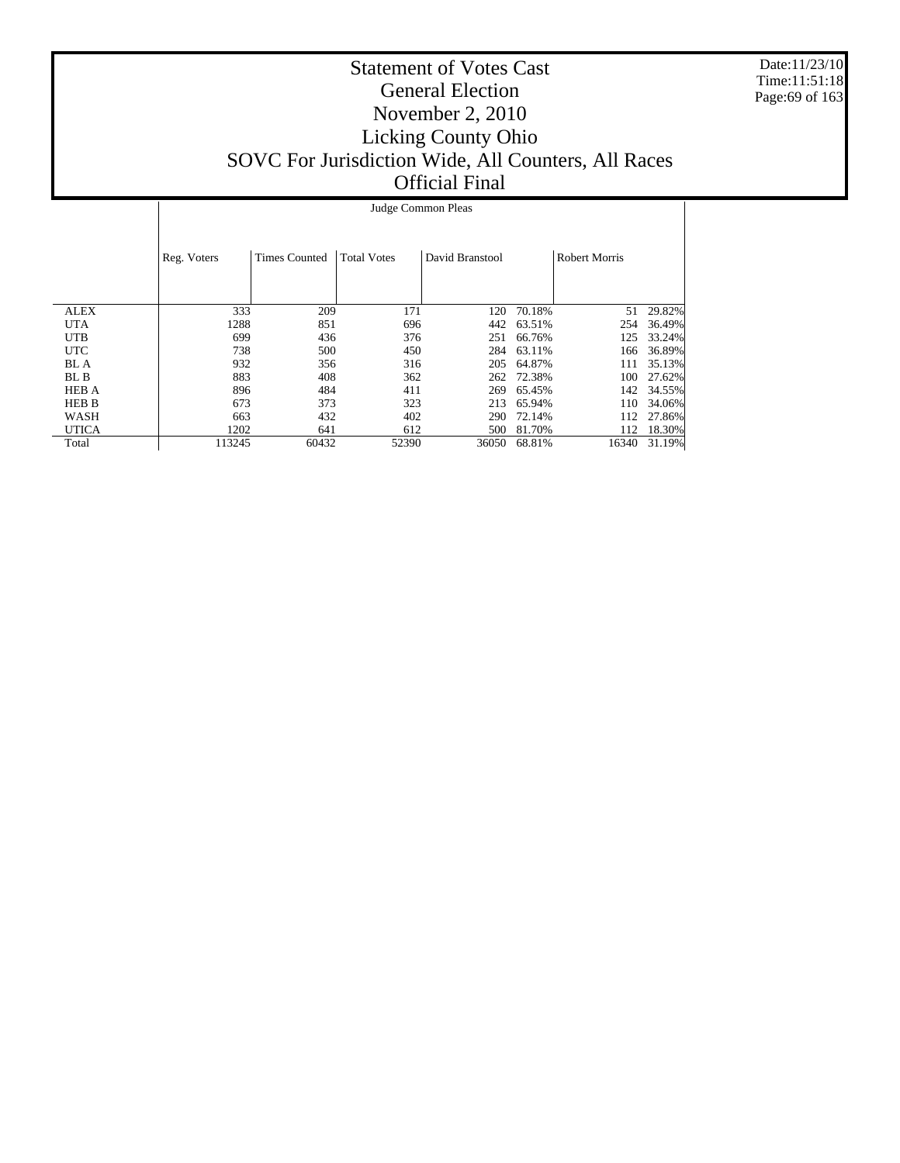Date:11/23/10 Time:11:51:18 Page:69 of 163

|              | Judge Common Pleas |                      |                    |                 |        |                      |        |  |  |  |
|--------------|--------------------|----------------------|--------------------|-----------------|--------|----------------------|--------|--|--|--|
|              | Reg. Voters        | <b>Times Counted</b> | <b>Total Votes</b> | David Branstool |        | <b>Robert Morris</b> |        |  |  |  |
|              |                    |                      |                    |                 |        |                      |        |  |  |  |
| <b>ALEX</b>  | 333                | 209                  | 171                | 120             | 70.18% | 51                   | 29.82% |  |  |  |
| <b>UTA</b>   | 1288               | 851                  | 696                | 442             | 63.51% | 254                  | 36.49% |  |  |  |
| <b>UTB</b>   | 699                | 436                  | 376                | 251             | 66.76% | 125                  | 33.24% |  |  |  |
| <b>UTC</b>   | 738                | 500                  | 450                | 284             | 63.11% | 166                  | 36.89% |  |  |  |
| BL A         | 932                | 356                  | 316                | 205             | 64.87% | 111                  | 35.13% |  |  |  |
| BL B         | 883                | 408                  | 362                | 262             | 72.38% | 100                  | 27.62% |  |  |  |
| <b>HEB A</b> | 896                | 484                  | 411                | 269             | 65.45% | 142                  | 34.55% |  |  |  |
| <b>HEB B</b> | 673                | 373                  | 323                | 213             | 65.94% | 110                  | 34.06% |  |  |  |
| WASH         | 663                | 432                  | 402                | 290             | 72.14% | 112                  | 27.86% |  |  |  |
| <b>UTICA</b> | 1202               | 641                  | 612                | 500             | 81.70% | 112                  | 18.30% |  |  |  |
| Total        | 113245             | 60432                | 52390              | 36050           | 68.81% | 16340                | 31.19% |  |  |  |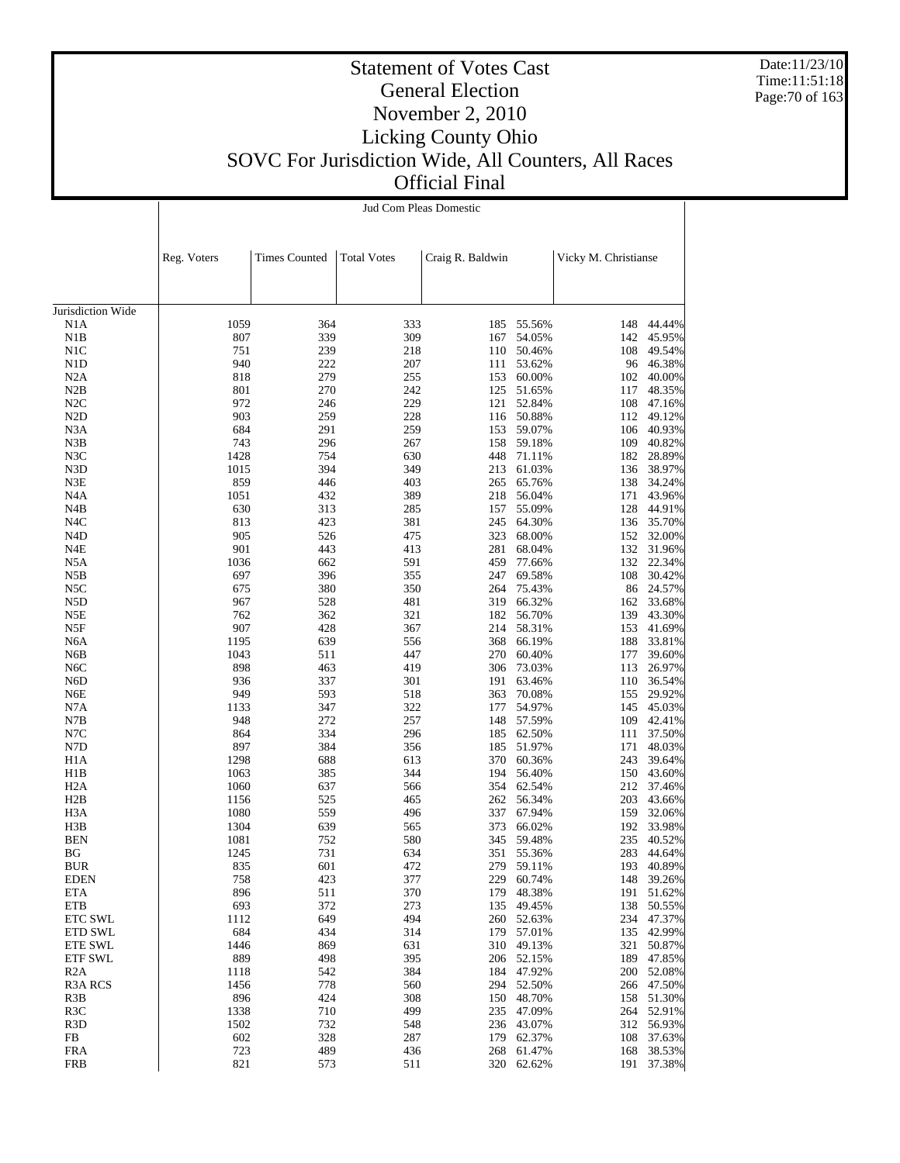Date:11/23/10 Time:11:51:18 Page:70 of 163

#### Statement of Votes Cast General Election November 2, 2010 Licking County Ohio SOVC For Jurisdiction Wide, All Counters, All Races Official Final

|                           | Jud Com Pleas Domestic |                      |                    |                  |                          |                      |                  |  |  |
|---------------------------|------------------------|----------------------|--------------------|------------------|--------------------------|----------------------|------------------|--|--|
|                           |                        |                      |                    |                  |                          |                      |                  |  |  |
|                           |                        |                      |                    |                  |                          |                      |                  |  |  |
|                           | Reg. Voters            | <b>Times Counted</b> | <b>Total Votes</b> | Craig R. Baldwin |                          | Vicky M. Christianse |                  |  |  |
|                           |                        |                      |                    |                  |                          |                      |                  |  |  |
| Jurisdiction Wide         |                        |                      |                    |                  |                          |                      |                  |  |  |
| N1A                       | 1059                   | 364                  | 333                |                  | 185 55.56%               | 148                  | 44.44%           |  |  |
| N1B                       | 807                    | 339                  | 309                | 167              | 54.05%                   | 142                  | 45.95%           |  |  |
| N1C                       | 751                    | 239                  | 218                | 110              | 50.46%                   | 108                  | 49.54%           |  |  |
| N1D                       | 940                    | 222                  | 207                | 111              | 53.62%                   | 96                   | 46.38%           |  |  |
| N2A<br>N2B                | 818<br>801             | 279<br>270           | 255<br>242         | 153<br>125       | 60.00%<br>51.65%         | 102<br>117           | 40.00%<br>48.35% |  |  |
| N2C                       | 972                    | 246                  | 229                | 121              | 52.84%                   | 108                  | 47.16%           |  |  |
| N <sub>2</sub> D          | 903                    | 259                  | 228                | 116              | 50.88%                   | 112                  | 49.12%           |  |  |
| N3A                       | 684                    | 291                  | 259                |                  | 153 59.07%               | 106                  | 40.93%           |  |  |
| N3B                       | 743                    | 296                  | 267                | 158              | 59.18%                   | 109                  | 40.82%           |  |  |
| N3C                       | 1428                   | 754                  | 630                | 448              | 71.11%                   | 182                  | 28.89%           |  |  |
| N3D                       | 1015                   | 394                  | 349                | 213              | 61.03%                   | 136                  | 38.97%           |  |  |
| N3E                       | 859                    | 446                  | 403                | 265              | 65.76%                   | 138                  | 34.24%           |  |  |
| N4A                       | 1051<br>630            | 432                  | 389                | 218<br>157       | 56.04%                   | 171                  | 43.96%           |  |  |
| N4B<br>N4C                | 813                    | 313<br>423           | 285<br>381         | 245              | 55.09%<br>64.30%         | 128<br>136           | 44.91%<br>35.70% |  |  |
| N4D                       | 905                    | 526                  | 475                | 323              | 68.00%                   | 152                  | 32.00%           |  |  |
| N4E                       | 901                    | 443                  | 413                | 281              | 68.04%                   | 132                  | 31.96%           |  |  |
| N5A                       | 1036                   | 662                  | 591                | 459              | 77.66%                   | 132                  | 22.34%           |  |  |
| N5B                       | 697                    | 396                  | 355                | 247              | 69.58%                   | 108                  | 30.42%           |  |  |
| N5C                       | 675                    | 380                  | 350                | 264              | 75.43%                   | 86                   | 24.57%           |  |  |
| N5D                       | 967                    | 528                  | 481                | 319              | 66.32%                   | 162                  | 33.68%           |  |  |
| N5E                       | 762                    | 362                  | 321                | 182              | 56.70%                   | 139                  | 43.30%           |  |  |
| N5F                       | 907                    | 428                  | 367                | 214              | 58.31%                   | 153                  | 41.69%           |  |  |
| N6A                       | 1195<br>1043           | 639<br>511           | 556<br>447         | 368<br>270       | 66.19%                   | 188                  | 33.81%           |  |  |
| N6B<br>N <sub>6</sub> C   | 898                    | 463                  | 419                | 306              | 60.40%<br>73.03%         | 177<br>113           | 39.60%<br>26.97% |  |  |
| N6D                       | 936                    | 337                  | 301                | 191              | 63.46%                   | 110                  | 36.54%           |  |  |
| N6E                       | 949                    | 593                  | 518                | 363              | 70.08%                   | 155                  | 29.92%           |  |  |
| N7A                       | 1133                   | 347                  | 322                | 177              | 54.97%                   | 145                  | 45.03%           |  |  |
| N7B                       | 948                    | 272                  | 257                | 148              | 57.59%                   | 109                  | 42.41%           |  |  |
| N7C                       | 864                    | 334                  | 296                | 185              | 62.50%                   | 111                  | 37.50%           |  |  |
| N7D                       | 897                    | 384                  | 356                | 185              | 51.97%                   | 171                  | 48.03%           |  |  |
| H <sub>1</sub> A          | 1298                   | 688                  | 613                | 370              | 60.36%                   | 243                  | 39.64%           |  |  |
| H1B                       | 1063<br>1060           | 385<br>637           | 344                | 194              | 56.40%                   | 150                  | 43.60%<br>37.46% |  |  |
| H2A<br>H2B                | 1156                   | 525                  | 566<br>465         |                  | 354 62.54%<br>262 56.34% | 212<br>203           | 43.66%           |  |  |
| H3A                       | 1080                   | 559                  | 496                | 337              | 67.94%                   | 159                  | 32.06%           |  |  |
| H3B                       | 1304                   | 639                  | 565                | 373              | 66.02%                   | 192                  | 33.98%           |  |  |
| <b>BEN</b>                | 1081                   | 752                  | 580                | 345              | 59.48%                   | 235                  | 40.52%           |  |  |
| BG                        | 1245                   | 731                  | 634                |                  | 351 55.36%               | 283                  | 44.64%           |  |  |
| BUR                       | 835                    | 601                  | 472                |                  | 279 59.11%               |                      | 193 40.89%       |  |  |
| EDEN                      | 758                    | 423                  | 377                | 229              | 60.74%                   | 148                  | 39.26%           |  |  |
| ETA                       | 896                    | 511                  | 370                | 179              | 48.38%                   | 191                  | 51.62%           |  |  |
| ETB                       | 693                    | 372                  | 273                | 135              | 49.45%                   | 138                  | 50.55%           |  |  |
| <b>ETC SWL</b>            | 1112                   | 649                  | 494                | 260              | 52.63%<br>57.01%         | 234                  | 47.37%<br>42.99% |  |  |
| <b>ETD SWL</b><br>ETE SWL | 684<br>1446            | 434<br>869           | 314<br>631         | 179<br>310       | 49.13%                   | 135<br>321           | 50.87%           |  |  |
| ETF SWL                   | 889                    | 498                  | 395                |                  | 206 52.15%               | 189                  | 47.85%           |  |  |
| R <sub>2</sub> A          | 1118                   | 542                  | 384                | 184              | 47.92%                   | 200                  | 52.08%           |  |  |
| R3A RCS                   | 1456                   | 778                  | 560                |                  | 294 52.50%               |                      | 266 47.50%       |  |  |
| R3B                       | 896                    | 424                  | 308                | 150              | 48.70%                   | 158                  | 51.30%           |  |  |
| R3C                       | 1338                   | 710                  | 499                | 235              | 47.09%                   |                      | 264 52.91%       |  |  |
| R3D                       | 1502                   | 732                  | 548                | 236              | 43.07%                   |                      | 312 56.93%       |  |  |
| FB                        | 602                    | 328                  | 287                | 179              | 62.37%                   | 108                  | 37.63%           |  |  |
| <b>FRA</b>                | 723                    | 489                  | 436                | 268              | 61.47%                   | 168                  | 38.53%           |  |  |
| <b>FRB</b>                | 821                    | 573                  | 511                |                  | 320 62.62%               |                      | 191 37.38%       |  |  |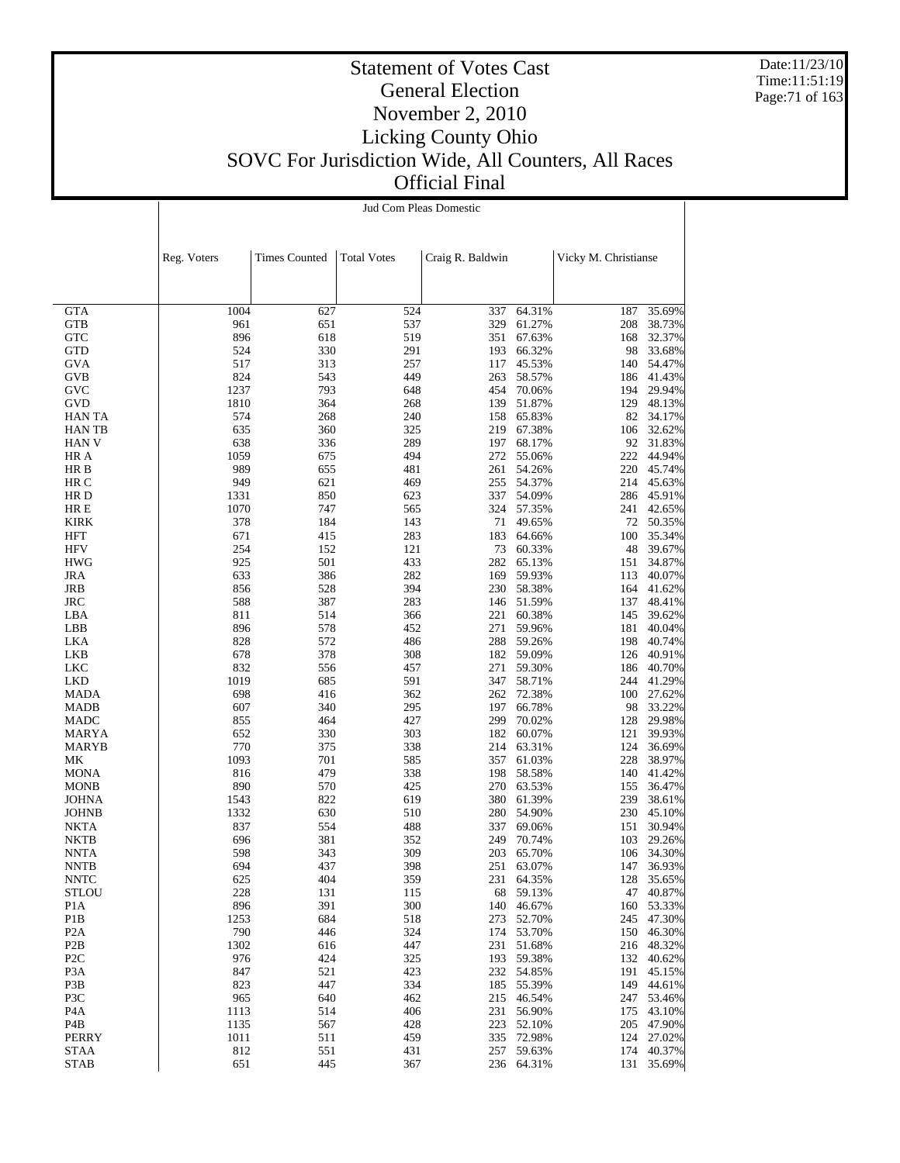Date:11/23/10 Time:11:51:19 Page:71 of 163

#### Statement of Votes Cast General Election November 2, 2010 Licking County Ohio SOVC For Jurisdiction Wide, All Counters, All Races Official Final

|                                  | Jud Com Pleas Domestic |                      |                    |                  |                          |                      |                          |  |  |
|----------------------------------|------------------------|----------------------|--------------------|------------------|--------------------------|----------------------|--------------------------|--|--|
|                                  |                        |                      |                    |                  |                          |                      |                          |  |  |
|                                  |                        |                      |                    |                  |                          |                      |                          |  |  |
|                                  | Reg. Voters            | <b>Times Counted</b> | <b>Total Votes</b> | Craig R. Baldwin |                          | Vicky M. Christianse |                          |  |  |
|                                  |                        |                      |                    |                  |                          |                      |                          |  |  |
|                                  |                        |                      |                    |                  |                          |                      |                          |  |  |
| <b>GTA</b>                       | 1004                   | 627                  | 524                | 337              | 64.31%                   | 187                  | 35.69%                   |  |  |
| GTB                              | 961                    | 651                  | 537                | 329              | 61.27%                   | 208                  | 38.73%                   |  |  |
| <b>GTC</b><br><b>GTD</b>         | 896<br>524             | 618<br>330           | 519<br>291         | 351<br>193       | 67.63%<br>66.32%         | 168                  | 32.37%<br>98 33.68%      |  |  |
| GVA                              | 517                    | 313                  | 257                | 117              | 45.53%                   |                      | 140 54.47%               |  |  |
| GVB                              | 824                    | 543                  | 449                | 263              | 58.57%                   |                      | 186 41.43%               |  |  |
| GVC                              | 1237                   | 793                  | 648                | 454              | 70.06%                   |                      | 194 29.94%               |  |  |
| <b>GVD</b>                       | 1810                   | 364                  | 268                | 139              | 51.87%                   | 129                  | 48.13%                   |  |  |
| <b>HAN TA</b><br><b>HANTB</b>    | 574<br>635             | 268<br>360           | 240<br>325         | 158<br>219       | 65.83%<br>67.38%         | 106                  | 82 34.17%<br>32.62%      |  |  |
| <b>HAN V</b>                     | 638                    | 336                  | 289                | 197              | 68.17%                   |                      | 92 31.83%                |  |  |
| HR A                             | 1059                   | 675                  | 494                | 272              | 55.06%                   | 222                  | 44.94%                   |  |  |
| HR B                             | 989                    | 655                  | 481                | 261              | 54.26%                   | 220                  | 45.74%                   |  |  |
| HR C                             | 949                    | 621                  | 469                | 255              | 54.37%                   |                      | 214 45.63%               |  |  |
| HR D<br>HR E                     | 1331<br>1070           | 850<br>747           | 623<br>565         | 337<br>324       | 54.09%<br>57.35%         | 241                  | 286 45.91%<br>42.65%     |  |  |
| <b>KIRK</b>                      | 378                    | 184                  | 143                | 71               | 49.65%                   |                      | 72 50.35%                |  |  |
| <b>HFT</b>                       | 671                    | 415                  | 283                | 183              | 64.66%                   | 100                  | 35.34%                   |  |  |
| <b>HFV</b>                       | 254                    | 152                  | 121                | 73               | 60.33%                   | 48                   | 39.67%                   |  |  |
| <b>HWG</b>                       | 925                    | 501                  | 433                | 282              | 65.13%                   | 151                  | 34.87%                   |  |  |
| JRA<br>JRB                       | 633<br>856             | 386<br>528           | 282<br>394         | 169<br>230       | 59.93%<br>58.38%         | 113<br>164           | 40.07%<br>41.62%         |  |  |
| JRC                              | 588                    | 387                  | 283                | 146              | 51.59%                   | 137                  | 48.41%                   |  |  |
| LBA                              | 811                    | 514                  | 366                | 221              | 60.38%                   | 145                  | 39.62%                   |  |  |
| LBB                              | 896                    | 578                  | 452                | 271              | 59.96%                   | 181                  | 40.04%                   |  |  |
| LKA                              | 828                    | 572                  | 486                | 288              | 59.26%                   | 198                  | 40.74%                   |  |  |
| LKB<br>LKC                       | 678<br>832             | 378<br>556           | 308<br>457         | 271              | 182 59.09%<br>59.30%     | 126<br>186           | 40.91%<br>40.70%         |  |  |
| <b>LKD</b>                       | 1019                   | 685                  | 591                | 347              | 58.71%                   |                      | 244 41.29%               |  |  |
| <b>MADA</b>                      | 698                    | 416                  | 362                | 262              | 72.38%                   |                      | 100 27.62%               |  |  |
| MADB                             | 607                    | 340                  | 295                | 197              | 66.78%                   |                      | 98 33.22%                |  |  |
| MADC                             | 855                    | 464                  | 427                | 299              | 70.02%                   | 128                  | 29.98%                   |  |  |
| MARYA<br>MARYB                   | 652<br>770             | 330<br>375           | 303<br>338         | 182<br>214       | 60.07%<br>63.31%         | 121<br>124           | 39.93%<br>36.69%         |  |  |
| МK                               | 1093                   | 701                  | 585                | 357              | 61.03%                   | 228                  | 38.97%                   |  |  |
| <b>MONA</b>                      | 816                    | 479                  | 338                | 198              | 58.58%                   | 140                  | 41.42%                   |  |  |
| <b>MONB</b>                      | 890                    | 570                  | 425                | 270              | 63.53%                   | 155                  | 36.47%                   |  |  |
| <b>JOHNA</b>                     | 1543                   | 822                  | 619                | 380              | 61.39%                   | 239                  | 38.61%                   |  |  |
| <b>JOHNB</b><br>NKTA             | 1332<br>837            | 630<br>554           | 510<br>488         | 280<br>337       | 54.90%<br>69.06%         | 230<br>151           | 45.10%<br>30.94%         |  |  |
| NKTB                             | 696                    | 381                  | 352                | 249              | 70.74%                   | 103                  | 29.26%                   |  |  |
| NNTA                             | 598                    | 343                  | 309                |                  | 203 65.70%               |                      | 106 34.30%               |  |  |
| <b>NNTB</b>                      | 694                    | 437                  | 398                |                  | 251 63.07%               |                      | 147 36.93%               |  |  |
| <b>NNTC</b>                      | 625                    | 404                  | 359                |                  | 231 64.35%               |                      | 128 35.65%               |  |  |
| <b>STLOU</b><br>P <sub>1</sub> A | 228<br>896             | 131<br>391           | 115<br>300         |                  | 68 59.13%<br>140 46.67%  |                      | 47 40.87%<br>160 53.33%  |  |  |
| P <sub>1</sub> B                 | 1253                   | 684                  | 518                |                  | 273 52.70%               |                      | 245 47.30%               |  |  |
| P <sub>2</sub> A                 | 790                    | 446                  | 324                |                  | 174 53.70%               |                      | 150 46.30%               |  |  |
| P <sub>2</sub> B                 | 1302                   | 616                  | 447                |                  | 231 51.68%               |                      | 216 48.32%               |  |  |
| P <sub>2</sub> C                 | 976                    | 424                  | 325                |                  | 193 59.38%               |                      | 132 40.62%               |  |  |
| P <sub>3</sub> A<br>P3B          | 847<br>823             | 521<br>447           | 423<br>334         |                  | 232 54.85%<br>185 55.39% |                      | 191 45.15%<br>149 44.61% |  |  |
| P3C                              | 965                    | 640                  | 462                |                  | 215 46.54%               |                      | 247 53.46%               |  |  |
| P <sub>4</sub> A                 | 1113                   | 514                  | 406                |                  | 231 56.90%               |                      | 175 43.10%               |  |  |
| P4B                              | 1135                   | 567                  | 428                |                  | 223 52.10%               |                      | 205 47.90%               |  |  |
| PERRY                            | 1011                   | 511                  | 459                |                  | 335 72.98%               |                      | 124 27.02%               |  |  |
| <b>STAA</b><br><b>STAB</b>       | 812<br>651             | 551<br>445           | 431<br>367         |                  | 257 59.63%<br>236 64.31% |                      | 174 40.37%<br>131 35.69% |  |  |
|                                  |                        |                      |                    |                  |                          |                      |                          |  |  |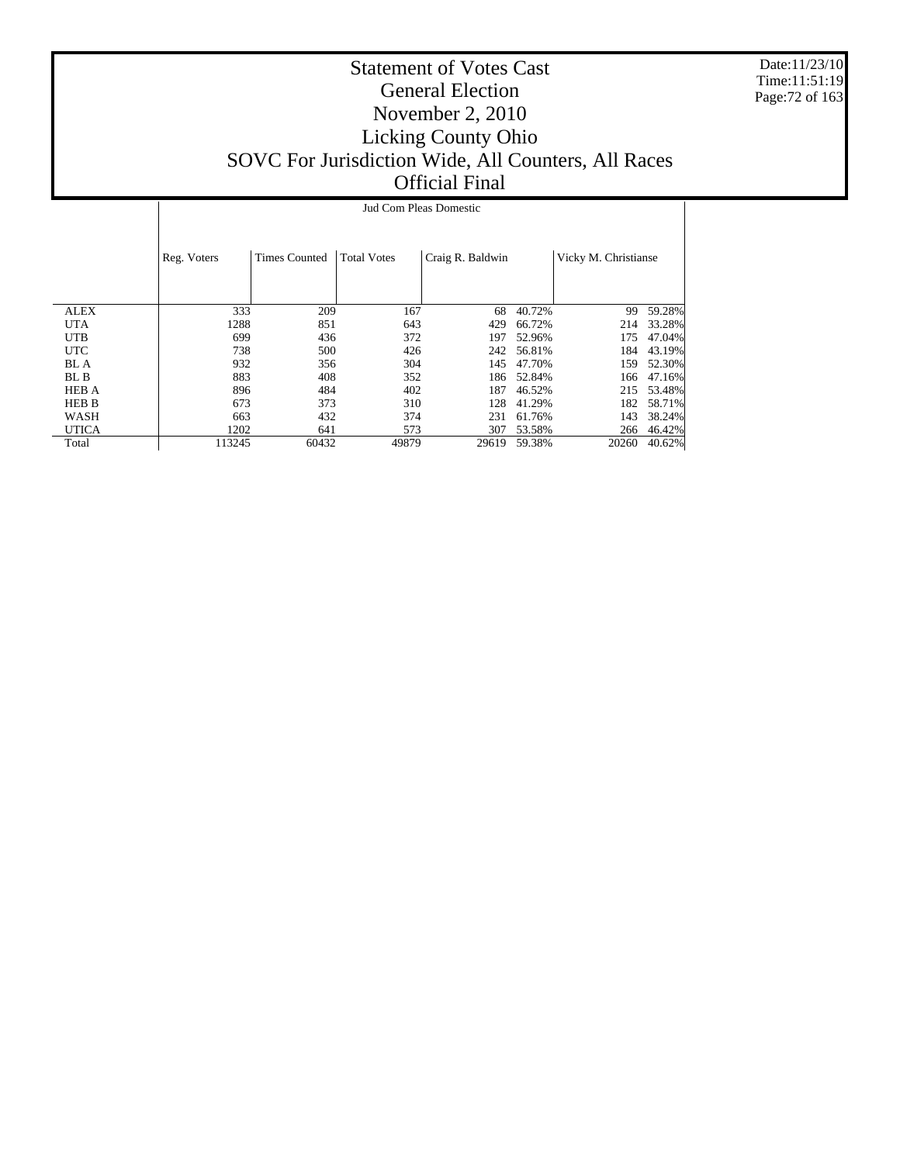Date:11/23/10 Time:11:51:19 Page:72 of 163

|              | Jud Com Pleas Domestic |                                            |       |                  |        |                      |        |  |  |  |  |
|--------------|------------------------|--------------------------------------------|-------|------------------|--------|----------------------|--------|--|--|--|--|
|              | Reg. Voters            | <b>Total Votes</b><br><b>Times Counted</b> |       | Craig R. Baldwin |        | Vicky M. Christianse |        |  |  |  |  |
| <b>ALEX</b>  | 333                    | 209                                        | 167   | 68               | 40.72% | 99                   | 59.28% |  |  |  |  |
| <b>UTA</b>   | 1288                   | 851                                        | 643   | 429              | 66.72% | 214                  | 33.28% |  |  |  |  |
| <b>UTB</b>   | 699                    | 436                                        | 372   | 197              | 52.96% | 175                  | 47.04% |  |  |  |  |
| <b>UTC</b>   | 738                    | 500                                        | 426   | 242              | 56.81% | 184                  | 43.19% |  |  |  |  |
| BL A         | 932                    | 356                                        | 304   | 145              | 47.70% | 159                  | 52.30% |  |  |  |  |
| BL B         | 883                    | 408                                        | 352   | 186              | 52.84% | 166                  | 47.16% |  |  |  |  |
| <b>HEB A</b> | 896                    | 484                                        | 402   | 187              | 46.52% | 215                  | 53.48% |  |  |  |  |
| <b>HEB B</b> | 673                    | 373                                        | 310   | 128              | 41.29% | 182                  | 58.71% |  |  |  |  |
| WASH         | 663                    | 432                                        | 374   | 231              | 61.76% | 143                  | 38.24% |  |  |  |  |
| <b>UTICA</b> | 1202                   | 641                                        | 573   | 307              | 53.58% | 266                  | 46.42% |  |  |  |  |
| Total        | 113245                 | 60432                                      | 49879 | 29619            | 59.38% | 20260                | 40.62% |  |  |  |  |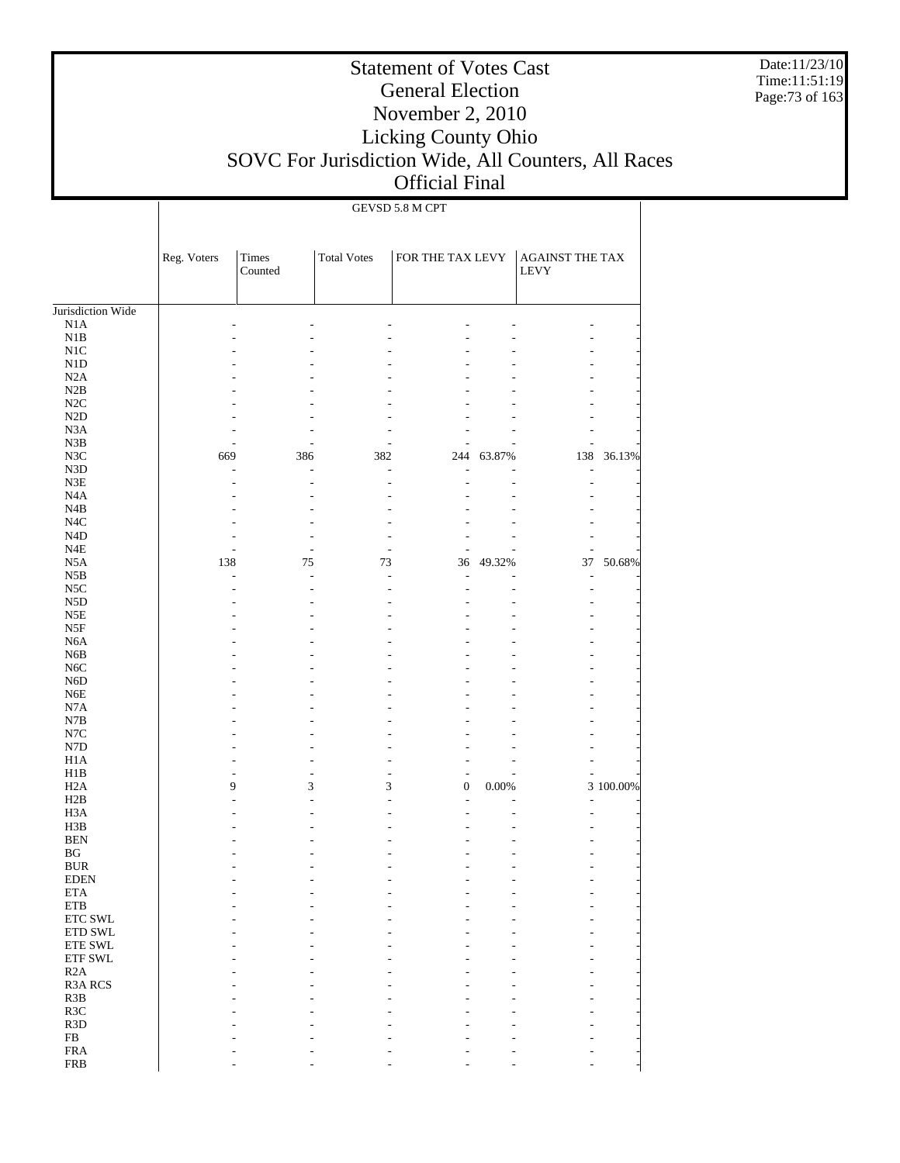Date:11/23/10 Time:11:51:19 Page:73 of 163

# Statement of Votes Cast General Election November 2, 2010 Licking County Ohio SOVC For Jurisdiction Wide, All Counters, All Races Official Final

GEVSD 5.8 M CPT

|                                | Reg. Voters | Times<br>Counted | <b>Total Votes</b> | FOR THE TAX LEVY |        | AGAINST THE TAX<br><b>LEVY</b> |           |
|--------------------------------|-------------|------------------|--------------------|------------------|--------|--------------------------------|-----------|
| Jurisdiction Wide              |             |                  |                    |                  |        |                                |           |
| N1A                            |             |                  |                    |                  |        |                                |           |
| N1B                            |             |                  |                    |                  |        |                                |           |
| N1C                            |             |                  |                    |                  |        |                                |           |
| N1D                            |             |                  |                    |                  |        |                                |           |
| N2A                            |             |                  |                    |                  |        |                                |           |
| N2B                            |             |                  |                    |                  |        |                                |           |
| N2C                            |             |                  |                    |                  |        |                                |           |
| N2D                            |             |                  |                    |                  |        |                                |           |
| N3A                            |             |                  |                    |                  |        |                                |           |
| N3B                            |             |                  |                    |                  |        |                                |           |
| N3C                            | 669         | 386              | 382                | 244              | 63.87% | 138                            | 36.13%    |
| N3D                            |             |                  |                    |                  |        | $\overline{a}$                 |           |
| N3E                            |             |                  |                    |                  |        |                                |           |
| N <sub>4</sub> A               |             |                  |                    |                  |        |                                |           |
| N4B                            |             |                  |                    |                  |        |                                |           |
| N <sub>4</sub> C               |             |                  |                    |                  |        |                                |           |
| N <sub>4</sub> D<br>N4E        |             |                  |                    |                  |        |                                |           |
| N <sub>5</sub> A               | 138         | 75               | 73                 | 36               | 49.32% | 37                             | 50.68%    |
| N5B                            |             |                  |                    |                  |        | $\overline{a}$                 |           |
| N5C                            |             |                  |                    |                  |        |                                |           |
| N <sub>5</sub> D               |             |                  |                    |                  |        |                                |           |
| N5E                            |             |                  |                    |                  |        |                                |           |
| N5F                            |             |                  |                    |                  |        |                                |           |
| N <sub>6</sub> A               |             |                  |                    |                  |        |                                |           |
| N <sub>6</sub> B               |             |                  |                    |                  |        |                                |           |
| N <sub>6</sub> C               |             |                  |                    |                  |        |                                |           |
| N <sub>6</sub> D               |             |                  |                    |                  |        |                                |           |
| N <sub>6</sub> E               |             |                  |                    |                  |        |                                |           |
| N7A<br>N7B                     |             |                  |                    |                  |        |                                |           |
| N7C                            |             |                  |                    |                  |        |                                |           |
| N7D                            |             |                  |                    |                  |        |                                |           |
| H1A                            |             |                  |                    |                  |        |                                |           |
| H1B                            |             |                  |                    |                  |        |                                |           |
| H <sub>2</sub> A               | 9           | 3                | 3                  | $\boldsymbol{0}$ | 0.00%  |                                | 3 100.00% |
| H2B                            |             |                  |                    |                  |        |                                |           |
| H <sub>3</sub> A               |             |                  |                    |                  |        |                                |           |
| H3B                            |             |                  |                    |                  |        |                                |           |
| <b>BEN</b>                     |             |                  |                    |                  |        |                                |           |
| $\mathbf{B}\mathbf{G}$         |             |                  |                    |                  |        |                                |           |
| <b>BUR</b><br><b>EDEN</b>      |             |                  |                    |                  |        |                                |           |
| $\rm ETA$                      |             |                  |                    |                  |        |                                |           |
| $\rm ETB$                      |             |                  |                    |                  |        |                                |           |
| $\ensuremath{\text{ETC}}$ SWL  |             |                  |                    |                  |        |                                |           |
| $\rm ETD$ SWL                  |             |                  |                    |                  |        |                                |           |
| ETE SWL                        |             |                  |                    |                  |        |                                |           |
| $\ensuremath{\text{ETF}}$ SWL  |             |                  |                    |                  |        |                                |           |
| R2A                            |             |                  |                    |                  |        |                                |           |
| R3A RCS                        |             |                  |                    |                  |        |                                |           |
| R3B                            |             |                  |                    |                  |        |                                |           |
| R3C                            |             |                  |                    |                  |        |                                |           |
| R <sub>3</sub> D<br>${\rm FB}$ |             |                  |                    |                  |        |                                |           |
| <b>FRA</b>                     |             |                  |                    |                  |        |                                |           |
| <b>FRB</b>                     |             |                  |                    |                  |        |                                |           |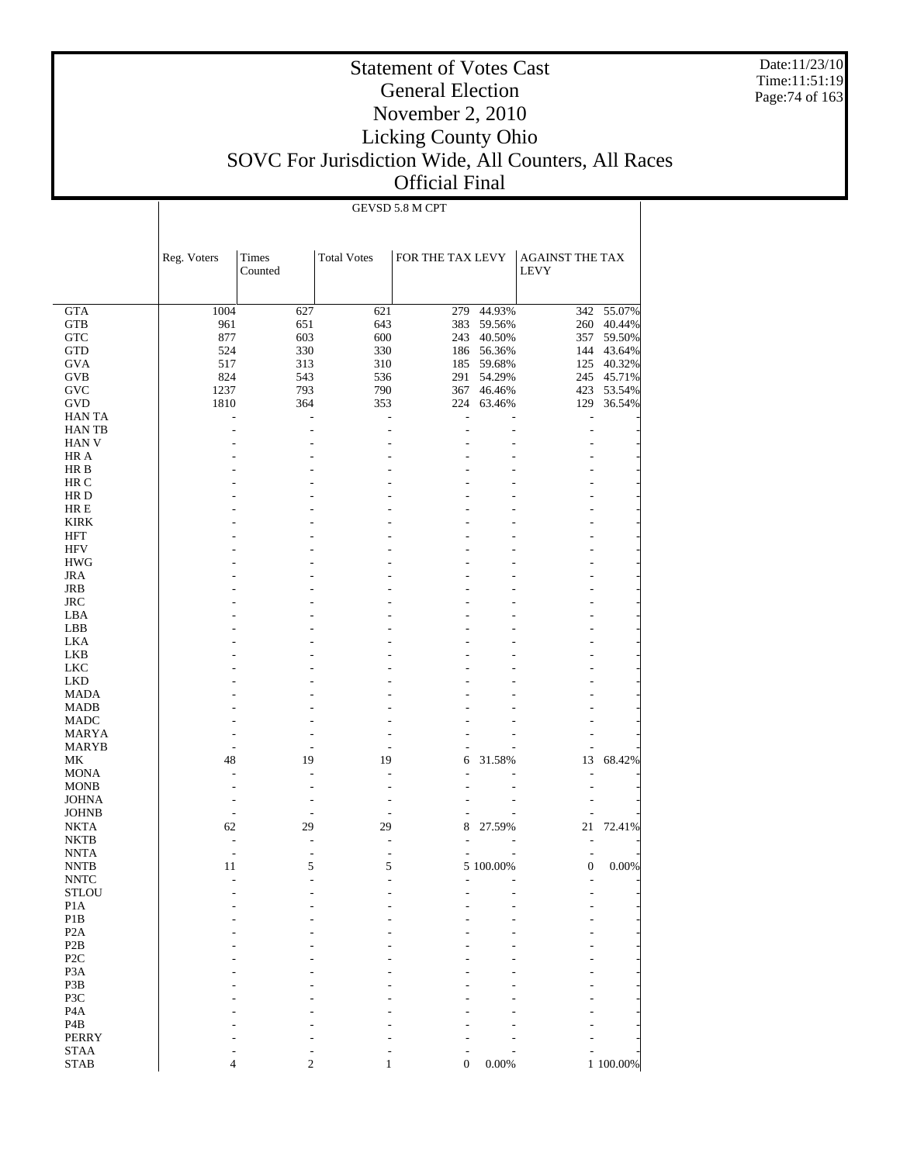Date:11/23/10 Time:11:51:19 Page:74 of 163

# Statement of Votes Cast General Election November 2, 2010 Licking County Ohio SOVC For Jurisdiction Wide, All Counters, All Races Official Final

#### GEVSD 5.8 M CPT

|                  | Reg. Voters              | Times<br>Counted | <b>Total Votes</b> | FOR THE TAX LEVY         |                | <b>AGAINST THE TAX</b><br><b>LEVY</b> |            |
|------------------|--------------------------|------------------|--------------------|--------------------------|----------------|---------------------------------------|------------|
| <b>GTA</b>       | 1004                     | 627              | 621                | 279                      | 44.93%         | 342                                   | 55.07%     |
| <b>GTB</b>       | 961                      | 651              | 643                | 383                      | 59.56%         |                                       | 260 40.44% |
| <b>GTC</b>       | 877                      | 603              | 600                | 243                      | 40.50%         | 357                                   | 59.50%     |
| GTD              | 524                      | 330              | 330                | 186                      | 56.36%         | 144                                   | 43.64%     |
| <b>GVA</b>       | 517                      | 313              | 310                | 185                      | 59.68%         | 125                                   | 40.32%     |
| <b>GVB</b>       | 824                      | 543              | 536                | 291                      | 54.29%         | 245                                   | 45.71%     |
| <b>GVC</b>       | 1237                     | 793              | 790                | 367                      | 46.46%         | 423                                   | 53.54%     |
| <b>GVD</b>       | 1810                     | 364              | 353                | 224                      | 63.46%         | 129                                   | 36.54%     |
| HAN TA           |                          | ÷                | ٠                  | J.                       |                | L,                                    |            |
| <b>HAN TB</b>    |                          |                  |                    |                          |                | ٠                                     |            |
| <b>HAN V</b>     |                          |                  |                    |                          |                |                                       |            |
| HR A             |                          |                  |                    |                          |                |                                       |            |
| HR B             |                          |                  |                    |                          |                |                                       |            |
| HR C             |                          |                  |                    |                          |                |                                       |            |
| HR D             |                          |                  |                    |                          |                |                                       |            |
| HR E             |                          |                  |                    |                          |                |                                       |            |
| <b>KIRK</b>      |                          |                  |                    |                          |                |                                       |            |
| <b>HFT</b>       |                          |                  |                    |                          |                |                                       |            |
| HFV              |                          |                  |                    |                          |                |                                       |            |
| <b>HWG</b>       |                          |                  |                    |                          |                |                                       |            |
| <b>JRA</b>       |                          |                  |                    |                          |                |                                       |            |
| JRB              |                          |                  |                    |                          |                |                                       |            |
| <b>JRC</b>       |                          |                  |                    |                          |                |                                       |            |
| LBA              |                          |                  |                    |                          |                |                                       |            |
| LBB              |                          |                  |                    |                          |                |                                       |            |
| LKA              |                          |                  |                    |                          |                |                                       |            |
| LKB              |                          |                  |                    |                          |                |                                       |            |
| <b>LKC</b>       |                          |                  |                    |                          |                |                                       |            |
| <b>LKD</b>       |                          |                  |                    |                          |                |                                       |            |
| <b>MADA</b>      |                          |                  |                    |                          |                |                                       |            |
| <b>MADB</b>      |                          |                  |                    |                          |                |                                       |            |
| <b>MADC</b>      |                          |                  |                    |                          |                |                                       |            |
| MARYA            |                          |                  |                    |                          |                |                                       |            |
| MARYB            |                          |                  |                    |                          |                | ٠                                     |            |
| МK               | 48                       | 19               | 19                 | 6                        | 31.58%         | 13                                    | 68.42%     |
| <b>MONA</b>      |                          |                  | ٠                  | ٠                        |                | ٠                                     |            |
| <b>MONB</b>      |                          |                  |                    |                          |                |                                       |            |
| <b>JOHNA</b>     |                          | ۰                | ۰                  |                          |                |                                       |            |
| <b>JOHNB</b>     |                          |                  |                    | ٠                        |                | ۰                                     |            |
| <b>NKTA</b>      | 62                       | 29               | 29                 | 8                        | 27.59%         | 21                                    | 72.41%     |
| <b>NKTB</b>      | $\overline{\phantom{a}}$ |                  | ٠                  |                          |                | ٠                                     |            |
| <b>NNTA</b>      | ٠                        | $\overline{a}$   | ٠                  |                          |                | ٠                                     |            |
| <b>NNTB</b>      | 11                       | 5                | 5                  |                          | 5 100.00%      | $\mathbf{0}$                          | 0.00%      |
| <b>NNTC</b>      | ÷,                       | ÷                | L,                 | $\overline{\phantom{a}}$ | $\overline{a}$ | ٠                                     |            |
| <b>STLOU</b>     |                          |                  |                    |                          |                |                                       |            |
| P <sub>1</sub> A |                          |                  |                    |                          |                |                                       |            |
| P1B              |                          |                  |                    |                          |                |                                       |            |
| P <sub>2</sub> A |                          |                  |                    |                          |                |                                       |            |
| P <sub>2</sub> B |                          |                  |                    |                          |                |                                       |            |
| P <sub>2C</sub>  |                          |                  |                    |                          |                |                                       |            |
| P <sub>3</sub> A |                          |                  |                    |                          |                |                                       |            |
| P3B              |                          |                  |                    |                          |                |                                       |            |
| P3C              |                          |                  |                    |                          |                |                                       |            |
| P <sub>4</sub> A |                          |                  |                    |                          |                |                                       |            |
| P <sub>4</sub> B |                          |                  |                    |                          |                |                                       |            |
| <b>PERRY</b>     |                          |                  |                    |                          |                |                                       |            |
| <b>STAA</b>      |                          |                  |                    |                          |                |                                       |            |
| <b>STAB</b>      | 4                        | $\mathbf{2}$     | 1                  | $\boldsymbol{0}$         | 0.00%          |                                       | 1 100.00%  |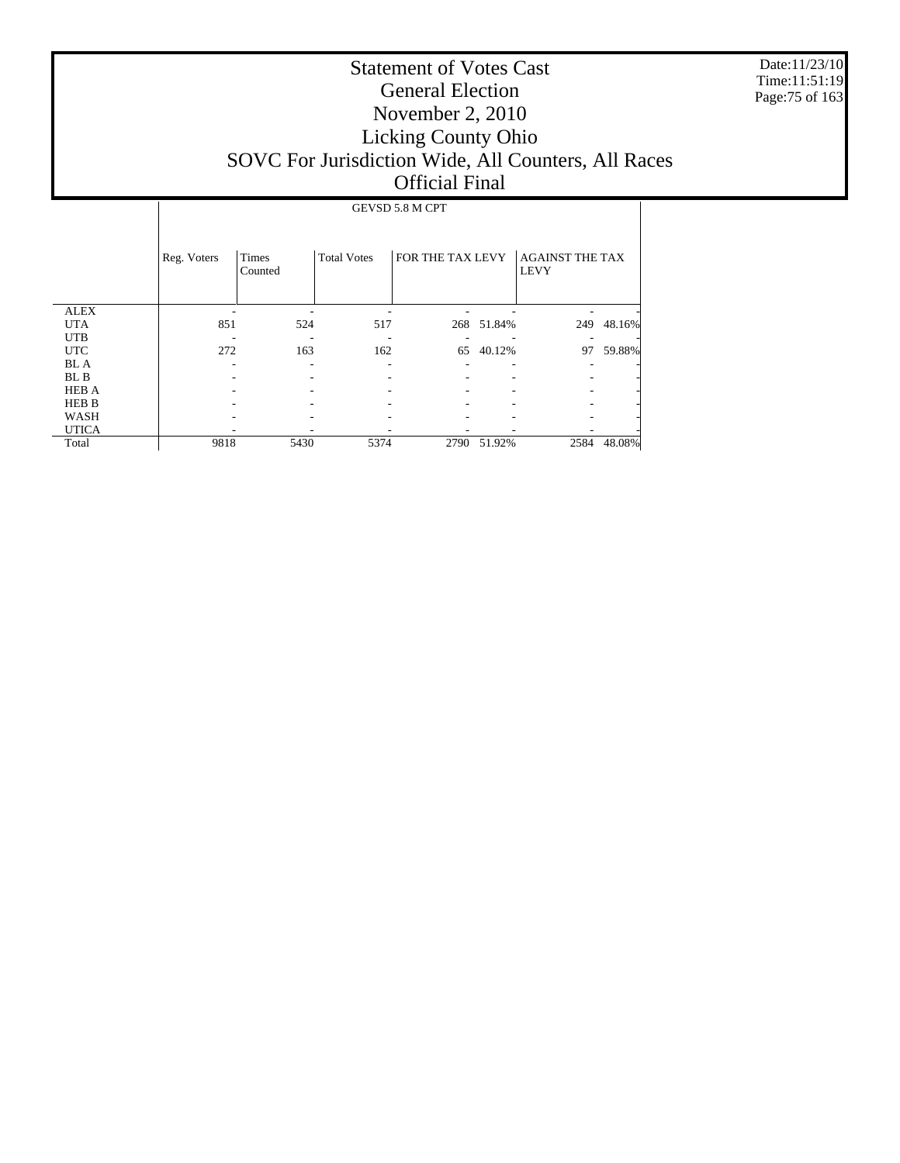Date:11/23/10 Time:11:51:19 Page:75 of 163

# Statement of Votes Cast General Election November 2, 2010 Licking County Ohio SOVC For Jurisdiction Wide, All Counters, All Races Official Final

#### GEVSD 5.8 M CPT

|              | Reg. Voters | <b>Times</b><br>Counted | <b>Total Votes</b> | FOR THE TAX LEVY |            | <b>AGAINST THE TAX</b><br><b>LEVY</b> |        |
|--------------|-------------|-------------------------|--------------------|------------------|------------|---------------------------------------|--------|
| <b>ALEX</b>  |             |                         |                    |                  |            |                                       |        |
| <b>UTA</b>   | 851         | 524                     | 517                |                  | 268 51.84% | 249                                   | 48.16% |
| <b>UTB</b>   |             |                         |                    |                  |            |                                       |        |
| <b>UTC</b>   | 272         | 163                     | 162                | 65               | 40.12%     | 97                                    | 59.88% |
| <b>BL</b> A  |             |                         |                    |                  |            |                                       |        |
| BL B         |             |                         |                    |                  |            |                                       |        |
| <b>HEB A</b> |             |                         |                    |                  |            |                                       |        |
| <b>HEB B</b> |             |                         |                    |                  |            |                                       |        |
| WASH         |             |                         |                    |                  |            |                                       |        |
| <b>UTICA</b> |             |                         |                    |                  |            |                                       |        |
| Total        | 9818        | 5430                    | 5374               | 2790             | 51.92%     | 2584                                  | 48.08% |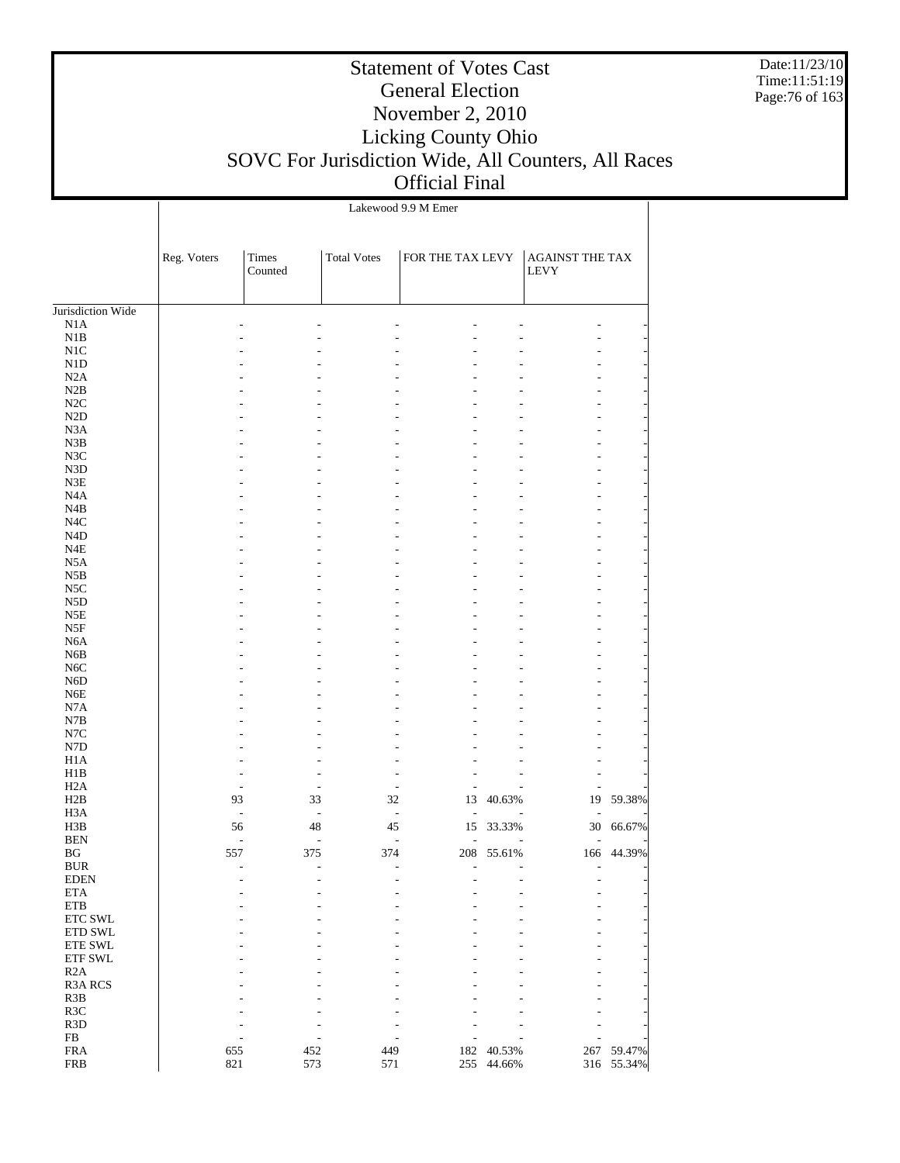Date:11/23/10 Time:11:51:19 Page:76 of 163

|                   |             |                  |                    | Lakewood 9.9 M Emer              |            |                                |            |
|-------------------|-------------|------------------|--------------------|----------------------------------|------------|--------------------------------|------------|
|                   | Reg. Voters | Times<br>Counted | <b>Total Votes</b> | FOR THE TAX LEVY                 |            | AGAINST THE TAX<br><b>LEVY</b> |            |
| Jurisdiction Wide |             |                  |                    |                                  |            |                                |            |
| N1A               |             |                  |                    |                                  |            |                                |            |
| N1B               |             |                  |                    |                                  |            |                                |            |
| N1C               |             |                  |                    |                                  |            |                                |            |
| N1D               |             |                  |                    |                                  |            |                                |            |
| N2A               |             |                  |                    |                                  |            |                                |            |
| N2B               |             |                  |                    |                                  |            |                                |            |
| N2C               |             |                  |                    |                                  |            |                                |            |
| N2D               |             |                  |                    |                                  |            |                                |            |
| N <sub>3</sub> A  |             |                  |                    |                                  |            |                                |            |
| N3B               |             |                  |                    |                                  |            |                                |            |
| N3C               |             |                  |                    |                                  |            |                                |            |
| N3D               |             |                  |                    |                                  |            |                                |            |
| N3E               |             |                  |                    |                                  |            |                                |            |
| N <sub>4</sub> A  |             |                  |                    |                                  |            |                                |            |
| N4B               |             |                  |                    |                                  |            |                                |            |
| N4C               |             |                  |                    |                                  |            |                                |            |
| N <sub>4</sub> D  |             |                  |                    |                                  |            |                                |            |
| N4E               |             |                  |                    |                                  |            |                                |            |
| N <sub>5</sub> A  |             |                  |                    |                                  |            |                                |            |
| N5B               |             |                  |                    |                                  |            |                                |            |
| N5C               |             |                  |                    |                                  |            |                                |            |
| N <sub>5</sub> D  |             |                  |                    |                                  |            |                                |            |
| N5E               |             |                  |                    |                                  |            |                                |            |
| N5F               |             |                  |                    |                                  |            |                                |            |
| N <sub>6</sub> A  |             |                  |                    |                                  |            |                                |            |
| N <sub>6</sub> B  |             |                  |                    |                                  |            |                                |            |
| N <sub>6</sub> C  |             |                  |                    |                                  |            |                                |            |
| N <sub>6</sub> D  |             |                  |                    |                                  |            |                                |            |
| N <sub>6</sub> E  |             |                  |                    |                                  |            |                                |            |
| N7A               |             |                  |                    |                                  |            |                                |            |
| N7B               |             |                  |                    |                                  |            |                                |            |
| $_{\mathrm{N7C}}$ |             |                  |                    |                                  |            |                                |            |
| N7D               |             |                  |                    |                                  |            |                                |            |
| H1A               |             |                  |                    |                                  |            |                                |            |
| H1B               |             |                  |                    |                                  |            |                                |            |
| H <sub>2</sub> A  |             |                  | ٠                  | $\overline{\phantom{a}}$<br>Ĭ.   |            |                                |            |
| H2B               |             | 93               | 33                 | 32<br>13                         | 40.63%     | 19                             | 59.38%     |
| H <sub>3</sub> A  |             | ÷,               | $\frac{1}{2}$      | $\overline{a}$<br>$\overline{a}$ |            |                                |            |
| H3B               |             | 56               | 48                 | 45<br>15                         | 33.33%     | 30                             | 66.67%     |
| <b>BEN</b>        |             | $\overline{a}$   |                    | L,<br>L,                         |            |                                |            |
| BG                |             | 557              | 375                | 374                              | 208 55.61% |                                | 166 44.39% |
| <b>BUR</b>        |             |                  |                    |                                  |            |                                |            |
| <b>EDEN</b>       |             |                  |                    |                                  |            |                                |            |
| <b>ETA</b>        |             |                  |                    |                                  |            |                                |            |
| <b>ETB</b>        |             |                  |                    |                                  |            |                                |            |
| ETC SWL           |             |                  |                    |                                  |            |                                |            |
| ETD SWL           |             |                  |                    |                                  |            |                                |            |
| ETE SWL           |             |                  |                    |                                  |            |                                |            |
| ETF SWL           |             |                  |                    |                                  |            |                                |            |
| R2A               |             |                  |                    |                                  |            |                                |            |
| R3A RCS           |             |                  |                    |                                  |            |                                |            |
| R3B               |             |                  |                    |                                  |            |                                |            |
| R <sub>3</sub> C  |             |                  |                    |                                  |            |                                |            |
| R3D               |             |                  |                    |                                  |            |                                |            |
| ${\rm FB}$        |             |                  |                    |                                  |            |                                |            |
| <b>FRA</b>        |             | 655              | 452                | 449<br>182                       | 40.53%     | 267                            | 59.47%     |
| <b>FRB</b>        |             | 821              | 573                | 571<br>255                       | 44.66%     |                                | 316 55.34% |
|                   |             |                  |                    |                                  |            |                                |            |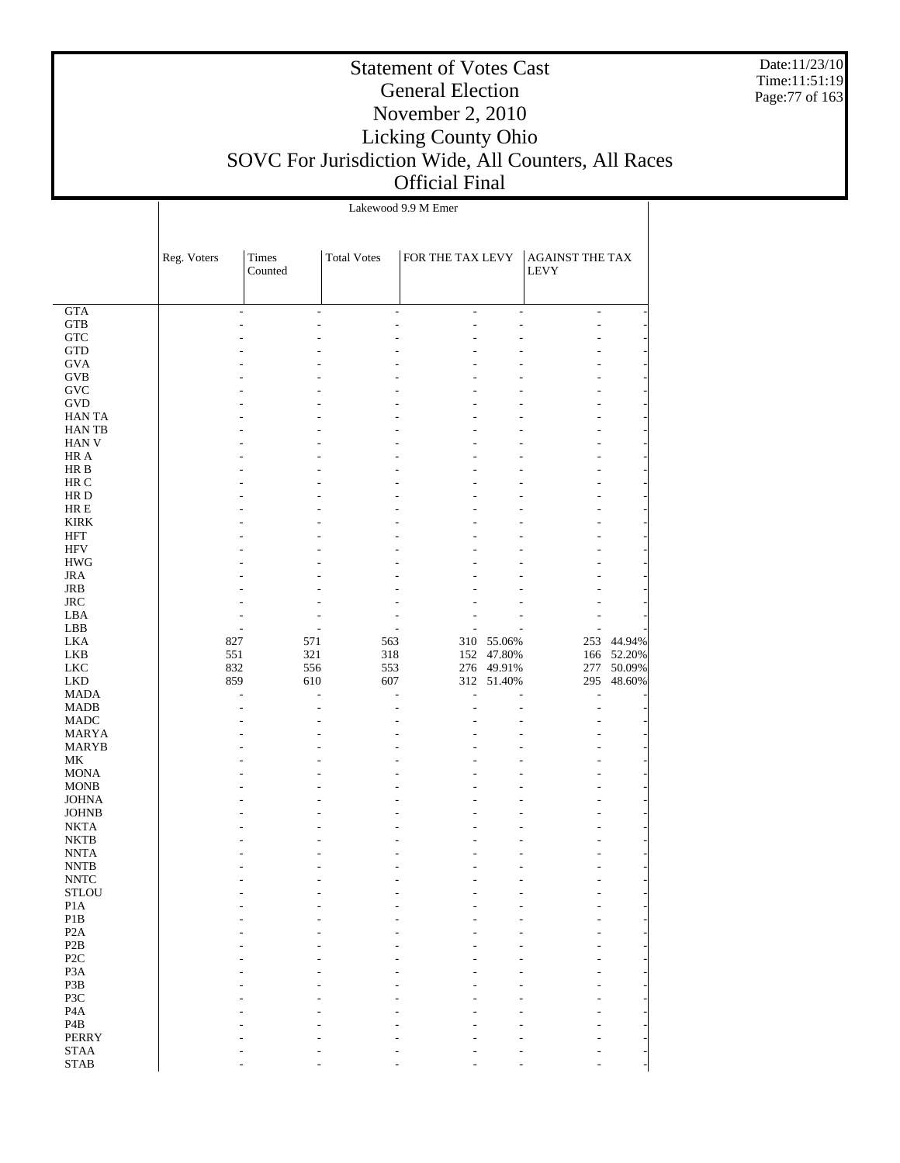Date:11/23/10 Time:11:51:19 Page:77 of 163

|                                  |             |                  |                     | Lakewood 9.9 M Emer |                          |                                |                  |
|----------------------------------|-------------|------------------|---------------------|---------------------|--------------------------|--------------------------------|------------------|
|                                  |             |                  |                     |                     |                          |                                |                  |
|                                  | Reg. Voters | Times<br>Counted | <b>Total Votes</b>  | FOR THE TAX LEVY    |                          | AGAINST THE TAX<br><b>LEVY</b> |                  |
|                                  |             |                  |                     |                     |                          |                                |                  |
| <b>GTA</b>                       |             | ÷.               | ÷<br>$\overline{a}$ | ÷.                  | ÷                        | ÷                              |                  |
| <b>GTB</b><br>${\rm GTC}$        |             |                  |                     | ÷.                  | ä,                       | L,                             |                  |
| <b>GTD</b>                       |             |                  |                     |                     |                          |                                |                  |
| <b>GVA</b>                       |             |                  |                     |                     |                          |                                |                  |
| <b>GVB</b>                       |             |                  |                     |                     |                          |                                |                  |
| GVC                              |             |                  |                     |                     |                          |                                |                  |
| <b>GVD</b><br>HAN TA             |             |                  |                     |                     |                          |                                |                  |
| <b>HANTB</b>                     |             |                  |                     |                     |                          | ۰                              |                  |
| <b>HAN V</b>                     |             |                  |                     |                     |                          | ۰                              |                  |
| HR A                             |             |                  |                     |                     |                          |                                |                  |
| HR B                             |             |                  |                     |                     |                          |                                |                  |
| HR C<br>HR D                     |             |                  |                     |                     |                          | ۰                              |                  |
| $HRE$                            |             |                  |                     |                     |                          |                                |                  |
| <b>KIRK</b>                      |             |                  |                     |                     |                          |                                |                  |
| <b>HFT</b>                       |             |                  |                     |                     |                          |                                |                  |
| <b>HFV</b>                       |             |                  |                     |                     |                          |                                |                  |
| <b>HWG</b>                       |             |                  |                     |                     |                          |                                |                  |
| <b>JRA</b><br><b>JRB</b>         |             |                  |                     |                     |                          |                                |                  |
| <b>JRC</b>                       |             |                  |                     |                     |                          |                                |                  |
| LBA                              |             |                  |                     |                     |                          |                                |                  |
| LBB                              |             |                  |                     | ä,                  |                          |                                |                  |
| <b>LKA</b>                       | 827         | 571              | 563                 | 310                 | 55.06%                   | 253                            | 44.94%           |
| <b>LKB</b>                       | 551         | 321              | 318                 |                     | 152 47.80%               | 166                            | 52.20%           |
| <b>LKC</b><br><b>LKD</b>         | 832<br>859  | 556<br>610       | 553<br>607          |                     | 276 49.91%<br>312 51.40% | 277<br>295                     | 50.09%<br>48.60% |
| <b>MADA</b>                      |             | ÷.               | ÷.<br>J.            | J.                  |                          | L,                             |                  |
| <b>MADB</b>                      |             |                  |                     |                     |                          | L,                             |                  |
| MADC                             |             |                  |                     |                     |                          |                                |                  |
| <b>MARYA</b>                     |             |                  |                     |                     |                          |                                |                  |
| MARYB<br>MK                      |             |                  |                     |                     |                          |                                |                  |
| <b>MONA</b>                      |             |                  |                     |                     |                          |                                |                  |
| <b>MONB</b>                      |             |                  |                     |                     |                          |                                |                  |
| <b>JOHNA</b>                     |             |                  |                     |                     |                          |                                |                  |
| <b>JOHNB</b>                     |             |                  |                     |                     |                          |                                |                  |
| <b>NKTA</b>                      |             |                  |                     |                     |                          |                                |                  |
| <b>NKTB</b><br><b>NNTA</b>       |             |                  |                     |                     | ÷.                       | ÷.                             |                  |
| <b>NNTB</b>                      |             |                  |                     |                     |                          |                                |                  |
| <b>NNTC</b>                      |             |                  |                     |                     |                          |                                |                  |
| STLOU                            |             |                  |                     |                     |                          |                                |                  |
| P1A                              |             |                  |                     |                     |                          |                                |                  |
| P1B                              |             |                  |                     |                     |                          |                                |                  |
| P2A<br>P <sub>2</sub> B          |             |                  |                     |                     |                          |                                |                  |
| P <sub>2C</sub>                  |             |                  |                     |                     |                          |                                |                  |
| P <sub>3</sub> A                 |             |                  |                     |                     |                          |                                |                  |
| P3B                              |             |                  |                     |                     |                          |                                |                  |
| P3C                              |             |                  |                     |                     |                          |                                |                  |
| P <sub>4</sub> A                 |             |                  |                     |                     |                          |                                |                  |
| P <sub>4</sub> B<br><b>PERRY</b> |             |                  |                     |                     |                          |                                |                  |
| <b>STAA</b>                      |             |                  |                     |                     |                          |                                |                  |
| <b>STAB</b>                      |             |                  |                     |                     |                          |                                |                  |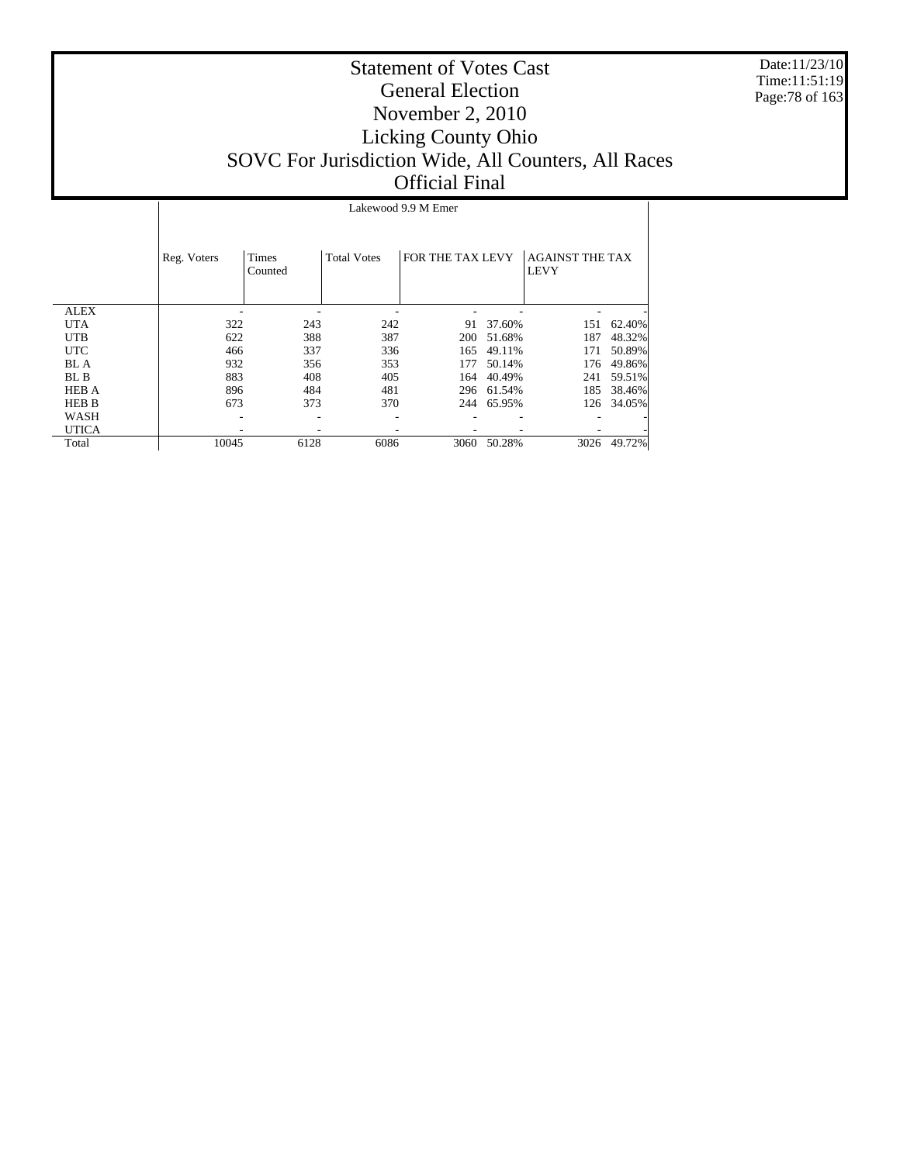Date:11/23/10 Time:11:51:19 Page:78 of 163

|              |             | Lakewood 9.9 M Emer |                    |                  |        |                                       |        |  |  |  |
|--------------|-------------|---------------------|--------------------|------------------|--------|---------------------------------------|--------|--|--|--|
|              | Reg. Voters | Times<br>Counted    | <b>Total Votes</b> | FOR THE TAX LEVY |        | <b>AGAINST THE TAX</b><br><b>LEVY</b> |        |  |  |  |
| <b>ALEX</b>  |             |                     |                    |                  |        |                                       |        |  |  |  |
| <b>UTA</b>   | 322         | 243                 | 242                | 91               | 37.60% | 151                                   | 62.40% |  |  |  |
| <b>UTB</b>   | 622         | 388                 | 387                | 200              | 51.68% | 187                                   | 48.32% |  |  |  |
| <b>UTC</b>   | 466         | 337                 | 336                | 165              | 49.11% | 171                                   | 50.89% |  |  |  |
| BL A         | 932         | 356                 | 353                | 177              | 50.14% | 176                                   | 49.86% |  |  |  |
| BL B         | 883         | 408                 | 405                | 164              | 40.49% | 241                                   | 59.51% |  |  |  |
| <b>HEB A</b> | 896         | 484                 | 481                | 296              | 61.54% | 185                                   | 38.46% |  |  |  |
| <b>HEB B</b> | 673         | 373                 | 370                | 244              | 65.95% | 126                                   | 34.05% |  |  |  |
| WASH         |             |                     |                    |                  |        |                                       |        |  |  |  |
| <b>UTICA</b> |             |                     |                    |                  |        |                                       |        |  |  |  |
| Total        | 10045       | 6128                | 6086               | 3060             | 50.28% | 3026                                  | 49.72% |  |  |  |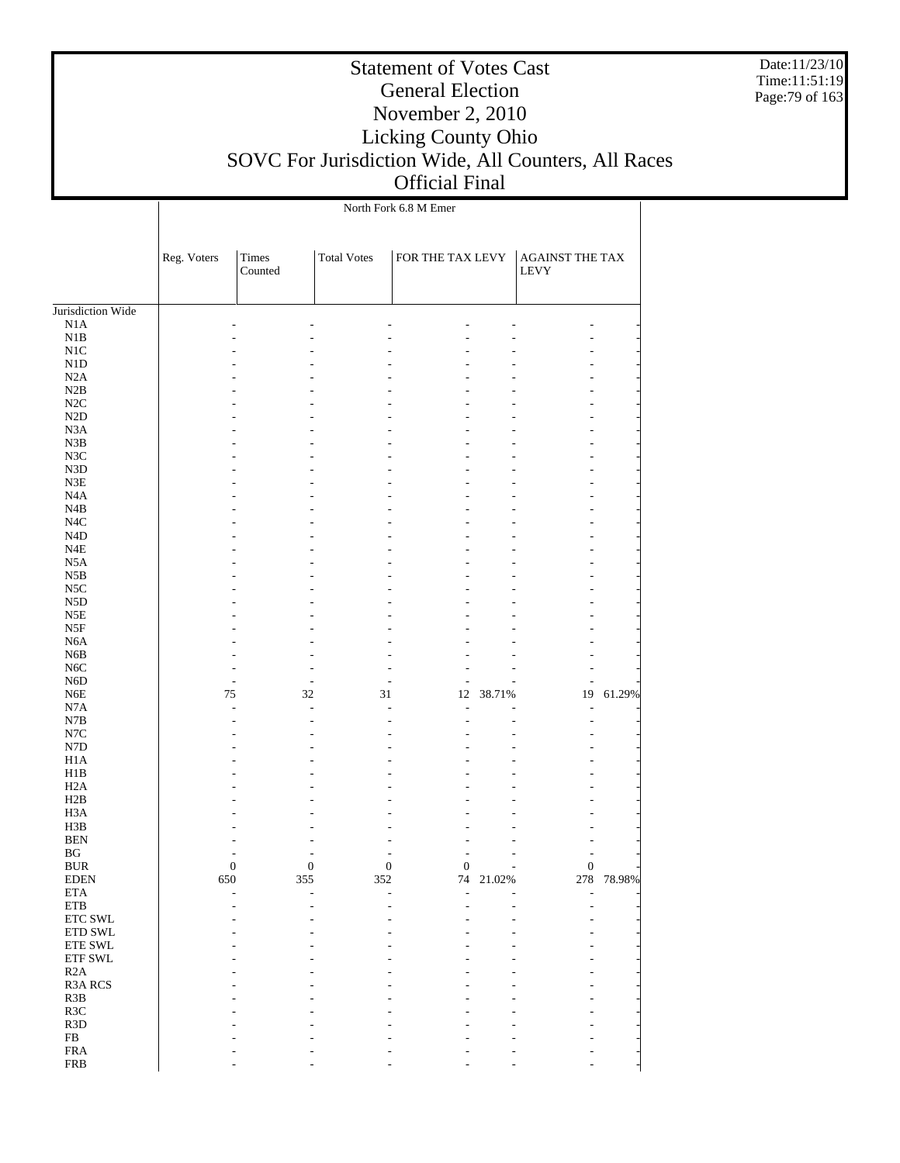Date:11/23/10 Time:11:51:19 Page:79 of 163

|                                      |             |                  |                    | North Fork 6.8 M Emer                |                          |                                        |            |
|--------------------------------------|-------------|------------------|--------------------|--------------------------------------|--------------------------|----------------------------------------|------------|
|                                      | Reg. Voters | Times<br>Counted | <b>Total Votes</b> | FOR THE TAX LEVY                     |                          | <b>AGAINST THE TAX</b><br>${\rm LEVY}$ |            |
| Jurisdiction Wide                    |             |                  |                    |                                      |                          |                                        |            |
| N1A                                  |             |                  |                    |                                      |                          |                                        |            |
| N1B                                  |             |                  |                    |                                      |                          | L.                                     |            |
| N1C                                  |             |                  |                    |                                      |                          |                                        |            |
| ${\rm N1D}$                          |             |                  |                    |                                      |                          |                                        |            |
| N2A                                  |             |                  |                    |                                      |                          |                                        |            |
| N2B                                  |             |                  |                    |                                      |                          |                                        |            |
| N2C                                  |             |                  |                    |                                      |                          |                                        |            |
| $\rm N2D$                            |             |                  |                    |                                      |                          |                                        |            |
| N <sub>3</sub> A                     |             |                  |                    |                                      |                          |                                        |            |
| N3B                                  |             |                  |                    |                                      |                          | L.                                     |            |
| N3C                                  |             |                  |                    |                                      |                          |                                        |            |
| N3D                                  |             |                  |                    |                                      |                          |                                        |            |
| ${\rm N3E}$                          |             |                  |                    |                                      |                          |                                        |            |
| N4A                                  |             |                  |                    |                                      |                          | L.                                     |            |
| N4B                                  |             |                  |                    |                                      |                          |                                        |            |
| N <sub>4</sub> C<br>N <sub>4</sub> D |             |                  |                    |                                      |                          |                                        |            |
| N4E                                  |             |                  |                    |                                      |                          | L.                                     |            |
| N <sub>5</sub> A                     |             |                  |                    |                                      |                          |                                        |            |
| N5B                                  |             |                  |                    |                                      |                          |                                        |            |
| N <sub>5</sub> C                     |             |                  |                    |                                      |                          |                                        |            |
| N5D                                  |             |                  |                    |                                      |                          |                                        |            |
| N5E                                  |             |                  |                    |                                      |                          |                                        |            |
| N5F                                  |             |                  |                    |                                      |                          |                                        |            |
| N <sub>6</sub> A                     |             |                  |                    |                                      |                          |                                        |            |
| N <sub>6</sub> B                     |             |                  |                    |                                      |                          |                                        |            |
| N <sub>6</sub> C                     |             |                  |                    |                                      |                          |                                        |            |
| N <sub>6</sub> D                     |             |                  |                    | $\overline{a}$                       | J.                       |                                        |            |
| N <sub>6</sub> E                     | 75          |                  | 32<br>31           | 12                                   | 38.71%                   | 19                                     | 61.29%     |
| N7A                                  |             |                  | $\overline{a}$     | ÷,<br>÷                              | L,                       | $\overline{\phantom{a}}$               |            |
| N7B                                  |             |                  |                    | L,                                   |                          | L,                                     |            |
| $_{\mathrm{N7C}}$                    |             |                  |                    |                                      |                          |                                        |            |
| ${\rm N7D}$                          |             |                  |                    |                                      |                          |                                        |            |
| H1A                                  |             |                  |                    |                                      |                          |                                        |            |
| H1B                                  |             |                  |                    |                                      |                          |                                        |            |
| H <sub>2</sub> A                     |             |                  |                    |                                      |                          |                                        |            |
| H2B                                  |             |                  |                    |                                      |                          |                                        |            |
| H <sub>3</sub> A                     |             |                  |                    |                                      |                          |                                        |            |
| H3B                                  |             |                  |                    |                                      |                          |                                        |            |
| <b>BEN</b>                           |             |                  |                    |                                      |                          |                                        |            |
| BG                                   |             |                  |                    |                                      | ÷,                       |                                        |            |
| <b>BUR</b>                           |             | 0                | $\boldsymbol{0}$   | $\boldsymbol{0}$<br>$\boldsymbol{0}$ | $\overline{\phantom{a}}$ | $\boldsymbol{0}$                       |            |
| <b>EDEN</b>                          | 650         | 355              | 352                |                                      | 74 21.02%                |                                        | 278 78.98% |
| $\rm ETA$                            |             |                  |                    | L,                                   |                          |                                        |            |
| $\rm ETB$                            |             |                  |                    |                                      |                          |                                        |            |
| ETC SWL                              |             |                  |                    |                                      |                          |                                        |            |
| $\rm ETD$ SWL                        |             |                  |                    |                                      |                          |                                        |            |
| ${\rm ETE}$ SWL<br>ETF SWL           |             |                  |                    |                                      |                          |                                        |            |
|                                      |             |                  |                    |                                      |                          |                                        |            |
| R2A                                  |             |                  |                    |                                      |                          |                                        |            |
| R3A RCS<br>R3B                       |             |                  |                    |                                      |                          |                                        |            |
| R3C                                  |             |                  |                    |                                      |                          |                                        |            |
| R3D                                  |             |                  |                    |                                      |                          |                                        |            |
| ${\rm FB}$                           |             |                  |                    |                                      |                          |                                        |            |
| ${\rm FRA}$                          |             |                  |                    |                                      |                          |                                        |            |
| <b>FRB</b>                           |             |                  |                    |                                      |                          |                                        |            |
|                                      |             |                  |                    |                                      |                          |                                        |            |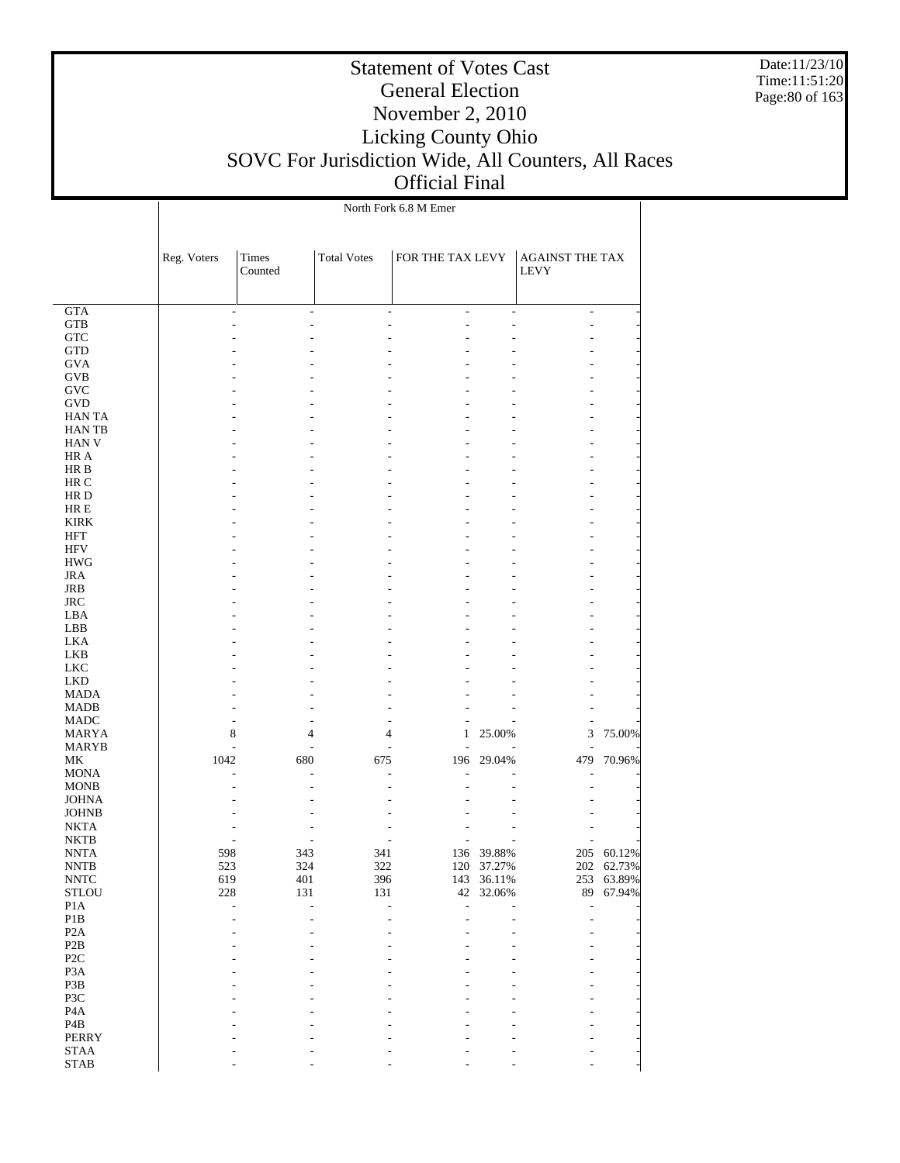Date:11/23/10 Time:11:51:20 Page:80 of 163

|                                           |             |                  |                    | North Fork 6.8 M Emer |                |                                |        |
|-------------------------------------------|-------------|------------------|--------------------|-----------------------|----------------|--------------------------------|--------|
|                                           | Reg. Voters | Times<br>Counted | <b>Total Votes</b> | FOR THE TAX LEVY      |                | AGAINST THE TAX<br><b>LEVY</b> |        |
| <b>GTA</b>                                |             | ÷,               | ÷                  | ٠<br>$\overline{a}$   | $\overline{a}$ | $\overline{\phantom{a}}$       |        |
| <b>GTB</b>                                |             |                  |                    | ۷                     |                | ۰                              |        |
| <b>GTC</b>                                |             |                  |                    |                       |                |                                |        |
| <b>GTD</b>                                |             |                  |                    |                       |                |                                |        |
| <b>GVA</b>                                |             |                  |                    |                       |                |                                |        |
| GVB                                       |             |                  |                    |                       |                |                                |        |
| <b>GVC</b>                                |             |                  |                    |                       |                |                                |        |
| <b>GVD</b><br><b>HAN TA</b>               |             |                  |                    |                       |                |                                |        |
| <b>HANTB</b>                              |             |                  |                    |                       |                |                                |        |
| HAN V                                     |             |                  |                    |                       |                |                                |        |
| HR A                                      |             |                  |                    |                       |                |                                |        |
| HR B                                      |             |                  |                    |                       |                |                                |        |
| HR C                                      |             |                  |                    |                       |                |                                |        |
| HR D                                      |             |                  |                    |                       |                |                                |        |
| HR E                                      |             |                  |                    |                       |                |                                |        |
| <b>KIRK</b>                               |             |                  |                    |                       |                |                                |        |
| HFT<br><b>HFV</b>                         |             |                  |                    |                       |                |                                |        |
| <b>HWG</b>                                |             |                  |                    |                       |                |                                |        |
| <b>JRA</b>                                |             |                  |                    |                       |                |                                |        |
| JRB                                       |             |                  |                    |                       |                |                                |        |
| <b>JRC</b>                                |             |                  |                    |                       |                |                                |        |
| LBA                                       |             |                  |                    |                       |                |                                |        |
| LBB                                       |             |                  |                    |                       |                |                                |        |
| LKA                                       |             |                  |                    |                       |                |                                |        |
| LKB                                       |             |                  |                    |                       |                |                                |        |
| LKC<br>LKD                                |             |                  |                    |                       |                |                                |        |
| <b>MADA</b>                               |             |                  |                    |                       |                |                                |        |
| <b>MADB</b>                               |             |                  |                    |                       |                |                                |        |
| MADC                                      |             |                  |                    |                       |                |                                |        |
| <b>MARYA</b>                              | 8           | 4                |                    | 4<br>1                | 25.00%         | 3                              | 75.00% |
| MARYB                                     |             | $\overline{a}$   |                    | $\overline{a}$<br>L.  |                |                                |        |
| МK                                        | 1042        | 680              | 675                | 196                   | 29.04%         | 479                            | 70.96% |
| <b>MONA</b>                               |             |                  |                    | ÷                     |                |                                |        |
| <b>MONB</b>                               |             |                  |                    |                       |                |                                |        |
| <b>JOHNA</b><br><b>JOHNB</b>              |             |                  |                    |                       |                |                                |        |
| <b>NKTA</b>                               |             |                  |                    |                       |                |                                |        |
| <b>NKTB</b>                               |             |                  |                    |                       |                |                                |        |
| <b>NNTA</b>                               | 598         | 343              | 341                |                       | 136 39.88%     | 205                            | 60.12% |
| <b>NNTB</b>                               | 523         | 324              | 322                |                       | 120 37.27%     | 202                            | 62.73% |
| $\ensuremath{\text{NNTC}}$                | 619         | 401              | 396                |                       | 143 36.11%     | 253                            | 63.89% |
| STLOU                                     | 228         | 131              | 131                | $42\,$                | 32.06%         | 89                             | 67.94% |
| P <sub>1</sub> A                          |             | L,               | L,                 | L,<br>$\overline{a}$  |                | L,                             |        |
| $\mathbf{P}1\mathbf{B}$                   |             |                  |                    |                       |                |                                |        |
| $\mathbf{P2}\mathbf{A}$<br>$\mathbf{P2B}$ |             |                  |                    |                       |                |                                |        |
| $\ensuremath{\mathsf{P2C}}$               |             |                  |                    |                       |                |                                |        |
| P3A                                       |             |                  |                    |                       |                |                                |        |
| P3B                                       |             |                  |                    |                       |                |                                |        |
| P3C                                       |             |                  |                    |                       |                |                                |        |
| $\rm PA$                                  |             |                  |                    |                       |                |                                |        |
| $\mathbf{P4B}$                            |             |                  |                    |                       |                |                                |        |
| PERRY                                     |             |                  |                    |                       |                |                                |        |
| <b>STAA</b>                               |             |                  |                    |                       |                |                                |        |
| <b>STAB</b>                               |             |                  |                    |                       |                |                                |        |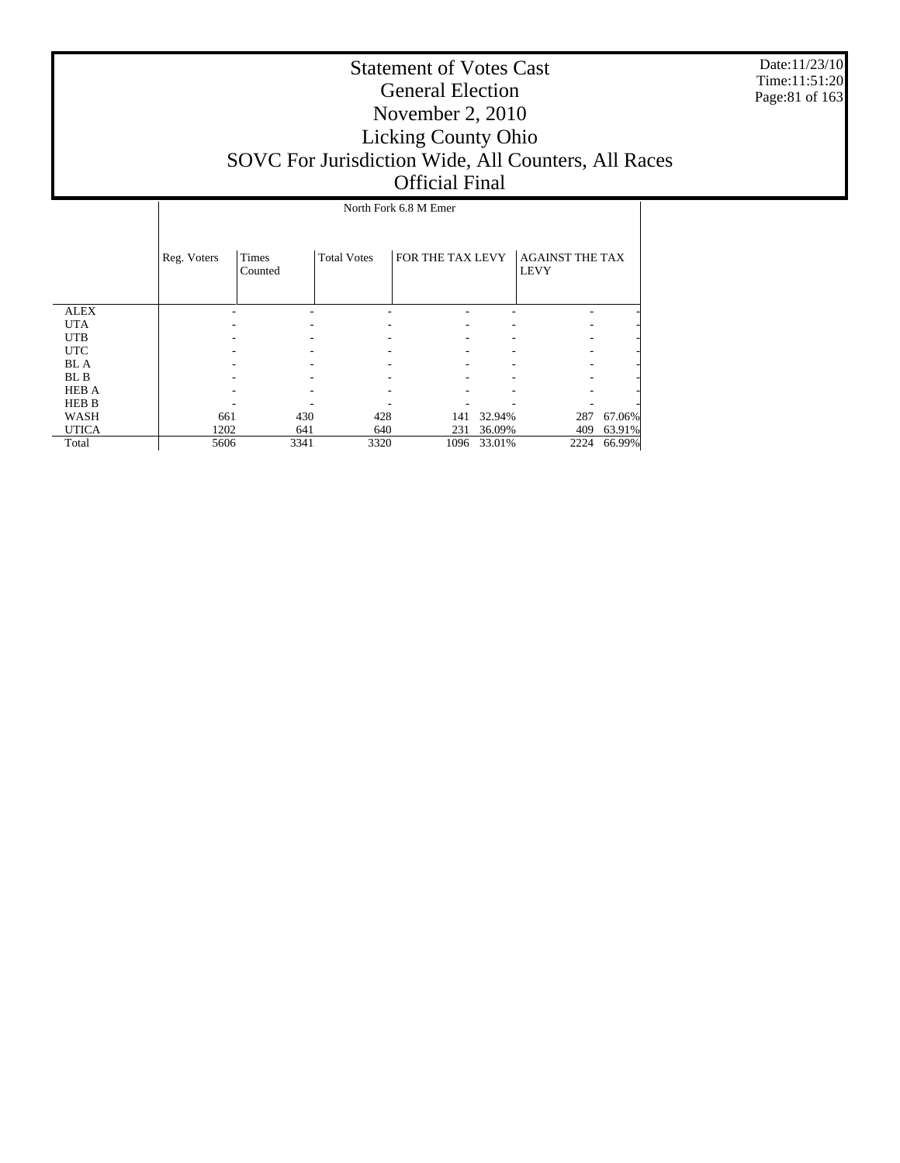Date:11/23/10 Time:11:51:20 Page:81 of 163

|              |             | North Fork 6.8 M Emer |                    |                  |        |                                       |        |  |  |  |
|--------------|-------------|-----------------------|--------------------|------------------|--------|---------------------------------------|--------|--|--|--|
|              | Reg. Voters | Times<br>Counted      | <b>Total Votes</b> | FOR THE TAX LEVY |        | <b>AGAINST THE TAX</b><br><b>LEVY</b> |        |  |  |  |
| <b>ALEX</b>  |             |                       |                    |                  |        |                                       |        |  |  |  |
| <b>UTA</b>   |             |                       |                    |                  |        |                                       |        |  |  |  |
| <b>UTB</b>   |             |                       |                    |                  |        |                                       |        |  |  |  |
| <b>UTC</b>   |             |                       |                    |                  |        |                                       |        |  |  |  |
| <b>BLA</b>   |             |                       |                    |                  |        |                                       |        |  |  |  |
| BL B         |             |                       |                    |                  |        |                                       |        |  |  |  |
| <b>HEB A</b> |             |                       |                    |                  |        |                                       |        |  |  |  |
| <b>HEB B</b> |             |                       |                    |                  |        |                                       |        |  |  |  |
| WASH         | 661         | 430                   | 428                | 141              | 32.94% | 287                                   | 67.06% |  |  |  |
| <b>UTICA</b> | 1202        | 641                   | 640                | 231              | 36.09% | 409                                   | 63.91% |  |  |  |
| Total        | 5606        | 3341                  | 3320               | 1096             | 33.01% | 2224                                  | 66.99% |  |  |  |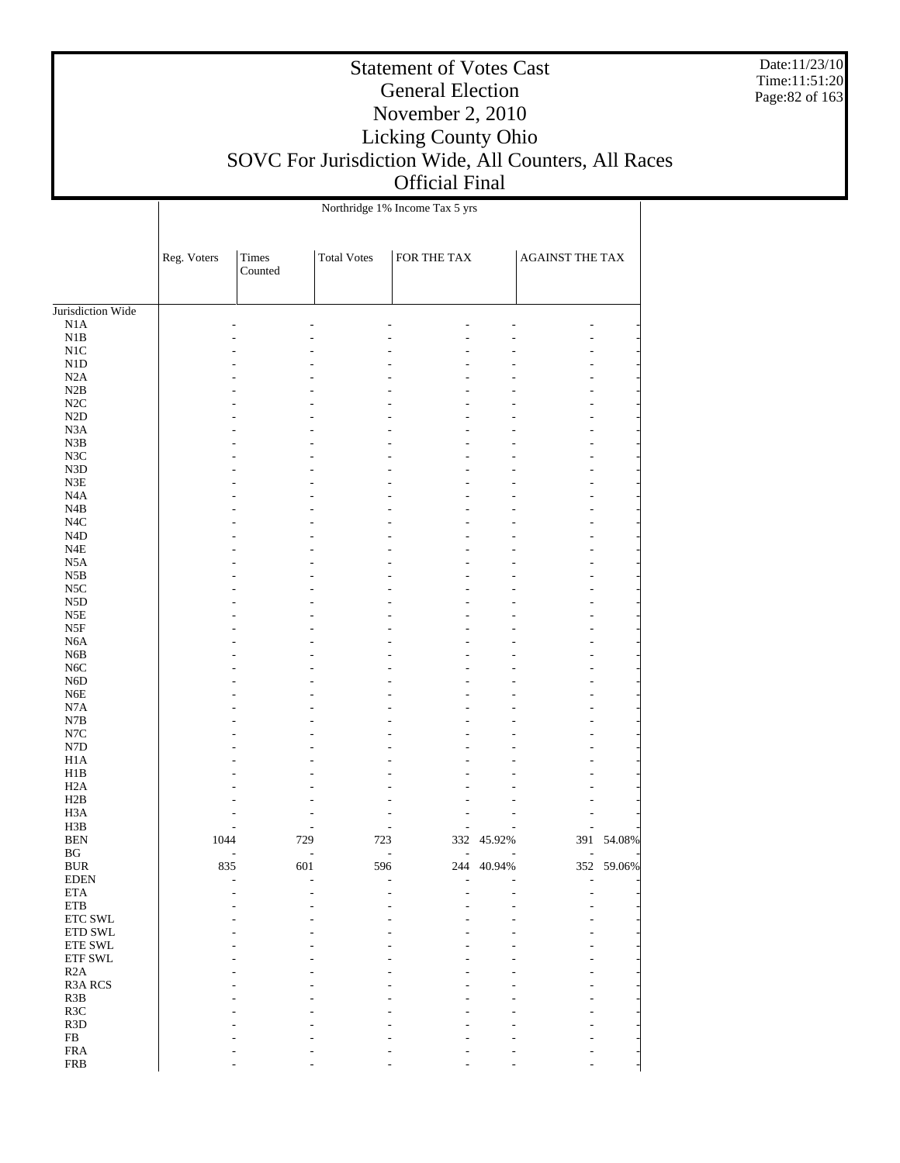Date:11/23/10 Time:11:51:20 Page:82 of 163

|                               |             |                       |                    | Northridge 1% Income Tax 5 yrs |                 |                          |        |
|-------------------------------|-------------|-----------------------|--------------------|--------------------------------|-----------------|--------------------------|--------|
|                               | Reg. Voters | Times<br>Counted      | <b>Total Votes</b> | ${\rm FOR}$ THE TAX            |                 | AGAINST THE TAX          |        |
| Jurisdiction Wide             |             |                       |                    |                                |                 |                          |        |
| N1A                           |             |                       |                    |                                |                 |                          |        |
| N1B                           |             |                       |                    |                                |                 |                          |        |
| N1C                           |             |                       |                    |                                |                 |                          |        |
| N1D                           |             |                       |                    |                                |                 |                          |        |
| N2A                           |             |                       |                    |                                |                 |                          |        |
| N2B                           |             |                       |                    |                                |                 |                          |        |
| N2C                           |             |                       |                    |                                |                 |                          |        |
| $\rm N2D$                     |             |                       |                    |                                |                 |                          |        |
| N <sub>3</sub> A              |             |                       |                    |                                |                 |                          |        |
| N3B                           |             |                       |                    |                                |                 |                          |        |
| N3C                           |             |                       |                    |                                |                 |                          |        |
| ${\rm N3D}$                   |             |                       |                    |                                |                 |                          |        |
| N3E                           |             |                       |                    |                                |                 |                          |        |
| N <sub>4</sub> A              |             |                       |                    |                                |                 |                          |        |
| N4B                           |             |                       |                    |                                |                 |                          |        |
| $_{\mathrm{N4C}}$             |             |                       |                    |                                |                 |                          |        |
| $\rm N4D$                     |             |                       |                    |                                |                 |                          |        |
| $_{\rm N4E}$                  |             |                       |                    |                                |                 |                          |        |
| N5A                           |             |                       |                    |                                |                 |                          |        |
| N5B                           |             |                       |                    |                                |                 |                          |        |
| N5C                           |             |                       |                    |                                |                 |                          |        |
| N <sub>5</sub> D              |             |                       |                    |                                |                 |                          |        |
| N5E                           |             |                       |                    |                                |                 |                          |        |
| $_{\rm N5F}$                  |             |                       |                    |                                |                 |                          |        |
| N <sub>6</sub> A              |             |                       |                    |                                |                 |                          |        |
| N <sub>6</sub> B              |             |                       |                    | ä,                             |                 |                          |        |
| N <sub>6</sub> C              |             |                       |                    |                                |                 |                          |        |
| N <sub>6</sub> D              |             |                       |                    |                                |                 |                          |        |
| N <sub>6</sub> E              |             |                       |                    |                                |                 |                          |        |
| N7A                           |             |                       |                    | ä,                             |                 |                          |        |
| N7B                           |             |                       |                    |                                |                 |                          |        |
| $_{\mathrm{N7C}}$             |             |                       |                    |                                |                 |                          |        |
| N7D                           |             |                       |                    |                                |                 |                          |        |
| H1A                           |             |                       |                    |                                |                 |                          |        |
| H1B                           |             |                       |                    |                                |                 |                          |        |
| H2A                           |             |                       |                    |                                |                 |                          |        |
| H2B                           |             |                       |                    |                                |                 |                          |        |
| H <sub>3</sub> A              |             |                       |                    | L,                             |                 |                          |        |
| H3B                           |             |                       |                    | $\overline{a}$<br>÷,           |                 |                          |        |
| <b>BEN</b>                    | 1044        | 729<br>$\overline{a}$ | 723<br>÷,          | $\overline{\phantom{a}}$       | 332 45.92%<br>÷ | 391                      | 54.08% |
| BG                            |             |                       |                    | $\overline{\phantom{a}}$       |                 | $\overline{\phantom{a}}$ |        |
| <b>BUR</b><br><b>EDEN</b>     | 835         | 601                   | 596                | 244<br>÷,                      | 40.94%          | 352<br>÷.                | 59.06% |
| <b>ETA</b>                    |             |                       |                    |                                |                 |                          |        |
| <b>ETB</b>                    |             |                       |                    |                                |                 |                          |        |
| $\ensuremath{\text{ETC}}$ SWL |             |                       |                    |                                |                 |                          |        |
| ETD SWL                       |             |                       |                    |                                |                 |                          |        |
| ETE SWL                       |             |                       |                    |                                |                 |                          |        |
| ETF SWL                       |             |                       |                    |                                |                 |                          |        |
| R2A                           |             |                       |                    |                                |                 |                          |        |
| R3A RCS                       |             |                       |                    |                                |                 |                          |        |
| R3B                           |             |                       |                    |                                |                 |                          |        |
| R3C                           |             |                       |                    |                                |                 |                          |        |
| R <sub>3</sub> D              |             |                       |                    |                                |                 |                          |        |
| FB                            |             |                       |                    |                                |                 |                          |        |
| ${\rm FRA}$                   |             |                       |                    |                                |                 |                          |        |
| <b>FRB</b>                    |             |                       |                    |                                |                 |                          |        |
|                               |             |                       |                    |                                |                 |                          |        |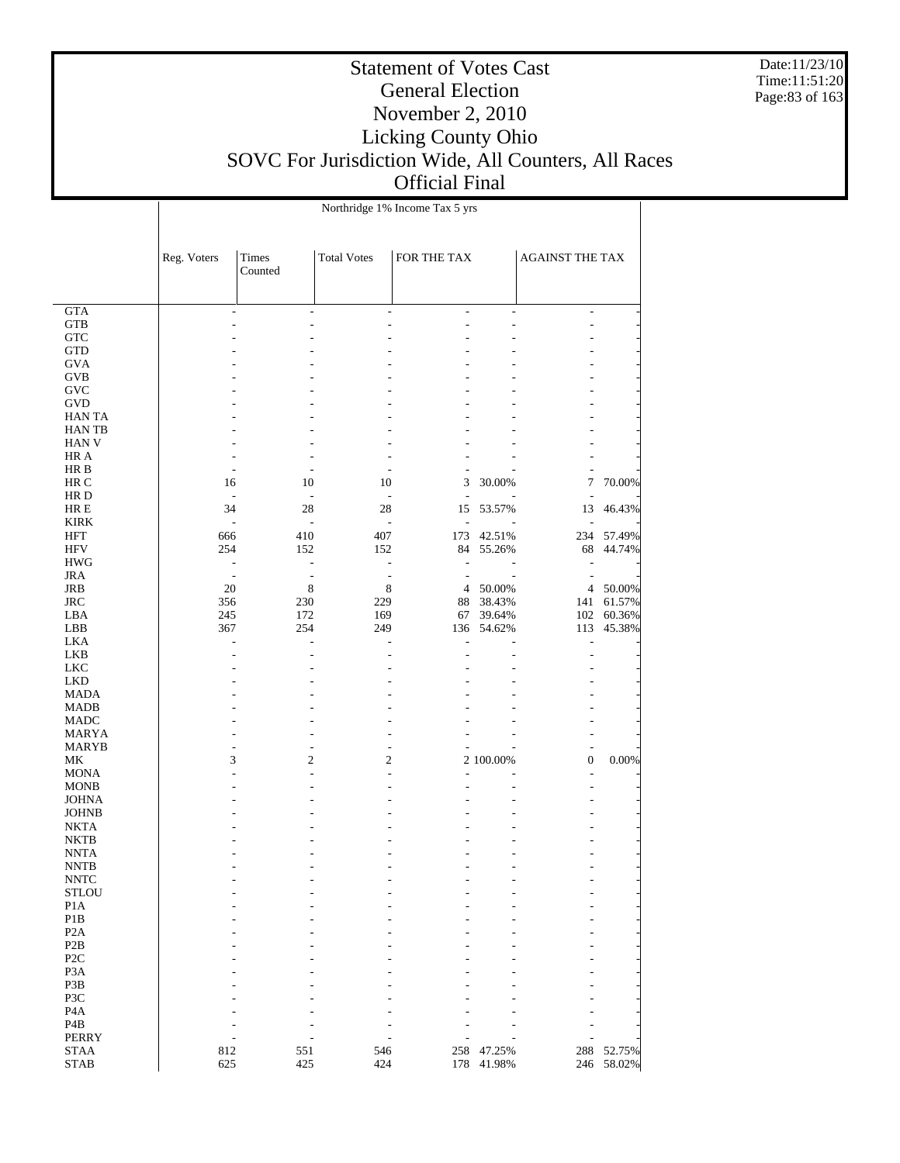Date:11/23/10 Time:11:51:20 Page:83 of 163

|                                    |                          |                                            |                    | Northridge 1% Income Tax 5 yrs |           |                                |        |
|------------------------------------|--------------------------|--------------------------------------------|--------------------|--------------------------------|-----------|--------------------------------|--------|
|                                    | Reg. Voters              | Times<br>Counted                           | <b>Total Votes</b> | FOR THE TAX                    |           | <b>AGAINST THE TAX</b>         |        |
|                                    |                          |                                            |                    |                                |           |                                |        |
| <b>GTA</b><br><b>GTB</b>           |                          | $\overline{\phantom{a}}$                   |                    | L,<br>$\overline{a}$           | ÷,        | $\overline{\phantom{a}}$<br>L, |        |
| <b>GTC</b>                         |                          |                                            |                    |                                |           |                                |        |
| <b>GTD</b>                         |                          |                                            |                    |                                |           |                                |        |
| <b>GVA</b>                         |                          |                                            |                    |                                |           |                                |        |
| GVB                                |                          |                                            |                    |                                |           |                                |        |
| GVC                                |                          |                                            |                    |                                |           |                                |        |
| <b>GVD</b>                         |                          |                                            |                    |                                |           |                                |        |
| <b>HAN TA</b>                      |                          |                                            |                    |                                |           |                                |        |
| <b>HANTB</b><br><b>HAN V</b>       |                          |                                            |                    |                                |           |                                |        |
| HR A                               |                          |                                            |                    |                                |           |                                |        |
| HR B                               | ÷                        | ÷,                                         |                    |                                |           | ٠                              |        |
| HR C                               | 16                       | 10                                         | 10                 | 3                              | 30.00%    | 7                              | 70.00% |
| HR D                               | ÷,                       | $\overline{a}$                             | ÷,                 | L,                             |           |                                |        |
| HR E                               | 34                       | 28                                         | 28                 | 15                             | 53.57%    | 13                             | 46.43% |
| <b>KIRK</b>                        | $\overline{\phantom{a}}$ | ÷,                                         | ÷,                 | L,                             |           |                                |        |
| HFT                                | 666                      | 410                                        | 407                | 173                            | 42.51%    | 234                            | 57.49% |
| HFV                                | 254<br>$\overline{a}$    | 152                                        | 152<br>L,          | 84<br>$\overline{a}$           | 55.26%    | 68<br>L,                       | 44.74% |
| <b>HWG</b><br><b>JRA</b>           | $\sim$                   | $\overline{\phantom{a}}$<br>$\overline{a}$ | $\overline{a}$     | L,                             |           | Ĭ.                             |        |
| JRB                                | 20                       | $\,$ 8 $\,$                                | $\,$ 8 $\,$        | 4                              | 50.00%    | 4                              | 50.00% |
| <b>JRC</b>                         | 356                      | 230                                        | 229                | 88                             | 38.43%    | 141                            | 61.57% |
| LBA                                | 245                      | 172                                        | 169                | 67                             | 39.64%    | 102                            | 60.36% |
| LBB                                | 367                      | 254                                        | 249                | 136                            | 54.62%    | 113                            | 45.38% |
| LKA                                |                          | ä,                                         |                    | L,                             |           | L,                             |        |
| <b>LKB</b>                         |                          |                                            |                    |                                |           | L,                             |        |
| <b>LKC</b>                         |                          |                                            |                    |                                |           |                                |        |
| <b>LKD</b>                         |                          |                                            |                    |                                |           |                                |        |
| <b>MADA</b><br>MADB                |                          |                                            |                    |                                |           |                                |        |
| MADC                               |                          |                                            |                    |                                |           |                                |        |
| MARYA                              |                          |                                            |                    |                                |           | ٠                              |        |
| <b>MARYB</b>                       |                          | ÷,                                         |                    |                                |           | L,                             |        |
| MК                                 | 3                        | $\boldsymbol{2}$                           | $\mathfrak{2}$     |                                | 2 100.00% | 0                              | 0.00%  |
| <b>MONA</b>                        |                          | ÷.                                         |                    | $\overline{a}$                 |           | L,                             |        |
| <b>MONB</b>                        |                          |                                            |                    |                                |           | ٠                              |        |
| <b>JOHNA</b>                       |                          |                                            |                    |                                |           |                                |        |
| <b>JOHNB</b>                       |                          |                                            |                    |                                |           |                                |        |
| <b>NKTA</b><br><b>NKTB</b>         |                          |                                            |                    |                                |           |                                |        |
| <b>NNTA</b>                        |                          |                                            |                    |                                |           |                                |        |
| <b>NNTB</b>                        |                          |                                            |                    |                                |           |                                |        |
| <b>NNTC</b>                        |                          |                                            |                    |                                |           |                                |        |
| <b>STLOU</b>                       |                          |                                            |                    |                                |           |                                |        |
| P <sub>1</sub> A                   |                          |                                            |                    |                                |           |                                |        |
| $\mathbf{P}1\mathbf{B}$            |                          |                                            |                    |                                |           |                                |        |
| P <sub>2</sub> A                   |                          |                                            |                    |                                |           |                                |        |
| $\mathbf{P2B}$<br>P <sub>2</sub> C |                          |                                            |                    |                                |           |                                |        |
| P <sub>3</sub> A                   |                          |                                            |                    |                                |           |                                |        |
| P3B                                |                          |                                            |                    |                                |           |                                |        |
| P3C                                |                          |                                            |                    |                                |           |                                |        |
| P <sub>4</sub> A                   |                          |                                            |                    |                                |           |                                |        |
| P <sub>4</sub> B                   |                          |                                            |                    |                                |           |                                |        |
| <b>PERRY</b>                       |                          |                                            |                    |                                |           |                                |        |
| <b>STAA</b>                        | 812                      | 551                                        | 546                | 258                            | 47.25%    | 288                            | 52.75% |
| <b>STAB</b>                        | 625                      | 425                                        | 424                | 178                            | 41.98%    | 246                            | 58.02% |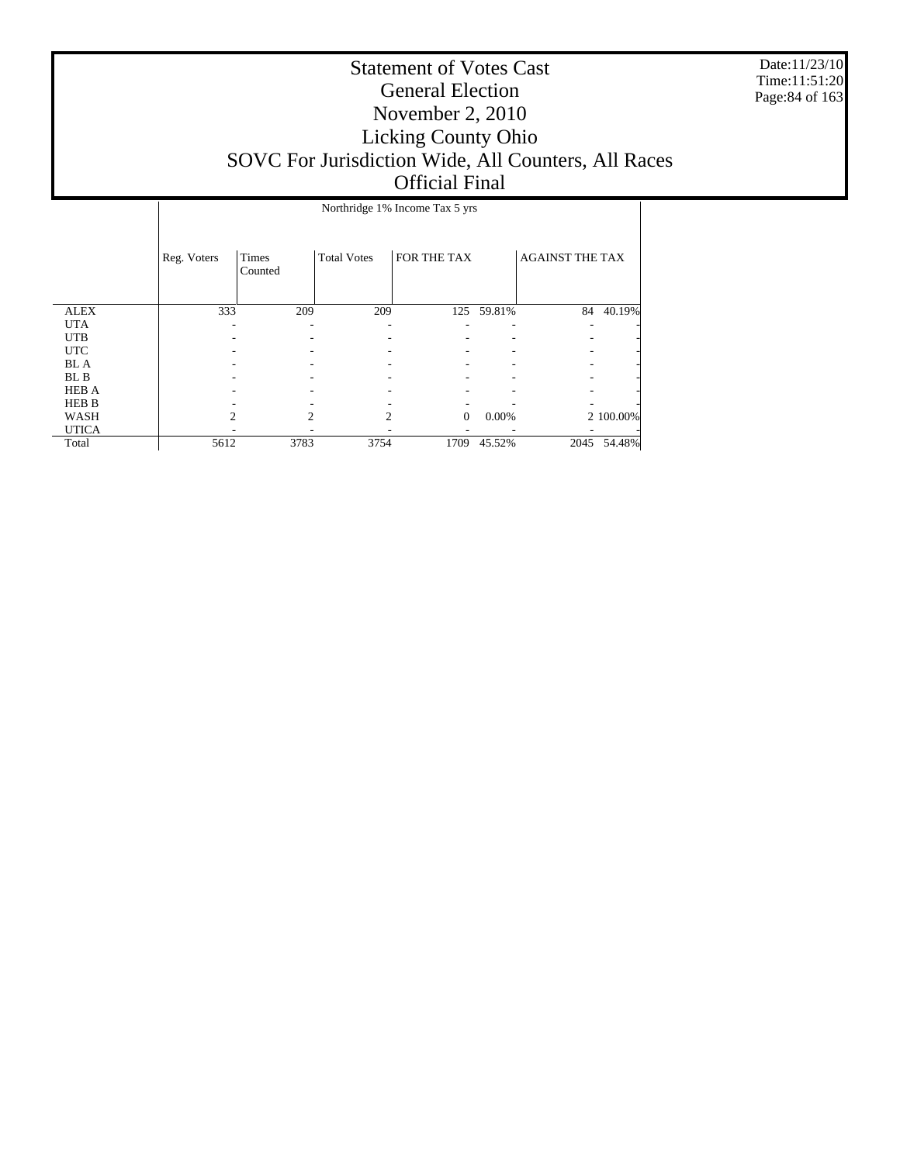Date:11/23/10 Time:11:51:20 Page:84 of 163

|              |             | Northridge 1% Income Tax 5 yrs |                    |              |        |                        |           |  |  |  |
|--------------|-------------|--------------------------------|--------------------|--------------|--------|------------------------|-----------|--|--|--|
|              | Reg. Voters | Times<br>Counted               | <b>Total Votes</b> | FOR THE TAX  |        | <b>AGAINST THE TAX</b> |           |  |  |  |
| <b>ALEX</b>  | 333         | 209                            | 209                | 125          | 59.81% | 84                     | 40.19%    |  |  |  |
| <b>UTA</b>   |             |                                |                    |              | ۰      |                        |           |  |  |  |
| <b>UTB</b>   |             |                                |                    |              |        |                        |           |  |  |  |
| <b>UTC</b>   |             |                                |                    |              |        |                        |           |  |  |  |
| BL A         |             |                                |                    |              |        |                        |           |  |  |  |
| BL B         |             |                                |                    |              |        |                        |           |  |  |  |
| <b>HEB A</b> |             |                                |                    |              |        |                        |           |  |  |  |
| <b>HEB B</b> |             |                                |                    |              |        |                        |           |  |  |  |
| WASH         |             | 2                              | $\mathfrak{D}$     | $\mathbf{0}$ | 0.00%  |                        | 2 100.00% |  |  |  |
| <b>UTICA</b> |             |                                |                    |              |        |                        |           |  |  |  |
| Total        | 5612        | 3783                           | 3754               | 1709         | 45.52% | 2045                   | 54.48%    |  |  |  |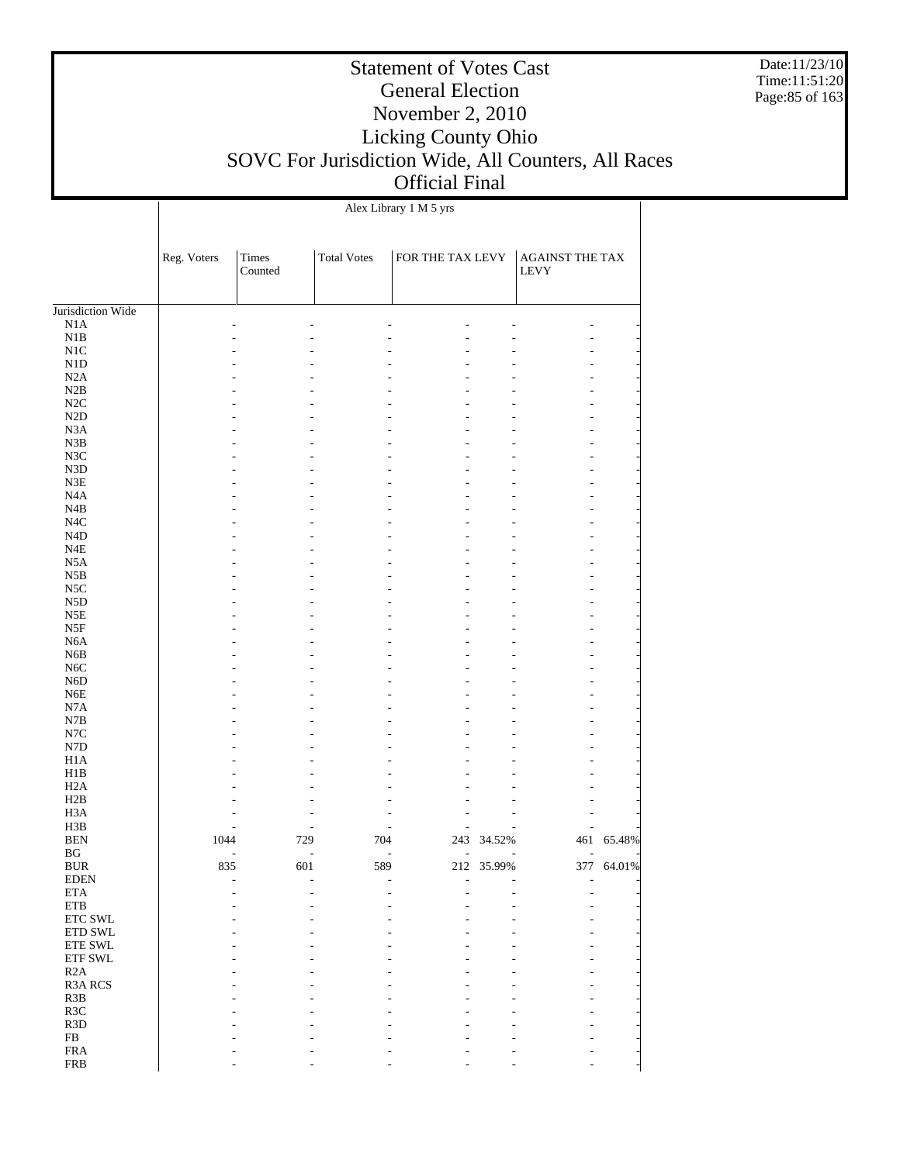Date:11/23/10 Time:11:51:20 Page:85 of 163

#### Statement of Votes Cast General Election November 2, 2010 Licking County Ohio SOVC For Jurisdiction Wide, All Counters, All Races Official Final

Jurisdiction Wide N1A N1B N1C N1D N2A N2B N2C N2D N3A N3B N3C N3D N3E N4A N4B N4C N4D N4E N5A N5B N5C N5D N5E N5F N6A N6B N6C N6D N6E N7A N7B N7C N7D H1A H1B H2A H2B H3A H3B BEN BG BUR EDEN ETA ETB ETC SWL ETD SWL ETE SWL ETF SWL R2A R3A RCS R3B R3C R3D FB FRA Reg. Voters Times Counted Total Votes FOR THE TAX LEVY AGAINST THE TAX LEVY Alex Library 1 M 5 yrs - - - - - - - - - - - - - - - - - - - - - - - - - - - - - - - - - - - - - - - - - - - - - - - - - - - - - - - - - - - - - - - - - - - - - - - - - - - - - - - - - - - - - - - - - - - - - - - - - - - - - - - - - - - - - - - - - - - - - - - - - - - - - - - - - - - - - - - - - - - - - - - - - - - - - - - - - - - - - - - - - - - - - - - - - - - - - - - - - - - - - - - - - - - - - - - - - - - - - - - - - - - - - - - - - - - - - - - - - - - - - - - - - - - - - - - - - - - - - - - - - - - - - - - - - - - - - - - - - - - - - - - - - - - - - - - - - 1044 729 704 243 34.52% 461 65.48% - - - - - - - 835 601 589 212 35.99% 377 64.01% - - - - - - - - - - - - - - - - - - - - - - - - - - - - - - - - - - - - - - - - - - - - - - - - - - - - - - - - - - - - - - - - - - - - - - - - - - - - - - - - - - - - - - - - - - - - - - - - - -

- - - - - - -

FRB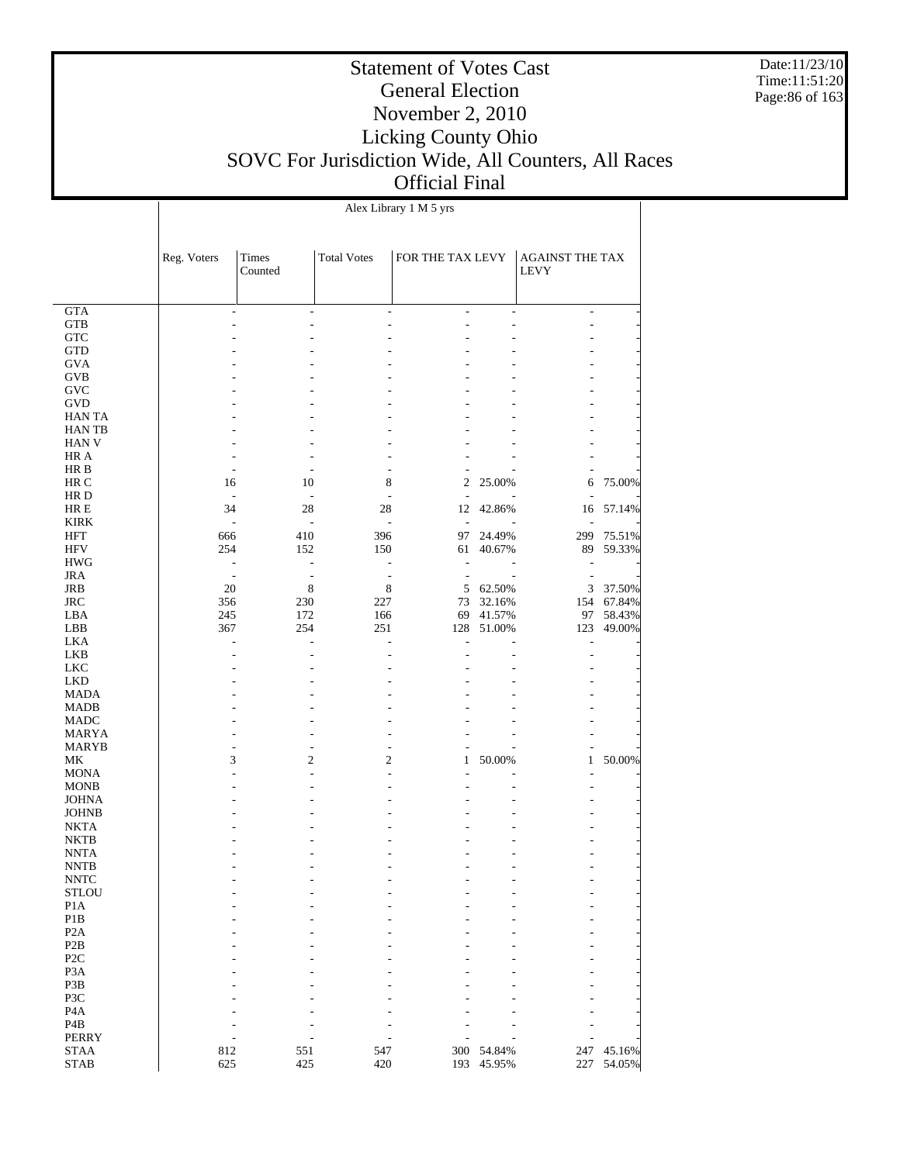Date:11/23/10 Time:11:51:20 Page:86 of 163

#### Statement of Votes Cast General Election November 2, 2010 Licking County Ohio SOVC For Jurisdiction Wide, All Counters, All Races Official Final

 GTA GTB **GTC**  GTD GVA GVB GVC GVD HAN TA HAN TB HAN V HR A HR B HR C HR D HR E KIRK HFT HFV HWG JRA JRB JRC LBA LBB LKA LKB LKC LKD MADA MADB MADC MARYA MARYB MK MONA MONB JOHNA JOHNB NKTA NKTB NNTA NNTB NNTC **STLOU**  P1A P1B P2A P2B P2C P3A P3B P3C P4A P4B PERRY STAA STAB Reg. Voters | Times Counted Total Votes | FOR THE TAX LEVY | AGAINST THE TAX LEVY Alex Library 1 M 5 yrs - - - - - - - - - - - - - - - - - - - - - - - - - - - - - - - - - - - - - - - - - - - - - - - - - - - - - - - - - - - - - - - - - - - - - - - - - - - - - - - - - - - - - - - - - - - 16 10 8 2 25.00% 6 75.00% - - - - - - - 34 28 28 12 42.86% 16 57.14% - - - - - - - 666 410 396 97 24.49% 299 75.51% 152 150 61 40.67% 89 59.33% - - - - - - - - - - - - - -  $\begin{array}{ccccccc}\n 20 & & 8 & & 8 \\
356 & & 230 & & 227\n \end{array}$   $\begin{array}{ccccccc}\n 8 & & 8 & & 5 & 62.50\% \\
73 & & 32.16\% & & 154 & 67.84\% \\
\end{array}$ 356 230 227 73 32.16% 154 67.84% 245 172 166 69 41.57% 97 58.43%<br>367 254 251 128 51.00% 123 49.00% 128 51.00% - - - - - - - - - - - - - - - - - - - - - - - - - - - - - - - - - - - - - - - - - - - - - - - - - - - - - - - - - - - - - - - 3 2 2 1 50.00% 1 50.00% - - - - - - - - - - - - - - - - - - - - - - - - - - - - - - - - - - - - - - - - - - - - - - - - - - - - - - - - - - - - - - - - - - - - - - - - - - - - - - - - - - - - - - - - - - - - - - - - - - - - - - - - - - - - - - - - - - - - - - - - - - - - - - - - - - - - - - - - - - - - - - - - - - -  $\begin{array}{ccccccccc} 812 && 551 && 547 && 300 && 54.84\% && 247 && 45.16\% \\ 625 && 425 && 420 && 193 && 45.95\% && 227 && 54.05\% \end{array}$ 193 45.95%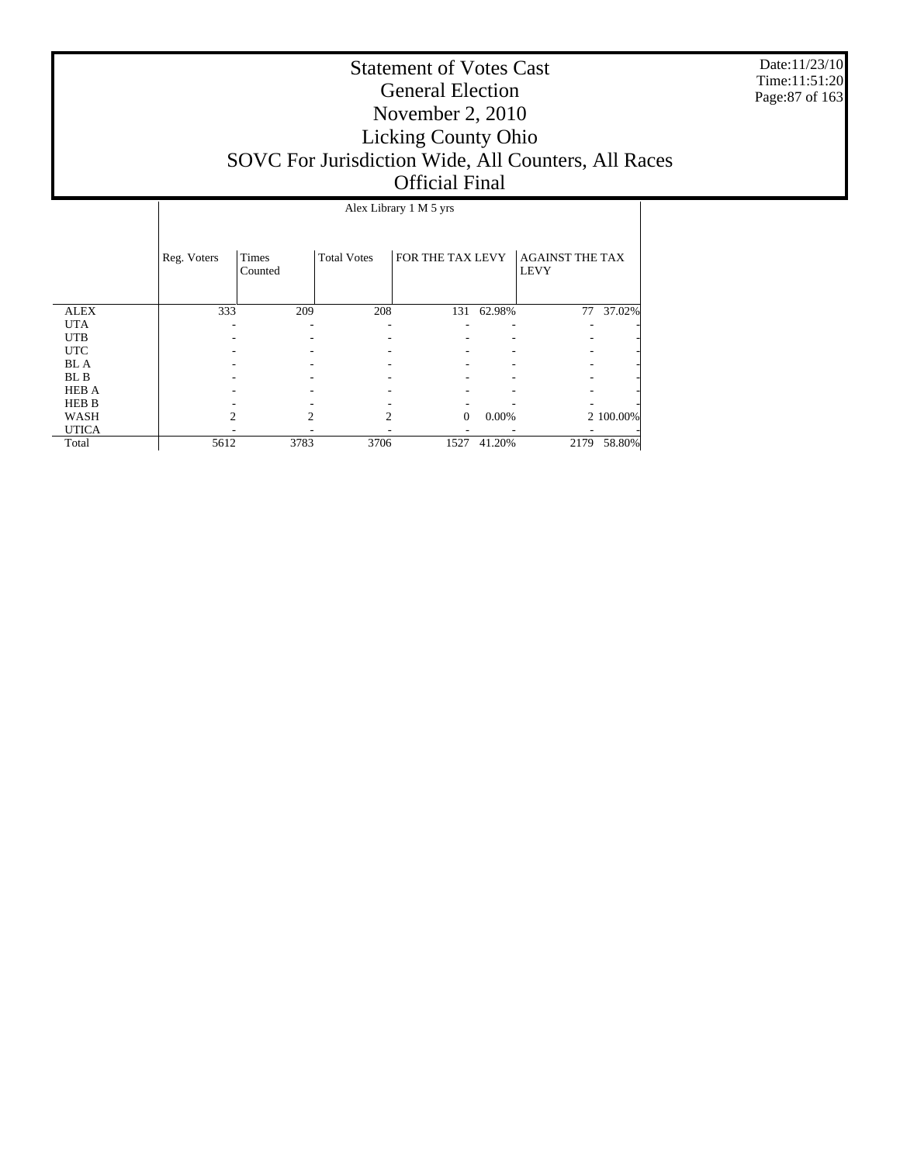Date:11/23/10 Time:11:51:20 Page:87 of 163

|              |             |                  |                    | Alex Library 1 M 5 yrs |            |                                       |           |
|--------------|-------------|------------------|--------------------|------------------------|------------|---------------------------------------|-----------|
|              | Reg. Voters | Times<br>Counted | <b>Total Votes</b> | FOR THE TAX LEVY       |            | <b>AGAINST THE TAX</b><br><b>LEVY</b> |           |
| <b>ALEX</b>  | 333         | 209              | 208                |                        | 131 62.98% | 77                                    | 37.02%    |
| <b>UTA</b>   |             |                  |                    |                        |            |                                       |           |
| <b>UTB</b>   |             |                  |                    |                        |            |                                       |           |
| <b>UTC</b>   |             |                  |                    |                        |            |                                       |           |
| BL A         |             |                  |                    |                        |            |                                       |           |
| BL B         |             |                  |                    |                        |            |                                       |           |
| <b>HEB A</b> |             |                  |                    |                        |            |                                       |           |
| <b>HEB B</b> |             |                  |                    |                        |            |                                       |           |
| WASH         | າ           | っ                | $\mathcal{D}$      | $\Omega$               | 0.00%      |                                       | 2 100.00% |
| <b>UTICA</b> |             |                  |                    |                        |            |                                       |           |
| Total        | 5612        | 3783             | 3706               | 1527                   | 41.20%     | 2179                                  | 58.80%    |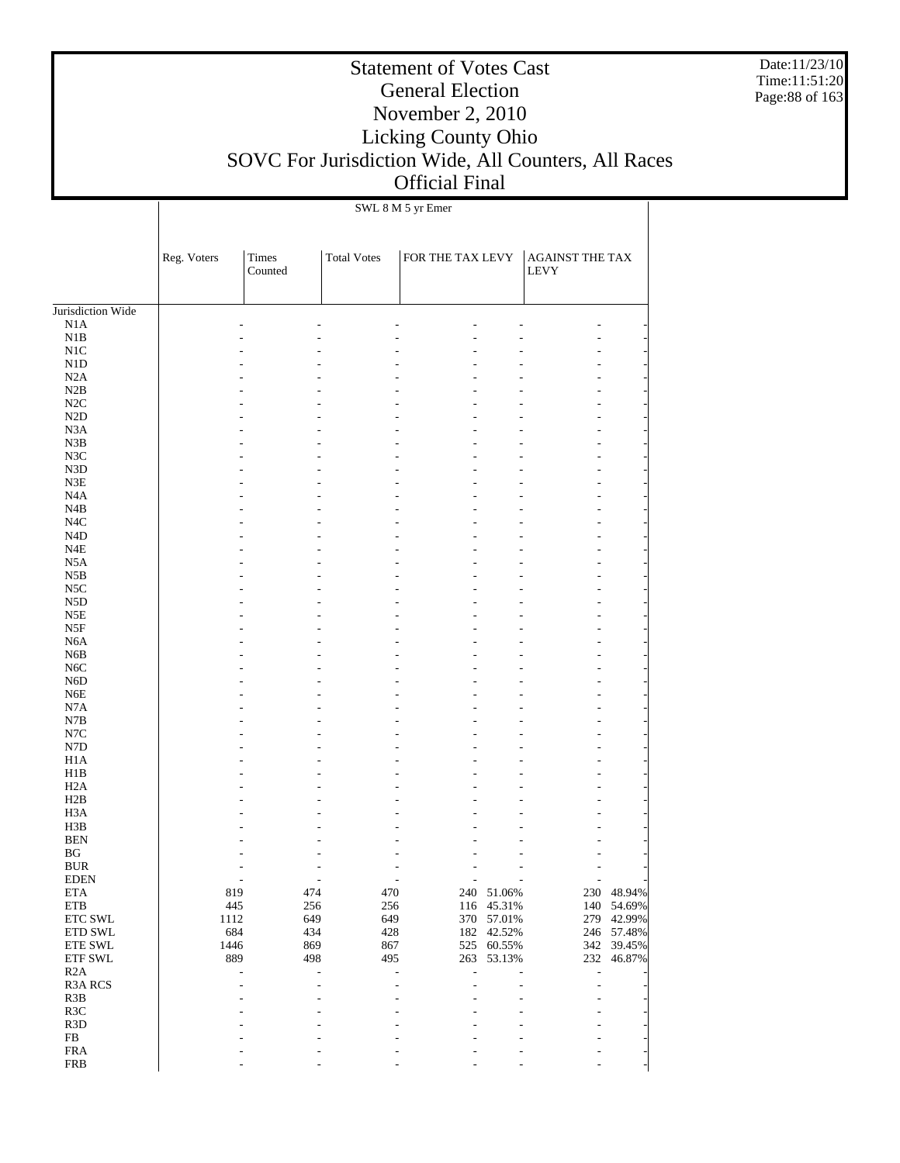Date:11/23/10 Time:11:51:20 Page:88 of 163

# Statement of Votes Cast General Election November 2, 2010 Licking County Ohio SOVC For Jurisdiction Wide, All Counters, All Races Official Final

SWL 8 M 5 yr Emer

|                          | Reg. Voters | Times<br>Counted | <b>Total Votes</b> | FOR THE TAX LEVY |                  | AGAINST THE TAX<br><b>LEVY</b> |                  |
|--------------------------|-------------|------------------|--------------------|------------------|------------------|--------------------------------|------------------|
|                          |             |                  |                    |                  |                  |                                |                  |
| Jurisdiction Wide<br>N1A |             |                  |                    | ÷,               |                  |                                |                  |
| N1B                      |             |                  |                    |                  |                  |                                |                  |
| N1C                      |             |                  |                    |                  |                  |                                |                  |
| N1D                      |             |                  |                    |                  |                  |                                |                  |
| N2A                      |             |                  |                    | ٠                |                  |                                |                  |
| N2B                      |             |                  |                    |                  |                  |                                |                  |
| N2C                      |             |                  |                    |                  |                  |                                |                  |
| N2D                      |             |                  |                    |                  |                  |                                |                  |
| N <sub>3</sub> A         |             |                  |                    | L.               |                  |                                |                  |
| N3B<br>N3C               |             |                  |                    |                  |                  |                                |                  |
| N3D                      |             |                  |                    |                  |                  |                                |                  |
| N3E                      |             |                  |                    | ٠                |                  |                                |                  |
| N <sub>4</sub> A         |             |                  |                    |                  |                  |                                |                  |
| N4B                      |             |                  |                    |                  |                  |                                |                  |
| N <sub>4</sub> C         |             |                  |                    |                  |                  |                                |                  |
| N <sub>4</sub> D         |             |                  |                    | L.               |                  |                                |                  |
| N <sub>4E</sub>          |             |                  |                    |                  |                  |                                |                  |
| N <sub>5</sub> A         |             |                  |                    |                  |                  |                                |                  |
| N5B                      |             |                  |                    |                  |                  |                                |                  |
| N <sub>5</sub> C         |             |                  |                    | L.               |                  |                                |                  |
| N <sub>5</sub> D<br>N5E  |             |                  |                    |                  |                  |                                |                  |
| N5F                      |             |                  |                    |                  |                  |                                |                  |
| N <sub>6</sub> A         |             |                  |                    | L.               |                  |                                |                  |
| N <sub>6</sub> B         |             |                  |                    |                  |                  |                                |                  |
| N <sub>6</sub> C         |             |                  |                    |                  |                  |                                |                  |
| N <sub>6</sub> D         |             |                  |                    |                  |                  |                                |                  |
| N <sub>6</sub> E         |             |                  |                    | L.               |                  |                                |                  |
| N7A                      |             |                  |                    |                  |                  |                                |                  |
| N7B                      |             |                  |                    |                  |                  |                                |                  |
| N7C                      |             |                  |                    |                  |                  |                                |                  |
| N7D                      |             |                  |                    | ٠                |                  |                                |                  |
| H1A                      |             |                  |                    |                  |                  |                                |                  |
| H1B<br>H <sub>2</sub> A  |             |                  |                    |                  |                  |                                |                  |
| H2B                      |             |                  |                    |                  |                  |                                |                  |
| H <sub>3</sub> A         |             |                  |                    |                  |                  |                                |                  |
| H3B                      |             |                  |                    |                  |                  |                                |                  |
| <b>BEN</b>               |             |                  |                    |                  |                  |                                |                  |
| $_{\rm BG}$              |             |                  |                    |                  |                  |                                |                  |
| <b>BUR</b>               |             |                  |                    |                  |                  |                                |                  |
| <b>EDEN</b>              |             |                  |                    |                  |                  |                                |                  |
| <b>ETA</b>               | 819         | 474              | 470                | 240              | 51.06%           |                                | 230 48.94%       |
| ETB                      | 445         | 256              | 256                | 116              | 45.31%           | 140                            | 54.69%           |
| ETC SWL                  | 1112        | 649              | 649                | 370              | 57.01%           | 279                            | 42.99%           |
| ETD SWL<br>ETE SWL       | 684<br>1446 | 434<br>869       | 428<br>867         | 182<br>525       | 42.52%<br>60.55% | 246<br>342                     | 57.48%<br>39.45% |
| ETF SWL                  | 889         | 498              | 495                | 263              | 53.13%           | 232                            | 46.87%           |
| R2A                      |             | ÷                | L.                 | L,<br>L.         |                  | L,                             |                  |
| R3A RCS                  |             | ٠                | ÷                  | L.<br>ä,         |                  | L,                             |                  |
| R3B                      |             |                  |                    | J.               |                  |                                |                  |
| R3C                      |             |                  |                    |                  |                  |                                |                  |
| R <sub>3</sub> D         |             |                  |                    |                  |                  |                                |                  |
| ${\rm FB}$               |             |                  |                    |                  |                  |                                |                  |
| ${\rm FRA}$              |             |                  |                    |                  |                  |                                |                  |
| <b>FRB</b>               |             |                  | L.                 |                  |                  |                                |                  |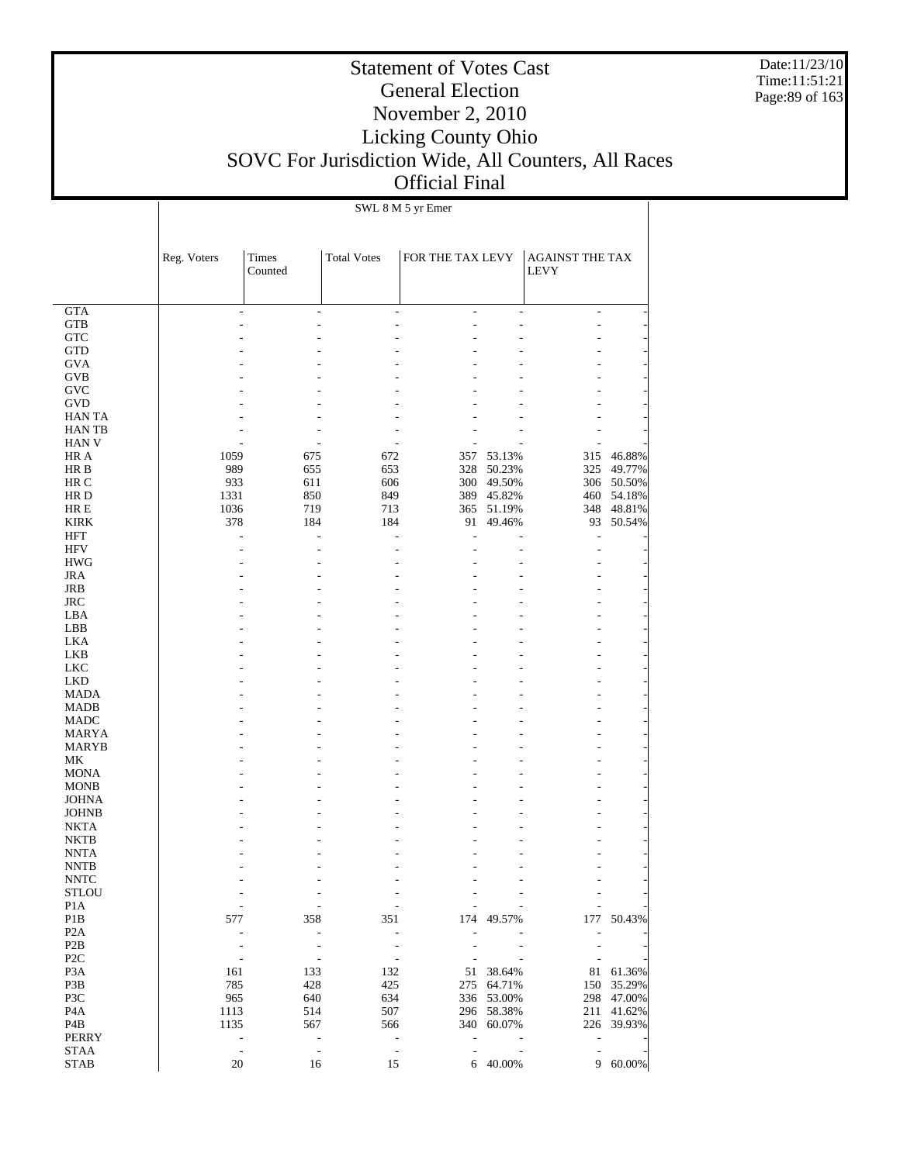Date:11/23/10 Time:11:51:21 Page:89 of 163

# Statement of Votes Cast General Election November 2, 2010 Licking County Ohio SOVC For Jurisdiction Wide, All Counters, All Races Official Final

SWL 8 M 5 yr Emer

|                                  | Reg. Voters                                | Times<br>Counted                           | <b>Total Votes</b>                                   | FOR THE TAX LEVY                           |                          | <b>AGAINST THE TAX</b><br><b>LEVY</b>                |            |
|----------------------------------|--------------------------------------------|--------------------------------------------|------------------------------------------------------|--------------------------------------------|--------------------------|------------------------------------------------------|------------|
| <b>GTA</b>                       | ÷,                                         | $\overline{a}$                             | $\overline{\phantom{a}}$                             | ÷                                          | $\sim$                   | $\overline{\phantom{0}}$                             |            |
| <b>GTB</b>                       |                                            | ÷                                          | ÷,                                                   | ۷                                          | L.                       | L,                                                   |            |
| <b>GTC</b>                       |                                            |                                            |                                                      |                                            |                          |                                                      |            |
| <b>GTD</b>                       |                                            |                                            |                                                      |                                            |                          |                                                      |            |
| <b>GVA</b>                       |                                            |                                            |                                                      |                                            |                          |                                                      |            |
| <b>GVB</b>                       |                                            |                                            |                                                      |                                            |                          |                                                      |            |
| GVC                              |                                            |                                            |                                                      |                                            |                          |                                                      |            |
| <b>GVD</b><br><b>HAN TA</b>      |                                            |                                            |                                                      |                                            |                          |                                                      |            |
| <b>HANTB</b>                     |                                            |                                            |                                                      |                                            |                          |                                                      |            |
| <b>HAN V</b>                     |                                            |                                            | ٠                                                    |                                            |                          |                                                      |            |
| HR A                             | 1059                                       | 675                                        | 672                                                  | 357                                        | 53.13%                   | 315                                                  | 46.88%     |
| HR B                             | 989                                        | 655                                        | 653                                                  | 328                                        | 50.23%                   | 325                                                  | 49.77%     |
| HR C                             | 933                                        | 611                                        | 606                                                  | 300                                        | 49.50%                   | 306                                                  | 50.50%     |
| HR D                             | 1331                                       | 850                                        | 849                                                  | 389                                        | 45.82%                   | 460                                                  | 54.18%     |
| HR E                             | 1036                                       | 719                                        | 713                                                  | 365                                        | 51.19%                   | 348                                                  | 48.81%     |
| <b>KIRK</b>                      | 378                                        | 184                                        | 184                                                  | 91                                         | 49.46%                   | 93                                                   | 50.54%     |
| <b>HFT</b>                       | ÷                                          | ÷                                          | $\overline{a}$                                       | ÷.                                         |                          | ÷                                                    |            |
| HFV                              |                                            | ٠                                          | ÷,                                                   |                                            |                          | ٠                                                    |            |
| <b>HWG</b>                       |                                            |                                            |                                                      |                                            |                          |                                                      |            |
| <b>JRA</b>                       |                                            |                                            |                                                      |                                            |                          |                                                      |            |
| JRB<br><b>JRC</b>                |                                            |                                            |                                                      |                                            |                          |                                                      |            |
| LBA                              |                                            |                                            |                                                      |                                            |                          |                                                      |            |
| LBB                              |                                            |                                            |                                                      |                                            |                          |                                                      |            |
| LKA                              |                                            |                                            |                                                      |                                            |                          |                                                      |            |
| <b>LKB</b>                       |                                            |                                            |                                                      |                                            |                          |                                                      |            |
| <b>LKC</b>                       |                                            |                                            |                                                      |                                            |                          |                                                      |            |
| <b>LKD</b>                       |                                            |                                            |                                                      |                                            |                          |                                                      |            |
| <b>MADA</b>                      |                                            |                                            |                                                      |                                            |                          |                                                      |            |
| <b>MADB</b>                      |                                            |                                            |                                                      |                                            |                          |                                                      |            |
| <b>MADC</b>                      |                                            |                                            |                                                      |                                            |                          |                                                      |            |
| MARYA                            |                                            |                                            |                                                      |                                            |                          |                                                      |            |
| <b>MARYB</b><br>МK               |                                            |                                            |                                                      |                                            |                          |                                                      |            |
| <b>MONA</b>                      |                                            |                                            |                                                      |                                            |                          |                                                      |            |
| <b>MONB</b>                      |                                            |                                            |                                                      |                                            |                          |                                                      |            |
| <b>JOHNA</b>                     |                                            |                                            |                                                      |                                            |                          |                                                      |            |
| <b>JOHNB</b>                     |                                            |                                            |                                                      |                                            |                          |                                                      |            |
| <b>NKTA</b>                      |                                            |                                            |                                                      |                                            |                          |                                                      |            |
| NKTB                             |                                            |                                            |                                                      |                                            |                          |                                                      |            |
| <b>NNTA</b>                      |                                            |                                            |                                                      |                                            |                          |                                                      |            |
| <b>NNTB</b>                      |                                            |                                            |                                                      |                                            |                          |                                                      |            |
| <b>NNTC</b>                      |                                            |                                            |                                                      |                                            |                          |                                                      |            |
| <b>STLOU</b><br>P <sub>1</sub> A | ÷<br>$\overline{\phantom{a}}$              | $\overline{\phantom{a}}$<br>$\Box$         | $\overline{\phantom{a}}$<br>$\Box$                   | $\overline{\phantom{a}}$                   |                          | $\overline{\phantom{a}}$                             |            |
| P <sub>1</sub> B                 | 577                                        | 358                                        | 351                                                  |                                            | 174 49.57%               |                                                      | 177 50.43% |
| P <sub>2</sub> A                 | $\overline{a}$                             | $\overline{a}$                             | $\overline{\phantom{a}}$                             |                                            |                          | L,                                                   |            |
| P2B                              | $\overline{a}$                             | $\overline{\phantom{a}}$                   | $\overline{\phantom{a}}$                             |                                            |                          |                                                      |            |
| P <sub>2</sub> C                 | $\overline{\phantom{a}}$                   | $\sim$                                     | $\overline{\phantom{a}}$                             | $\overline{\phantom{a}}$                   |                          | $\overline{\phantom{a}}$                             |            |
| P3A                              | 161                                        | 133                                        | 132                                                  | 51                                         | 38.64%                   | 81                                                   | 61.36%     |
| P3B                              | 785                                        | 428                                        | 425                                                  |                                            | 275 64.71%               | 150                                                  | 35.29%     |
| P3C                              | 965                                        | 640                                        | 634                                                  |                                            | 336 53.00%               | 298                                                  | 47.00%     |
| P <sub>4</sub> A                 | 1113                                       | 514                                        | 507                                                  |                                            | 296 58.38%               | 211                                                  | 41.62%     |
| P4B                              | 1135                                       | 567                                        | 566                                                  |                                            | 340 60.07%               | 226                                                  | 39.93%     |
| PERRY<br><b>STAA</b>             | $\overline{a}$<br>$\overline{\phantom{a}}$ | $\blacksquare$<br>$\overline{\phantom{a}}$ | $\overline{\phantom{a}}$<br>$\overline{\phantom{a}}$ | $\overline{\phantom{a}}$<br>$\overline{a}$ | $\overline{\phantom{a}}$ | $\overline{\phantom{a}}$<br>$\overline{\phantom{a}}$ |            |
| <b>STAB</b>                      | 20                                         | $16\,$                                     | 15                                                   |                                            | 6 40.00%                 |                                                      | 9 60.00%   |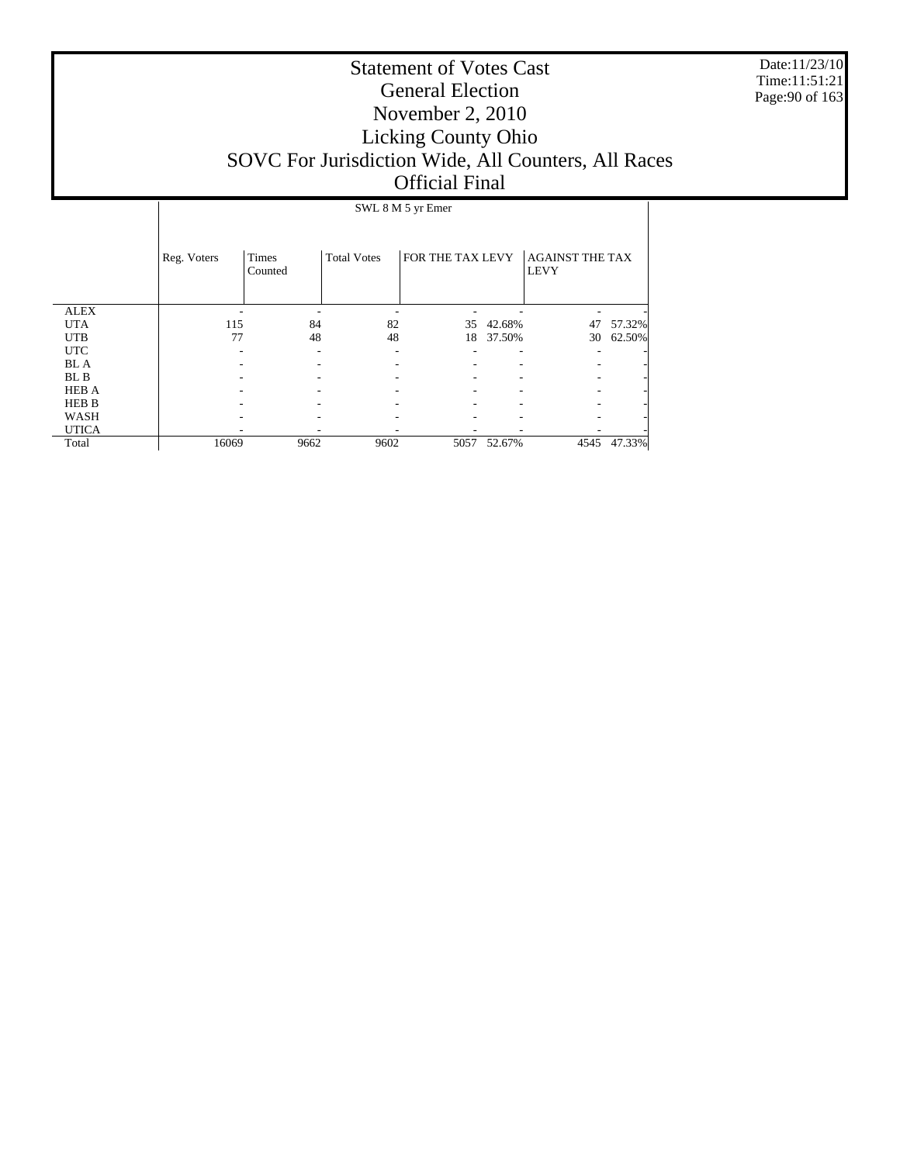Date:11/23/10 Time:11:51:21 Page:90 of 163

|              |             | SWL 8 M 5 yr Emer       |                    |                  |        |                                       |        |  |  |  |
|--------------|-------------|-------------------------|--------------------|------------------|--------|---------------------------------------|--------|--|--|--|
|              | Reg. Voters | <b>Times</b><br>Counted | <b>Total Votes</b> | FOR THE TAX LEVY |        | <b>AGAINST THE TAX</b><br><b>LEVY</b> |        |  |  |  |
| <b>ALEX</b>  |             |                         |                    |                  |        |                                       |        |  |  |  |
| <b>UTA</b>   | 115         | 84                      | 82                 | 35               | 42.68% | 47                                    | 57.32% |  |  |  |
| <b>UTB</b>   | 77          | 48                      | 48                 | 18               | 37.50% | 30                                    | 62.50% |  |  |  |
| <b>UTC</b>   |             |                         |                    |                  |        |                                       |        |  |  |  |
| <b>BL</b> A  |             |                         |                    |                  |        |                                       |        |  |  |  |
| BL B         |             |                         |                    |                  |        |                                       |        |  |  |  |
| <b>HEB A</b> |             |                         |                    |                  |        |                                       |        |  |  |  |
| <b>HEB B</b> |             |                         |                    |                  |        |                                       |        |  |  |  |
| WASH         |             |                         |                    |                  |        |                                       |        |  |  |  |
| <b>UTICA</b> |             |                         |                    |                  |        |                                       |        |  |  |  |
| Total        | 16069       | 9662                    | 9602               | 5057             | 52.67% | 4545                                  | 47.33% |  |  |  |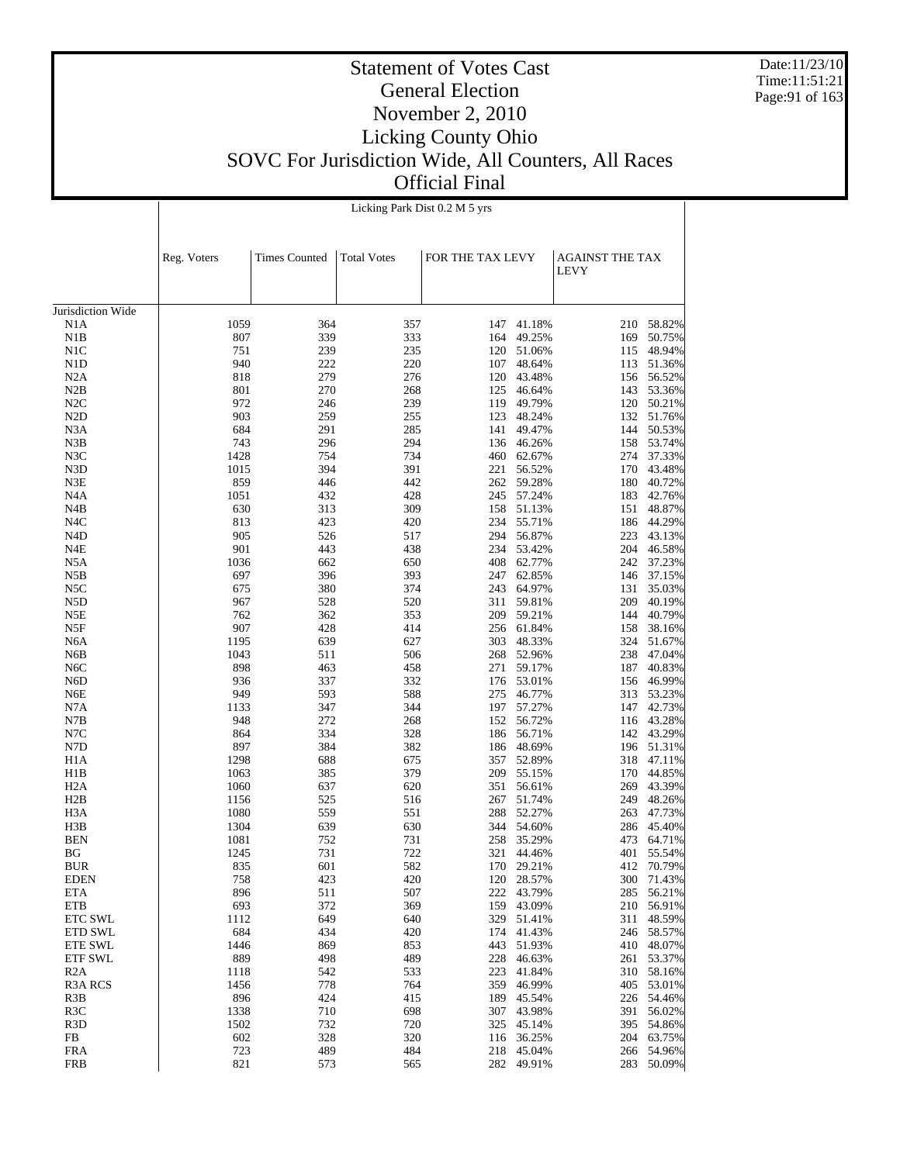Date:11/23/10 Time:11:51:21 Page:91 of 163

# Statement of Votes Cast General Election November 2, 2010 Licking County Ohio SOVC For Jurisdiction Wide, All Counters, All Races Official Final

|                   |             |                      | Licking Park Dist 0.2 M 5 yrs |                  |            |                                       |            |
|-------------------|-------------|----------------------|-------------------------------|------------------|------------|---------------------------------------|------------|
|                   | Reg. Voters | <b>Times Counted</b> | <b>Total Votes</b>            | FOR THE TAX LEVY |            | <b>AGAINST THE TAX</b><br><b>LEVY</b> |            |
| Jurisdiction Wide |             |                      |                               |                  |            |                                       |            |
| N1A               | 1059        | 364                  | 357                           |                  | 147 41.18% | 210                                   | 58.82%     |
| N1B               | 807         | 339                  | 333                           | 164              | 49.25%     | 169                                   | 50.75%     |
| N1C               | 751         | 239                  | 235                           |                  | 120 51.06% |                                       | 115 48.94% |
| N1D               | 940         | 222                  | 220                           |                  | 107 48.64% |                                       | 113 51.36% |
| N2A               | 818         | 279                  | 276                           |                  | 120 43.48% |                                       | 156 56.52% |
| N2B               | 801         | 270                  | 268                           |                  | 125 46.64% |                                       | 143 53.36% |
| N2C               | 972         | 246                  | 239                           |                  | 119 49.79% |                                       | 120 50.21% |
| N <sub>2</sub> D  | 903         | 259                  | 255                           |                  | 123 48.24% |                                       | 132 51.76% |
| N3A               | 684         | 291                  | 285                           |                  | 141 49.47% |                                       | 144 50.53% |
| N3B               | 743         | 296                  | 294                           |                  | 136 46.26% |                                       | 158 53.74% |
| N3C               | 1428        | 754                  | 734                           |                  | 460 62.67% |                                       | 274 37.33% |
| N3D               | 1015        | 394                  | 391                           | 221              | 56.52%     |                                       | 170 43.48% |
| N3E               | 859         | 446                  | 442                           |                  | 262 59.28% | 180                                   | 40.72%     |
| N4A               | 1051        | 432                  | 428                           |                  | 245 57.24% |                                       | 183 42.76% |
| N4B               | 630         | 313                  | 309                           |                  | 158 51.13% |                                       | 151 48.87% |
| N4C               | 813         | 423                  | 420                           |                  | 234 55.71% |                                       | 186 44.29% |
| N4D               | 905         | 526                  | 517                           |                  | 294 56.87% |                                       | 223 43.13% |
| N4E               | 901         | 443                  | 438                           |                  | 234 53.42% |                                       | 204 46.58% |
| N5A               | 1036        | 662                  | 650                           |                  | 408 62.77% |                                       | 242 37.23% |
| N5B               | 697         | 396                  | 393                           |                  | 247 62.85% |                                       | 146 37.15% |
| N5C               | 675         | 380                  | 374                           |                  | 243 64.97% |                                       | 131 35.03% |
| N5D               | 967         | 528                  | 520                           | 311              | 59.81%     |                                       | 209 40.19% |
| N5E               | 762         | 362                  | 353                           |                  | 209 59.21% |                                       | 144 40.79% |
| N5F               | 907         | 428                  | 414                           |                  | 256 61.84% |                                       | 158 38.16% |
| N6A               | 1195        | 639                  | 627                           |                  | 303 48.33% |                                       | 324 51.67% |
| N6B               | 1043        | 511                  | 506                           |                  | 268 52.96% |                                       | 238 47.04% |
| N <sub>6</sub> C  | 898         | 463                  | 458                           |                  | 271 59.17% |                                       | 187 40.83% |
| N6D               | 936         | 337                  | 332                           |                  | 176 53.01% |                                       | 156 46.99% |
| N6E               | 949         | 593                  | 588                           |                  | 275 46.77% |                                       | 313 53.23% |
| N7A               | 1133        | 347                  | 344                           |                  | 197 57.27% |                                       | 147 42.73% |
| N7B               | 948         | 272                  | 268                           |                  | 152 56.72% |                                       | 116 43.28% |
| N7C               | 864         | 334                  | 328                           |                  | 186 56.71% |                                       | 142 43.29% |
| N7D               | 897         | 384                  | 382                           |                  | 186 48.69% |                                       | 196 51.31% |
| H <sub>1</sub> A  | 1298        | 688                  | 675                           |                  | 357 52.89% |                                       | 318 47.11% |
| H1B               | 1063        | 385                  | 379                           |                  | 209 55.15% |                                       | 170 44.85% |
| H2A               | 1060        | 637                  | 620                           | 351              | 56.61%     |                                       | 269 43.39% |
| H2B               | 1156        | 525                  | 516                           | 267              | 51.74%     |                                       | 249 48.26% |
| H3A               | 1080        | 559                  | 551                           |                  | 288 52.27% |                                       | 263 47.73% |
| H3B               | 1304        | 639                  | 630                           |                  | 344 54.60% |                                       | 286 45.40% |
| <b>BEN</b>        | 1081        | 752                  | 731                           |                  | 258 35.29% |                                       | 473 64.71% |
| BG                | 1245        | 731                  | 722                           | 321              | 44.46%     | 401                                   | 55.54%     |
| <b>BUR</b>        | 835         | 601                  | 582                           |                  | 170 29.21% | 412                                   | 70.79%     |
| <b>EDEN</b>       | 758         | 423                  | 420                           | 120              | 28.57%     | 300                                   | 71.43%     |
| ETA               | 896         | 511                  | 507                           | 222              | 43.79%     | 285                                   | 56.21%     |
| ETB               | 693         | 372                  | 369                           | 159              | 43.09%     | 210                                   | 56.91%     |
| ETC SWL           | 1112        | 649                  | 640                           | 329              | 51.41%     | 311                                   | 48.59%     |
| ETD SWL           | 684         | 434                  | 420                           | 174              | 41.43%     | 246                                   | 58.57%     |
| ETE SWL           | 1446        | 869                  | 853                           | 443              | 51.93%     | 410                                   | 48.07%     |
| <b>ETF SWL</b>    | 889         | 498                  | 489                           | 228              | 46.63%     | 261                                   | 53.37%     |
| R <sub>2</sub> A  | 1118        | 542                  | 533                           | 223              | 41.84%     | 310                                   | 58.16%     |
| <b>R3A RCS</b>    | 1456        | 778                  | 764                           | 359              | 46.99%     | 405                                   | 53.01%     |
| R3B               | 896         | 424                  | 415                           | 189              | 45.54%     | 226                                   | 54.46%     |
| R <sub>3</sub> C  | 1338        | 710                  | 698                           | 307              | 43.98%     | 391                                   | 56.02%     |
| R <sub>3</sub> D  | 1502        | 732                  | 720                           | 325              | 45.14%     | 395                                   | 54.86%     |
| FB                | 602         | 328                  | 320                           | 116              | 36.25%     | 204                                   | 63.75%     |
| <b>FRA</b>        | 723         | 489                  | 484                           | 218              | 45.04%     | 266                                   | 54.96%     |
| <b>FRB</b>        | 821         | 573                  | 565                           | 282              | 49.91%     | 283                                   | 50.09%     |
|                   |             |                      |                               |                  |            |                                       |            |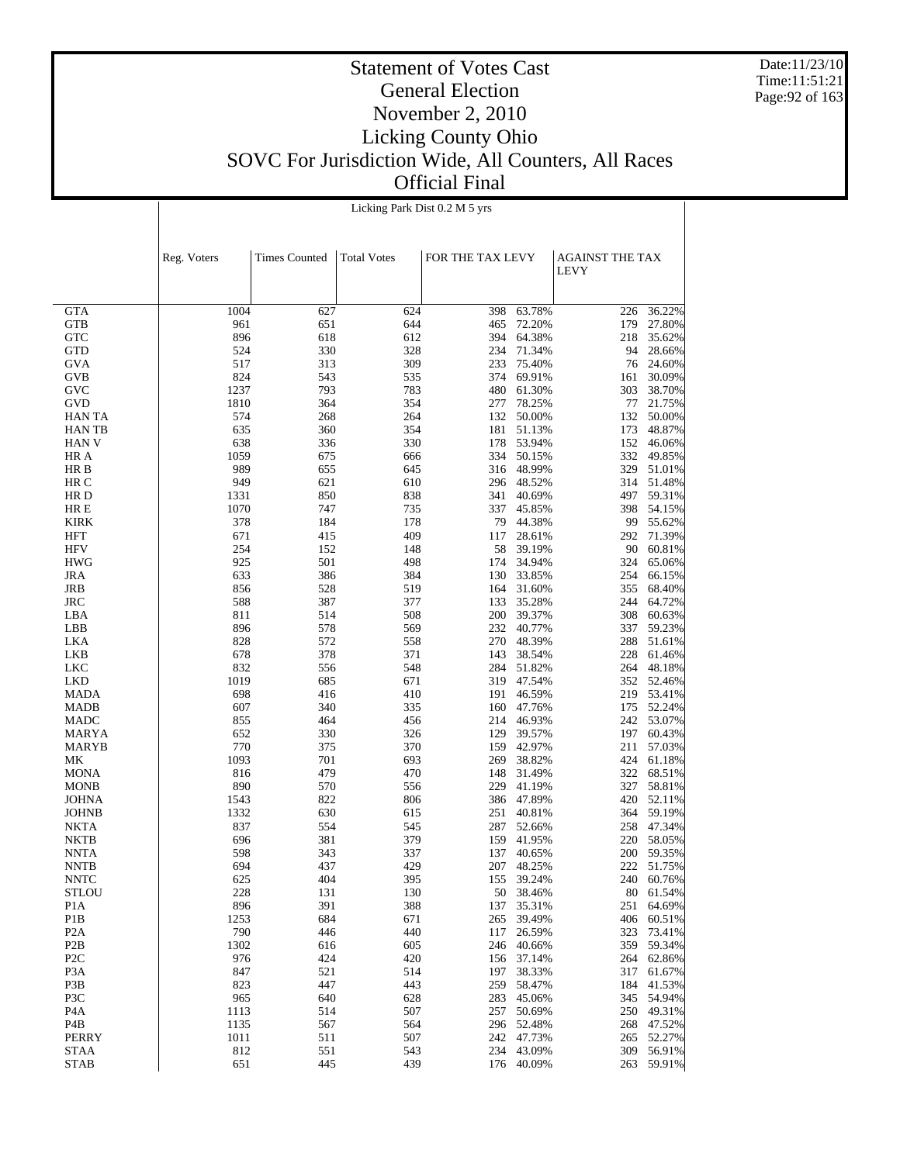Date:11/23/10 Time:11:51:21 Page:92 of 163

|                                      |              |                      | Licking Park Dist 0.2 M 5 yrs |                  |                          |                        |                          |
|--------------------------------------|--------------|----------------------|-------------------------------|------------------|--------------------------|------------------------|--------------------------|
|                                      |              |                      |                               |                  |                          |                        |                          |
|                                      |              |                      |                               |                  |                          |                        |                          |
|                                      | Reg. Voters  | <b>Times Counted</b> | <b>Total Votes</b>            | FOR THE TAX LEVY |                          | <b>AGAINST THE TAX</b> |                          |
|                                      |              |                      |                               |                  |                          | <b>LEVY</b>            |                          |
|                                      |              |                      |                               |                  |                          |                        |                          |
| <b>GTA</b>                           | 1004         | 627                  | 624                           | 398              | 63.78%                   | 226                    | 36.22%                   |
| <b>GTB</b>                           | 961          | 651                  | 644                           | 465              | 72.20%                   | 179                    | 27.80%                   |
| <b>GTC</b>                           | 896          | 618                  | 612                           | 394              | 64.38%                   | 218                    | 35.62%                   |
| <b>GTD</b>                           | 524          | 330                  | 328                           | 234              | 71.34%                   | 94                     | 28.66%                   |
| <b>GVA</b>                           | 517          | 313                  | 309                           | 233              | 75.40%                   |                        | 76 24.60%                |
| <b>GVB</b><br>GVC                    | 824<br>1237  | 543<br>793           | 535<br>783                    |                  | 374 69.91%<br>480 61.30% | 161<br>303             | 30.09%<br>38.70%         |
| GVD                                  | 1810         | 364                  | 354                           | 277              | 78.25%                   | 77                     | 21.75%                   |
| <b>HAN TA</b>                        | 574          | 268                  | 264                           |                  | 132 50.00%               |                        | 132 50.00%               |
| <b>HANTB</b>                         | 635          | 360                  | 354                           |                  | 181 51.13%               | 173                    | 48.87%                   |
| <b>HAN V</b>                         | 638          | 336                  | 330                           |                  | 178 53.94%               | 152                    | 46.06%                   |
| HR A<br>HR B                         | 1059<br>989  | 675<br>655           | 666<br>645                    |                  | 334 50.15%<br>316 48.99% | 332                    | 49.85%<br>329 51.01%     |
| HR C                                 | 949          | 621                  | 610                           |                  | 296 48.52%               |                        | 314 51.48%               |
| HR D                                 | 1331         | 850                  | 838                           | 341              | 40.69%                   | 497                    | 59.31%                   |
| HR E                                 | 1070         | 747                  | 735                           |                  | 337 45.85%               |                        | 398 54.15%               |
| <b>KIRK</b>                          | 378          | 184                  | 178                           |                  | 79 44.38%                |                        | 99 55.62%                |
| <b>HFT</b>                           | 671          | 415                  | 409                           | 117              | 28.61%                   | 292                    | 71.39%                   |
| <b>HFV</b><br><b>HWG</b>             | 254<br>925   | 152<br>501           | 148<br>498                    | 58<br>174        | 39.19%<br>34.94%         | 90<br>324              | 60.81%<br>65.06%         |
| <b>JRA</b>                           | 633          | 386                  | 384                           | 130              | 33.85%                   | 254                    | 66.15%                   |
| JRB                                  | 856          | 528                  | 519                           |                  | 164 31.60%               | 355                    | 68.40%                   |
| <b>JRC</b>                           | 588          | 387                  | 377                           | 133              | 35.28%                   | 244                    | 64.72%                   |
| LBA                                  | 811          | 514                  | 508                           |                  | 200 39.37%               | 308                    | 60.63%                   |
| LBB                                  | 896          | 578                  | 569                           |                  | 232 40.77%               | 337                    | 59.23%                   |
| LKA<br>LKB                           | 828<br>678   | 572<br>378           | 558<br>371                    | 143              | 270 48.39%<br>38.54%     | 288<br>228             | 51.61%<br>61.46%         |
| LKC                                  | 832          | 556                  | 548                           | 284              | 51.82%                   | 264                    | 48.18%                   |
| LKD                                  | 1019         | 685                  | 671                           |                  | 319 47.54%               |                        | 352 52.46%               |
| <b>MADA</b>                          | 698          | 416                  | 410                           | 191              | 46.59%                   |                        | 219 53.41%               |
| <b>MADB</b>                          | 607          | 340                  | 335                           |                  | 160 47.76%               |                        | 175 52.24%               |
| <b>MADC</b>                          | 855          | 464                  | 456                           |                  | 214 46.93%               |                        | 242 53.07%               |
| <b>MARYA</b><br><b>MARYB</b>         | 652<br>770   | 330<br>375           | 326<br>370                    | 129              | 39.57%<br>159 42.97%     | 211                    | 197 60.43%<br>57.03%     |
| МK                                   | 1093         | 701                  | 693                           | 269              | 38.82%                   | 424                    | 61.18%                   |
| <b>MONA</b>                          | 816          | 479                  | 470                           | 148              | 31.49%                   | 322                    | 68.51%                   |
| <b>MONB</b>                          | 890          | 570                  | 556                           | 229              | 41.19%                   | 327                    | 58.81%                   |
| <b>JOHNA</b>                         | 1543         | 822                  | 806                           |                  | 386 47.89%               |                        | 420 52.11%               |
| <b>JOHNB</b>                         | 1332         | 630                  | 615                           | 251              | 40.81%                   |                        | 364 59.19%               |
| <b>NKTA</b><br><b>NKTB</b>           | 837<br>696   | 554<br>381           | 545<br>379                    | 287<br>159       | 52.66%<br>41.95%         |                        | 258 47.34%<br>220 58.05% |
| <b>NNTA</b>                          | 598          | 343                  | 337                           | 137              | 40.65%                   |                        | 200 59.35%               |
| <b>NNTB</b>                          | 694          | 437                  | 429                           |                  | 207 48.25%               |                        | 222 51.75%               |
| <b>NNTC</b>                          | 625          | 404                  | 395                           | 155              | 39.24%                   | 240                    | 60.76%                   |
| <b>STLOU</b>                         | 228          | 131                  | 130                           | 50               | 38.46%                   | 80                     | 61.54%                   |
| P <sub>1</sub> A                     | 896          | 391                  | 388                           | 137              | 35.31%                   | 251                    | 64.69%                   |
| P <sub>1</sub> B<br>P <sub>2</sub> A | 1253<br>790  | 684<br>446           | 671<br>440                    | 265<br>117       | 39.49%<br>26.59%         | 406<br>323             | 60.51%<br>73.41%         |
| P <sub>2</sub> B                     | 1302         | 616                  | 605                           | 246              | 40.66%                   | 359                    | 59.34%                   |
| P <sub>2</sub> C                     | 976          | 424                  | 420                           | 156              | 37.14%                   | 264                    | 62.86%                   |
| P <sub>3</sub> A                     | 847          | 521                  | 514                           | 197              | 38.33%                   | 317                    | 61.67%                   |
| P3B                                  | 823          | 447                  | 443                           | 259              | 58.47%                   | 184                    | 41.53%                   |
| P3C                                  | 965          | 640                  | 628                           | 283              | 45.06%                   | 345                    | 54.94%                   |
| P4A<br>P4B                           | 1113<br>1135 | 514<br>567           | 507<br>564                    | 257<br>296       | 50.69%<br>52.48%         | 250<br>268             | 49.31%<br>47.52%         |
| PERRY                                | 1011         | 511                  | 507                           | 242              | 47.73%                   | 265                    | 52.27%                   |
| <b>STAA</b>                          | 812          | 551                  | 543                           | 234              | 43.09%                   | 309                    | 56.91%                   |
| <b>STAB</b>                          | 651          | 445                  | 439                           | 176              | 40.09%                   | 263                    | 59.91%                   |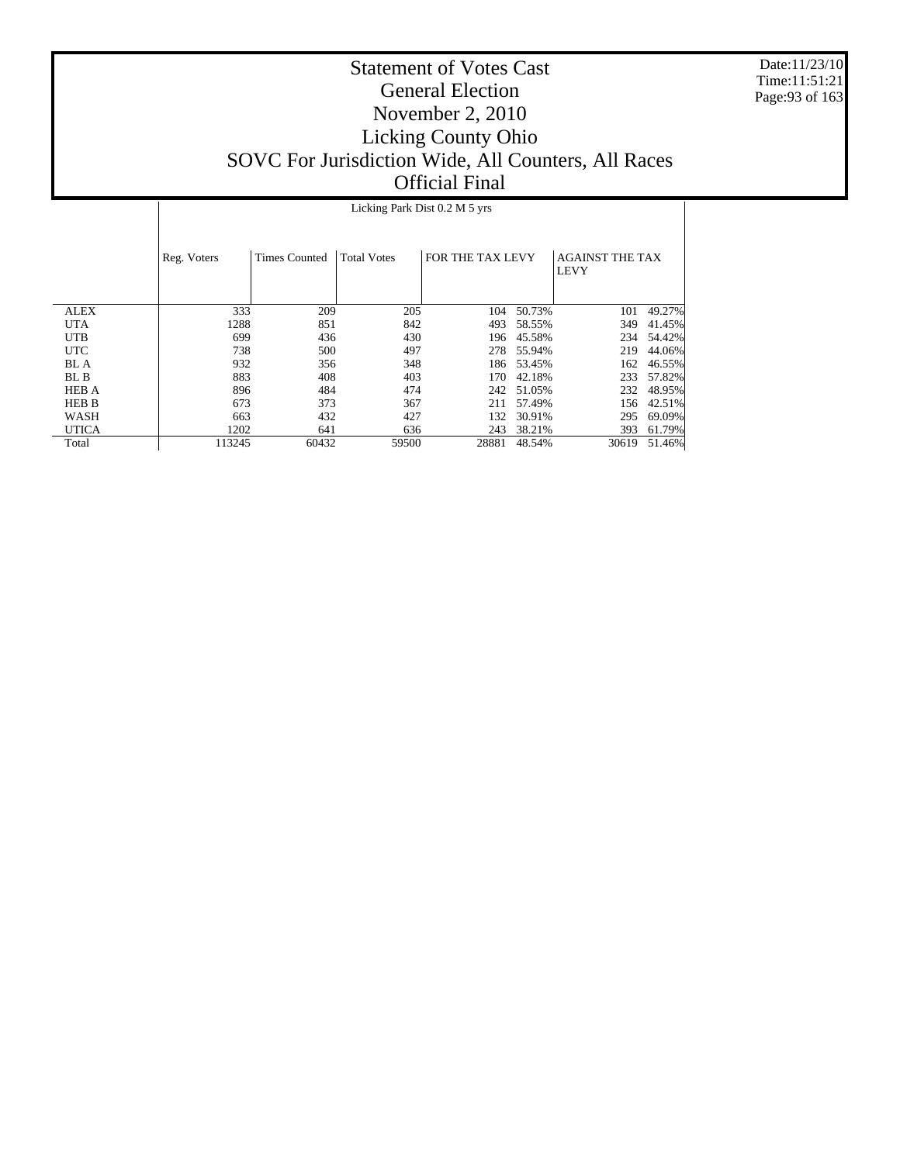Date:11/23/10 Time:11:51:21 Page:93 of 163

# Statement of Votes Cast General Election November 2, 2010 Licking County Ohio SOVC For Jurisdiction Wide, All Counters, All Races Official Final

Licking Park Dist 0.2 M 5 yrs

|              | Reg. Voters | <b>Times Counted</b> | <b>Total Votes</b> | FOR THE TAX LEVY |        | <b>AGAINST THE TAX</b><br><b>LEVY</b> |        |
|--------------|-------------|----------------------|--------------------|------------------|--------|---------------------------------------|--------|
| <b>ALEX</b>  | 333         | 209                  | 205                | 104              | 50.73% | 101                                   | 49.27% |
| <b>UTA</b>   | 1288        | 851                  | 842                | 493              | 58.55% | 349                                   | 41.45% |
| <b>UTB</b>   | 699         | 436                  | 430                | 196              | 45.58% | 234                                   | 54.42% |
| <b>UTC</b>   | 738         | 500                  | 497                | 278              | 55.94% | 219                                   | 44.06% |
| <b>BL</b> A  | 932         | 356                  | 348                | 186              | 53.45% | 162                                   | 46.55% |
| BL B         | 883         | 408                  | 403                | 170              | 42.18% | 233                                   | 57.82% |
| <b>HEB A</b> | 896         | 484                  | 474                | 242              | 51.05% | 232                                   | 48.95% |
| <b>HEB B</b> | 673         | 373                  | 367                | 211              | 57.49% | 156                                   | 42.51% |
| WASH         | 663         | 432                  | 427                | 132              | 30.91% | 295                                   | 69.09% |
| <b>UTICA</b> | 1202        | 641                  | 636                | 243              | 38.21% | 393                                   | 61.79% |
| Total        | 113245      | 60432                | 59500              | 28881            | 48.54% | 30619                                 | 51.46% |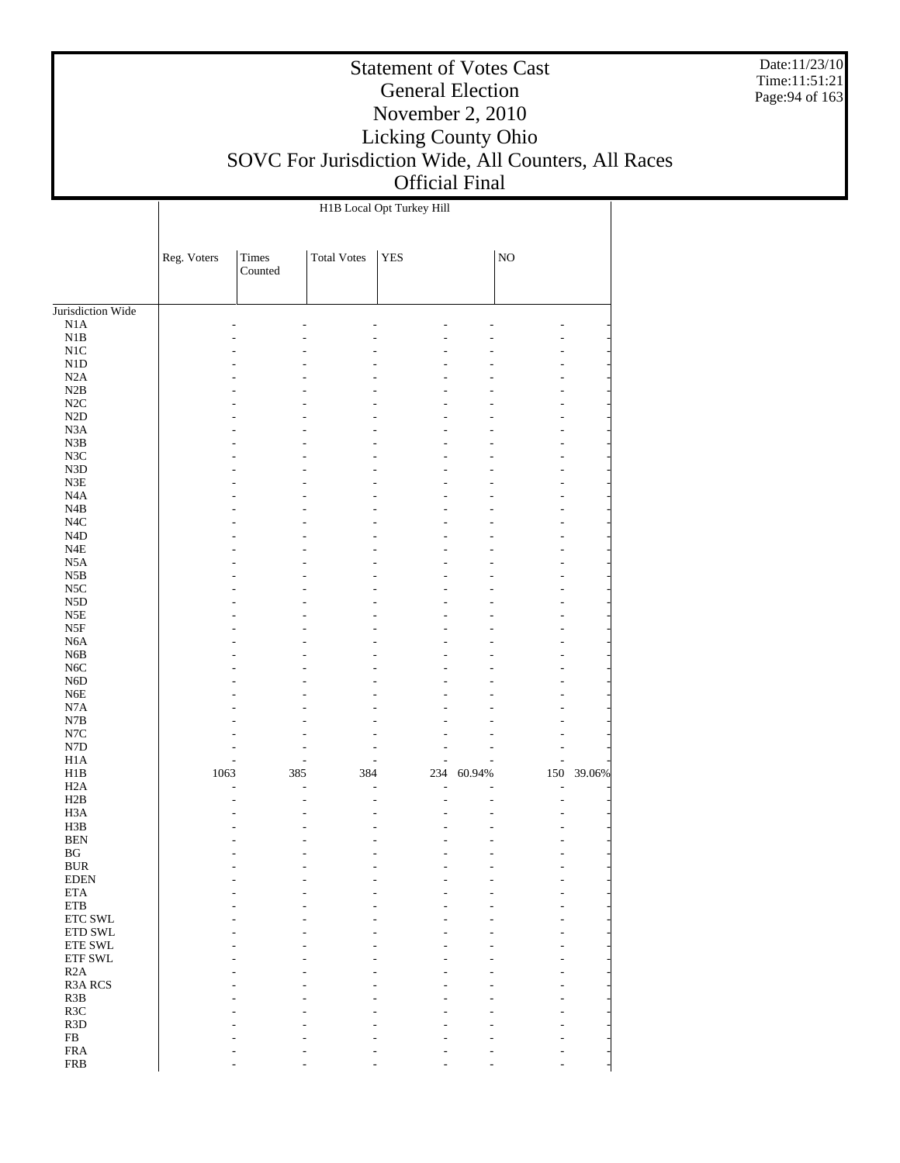Date:11/23/10 Time:11:51:21 Page:94 of 163

#### Statement of Votes Cast General Election November 2, 2010 Licking County Ohio SOVC For Jurisdiction Wide, All Counters, All Races Official Final

H1B Local Opt Turkey Hill

Jurisdiction Wide N1A N1B N1C N1D N2A N2B N2C N2D N3A N3B N3C N3D N3E N4A N4B N4C N4D N4E N5A N5B N5C N5D N5E N5F N6A N6B N6C N6D N6E N7A N7B N7C N7D H1A H1B H2A H2B H3A H3B BEN BG BUR EDEN ETA ETB ETC SWL ETD SWL ETE SWL ETF SWL R2A R3A RCS R3B R3C R3D FB FRA Reg. Voters | Times Counted Total Votes | YES | NO - - - - - - - - - - - - - - - - - - - - - - - - - - - - - - - - - - - - - - - - - - - - - - - - - - - - - - - - - - - - - - - - - - - - - - - - - - - - - - - - - - - - - - - - - - - - - - - - - - - - - - - - - - - - - - - - - - - - - - - - - - - - - - - - - - - - - - - - - - - - - - - - - - - - - - - - - - - - - - - - - - - - - - - - - - - - - - - - - - - - - - - - - - - - - - - - - - - - - - - - - - - - - - - - - - - - - - - - - - - - - - - - - - - - - - - - - - - - - - 1063 385 384 234 60.94% 150 39.06% - - - - - - - - - - - - - - - - - - - - - - - - - - - - - - - - - - - - - - - - - - - - - - - - - - - - - - - - - - - - - - - - - - - - - - - - - - - - - - - - - - - - - - - - - - - - - - - - - - - - - - - - - - - - - - - - - - - - - - - - - - - - - - - - - - - - - - - - - - - -

- - - - - - - - - - - - - -

FRB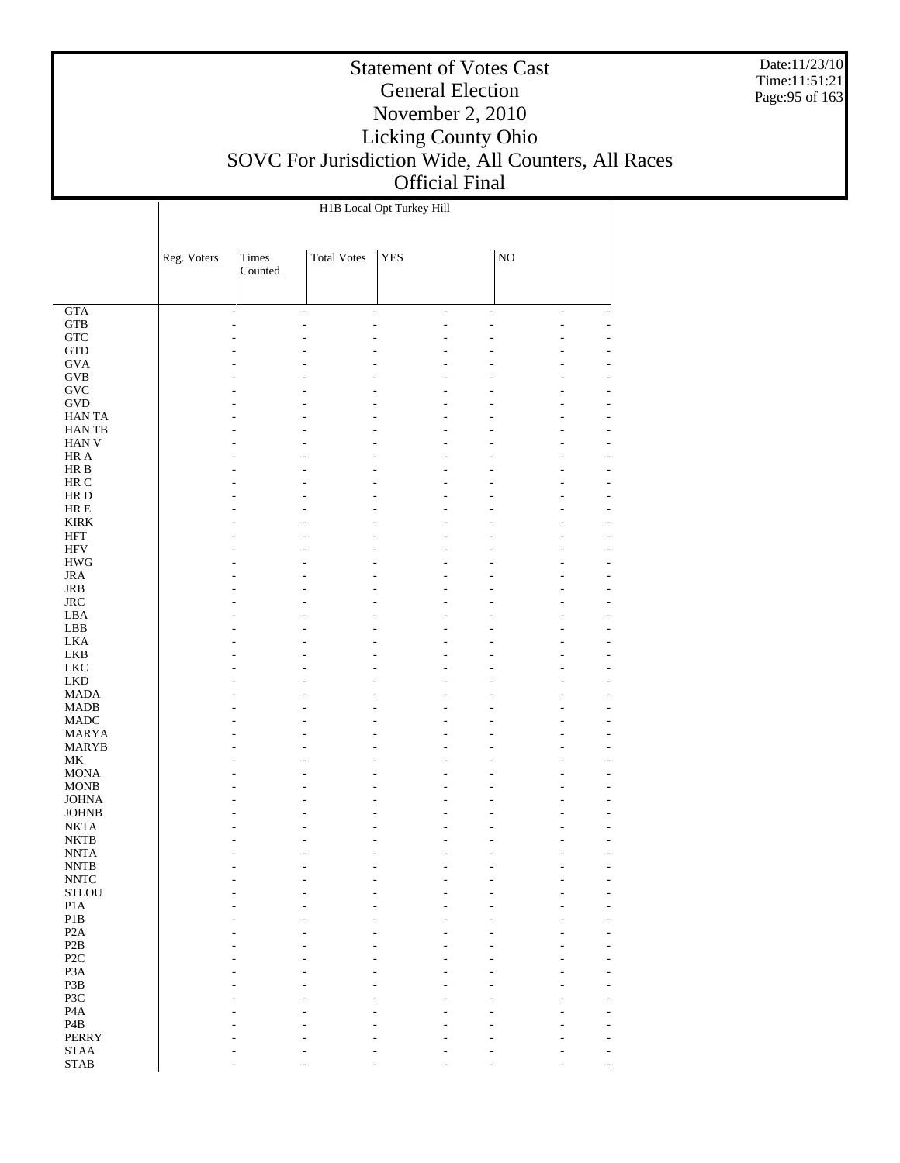Date:11/23/10 Time:11:51:21 Page:95 of 163

#### Statement of Votes Cast General Election November 2, 2010 Licking County Ohio SOVC For Jurisdiction Wide, All Counters, All Races Official Final

 GTA GTB **GTC**  GTD GVA GVB GVC GVD HAN TA HAN TB HAN V HR A HR B HR C HR D HR E KIRK HFT HFV HWG JRA JRB JRC LBA LBB LKA LKB LKC LKD MADA MADB MADC MARYA MARYB MK MONA MONB JOHNA JOHNB NKTA NKTB NNTA NNTB NNTC **STLOU**  P1A P1B P2A P2B P2C P3A P3B P3C P4A P4B PERRY STAA Reg. Voters | Times Counted Total Votes | YES | NO H1B Local Opt Turkey Hill - - - - - - - - - - - - - - - - - - - - - - - - - - - - - - - - - - - - - - - - - - - - - - - - - - - - - - - - - - - - - - - - - - - - - - - - - - - - - - - - - - - - - - - - - - - - - - - - - - - - - - - - - - - - - - - - - - - - - - - - - - - - - - - - - - - - - - - - - - - - - - - - - - - - - - - - - - - - - - - - - - - - - - - - - - - - - - - - - - - - - - - - - - - - - - - - - - - - - - - - - - - - - - - - - - - - - - - - - - - - - - - - - - - - - - - - - - - - - - - - - - - - - - - - - - - - - - - - - - - - - - - - - - - - - - - - - - - - - - - - - - - - - - - - - - - - - - - - - - - - - - - - - - - - - - - - - - - - - - - - - - - - - - - - - - - - - - - - - - - - - - - - - - - - - - - - - - - - - - - - - - - - - - - - - - - - - - - - - - - - - - - - - - - - - - - - - - - - - - -

- - - - - - -

STAB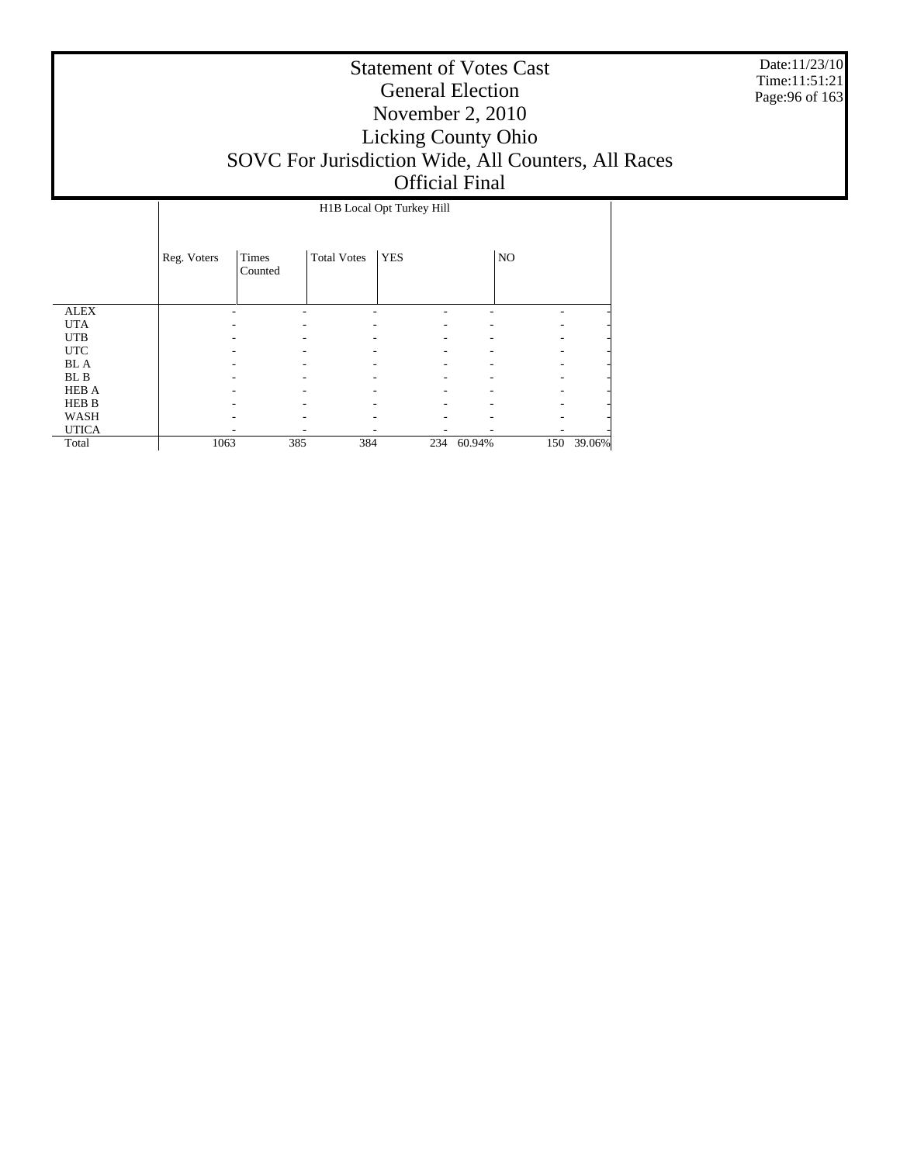Date:11/23/10 Time:11:51:21 Page:96 of 163

|              |             | H1B Local Opt Turkey Hill |                    |            |            |     |        |  |  |
|--------------|-------------|---------------------------|--------------------|------------|------------|-----|--------|--|--|
|              | Reg. Voters | Times<br>Counted          | <b>Total Votes</b> | <b>YES</b> |            | NO  |        |  |  |
| <b>ALEX</b>  |             |                           |                    |            |            |     |        |  |  |
| <b>UTA</b>   |             |                           |                    |            |            |     |        |  |  |
| <b>UTB</b>   |             |                           |                    |            |            |     |        |  |  |
| <b>UTC</b>   |             |                           |                    |            |            |     |        |  |  |
| <b>BL</b> A  |             |                           |                    |            |            |     |        |  |  |
| BL B         |             |                           |                    |            |            |     |        |  |  |
| <b>HEB A</b> |             |                           |                    |            |            |     |        |  |  |
| HEB B        |             |                           |                    |            |            |     |        |  |  |
| WASH         |             |                           |                    |            |            |     |        |  |  |
| <b>UTICA</b> |             |                           |                    |            |            |     |        |  |  |
| Total        | 1063        | 385                       | 384                |            | 234 60.94% | 150 | 39.06% |  |  |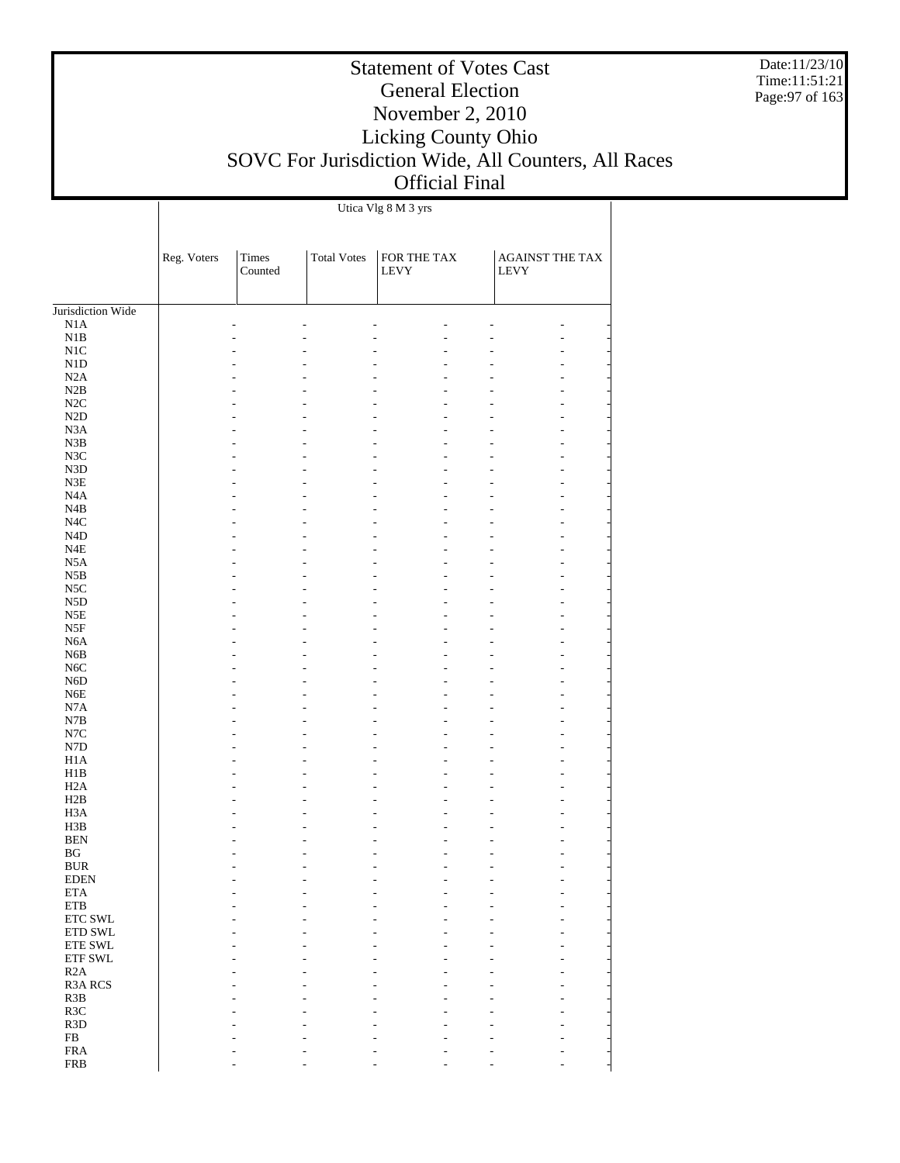Date:11/23/10 Time:11:51:21 Page:97 of 163

# Statement of Votes Cast General Election November 2, 2010 Licking County Ohio SOVC For Jurisdiction Wide, All Counters, All Races Official Final

 $\overline{\phantom{a}}$ 

Utica Vlg 8 M 3 yrs

 $\overline{1}$ 

|                             | Reg. Voters | <b>Times</b><br>Counted | <b>Total Votes</b> | FOR THE TAX<br>LEVY | LEVY | AGAINST THE TAX |
|-----------------------------|-------------|-------------------------|--------------------|---------------------|------|-----------------|
| Jurisdiction Wide           |             |                         |                    |                     |      |                 |
| $_{\rm N1A}$                |             |                         |                    |                     |      |                 |
| $\rm N1B$                   |             |                         |                    |                     |      |                 |
| $\rm N1C$                   |             |                         |                    |                     |      |                 |
| $\rm N1D$                   |             |                         |                    |                     |      |                 |
| N2A                         |             |                         |                    |                     |      |                 |
| N2B                         |             |                         |                    |                     |      | L,              |
| $\rm N2C$                   |             |                         |                    |                     |      | L,              |
| $\rm N2D$<br>N3A            |             |                         |                    |                     |      |                 |
| N3B                         |             |                         |                    |                     |      | L,<br>L,        |
| $_{\rm N3C}$                |             |                         |                    |                     |      | L,              |
| ${\rm N3D}$                 |             |                         |                    |                     |      |                 |
| $\ensuremath{\mathsf{N3E}}$ |             |                         |                    |                     |      | L,              |
| $_{\mathrm{N4A}}$           |             |                         |                    |                     |      | L,              |
| N4B                         |             |                         |                    |                     |      | L,              |
| $_{\mathrm{N4C}}$           |             |                         |                    |                     |      |                 |
| $\rm N4D$                   |             |                         |                    |                     |      | L,              |
| $_{\rm N4E}$                |             |                         |                    |                     |      | L,              |
| N <sub>5</sub> A            |             |                         |                    |                     |      | L,              |
| N5B                         |             |                         |                    |                     |      |                 |
| $_{\rm NSC}$                |             |                         |                    |                     |      | L,              |
| ${\rm N5D}$                 |             |                         |                    |                     |      | L,              |
| $_{\rm N5E}$<br>N5F         |             |                         |                    |                     |      | L,              |
| N <sub>6</sub> A            |             |                         |                    |                     |      | L,              |
| N <sub>6</sub> B            |             |                         |                    |                     |      | L,              |
| $_{\mathrm{N6C}}$           |             |                         |                    |                     |      | L,              |
| N <sub>6</sub> D            |             |                         |                    |                     |      |                 |
| N <sub>6</sub> E            |             |                         |                    |                     |      | L,              |
| $_{\rm N7A}$                |             |                         |                    |                     |      | L,              |
| $_{\rm N7B}$                |             |                         |                    |                     |      | L,              |
| N7C                         |             |                         |                    |                     |      |                 |
| ${\rm N7D}$                 |             |                         |                    |                     |      | L,              |
| H1A                         |             |                         |                    |                     |      | L,              |
| H1B                         |             |                         |                    |                     |      | L,              |
| H2A<br>H2B                  |             |                         |                    |                     |      |                 |
| H <sub>3</sub> A            |             |                         |                    |                     |      | L,<br>L,        |
| H3B                         |             |                         |                    |                     |      | L,              |
| <b>BEN</b>                  |             |                         |                    |                     |      |                 |
| BG                          |             |                         |                    |                     |      |                 |
| <b>BUR</b>                  |             |                         |                    |                     |      | $\overline{a}$  |
| <b>EDEN</b>                 |             |                         |                    |                     |      |                 |
| $\rm ETA$                   |             |                         |                    |                     |      |                 |
| ${\tt ETB}$                 |             |                         |                    |                     |      |                 |
| ETC SWL                     |             |                         |                    |                     |      |                 |
| ETD SWL                     |             |                         |                    |                     |      |                 |
| ETE SWL                     |             |                         |                    |                     |      |                 |
| ${\rm ETF}$ SWL<br>R2A      |             |                         |                    |                     |      |                 |
| R3A RCS                     |             |                         |                    |                     |      |                 |
| R3B                         |             |                         |                    |                     |      |                 |
| R3C                         |             |                         |                    |                     |      |                 |
| R <sub>3</sub> D            |             |                         |                    |                     |      |                 |
| ${\rm FB}$                  |             |                         |                    |                     |      |                 |
| ${\rm FRA}$                 |             |                         |                    |                     |      |                 |
| <b>FRB</b>                  |             |                         |                    |                     |      |                 |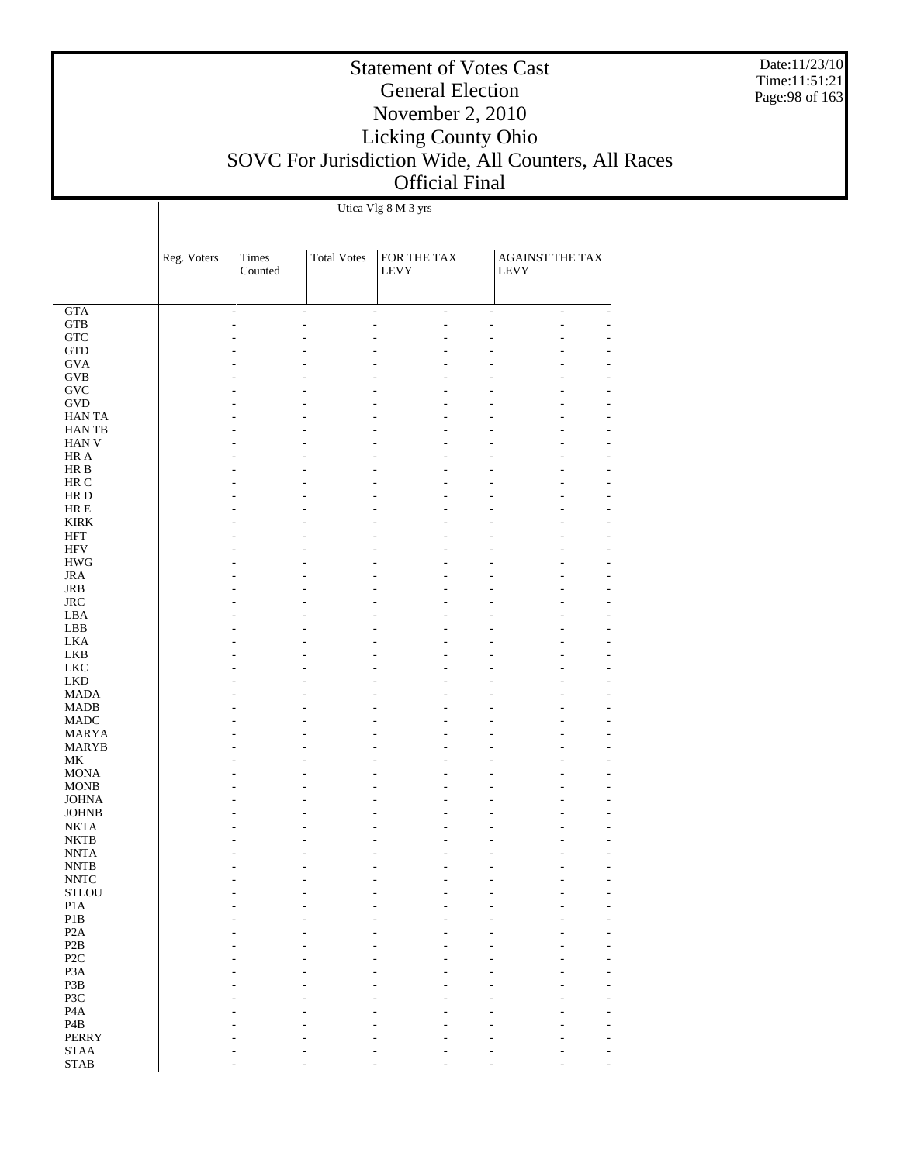Date:11/23/10 Time:11:51:21 Page:98 of 163

# Statement of Votes Cast General Election November 2, 2010 Licking County Ohio SOVC For Jurisdiction Wide, All Counters, All Races Official Final

Utica Vlg 8 M 3 yrs

 $\mathbf{I}$ 

|                                       | Reg. Voters | Times<br>Counted | <b>Total Votes</b> | FOR THE TAX<br>LEVY            | <b>AGAINST THE TAX</b><br><b>LEVY</b> |
|---------------------------------------|-------------|------------------|--------------------|--------------------------------|---------------------------------------|
| GTA                                   |             | $\overline{a}$   | $\frac{1}{2}$      | $\frac{1}{2}$<br>$\frac{1}{2}$ | $\frac{1}{2}$<br>$\overline{a}$       |
| <b>GTB</b>                            |             |                  | $\overline{a}$     | Ĭ.<br>$\overline{a}$           | $\overline{a}$                        |
| <b>GTC</b>                            |             |                  |                    |                                |                                       |
| $\operatorname{GTD}$                  |             |                  |                    |                                |                                       |
| <b>GVA</b>                            |             |                  |                    |                                |                                       |
| $\rm GVB$<br>$\operatorname{GVC}$     |             |                  |                    |                                |                                       |
| <b>GVD</b>                            |             |                  |                    |                                |                                       |
| HAN TA                                |             |                  |                    |                                |                                       |
| HAN TB                                |             |                  |                    |                                |                                       |
| HAN V                                 |             |                  |                    |                                |                                       |
| HR A<br>$\rm HR\ B$                   |             |                  |                    |                                |                                       |
| $\rm{HR}$ C                           |             |                  |                    |                                |                                       |
| $\rm HR$ D                            |             |                  |                    |                                |                                       |
| ${\rm HR} \to$                        |             |                  |                    |                                |                                       |
| <b>KIRK</b>                           |             |                  |                    |                                |                                       |
| <b>HFT</b>                            |             |                  |                    |                                |                                       |
| <b>HFV</b><br>$\rm HWG$               |             |                  |                    |                                |                                       |
| $_{\rm JRA}$                          |             |                  |                    |                                |                                       |
| JRB                                   |             |                  |                    |                                |                                       |
| <b>JRC</b>                            |             |                  |                    |                                |                                       |
| LBA                                   |             |                  |                    |                                |                                       |
| ${\rm LBB}$                           |             |                  |                    |                                |                                       |
| <b>LKA</b>                            |             |                  |                    |                                |                                       |
| LKB<br><b>LKC</b>                     |             |                  |                    |                                |                                       |
| <b>LKD</b>                            |             |                  |                    |                                |                                       |
| <b>MADA</b>                           |             |                  |                    |                                |                                       |
| <b>MADB</b>                           |             |                  |                    |                                |                                       |
| <b>MADC</b>                           |             |                  |                    |                                |                                       |
| MARYA                                 |             |                  |                    |                                |                                       |
| <b>MARYB</b><br>MK                    |             |                  |                    |                                |                                       |
| <b>MONA</b>                           |             |                  |                    |                                |                                       |
| <b>MONB</b>                           |             |                  |                    |                                |                                       |
| <b>JOHNA</b>                          |             |                  |                    |                                |                                       |
| <b>JOHNB</b>                          |             |                  |                    |                                |                                       |
| <b>NKTA</b>                           |             |                  |                    |                                |                                       |
| <b>NKTB</b><br><b>NNTA</b>            |             |                  |                    |                                |                                       |
| <b>NNTB</b>                           |             |                  |                    |                                |                                       |
| $\ensuremath{\text{NNTC}}$            |             |                  |                    |                                |                                       |
| $\operatorname{\mathsf{STLOU}}$       |             |                  |                    |                                |                                       |
| $\rm{P1A}$                            |             |                  |                    |                                |                                       |
| P1B                                   |             |                  |                    |                                |                                       |
| P2A                                   |             |                  |                    |                                |                                       |
| P2B<br>$\ensuremath{\mathsf{P2C}}$    |             |                  |                    |                                |                                       |
| P <sub>3</sub> A                      |             |                  |                    |                                |                                       |
| P3B                                   |             |                  |                    |                                |                                       |
| P3C                                   |             |                  |                    |                                |                                       |
| $\rm PA$                              |             |                  |                    |                                |                                       |
| $\mathbf{P4B}$                        |             |                  |                    |                                |                                       |
| <b>PERRY</b><br>$\operatorname{STAA}$ |             |                  |                    |                                |                                       |
| <b>STAB</b>                           |             |                  |                    |                                |                                       |
|                                       |             |                  |                    |                                |                                       |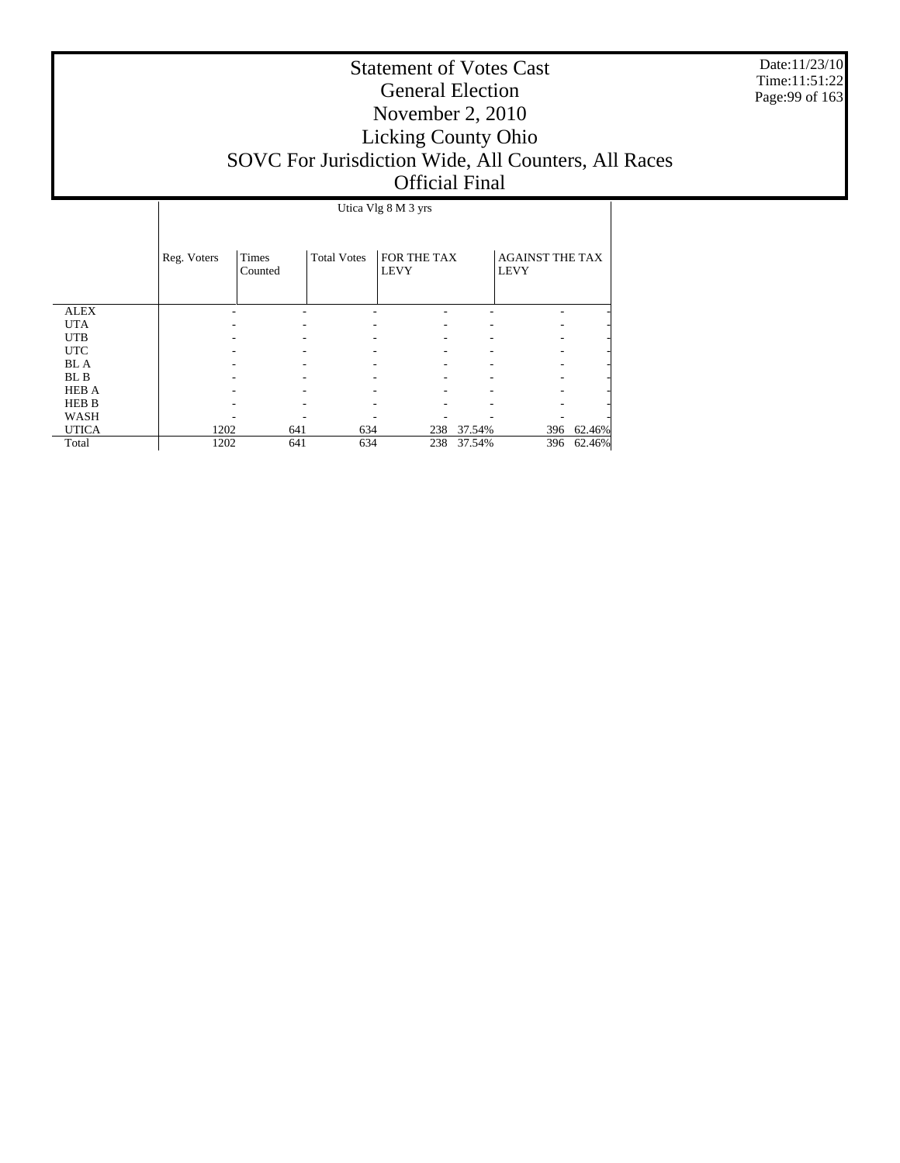Date:11/23/10 Time:11:51:22 Page:99 of 163

|              |             |                         |                    | Utica Vlg 8 M 3 yrs        |        |                                       |        |
|--------------|-------------|-------------------------|--------------------|----------------------------|--------|---------------------------------------|--------|
|              | Reg. Voters | <b>Times</b><br>Counted | <b>Total Votes</b> | FOR THE TAX<br><b>LEVY</b> |        | <b>AGAINST THE TAX</b><br><b>LEVY</b> |        |
| <b>ALEX</b>  |             |                         |                    |                            |        |                                       |        |
| <b>UTA</b>   |             |                         |                    |                            |        |                                       |        |
| <b>UTB</b>   |             |                         |                    |                            |        |                                       | ٠      |
| <b>UTC</b>   |             |                         |                    |                            |        |                                       | ٠      |
| <b>BL</b> A  |             |                         |                    |                            |        |                                       |        |
| BL B         |             |                         |                    |                            |        |                                       |        |
| <b>HEB A</b> |             |                         |                    |                            |        |                                       |        |
| <b>HEB B</b> |             |                         |                    |                            |        |                                       |        |
| WASH         |             |                         |                    |                            |        |                                       |        |
| <b>UTICA</b> | 1202        | 641                     | 634                | 238                        | 37.54% | 396                                   | 62.46% |
| Total        | 1202        | 641                     | 634                | 238                        | 37.54% | 396                                   | 62.46% |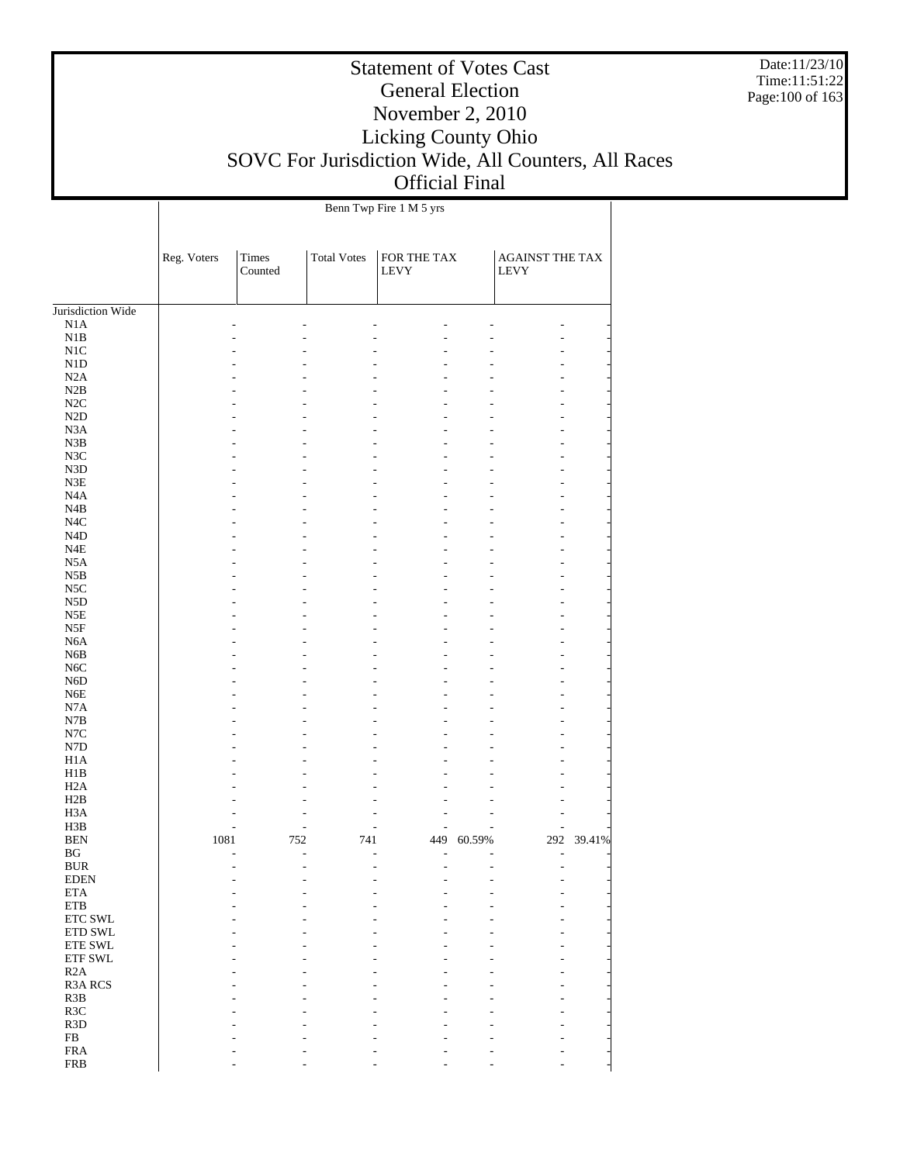Date:11/23/10 Time:11:51:22 Page:100 of 163

# Statement of Votes Cast General Election November 2, 2010 Licking County Ohio SOVC For Jurisdiction Wide, All Counters, All Races Official Final

 $\overline{\phantom{a}}$ 

Benn Twp Fire 1 M 5 yrs

 $\overline{1}$ 

| <b>Times</b><br><b>Total Votes</b><br>FOR THE TAX<br><b>AGAINST THE TAX</b><br>Reg. Voters<br>Counted<br>LEVY<br>LEVY<br>Jurisdiction Wide<br>N1A<br>$_{\rm N1B}$<br>$\rm N1C$<br>${\rm N1D}$<br>N2A<br>N2B<br>$\rm N2C$<br>$\rm N2D$<br>N <sub>3</sub> A<br>N3B<br>N3C<br>N3D<br>${\rm N3E}$<br>N <sub>4</sub> A<br>N4B<br>$_{\mathrm{N4C}}$<br>N <sub>4</sub> D<br>N4E<br>N <sub>5</sub> A<br>N5B<br>$_{\rm NSC}$<br>N <sub>5</sub> D<br>N5E<br>N5F<br>N <sub>6</sub> A<br>N <sub>6</sub> B<br>N <sub>6</sub> C<br>N <sub>6</sub> D<br>N <sub>6</sub> E<br>N7A<br>N7B<br>$_{\mathrm{N7C}}$<br>${\rm N7D}$<br>H <sub>1</sub> A<br>H1B<br>H2A<br>H2B<br>H <sub>3</sub> A<br>H3B<br>1081<br>292 39.41%<br><b>BEN</b><br>752<br>741<br>449<br>60.59%<br>BG<br>$\overline{a}$<br><b>BUR</b><br><b>EDEN</b><br>$\rm ETA$<br>$\rm ETB$<br>ETC SWL<br>ETD SWL<br><b>ETE SWL</b><br>$\operatorname{ETF}$ SWL<br>R2A<br><b>R3A RCS</b><br>R <sub>3</sub> B<br>R3C<br>R <sub>3</sub> D<br>${\rm FB}$<br>${\rm FRA}$<br><b>FRB</b> |  |  |  |  |
|--------------------------------------------------------------------------------------------------------------------------------------------------------------------------------------------------------------------------------------------------------------------------------------------------------------------------------------------------------------------------------------------------------------------------------------------------------------------------------------------------------------------------------------------------------------------------------------------------------------------------------------------------------------------------------------------------------------------------------------------------------------------------------------------------------------------------------------------------------------------------------------------------------------------------------------------------------------------------------------------------------------------------|--|--|--|--|
|                                                                                                                                                                                                                                                                                                                                                                                                                                                                                                                                                                                                                                                                                                                                                                                                                                                                                                                                                                                                                          |  |  |  |  |
|                                                                                                                                                                                                                                                                                                                                                                                                                                                                                                                                                                                                                                                                                                                                                                                                                                                                                                                                                                                                                          |  |  |  |  |
|                                                                                                                                                                                                                                                                                                                                                                                                                                                                                                                                                                                                                                                                                                                                                                                                                                                                                                                                                                                                                          |  |  |  |  |
|                                                                                                                                                                                                                                                                                                                                                                                                                                                                                                                                                                                                                                                                                                                                                                                                                                                                                                                                                                                                                          |  |  |  |  |
|                                                                                                                                                                                                                                                                                                                                                                                                                                                                                                                                                                                                                                                                                                                                                                                                                                                                                                                                                                                                                          |  |  |  |  |
|                                                                                                                                                                                                                                                                                                                                                                                                                                                                                                                                                                                                                                                                                                                                                                                                                                                                                                                                                                                                                          |  |  |  |  |
|                                                                                                                                                                                                                                                                                                                                                                                                                                                                                                                                                                                                                                                                                                                                                                                                                                                                                                                                                                                                                          |  |  |  |  |
|                                                                                                                                                                                                                                                                                                                                                                                                                                                                                                                                                                                                                                                                                                                                                                                                                                                                                                                                                                                                                          |  |  |  |  |
|                                                                                                                                                                                                                                                                                                                                                                                                                                                                                                                                                                                                                                                                                                                                                                                                                                                                                                                                                                                                                          |  |  |  |  |
|                                                                                                                                                                                                                                                                                                                                                                                                                                                                                                                                                                                                                                                                                                                                                                                                                                                                                                                                                                                                                          |  |  |  |  |
|                                                                                                                                                                                                                                                                                                                                                                                                                                                                                                                                                                                                                                                                                                                                                                                                                                                                                                                                                                                                                          |  |  |  |  |
|                                                                                                                                                                                                                                                                                                                                                                                                                                                                                                                                                                                                                                                                                                                                                                                                                                                                                                                                                                                                                          |  |  |  |  |
|                                                                                                                                                                                                                                                                                                                                                                                                                                                                                                                                                                                                                                                                                                                                                                                                                                                                                                                                                                                                                          |  |  |  |  |
|                                                                                                                                                                                                                                                                                                                                                                                                                                                                                                                                                                                                                                                                                                                                                                                                                                                                                                                                                                                                                          |  |  |  |  |
|                                                                                                                                                                                                                                                                                                                                                                                                                                                                                                                                                                                                                                                                                                                                                                                                                                                                                                                                                                                                                          |  |  |  |  |
|                                                                                                                                                                                                                                                                                                                                                                                                                                                                                                                                                                                                                                                                                                                                                                                                                                                                                                                                                                                                                          |  |  |  |  |
|                                                                                                                                                                                                                                                                                                                                                                                                                                                                                                                                                                                                                                                                                                                                                                                                                                                                                                                                                                                                                          |  |  |  |  |
|                                                                                                                                                                                                                                                                                                                                                                                                                                                                                                                                                                                                                                                                                                                                                                                                                                                                                                                                                                                                                          |  |  |  |  |
|                                                                                                                                                                                                                                                                                                                                                                                                                                                                                                                                                                                                                                                                                                                                                                                                                                                                                                                                                                                                                          |  |  |  |  |
|                                                                                                                                                                                                                                                                                                                                                                                                                                                                                                                                                                                                                                                                                                                                                                                                                                                                                                                                                                                                                          |  |  |  |  |
|                                                                                                                                                                                                                                                                                                                                                                                                                                                                                                                                                                                                                                                                                                                                                                                                                                                                                                                                                                                                                          |  |  |  |  |
|                                                                                                                                                                                                                                                                                                                                                                                                                                                                                                                                                                                                                                                                                                                                                                                                                                                                                                                                                                                                                          |  |  |  |  |
|                                                                                                                                                                                                                                                                                                                                                                                                                                                                                                                                                                                                                                                                                                                                                                                                                                                                                                                                                                                                                          |  |  |  |  |
|                                                                                                                                                                                                                                                                                                                                                                                                                                                                                                                                                                                                                                                                                                                                                                                                                                                                                                                                                                                                                          |  |  |  |  |
|                                                                                                                                                                                                                                                                                                                                                                                                                                                                                                                                                                                                                                                                                                                                                                                                                                                                                                                                                                                                                          |  |  |  |  |
|                                                                                                                                                                                                                                                                                                                                                                                                                                                                                                                                                                                                                                                                                                                                                                                                                                                                                                                                                                                                                          |  |  |  |  |
|                                                                                                                                                                                                                                                                                                                                                                                                                                                                                                                                                                                                                                                                                                                                                                                                                                                                                                                                                                                                                          |  |  |  |  |
|                                                                                                                                                                                                                                                                                                                                                                                                                                                                                                                                                                                                                                                                                                                                                                                                                                                                                                                                                                                                                          |  |  |  |  |
|                                                                                                                                                                                                                                                                                                                                                                                                                                                                                                                                                                                                                                                                                                                                                                                                                                                                                                                                                                                                                          |  |  |  |  |
|                                                                                                                                                                                                                                                                                                                                                                                                                                                                                                                                                                                                                                                                                                                                                                                                                                                                                                                                                                                                                          |  |  |  |  |
|                                                                                                                                                                                                                                                                                                                                                                                                                                                                                                                                                                                                                                                                                                                                                                                                                                                                                                                                                                                                                          |  |  |  |  |
|                                                                                                                                                                                                                                                                                                                                                                                                                                                                                                                                                                                                                                                                                                                                                                                                                                                                                                                                                                                                                          |  |  |  |  |
|                                                                                                                                                                                                                                                                                                                                                                                                                                                                                                                                                                                                                                                                                                                                                                                                                                                                                                                                                                                                                          |  |  |  |  |
|                                                                                                                                                                                                                                                                                                                                                                                                                                                                                                                                                                                                                                                                                                                                                                                                                                                                                                                                                                                                                          |  |  |  |  |
|                                                                                                                                                                                                                                                                                                                                                                                                                                                                                                                                                                                                                                                                                                                                                                                                                                                                                                                                                                                                                          |  |  |  |  |
|                                                                                                                                                                                                                                                                                                                                                                                                                                                                                                                                                                                                                                                                                                                                                                                                                                                                                                                                                                                                                          |  |  |  |  |
|                                                                                                                                                                                                                                                                                                                                                                                                                                                                                                                                                                                                                                                                                                                                                                                                                                                                                                                                                                                                                          |  |  |  |  |
|                                                                                                                                                                                                                                                                                                                                                                                                                                                                                                                                                                                                                                                                                                                                                                                                                                                                                                                                                                                                                          |  |  |  |  |
|                                                                                                                                                                                                                                                                                                                                                                                                                                                                                                                                                                                                                                                                                                                                                                                                                                                                                                                                                                                                                          |  |  |  |  |
|                                                                                                                                                                                                                                                                                                                                                                                                                                                                                                                                                                                                                                                                                                                                                                                                                                                                                                                                                                                                                          |  |  |  |  |
|                                                                                                                                                                                                                                                                                                                                                                                                                                                                                                                                                                                                                                                                                                                                                                                                                                                                                                                                                                                                                          |  |  |  |  |
|                                                                                                                                                                                                                                                                                                                                                                                                                                                                                                                                                                                                                                                                                                                                                                                                                                                                                                                                                                                                                          |  |  |  |  |
|                                                                                                                                                                                                                                                                                                                                                                                                                                                                                                                                                                                                                                                                                                                                                                                                                                                                                                                                                                                                                          |  |  |  |  |
|                                                                                                                                                                                                                                                                                                                                                                                                                                                                                                                                                                                                                                                                                                                                                                                                                                                                                                                                                                                                                          |  |  |  |  |
|                                                                                                                                                                                                                                                                                                                                                                                                                                                                                                                                                                                                                                                                                                                                                                                                                                                                                                                                                                                                                          |  |  |  |  |
|                                                                                                                                                                                                                                                                                                                                                                                                                                                                                                                                                                                                                                                                                                                                                                                                                                                                                                                                                                                                                          |  |  |  |  |
|                                                                                                                                                                                                                                                                                                                                                                                                                                                                                                                                                                                                                                                                                                                                                                                                                                                                                                                                                                                                                          |  |  |  |  |
|                                                                                                                                                                                                                                                                                                                                                                                                                                                                                                                                                                                                                                                                                                                                                                                                                                                                                                                                                                                                                          |  |  |  |  |
|                                                                                                                                                                                                                                                                                                                                                                                                                                                                                                                                                                                                                                                                                                                                                                                                                                                                                                                                                                                                                          |  |  |  |  |
|                                                                                                                                                                                                                                                                                                                                                                                                                                                                                                                                                                                                                                                                                                                                                                                                                                                                                                                                                                                                                          |  |  |  |  |
|                                                                                                                                                                                                                                                                                                                                                                                                                                                                                                                                                                                                                                                                                                                                                                                                                                                                                                                                                                                                                          |  |  |  |  |
|                                                                                                                                                                                                                                                                                                                                                                                                                                                                                                                                                                                                                                                                                                                                                                                                                                                                                                                                                                                                                          |  |  |  |  |
|                                                                                                                                                                                                                                                                                                                                                                                                                                                                                                                                                                                                                                                                                                                                                                                                                                                                                                                                                                                                                          |  |  |  |  |
|                                                                                                                                                                                                                                                                                                                                                                                                                                                                                                                                                                                                                                                                                                                                                                                                                                                                                                                                                                                                                          |  |  |  |  |
|                                                                                                                                                                                                                                                                                                                                                                                                                                                                                                                                                                                                                                                                                                                                                                                                                                                                                                                                                                                                                          |  |  |  |  |
|                                                                                                                                                                                                                                                                                                                                                                                                                                                                                                                                                                                                                                                                                                                                                                                                                                                                                                                                                                                                                          |  |  |  |  |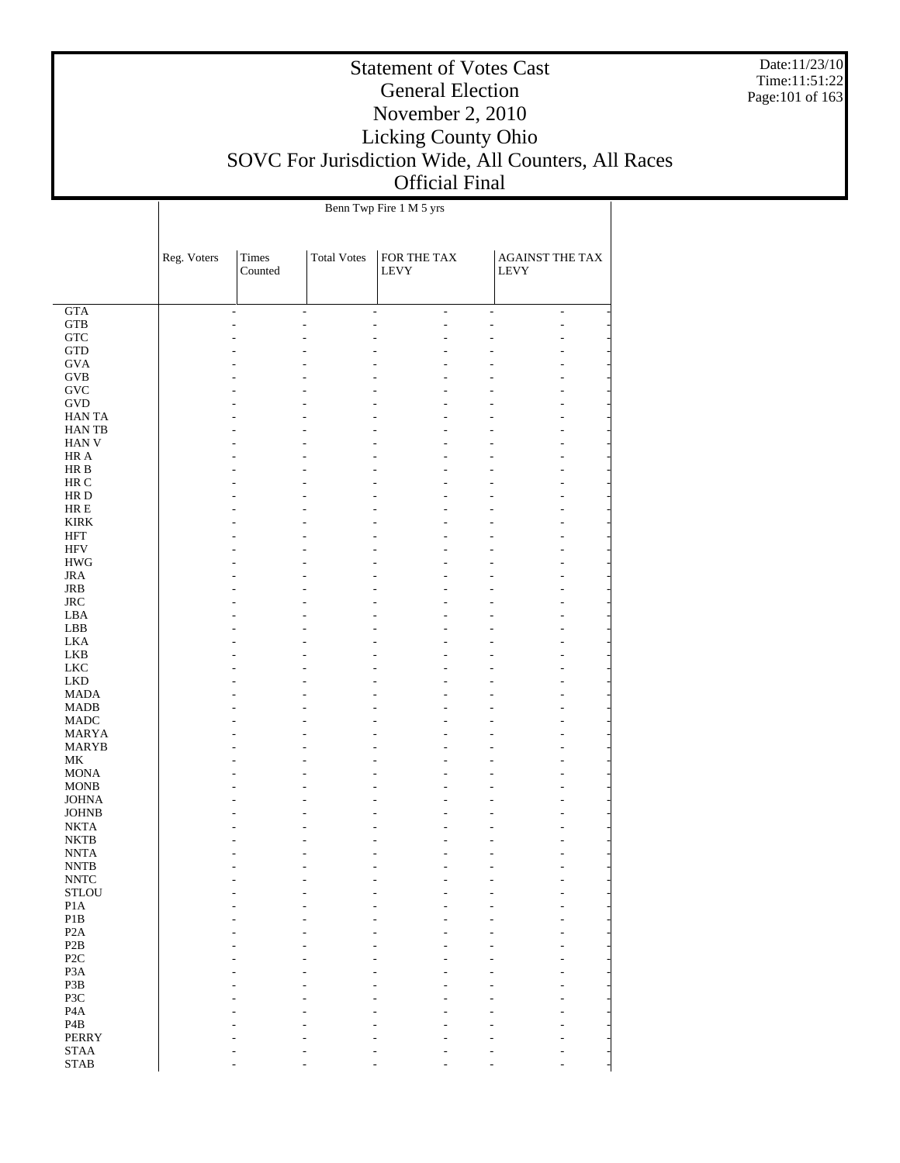Date:11/23/10 Time:11:51:22 Page:101 of 163

### Statement of Votes Cast General Election November 2, 2010 Licking County Ohio SOVC For Jurisdiction Wide, All Counters, All Races Official Final

 $\overline{\phantom{a}}$ 

| Benn Twp Fire 1 M 5 yrs |
|-------------------------|

 $\overline{1}$ 

|                            | Reg. Voters | Times<br>Counted | <b>Total Votes</b> | FOR THE TAX<br>LEVY             | AGAINST THE TAX<br><b>LEVY</b>             |  |
|----------------------------|-------------|------------------|--------------------|---------------------------------|--------------------------------------------|--|
| $\overline{GTA}$           |             | $\overline{a}$   | $\frac{1}{2}$      | $\overline{a}$<br>$\frac{1}{2}$ | $\overline{a}$<br>$\overline{\phantom{a}}$ |  |
| ${\rm GTB}$                |             |                  | L,                 |                                 | $\overline{a}$                             |  |
| ${\rm GTC}$                |             |                  |                    |                                 |                                            |  |
| $\operatorname{GTD}$       |             |                  |                    |                                 |                                            |  |
| <b>GVA</b>                 |             |                  |                    |                                 |                                            |  |
| $\rm GVB$                  |             |                  |                    |                                 |                                            |  |
| <b>GVC</b><br><b>GVD</b>   |             |                  |                    |                                 |                                            |  |
| <b>HANTA</b>               |             |                  |                    |                                 |                                            |  |
| HAN TB                     |             |                  |                    |                                 |                                            |  |
| HAN V                      |             |                  |                    |                                 |                                            |  |
| HR A                       |             |                  |                    |                                 |                                            |  |
| HR B                       |             |                  |                    |                                 |                                            |  |
| HR C                       |             |                  |                    |                                 |                                            |  |
| HR D                       |             |                  |                    |                                 |                                            |  |
| $\rm HR \ E$               |             |                  |                    |                                 |                                            |  |
| <b>KIRK</b>                |             |                  |                    |                                 |                                            |  |
| <b>HFT</b><br><b>HFV</b>   |             |                  |                    |                                 |                                            |  |
| $\rm HWG$                  |             |                  |                    |                                 |                                            |  |
| <b>JRA</b>                 |             |                  |                    |                                 |                                            |  |
| <b>JRB</b>                 |             |                  |                    |                                 |                                            |  |
| <b>JRC</b>                 |             |                  |                    |                                 |                                            |  |
| LBA                        |             |                  |                    |                                 |                                            |  |
| LBB                        |             |                  |                    |                                 |                                            |  |
| <b>LKA</b>                 |             |                  |                    |                                 |                                            |  |
| <b>LKB</b>                 |             |                  |                    |                                 |                                            |  |
| ${\rm LKC}$                |             |                  |                    |                                 |                                            |  |
| <b>LKD</b>                 |             |                  |                    |                                 |                                            |  |
| <b>MADA</b><br><b>MADB</b> |             |                  |                    |                                 |                                            |  |
| <b>MADC</b>                |             |                  |                    |                                 |                                            |  |
| <b>MARYA</b>               |             |                  |                    |                                 |                                            |  |
| <b>MARYB</b>               |             |                  |                    |                                 |                                            |  |
| MK                         |             |                  |                    |                                 |                                            |  |
| <b>MONA</b>                |             |                  |                    |                                 |                                            |  |
| <b>MONB</b>                |             |                  |                    |                                 |                                            |  |
| <b>JOHNA</b>               |             |                  |                    |                                 |                                            |  |
| <b>JOHNB</b>               |             |                  |                    |                                 |                                            |  |
| <b>NKTA</b><br><b>NKTB</b> |             |                  |                    |                                 |                                            |  |
| <b>NNTA</b>                |             |                  |                    |                                 |                                            |  |
| <b>NNTB</b>                |             |                  |                    |                                 | $\overline{a}$                             |  |
| <b>NNTC</b>                |             |                  |                    |                                 |                                            |  |
| <b>STLOU</b>               |             |                  |                    |                                 |                                            |  |
| $\rm{P1A}$                 |             |                  |                    |                                 |                                            |  |
| $\mathbf{P}1\mathbf{B}$    |             |                  |                    |                                 |                                            |  |
| P <sub>2</sub> A           |             |                  |                    |                                 |                                            |  |
| P2B                        |             |                  |                    |                                 |                                            |  |
| P <sub>2</sub> C           |             |                  |                    |                                 |                                            |  |
| P <sub>3</sub> A<br>P3B    |             |                  |                    |                                 |                                            |  |
| P3C                        |             |                  |                    |                                 |                                            |  |
| $\rm PA$                   |             |                  |                    |                                 |                                            |  |
| $\mathbf{P}4\mathbf{B}$    |             |                  |                    |                                 |                                            |  |
| PERRY                      |             |                  |                    |                                 |                                            |  |
| <b>STAA</b>                |             |                  |                    |                                 |                                            |  |
| <b>STAB</b>                |             |                  |                    |                                 |                                            |  |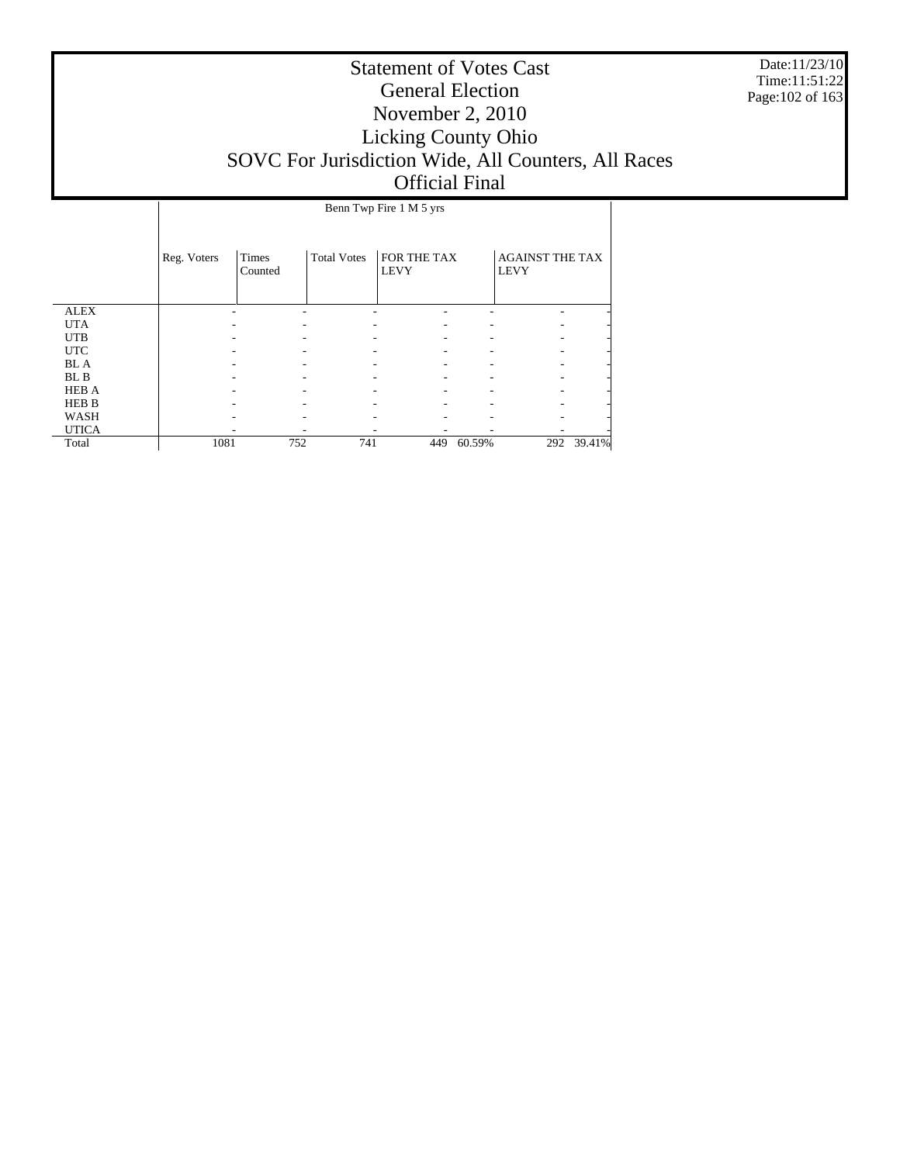Date:11/23/10 Time:11:51:22 Page:102 of 163

|              | Benn Twp Fire 1 M 5 yrs |                  |                    |                            |        |                                       |        |  |  |
|--------------|-------------------------|------------------|--------------------|----------------------------|--------|---------------------------------------|--------|--|--|
|              | Reg. Voters             | Times<br>Counted | <b>Total Votes</b> | FOR THE TAX<br><b>LEVY</b> |        | <b>AGAINST THE TAX</b><br><b>LEVY</b> |        |  |  |
| <b>ALEX</b>  |                         |                  |                    |                            |        |                                       |        |  |  |
| <b>UTA</b>   |                         |                  |                    |                            |        |                                       |        |  |  |
| <b>UTB</b>   |                         |                  |                    |                            |        |                                       |        |  |  |
| <b>UTC</b>   |                         |                  |                    |                            |        |                                       |        |  |  |
| <b>BL</b> A  |                         |                  |                    |                            |        |                                       |        |  |  |
| BL B         |                         |                  |                    |                            |        |                                       |        |  |  |
| <b>HEB A</b> |                         |                  |                    |                            |        |                                       |        |  |  |
| <b>HEB B</b> |                         |                  |                    |                            |        |                                       |        |  |  |
| WASH         |                         |                  |                    |                            |        |                                       |        |  |  |
| <b>UTICA</b> |                         |                  |                    |                            |        |                                       |        |  |  |
| Total        | 1081                    | 752              | 741                | 449                        | 60.59% | 292                                   | 39.41% |  |  |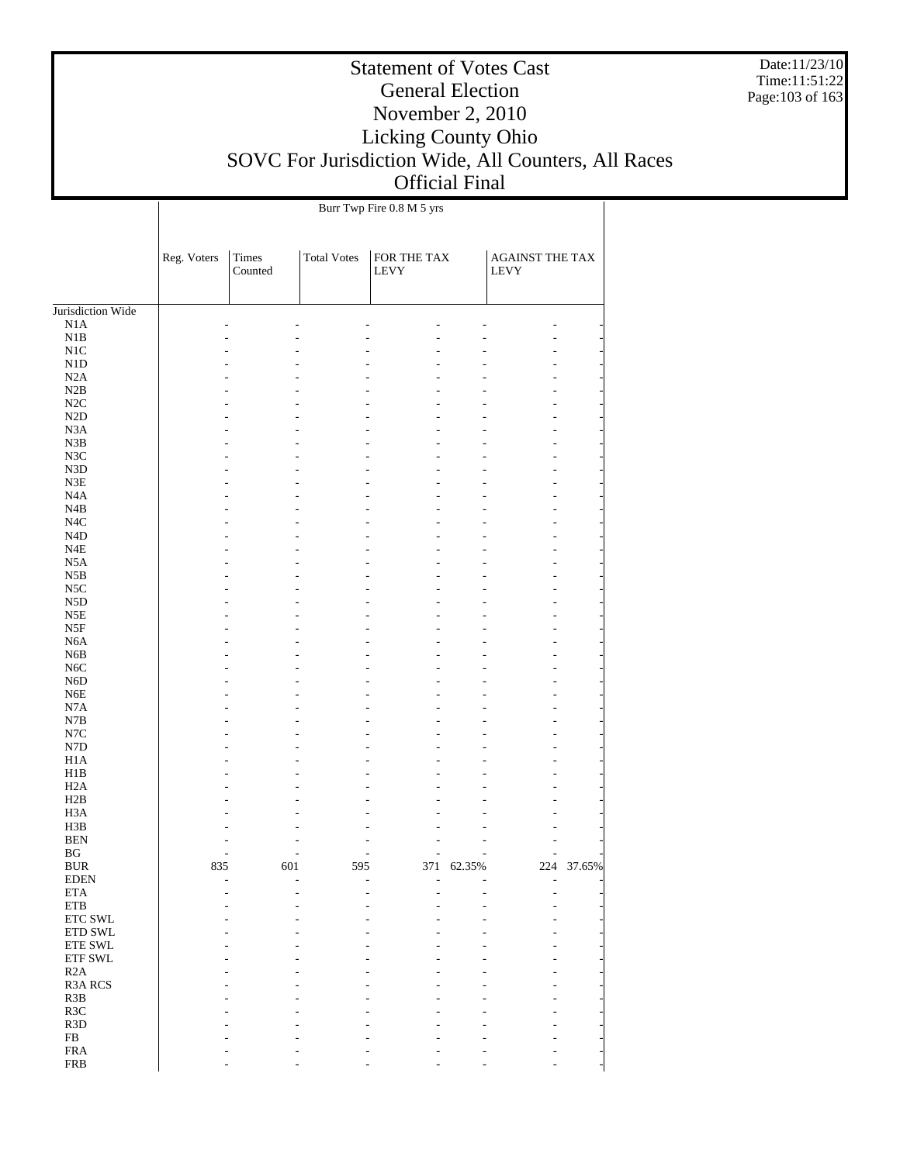Date:11/23/10 Time:11:51:22 Page:103 of 163

# Statement of Votes Cast General Election November 2, 2010 Licking County Ohio SOVC For Jurisdiction Wide, All Counters, All Races Official Final

 $\overline{1}$ 

Burr Twp Fire 0.8 M 5 yrs

 $\overline{1}$ 

|                                                 | Reg. Voters | Times<br>Counted | <b>Total Votes</b> | FOR THE TAX<br>LEVY |            | <b>AGAINST THE TAX</b><br><b>LEVY</b> |        |
|-------------------------------------------------|-------------|------------------|--------------------|---------------------|------------|---------------------------------------|--------|
| Jurisdiction Wide                               |             |                  |                    |                     |            |                                       |        |
| N1A                                             |             |                  |                    |                     |            |                                       |        |
| N1B                                             |             |                  |                    |                     |            |                                       |        |
| N1C                                             |             |                  |                    |                     |            |                                       |        |
| N1D                                             |             |                  |                    |                     |            |                                       |        |
| N2A                                             |             |                  |                    |                     |            |                                       |        |
| N2B                                             |             |                  |                    |                     |            |                                       |        |
| N2C                                             |             |                  |                    |                     |            |                                       |        |
| N2D                                             |             |                  |                    |                     |            |                                       |        |
| N <sub>3</sub> A                                |             |                  |                    |                     |            |                                       |        |
| N3B                                             |             |                  |                    |                     |            |                                       |        |
| N3C                                             |             |                  |                    |                     |            |                                       |        |
| N3D                                             |             |                  |                    |                     |            |                                       |        |
| $\ensuremath{\mathsf{N3E}}$<br>N <sub>4</sub> A |             |                  |                    |                     |            |                                       |        |
| N4B                                             |             |                  |                    |                     |            |                                       |        |
| N4C                                             |             |                  |                    |                     |            |                                       |        |
| N <sub>4</sub> D                                |             |                  |                    |                     |            |                                       |        |
| N4E                                             |             |                  |                    |                     |            |                                       |        |
| N <sub>5</sub> A                                |             |                  |                    |                     |            |                                       |        |
| N5B                                             |             |                  |                    |                     |            |                                       |        |
| N5C                                             |             |                  |                    |                     |            |                                       |        |
| N <sub>5</sub> D                                |             |                  |                    |                     |            |                                       |        |
| N5E                                             |             |                  |                    |                     |            |                                       |        |
| N5F                                             |             |                  |                    |                     |            |                                       |        |
| N <sub>6</sub> A                                |             |                  |                    |                     |            |                                       |        |
| N <sub>6</sub> B                                |             |                  |                    |                     |            |                                       |        |
| N <sub>6</sub> C                                |             |                  |                    |                     |            |                                       |        |
| N <sub>6</sub> D                                |             |                  |                    |                     |            |                                       |        |
| N <sub>6</sub> E                                |             |                  |                    |                     |            |                                       |        |
| N7A                                             |             |                  |                    |                     |            |                                       |        |
| N7B<br>N7C                                      |             |                  |                    |                     |            |                                       |        |
| N7D                                             |             |                  |                    |                     |            |                                       |        |
| H1A                                             |             |                  |                    |                     |            |                                       |        |
| H1B                                             |             |                  |                    |                     |            |                                       |        |
| H <sub>2</sub> A                                |             |                  |                    |                     |            |                                       |        |
| H2B                                             |             |                  |                    |                     |            |                                       |        |
| H <sub>3</sub> A                                |             |                  |                    |                     |            |                                       |        |
| H3B                                             |             |                  |                    |                     |            |                                       |        |
| <b>BEN</b>                                      |             |                  |                    |                     |            |                                       |        |
| BG                                              |             |                  |                    |                     |            |                                       |        |
| <b>BUR</b>                                      | 835         | 601              | 595                |                     | 371 62.35% | 224                                   | 37.65% |
| <b>EDEN</b>                                     |             |                  |                    |                     |            |                                       |        |
| $\rm ETA$<br>ETB                                |             |                  |                    |                     |            |                                       |        |
| ETC SWL                                         |             |                  |                    |                     |            |                                       |        |
| ETD SWL                                         |             |                  |                    |                     |            |                                       |        |
| <b>ETE SWL</b>                                  |             |                  |                    |                     |            |                                       |        |
| ETF SWL                                         |             |                  |                    |                     |            |                                       |        |
| R2A                                             |             |                  |                    |                     |            |                                       |        |
| <b>R3A RCS</b>                                  |             |                  |                    |                     |            |                                       |        |
| R3B                                             |             |                  |                    |                     |            |                                       |        |
| R3C                                             |             |                  |                    |                     |            |                                       |        |
| R <sub>3</sub> D                                |             |                  |                    |                     |            |                                       |        |
| ${\rm FB}$                                      |             |                  |                    |                     |            |                                       |        |
| <b>FRA</b>                                      |             |                  |                    |                     |            |                                       |        |
| <b>FRB</b>                                      |             |                  |                    |                     |            |                                       |        |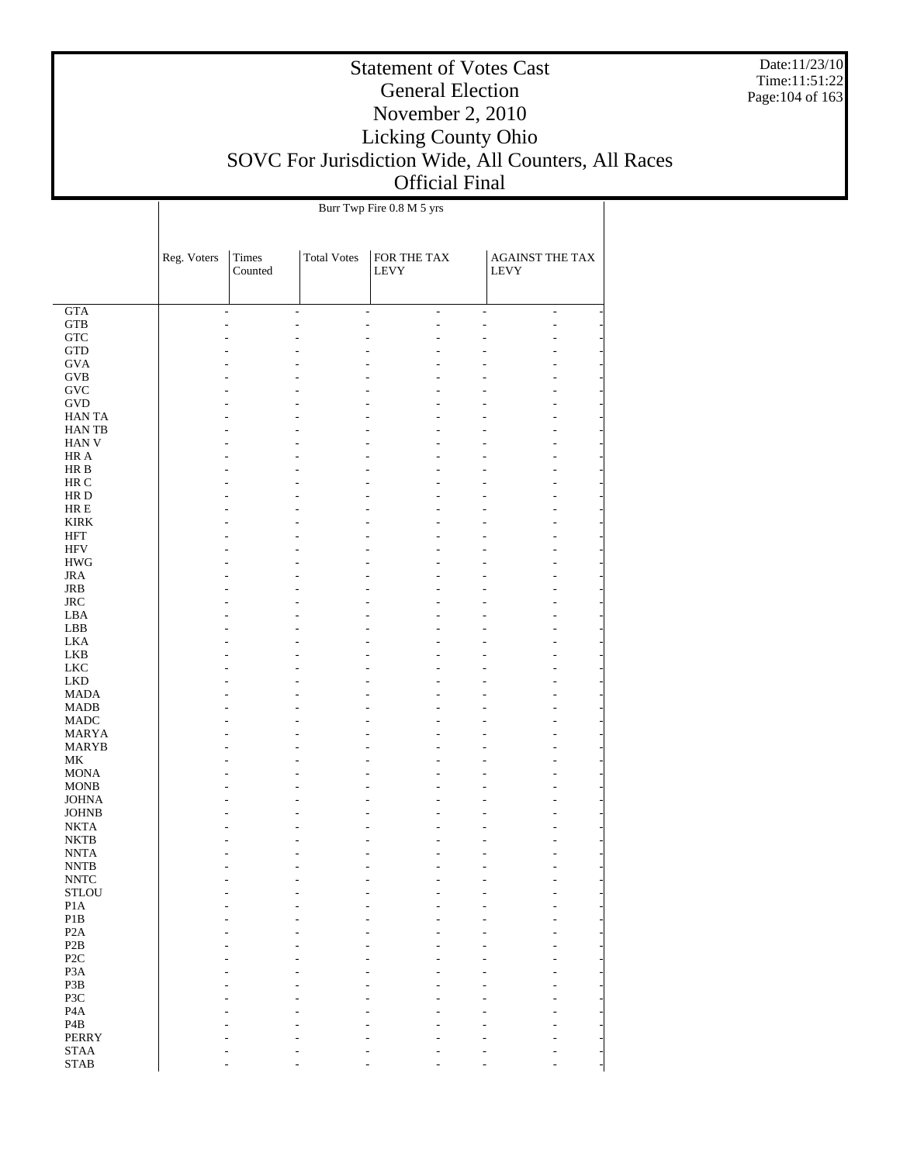Date:11/23/10 Time:11:51:22 Page:104 of 163

# Statement of Votes Cast General Election November 2, 2010 Licking County Ohio SOVC For Jurisdiction Wide, All Counters, All Races Official Final

|                                       |             | Burr Twp Fire 0.8 M 5 yrs |                    |                                  |                                |  |  |  |  |
|---------------------------------------|-------------|---------------------------|--------------------|----------------------------------|--------------------------------|--|--|--|--|
|                                       | Reg. Voters | Times<br>Counted          | <b>Total Votes</b> | FOR THE TAX<br>LEVY              | AGAINST THE TAX<br><b>LEVY</b> |  |  |  |  |
| <b>GTA</b>                            |             | ÷,                        | ٠                  | $\overline{a}$<br>$\overline{a}$ | $\overline{a}$<br>÷,           |  |  |  |  |
| <b>GTB</b>                            |             |                           |                    | L,                               | ÷,                             |  |  |  |  |
| ${\rm GTC}$                           |             |                           |                    | L.                               |                                |  |  |  |  |
| <b>GTD</b>                            |             |                           |                    |                                  |                                |  |  |  |  |
| <b>GVA</b>                            |             |                           |                    |                                  |                                |  |  |  |  |
| <b>GVB</b>                            |             |                           |                    |                                  |                                |  |  |  |  |
| $\operatorname{GVC}$                  |             |                           |                    |                                  |                                |  |  |  |  |
| <b>GVD</b>                            |             |                           |                    |                                  |                                |  |  |  |  |
| <b>HANTA</b>                          |             |                           |                    |                                  |                                |  |  |  |  |
| <b>HANTB</b>                          |             |                           |                    |                                  |                                |  |  |  |  |
| <b>HAN V</b><br>HR A                  |             |                           |                    | L.                               |                                |  |  |  |  |
| HR B                                  |             |                           |                    |                                  |                                |  |  |  |  |
| HR C                                  |             |                           |                    |                                  |                                |  |  |  |  |
| HR D                                  |             |                           |                    | L.                               |                                |  |  |  |  |
| $HRE$                                 |             |                           |                    |                                  |                                |  |  |  |  |
| <b>KIRK</b>                           |             |                           |                    |                                  |                                |  |  |  |  |
| HFT                                   |             |                           |                    |                                  |                                |  |  |  |  |
| <b>HFV</b>                            |             |                           |                    | L.                               |                                |  |  |  |  |
| $\rm HWG$                             |             |                           |                    |                                  |                                |  |  |  |  |
| <b>JRA</b>                            |             |                           |                    |                                  |                                |  |  |  |  |
| JRB                                   |             |                           |                    |                                  |                                |  |  |  |  |
| $_{\rm JRC}$                          |             |                           |                    | L.                               |                                |  |  |  |  |
| LBA                                   |             |                           |                    |                                  |                                |  |  |  |  |
| LBB                                   |             |                           |                    |                                  |                                |  |  |  |  |
| <b>LKA</b>                            |             |                           |                    |                                  |                                |  |  |  |  |
| <b>LKB</b>                            |             |                           |                    | L.                               |                                |  |  |  |  |
| <b>LKC</b>                            |             |                           |                    |                                  |                                |  |  |  |  |
| <b>LKD</b>                            |             |                           |                    |                                  |                                |  |  |  |  |
| <b>MADA</b><br><b>MADB</b>            |             |                           |                    | L.                               |                                |  |  |  |  |
| <b>MADC</b>                           |             |                           |                    |                                  |                                |  |  |  |  |
| <b>MARYA</b>                          |             |                           |                    |                                  |                                |  |  |  |  |
| <b>MARYB</b>                          |             |                           |                    |                                  |                                |  |  |  |  |
| MK                                    |             |                           |                    |                                  |                                |  |  |  |  |
| <b>MONA</b>                           |             |                           |                    |                                  |                                |  |  |  |  |
| <b>MONB</b>                           |             |                           |                    |                                  |                                |  |  |  |  |
| <b>JOHNA</b>                          |             |                           |                    |                                  |                                |  |  |  |  |
| <b>JOHNB</b>                          |             |                           |                    | L.                               |                                |  |  |  |  |
| <b>NKTA</b>                           |             |                           |                    |                                  |                                |  |  |  |  |
| NKTB                                  |             |                           |                    |                                  |                                |  |  |  |  |
| <b>NNTA</b>                           |             |                           |                    | L,                               |                                |  |  |  |  |
| <b>NNTB</b>                           |             |                           |                    |                                  |                                |  |  |  |  |
| $\ensuremath{\text{NNTC}}$            |             |                           |                    |                                  |                                |  |  |  |  |
| $\operatorname{\mathsf{STLOU}}$       |             |                           |                    |                                  |                                |  |  |  |  |
| $\rm{P1A}$<br>$\mathbf{P}1\mathbf{B}$ |             |                           |                    |                                  |                                |  |  |  |  |
| P <sub>2</sub> A                      |             |                           |                    |                                  |                                |  |  |  |  |
| $\mathbf{P2B}$                        |             |                           |                    |                                  |                                |  |  |  |  |
| P <sub>2</sub> C                      |             |                           |                    |                                  |                                |  |  |  |  |
| P <sub>3</sub> A                      |             |                           |                    |                                  |                                |  |  |  |  |
| P3B                                   |             |                           |                    |                                  |                                |  |  |  |  |
| P3C                                   |             |                           |                    |                                  |                                |  |  |  |  |
| P <sub>4</sub> A                      |             |                           |                    |                                  |                                |  |  |  |  |
| P <sub>4</sub> B                      |             |                           |                    |                                  |                                |  |  |  |  |
| <b>PERRY</b>                          |             |                           |                    |                                  |                                |  |  |  |  |
| $\operatorname{STAA}$                 |             |                           |                    |                                  |                                |  |  |  |  |
| $\operatorname{STAB}$                 |             |                           |                    |                                  |                                |  |  |  |  |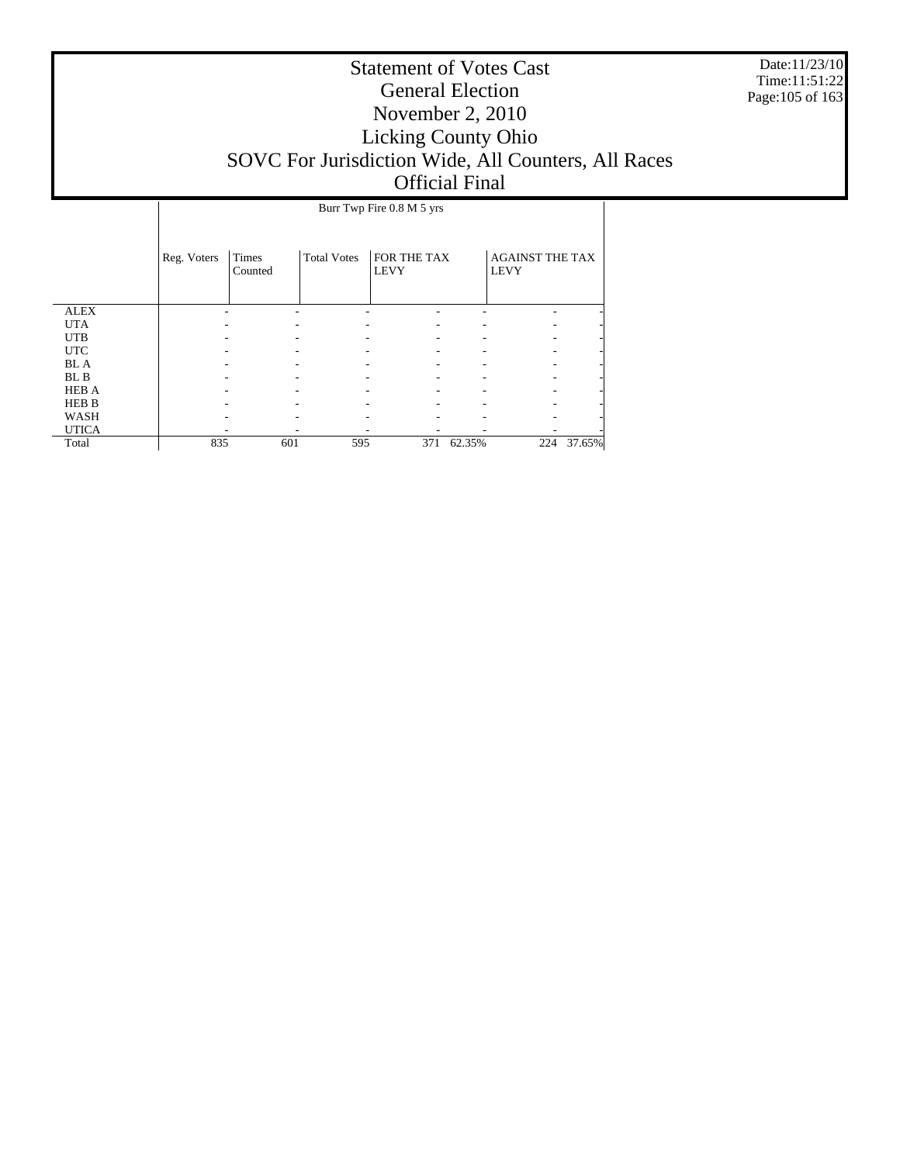Date:11/23/10 Time:11:51:22 Page:105 of 163

|              | Burr Twp Fire 0.8 M 5 yrs |                  |                    |                            |        |                                       |        |  |  |
|--------------|---------------------------|------------------|--------------------|----------------------------|--------|---------------------------------------|--------|--|--|
|              |                           |                  |                    |                            |        |                                       |        |  |  |
|              | Reg. Voters               | Times<br>Counted | <b>Total Votes</b> | FOR THE TAX<br><b>LEVY</b> |        | <b>AGAINST THE TAX</b><br><b>LEVY</b> |        |  |  |
|              |                           |                  |                    |                            |        |                                       |        |  |  |
| <b>ALEX</b>  |                           |                  |                    |                            |        |                                       |        |  |  |
| <b>UTA</b>   |                           |                  |                    |                            |        |                                       |        |  |  |
| <b>UTB</b>   |                           |                  |                    |                            |        |                                       |        |  |  |
| <b>UTC</b>   |                           |                  |                    |                            |        |                                       |        |  |  |
| <b>BL</b> A  |                           |                  |                    |                            |        |                                       |        |  |  |
| BL B         |                           |                  |                    |                            |        |                                       |        |  |  |
| <b>HEB A</b> |                           |                  |                    |                            |        |                                       |        |  |  |
| <b>HEB B</b> |                           |                  |                    |                            |        |                                       |        |  |  |
| <b>WASH</b>  |                           |                  |                    |                            |        |                                       |        |  |  |
| <b>UTICA</b> |                           |                  |                    |                            |        |                                       |        |  |  |
| Total        | 835                       | 601              | 595                | 371                        | 62.35% | 224                                   | 37.65% |  |  |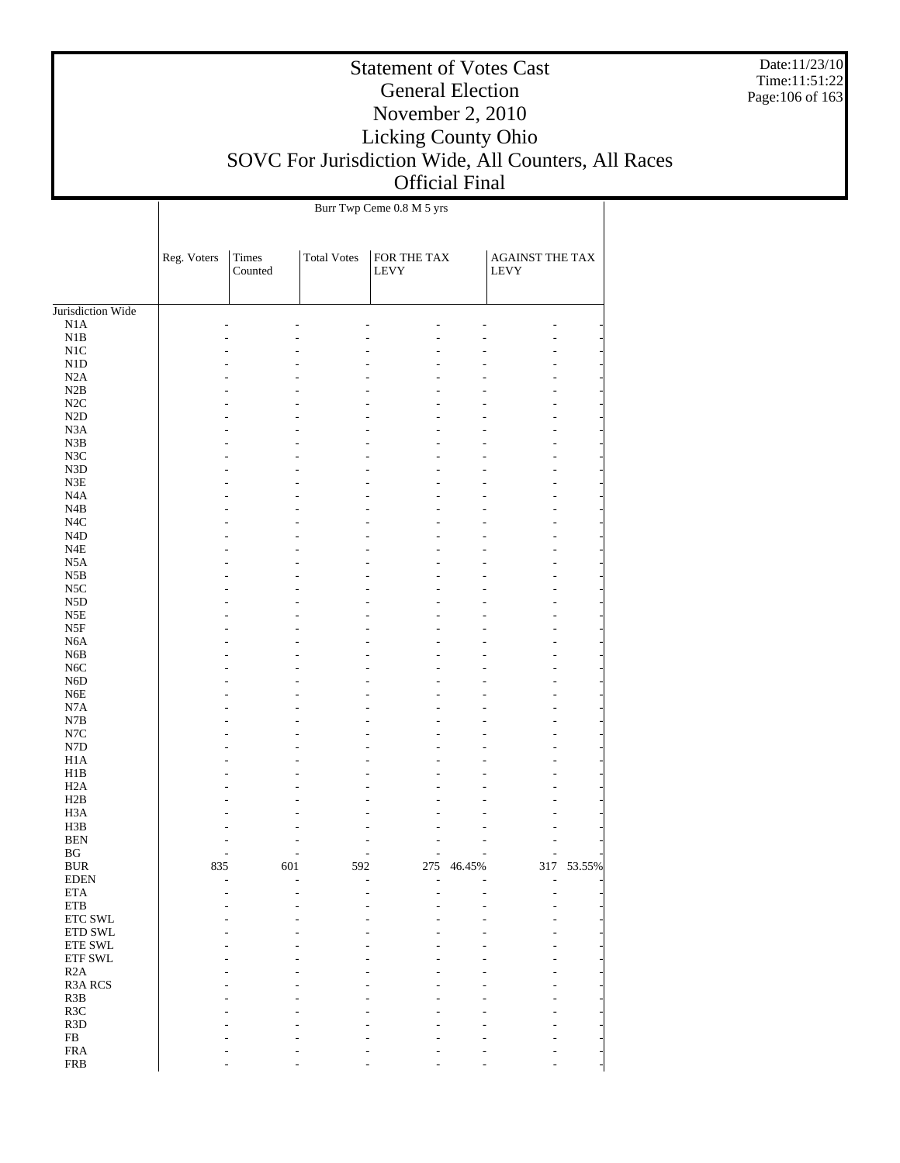Date:11/23/10 Time:11:51:22 Page:106 of 163

# Statement of Votes Cast General Election November 2, 2010 Licking County Ohio SOVC For Jurisdiction Wide, All Counters, All Races Official Final

|                     |             |                  |                    | Burr Twp Ceme 0.8 M 5 yrs  |        |                         |        |
|---------------------|-------------|------------------|--------------------|----------------------------|--------|-------------------------|--------|
|                     | Reg. Voters | Times<br>Counted | <b>Total Votes</b> | FOR THE TAX<br><b>LEVY</b> |        | AGAINST THE TAX<br>LEVY |        |
| Jurisdiction Wide   |             |                  |                    |                            |        |                         |        |
| N1A                 |             |                  |                    |                            |        |                         |        |
| $_{\rm N1B}$        |             |                  |                    |                            |        | L.                      |        |
| $_{\rm N1C}$        |             |                  |                    |                            |        |                         |        |
| N1D                 |             |                  |                    |                            |        |                         |        |
| N2A                 |             |                  |                    |                            |        |                         |        |
| N2B                 |             |                  |                    |                            |        |                         |        |
| $\rm N2C$           |             |                  |                    |                            |        |                         |        |
| $\rm N2D$           |             |                  |                    |                            |        |                         |        |
| N <sub>3</sub> A    |             |                  |                    |                            |        |                         |        |
| N3B                 |             |                  |                    |                            |        | ٠                       |        |
| N3C                 |             |                  |                    |                            |        |                         |        |
| N3D<br>N3E          |             |                  |                    |                            |        |                         |        |
| N4A                 |             |                  |                    |                            |        | ٠                       |        |
| N4B                 |             |                  |                    |                            |        |                         |        |
| $_{\mathrm{N4C}}$   |             |                  |                    |                            |        |                         |        |
| N4D                 |             |                  |                    |                            |        |                         |        |
| N4E                 |             |                  |                    |                            |        | ٠                       |        |
| N5A                 |             |                  |                    |                            |        |                         |        |
| N5B                 |             |                  |                    |                            |        |                         |        |
| $_{\rm NSC}$        |             |                  |                    |                            |        |                         |        |
| N5D                 |             |                  |                    |                            |        | ٠                       |        |
| N5E                 |             |                  |                    |                            |        |                         |        |
| N5F                 |             |                  |                    |                            |        |                         |        |
| N <sub>6</sub> A    |             |                  |                    |                            |        |                         |        |
| N6B                 |             |                  |                    |                            |        | ٠                       |        |
| N6C                 |             |                  |                    |                            |        |                         |        |
| N6D                 |             |                  |                    |                            |        |                         |        |
| N6E                 |             |                  |                    |                            |        |                         |        |
| $_{\rm N7A}$<br>N7B |             |                  |                    |                            |        | ٠                       |        |
| $_{\mathrm{N7C}}$   |             |                  |                    |                            |        |                         |        |
| ${\rm N7D}$         |             |                  |                    |                            |        |                         |        |
| H1A                 |             |                  |                    |                            |        | ٠                       |        |
| H1B                 |             |                  |                    |                            |        |                         |        |
| H2A                 |             |                  |                    |                            |        |                         |        |
| H2B                 |             |                  |                    |                            |        |                         |        |
| H3A                 |             |                  |                    |                            |        |                         |        |
| H3B                 |             |                  |                    |                            |        |                         |        |
| <b>BEN</b>          |             |                  |                    |                            |        |                         |        |
| BG                  |             |                  |                    | L,                         | L      | ٠                       |        |
| <b>BUR</b>          | 835         | 601              | 592                | 275                        | 46.45% | 317                     | 53.55% |
| <b>EDEN</b>         |             | ٠                |                    |                            |        |                         |        |
| $\rm ETA$           |             |                  |                    |                            |        |                         |        |
| ${\rm ETB}$         |             |                  |                    |                            |        |                         |        |
| ETC SWL<br>ETD SWL  |             |                  |                    |                            |        |                         |        |
| ${\rm ETE}$ SWL     |             |                  |                    |                            |        |                         |        |
| ETF SWL             |             |                  |                    |                            |        |                         |        |
| R2A                 |             |                  |                    |                            |        |                         |        |
| R3A RCS             |             |                  |                    |                            |        |                         |        |
| R <sub>3</sub> B    |             |                  |                    |                            |        |                         |        |
| R3C                 |             |                  |                    |                            |        |                         |        |
| R <sub>3</sub> D    |             |                  |                    |                            |        |                         |        |
| ${\rm FB}$          |             |                  |                    |                            |        |                         |        |
| ${\rm FRA}$         |             |                  |                    |                            |        |                         |        |
| <b>FRB</b>          |             |                  |                    |                            |        |                         |        |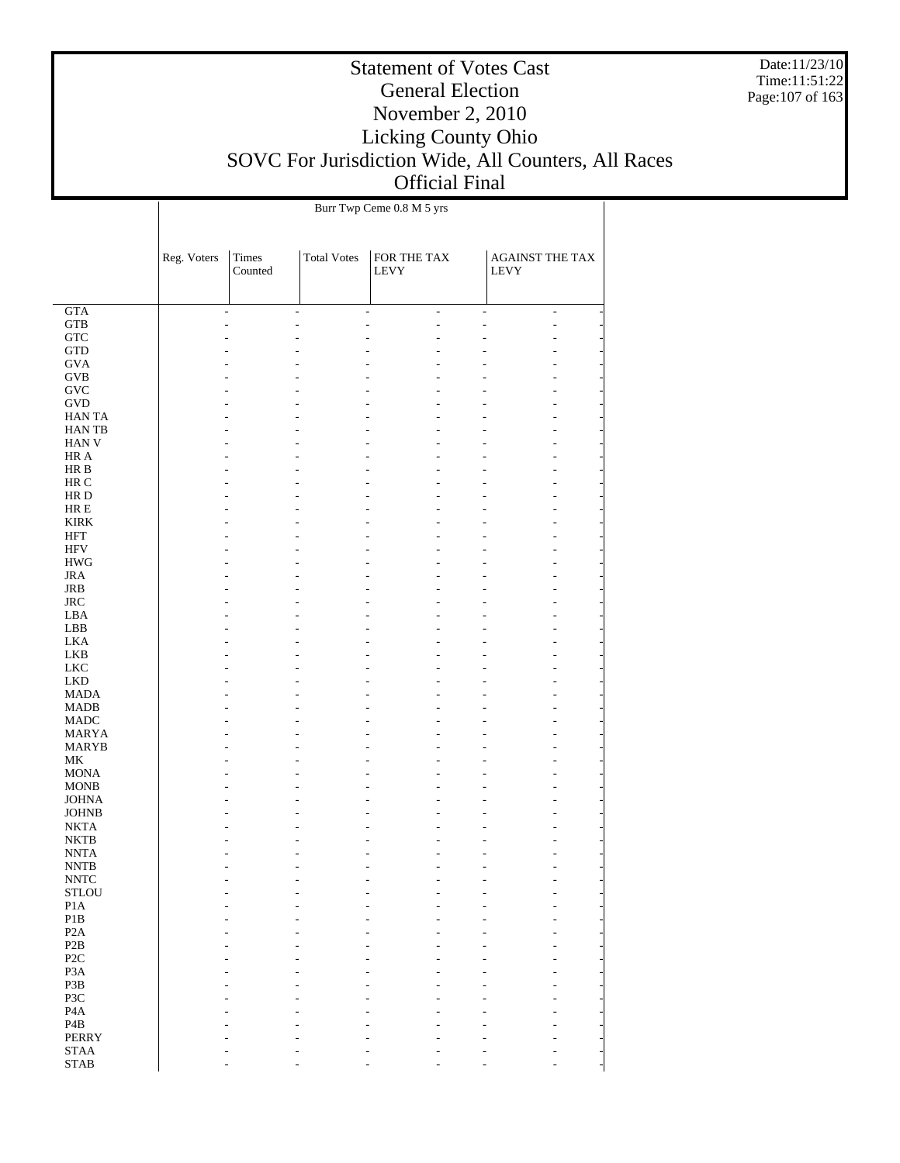Date:11/23/10 Time:11:51:22 Page:107 of 163

# Statement of Votes Cast General Election November 2, 2010 Licking County Ohio SOVC For Jurisdiction Wide, All Counters, All Races Official Final

|                                                   | Burr Twp Ceme 0.8 M 5 yrs |                          |                    |                            |                |                                |                |  |
|---------------------------------------------------|---------------------------|--------------------------|--------------------|----------------------------|----------------|--------------------------------|----------------|--|
|                                                   | Reg. Voters               | Times<br>Counted         | <b>Total Votes</b> | FOR THE TAX<br><b>LEVY</b> |                | <b>AGAINST THE TAX</b><br>LEVY |                |  |
| GTA                                               |                           | $\overline{\phantom{a}}$ | $\overline{a}$     | $\overline{a}$             | $\overline{a}$ |                                | $\overline{a}$ |  |
| $_{\rm GTB}$                                      |                           |                          |                    |                            | ٠              |                                |                |  |
| ${\rm GTC}$                                       |                           |                          |                    |                            |                |                                |                |  |
| $\operatorname{GTD}$                              |                           |                          |                    |                            |                |                                |                |  |
| <b>GVA</b>                                        |                           |                          |                    |                            |                |                                |                |  |
| $\rm GVB$                                         |                           |                          |                    |                            |                |                                |                |  |
| <b>GVC</b>                                        |                           |                          |                    |                            |                |                                |                |  |
| $\operatorname{GVD}$                              |                           |                          |                    |                            |                |                                |                |  |
| <b>HANTA</b>                                      |                           |                          |                    |                            |                |                                |                |  |
| HAN TB                                            |                           |                          |                    |                            |                |                                |                |  |
| HAN V                                             |                           |                          |                    |                            |                |                                |                |  |
| HR A                                              |                           |                          |                    |                            |                |                                |                |  |
| $\rm HR\ B$                                       |                           |                          |                    |                            |                |                                |                |  |
| HR C<br>HR D                                      |                           |                          |                    |                            |                |                                |                |  |
| $HRE$                                             |                           |                          |                    |                            |                |                                |                |  |
| <b>KIRK</b>                                       |                           |                          |                    |                            |                |                                |                |  |
| <b>HFT</b>                                        |                           |                          |                    |                            |                |                                |                |  |
| <b>HFV</b>                                        |                           |                          |                    |                            |                |                                |                |  |
| $\rm HWG$                                         |                           |                          |                    |                            |                |                                |                |  |
| <b>JRA</b>                                        |                           |                          |                    |                            |                |                                |                |  |
| JRB                                               |                           |                          |                    |                            |                |                                |                |  |
| $_{\rm JRC}$                                      |                           |                          |                    |                            |                |                                |                |  |
| LBA                                               |                           |                          |                    |                            |                |                                |                |  |
| LBB                                               |                           |                          |                    |                            |                |                                |                |  |
| <b>LKA</b>                                        |                           |                          |                    |                            |                |                                |                |  |
| LKB                                               |                           |                          |                    |                            |                |                                |                |  |
| ${\rm LKC}$                                       |                           |                          |                    |                            |                |                                |                |  |
| ${\rm LKD}$                                       |                           |                          |                    |                            |                |                                |                |  |
| <b>MADA</b>                                       |                           |                          |                    |                            |                |                                |                |  |
| <b>MADB</b>                                       |                           |                          |                    |                            |                |                                |                |  |
| <b>MADC</b>                                       |                           |                          |                    |                            |                |                                |                |  |
| <b>MARYA</b>                                      |                           |                          |                    |                            |                |                                |                |  |
| <b>MARYB</b><br>$\ensuremath{\mathbf{MK}}\xspace$ |                           |                          |                    |                            |                |                                |                |  |
| <b>MONA</b>                                       |                           |                          |                    |                            |                |                                |                |  |
| <b>MONB</b>                                       |                           |                          |                    |                            |                |                                |                |  |
| <b>JOHNA</b>                                      |                           |                          |                    |                            |                |                                |                |  |
| <b>JOHNB</b>                                      |                           |                          |                    |                            |                |                                |                |  |
| <b>NKTA</b>                                       |                           |                          |                    |                            |                |                                |                |  |
| <b>NKTB</b>                                       |                           |                          |                    |                            |                |                                |                |  |
| <b>NNTA</b>                                       |                           |                          |                    |                            |                |                                |                |  |
| $\ensuremath{\text{NNTB}}$                        |                           |                          |                    |                            |                |                                |                |  |
| $\ensuremath{\text{NNTC}}$                        |                           |                          |                    |                            |                |                                |                |  |
| <b>STLOU</b>                                      |                           |                          |                    |                            |                |                                |                |  |
| P <sub>1</sub> A                                  |                           |                          |                    |                            |                |                                |                |  |
| $\mathbf{P}1\mathbf{B}$                           |                           |                          |                    |                            |                |                                |                |  |
| P <sub>2</sub> A                                  |                           |                          |                    |                            |                |                                |                |  |
| P2B                                               |                           |                          |                    |                            |                |                                |                |  |
| P <sub>2</sub> C<br>P <sub>3</sub> A              |                           |                          |                    |                            |                |                                |                |  |
| P3B                                               |                           |                          |                    |                            |                |                                |                |  |
| P3C                                               |                           |                          |                    |                            |                |                                |                |  |
| P <sub>4</sub> A                                  |                           |                          |                    |                            |                |                                |                |  |
| P <sub>4</sub> B                                  |                           |                          |                    |                            |                |                                |                |  |
| <b>PERRY</b>                                      |                           |                          |                    |                            |                |                                |                |  |
| <b>STAA</b>                                       |                           |                          |                    |                            |                |                                |                |  |
| $\operatorname{STAB}$                             |                           |                          |                    |                            |                |                                |                |  |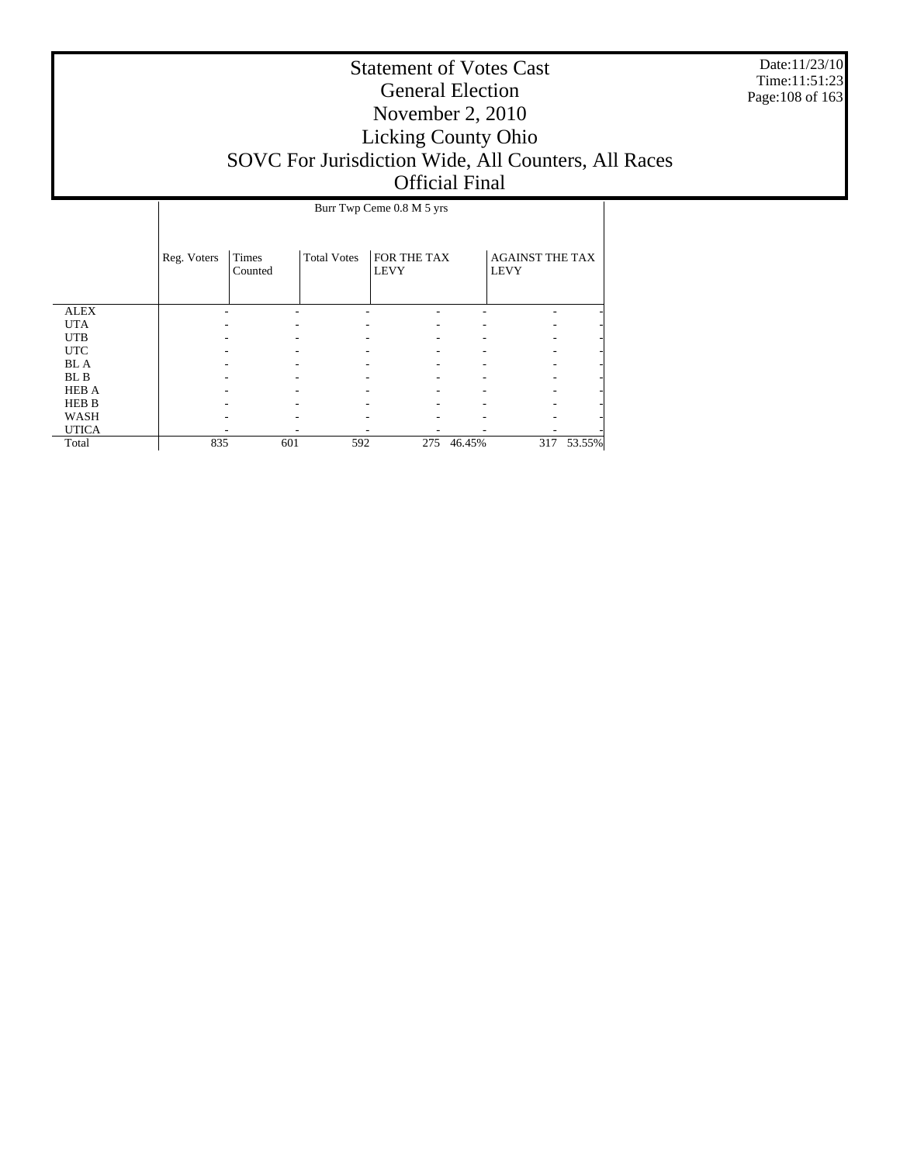Date:11/23/10 Time:11:51:23 Page:108 of 163

|              | Burr Twp Ceme 0.8 M 5 yrs |                  |                    |                            |        |                                       |        |  |  |
|--------------|---------------------------|------------------|--------------------|----------------------------|--------|---------------------------------------|--------|--|--|
|              |                           |                  |                    |                            |        |                                       |        |  |  |
|              | Reg. Voters               | Times<br>Counted | <b>Total Votes</b> | FOR THE TAX<br><b>LEVY</b> |        | <b>AGAINST THE TAX</b><br><b>LEVY</b> |        |  |  |
| <b>ALEX</b>  |                           |                  |                    |                            |        |                                       |        |  |  |
| <b>UTA</b>   |                           |                  |                    |                            |        |                                       |        |  |  |
| <b>UTB</b>   |                           |                  |                    |                            |        |                                       |        |  |  |
| <b>UTC</b>   |                           |                  |                    |                            |        |                                       |        |  |  |
| <b>BL</b> A  |                           |                  |                    |                            |        |                                       |        |  |  |
| BL B         |                           |                  |                    |                            |        |                                       |        |  |  |
| <b>HEB A</b> |                           |                  |                    |                            |        |                                       |        |  |  |
| <b>HEB B</b> |                           |                  |                    |                            |        |                                       |        |  |  |
| WASH         |                           |                  |                    |                            |        |                                       |        |  |  |
| <b>UTICA</b> |                           |                  |                    |                            |        |                                       |        |  |  |
| Total        | 835                       | 601              | 592                | 275                        | 46.45% | 317                                   | 53.55% |  |  |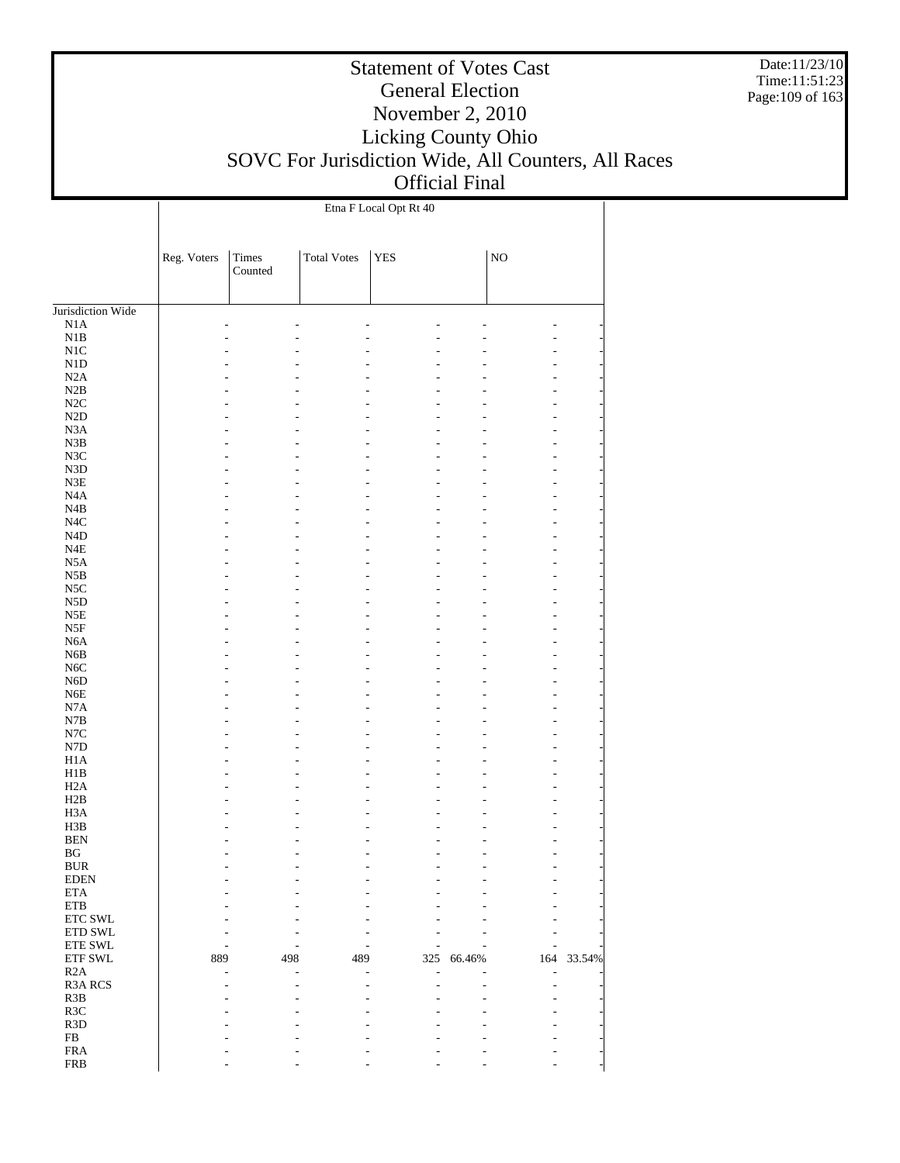Date:11/23/10 Time:11:51:23 Page:109 of 163

#### Statement of Votes Cast General Election November 2, 2010 Licking County Ohio SOVC For Jurisdiction Wide, All Counters, All Races Official Final

Jurisdiction Wide N1A N1B N1C N1D N2A N2B N2C N2D N3A N3B N3C N3D N3E N4A N4B N4C N4D N4E N5A N5B N5C N5D N5E N5F N6A N6B N6C N6D N6E N7A N7B N7C N7D H1A H1B H2A H2B H3A H3B BEN BG BUR EDEN ETA ETB ETC SWL ETD SWL ETE SWL ETF SWL R2A R3A RCS R3B R3C R3D FB FRA Reg. Voters Times Counted Total Votes | YES | NO Etna F Local Opt Rt 40 - - - - - - - - - - - - - - - - - - - - - - - - - - - - - - - - - - - - - - - - - - - - - - - - - - - - - - - - - - - - - - - - - - - - - - - - - - - - - - - - - - - - - - - - - - - - - - - - - - - - - - - - - - - - - - - - - - - - - - - - - - - - - - - - - - - - - - - - - - - - - - - - - - - - - - - - - - - - - - - - - - - - - - - - - - - - - - - - - - - - - - - - - - - - - - - - - - - - - - - - - - - - - - - - - - - - - - - - - - - - - - - - - - - - - - - - - - - - - - - - - - - - - - - - - - - - - - - - - - - - - - - - - - - - - - - - - - - - - - - - - - - - - - - - - - - - - - - - - - - - - - - - - - - - - - - - - - - - - - - - - - - - - - - - - - - - - - - - 889 498 489 325 66.46% 164 33.54% - - - - - - - - - - - - - - - - - - - - - - - - - - - - - - - - - - - - - - - - - - - - - - - - -

- - - - - - -

FRB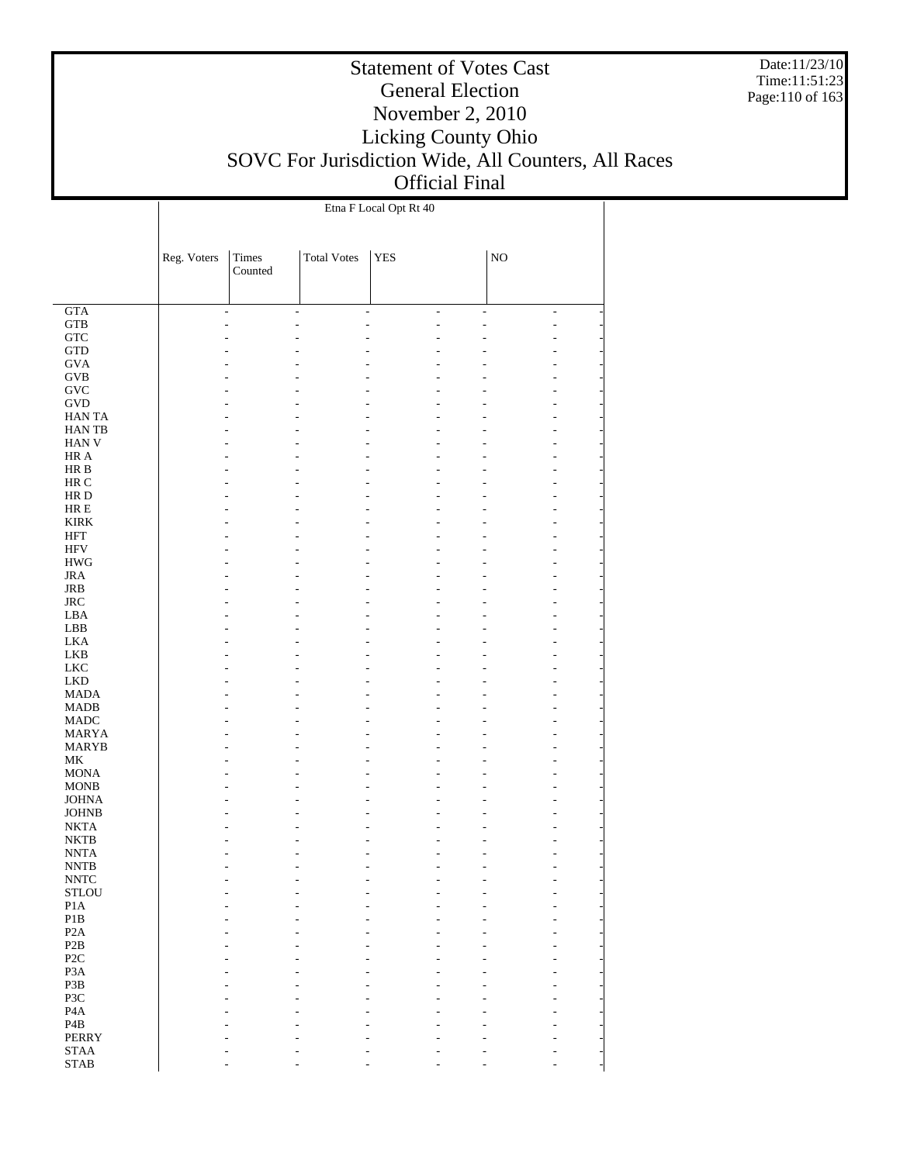Date:11/23/10 Time:11:51:23 Page:110 of 163

# Statement of Votes Cast General Election November 2, 2010 Licking County Ohio SOVC For Jurisdiction Wide, All Counters, All Races Official Final

|                                |                          |                  |                    | Etna F Local Opt Rt 40 |    |             |                |
|--------------------------------|--------------------------|------------------|--------------------|------------------------|----|-------------|----------------|
|                                | Reg. Voters              | Times<br>Counted | <b>Total Votes</b> | <b>YES</b>             |    | $_{\rm NO}$ |                |
| GTA                            | $\overline{\phantom{a}}$ |                  | ÷,                 | ÷,                     | ÷, | ÷,          | $\overline{a}$ |
| <b>GTB</b>                     | ٠                        |                  |                    |                        |    |             | Ĭ.             |
| ${\rm GTC}$                    |                          |                  |                    |                        |    |             |                |
| <b>GTD</b>                     |                          |                  |                    |                        |    |             |                |
| <b>GVA</b>                     |                          |                  |                    |                        |    |             |                |
| <b>GVB</b>                     |                          |                  |                    |                        |    |             |                |
| GVC                            |                          |                  |                    |                        |    |             |                |
| GVD<br><b>HANTA</b>            |                          |                  |                    |                        |    |             |                |
| <b>HANTB</b>                   |                          |                  |                    |                        |    |             |                |
| ${\rm HAN}$ V                  |                          |                  |                    |                        |    |             |                |
| HR A                           |                          |                  |                    |                        |    |             |                |
| HR B                           |                          |                  |                    |                        |    |             |                |
| HR C                           |                          |                  |                    |                        |    |             |                |
| HR D                           |                          |                  |                    |                        |    |             |                |
| $HRE$<br><b>KIRK</b>           |                          |                  |                    |                        |    |             |                |
| <b>HFT</b>                     |                          |                  |                    |                        |    |             |                |
| $\rm{HFV}$                     |                          |                  |                    |                        |    |             |                |
| <b>HWG</b>                     |                          |                  |                    |                        |    |             |                |
| <b>JRA</b>                     |                          |                  |                    |                        |    |             |                |
| JRB                            |                          |                  |                    |                        |    |             |                |
| <b>JRC</b>                     |                          |                  |                    |                        |    |             |                |
| LBA                            |                          |                  |                    |                        |    |             |                |
| LBB                            |                          |                  |                    |                        |    |             |                |
| <b>LKA</b>                     |                          |                  |                    |                        |    |             |                |
| LKB<br><b>LKC</b>              |                          |                  |                    |                        |    |             |                |
| <b>LKD</b>                     |                          |                  |                    |                        |    |             |                |
| <b>MADA</b>                    |                          |                  |                    |                        |    |             |                |
| MADB                           |                          |                  |                    |                        |    |             |                |
| <b>MADC</b>                    |                          |                  |                    |                        |    |             |                |
| <b>MARYA</b>                   |                          |                  |                    |                        |    |             |                |
| <b>MARYB</b>                   |                          |                  |                    |                        |    |             |                |
| MK                             |                          |                  |                    |                        |    |             |                |
| <b>MONA</b>                    |                          |                  |                    |                        |    |             |                |
| <b>MONB</b><br><b>JOHNA</b>    |                          |                  |                    |                        |    |             |                |
| <b>JOHNB</b>                   |                          |                  |                    |                        |    |             |                |
| <b>NKTA</b>                    |                          |                  |                    |                        |    |             |                |
| <b>NKTB</b>                    |                          |                  |                    |                        |    |             |                |
| <b>NNTA</b>                    |                          |                  |                    |                        |    |             |                |
| <b>NNTB</b>                    |                          |                  |                    |                        |    |             |                |
| $\ensuremath{\text{NNTC}}$     |                          |                  |                    |                        |    |             |                |
| <b>STLOU</b><br>P1A            |                          |                  |                    |                        |    |             |                |
| $\mathbf{P}1\mathbf{B}$        |                          |                  |                    |                        |    |             |                |
| P <sub>2</sub> A               |                          |                  |                    |                        |    |             |                |
| P2B                            |                          |                  |                    |                        |    |             |                |
| P <sub>2</sub> C               |                          |                  |                    |                        |    |             |                |
| P <sub>3</sub> A               |                          |                  |                    |                        |    |             |                |
| P3B                            |                          |                  |                    |                        |    |             |                |
| P3C                            |                          |                  |                    |                        |    |             |                |
| P <sub>4</sub> A               |                          |                  |                    |                        |    |             |                |
| $\mathbf{P4B}$<br><b>PERRY</b> |                          |                  |                    |                        |    |             |                |
| $\operatorname{STAA}$          |                          |                  |                    |                        |    |             |                |
| $\operatorname{STAB}$          |                          |                  |                    |                        |    |             |                |
|                                |                          |                  |                    |                        |    |             |                |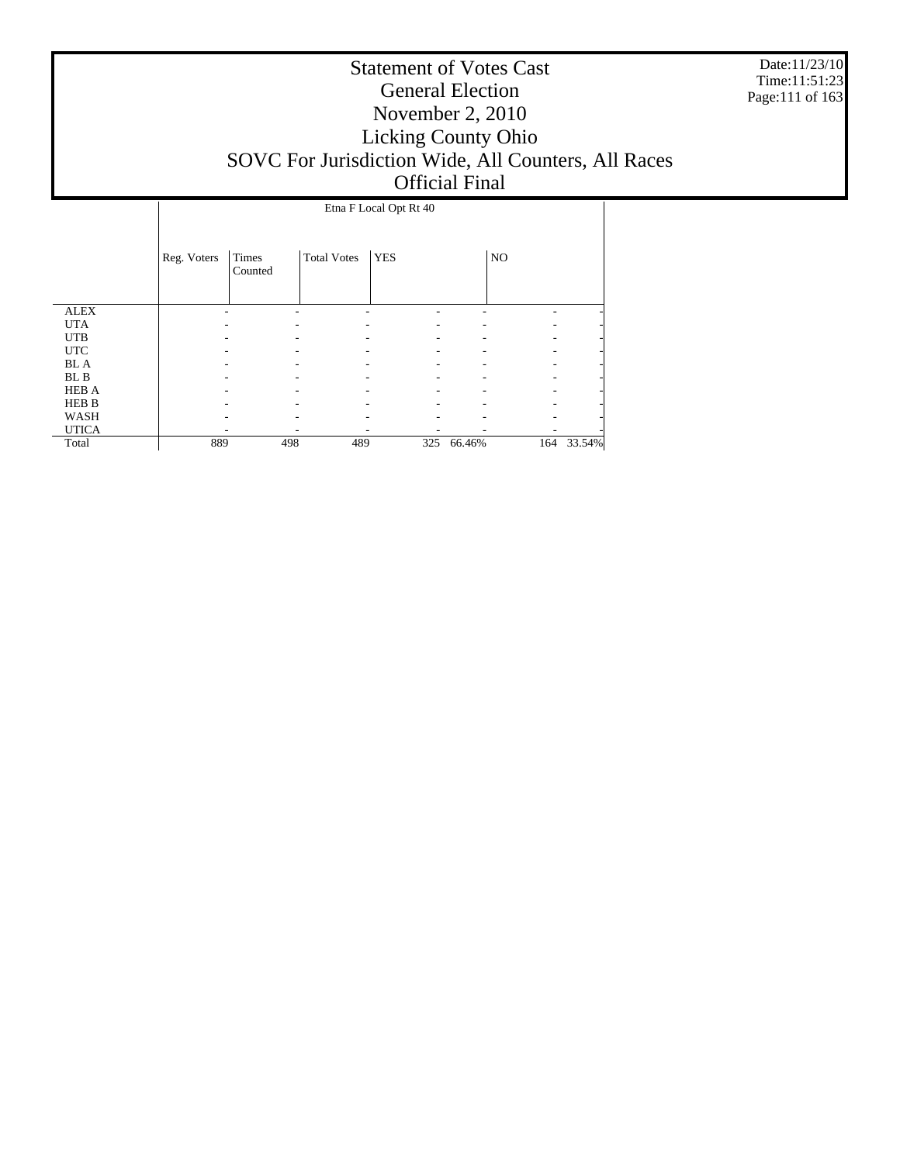Date:11/23/10 Time:11:51:23 Page:111 of 163

|              |             | Etna F Local Opt Rt 40 |                    |            |            |     |        |  |
|--------------|-------------|------------------------|--------------------|------------|------------|-----|--------|--|
|              | Reg. Voters | Times<br>Counted       | <b>Total Votes</b> | <b>YES</b> |            | NO  |        |  |
| <b>ALEX</b>  |             |                        |                    |            |            |     |        |  |
| <b>UTA</b>   |             |                        |                    |            |            |     |        |  |
| <b>UTB</b>   |             |                        |                    |            |            |     |        |  |
| <b>UTC</b>   |             |                        |                    |            |            |     |        |  |
| <b>BL</b> A  |             |                        |                    |            |            |     |        |  |
| BL B         |             |                        |                    |            |            |     |        |  |
| <b>HEB A</b> |             |                        |                    |            |            |     |        |  |
| <b>HEB B</b> |             |                        |                    |            |            |     |        |  |
| WASH         |             |                        |                    |            |            |     |        |  |
| <b>UTICA</b> |             |                        |                    |            |            |     |        |  |
| Total        | 889         | 498                    | 489                |            | 325 66.46% | 164 | 33.54% |  |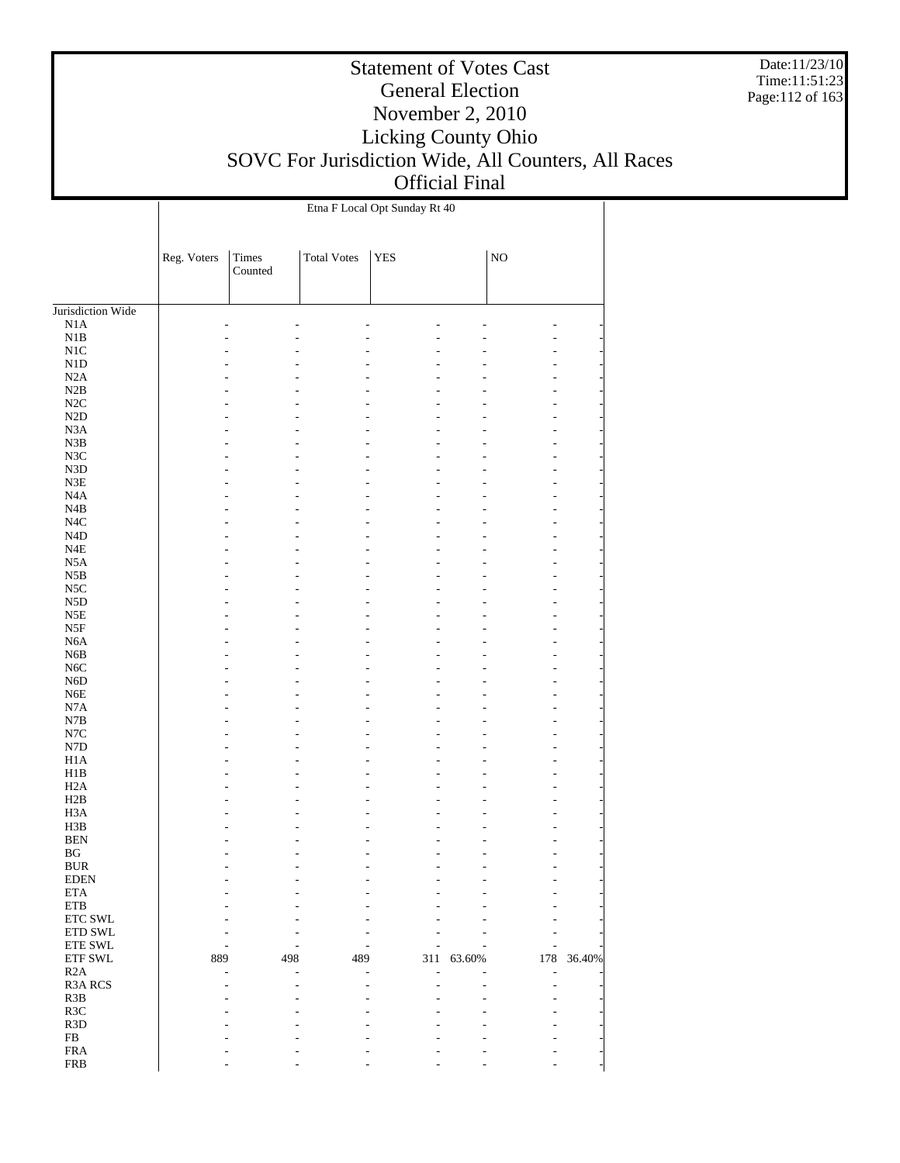Date:11/23/10 Time:11:51:23 Page:112 of 163

|                                       |             | Etna F Local Opt Sunday Rt 40 |                    |             |        |             |        |  |
|---------------------------------------|-------------|-------------------------------|--------------------|-------------|--------|-------------|--------|--|
|                                       | Reg. Voters | Times<br>Counted              | <b>Total Votes</b> | ${\tt YES}$ |        | $_{\rm NO}$ |        |  |
| Jurisdiction Wide                     |             |                               |                    |             |        |             |        |  |
| $_{\rm N1A}$                          |             |                               |                    |             |        |             |        |  |
| $\rm N1B$                             |             |                               |                    |             |        |             |        |  |
| $\rm N1C$                             |             |                               |                    |             |        |             |        |  |
| N1D                                   |             |                               |                    |             |        |             |        |  |
| N2A                                   |             |                               |                    |             |        |             |        |  |
| $\rm N2B$                             |             |                               |                    |             |        |             |        |  |
| $\rm N2C$                             |             |                               |                    |             |        |             |        |  |
| N2D                                   |             |                               |                    |             |        |             |        |  |
| $_{\rm N3A}$                          |             |                               |                    |             |        |             |        |  |
| ${\bf N3B}$                           |             |                               |                    |             |        |             |        |  |
| $_{\rm N3C}$<br>N3D                   |             |                               |                    |             |        |             |        |  |
| ${\rm N3E}$                           |             |                               |                    |             |        |             |        |  |
| N4A                                   |             |                               |                    |             |        |             |        |  |
| N4B                                   |             |                               |                    |             |        |             |        |  |
| $_{\mathrm{N4C}}$                     |             |                               |                    |             |        |             |        |  |
| N <sub>4</sub> D                      |             |                               |                    |             |        |             |        |  |
| $_{\rm N4E}$                          |             |                               |                    |             |        |             |        |  |
| N5A                                   |             |                               |                    |             |        |             |        |  |
| $_{\rm N5B}$                          |             |                               |                    |             |        |             |        |  |
| $_{\rm NSC}$                          |             |                               |                    |             |        |             |        |  |
| N5D                                   |             |                               |                    |             |        |             |        |  |
| $_{\rm N5E}$                          |             |                               |                    |             |        |             |        |  |
| $_{\rm{NSF}}$                         |             |                               |                    |             |        |             |        |  |
| N6A                                   |             |                               |                    |             |        |             |        |  |
| ${\rm N6B}$                           |             |                               |                    |             |        |             |        |  |
| $_{\mathrm{N6C}}$<br>N <sub>6</sub> D |             |                               |                    |             |        |             |        |  |
| ${\rm N6E}$                           |             |                               |                    |             |        |             |        |  |
| N7A                                   |             |                               |                    |             |        |             |        |  |
| ${\bf N7B}$                           |             |                               |                    |             |        |             |        |  |
| $_{\mathrm{N7C}}$                     |             |                               |                    |             |        |             |        |  |
| ${\rm N7D}$                           |             |                               |                    |             |        |             |        |  |
| H1A                                   |             |                               |                    |             |        |             |        |  |
| H1B                                   |             |                               |                    |             |        |             |        |  |
| H2A                                   |             |                               |                    |             |        |             |        |  |
| H2B                                   |             |                               |                    |             |        |             |        |  |
| H <sub>3</sub> A                      |             |                               |                    |             |        |             |        |  |
| H3B                                   |             |                               |                    |             |        |             |        |  |
| <b>BEN</b><br>$\mathbf{B}\mathbf{G}$  |             |                               |                    |             |        |             |        |  |
| <b>BUR</b>                            |             |                               |                    |             |        |             |        |  |
| <b>EDEN</b>                           |             |                               |                    |             |        |             |        |  |
| <b>ETA</b>                            |             |                               |                    |             |        |             |        |  |
| <b>ETB</b>                            |             |                               |                    |             |        |             |        |  |
| ETC SWL                               |             |                               |                    |             |        |             |        |  |
| <b>ETD SWL</b>                        |             |                               |                    |             |        |             |        |  |
| ETE SWL                               |             |                               |                    |             |        |             |        |  |
| ETF SWL                               | 889         | 498                           | 489                | 311         | 63.60% | 178         | 36.40% |  |
| R2A                                   |             |                               |                    |             |        | ٠           |        |  |
| <b>R3A RCS</b>                        |             |                               |                    |             |        |             |        |  |
| R3B                                   |             |                               |                    |             |        |             |        |  |
| R3C                                   |             |                               |                    |             |        |             |        |  |
| R <sub>3</sub> D<br>${\rm FB}$        |             |                               |                    |             |        |             |        |  |
| <b>FRA</b>                            |             |                               |                    |             |        |             |        |  |
| <b>FRB</b>                            |             |                               |                    |             |        |             |        |  |
|                                       |             |                               |                    |             |        |             |        |  |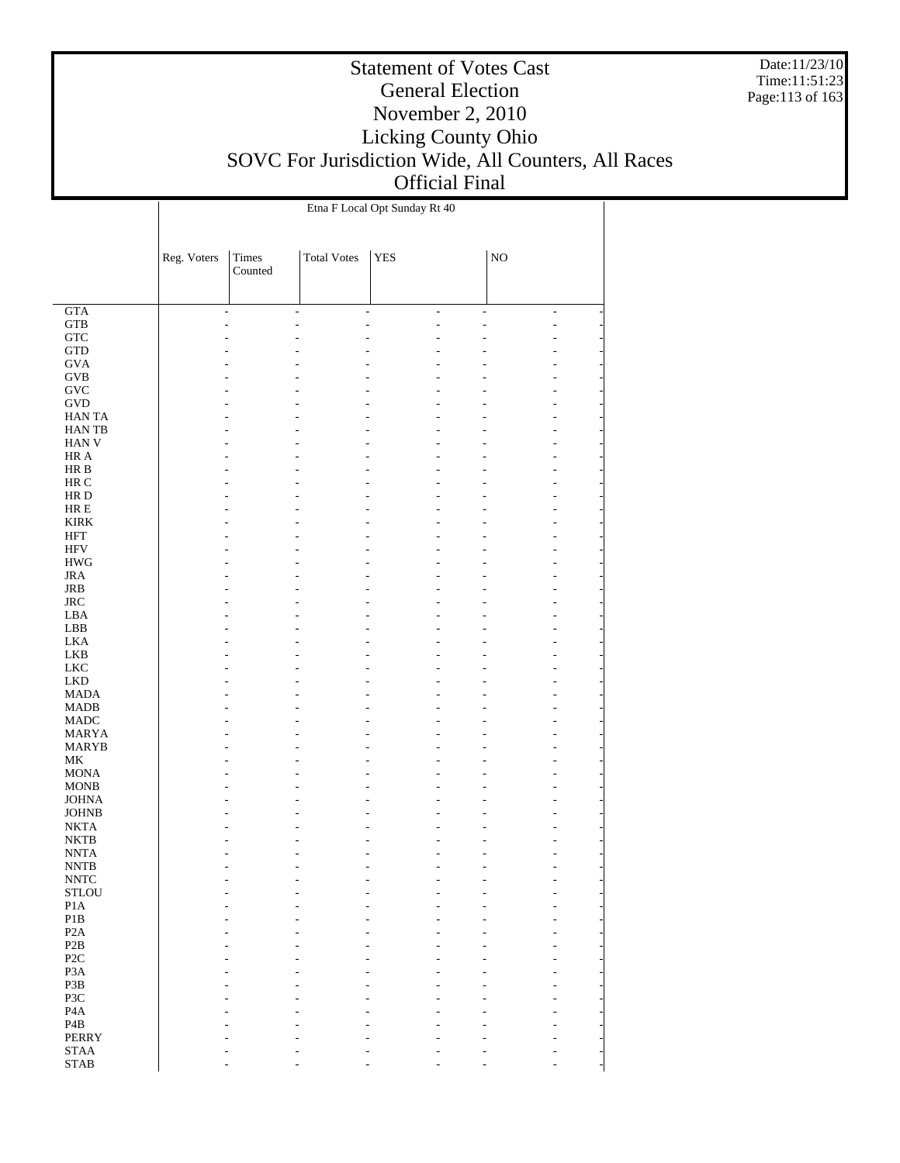Date:11/23/10 Time:11:51:23 Page:113 of 163

|                                            |             |                              |                    | Etna F Local Opt Sunday Rt 40 |                |                |                |
|--------------------------------------------|-------------|------------------------------|--------------------|-------------------------------|----------------|----------------|----------------|
|                                            |             |                              |                    |                               |                |                |                |
|                                            |             |                              |                    |                               |                |                |                |
|                                            | Reg. Voters | Times                        | <b>Total Votes</b> | <b>YES</b>                    |                | NO             |                |
|                                            |             | Counted                      |                    |                               |                |                |                |
|                                            |             |                              |                    |                               |                |                |                |
| GTA                                        |             | $\qquad \qquad \blacksquare$ | $\overline{a}$     | $\overline{\phantom{0}}$      | $\overline{a}$ | $\overline{a}$ | $\blacksquare$ |
| ${\rm GTB}$                                |             | L                            |                    |                               | L              |                | L,             |
| ${\rm GTC}$                                |             |                              |                    |                               |                |                | Ĭ.             |
| $\operatorname{GTD}$                       |             |                              |                    |                               |                |                |                |
| <b>GVA</b>                                 |             |                              |                    |                               |                |                |                |
| GVB                                        |             |                              |                    |                               |                |                |                |
| GVC                                        |             |                              |                    |                               |                |                | L,             |
| <b>GVD</b>                                 |             |                              |                    |                               |                |                | L              |
| HAN TA                                     |             |                              |                    |                               |                |                | Ĭ.             |
| <b>HANTB</b>                               |             |                              |                    |                               |                |                |                |
| HAN V                                      |             |                              |                    |                               |                |                | $\overline{a}$ |
| HR A                                       |             |                              |                    |                               |                |                | L              |
| $\rm HR~B$<br>HR C                         |             |                              |                    |                               |                |                | Ĭ.             |
| $\rm HR$ D                                 |             |                              |                    |                               |                |                | $\overline{a}$ |
| $HRE$                                      |             |                              |                    |                               |                |                | L              |
| <b>KIRK</b>                                |             |                              |                    |                               |                |                | Ĭ.             |
| <b>HFT</b>                                 |             |                              |                    |                               |                |                |                |
| <b>HFV</b>                                 |             |                              |                    |                               |                |                | $\overline{a}$ |
| $\rm HWG$                                  |             |                              |                    |                               |                |                | L              |
| $_{\rm JRA}$                               |             |                              |                    |                               |                |                | Ĭ.             |
| $_{\rm JRB}$                               |             |                              |                    |                               |                |                |                |
| $_{\rm JRC}$                               |             |                              |                    |                               |                |                | $\overline{a}$ |
| LBA                                        |             |                              |                    |                               |                |                | L              |
| ${\rm LBB}$                                |             |                              |                    |                               |                |                | Ĭ.             |
| <b>LKA</b>                                 |             |                              |                    |                               |                |                |                |
| LKB                                        |             |                              |                    |                               |                |                | $\overline{a}$ |
| ${\rm LKC}$                                |             |                              |                    |                               |                |                | Ĭ.             |
| ${\rm LKD}$                                |             |                              |                    |                               |                |                | Ĭ.             |
| <b>MADA</b><br><b>MADB</b>                 |             |                              |                    |                               |                |                | $\overline{a}$ |
| <b>MADC</b>                                |             |                              |                    |                               |                |                | Ĭ.             |
| <b>MARYA</b>                               |             |                              |                    |                               |                |                | Ĭ.             |
| <b>MARYB</b>                               |             |                              |                    |                               |                |                | Ĭ.             |
| $\rm MK$                                   |             |                              |                    |                               |                |                | $\overline{a}$ |
| <b>MONA</b>                                |             |                              |                    |                               |                |                |                |
| <b>MONB</b>                                |             |                              |                    |                               |                |                |                |
| <b>JOHNA</b>                               |             |                              |                    |                               |                |                |                |
| <b>JOHNB</b>                               |             |                              |                    |                               |                |                |                |
| <b>NKTA</b>                                |             |                              |                    |                               |                |                |                |
| $\rm NKTB$                                 |             |                              |                    |                               |                |                |                |
| <b>NNTA</b>                                |             |                              |                    |                               |                |                |                |
| $\ensuremath{\text{NNTB}}$                 |             |                              |                    |                               |                |                |                |
| $\ensuremath{\text{NNTC}}$<br><b>STLOU</b> |             |                              |                    |                               |                |                |                |
| P1A                                        |             |                              |                    |                               |                |                |                |
| $\mathbf{P}1\mathbf{B}$                    |             |                              |                    |                               |                |                |                |
| P <sub>2</sub> A                           |             |                              |                    |                               |                |                |                |
| P2B                                        |             |                              |                    |                               |                |                |                |
| P <sub>2</sub> C                           |             |                              |                    |                               |                |                |                |
| P <sub>3</sub> A                           |             |                              |                    |                               |                |                |                |
| P3B                                        |             |                              |                    |                               |                |                |                |
| P3C                                        |             |                              |                    |                               |                |                |                |
| P <sub>4</sub> A                           |             |                              |                    |                               |                |                |                |
| P <sub>4</sub> B                           |             |                              |                    |                               |                |                |                |
| <b>PERRY</b>                               |             |                              |                    |                               |                |                |                |
| <b>STAA</b>                                |             |                              |                    |                               |                |                |                |
| $\operatorname{STAB}$                      |             |                              |                    |                               |                |                |                |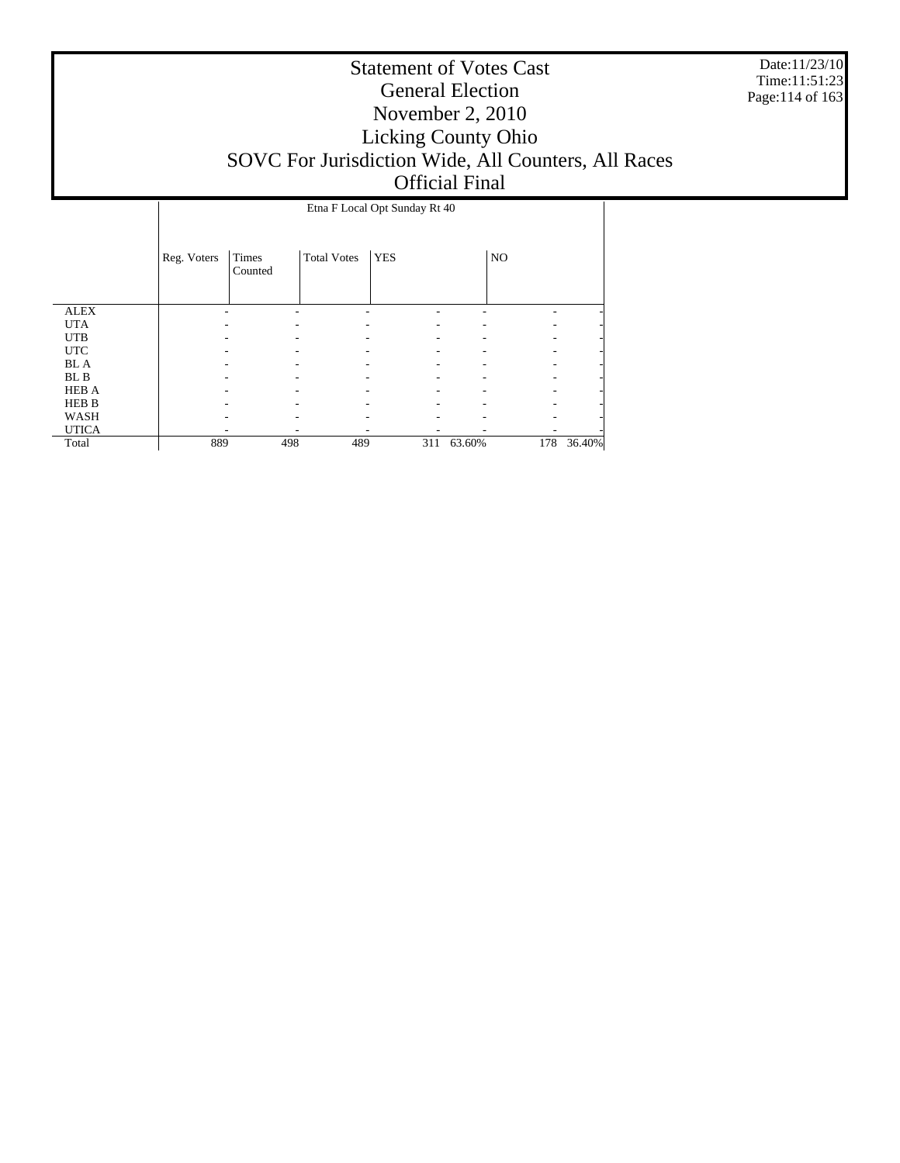Date:11/23/10 Time:11:51:23 Page:114 of 163

|              |             | Etna F Local Opt Sunday Rt 40 |                    |            |            |     |        |  |
|--------------|-------------|-------------------------------|--------------------|------------|------------|-----|--------|--|
|              | Reg. Voters | Times<br>Counted              | <b>Total Votes</b> | <b>YES</b> |            | NO  |        |  |
| <b>ALEX</b>  |             |                               |                    |            |            |     |        |  |
| <b>UTA</b>   |             |                               |                    |            |            |     |        |  |
| <b>UTB</b>   |             |                               |                    |            |            |     |        |  |
| <b>UTC</b>   |             |                               |                    |            |            |     |        |  |
| <b>BL</b> A  |             |                               |                    |            |            |     |        |  |
| BL B         |             |                               |                    |            |            |     |        |  |
| <b>HEB A</b> |             |                               |                    |            |            |     |        |  |
| <b>HEB B</b> |             |                               |                    |            |            |     |        |  |
| WASH         |             |                               |                    |            |            |     |        |  |
| <b>UTICA</b> |             |                               |                    |            |            |     |        |  |
| Total        | 889         | 498                           | 489                |            | 311 63.60% | 178 | 36.40% |  |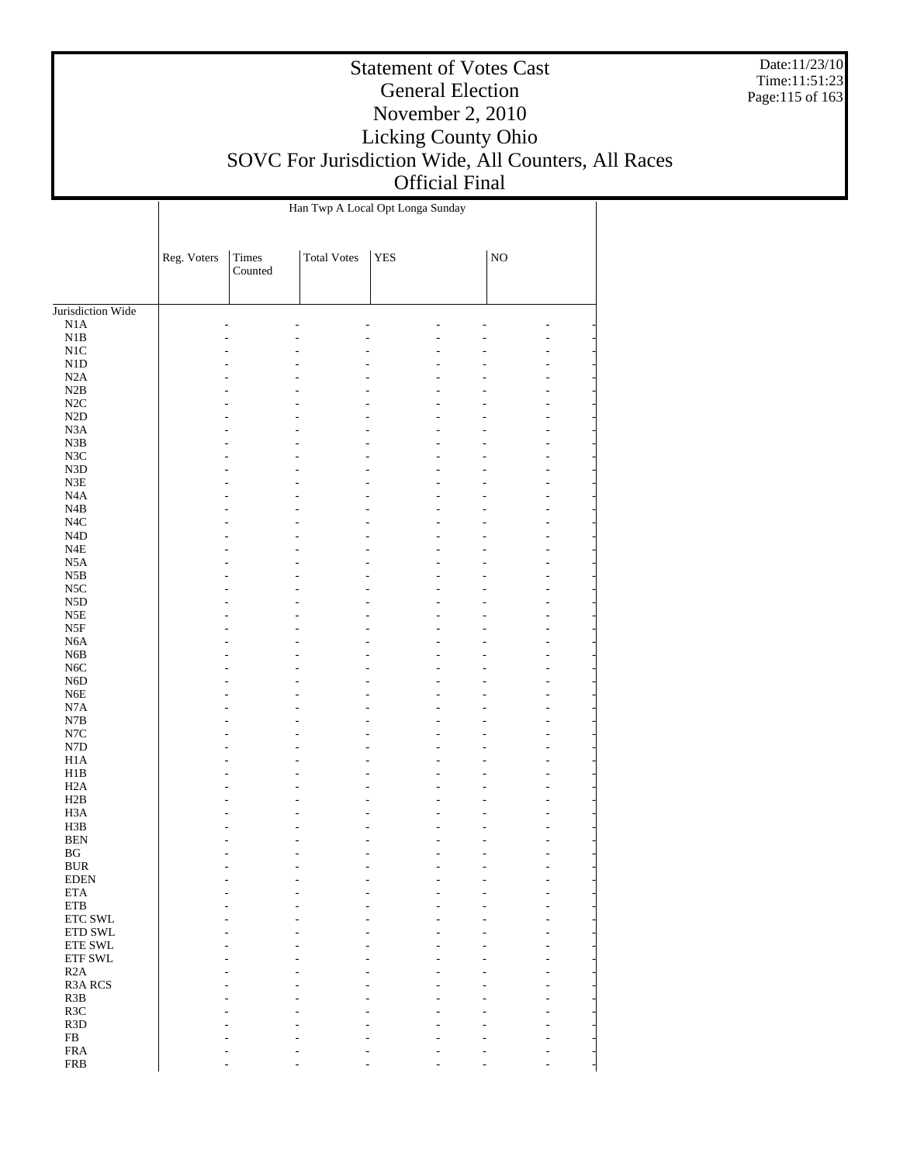Date:11/23/10 Time:11:51:23 Page:115 of 163

#### Statement of Votes Cast General Election November 2, 2010 Licking County Ohio SOVC For Jurisdiction Wide, All Counters, All Races Official Final

Jurisdiction Wide N1A N1B N1C N1D N2A N2B N2C N2D N3A N3B N3C N3D N3E N4A N4B N4C N4D N4E N5A N5B N5C N5D N5E N5F N6A N6B N6C N6D N6E N7A N7B N7C N7D H1A H1B H2A H2B H3A H3B BEN BG BUR EDEN ETA ETB ETC SWL ETD SWL ETE SWL ETF SWL R2A R3A RCS R3B R3C R3D FB FRA FRB Reg. Voters Times Counted Total Votes | YES | NO Han Twp A Local Opt Longa Sunday - - - - - - - - - - - - - - - - - - - - - - - - - - - - - - - - - - - - - - - - - - - - - - - - - - - - - - - - - - - - - - - - - - - - - - - - - - - - - - - - - - - - - - - - - - - - - - - - - - - - - - - - - - - - - - - - - - - - - - - - - - - - - - - - - - - - - - - - - - - - - - - - - - - - - - - - - - - - - - - - - - - - - - - - - - - - - - - - - - - - - - - - - - - - - - - - - - - - - - - - - - - - - - - - - - - - - - - - - - - - - - - - - - - - - - - - - - - - - - - - - - - - - - - - - - - - - - - - - - - - - - - - - - - - - - - - - - - - - - - - - - - - - - - - - - - - - - - - - - - - - - - - - - - - - - - - - - - - - - - - - - - - - - - - - - - - - - - - - - - - - - - - - - - - - - - - - - - - - - - - - - - - - - - - - - - - - - - - - - - - - - - - - - - - - - - -

- - - - - - -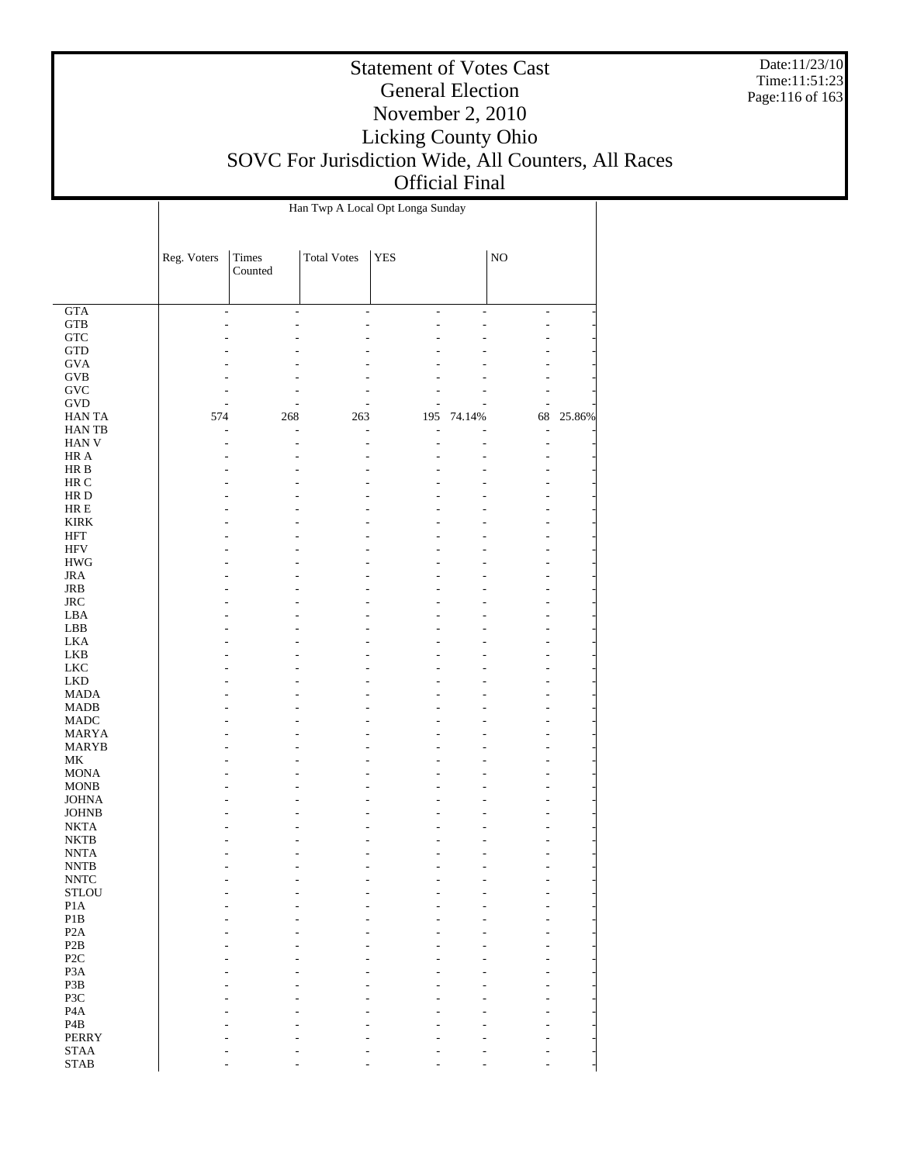Date:11/23/10 Time:11:51:23 Page:116 of 163

|                                            |                      | Han Twp A Local Opt Longa Sunday |                      |                      |                                |                                  |        |  |
|--------------------------------------------|----------------------|----------------------------------|----------------------|----------------------|--------------------------------|----------------------------------|--------|--|
|                                            | Reg. Voters          | Times<br>Counted                 | <b>Total Votes</b>   | <b>YES</b>           |                                | NO                               |        |  |
|                                            |                      |                                  |                      |                      |                                |                                  |        |  |
| GTA<br><b>GTB</b>                          | $\overline{a}$<br>L, | L,<br>L,                         | $\overline{a}$<br>L, | $\overline{a}$<br>L, | $\overline{\phantom{a}}$<br>L, | L,<br>L,                         |        |  |
| ${\rm GTC}$                                |                      |                                  |                      |                      |                                | ÷                                |        |  |
| <b>GTD</b>                                 |                      |                                  |                      |                      |                                |                                  |        |  |
| <b>GVA</b>                                 |                      |                                  |                      |                      |                                |                                  |        |  |
| <b>GVB</b>                                 |                      |                                  |                      |                      |                                | ÷                                |        |  |
| $\operatorname{GVC}$                       |                      | ٠                                |                      |                      |                                | ٠                                |        |  |
| <b>GVD</b>                                 | ÷,                   | L,                               |                      | L,                   |                                | L,                               |        |  |
| HAN TA<br>HAN TB                           | 574<br>٠             | 268<br>L                         | 263<br>L,            | 195<br>٠             | 74.14%                         | 68<br>L,                         | 25.86% |  |
| HAN V                                      |                      | L,                               | L,                   | L.                   |                                | L,                               |        |  |
| HR A                                       |                      |                                  |                      |                      |                                | $\overline{a}$                   |        |  |
| HR B                                       |                      |                                  |                      |                      |                                | $\overline{a}$                   |        |  |
| HR C                                       |                      |                                  |                      |                      |                                | $\overline{a}$                   |        |  |
| HR D                                       |                      |                                  |                      |                      |                                | $\overline{a}$                   |        |  |
| HR E                                       |                      |                                  |                      |                      |                                | ÷                                |        |  |
| <b>KIRK</b>                                |                      |                                  |                      |                      |                                | $\overline{a}$                   |        |  |
| HFT<br><b>HFV</b>                          |                      |                                  |                      |                      |                                | $\overline{a}$<br>$\overline{a}$ |        |  |
| <b>HWG</b>                                 |                      |                                  |                      |                      |                                | $\overline{a}$                   |        |  |
| <b>JRA</b>                                 |                      |                                  |                      |                      |                                | $\overline{a}$                   |        |  |
| JRB                                        |                      |                                  |                      |                      |                                | $\overline{a}$                   |        |  |
| $_{\rm JRC}$                               |                      |                                  |                      |                      |                                | $\overline{a}$                   |        |  |
| LBA                                        |                      |                                  |                      |                      |                                | $\overline{a}$                   |        |  |
| LBB                                        |                      |                                  |                      |                      |                                | $\overline{a}$                   |        |  |
| <b>LKA</b>                                 |                      |                                  |                      |                      |                                | $\overline{a}$                   |        |  |
| LKB<br><b>LKC</b>                          |                      |                                  |                      |                      |                                | $\overline{a}$<br>$\overline{a}$ |        |  |
| <b>LKD</b>                                 |                      |                                  |                      |                      |                                | $\overline{a}$                   |        |  |
| <b>MADA</b>                                |                      |                                  |                      |                      |                                | $\overline{a}$                   |        |  |
| <b>MADB</b>                                |                      |                                  |                      |                      |                                | $\overline{a}$                   |        |  |
| <b>MADC</b>                                |                      |                                  |                      |                      |                                | $\overline{a}$                   |        |  |
| MARYA                                      |                      |                                  |                      |                      |                                | $\overline{a}$                   |        |  |
| <b>MARYB</b>                               |                      |                                  |                      |                      |                                | $\overline{a}$                   |        |  |
| MK<br><b>MONA</b>                          |                      |                                  |                      |                      |                                | $\overline{a}$                   |        |  |
| <b>MONB</b>                                |                      |                                  |                      |                      |                                | $\overline{a}$<br>$\overline{a}$ |        |  |
| <b>JOHNA</b>                               |                      |                                  |                      |                      |                                | $\overline{a}$                   |        |  |
| <b>JOHNB</b>                               |                      |                                  |                      |                      |                                | $\overline{a}$                   |        |  |
| <b>NKTA</b>                                |                      |                                  |                      |                      |                                | ÷                                |        |  |
| <b>NKTB</b>                                |                      |                                  |                      |                      |                                | ÷                                |        |  |
| <b>NNTA</b>                                |                      | ٠                                |                      | ٠                    | ٠                              | L,                               |        |  |
| <b>NNTB</b>                                |                      |                                  |                      |                      |                                |                                  |        |  |
| $\ensuremath{\text{NNTC}}$<br><b>STLOU</b> |                      |                                  |                      |                      |                                |                                  |        |  |
| P1A                                        |                      |                                  |                      |                      |                                |                                  |        |  |
| P1B                                        |                      |                                  |                      |                      |                                |                                  |        |  |
| P <sub>2</sub> A                           |                      |                                  |                      |                      |                                |                                  |        |  |
| P2B                                        |                      |                                  |                      |                      |                                |                                  |        |  |
| P <sub>2</sub> C                           |                      |                                  |                      |                      |                                |                                  |        |  |
| P <sub>3</sub> A                           |                      |                                  |                      |                      |                                |                                  |        |  |
| P3B<br>P3C                                 |                      |                                  |                      |                      |                                |                                  |        |  |
| P <sub>4</sub> A                           |                      |                                  |                      |                      |                                |                                  |        |  |
| P <sub>4</sub> B                           |                      |                                  |                      |                      |                                |                                  |        |  |
| <b>PERRY</b>                               |                      |                                  |                      |                      |                                |                                  |        |  |
| $\operatorname{STAA}$                      |                      |                                  |                      |                      |                                |                                  |        |  |
| $\operatorname{STAB}$                      |                      |                                  |                      |                      |                                |                                  |        |  |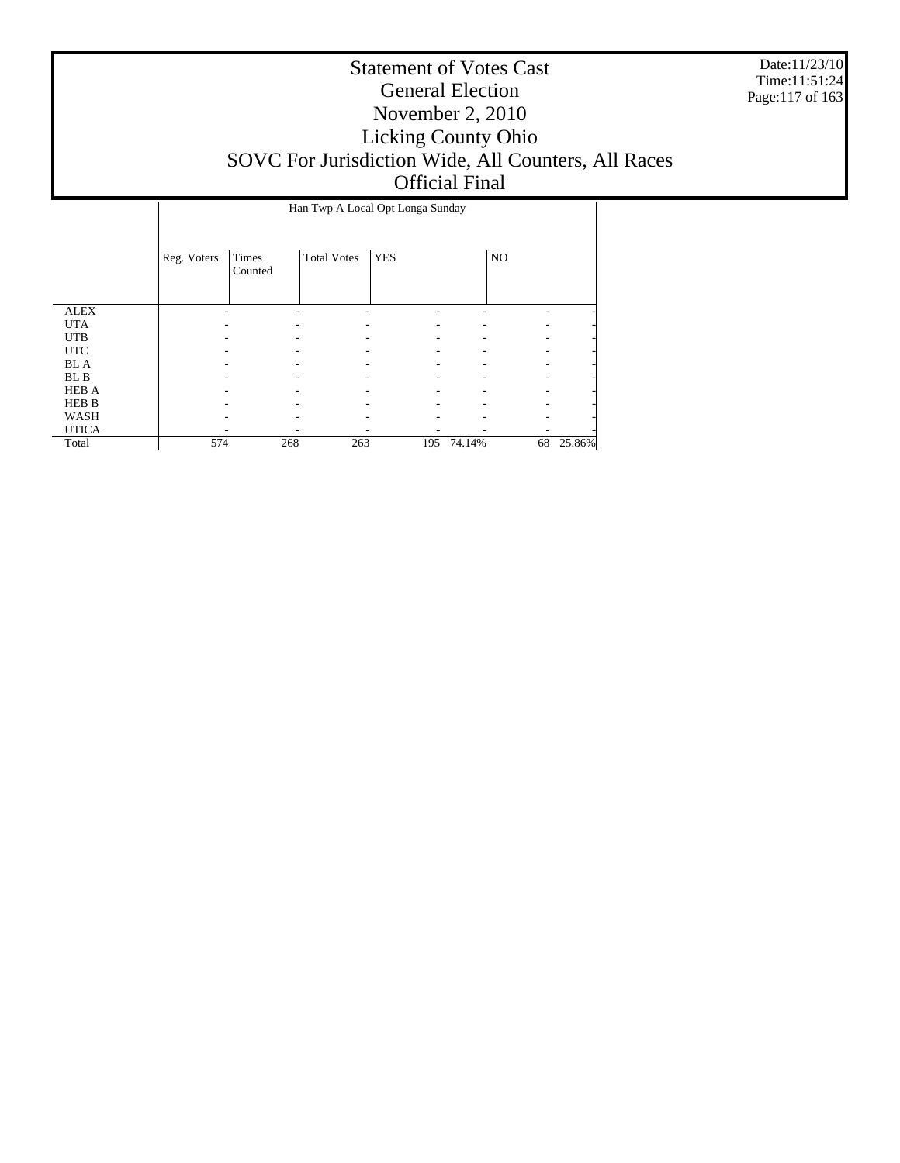Date:11/23/10 Time:11:51:24 Page:117 of 163

|              |             | Han Twp A Local Opt Longa Sunday |                    |            |        |    |        |  |  |
|--------------|-------------|----------------------------------|--------------------|------------|--------|----|--------|--|--|
|              | Reg. Voters | Times<br>Counted                 | <b>Total Votes</b> | <b>YES</b> |        | NO |        |  |  |
| <b>ALEX</b>  |             |                                  |                    |            |        |    |        |  |  |
| <b>UTA</b>   |             |                                  |                    |            |        |    |        |  |  |
| <b>UTB</b>   |             |                                  |                    |            |        |    |        |  |  |
| <b>UTC</b>   |             |                                  |                    |            |        |    |        |  |  |
| <b>BLA</b>   |             |                                  |                    |            |        |    |        |  |  |
| BL B         |             |                                  |                    |            |        |    |        |  |  |
| <b>HEB A</b> |             |                                  |                    |            |        |    |        |  |  |
| <b>HEB B</b> |             |                                  |                    |            |        |    |        |  |  |
| WASH         |             |                                  |                    |            |        |    |        |  |  |
| <b>UTICA</b> |             |                                  |                    |            |        |    |        |  |  |
| Total        | 574         | 268                              | 263                | 195        | 74.14% | 68 | 25.86% |  |  |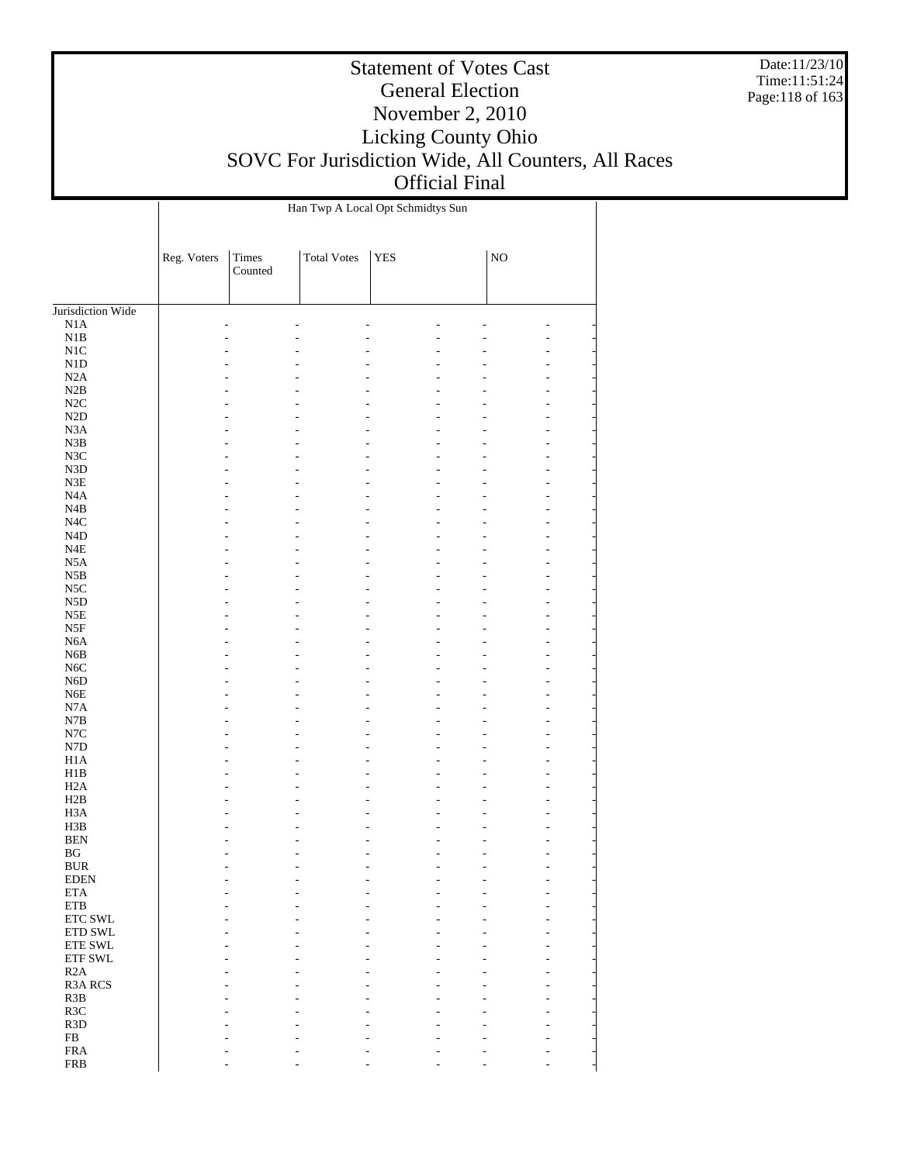Date:11/23/10 Time:11:51:24 Page:118 of 163

|                                |             |                  | Han Twp A Local Opt Schmidtys Sun |            |             |                     |  |
|--------------------------------|-------------|------------------|-----------------------------------|------------|-------------|---------------------|--|
|                                | Reg. Voters | Times<br>Counted | <b>Total Votes</b>                | <b>YES</b> | $_{\rm NO}$ |                     |  |
| Jurisdiction Wide              |             |                  |                                   |            |             |                     |  |
| N1A                            |             |                  |                                   |            |             |                     |  |
| $_{\rm N1B}$                   |             |                  | L.                                |            |             | L,                  |  |
| $\rm N1C$                      |             |                  |                                   |            |             |                     |  |
| ${\rm N1D}$                    |             |                  |                                   |            |             | ÷                   |  |
| N2A                            |             |                  |                                   |            |             | ÷                   |  |
| $\rm N2B$                      |             |                  |                                   |            |             | ä,                  |  |
| $\rm N2C$                      |             |                  |                                   |            |             | ۷                   |  |
| $\rm N2D$                      |             |                  |                                   |            |             | $\overline{a}$      |  |
| $_{\rm N3A}$<br>$_{\rm N3B}$   |             |                  |                                   |            |             | ۷<br>ä,             |  |
| $_{\rm N3C}$                   |             |                  |                                   |            |             | ۷                   |  |
| ${\rm N3D}$                    |             |                  |                                   |            |             | ÷                   |  |
| ${\rm N3E}$                    |             |                  |                                   |            |             | ۷                   |  |
| $_{\mathrm{N4A}}$              |             |                  |                                   |            |             | ä,                  |  |
| $_{\mathrm{N4B}}$              |             |                  |                                   |            |             | ۷                   |  |
| $_{\mathrm{N4C}}$              |             |                  |                                   |            |             | $\overline{a}$      |  |
| $\rm N4D$                      |             |                  |                                   |            |             | ۷                   |  |
| $_{\rm N4E}$                   |             |                  |                                   |            |             | ä,                  |  |
| $_{\rm N5A}$                   |             |                  |                                   |            |             | ۷                   |  |
| $_{\rm N5B}$                   |             |                  |                                   |            |             | $\overline{a}$      |  |
| $_{\rm NSC}$                   |             |                  |                                   |            |             | ۷                   |  |
| ${\rm N5D}$                    |             |                  |                                   |            |             | ä,                  |  |
| $_{\rm N5E}$<br>$_{\rm N5F}$   |             |                  |                                   |            |             | ۷<br>$\overline{a}$ |  |
| ${\rm N6A}$                    |             |                  |                                   |            |             | $\overline{a}$      |  |
| ${\rm N6B}$                    |             |                  |                                   |            |             | ä,                  |  |
| $_{\mathrm{N6C}}$              |             |                  |                                   |            |             | ۷                   |  |
| ${\rm N6D}$                    |             |                  |                                   |            |             | $\overline{a}$      |  |
| ${\rm N6E}$                    |             |                  |                                   |            |             | $\overline{a}$      |  |
| $_{\rm N7A}$                   |             |                  |                                   |            |             | ä,                  |  |
| N7B                            |             |                  |                                   |            |             | ۷                   |  |
| $_{\mathrm{N7C}}$              |             |                  |                                   |            |             | $\overline{a}$      |  |
| ${\rm N7D}$                    |             |                  |                                   |            |             | $\overline{a}$      |  |
| $_{\rm H1A}$                   |             |                  |                                   |            |             | ä,                  |  |
| H1B                            |             |                  |                                   |            |             | ÷                   |  |
| H2A                            |             |                  |                                   |            |             | ÷                   |  |
| H2B                            |             |                  |                                   |            |             | $\overline{a}$      |  |
| H <sub>3</sub> A<br>H3B        |             |                  |                                   |            |             | ä,<br>÷             |  |
| <b>BEN</b>                     |             |                  |                                   |            |             | ÷                   |  |
| $\mathbf{B}\mathbf{G}$         |             |                  | ٠                                 |            |             | ä,                  |  |
| <b>BUR</b>                     |             |                  |                                   |            |             |                     |  |
| <b>EDEN</b>                    |             |                  |                                   |            |             |                     |  |
| $\rm ETA$                      |             |                  |                                   |            |             |                     |  |
| ${\tt ETB}$                    |             |                  |                                   |            |             |                     |  |
| ETC SWL                        |             |                  |                                   |            |             |                     |  |
| ETD SWL                        |             |                  |                                   |            |             |                     |  |
| ETE SWL                        |             |                  |                                   |            |             |                     |  |
| ETF SWL                        |             |                  |                                   |            |             |                     |  |
| R2A                            |             |                  |                                   |            |             |                     |  |
| R3A RCS                        |             |                  |                                   |            |             |                     |  |
| R3B                            |             |                  |                                   |            |             |                     |  |
| R3C                            |             |                  |                                   |            |             |                     |  |
| R <sub>3</sub> D<br>${\rm FB}$ |             |                  |                                   |            |             |                     |  |
| <b>FRA</b>                     |             |                  |                                   |            |             |                     |  |
| <b>FRB</b>                     |             |                  |                                   |            |             |                     |  |
|                                |             |                  |                                   |            |             |                     |  |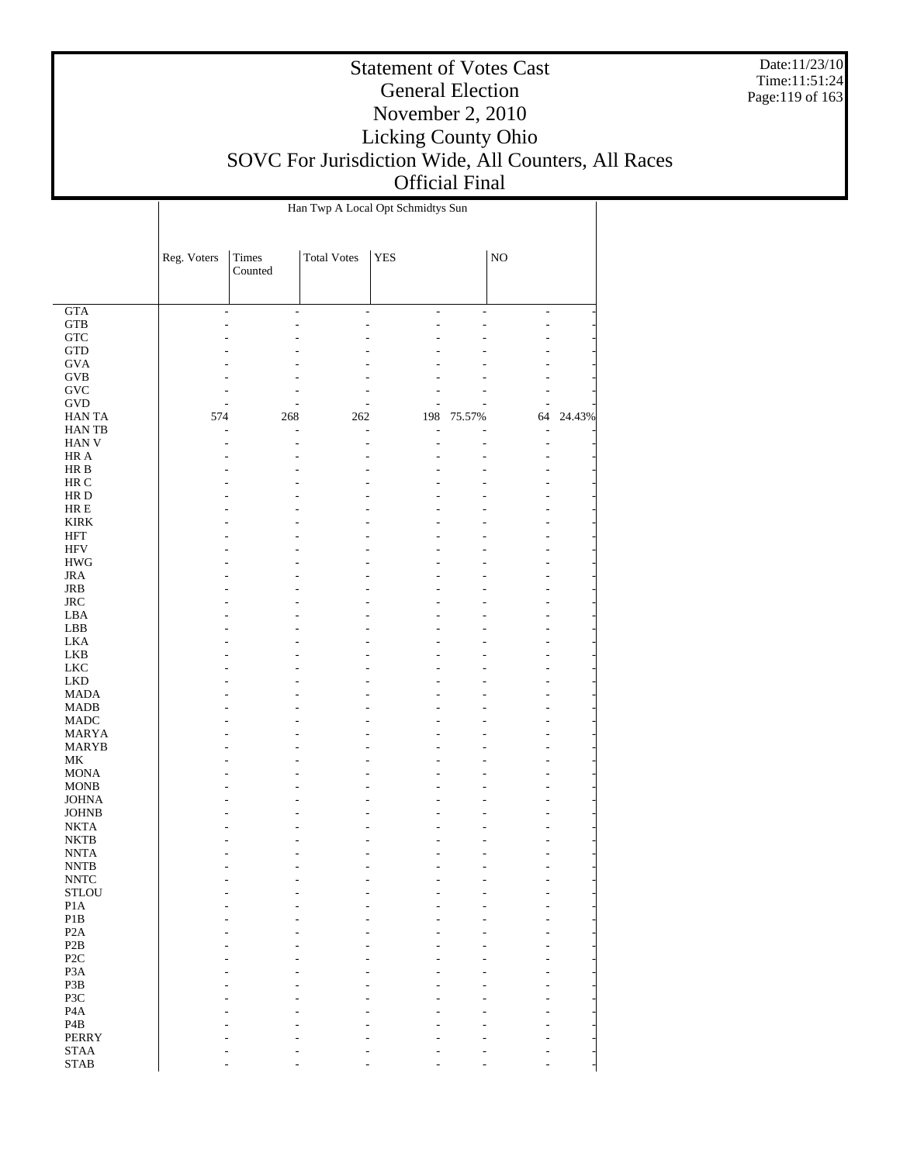Date:11/23/10 Time:11:51:24 Page:119 of 163

|                            |                |                  |                          | Han Twp A Local Opt Schmidtys Sun |        |                                |        |
|----------------------------|----------------|------------------|--------------------------|-----------------------------------|--------|--------------------------------|--------|
|                            | Reg. Voters    | Times<br>Counted | <b>Total Votes</b>       | <b>YES</b>                        |        | $_{\rm NO}$                    |        |
|                            |                |                  |                          |                                   |        |                                |        |
| GTA                        | $\overline{a}$ | $\overline{a}$   | $\overline{\phantom{a}}$ | ÷,                                | ÷,     | $\overline{\phantom{a}}$       |        |
| <b>GTB</b><br>${\rm GTC}$  |                | ٠                | ä,                       | L                                 | L,     | ä,<br>L,                       |        |
| <b>GTD</b>                 |                |                  |                          |                                   |        |                                |        |
| <b>GVA</b>                 |                |                  |                          |                                   |        |                                |        |
| <b>GVB</b>                 |                |                  |                          |                                   |        | L,                             |        |
| ${\rm GVC}$                |                | ٠                |                          |                                   |        | ٠                              |        |
| <b>GVD</b>                 | L              | ٠                |                          |                                   |        | ÷,                             |        |
| <b>HANTA</b>               | 574            | 268              | 262                      | 198                               | 75.57% | 64                             | 24.43% |
| <b>HANTB</b>               | L              | L,               | L,                       |                                   |        | ÷,                             |        |
| HAN V<br>HR A              |                | ٠                | ٠                        |                                   |        | $\overline{\phantom{a}}$<br>L, |        |
| HR B                       |                |                  |                          |                                   |        | L,                             |        |
| HR C                       |                |                  |                          |                                   |        | L,                             |        |
| HR D                       |                |                  |                          |                                   |        | ÷                              |        |
| $HRE$                      |                |                  |                          |                                   |        | L,                             |        |
| <b>KIRK</b>                |                |                  |                          |                                   |        | L,                             |        |
| HFT                        |                |                  |                          |                                   |        | L,                             |        |
| <b>HFV</b><br><b>HWG</b>   |                |                  |                          |                                   |        | $\overline{a}$<br>L,           |        |
| <b>JRA</b>                 |                |                  |                          |                                   |        | ÷                              |        |
| JRB                        |                |                  |                          |                                   |        | L,                             |        |
| $_{\rm JRC}$               |                |                  |                          |                                   |        | $\overline{a}$                 |        |
| LBA                        |                |                  |                          |                                   |        | L,                             |        |
| LBB                        |                |                  |                          |                                   |        | ÷                              |        |
| LKA                        |                |                  |                          |                                   |        | L,                             |        |
| LKB<br>LKC                 |                |                  |                          |                                   |        | $\overline{a}$<br>L,           |        |
| LKD                        |                |                  |                          |                                   |        | ÷                              |        |
| <b>MADA</b>                |                |                  |                          |                                   |        | L,                             |        |
| MADB                       |                |                  |                          |                                   |        | $\overline{a}$                 |        |
| MADC                       |                |                  |                          |                                   |        | L,                             |        |
| MARYA                      |                |                  |                          |                                   |        | ÷                              |        |
| MARYB                      |                |                  |                          |                                   |        | $\overline{a}$                 |        |
| MK<br><b>MONA</b>          |                |                  |                          |                                   |        | $\overline{a}$<br>L,           |        |
| <b>MONB</b>                |                |                  |                          |                                   |        | L,                             |        |
| <b>JOHNA</b>               |                |                  |                          |                                   |        | ÷                              |        |
| <b>JOHNB</b>               |                |                  |                          |                                   |        | ÷                              |        |
| <b>NKTA</b>                |                |                  |                          |                                   |        |                                |        |
| <b>NKTB</b>                |                |                  |                          |                                   |        |                                |        |
| <b>NNTA</b>                |                |                  |                          |                                   | ٠      | ä,                             |        |
| <b>NNTB</b><br><b>NNTC</b> |                |                  |                          |                                   |        |                                |        |
| <b>STLOU</b>               |                |                  |                          |                                   |        |                                |        |
| P <sub>1</sub> A           |                |                  |                          |                                   |        |                                |        |
| $\mathbf{P}1\mathbf{B}$    |                |                  |                          |                                   |        |                                |        |
| P <sub>2</sub> A           |                |                  |                          |                                   |        |                                |        |
| P2B                        |                |                  |                          |                                   |        |                                |        |
| P <sub>2</sub> C           |                |                  |                          |                                   |        |                                |        |
| P <sub>3</sub> A<br>P3B    |                |                  |                          |                                   |        |                                |        |
| P3C                        |                |                  |                          |                                   |        |                                |        |
| P <sub>4</sub> A           |                |                  |                          |                                   |        |                                |        |
| P <sub>4</sub> B           |                |                  |                          |                                   |        |                                |        |
| <b>PERRY</b>               |                |                  |                          |                                   |        |                                |        |
| $\operatorname{STAA}$      |                |                  |                          |                                   |        |                                |        |
| <b>STAB</b>                |                |                  |                          |                                   |        |                                |        |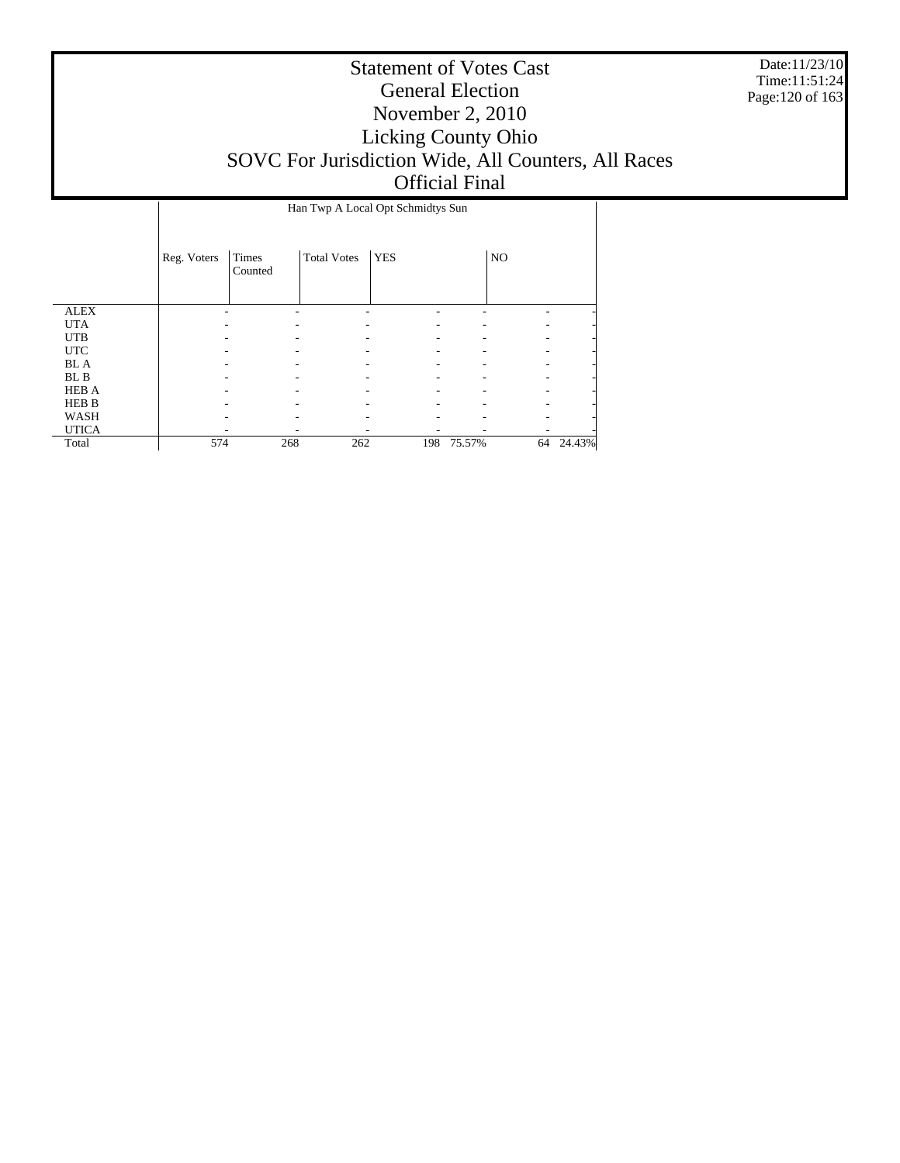Date:11/23/10 Time:11:51:24 Page:120 of 163

|              |             |                  |                    | Han Twp A Local Opt Schmidtys Sun |        |    |                |
|--------------|-------------|------------------|--------------------|-----------------------------------|--------|----|----------------|
|              | Reg. Voters | Times<br>Counted | <b>Total Votes</b> | <b>YES</b>                        |        | NO |                |
| <b>ALEX</b>  |             |                  |                    |                                   |        |    |                |
| <b>UTA</b>   |             |                  |                    |                                   |        |    | $\overline{a}$ |
| <b>UTB</b>   |             |                  |                    |                                   |        |    | $\overline{a}$ |
| <b>UTC</b>   |             |                  |                    |                                   |        |    | $\overline{a}$ |
| <b>BLA</b>   |             |                  |                    |                                   |        |    | $\overline{a}$ |
| BL B         |             |                  |                    |                                   |        |    | $\overline{a}$ |
| <b>HEB A</b> |             |                  |                    |                                   |        |    | $\overline{a}$ |
| <b>HEB B</b> |             |                  |                    |                                   |        |    | $\overline{a}$ |
| WASH         |             |                  |                    |                                   |        |    | $\overline{a}$ |
| <b>UTICA</b> |             |                  |                    |                                   |        |    |                |
| Total        | 574         | 268              | 262                | 198                               | 75.57% | 64 | 24.43%         |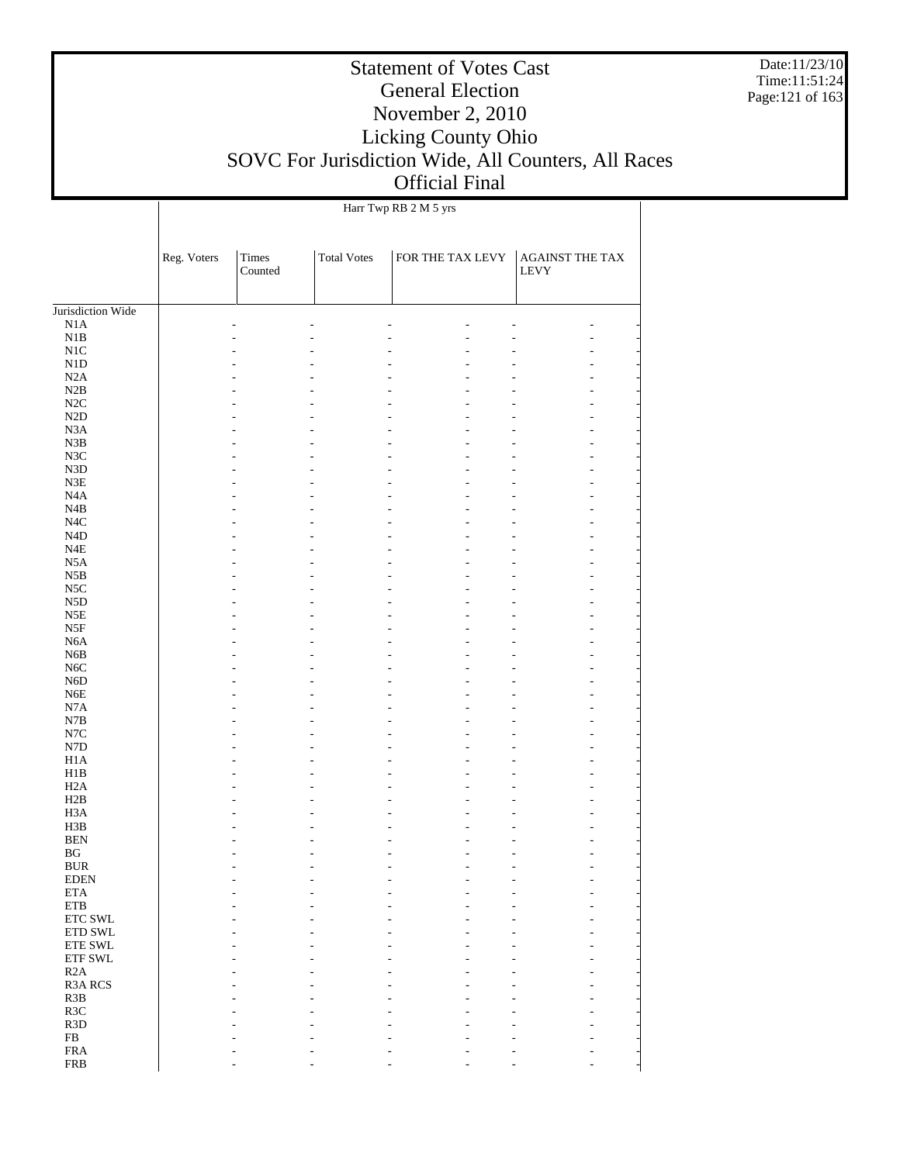Date:11/23/10 Time:11:51:24 Page:121 of 163

#### Statement of Votes Cast General Election November 2, 2010 Licking County Ohio SOVC For Jurisdiction Wide, All Counters, All Races Official Final

Jurisdiction Wide N1A N1B N1C N1D N2A N2B N2C N2D N3A N3B N3C N3D N3E N4A N4B N4C N4D N4E N5A N5B N5C N5D N5E N5F N6A N6B N6C N6D N6E N7A N7B N7C N7D H1A H1B H2A H2B H3A H3B BEN BG BUR EDEN ETA ETB ETC SWL ETD SWL ETE SWL ETF SWL R2A R3A RCS R3B R3C R3D FB FRA FRB Reg. Voters Times Counted Total Votes FOR THE TAX LEVY AGAINST THE TAX LEVY Harr Twp RB 2 M 5 yrs - - - - - - - - - - - - - - - - - - - - - - - - - - - - - - - - - - - - - - - - - - - - - - - - - - - - - - - - - - - - - - - - - - - - - - - - - - - - - - - - - - - - - - - - - - - - - - - - - - - - - - - - - - - - - - - - - - - - - - - - - - - - - - - - - - - - - - - - - - - - - - - - - - - - - - - - - - - - - - - - - - - - - - - - - - - - - - - - - - - - - - - - - - - - - - - - - - - - - - - - - - - - - - - - - - - - - - - - - - - - - - - - - - - - - - - - - - - - - - - - - - - - - - - - - - - - - - - - - - - - - - - - - - - - - - - - - - - - - - - - - - - - - - - - - - - - - - - - - - - - - - - - - - - - - - - - - - - - - - - - - - - - - - - - - - - - - - - - - - - - - - - - - - - - - - - - - - - - - - - - - - - - - - - - - - - - - - - - - - - - - - - - - - - - - - - -

- - - - - - -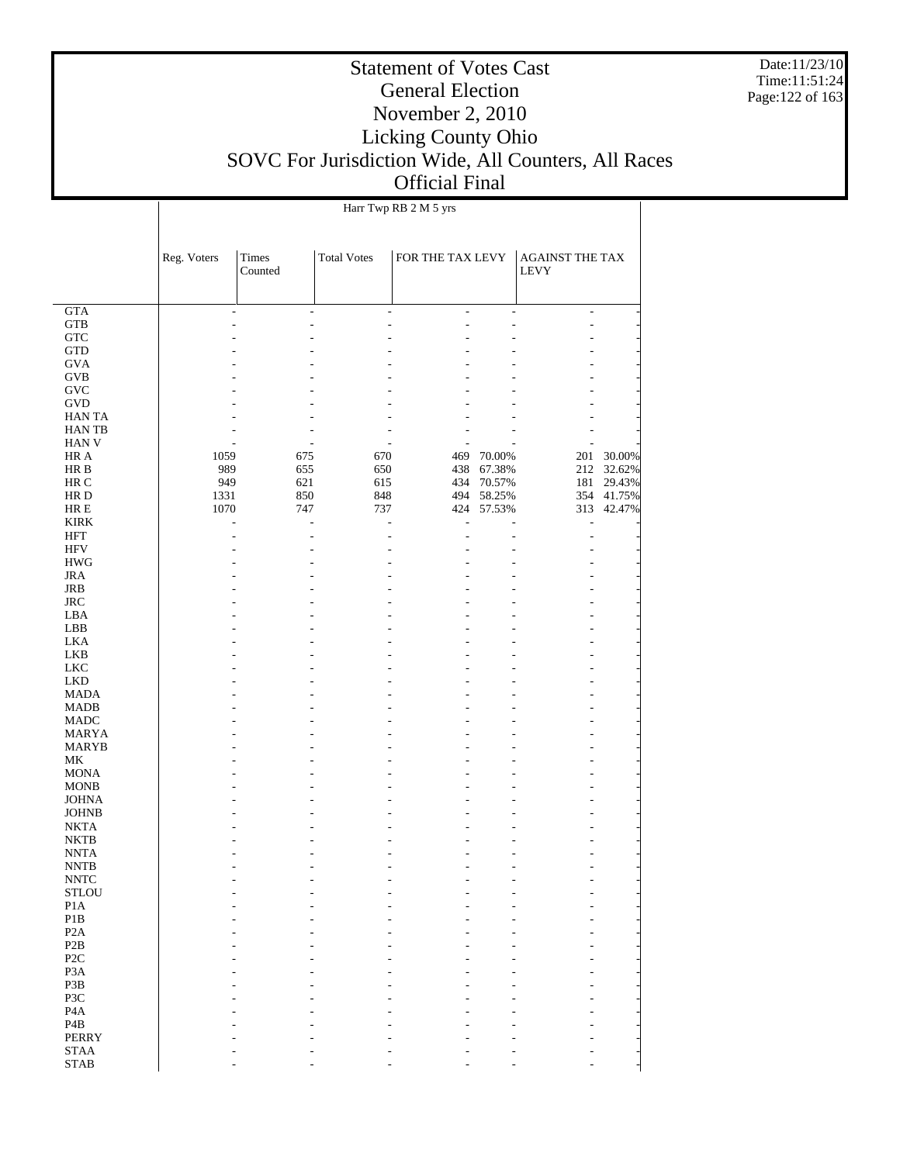Date:11/23/10 Time:11:51:24 Page:122 of 163

#### Statement of Votes Cast General Election November 2, 2010 Licking County Ohio SOVC For Jurisdiction Wide, All Counters, All Races Official Final

 GTA GTB **GTC**  GTD GVA GVB GVC GVD HAN TA HAN TB HAN V HR A HR B HR C HR D HR E KIRK HFT HFV HWG JRA JRB JRC LBA LBB LKA LKB LKC LKD MADA MADB MADC MARYA MARYB MK MONA MONB JOHNA JOHNB NKTA NKTB NNTA NNTB NNTC **STLOU**  P1A P1B P2A P2B P2C P3A P3B P3C P4A P4B PERRY STAA Reg. Voters Times Counted Total Votes FOR THE TAX LEVY AGAINST THE TAX LEVY Harr Twp RB 2 M 5 yrs - - - - - - - - - - - - - - - - - - - - - - - - - - - - - - - - - - - - - - - - - - - - - - - - - - - - - - - - - - - - - - - - - - - - - - - - - - - - - 1059 675 670 469 70.00% 201 30.00% 989 655 650 438 67.38% 212 32.62% 949 621 615 434 70.57% 181 29.43%<br>1331 850 848 494 58.25% 354 41.75% 1331 850 848 494 58.25% 354 41.75%<br>1070 747 737 424 57.53% 313 42.47% 424 57.53% - - - - - - - - - - - - - - - - - - - - - - - - - - - - - - - - - - - - - - - - - - - - - - - - - - - - - - - - - - - - - - - - - - - - - - - - - - - - - - - - - - - - - - - - - - - - - - - - - - - - - - - - - - - - - - - - - - - - - - - - - - - - - - - - - - - - - - - - - - - - - - - - - - - - - - - - - - - - - - - - - - - - - - - - - - - - - - - - - - - - - - - - - - - - - - - - - - - - - - - - - - - - - - - - - - - - - - - - - - - - - - - - - - - - - - - - - - - - - - - - - - - - - - - - - - - - - - - - - - - - - - - - - - - - - - - - - - - - - - - - - - - - - - -

- - - - - - -

STAB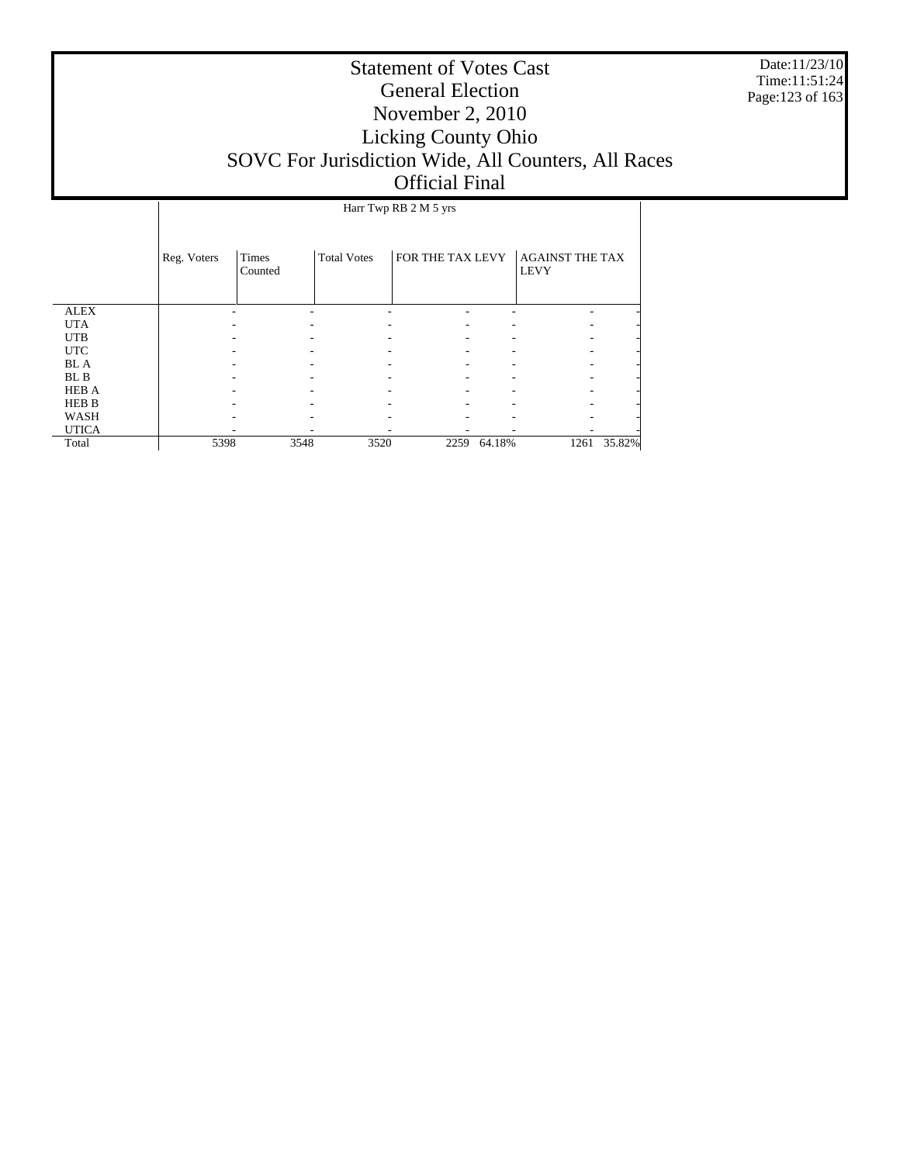Date:11/23/10 Time:11:51:24 Page:123 of 163

|              |             |                         |                    | Harr Twp RB 2 M 5 yrs |        |                                       |        |
|--------------|-------------|-------------------------|--------------------|-----------------------|--------|---------------------------------------|--------|
|              | Reg. Voters | <b>Times</b><br>Counted | <b>Total Votes</b> | FOR THE TAX LEVY      |        | <b>AGAINST THE TAX</b><br><b>LEVY</b> |        |
| <b>ALEX</b>  |             |                         |                    |                       |        |                                       |        |
| <b>UTA</b>   |             |                         |                    |                       |        |                                       |        |
| <b>UTB</b>   |             |                         |                    |                       |        |                                       |        |
| <b>UTC</b>   |             |                         |                    |                       |        |                                       |        |
| <b>BLA</b>   |             |                         |                    |                       |        |                                       |        |
| BL B         |             |                         |                    |                       |        |                                       |        |
| <b>HEB A</b> |             |                         |                    |                       |        |                                       |        |
| <b>HEB B</b> |             |                         |                    |                       |        |                                       |        |
| WASH         |             |                         |                    |                       |        |                                       |        |
| <b>UTICA</b> |             |                         |                    |                       |        |                                       |        |
| Total        | 5398        | 3548                    | 3520               | 2259                  | 64.18% | 1261                                  | 35.82% |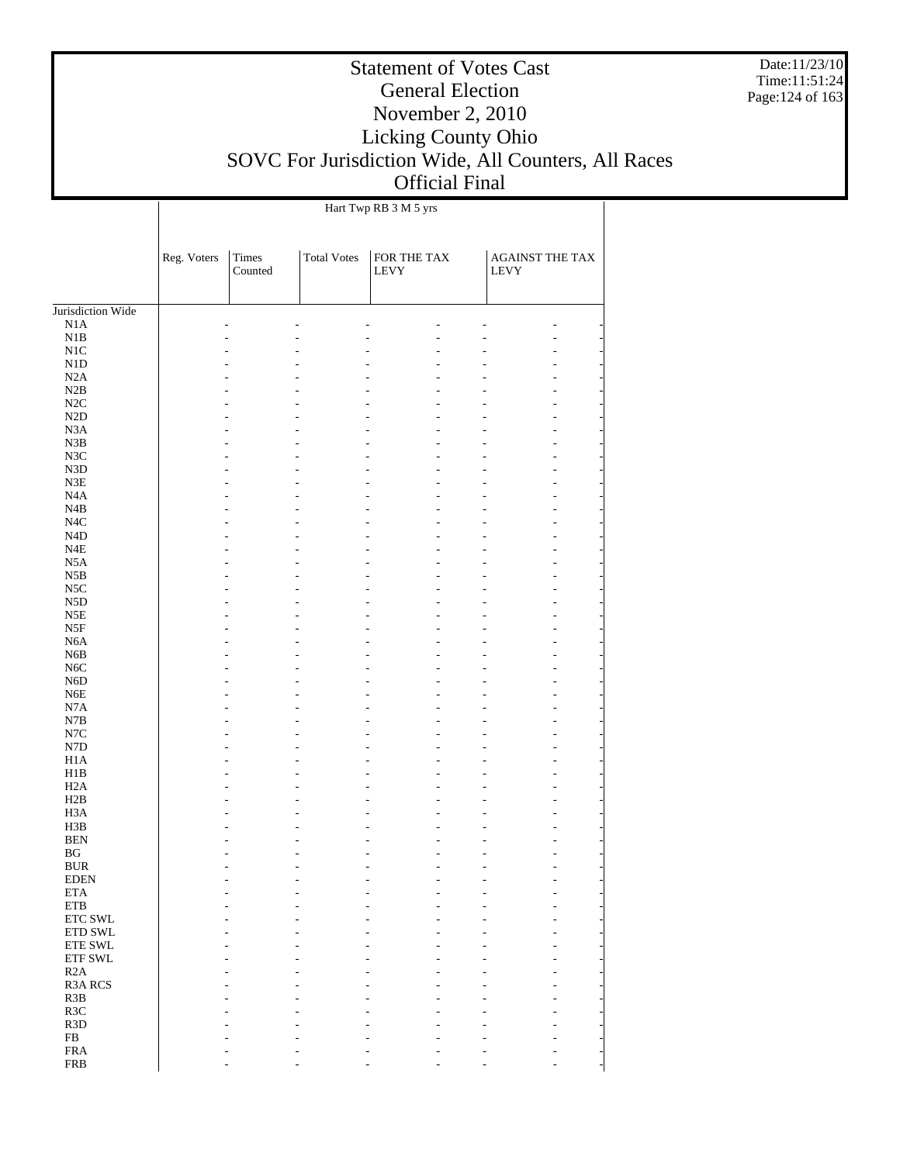Date:11/23/10 Time:11:51:24 Page:124 of 163

### Statement of Votes Cast General Election November 2, 2010 Licking County Ohio SOVC For Jurisdiction Wide, All Counters, All Races Official Final

 $\overline{\phantom{a}}$ 

Hart Twp RB 3 M 5 yrs

 $\overline{1}$ 

|                   | Reg. Voters | Times<br>Counted | <b>Total Votes</b> | FOR THE TAX<br>LEVY | AGAINST THE TAX<br><b>LEVY</b> |  |
|-------------------|-------------|------------------|--------------------|---------------------|--------------------------------|--|
| Jurisdiction Wide |             |                  |                    |                     |                                |  |
| N1A               |             |                  |                    |                     |                                |  |
| N1B               |             |                  |                    |                     |                                |  |
| $\rm N1C$         |             |                  |                    |                     |                                |  |
| N1D               |             |                  |                    |                     |                                |  |
| N2A               |             |                  |                    |                     |                                |  |
| N2B<br>$\rm N2C$  |             |                  |                    |                     |                                |  |
| $\rm N2D$         |             |                  |                    |                     |                                |  |
| N3A               |             |                  |                    |                     |                                |  |
| N3B               |             |                  |                    |                     |                                |  |
| $_{\mathrm{N3C}}$ |             |                  |                    |                     |                                |  |
| N3D               |             |                  |                    |                     |                                |  |
| $\rm N3E$         |             |                  |                    |                     |                                |  |
| N <sub>4</sub> A  |             |                  |                    |                     |                                |  |
| N4B               |             |                  |                    |                     |                                |  |
| N <sub>4</sub> C  |             |                  |                    |                     |                                |  |
| N <sub>4</sub> D  |             |                  |                    |                     |                                |  |
| N4E               |             |                  |                    |                     |                                |  |
| N <sub>5</sub> A  |             |                  |                    |                     |                                |  |
| N5B               |             |                  |                    |                     |                                |  |
| $_{\rm NSC}$      |             |                  |                    |                     |                                |  |
| N <sub>5</sub> D  |             |                  |                    |                     |                                |  |
| N5E               |             |                  |                    |                     |                                |  |
| N5F               |             |                  |                    |                     |                                |  |
| N <sub>6</sub> A  |             |                  |                    |                     |                                |  |
| N <sub>6</sub> B  |             |                  |                    |                     |                                |  |
| $_{\mathrm{N6C}}$ |             |                  |                    |                     |                                |  |
| N <sub>6</sub> D  |             |                  |                    |                     |                                |  |
| N <sub>6</sub> E  |             |                  |                    |                     |                                |  |
| N7A               |             |                  |                    |                     |                                |  |
| $_{\rm N7B}$      |             |                  |                    |                     |                                |  |
| N7C               |             |                  |                    |                     |                                |  |
| N7D<br>H1A        |             |                  |                    |                     |                                |  |
| H1B               |             |                  |                    |                     |                                |  |
| H2A               |             |                  |                    |                     |                                |  |
| H2B               |             |                  |                    |                     |                                |  |
| H <sub>3</sub> A  |             |                  |                    |                     |                                |  |
| H3B               |             |                  |                    |                     |                                |  |
| <b>BEN</b>        |             |                  |                    |                     |                                |  |
| BG                |             |                  |                    |                     |                                |  |
| <b>BUR</b>        |             |                  |                    |                     |                                |  |
| EDEN              |             |                  |                    |                     |                                |  |
| <b>ETA</b>        |             |                  |                    |                     |                                |  |
| $\rm ETB$         |             |                  |                    |                     |                                |  |
| ETC SWL           |             |                  |                    |                     |                                |  |
| ETD SWL           |             |                  |                    |                     |                                |  |
| ETE SWL           |             |                  |                    |                     |                                |  |
| ETF SWL           |             |                  |                    |                     |                                |  |
| R2A               |             |                  |                    |                     |                                |  |
| R3A RCS           |             |                  |                    |                     |                                |  |
| R3B               |             |                  |                    |                     |                                |  |
| R3C               |             |                  |                    |                     |                                |  |
| R <sub>3</sub> D  |             |                  |                    |                     |                                |  |
| ${\rm FB}$        |             |                  |                    |                     |                                |  |
| ${\rm FRA}$       |             |                  |                    |                     |                                |  |
| <b>FRB</b>        |             |                  |                    |                     |                                |  |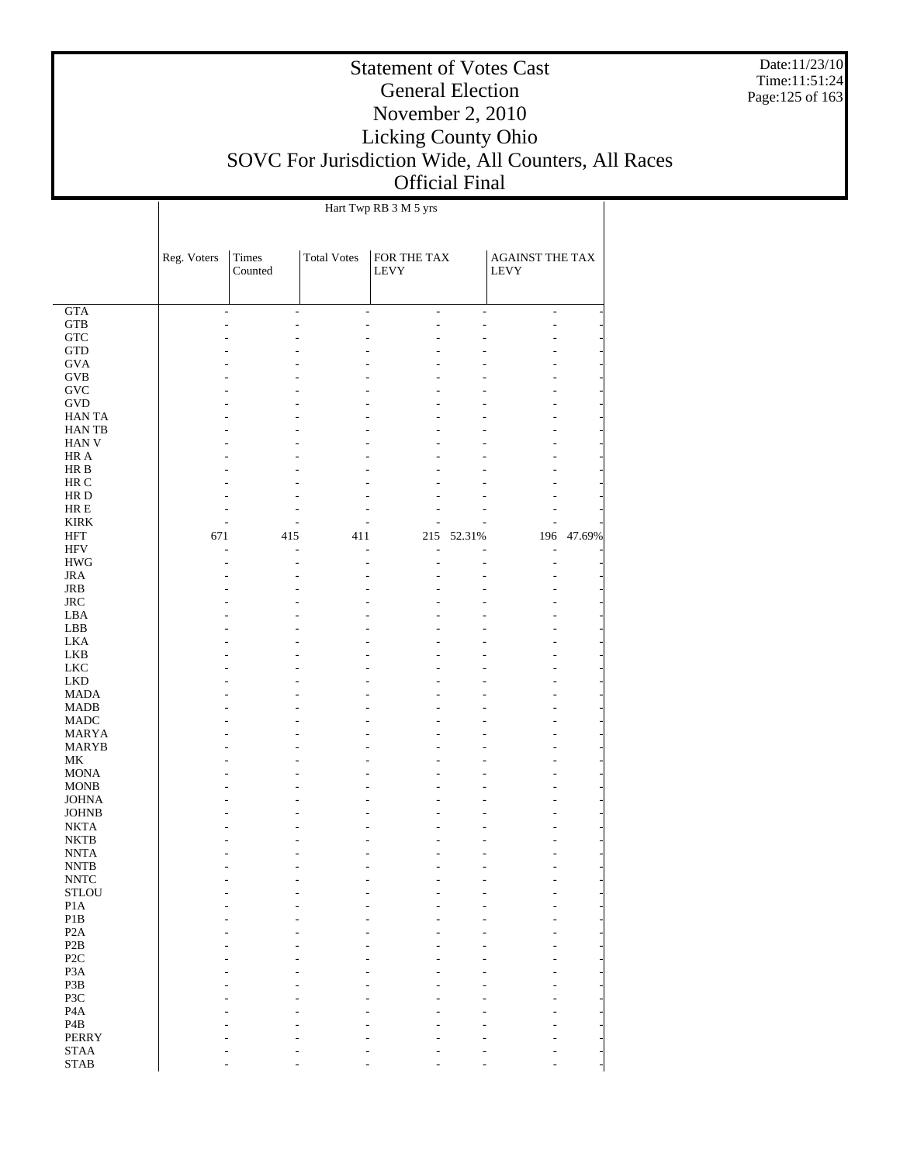Date:11/23/10 Time:11:51:24 Page:125 of 163

# Statement of Votes Cast General Election November 2, 2010 Licking County Ohio SOVC For Jurisdiction Wide, All Counters, All Races Official Final

|                            |             |                  |                    | Hart Twp RB 3 M 5 yrs      |                          |                                |        |
|----------------------------|-------------|------------------|--------------------|----------------------------|--------------------------|--------------------------------|--------|
|                            | Reg. Voters | Times<br>Counted | <b>Total Votes</b> | FOR THE TAX<br><b>LEVY</b> |                          | AGAINST THE TAX<br><b>LEVY</b> |        |
| GTA                        |             | L,<br>÷,         |                    | ÷,<br>$\overline{a}$       | $\overline{\phantom{a}}$ | $\overline{a}$                 |        |
| <b>GTB</b>                 |             | ۰                |                    | L                          | ä,                       | $\overline{a}$                 |        |
| <b>GTC</b>                 |             |                  |                    |                            |                          | ٠                              |        |
| <b>GTD</b>                 |             |                  |                    |                            |                          | ۰                              |        |
| <b>GVA</b>                 |             |                  |                    |                            |                          | ۰                              |        |
| <b>GVB</b>                 |             |                  |                    |                            |                          | ۰                              |        |
| <b>GVC</b>                 |             |                  |                    |                            |                          | ٠                              |        |
| <b>GVD</b>                 |             |                  |                    |                            |                          | ۰                              |        |
| <b>HANTA</b>               |             |                  |                    |                            |                          | ٠                              |        |
| <b>HANTB</b>               |             |                  |                    |                            |                          | ٠                              |        |
| <b>HAN V</b>               |             |                  |                    |                            |                          | ٠                              |        |
| HR A                       |             |                  |                    |                            |                          | ۰                              |        |
| HR B                       |             |                  |                    |                            |                          | ٠                              |        |
| HR C                       |             |                  |                    |                            |                          | ٠                              |        |
| HR D                       |             |                  |                    |                            |                          | ٠                              |        |
| HR E                       |             |                  |                    |                            |                          | ٠                              |        |
| <b>KIRK</b>                |             | ÷                |                    |                            |                          | $\overline{a}$                 |        |
| <b>HFT</b>                 | 671         | 415              | 411                | 215                        | 52.31%                   | 196                            | 47.69% |
| <b>HFV</b>                 |             | L,<br>۰          |                    | ÷.<br>L                    |                          | L,                             |        |
| <b>HWG</b>                 |             |                  |                    | L,                         |                          | $\overline{a}$                 |        |
| <b>JRA</b>                 |             |                  |                    |                            |                          | ۰                              |        |
| JRB                        |             |                  |                    |                            |                          | ۰                              |        |
| <b>JRC</b>                 |             |                  |                    |                            |                          | ٠                              |        |
| LBA<br>LBB                 |             |                  |                    |                            |                          | ۰                              |        |
| <b>LKA</b>                 |             |                  |                    |                            |                          | ۰                              |        |
| <b>LKB</b>                 |             |                  |                    |                            |                          | ٠<br>٠                         |        |
| <b>LKC</b>                 |             |                  |                    |                            |                          | ۰                              |        |
| <b>LKD</b>                 |             |                  |                    |                            |                          | ٠                              |        |
| <b>MADA</b>                |             |                  |                    |                            |                          | ٠                              |        |
| <b>MADB</b>                |             |                  |                    |                            |                          | ٠                              |        |
| <b>MADC</b>                |             |                  |                    |                            |                          | ۰                              |        |
| MARYA                      |             |                  |                    |                            |                          | ٠                              |        |
| MARYB                      |             |                  |                    |                            |                          | ٠                              |        |
| МK                         |             |                  |                    |                            |                          | ٠                              |        |
| <b>MONA</b>                |             |                  |                    |                            |                          | ۰                              |        |
| <b>MONB</b>                |             |                  |                    |                            |                          | ۰                              |        |
| <b>JOHNA</b>               |             |                  |                    |                            |                          | ٠                              |        |
| <b>JOHNB</b>               |             |                  |                    |                            |                          | ٠                              |        |
| <b>NKTA</b>                |             |                  |                    |                            |                          |                                |        |
| NKTB                       |             |                  |                    |                            |                          | ۰                              |        |
| <b>NNTA</b>                |             |                  |                    | ٠                          |                          | $\overline{a}$                 |        |
| <b>NNTB</b>                |             |                  |                    |                            |                          |                                |        |
| $\ensuremath{\text{NNTC}}$ |             |                  |                    |                            |                          |                                |        |
| <b>STLOU</b>               |             |                  |                    |                            |                          |                                |        |
| P <sub>1</sub> A           |             |                  |                    |                            |                          |                                |        |
| $\mathbf{P}1\mathbf{B}$    |             |                  |                    |                            |                          |                                |        |
| P <sub>2</sub> A           |             |                  |                    |                            |                          |                                |        |
| P2B                        |             |                  |                    |                            |                          |                                |        |
| P <sub>2</sub> C           |             |                  |                    |                            |                          |                                |        |
| P <sub>3</sub> A           |             |                  |                    |                            |                          |                                |        |
| P3B                        |             |                  |                    |                            |                          |                                |        |
| P3C                        |             |                  |                    |                            |                          |                                |        |
| P <sub>4</sub> A           |             |                  |                    |                            |                          |                                |        |
| P <sub>4</sub> B           |             |                  |                    |                            |                          |                                |        |
| <b>PERRY</b>               |             |                  |                    |                            |                          |                                |        |
| $\operatorname{STAA}$      |             |                  |                    |                            |                          |                                |        |
| <b>STAB</b>                |             |                  |                    |                            |                          |                                |        |

- - - - - - -

STAB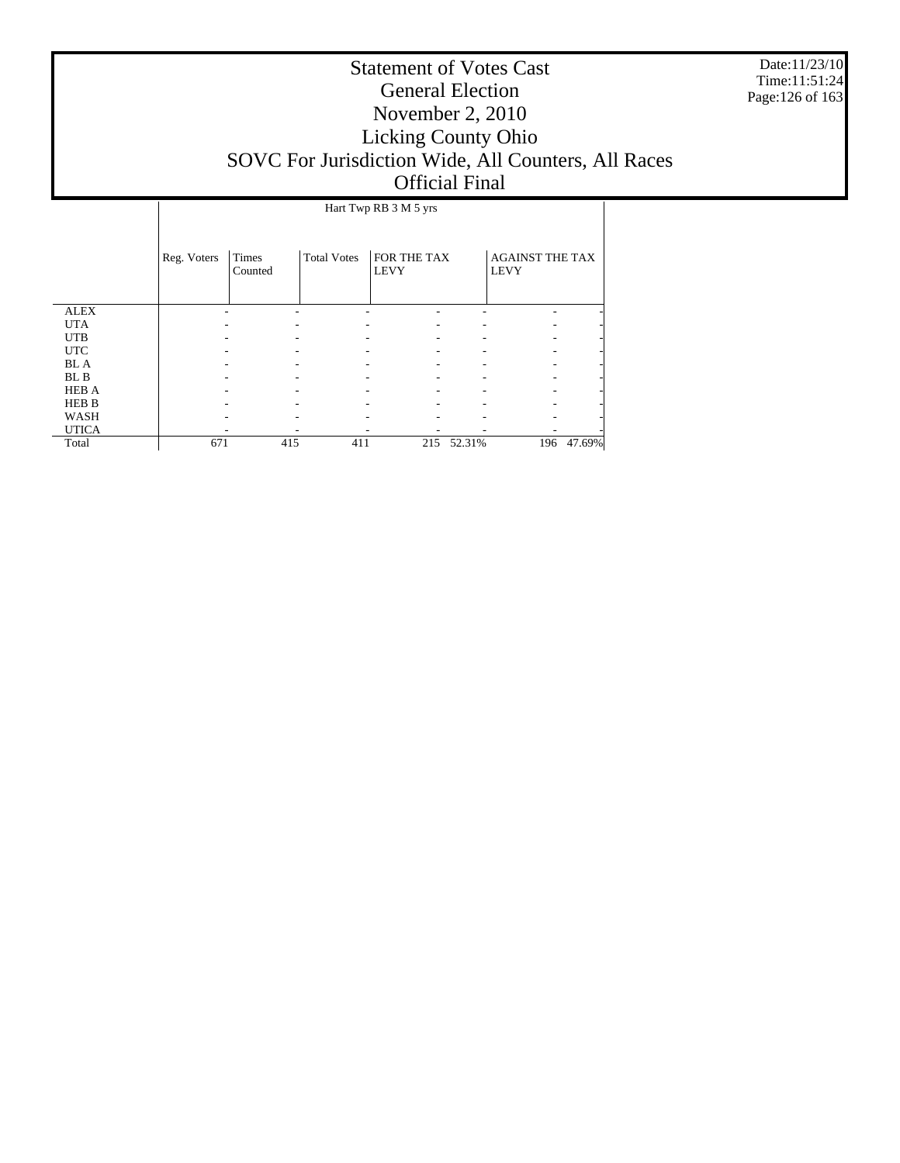Date:11/23/10 Time:11:51:24 Page:126 of 163

|              |             | Hart Twp RB 3 M 5 yrs |                    |                            |            |                                       |            |  |  |  |
|--------------|-------------|-----------------------|--------------------|----------------------------|------------|---------------------------------------|------------|--|--|--|
|              | Reg. Voters | Times<br>Counted      | <b>Total Votes</b> | FOR THE TAX<br><b>LEVY</b> |            | <b>AGAINST THE TAX</b><br><b>LEVY</b> |            |  |  |  |
| <b>ALEX</b>  |             |                       |                    |                            |            |                                       |            |  |  |  |
| <b>UTA</b>   |             |                       |                    |                            |            |                                       |            |  |  |  |
| <b>UTB</b>   |             |                       |                    |                            |            |                                       |            |  |  |  |
| <b>UTC</b>   |             |                       |                    |                            |            |                                       |            |  |  |  |
| <b>BL</b> A  |             |                       |                    |                            |            |                                       |            |  |  |  |
| BL B         |             |                       |                    |                            |            |                                       |            |  |  |  |
| <b>HEB A</b> |             |                       |                    |                            |            |                                       |            |  |  |  |
| <b>HEB B</b> |             |                       |                    |                            |            |                                       |            |  |  |  |
| WASH         |             |                       |                    |                            |            |                                       |            |  |  |  |
| <b>UTICA</b> |             |                       |                    |                            |            |                                       |            |  |  |  |
| Total        | 671         | 415                   | 411                |                            | 215 52.31% |                                       | 196 47.69% |  |  |  |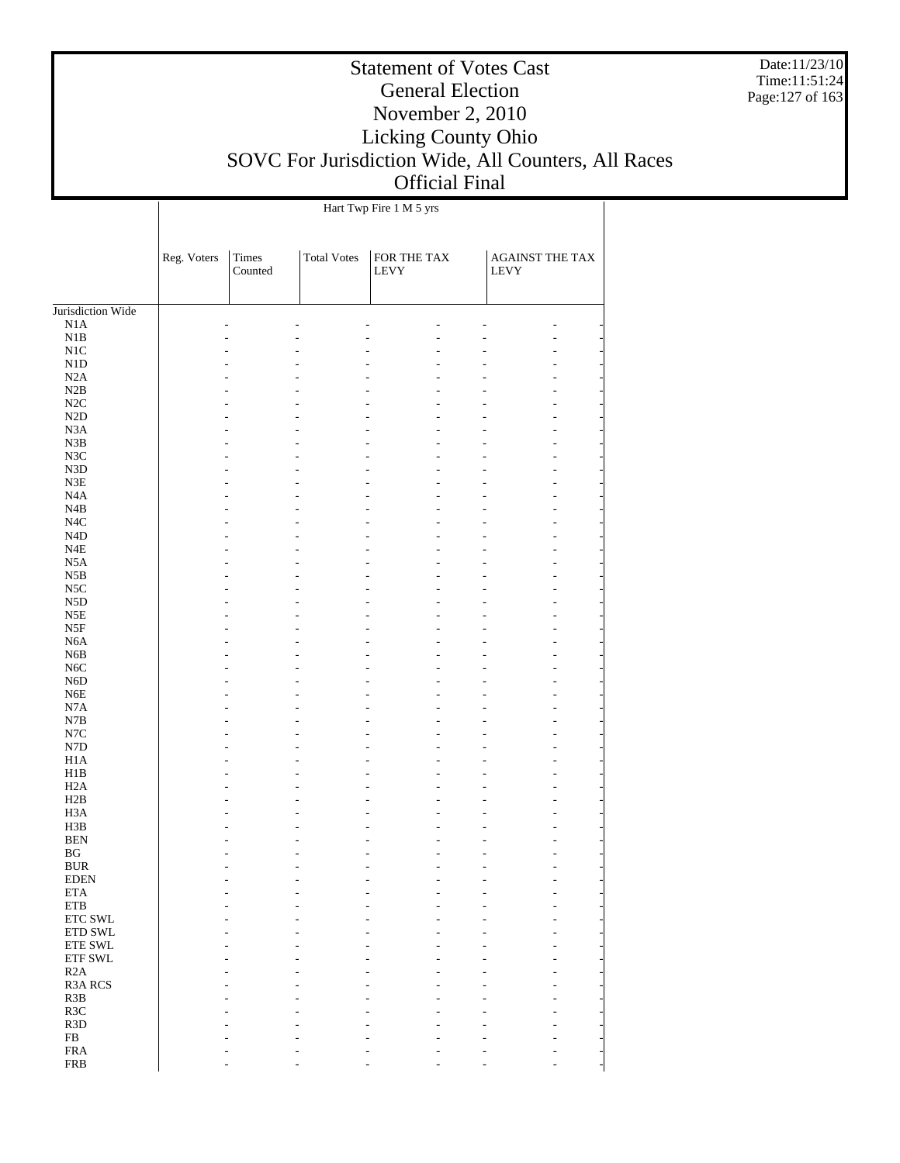Date:11/23/10 Time:11:51:24 Page:127 of 163

### Statement of Votes Cast General Election November 2, 2010 Licking County Ohio SOVC For Jurisdiction Wide, All Counters, All Races Official Final

 $\overline{\phantom{a}}$ 

Hart Twp Fire 1 M 5 yrs

 $\overline{1}$ 

|                         | Reg. Voters | <b>Times</b><br>Counted | <b>Total Votes</b> | FOR THE TAX<br><b>LEVY</b> | <b>AGAINST THE TAX</b><br><b>LEVY</b> |  |
|-------------------------|-------------|-------------------------|--------------------|----------------------------|---------------------------------------|--|
| Jurisdiction Wide       |             |                         |                    |                            |                                       |  |
| N1A                     |             |                         |                    |                            |                                       |  |
| N1B                     |             |                         |                    |                            |                                       |  |
| N1C                     |             |                         |                    |                            |                                       |  |
| N1D                     |             |                         |                    |                            |                                       |  |
| N2A                     |             |                         |                    |                            |                                       |  |
| N2B                     |             |                         |                    |                            |                                       |  |
| $\rm N2C$               |             |                         |                    |                            |                                       |  |
| N2D                     |             |                         |                    |                            |                                       |  |
| N <sub>3</sub> A        |             |                         |                    |                            |                                       |  |
| N3B                     |             |                         |                    |                            |                                       |  |
| N3C                     |             |                         |                    |                            |                                       |  |
| N3D                     |             |                         |                    |                            |                                       |  |
| $\rm N3E$               |             |                         |                    |                            |                                       |  |
| N <sub>4</sub> A        |             |                         |                    |                            |                                       |  |
| N4B                     |             |                         |                    |                            |                                       |  |
| N <sub>4</sub> C        |             |                         |                    |                            |                                       |  |
| N <sub>4</sub> D        |             |                         |                    |                            |                                       |  |
| N4E<br>N <sub>5</sub> A |             |                         |                    |                            |                                       |  |
| N5B                     |             |                         |                    |                            |                                       |  |
| $_{\rm NSC}$            |             |                         |                    |                            |                                       |  |
| N <sub>5</sub> D        |             |                         |                    |                            |                                       |  |
| $_{\rm N5E}$            |             |                         |                    |                            |                                       |  |
| N5F                     |             |                         |                    |                            |                                       |  |
| N <sub>6</sub> A        |             |                         |                    |                            |                                       |  |
| N <sub>6</sub> B        |             |                         |                    |                            |                                       |  |
| N <sub>6</sub> C        |             |                         |                    |                            |                                       |  |
| N <sub>6</sub> D        |             |                         |                    |                            |                                       |  |
| N <sub>6</sub> E        |             |                         |                    |                            |                                       |  |
| N7A                     |             |                         |                    |                            |                                       |  |
| N7B                     |             |                         |                    |                            |                                       |  |
| N7C                     |             |                         |                    |                            |                                       |  |
| ${\rm N7D}$             |             |                         |                    |                            |                                       |  |
| H <sub>1</sub> A        |             |                         |                    |                            |                                       |  |
| H1B                     |             |                         |                    |                            |                                       |  |
| H <sub>2</sub> A        |             |                         |                    |                            |                                       |  |
| H2B                     |             |                         |                    |                            |                                       |  |
| H <sub>3</sub> A        |             |                         |                    |                            |                                       |  |
| H3B                     |             |                         |                    |                            |                                       |  |
| <b>BEN</b>              |             |                         |                    |                            |                                       |  |
| BG                      |             |                         |                    |                            |                                       |  |
| <b>BUR</b>              |             |                         |                    |                            | L.                                    |  |
| <b>EDEN</b>             |             |                         |                    |                            |                                       |  |
| <b>ETA</b>              |             |                         |                    |                            |                                       |  |
| ETB                     |             |                         |                    |                            |                                       |  |
| ETC SWL                 |             |                         |                    |                            |                                       |  |
| ETD SWL                 |             |                         |                    |                            |                                       |  |
| ETE SWL                 |             |                         |                    |                            |                                       |  |
| ETF SWL                 |             |                         |                    |                            |                                       |  |
| R2A                     |             |                         |                    |                            |                                       |  |
| <b>R3A RCS</b>          |             |                         |                    |                            |                                       |  |
| R3B                     |             |                         |                    |                            |                                       |  |
| R3C                     |             |                         |                    |                            |                                       |  |
| R <sub>3</sub> D        |             |                         |                    |                            |                                       |  |
| ${\rm FB}$              |             |                         |                    |                            |                                       |  |
| <b>FRA</b>              |             |                         |                    |                            |                                       |  |
| <b>FRB</b>              |             |                         |                    |                            |                                       |  |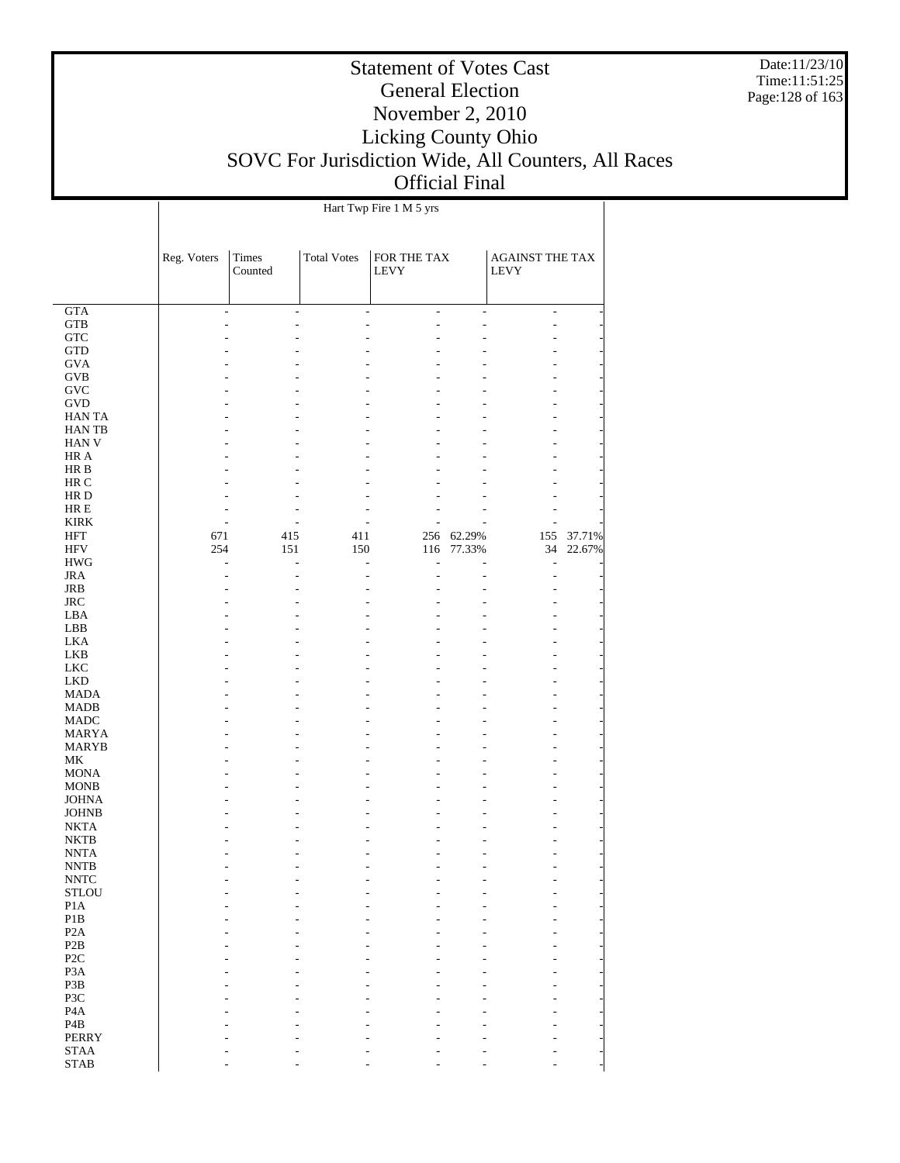Date:11/23/10 Time:11:51:25 Page:128 of 163

### Statement of Votes Cast General Election November 2, 2010 Licking County Ohio SOVC For Jurisdiction Wide, All Counters, All Races Official Final

|                              |                          |                          |                    | Hart Twp Fire 1 M 5 yrs    |                          |                                       |        |
|------------------------------|--------------------------|--------------------------|--------------------|----------------------------|--------------------------|---------------------------------------|--------|
|                              |                          |                          |                    |                            |                          |                                       |        |
|                              | Reg. Voters              | <b>Times</b><br>Counted  | <b>Total Votes</b> | FOR THE TAX<br><b>LEVY</b> |                          | <b>AGAINST THE TAX</b><br><b>LEVY</b> |        |
|                              |                          |                          |                    |                            |                          |                                       |        |
| $\overline{\text{GTA}}$      | $\overline{\phantom{a}}$ | $\overline{\phantom{0}}$ | $\frac{1}{2}$      | $\frac{1}{2}$              | $\overline{\phantom{a}}$ | $\blacksquare$                        |        |
| <b>GTB</b>                   |                          |                          |                    | L                          |                          | $\overline{a}$                        |        |
| <b>GTC</b>                   |                          |                          |                    |                            |                          |                                       |        |
| <b>GTD</b>                   |                          |                          |                    |                            |                          |                                       |        |
| <b>GVA</b>                   |                          |                          |                    |                            |                          |                                       |        |
| <b>GVB</b>                   |                          |                          |                    |                            |                          |                                       |        |
| <b>GVC</b>                   |                          |                          |                    |                            |                          |                                       |        |
| <b>GVD</b>                   |                          |                          |                    |                            |                          |                                       |        |
| <b>HANTA</b>                 |                          |                          |                    |                            |                          |                                       |        |
| <b>HANTB</b><br><b>HAN V</b> |                          |                          |                    |                            |                          |                                       |        |
| HR A                         |                          |                          |                    |                            |                          |                                       |        |
| HR B                         |                          |                          |                    |                            |                          |                                       |        |
| HR C                         |                          |                          |                    |                            |                          |                                       |        |
| HR D                         |                          |                          |                    |                            |                          |                                       |        |
| $HRE$                        |                          |                          |                    |                            |                          |                                       |        |
| <b>KIRK</b>                  |                          |                          |                    |                            |                          |                                       |        |
| <b>HFT</b>                   | 671                      | 415                      | 411                | 256                        | 62.29%                   | 155                                   | 37.71% |
| <b>HFV</b>                   | 254                      | 151                      | 150                | 116                        | 77.33%                   | 34                                    | 22.67% |
| <b>HWG</b>                   |                          |                          |                    | L                          |                          | $\qquad \qquad \blacksquare$          |        |
| <b>JRA</b>                   |                          |                          |                    |                            |                          | $\overline{a}$                        |        |
| JRB                          |                          |                          |                    |                            |                          |                                       |        |
| <b>JRC</b>                   |                          |                          |                    |                            |                          |                                       |        |
| LBA                          |                          |                          |                    |                            |                          |                                       |        |
| LBB                          |                          |                          |                    |                            |                          |                                       |        |
| <b>LKA</b><br><b>LKB</b>     |                          |                          |                    |                            |                          |                                       |        |
| <b>LKC</b>                   |                          |                          |                    |                            |                          |                                       |        |
| <b>LKD</b>                   |                          |                          |                    |                            |                          |                                       |        |
| <b>MADA</b>                  |                          |                          |                    |                            |                          |                                       |        |
| <b>MADB</b>                  |                          |                          |                    |                            |                          |                                       |        |
| <b>MADC</b>                  |                          |                          |                    |                            |                          |                                       |        |
| <b>MARYA</b>                 |                          |                          |                    |                            |                          |                                       |        |
| <b>MARYB</b>                 |                          |                          |                    |                            |                          |                                       |        |
| $\rm MK$                     |                          |                          |                    |                            |                          |                                       |        |
| <b>MONA</b>                  |                          |                          |                    |                            |                          |                                       |        |
| <b>MONB</b>                  |                          |                          |                    |                            |                          |                                       |        |
| <b>JOHNA</b>                 |                          |                          |                    |                            |                          |                                       |        |
| <b>JOHNB</b>                 |                          |                          |                    |                            |                          |                                       |        |
| <b>NKTA</b><br><b>NKTB</b>   |                          |                          |                    |                            |                          |                                       |        |
| <b>NNTA</b>                  |                          |                          |                    |                            |                          |                                       |        |
| $\ensuremath{\text{NNTB}}$   |                          |                          |                    |                            |                          |                                       |        |
| $\ensuremath{\text{NNTC}}$   |                          |                          |                    |                            |                          |                                       |        |
| <b>STLOU</b>                 |                          |                          |                    |                            |                          |                                       |        |
| P1A                          |                          |                          |                    |                            |                          |                                       |        |
| P1B                          |                          |                          |                    |                            |                          |                                       |        |
| P <sub>2</sub> A             |                          |                          |                    |                            |                          |                                       |        |
| P <sub>2</sub> B             |                          |                          |                    |                            |                          |                                       |        |
| P <sub>2</sub> C             |                          |                          |                    |                            |                          |                                       |        |
| P <sub>3</sub> A             |                          |                          |                    |                            |                          |                                       |        |
| P3B                          |                          |                          |                    |                            |                          |                                       |        |
| P3C                          |                          |                          |                    |                            |                          |                                       |        |
| P <sub>4</sub> A             |                          |                          |                    |                            |                          |                                       |        |
| P <sub>4</sub> B             |                          |                          |                    |                            |                          |                                       |        |
| PERRY                        |                          |                          |                    |                            |                          |                                       |        |

- - - - - - - - - - - - - -

 STAA STAB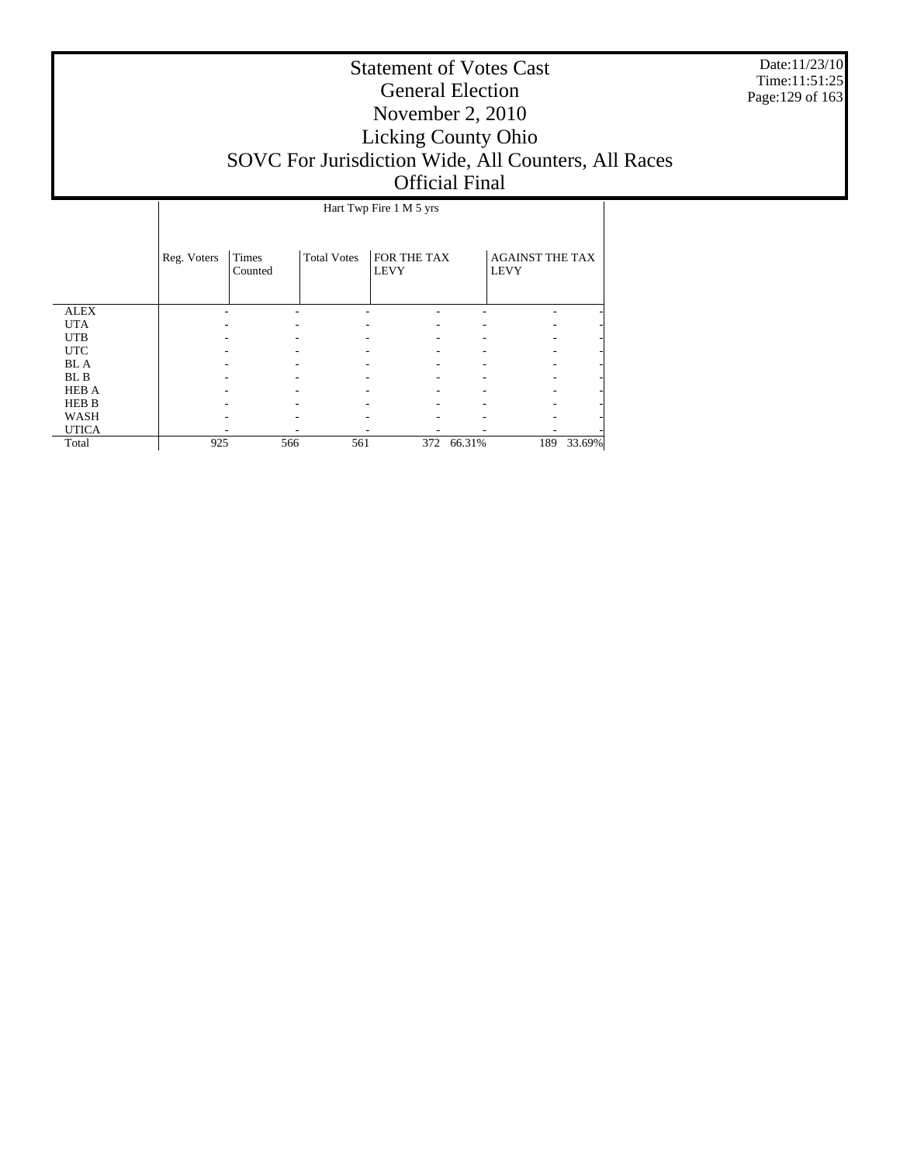Date:11/23/10 Time:11:51:25 Page:129 of 163

|              |             |                  |                    | Hart Twp Fire 1 M 5 yrs    |        |                                       |        |
|--------------|-------------|------------------|--------------------|----------------------------|--------|---------------------------------------|--------|
|              | Reg. Voters | Times<br>Counted | <b>Total Votes</b> | FOR THE TAX<br><b>LEVY</b> |        | <b>AGAINST THE TAX</b><br><b>LEVY</b> |        |
| <b>ALEX</b>  |             |                  |                    |                            |        |                                       |        |
| <b>UTA</b>   |             |                  |                    |                            |        |                                       |        |
| <b>UTB</b>   |             |                  |                    |                            |        |                                       |        |
| <b>UTC</b>   |             |                  |                    |                            |        |                                       |        |
| <b>BL</b> A  |             |                  |                    |                            |        |                                       |        |
| BL B         |             |                  |                    |                            |        |                                       |        |
| <b>HEB A</b> |             |                  |                    |                            |        |                                       |        |
| <b>HEB B</b> |             |                  |                    |                            |        |                                       |        |
| WASH         |             |                  |                    |                            |        |                                       |        |
| <b>UTICA</b> |             |                  |                    |                            |        |                                       |        |
| Total        | 925         | 566              | 561                | 372                        | 66.31% | 189                                   | 33.69% |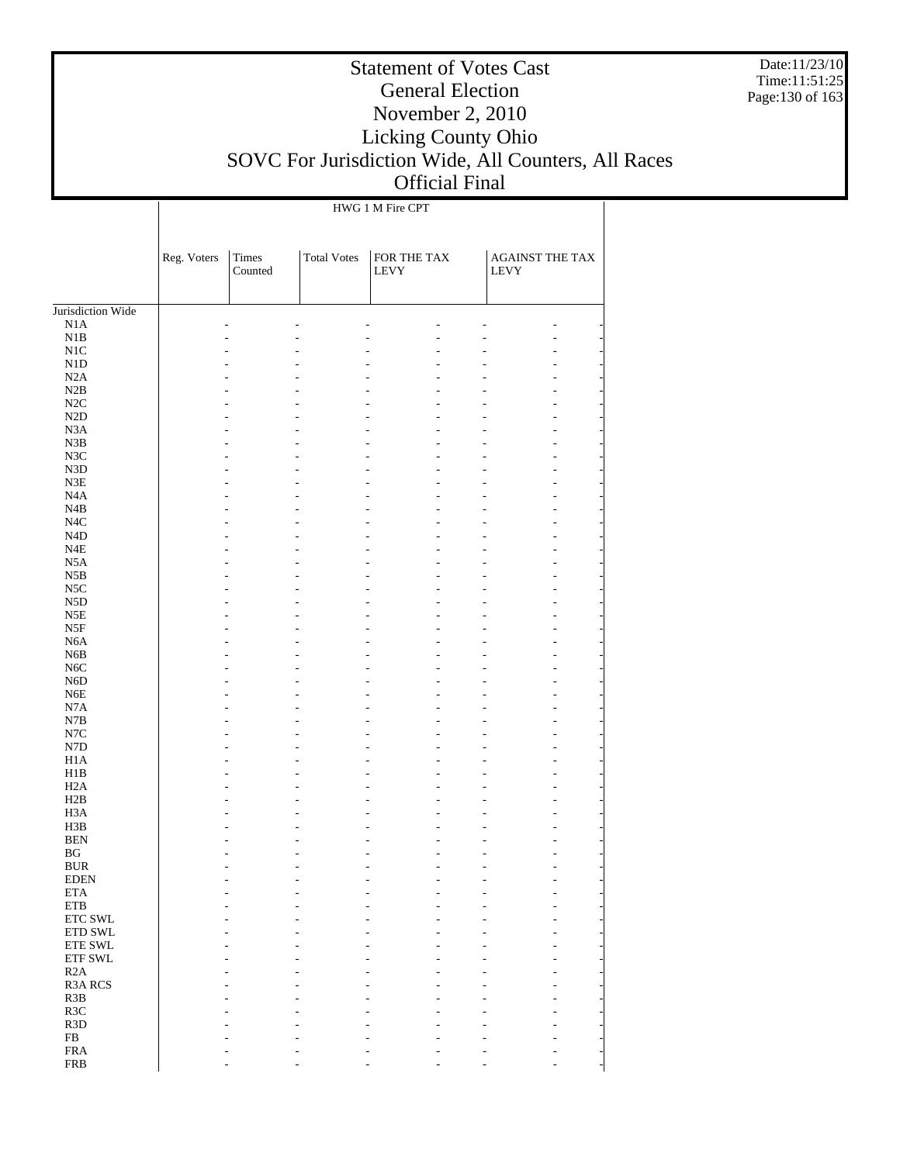Date:11/23/10 Time:11:51:25 Page:130 of 163

### Statement of Votes Cast General Election November 2, 2010 Licking County Ohio SOVC For Jurisdiction Wide, All Counters, All Races Official Final

HWG 1 M Fire CPT

|                        | Reg. Voters | Times<br>Counted | <b>Total Votes</b> | ${\rm FOR}$ THE TAX<br><b>LEVY</b> | AGAINST THE TAX<br>LEVY |
|------------------------|-------------|------------------|--------------------|------------------------------------|-------------------------|
|                        |             |                  |                    |                                    |                         |
| Jurisdiction Wide      |             |                  |                    |                                    |                         |
| N1A<br>N1B             |             | ÷                |                    |                                    |                         |
| N <sub>1</sub> C       |             |                  |                    |                                    | ۰                       |
| ${\rm N1D}$            |             |                  |                    |                                    | ÷                       |
| N2A                    |             |                  |                    |                                    | ÷                       |
| N2B                    |             |                  |                    |                                    | ÷                       |
| $\rm N2C$              |             |                  |                    |                                    | ÷                       |
| $\rm N2D$              |             |                  |                    |                                    | ÷                       |
| N3A                    |             |                  |                    |                                    | ÷                       |
| N3B                    |             |                  |                    |                                    | ÷                       |
| N3C                    |             |                  |                    |                                    | ÷                       |
| ${\rm N3D}$            |             |                  |                    |                                    | ÷                       |
| $\rm N3E$              |             |                  |                    |                                    | ÷                       |
| N4A                    |             |                  |                    |                                    | ÷                       |
| N4B                    |             |                  |                    |                                    | ÷                       |
| N <sub>4</sub> C       |             |                  |                    |                                    | ÷                       |
| $\rm N4D$              |             |                  |                    |                                    | ÷                       |
| $_{\rm N4E}$<br>N5A    |             |                  |                    |                                    | ÷<br>÷                  |
| $_{\rm N5B}$           |             |                  |                    |                                    | ÷                       |
| N <sub>5</sub> C       |             |                  |                    |                                    | ÷                       |
| ${\rm N5D}$            |             |                  |                    |                                    | ÷                       |
| N5E                    |             |                  |                    |                                    | ÷                       |
| N5F                    |             |                  |                    |                                    | ÷                       |
| N6A                    |             |                  |                    |                                    | ÷                       |
| N6B                    |             |                  |                    |                                    | ÷                       |
| $_{\mathrm{N6C}}$      |             |                  |                    |                                    | ÷                       |
| N6D                    |             |                  |                    |                                    | ÷                       |
| ${\rm N6E}$            |             |                  |                    |                                    | ÷                       |
| N7A                    |             |                  |                    |                                    | ÷                       |
| $_{\rm N7B}$           |             |                  |                    |                                    | ÷                       |
| N7C                    |             |                  |                    |                                    | ÷                       |
| ${\rm N7D}$            |             |                  |                    |                                    | ÷                       |
| H1A                    |             |                  |                    |                                    | ÷                       |
| H1B<br>H2A             |             |                  |                    |                                    | ÷<br>÷                  |
| H2B                    |             |                  |                    |                                    | ÷                       |
| H <sub>3</sub> A       |             |                  |                    |                                    | ÷                       |
| H3B                    |             |                  |                    |                                    |                         |
| $\operatorname{BEN}$   |             |                  |                    |                                    |                         |
| $\mathbf{B}\mathbf{G}$ |             |                  |                    |                                    |                         |
| <b>BUR</b>             |             |                  |                    |                                    |                         |
| <b>EDEN</b>            |             |                  |                    |                                    |                         |
| <b>ETA</b>             |             |                  |                    |                                    |                         |
| ETB                    |             |                  |                    |                                    |                         |
| ETC SWL                |             |                  |                    |                                    |                         |
| ETD SWL                |             |                  |                    |                                    |                         |
| ETE SWL                |             |                  |                    |                                    |                         |
| ETF SWL                |             |                  |                    |                                    |                         |
| R2A<br>R3A RCS         |             |                  |                    |                                    |                         |
| R3B                    |             |                  |                    |                                    |                         |
| R3C                    |             |                  |                    |                                    |                         |
| R3D                    |             |                  |                    |                                    |                         |
| ${\rm FB}$             |             |                  |                    |                                    |                         |
| ${\rm FRA}$            |             |                  |                    |                                    |                         |
| <b>FRB</b>             |             |                  |                    |                                    |                         |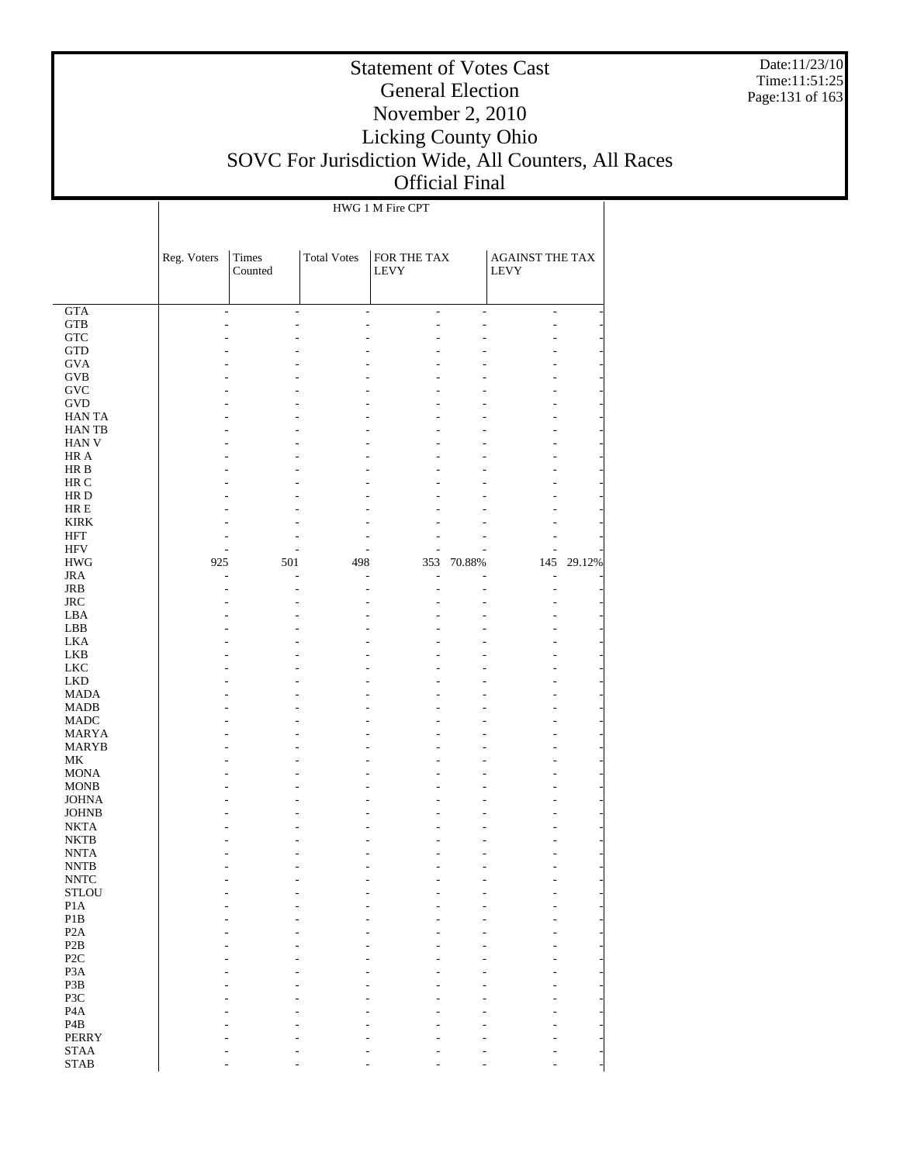Date:11/23/10 Time:11:51:25 Page:131 of 163

### Statement of Votes Cast General Election November 2, 2010 Licking County Ohio SOVC For Jurisdiction Wide, All Counters, All Races Official Final

HWG 1 M Fire CPT

| Times<br><b>Total Votes</b><br>FOR THE TAX<br>Reg. Voters<br>AGAINST THE TAX<br>Counted<br>LEVY<br><b>LEVY</b><br><b>GTA</b><br>÷,<br>÷,<br>L,<br>÷<br>٠<br>÷<br>$_{\rm GTB}$<br>٠<br>٠<br>${\rm GTC}$<br>$\operatorname{GTD}$<br><b>GVA</b><br>$\rm GVB$<br>$\operatorname{GVC}$<br>GVD<br><b>HANTA</b><br>HAN TB<br>HAN V<br>HR A<br>HR B<br>HR C<br>HR D<br>$HRE$<br><b>KIRK</b><br><b>HFT</b><br>$\rm{HFV}$<br>70.88%<br>145<br>29.12%<br><b>HWG</b><br>925<br>501<br>498<br>353<br><b>JRA</b><br>L<br>۰<br>٠<br><b>JRB</b><br>L<br>$_{\rm JRC}$<br>LBA<br>LBB<br><b>LKA</b><br>LKB<br>${\rm LKC}$<br><b>LKD</b><br><b>MADA</b><br><b>MADB</b><br><b>MADC</b><br><b>MARYA</b><br><b>MARYB</b><br>MK<br><b>MONA</b><br><b>MONB</b><br><b>JOHNA</b><br><b>JOHNB</b><br><b>NKTA</b><br><b>NKTB</b><br><b>NNTA</b><br><b>NNTB</b><br><b>NNTC</b><br><b>STLOU</b><br>P1A<br>$\mathbf{P}1\mathbf{B}$<br>P <sub>2</sub> A<br>P2B<br>P <sub>2C</sub><br>P3A<br>P3B<br>P3C<br>P <sub>4</sub> A<br>P <sub>4</sub> B<br><b>PERRY</b><br><b>STAA</b> |  |  |  |  |
|----------------------------------------------------------------------------------------------------------------------------------------------------------------------------------------------------------------------------------------------------------------------------------------------------------------------------------------------------------------------------------------------------------------------------------------------------------------------------------------------------------------------------------------------------------------------------------------------------------------------------------------------------------------------------------------------------------------------------------------------------------------------------------------------------------------------------------------------------------------------------------------------------------------------------------------------------------------------------------------------------------------------------------------------|--|--|--|--|
|                                                                                                                                                                                                                                                                                                                                                                                                                                                                                                                                                                                                                                                                                                                                                                                                                                                                                                                                                                                                                                              |  |  |  |  |
|                                                                                                                                                                                                                                                                                                                                                                                                                                                                                                                                                                                                                                                                                                                                                                                                                                                                                                                                                                                                                                              |  |  |  |  |
|                                                                                                                                                                                                                                                                                                                                                                                                                                                                                                                                                                                                                                                                                                                                                                                                                                                                                                                                                                                                                                              |  |  |  |  |
|                                                                                                                                                                                                                                                                                                                                                                                                                                                                                                                                                                                                                                                                                                                                                                                                                                                                                                                                                                                                                                              |  |  |  |  |
|                                                                                                                                                                                                                                                                                                                                                                                                                                                                                                                                                                                                                                                                                                                                                                                                                                                                                                                                                                                                                                              |  |  |  |  |
|                                                                                                                                                                                                                                                                                                                                                                                                                                                                                                                                                                                                                                                                                                                                                                                                                                                                                                                                                                                                                                              |  |  |  |  |
|                                                                                                                                                                                                                                                                                                                                                                                                                                                                                                                                                                                                                                                                                                                                                                                                                                                                                                                                                                                                                                              |  |  |  |  |
|                                                                                                                                                                                                                                                                                                                                                                                                                                                                                                                                                                                                                                                                                                                                                                                                                                                                                                                                                                                                                                              |  |  |  |  |
|                                                                                                                                                                                                                                                                                                                                                                                                                                                                                                                                                                                                                                                                                                                                                                                                                                                                                                                                                                                                                                              |  |  |  |  |
|                                                                                                                                                                                                                                                                                                                                                                                                                                                                                                                                                                                                                                                                                                                                                                                                                                                                                                                                                                                                                                              |  |  |  |  |
|                                                                                                                                                                                                                                                                                                                                                                                                                                                                                                                                                                                                                                                                                                                                                                                                                                                                                                                                                                                                                                              |  |  |  |  |
|                                                                                                                                                                                                                                                                                                                                                                                                                                                                                                                                                                                                                                                                                                                                                                                                                                                                                                                                                                                                                                              |  |  |  |  |
|                                                                                                                                                                                                                                                                                                                                                                                                                                                                                                                                                                                                                                                                                                                                                                                                                                                                                                                                                                                                                                              |  |  |  |  |
|                                                                                                                                                                                                                                                                                                                                                                                                                                                                                                                                                                                                                                                                                                                                                                                                                                                                                                                                                                                                                                              |  |  |  |  |
|                                                                                                                                                                                                                                                                                                                                                                                                                                                                                                                                                                                                                                                                                                                                                                                                                                                                                                                                                                                                                                              |  |  |  |  |
|                                                                                                                                                                                                                                                                                                                                                                                                                                                                                                                                                                                                                                                                                                                                                                                                                                                                                                                                                                                                                                              |  |  |  |  |
|                                                                                                                                                                                                                                                                                                                                                                                                                                                                                                                                                                                                                                                                                                                                                                                                                                                                                                                                                                                                                                              |  |  |  |  |
|                                                                                                                                                                                                                                                                                                                                                                                                                                                                                                                                                                                                                                                                                                                                                                                                                                                                                                                                                                                                                                              |  |  |  |  |
|                                                                                                                                                                                                                                                                                                                                                                                                                                                                                                                                                                                                                                                                                                                                                                                                                                                                                                                                                                                                                                              |  |  |  |  |
|                                                                                                                                                                                                                                                                                                                                                                                                                                                                                                                                                                                                                                                                                                                                                                                                                                                                                                                                                                                                                                              |  |  |  |  |
|                                                                                                                                                                                                                                                                                                                                                                                                                                                                                                                                                                                                                                                                                                                                                                                                                                                                                                                                                                                                                                              |  |  |  |  |
|                                                                                                                                                                                                                                                                                                                                                                                                                                                                                                                                                                                                                                                                                                                                                                                                                                                                                                                                                                                                                                              |  |  |  |  |
|                                                                                                                                                                                                                                                                                                                                                                                                                                                                                                                                                                                                                                                                                                                                                                                                                                                                                                                                                                                                                                              |  |  |  |  |
|                                                                                                                                                                                                                                                                                                                                                                                                                                                                                                                                                                                                                                                                                                                                                                                                                                                                                                                                                                                                                                              |  |  |  |  |
|                                                                                                                                                                                                                                                                                                                                                                                                                                                                                                                                                                                                                                                                                                                                                                                                                                                                                                                                                                                                                                              |  |  |  |  |
|                                                                                                                                                                                                                                                                                                                                                                                                                                                                                                                                                                                                                                                                                                                                                                                                                                                                                                                                                                                                                                              |  |  |  |  |
|                                                                                                                                                                                                                                                                                                                                                                                                                                                                                                                                                                                                                                                                                                                                                                                                                                                                                                                                                                                                                                              |  |  |  |  |
|                                                                                                                                                                                                                                                                                                                                                                                                                                                                                                                                                                                                                                                                                                                                                                                                                                                                                                                                                                                                                                              |  |  |  |  |
|                                                                                                                                                                                                                                                                                                                                                                                                                                                                                                                                                                                                                                                                                                                                                                                                                                                                                                                                                                                                                                              |  |  |  |  |
|                                                                                                                                                                                                                                                                                                                                                                                                                                                                                                                                                                                                                                                                                                                                                                                                                                                                                                                                                                                                                                              |  |  |  |  |
|                                                                                                                                                                                                                                                                                                                                                                                                                                                                                                                                                                                                                                                                                                                                                                                                                                                                                                                                                                                                                                              |  |  |  |  |
|                                                                                                                                                                                                                                                                                                                                                                                                                                                                                                                                                                                                                                                                                                                                                                                                                                                                                                                                                                                                                                              |  |  |  |  |
|                                                                                                                                                                                                                                                                                                                                                                                                                                                                                                                                                                                                                                                                                                                                                                                                                                                                                                                                                                                                                                              |  |  |  |  |
|                                                                                                                                                                                                                                                                                                                                                                                                                                                                                                                                                                                                                                                                                                                                                                                                                                                                                                                                                                                                                                              |  |  |  |  |
|                                                                                                                                                                                                                                                                                                                                                                                                                                                                                                                                                                                                                                                                                                                                                                                                                                                                                                                                                                                                                                              |  |  |  |  |
|                                                                                                                                                                                                                                                                                                                                                                                                                                                                                                                                                                                                                                                                                                                                                                                                                                                                                                                                                                                                                                              |  |  |  |  |
|                                                                                                                                                                                                                                                                                                                                                                                                                                                                                                                                                                                                                                                                                                                                                                                                                                                                                                                                                                                                                                              |  |  |  |  |
|                                                                                                                                                                                                                                                                                                                                                                                                                                                                                                                                                                                                                                                                                                                                                                                                                                                                                                                                                                                                                                              |  |  |  |  |
|                                                                                                                                                                                                                                                                                                                                                                                                                                                                                                                                                                                                                                                                                                                                                                                                                                                                                                                                                                                                                                              |  |  |  |  |
|                                                                                                                                                                                                                                                                                                                                                                                                                                                                                                                                                                                                                                                                                                                                                                                                                                                                                                                                                                                                                                              |  |  |  |  |
|                                                                                                                                                                                                                                                                                                                                                                                                                                                                                                                                                                                                                                                                                                                                                                                                                                                                                                                                                                                                                                              |  |  |  |  |
|                                                                                                                                                                                                                                                                                                                                                                                                                                                                                                                                                                                                                                                                                                                                                                                                                                                                                                                                                                                                                                              |  |  |  |  |
|                                                                                                                                                                                                                                                                                                                                                                                                                                                                                                                                                                                                                                                                                                                                                                                                                                                                                                                                                                                                                                              |  |  |  |  |
|                                                                                                                                                                                                                                                                                                                                                                                                                                                                                                                                                                                                                                                                                                                                                                                                                                                                                                                                                                                                                                              |  |  |  |  |
|                                                                                                                                                                                                                                                                                                                                                                                                                                                                                                                                                                                                                                                                                                                                                                                                                                                                                                                                                                                                                                              |  |  |  |  |
|                                                                                                                                                                                                                                                                                                                                                                                                                                                                                                                                                                                                                                                                                                                                                                                                                                                                                                                                                                                                                                              |  |  |  |  |
|                                                                                                                                                                                                                                                                                                                                                                                                                                                                                                                                                                                                                                                                                                                                                                                                                                                                                                                                                                                                                                              |  |  |  |  |
|                                                                                                                                                                                                                                                                                                                                                                                                                                                                                                                                                                                                                                                                                                                                                                                                                                                                                                                                                                                                                                              |  |  |  |  |
|                                                                                                                                                                                                                                                                                                                                                                                                                                                                                                                                                                                                                                                                                                                                                                                                                                                                                                                                                                                                                                              |  |  |  |  |
|                                                                                                                                                                                                                                                                                                                                                                                                                                                                                                                                                                                                                                                                                                                                                                                                                                                                                                                                                                                                                                              |  |  |  |  |
|                                                                                                                                                                                                                                                                                                                                                                                                                                                                                                                                                                                                                                                                                                                                                                                                                                                                                                                                                                                                                                              |  |  |  |  |
|                                                                                                                                                                                                                                                                                                                                                                                                                                                                                                                                                                                                                                                                                                                                                                                                                                                                                                                                                                                                                                              |  |  |  |  |
| <b>STAB</b>                                                                                                                                                                                                                                                                                                                                                                                                                                                                                                                                                                                                                                                                                                                                                                                                                                                                                                                                                                                                                                  |  |  |  |  |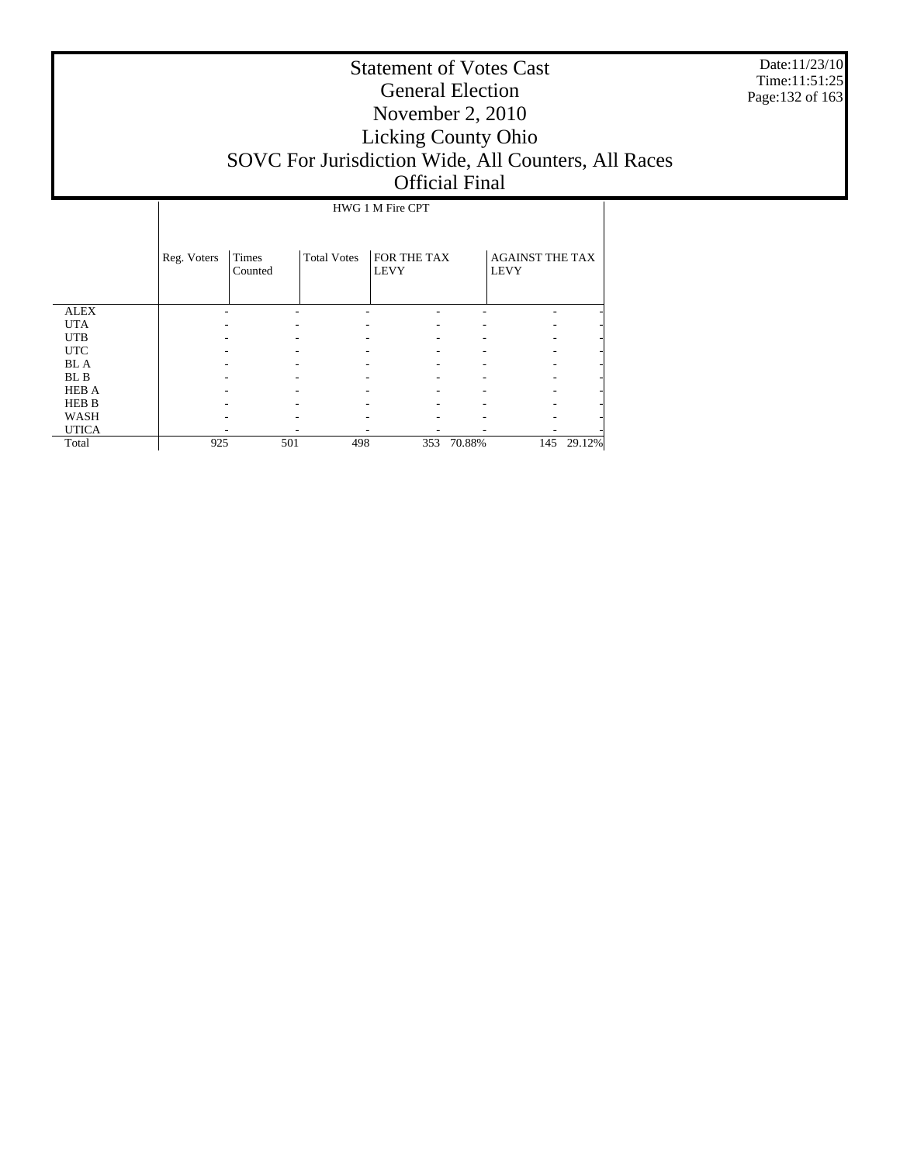Date:11/23/10 Time:11:51:25 Page:132 of 163

|              |             |                  |                    | HWG 1 M Fire CPT           |        |                                       |        |
|--------------|-------------|------------------|--------------------|----------------------------|--------|---------------------------------------|--------|
|              |             |                  |                    |                            |        |                                       |        |
|              | Reg. Voters | Times<br>Counted | <b>Total Votes</b> | FOR THE TAX<br><b>LEVY</b> |        | <b>AGAINST THE TAX</b><br><b>LEVY</b> |        |
| <b>ALEX</b>  |             |                  |                    |                            |        |                                       |        |
| <b>UTA</b>   |             |                  |                    |                            |        |                                       |        |
| <b>UTB</b>   |             |                  |                    |                            |        |                                       |        |
| <b>UTC</b>   |             |                  |                    |                            |        |                                       |        |
| <b>BL</b> A  |             |                  |                    |                            |        |                                       |        |
| BL B         |             |                  |                    |                            |        |                                       |        |
| <b>HEB A</b> |             |                  |                    |                            |        |                                       |        |
| <b>HEB B</b> |             |                  |                    |                            |        |                                       |        |
| <b>WASH</b>  |             |                  |                    |                            |        |                                       |        |
| <b>UTICA</b> |             |                  |                    |                            |        |                                       |        |
| Total        | 925         | 501              | 498                | 353                        | 70.88% | 145                                   | 29.12% |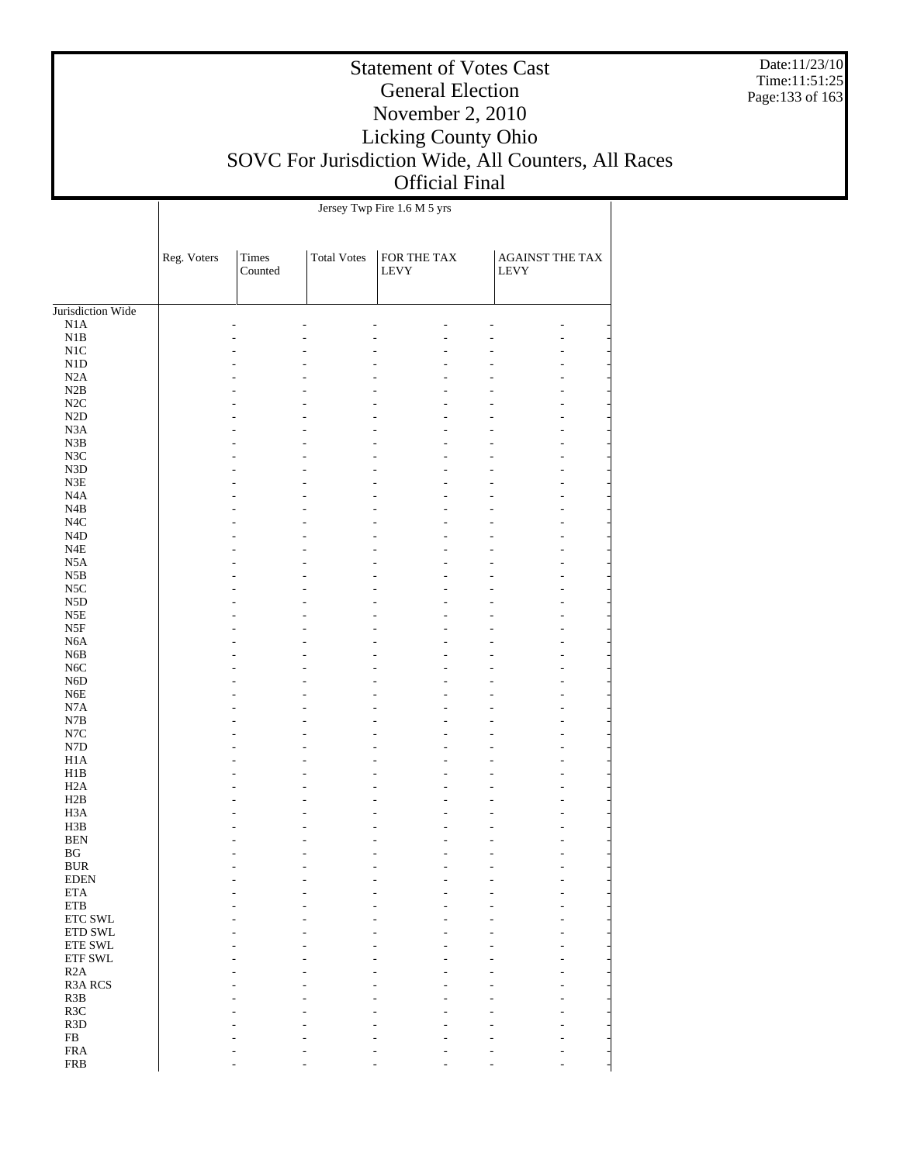Date:11/23/10 Time:11:51:25 Page:133 of 163

### Statement of Votes Cast General Election November 2, 2010 Licking County Ohio SOVC For Jurisdiction Wide, All Counters, All Races Official Final

 $\overline{\phantom{a}}$ 

Jersey Twp Fire 1.6 M 5 yrs

 $\overline{1}$ 

|                                       | Reg. Voters | <b>Times</b><br>Counted | <b>Total Votes</b> | FOR THE TAX<br>${\rm LEVY}$ | <b>AGAINST THE TAX</b><br><b>LEVY</b> |  |
|---------------------------------------|-------------|-------------------------|--------------------|-----------------------------|---------------------------------------|--|
| Jurisdiction Wide                     |             |                         |                    |                             |                                       |  |
| N1A                                   |             |                         |                    |                             |                                       |  |
| $_{\rm N1B}$                          |             |                         |                    |                             |                                       |  |
| $\rm N1C$                             |             |                         |                    |                             |                                       |  |
| N1D                                   |             |                         |                    |                             |                                       |  |
| N2A                                   |             |                         |                    |                             |                                       |  |
| N2B                                   |             |                         |                    |                             |                                       |  |
| N2C                                   |             |                         |                    |                             |                                       |  |
| $\rm N2D$                             |             |                         |                    |                             |                                       |  |
| N3A                                   |             |                         |                    |                             |                                       |  |
| N3B                                   |             |                         |                    |                             |                                       |  |
| N3C                                   |             |                         |                    |                             |                                       |  |
| N3D                                   |             |                         |                    |                             |                                       |  |
| $\rm N3E$                             |             |                         |                    |                             |                                       |  |
| N <sub>4</sub> A                      |             |                         |                    |                             |                                       |  |
| N4B                                   |             |                         |                    |                             |                                       |  |
| $_{\mathrm{N4C}}$<br>N <sub>4</sub> D |             |                         |                    |                             |                                       |  |
| $_{\rm N4E}$                          |             |                         |                    |                             |                                       |  |
| N <sub>5</sub> A                      |             |                         |                    |                             |                                       |  |
| N5B                                   |             |                         |                    |                             |                                       |  |
| $_{\rm NSC}$                          |             |                         |                    |                             |                                       |  |
| N <sub>5</sub> D                      |             |                         |                    |                             |                                       |  |
| $_{\rm N5E}$                          |             |                         |                    |                             |                                       |  |
| N5F                                   |             |                         |                    |                             |                                       |  |
| N <sub>6</sub> A                      |             |                         |                    |                             |                                       |  |
| N <sub>6</sub> B                      |             |                         |                    |                             |                                       |  |
| N6C                                   |             |                         |                    |                             |                                       |  |
| N <sub>6</sub> D                      |             |                         |                    |                             |                                       |  |
| N <sub>6</sub> E                      |             |                         |                    |                             |                                       |  |
| N7A                                   |             |                         |                    |                             |                                       |  |
| $_{\rm N7B}$                          |             |                         |                    |                             |                                       |  |
| $_{\mathrm{N7C}}$                     |             |                         |                    |                             |                                       |  |
| N7D                                   |             |                         |                    |                             |                                       |  |
| H1A                                   |             |                         |                    |                             |                                       |  |
| H1B                                   |             |                         |                    |                             |                                       |  |
| H <sub>2</sub> A                      |             |                         |                    |                             |                                       |  |
| H2B                                   |             |                         |                    |                             |                                       |  |
| H <sub>3</sub> A<br>H3B               |             |                         |                    |                             |                                       |  |
| <b>BEN</b>                            |             |                         |                    |                             |                                       |  |
| BG                                    |             |                         |                    |                             |                                       |  |
| <b>BUR</b>                            |             |                         |                    |                             | $\overline{a}$                        |  |
| <b>EDEN</b>                           |             |                         |                    |                             |                                       |  |
| <b>ETA</b>                            |             |                         |                    |                             |                                       |  |
| <b>ETB</b>                            |             |                         |                    |                             |                                       |  |
| ETC SWL                               |             |                         |                    |                             |                                       |  |
| ETD SWL                               |             |                         |                    |                             |                                       |  |
| ETE SWL                               |             |                         |                    |                             |                                       |  |
| ETF SWL                               |             |                         |                    |                             |                                       |  |
| R2A                                   |             |                         |                    |                             |                                       |  |
| <b>R3A RCS</b>                        |             |                         |                    |                             |                                       |  |
| R3B                                   |             |                         |                    |                             |                                       |  |
| R3C                                   |             |                         |                    |                             |                                       |  |
| R <sub>3</sub> D                      |             |                         |                    |                             |                                       |  |
| ${\rm FB}$                            |             |                         |                    |                             |                                       |  |
| <b>FRA</b>                            |             |                         |                    |                             |                                       |  |
| <b>FRB</b>                            |             |                         |                    |                             |                                       |  |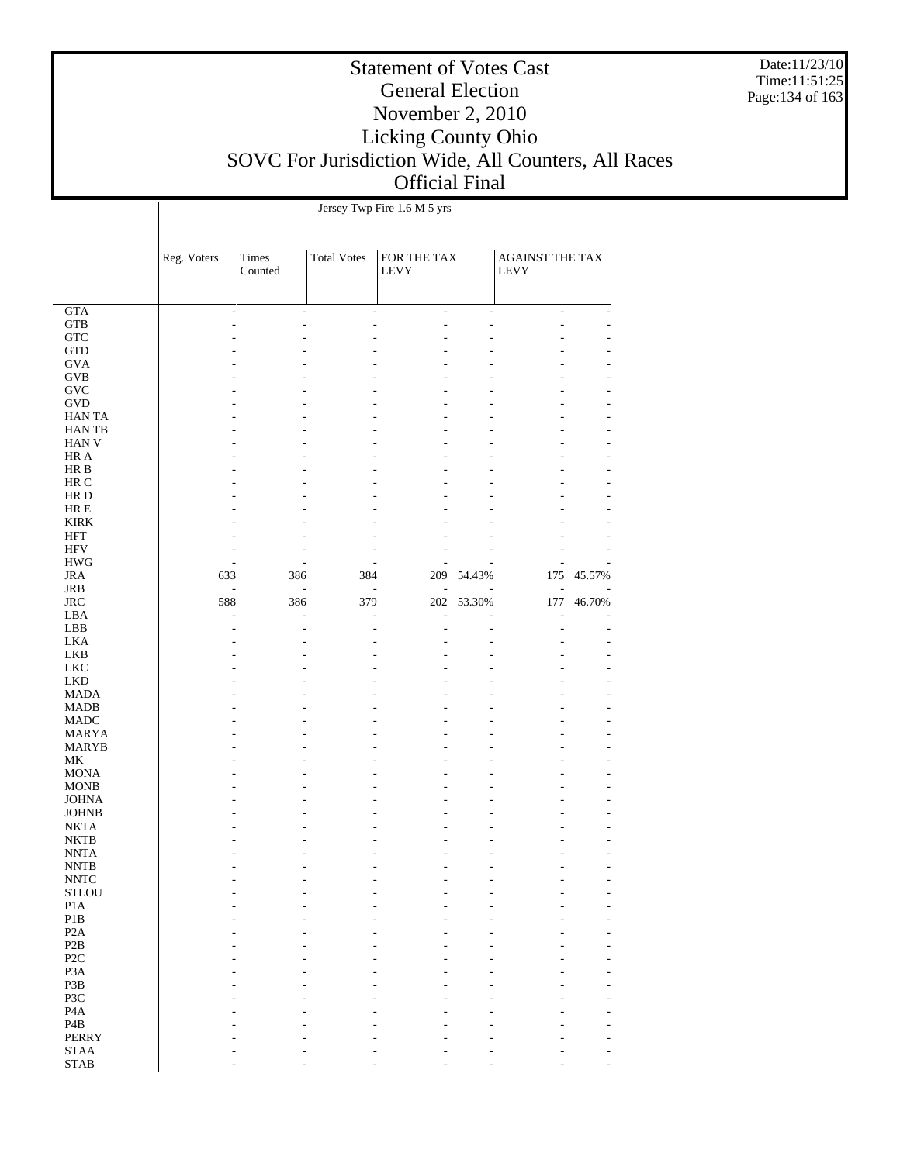Date:11/23/10 Time:11:51:25 Page:134 of 163

### Statement of Votes Cast General Election November 2, 2010 Licking County Ohio SOVC For Jurisdiction Wide, All Counters, All Races Official Final

Τ

| <b>UILIVIAL L</b>           |  |
|-----------------------------|--|
| Jersey Twp Fire 1.6 M 5 yrs |  |

Τ

|                                     | Reg. Voters | <b>Times</b><br>Counted                   | <b>Total Votes</b>       | FOR THE TAX<br>LEVY |                          | <b>AGAINST THE TAX</b><br><b>LEVY</b> |        |  |  |  |
|-------------------------------------|-------------|-------------------------------------------|--------------------------|---------------------|--------------------------|---------------------------------------|--------|--|--|--|
| <b>GTA</b>                          |             | $\frac{1}{2}$<br>$\overline{\phantom{a}}$ | $\overline{\phantom{a}}$ | $\frac{1}{2}$       | $\overline{\phantom{a}}$ | $\overline{\phantom{a}}$              |        |  |  |  |
| $_{\rm GTB}$                        |             |                                           |                          |                     |                          |                                       |        |  |  |  |
| <b>GTC</b>                          |             |                                           |                          |                     |                          |                                       |        |  |  |  |
| <b>GTD</b>                          |             |                                           |                          |                     |                          |                                       |        |  |  |  |
| <b>GVA</b>                          |             |                                           |                          |                     |                          |                                       |        |  |  |  |
| <b>GVB</b>                          |             |                                           |                          |                     |                          |                                       |        |  |  |  |
| <b>GVC</b>                          |             |                                           |                          |                     |                          |                                       |        |  |  |  |
| GVD                                 |             |                                           |                          |                     |                          |                                       |        |  |  |  |
| <b>HANTA</b><br><b>HANTB</b>        |             |                                           |                          |                     |                          |                                       |        |  |  |  |
| <b>HAN V</b>                        |             |                                           |                          |                     |                          |                                       |        |  |  |  |
| HR A                                |             |                                           |                          |                     |                          |                                       |        |  |  |  |
| HR B                                |             |                                           |                          |                     |                          |                                       |        |  |  |  |
| HR C                                |             |                                           |                          |                     |                          |                                       |        |  |  |  |
| HR D                                |             |                                           |                          |                     |                          |                                       |        |  |  |  |
| $HRE$                               |             |                                           |                          |                     |                          |                                       |        |  |  |  |
| <b>KIRK</b>                         |             |                                           |                          |                     |                          |                                       |        |  |  |  |
| <b>HFT</b>                          |             |                                           |                          |                     |                          |                                       |        |  |  |  |
| <b>HFV</b>                          |             |                                           |                          |                     |                          |                                       |        |  |  |  |
| <b>HWG</b>                          |             |                                           |                          |                     |                          |                                       |        |  |  |  |
| <b>JRA</b>                          | 633         | 386                                       | 384                      |                     | 209 54.43%               | 175                                   | 45.57% |  |  |  |
| JRB<br><b>JRC</b>                   | 588         | $\frac{1}{2}$<br>L,<br>386                | 379                      |                     | 202 53.30%               | 177                                   | 46.70% |  |  |  |
| LBA                                 | L,          |                                           |                          | $\overline{a}$      |                          | L,                                    |        |  |  |  |
| LBB                                 |             |                                           |                          |                     |                          |                                       |        |  |  |  |
| <b>LKA</b>                          |             |                                           |                          |                     |                          |                                       |        |  |  |  |
| LKB                                 |             |                                           |                          |                     |                          |                                       |        |  |  |  |
| <b>LKC</b>                          |             |                                           |                          |                     |                          |                                       |        |  |  |  |
| <b>LKD</b>                          |             |                                           |                          |                     |                          |                                       |        |  |  |  |
| <b>MADA</b>                         |             |                                           |                          |                     |                          |                                       |        |  |  |  |
| <b>MADB</b><br><b>MADC</b>          |             |                                           |                          |                     |                          |                                       |        |  |  |  |
| <b>MARYA</b>                        |             |                                           |                          |                     |                          |                                       |        |  |  |  |
| <b>MARYB</b>                        |             |                                           |                          |                     |                          |                                       |        |  |  |  |
| МK                                  |             |                                           |                          |                     |                          |                                       |        |  |  |  |
| <b>MONA</b>                         |             |                                           |                          |                     |                          |                                       |        |  |  |  |
| <b>MONB</b>                         |             |                                           |                          |                     |                          |                                       |        |  |  |  |
| <b>JOHNA</b>                        |             |                                           |                          |                     |                          |                                       |        |  |  |  |
| <b>JOHNB</b>                        |             |                                           |                          |                     |                          |                                       |        |  |  |  |
| <b>NKTA</b>                         |             |                                           |                          |                     |                          |                                       |        |  |  |  |
| <b>NKTB</b><br><b>NNTA</b>          |             |                                           |                          |                     |                          |                                       |        |  |  |  |
| <b>NNTB</b>                         |             |                                           |                          |                     |                          |                                       |        |  |  |  |
| <b>NNTC</b>                         |             |                                           |                          |                     |                          |                                       |        |  |  |  |
| <b>STLOU</b>                        |             |                                           |                          |                     |                          |                                       |        |  |  |  |
| P1A                                 |             |                                           |                          |                     |                          |                                       |        |  |  |  |
| $\mathbf{P}1\mathbf{B}$             |             |                                           |                          |                     |                          |                                       |        |  |  |  |
| P <sub>2</sub> A                    |             |                                           |                          |                     |                          |                                       |        |  |  |  |
| P2B                                 |             |                                           |                          |                     |                          |                                       |        |  |  |  |
| P <sub>2C</sub><br>P <sub>3</sub> A |             |                                           |                          |                     |                          |                                       |        |  |  |  |
| P3B                                 |             |                                           |                          |                     |                          |                                       |        |  |  |  |
| P3C                                 |             |                                           |                          |                     |                          |                                       |        |  |  |  |
| P <sub>4</sub> A                    |             |                                           |                          |                     |                          |                                       |        |  |  |  |
| P <sub>4</sub> B                    |             |                                           |                          |                     |                          |                                       |        |  |  |  |
| <b>PERRY</b>                        |             |                                           |                          |                     |                          |                                       |        |  |  |  |
| <b>STAA</b>                         |             |                                           |                          |                     |                          |                                       |        |  |  |  |
| <b>STAB</b>                         |             |                                           |                          |                     |                          |                                       |        |  |  |  |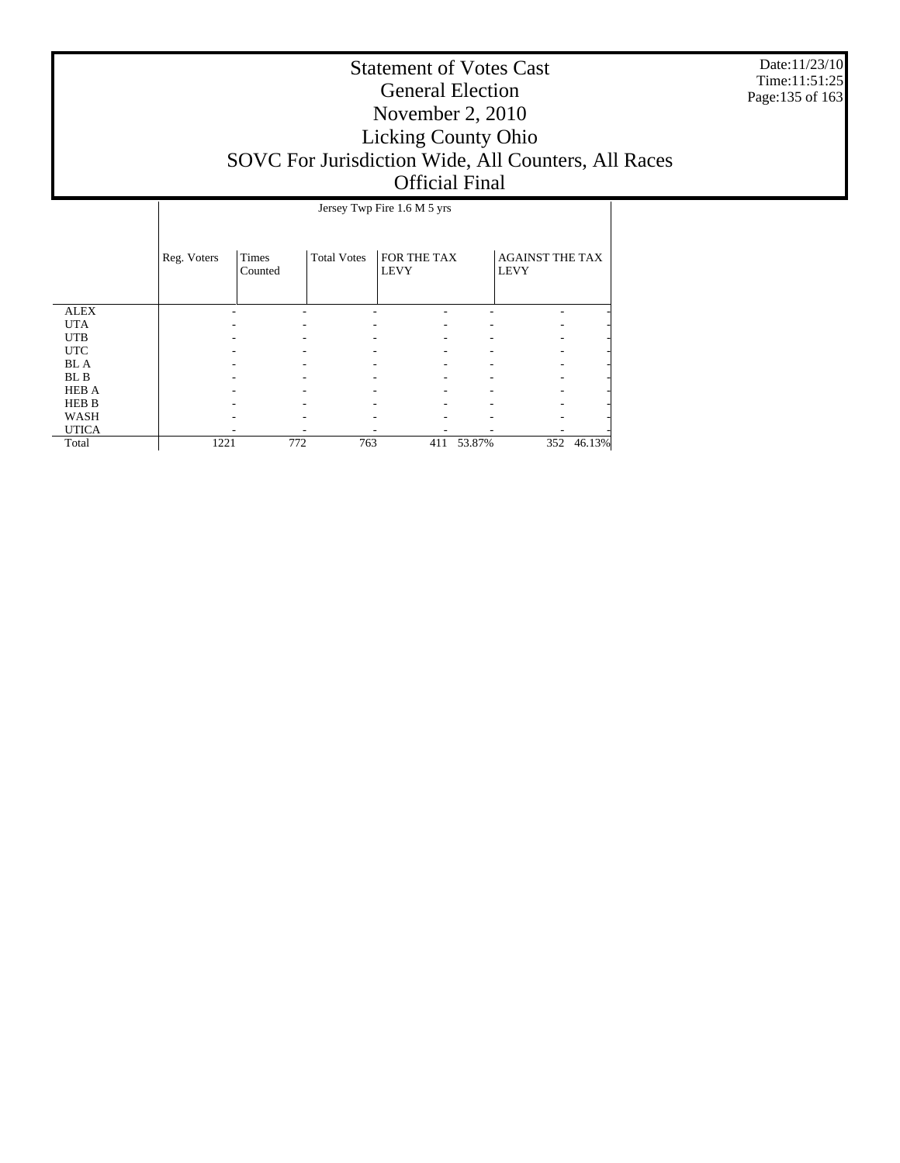Date:11/23/10 Time:11:51:25 Page:135 of 163

|              |             | Jersey Twp Fire 1.6 M 5 yrs |                    |                            |        |                                       |            |  |  |  |
|--------------|-------------|-----------------------------|--------------------|----------------------------|--------|---------------------------------------|------------|--|--|--|
|              | Reg. Voters | <b>Times</b><br>Counted     | <b>Total Votes</b> | FOR THE TAX<br><b>LEVY</b> |        | <b>AGAINST THE TAX</b><br><b>LEVY</b> |            |  |  |  |
| <b>ALEX</b>  |             |                             |                    |                            |        |                                       |            |  |  |  |
| <b>UTA</b>   |             |                             |                    |                            |        |                                       |            |  |  |  |
| <b>UTB</b>   |             |                             |                    |                            |        |                                       |            |  |  |  |
| <b>UTC</b>   |             |                             |                    |                            |        |                                       |            |  |  |  |
| <b>BL</b> A  |             |                             |                    |                            |        |                                       |            |  |  |  |
| BL B         |             |                             |                    |                            |        |                                       |            |  |  |  |
| <b>HEB A</b> |             |                             |                    |                            |        |                                       |            |  |  |  |
| <b>HEB B</b> |             |                             |                    |                            |        |                                       |            |  |  |  |
| WASH         |             |                             |                    |                            |        |                                       |            |  |  |  |
| <b>UTICA</b> |             |                             |                    |                            |        |                                       |            |  |  |  |
| Total        | 1221        | 772                         | 763                | 411                        | 53.87% |                                       | 352 46.13% |  |  |  |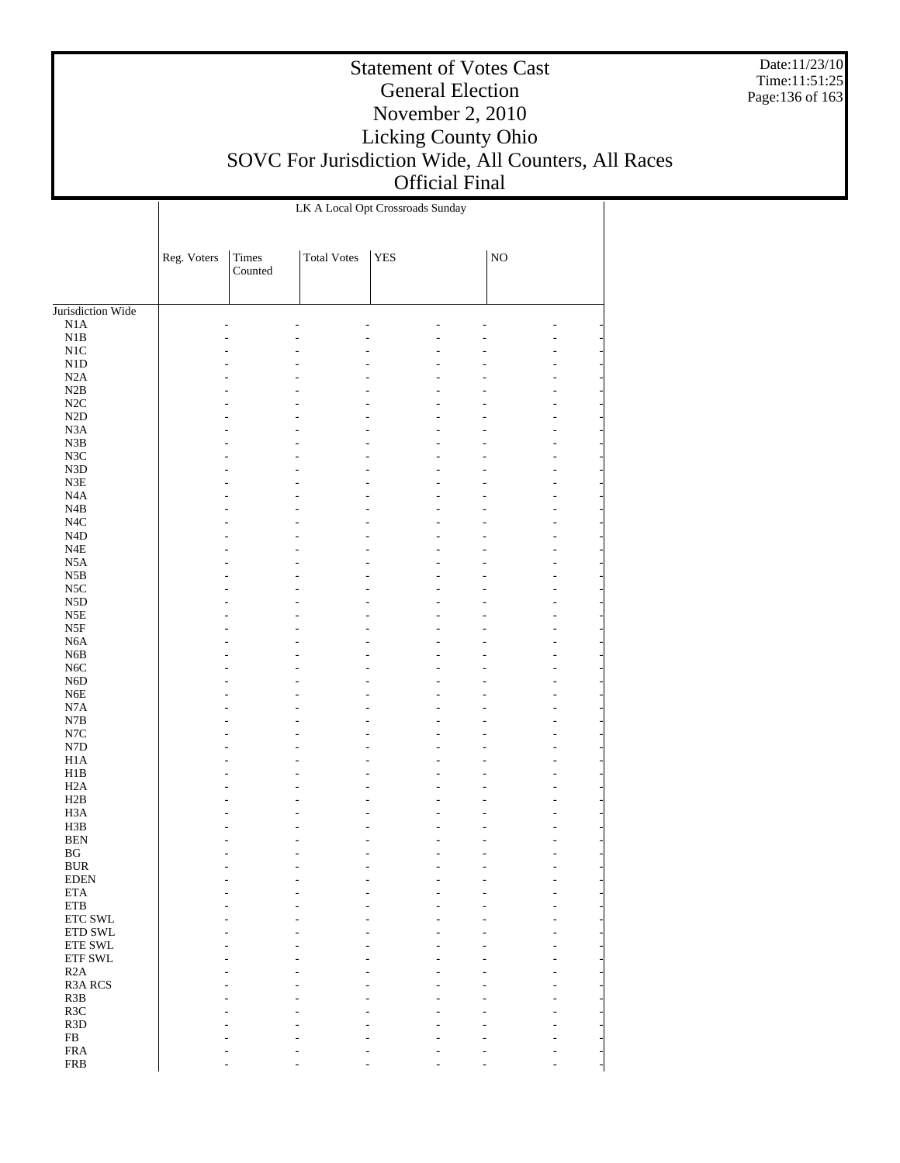Date:11/23/10 Time:11:51:25 Page:136 of 163

|                                      | LK A Local Opt Crossroads Sunday |                         |                    |            |  |             |        |  |  |
|--------------------------------------|----------------------------------|-------------------------|--------------------|------------|--|-------------|--------|--|--|
|                                      | Reg. Voters                      | <b>Times</b><br>Counted | <b>Total Votes</b> | <b>YES</b> |  | $_{\rm NO}$ |        |  |  |
|                                      |                                  |                         |                    |            |  |             |        |  |  |
| Jurisdiction Wide<br>N1A             |                                  |                         |                    |            |  |             |        |  |  |
| $\rm N1B$                            |                                  |                         |                    |            |  |             |        |  |  |
| $\rm N1C$                            |                                  |                         |                    |            |  |             |        |  |  |
| ${\rm N1D}$                          |                                  |                         |                    |            |  |             | L      |  |  |
| N2A                                  |                                  |                         |                    |            |  |             | L      |  |  |
| $\rm N2B$                            |                                  |                         |                    |            |  |             | L      |  |  |
| $\rm N2C$                            |                                  |                         |                    |            |  |             | ٠      |  |  |
| $\rm N2D$                            |                                  |                         |                    |            |  |             | ٠      |  |  |
| N3A<br>${\bf N3B}$                   |                                  |                         |                    |            |  |             | ٠<br>L |  |  |
| $_{\rm N3C}$                         |                                  |                         |                    |            |  |             | ٠      |  |  |
| ${\rm N3D}$                          |                                  |                         |                    |            |  |             | ٠      |  |  |
| ${\rm N3E}$                          |                                  |                         |                    |            |  |             | ٠      |  |  |
| $_{\mathrm{N4A}}$                    |                                  |                         |                    |            |  |             | L      |  |  |
| N4B                                  |                                  |                         |                    |            |  |             | ٠      |  |  |
| $_{\mathrm{N4C}}$                    |                                  |                         |                    |            |  |             | ٠      |  |  |
| $\rm N4D$                            |                                  |                         |                    |            |  |             | ٠      |  |  |
| $\ensuremath{\mathsf{N4E}}$          |                                  |                         |                    |            |  |             | L      |  |  |
| N5A<br>$_{\rm N5B}$                  |                                  |                         |                    |            |  |             | ٠<br>L |  |  |
| $_{\rm NSC}$                         |                                  |                         |                    |            |  |             | ٠      |  |  |
| N5D                                  |                                  |                         |                    |            |  |             | L      |  |  |
| N5E                                  |                                  |                         |                    |            |  |             | L      |  |  |
| $_{\rm{NSF}}$                        |                                  |                         |                    |            |  |             | L      |  |  |
| $_{\mathrm{N6A}}$                    |                                  |                         |                    |            |  |             | ٠      |  |  |
| ${\rm N6B}$                          |                                  |                         |                    |            |  |             | L      |  |  |
| $_{\mathrm{N6C}}$                    |                                  |                         |                    |            |  |             | L      |  |  |
| ${\rm N6D}$                          |                                  |                         |                    |            |  |             | L      |  |  |
| ${\rm N6E}$<br>$_{\rm N7A}$          |                                  |                         |                    |            |  |             | ٠      |  |  |
| ${\bf N7B}$                          |                                  |                         |                    |            |  |             | L<br>L |  |  |
| $_{\mathrm{N7C}}$                    |                                  |                         |                    |            |  |             | L      |  |  |
| ${\rm N7D}$                          |                                  |                         |                    |            |  |             | ٠      |  |  |
| H1A                                  |                                  |                         |                    |            |  |             | L      |  |  |
| H1B                                  |                                  |                         |                    |            |  |             | L      |  |  |
| H2A                                  |                                  |                         |                    |            |  |             | ٠      |  |  |
| H2B                                  |                                  |                         |                    |            |  |             | ٠      |  |  |
| H <sub>3</sub> A                     |                                  |                         |                    |            |  |             | L      |  |  |
| H3B                                  |                                  |                         |                    |            |  |             |        |  |  |
| <b>BEN</b><br>$\mathbf{B}\mathbf{G}$ |                                  |                         |                    |            |  |             | ÷,     |  |  |
| <b>BUR</b>                           |                                  |                         |                    |            |  |             |        |  |  |
| <b>EDEN</b>                          |                                  |                         |                    |            |  |             |        |  |  |
| $\rm ETA$                            |                                  |                         |                    |            |  |             |        |  |  |
| ${\tt ETB}$                          |                                  |                         |                    |            |  |             |        |  |  |
| ETC SWL                              |                                  |                         |                    |            |  |             |        |  |  |
| ETD SWL                              |                                  |                         |                    |            |  |             |        |  |  |
| ETE SWL                              |                                  |                         |                    |            |  |             |        |  |  |
| ETF SWL                              |                                  |                         |                    |            |  |             |        |  |  |
| R2A<br><b>R3A RCS</b>                |                                  |                         |                    |            |  |             |        |  |  |
| R3B                                  |                                  |                         |                    |            |  |             |        |  |  |
| R3C                                  |                                  |                         |                    |            |  |             |        |  |  |
| R <sub>3</sub> D                     |                                  |                         |                    |            |  |             |        |  |  |
| ${\rm FB}$                           |                                  |                         |                    |            |  |             |        |  |  |
| <b>FRA</b>                           |                                  |                         |                    |            |  |             |        |  |  |
| <b>FRB</b>                           |                                  |                         |                    |            |  |             |        |  |  |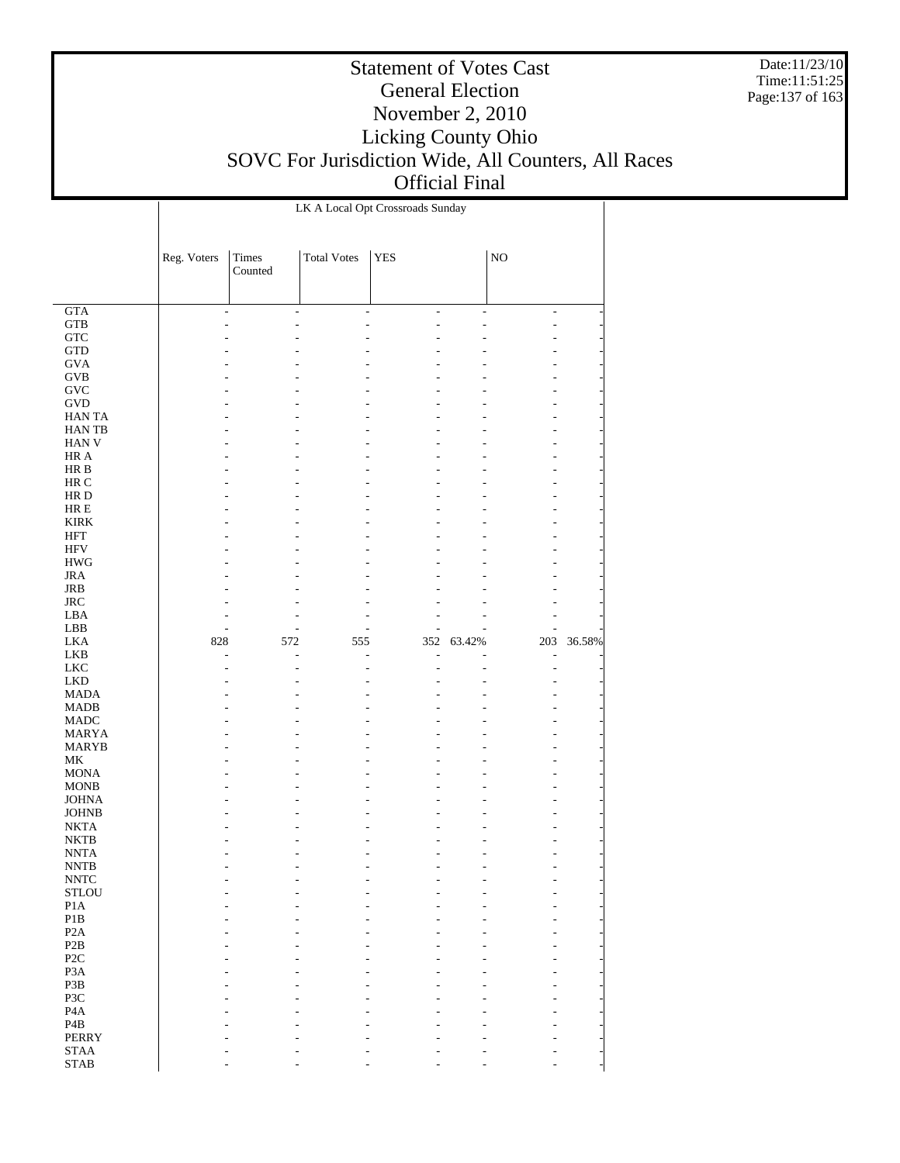Date:11/23/10 Time:11:51:25 Page:137 of 163

|                                           | LK A Local Opt Crossroads Sunday |                |                          |                                 |                |                    |        |  |
|-------------------------------------------|----------------------------------|----------------|--------------------------|---------------------------------|----------------|--------------------|--------|--|
|                                           |                                  |                |                          |                                 |                |                    |        |  |
|                                           | Reg. Voters                      | Times          | <b>Total Votes</b>       | <b>YES</b>                      |                | $\rm NO$           |        |  |
|                                           |                                  | Counted        |                          |                                 |                |                    |        |  |
|                                           |                                  |                |                          |                                 |                |                    |        |  |
| GTA<br>${\rm GTB}$                        | $\overline{a}$                   | $\overline{a}$ | $\overline{\phantom{a}}$ | $\frac{1}{2}$<br>$\overline{a}$ | $\overline{a}$ | $\frac{1}{2}$<br>L |        |  |
| ${\rm GTC}$                               |                                  |                |                          |                                 |                |                    |        |  |
| $\operatorname{GTD}$                      |                                  |                |                          |                                 |                |                    |        |  |
| <b>GVA</b>                                |                                  |                |                          |                                 |                |                    |        |  |
| <b>GVB</b>                                |                                  |                |                          |                                 |                |                    |        |  |
| <b>GVC</b><br><b>GVD</b>                  |                                  |                |                          |                                 |                |                    |        |  |
| <b>HANTA</b>                              |                                  |                |                          |                                 |                |                    |        |  |
| <b>HANTB</b>                              |                                  |                |                          |                                 |                |                    |        |  |
| <b>HAN V</b>                              |                                  |                |                          |                                 |                |                    |        |  |
| HR A                                      |                                  |                |                          |                                 |                |                    |        |  |
| $\rm HR~B$                                |                                  |                |                          |                                 |                |                    |        |  |
| HR C<br>HR D                              |                                  |                |                          |                                 |                |                    |        |  |
| $HRE$                                     |                                  |                |                          |                                 |                |                    |        |  |
| <b>KIRK</b>                               |                                  |                |                          |                                 |                |                    |        |  |
| <b>HFT</b>                                |                                  |                |                          |                                 |                |                    |        |  |
| <b>HFV</b>                                |                                  |                |                          |                                 |                |                    |        |  |
| $\rm HWG$                                 |                                  |                |                          |                                 |                |                    |        |  |
| <b>JRA</b><br>JRB                         |                                  |                |                          |                                 |                |                    |        |  |
| $_{\rm JRC}$                              |                                  |                |                          |                                 |                |                    |        |  |
| LBA                                       |                                  |                |                          |                                 |                |                    |        |  |
| LBB                                       |                                  |                |                          |                                 |                |                    |        |  |
| <b>LKA</b>                                | 828                              | 572            | 555                      | 352                             | 63.42%         | 203                | 36.58% |  |
| LKB                                       | L,                               | L              | Ĭ.                       | L                               |                | ÷,                 |        |  |
|                                           |                                  |                |                          |                                 |                |                    |        |  |
| ${\rm LKC}$                               |                                  |                |                          |                                 |                | L                  |        |  |
| ${\rm LKD}$<br><b>MADA</b>                |                                  |                |                          |                                 |                |                    |        |  |
| <b>MADB</b>                               |                                  |                |                          |                                 |                |                    |        |  |
| <b>MADC</b>                               |                                  |                |                          |                                 |                |                    |        |  |
| <b>MARYA</b>                              |                                  |                |                          |                                 |                |                    |        |  |
| <b>MARYB</b>                              |                                  |                |                          |                                 |                |                    |        |  |
| $\rm MK$<br><b>MONA</b>                   |                                  |                |                          |                                 |                |                    |        |  |
| <b>MONB</b>                               |                                  |                |                          |                                 |                |                    |        |  |
| <b>JOHNA</b>                              |                                  |                |                          |                                 |                |                    |        |  |
| <b>JOHNB</b>                              |                                  |                |                          |                                 |                |                    |        |  |
| <b>NKTA</b>                               |                                  |                |                          |                                 |                |                    |        |  |
| $\rm NKTB$                                |                                  |                |                          |                                 |                |                    |        |  |
| <b>NNTA</b><br>$\ensuremath{\text{NNTB}}$ |                                  |                |                          |                                 |                |                    |        |  |
| <b>NNTC</b>                               |                                  |                |                          |                                 |                |                    |        |  |
| <b>STLOU</b>                              |                                  |                |                          |                                 |                |                    |        |  |
| P1A                                       |                                  |                |                          |                                 |                |                    |        |  |
| $\mathbf{P}1\mathbf{B}$                   |                                  |                |                          |                                 |                |                    |        |  |
| P <sub>2</sub> A<br>P2B                   |                                  |                |                          |                                 |                |                    |        |  |
| P <sub>2</sub> C                          |                                  |                |                          |                                 |                |                    |        |  |
| P <sub>3</sub> A                          |                                  |                |                          |                                 |                |                    |        |  |
| P3B                                       |                                  |                |                          |                                 |                |                    |        |  |
| P3C                                       |                                  |                |                          |                                 |                |                    |        |  |
| P <sub>4</sub> A<br>P <sub>4</sub> B      |                                  |                |                          |                                 |                |                    |        |  |
| <b>PERRY</b>                              |                                  |                |                          |                                 |                |                    |        |  |
| <b>STAA</b><br>$\operatorname{STAB}$      |                                  |                |                          |                                 |                |                    |        |  |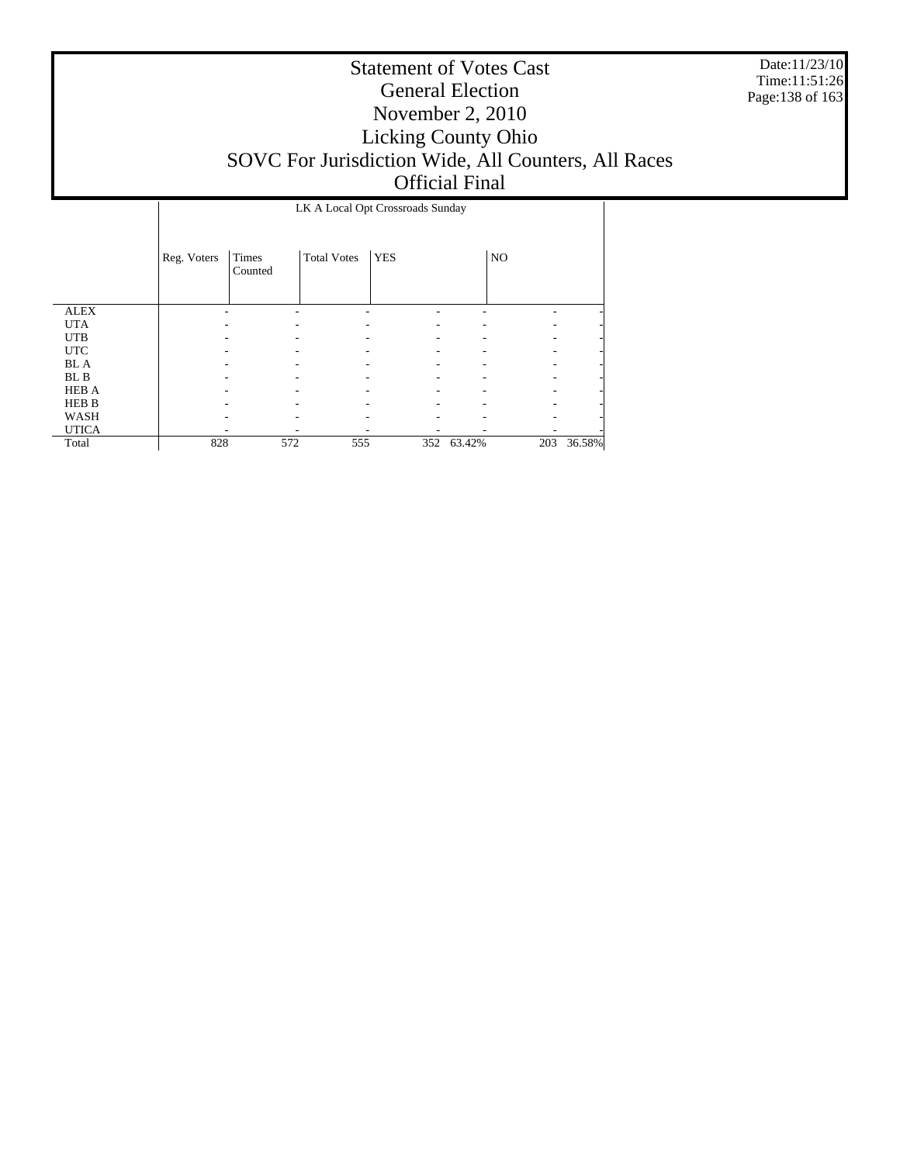Date:11/23/10 Time:11:51:26 Page:138 of 163

|              | LK A Local Opt Crossroads Sunday |                  |                    |            |            |     |        |  |
|--------------|----------------------------------|------------------|--------------------|------------|------------|-----|--------|--|
|              | Reg. Voters                      | Times<br>Counted | <b>Total Votes</b> | <b>YES</b> |            | NO  |        |  |
| <b>ALEX</b>  |                                  |                  |                    |            |            |     |        |  |
| <b>UTA</b>   |                                  |                  |                    |            |            |     |        |  |
| <b>UTB</b>   |                                  |                  |                    |            |            |     |        |  |
| <b>UTC</b>   |                                  |                  |                    |            |            |     |        |  |
| <b>BL</b> A  |                                  |                  |                    |            |            |     |        |  |
| BL B         |                                  |                  |                    |            |            |     |        |  |
| <b>HEB A</b> |                                  |                  |                    |            |            |     |        |  |
| HEB B        |                                  |                  |                    |            |            |     |        |  |
| WASH         |                                  |                  |                    |            |            |     |        |  |
| <b>UTICA</b> |                                  |                  |                    |            |            |     |        |  |
| Total        | 828                              | 572              | 555                |            | 352 63.42% | 203 | 36.58% |  |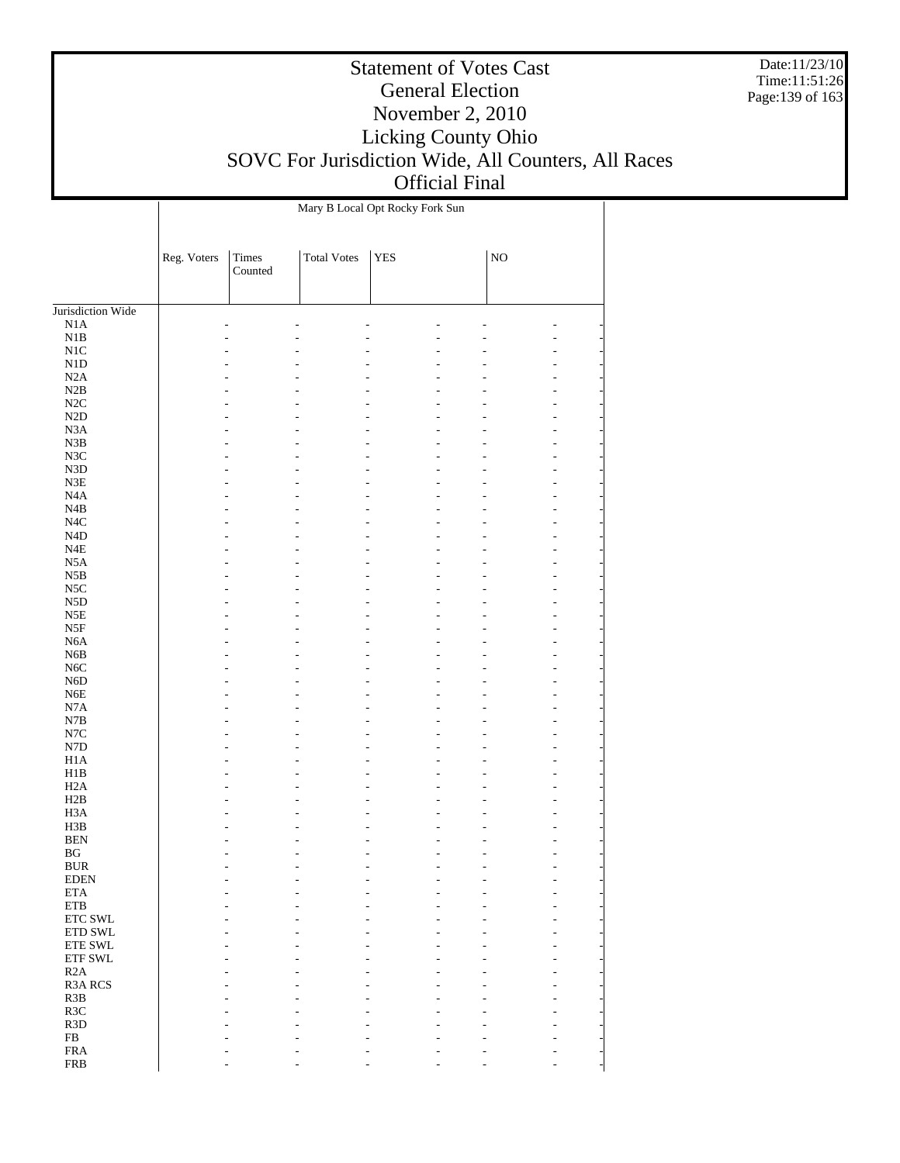Date:11/23/10 Time:11:51:26 Page:139 of 163

|                                  | Mary B Local Opt Rocky Fork Sun |                  |                    |            |  |             |        |  |
|----------------------------------|---------------------------------|------------------|--------------------|------------|--|-------------|--------|--|
|                                  | Reg. Voters                     | Times<br>Counted | <b>Total Votes</b> | <b>YES</b> |  | $_{\rm NO}$ |        |  |
| Jurisdiction Wide                |                                 |                  |                    |            |  |             |        |  |
| N1A                              |                                 |                  |                    |            |  |             |        |  |
| $_{\rm N1B}$                     |                                 |                  |                    |            |  |             | ٠      |  |
| $_{\rm N1C}$                     |                                 |                  |                    |            |  |             |        |  |
| $\rm N1D$                        |                                 |                  |                    |            |  |             | ٠      |  |
| $\rm N2A$                        |                                 |                  |                    |            |  |             |        |  |
| $\rm N2B$                        |                                 |                  |                    |            |  |             | L      |  |
| $\rm N2C$                        |                                 |                  |                    |            |  |             |        |  |
| $\rm N2D$                        |                                 |                  |                    |            |  |             | ٠      |  |
| N3A                              |                                 |                  |                    |            |  |             | ٠      |  |
| ${\bf N3B}$                      |                                 |                  |                    |            |  |             | L      |  |
| $_{\rm N3C}$<br>${\rm N3D}$      |                                 |                  |                    |            |  |             | ٠      |  |
| ${\rm N3E}$                      |                                 |                  |                    |            |  |             | L<br>٠ |  |
| $_{\mathrm{N4A}}$                |                                 |                  |                    |            |  |             | L      |  |
| $_{\rm N4B}$                     |                                 |                  |                    |            |  |             | ٠      |  |
| $_{\mathrm{N4C}}$                |                                 |                  |                    |            |  |             | L      |  |
| $\rm N4D$                        |                                 |                  |                    |            |  |             | ٠      |  |
| $_{\rm N4E}$                     |                                 |                  |                    |            |  |             | L      |  |
| N5A                              |                                 |                  |                    |            |  |             | ٠      |  |
| $_{\rm N5B}$                     |                                 |                  |                    |            |  |             | L      |  |
| $_{\rm NSC}$                     |                                 |                  |                    |            |  |             | ٠      |  |
| ${\rm N5D}$                      |                                 |                  |                    |            |  |             | L      |  |
| N5E                              |                                 |                  |                    |            |  |             | ٠      |  |
| $_{\rm{NSF}}$                    |                                 |                  |                    |            |  |             | L      |  |
| $_{\mathrm{N6A}}$                |                                 |                  |                    |            |  |             | ٠      |  |
| ${\rm N6B}$<br>$_{\mathrm{N6C}}$ |                                 |                  |                    |            |  |             | L<br>٠ |  |
| ${\rm N6D}$                      |                                 |                  |                    |            |  |             | L      |  |
| ${\rm N6E}$                      |                                 |                  |                    |            |  |             | ٠      |  |
| $_{\rm N7A}$                     |                                 |                  |                    |            |  |             | L      |  |
| N7B                              |                                 |                  |                    |            |  |             |        |  |
| $_{\mathrm{N7C}}$                |                                 |                  |                    |            |  |             | L      |  |
| ${\rm N7D}$                      |                                 |                  |                    |            |  |             | L      |  |
| $_{\rm H1A}$                     |                                 |                  |                    |            |  |             | L      |  |
| H1B                              |                                 |                  |                    |            |  |             |        |  |
| H2A                              |                                 |                  |                    |            |  |             | ٠      |  |
| H2B                              |                                 |                  |                    |            |  |             | ٠      |  |
| H3A                              |                                 |                  |                    |            |  |             | L      |  |
| H3B<br>$\operatorname{BEN}$      |                                 |                  |                    |            |  |             |        |  |
| $\mathbf{B}\mathbf{G}$           |                                 |                  |                    |            |  |             | ÷,     |  |
| <b>BUR</b>                       |                                 |                  |                    |            |  |             |        |  |
| <b>EDEN</b>                      |                                 |                  |                    |            |  |             |        |  |
| $\rm ETA$                        |                                 |                  |                    |            |  |             |        |  |
| ETB                              |                                 |                  |                    |            |  |             |        |  |
| ETC SWL                          |                                 |                  |                    |            |  |             |        |  |
| ETD SWL                          |                                 |                  |                    |            |  |             |        |  |
| ETE SWL                          |                                 |                  |                    |            |  |             |        |  |
| ETF SWL                          |                                 |                  |                    |            |  |             |        |  |
| R2A                              |                                 |                  |                    |            |  |             |        |  |
| R3A RCS                          |                                 |                  |                    |            |  |             |        |  |
| R3B                              |                                 |                  |                    |            |  |             |        |  |
| R3C<br>R <sub>3</sub> D          |                                 |                  |                    |            |  |             |        |  |
| ${\rm FB}$                       |                                 |                  |                    |            |  |             |        |  |
| <b>FRA</b>                       |                                 |                  |                    |            |  |             |        |  |
| <b>FRB</b>                       |                                 |                  |                    |            |  |             |        |  |
|                                  |                                 |                  |                    |            |  |             |        |  |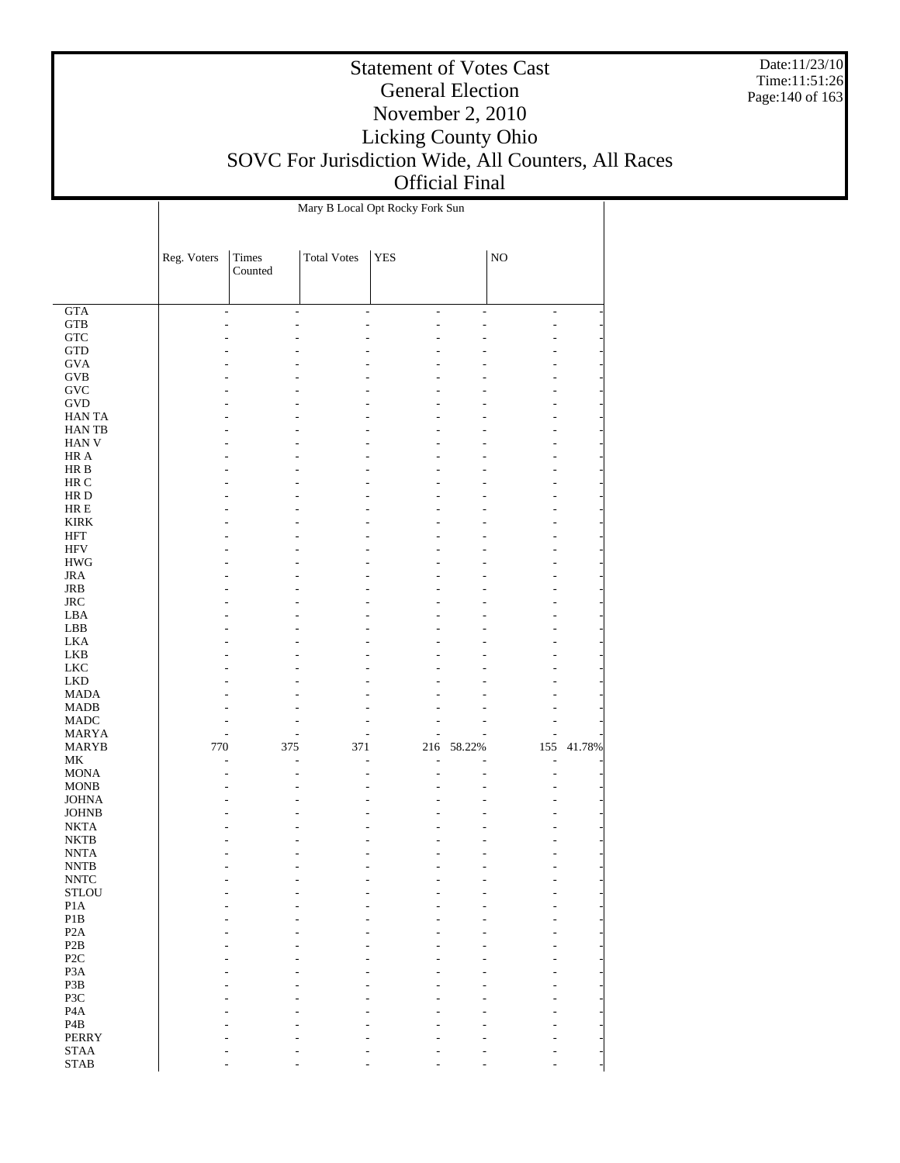Date:11/23/10 Time:11:51:26 Page:140 of 163

|                                            | Mary B Local Opt Rocky Fork Sun |                         |                          |                |                |                                |        |  |  |
|--------------------------------------------|---------------------------------|-------------------------|--------------------------|----------------|----------------|--------------------------------|--------|--|--|
|                                            |                                 |                         |                          |                |                |                                |        |  |  |
|                                            | Reg. Voters                     | <b>Times</b><br>Counted | <b>Total Votes</b>       | <b>YES</b>     |                | $\rm NO$                       |        |  |  |
|                                            |                                 |                         |                          |                |                |                                |        |  |  |
|                                            |                                 |                         |                          |                |                |                                |        |  |  |
| GTA<br>${\rm GTB}$                         | $\overline{\phantom{a}}$        | ÷.                      | $\overline{\phantom{a}}$ | $\overline{a}$ | $\overline{a}$ | $\overline{\phantom{a}}$<br>L. |        |  |  |
| <b>GTC</b>                                 |                                 |                         |                          |                |                |                                |        |  |  |
| $\operatorname{GTD}$                       |                                 |                         |                          |                |                |                                |        |  |  |
| <b>GVA</b>                                 |                                 |                         |                          |                |                |                                |        |  |  |
| $\rm GVB$                                  |                                 |                         |                          |                |                |                                |        |  |  |
| GVC                                        |                                 |                         |                          |                |                | ۰                              |        |  |  |
| <b>GVD</b>                                 |                                 |                         |                          |                |                |                                |        |  |  |
| <b>HANTA</b>                               |                                 |                         |                          |                |                |                                |        |  |  |
| <b>HANTB</b><br><b>HAN V</b>               |                                 |                         |                          |                |                | ۰                              |        |  |  |
| HR A                                       |                                 |                         |                          |                |                |                                |        |  |  |
| HR B                                       |                                 |                         |                          |                |                |                                |        |  |  |
| HR C                                       |                                 |                         |                          |                |                |                                |        |  |  |
| HR D                                       |                                 |                         |                          |                |                | ۰                              |        |  |  |
| $\rm HR \, E$                              |                                 |                         |                          |                |                |                                |        |  |  |
| <b>KIRK</b>                                |                                 |                         |                          |                |                |                                |        |  |  |
| <b>HFT</b>                                 |                                 |                         |                          |                |                |                                |        |  |  |
| <b>HFV</b><br>$\rm{HWG}$                   |                                 |                         |                          |                |                | ۰                              |        |  |  |
| <b>JRA</b>                                 |                                 |                         |                          |                |                |                                |        |  |  |
| JRB                                        |                                 |                         |                          |                |                |                                |        |  |  |
| <b>JRC</b>                                 |                                 |                         |                          |                |                | ٠                              |        |  |  |
| LBA                                        |                                 |                         |                          |                |                |                                |        |  |  |
| LBB                                        |                                 |                         |                          |                |                |                                |        |  |  |
| <b>LKA</b>                                 |                                 |                         |                          |                |                |                                |        |  |  |
| <b>LKB</b>                                 |                                 |                         |                          |                |                |                                |        |  |  |
| <b>LKC</b><br><b>LKD</b>                   |                                 |                         |                          |                |                |                                |        |  |  |
| <b>MADA</b>                                |                                 |                         |                          |                |                |                                |        |  |  |
| <b>MADB</b>                                |                                 |                         |                          |                |                |                                |        |  |  |
| <b>MADC</b>                                |                                 |                         |                          |                |                |                                |        |  |  |
| <b>MARYA</b>                               |                                 |                         |                          |                |                |                                |        |  |  |
| <b>MARYB</b>                               | 770                             | 375                     | 371                      | 216            | 58.22%         | 155                            | 41.78% |  |  |
| $\rm MK$                                   |                                 | L,                      |                          | L.             |                | ÷,                             |        |  |  |
| <b>MONA</b><br><b>MONB</b>                 |                                 |                         |                          |                |                | L,                             |        |  |  |
| <b>JOHNA</b>                               |                                 |                         |                          |                |                |                                |        |  |  |
| <b>JOHNB</b>                               |                                 |                         |                          |                |                |                                |        |  |  |
| <b>NKTA</b>                                |                                 |                         |                          |                |                |                                |        |  |  |
| <b>NKTB</b>                                |                                 |                         |                          |                |                |                                |        |  |  |
| <b>NNTA</b>                                |                                 |                         |                          |                |                | L.                             |        |  |  |
| $\ensuremath{\text{NNTB}}$                 |                                 |                         |                          |                |                |                                |        |  |  |
| $\ensuremath{\text{NNTC}}$<br><b>STLOU</b> |                                 |                         |                          |                |                |                                |        |  |  |
| P1A                                        |                                 |                         |                          |                |                |                                |        |  |  |
| P1B                                        |                                 |                         |                          |                |                |                                |        |  |  |
| P <sub>2</sub> A                           |                                 |                         |                          |                |                |                                |        |  |  |
| P <sub>2</sub> B                           |                                 |                         |                          |                |                |                                |        |  |  |
| P <sub>2</sub> C                           |                                 |                         |                          |                |                |                                |        |  |  |
| P <sub>3</sub> A                           |                                 |                         |                          |                |                |                                |        |  |  |
| P3B                                        |                                 |                         |                          |                |                |                                |        |  |  |
| P3C<br>P <sub>4</sub> A                    |                                 |                         |                          |                |                |                                |        |  |  |
| $\mathbf{P4B}$                             |                                 |                         |                          |                |                |                                |        |  |  |
| <b>PERRY</b>                               |                                 |                         |                          |                |                |                                |        |  |  |
| <b>STAA</b>                                |                                 |                         |                          |                |                |                                |        |  |  |
| $\operatorname{STAB}$                      |                                 |                         |                          |                |                |                                |        |  |  |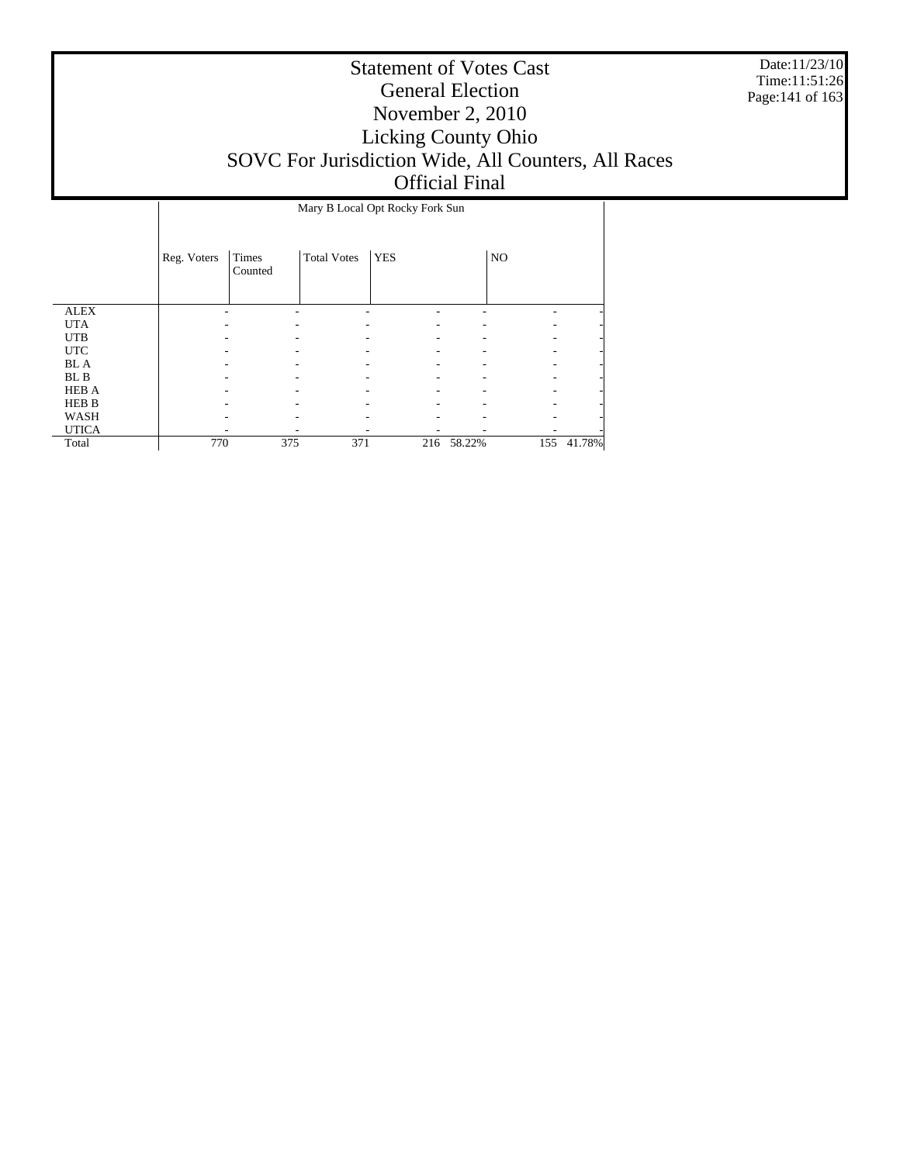Date:11/23/10 Time:11:51:26 Page:141 of 163

|              |             | Mary B Local Opt Rocky Fork Sun |                    |            |        |                |        |  |  |
|--------------|-------------|---------------------------------|--------------------|------------|--------|----------------|--------|--|--|
|              | Reg. Voters | Times<br>Counted                | <b>Total Votes</b> | <b>YES</b> |        | N <sub>O</sub> |        |  |  |
| <b>ALEX</b>  |             |                                 |                    |            |        |                |        |  |  |
| <b>UTA</b>   |             |                                 |                    |            |        |                |        |  |  |
| <b>UTB</b>   |             |                                 |                    |            |        |                |        |  |  |
| <b>UTC</b>   |             |                                 |                    |            |        |                |        |  |  |
| <b>BL</b> A  |             |                                 |                    |            |        |                |        |  |  |
| BL B         |             |                                 |                    |            |        |                |        |  |  |
| <b>HEB A</b> |             |                                 |                    |            |        |                |        |  |  |
| HEB B        |             |                                 |                    |            |        |                |        |  |  |
| WASH         |             |                                 |                    |            |        |                |        |  |  |
| <b>UTICA</b> |             |                                 |                    |            |        |                |        |  |  |
| Total        | 770         | 375                             | 371                | 216        | 58.22% | 155            | 41.78% |  |  |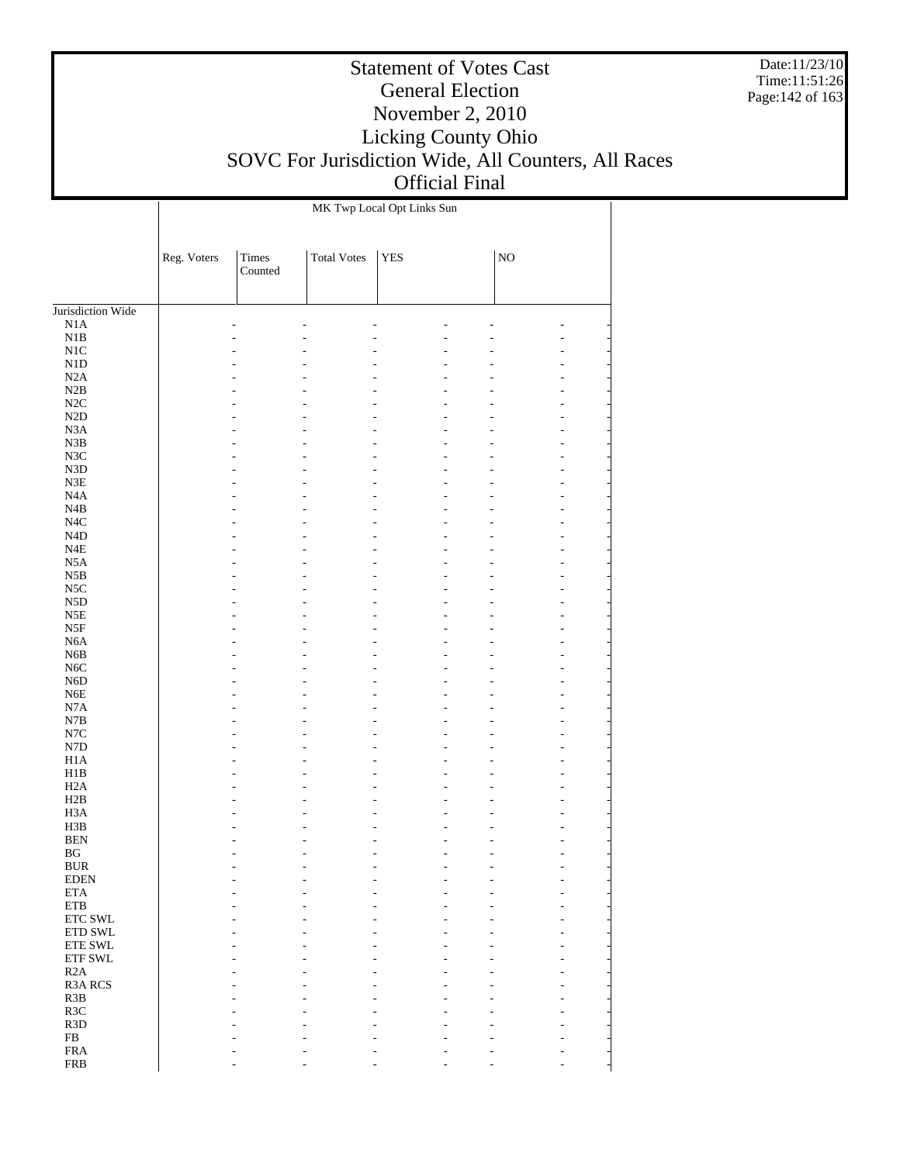Date:11/23/10 Time:11:51:26 Page:142 of 163

#### Statement of Votes Cast General Election November 2, 2010 Licking County Ohio SOVC For Jurisdiction Wide, All Counters, All Races Official Final

Jurisdiction Wide N1A N1B N1C N1D N2A N2B N2C N2D N3A N3B N3C N3D N3E N4A N4B N4C N4D N4E N5A N5B N5C N5D N5E N5F N6A N6B N6C N6D N6E N7A N7B N7C N7D H1A H1B H2A H2B H3A H3B BEN BG BUR EDEN ETA ETB ETC SWL ETD SWL ETE SWL ETF SWL R2A R3A RCS R3B R3C R3D FB FRA Reg. Voters | Times Counted Total Votes | YES | NO MK Twp Local Opt Links Sun - - - - - - - - - - - - - - - - - - - - - - - - - - - - - - - - - - - - - - - - - - - - - - - - - - - - - - - - - - - - - - - - - - - - - - - - - - - - - - - - - - - - - - - - - - - - - - - - - - - - - - - - - - - - - - - - - - - - - - - - - - - - - - - - - - - - - - - - - - - - - - - - - - - - - - - - - - - - - - - - - - - - - - - - - - - - - - - - - - - - - - - - - - - - - - - - - - - - - - - - - - - - - - - - - - - - - - - - - - - - - - - - - - - - - - - - - - - - - - - - - - - - - - - - - - - - - - - - - - - - - - - - - - - - - - - - - - - - - - - - - - - - - - - - - - - - - - - - - - - - - - - - - - - - - - - - - - - - - - - - - - - - - - - - - - - - - - - - - - - - - - - - - - - - - - - - - - - - - - - - - - - - - - - - - - - - - - - - - - - - - - - - - - - - - - - -

- - - - - - -

FRB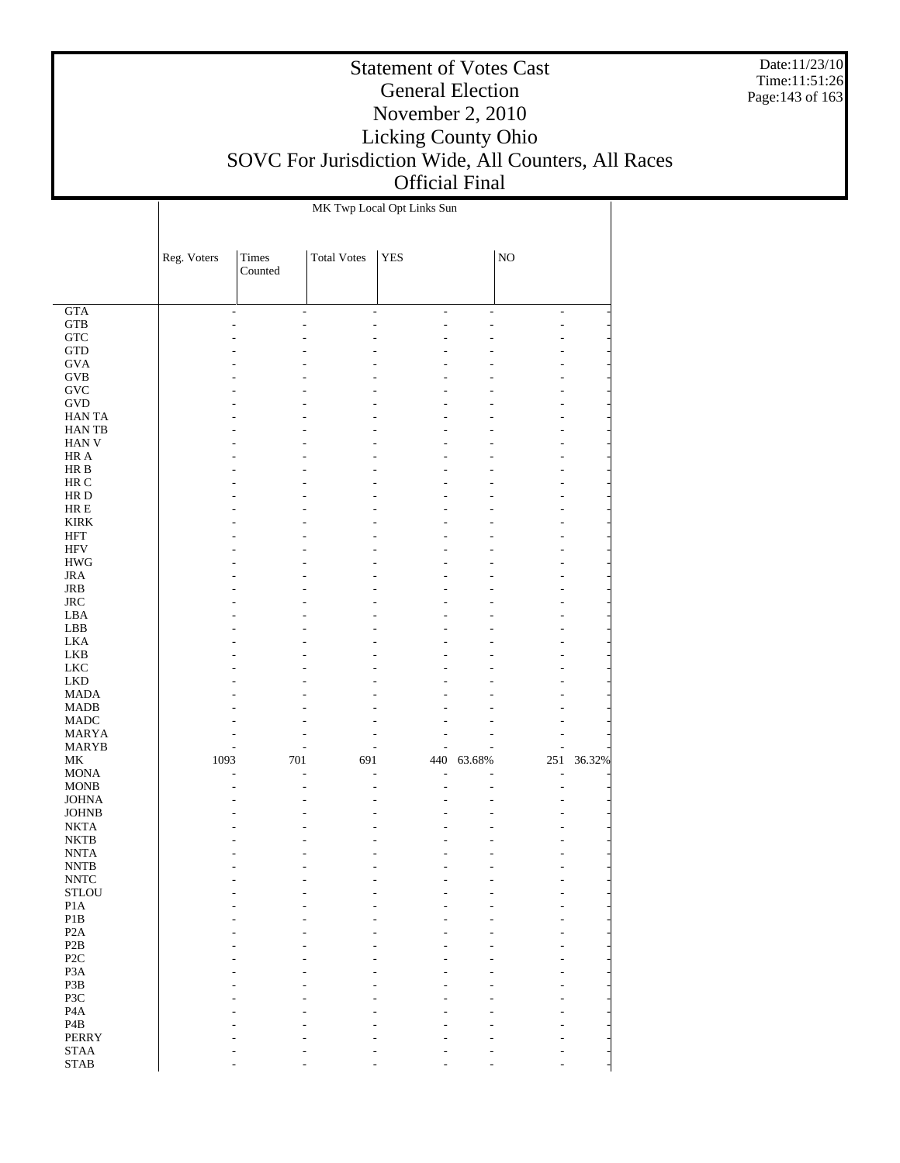Date:11/23/10 Time:11:51:26 Page:143 of 163

|                                                | MK Twp Local Opt Links Sun |                  |                          |            |                          |                          |        |  |
|------------------------------------------------|----------------------------|------------------|--------------------------|------------|--------------------------|--------------------------|--------|--|
|                                                | Reg. Voters                | Times<br>Counted | <b>Total Votes</b>       | <b>YES</b> |                          | $_{\rm NO}$              |        |  |
| $\overline{GTA}$                               | ÷,                         | ÷,               | $\overline{\phantom{a}}$ | ÷,         | $\overline{\phantom{a}}$ | $\overline{\phantom{a}}$ |        |  |
| <b>GTB</b>                                     |                            | ٠                |                          | ۷          |                          | L,                       |        |  |
| GTC                                            |                            |                  |                          |            |                          |                          |        |  |
| <b>GTD</b>                                     |                            |                  |                          |            |                          |                          |        |  |
| <b>GVA</b>                                     |                            |                  |                          |            |                          |                          |        |  |
| <b>GVB</b>                                     |                            |                  |                          |            |                          |                          |        |  |
| ${\rm GVC}$<br><b>GVD</b>                      |                            |                  |                          |            |                          | ٠                        |        |  |
| <b>HANTA</b>                                   |                            |                  |                          |            |                          |                          |        |  |
| HAN TB                                         |                            |                  |                          |            |                          |                          |        |  |
| HAN V                                          |                            |                  |                          |            |                          | L,                       |        |  |
| HR A                                           |                            |                  |                          |            |                          |                          |        |  |
| HR B                                           |                            |                  |                          |            |                          |                          |        |  |
| HR C                                           |                            |                  |                          |            |                          |                          |        |  |
| HR D<br>HR E                                   |                            |                  |                          |            |                          | L,                       |        |  |
| <b>KIRK</b>                                    |                            |                  |                          |            |                          |                          |        |  |
| HFT                                            |                            |                  |                          |            |                          |                          |        |  |
| HFV                                            |                            |                  |                          |            |                          | L,                       |        |  |
| <b>HWG</b>                                     |                            |                  |                          |            |                          |                          |        |  |
| <b>JRA</b>                                     |                            |                  |                          |            |                          |                          |        |  |
| JRB                                            |                            |                  |                          |            |                          |                          |        |  |
| $_{\rm JRC}$<br>LBA                            |                            |                  |                          |            |                          | L,                       |        |  |
| LBB                                            |                            |                  |                          |            |                          |                          |        |  |
| <b>LKA</b>                                     |                            |                  |                          |            |                          |                          |        |  |
| LKB                                            |                            |                  |                          |            |                          |                          |        |  |
| <b>LKC</b>                                     |                            |                  |                          |            |                          |                          |        |  |
| <b>LKD</b>                                     |                            |                  |                          |            |                          |                          |        |  |
| MADA<br><b>MADB</b>                            |                            |                  |                          |            |                          | L,                       |        |  |
| <b>MADC</b>                                    |                            |                  |                          |            |                          | L,                       |        |  |
| MARYA                                          |                            |                  |                          |            |                          | L,                       |        |  |
| MARYB                                          |                            | ٠                |                          |            |                          | L,                       |        |  |
| МK                                             | 1093                       | 701              | 691                      | 440        | 63.68%                   | 251                      | 36.32% |  |
| <b>MONA</b>                                    |                            | L,               |                          |            |                          | L,                       |        |  |
| <b>MONB</b><br><b>JOHNA</b>                    |                            |                  |                          |            |                          | L,                       |        |  |
| <b>JOHNB</b>                                   |                            |                  |                          |            |                          |                          |        |  |
| <b>NKTA</b>                                    |                            |                  |                          |            |                          |                          |        |  |
| <b>NKTB</b>                                    |                            |                  |                          |            |                          |                          |        |  |
| <b>NNTA</b>                                    |                            |                  |                          |            |                          | $\overline{\phantom{a}}$ |        |  |
| <b>NNTB</b>                                    |                            |                  |                          |            |                          |                          |        |  |
| <b>NNTC</b><br>$\operatorname{\mathsf{STLOU}}$ |                            |                  |                          |            |                          |                          |        |  |
| $\rm{P1A}$                                     |                            |                  |                          |            |                          |                          |        |  |
| $\mathbf{P}1\mathbf{B}$                        |                            |                  |                          |            |                          |                          |        |  |
| P <sub>2</sub> A                               |                            |                  |                          |            |                          |                          |        |  |
| P2B                                            |                            |                  |                          |            |                          |                          |        |  |
| P <sub>2</sub> C                               |                            |                  |                          |            |                          |                          |        |  |
| P <sub>3</sub> A<br>P3B                        |                            |                  |                          |            |                          |                          |        |  |
| P3C                                            |                            |                  |                          |            |                          |                          |        |  |
| P <sub>4</sub> A                               |                            |                  |                          |            |                          |                          |        |  |
| P <sub>4</sub> B                               |                            |                  |                          |            |                          |                          |        |  |
| <b>PERRY</b>                                   |                            |                  |                          |            |                          |                          |        |  |
| <b>STAA</b>                                    |                            |                  |                          |            |                          |                          |        |  |
| <b>STAB</b>                                    |                            |                  |                          |            |                          |                          |        |  |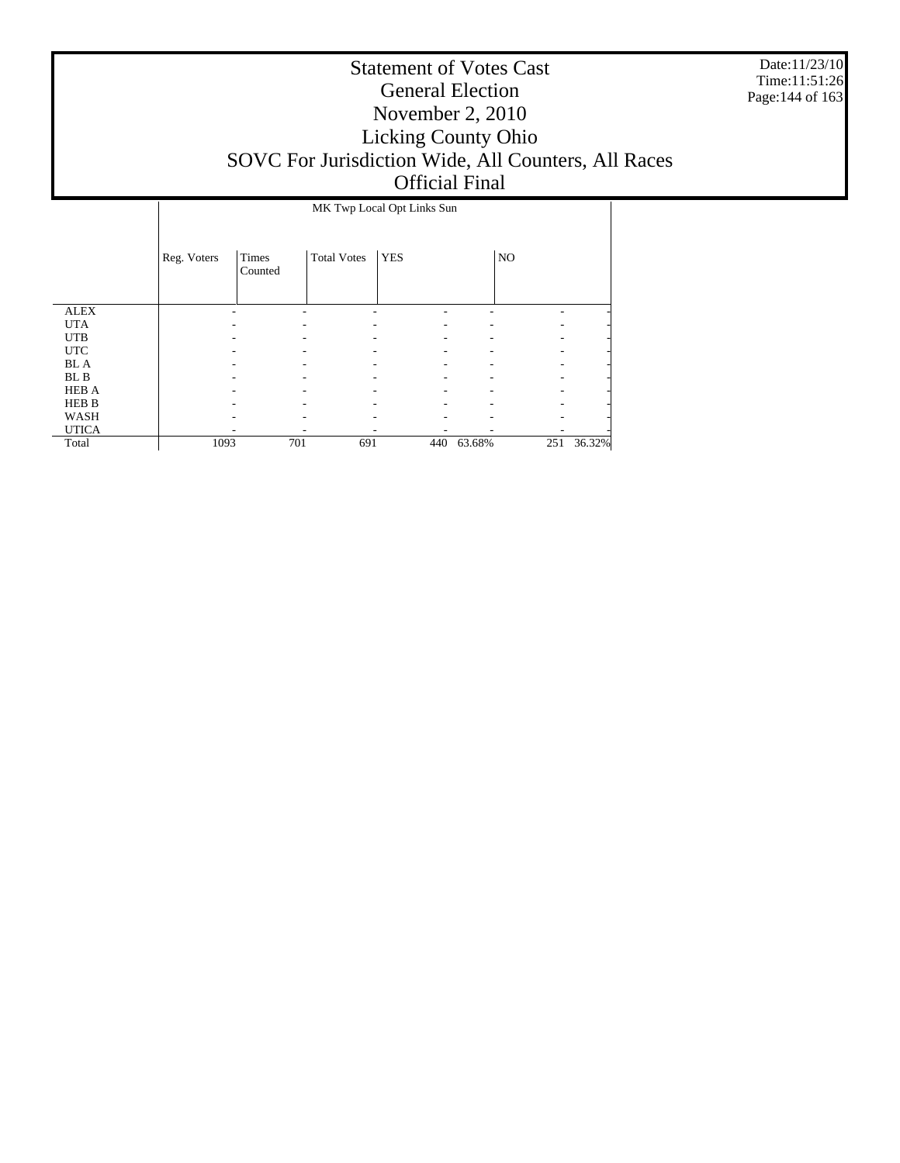Date:11/23/10 Time:11:51:26 Page:144 of 163

|              | MK Twp Local Opt Links Sun |                  |                    |            |        |                |        |  |  |
|--------------|----------------------------|------------------|--------------------|------------|--------|----------------|--------|--|--|
|              | Reg. Voters                | Times<br>Counted | <b>Total Votes</b> | <b>YES</b> |        | N <sub>O</sub> |        |  |  |
| <b>ALEX</b>  |                            |                  |                    |            |        |                |        |  |  |
| <b>UTA</b>   |                            |                  |                    |            |        |                |        |  |  |
| <b>UTB</b>   |                            |                  |                    |            |        |                |        |  |  |
| <b>UTC</b>   |                            |                  |                    |            |        |                |        |  |  |
| <b>BL</b> A  |                            |                  |                    |            |        |                |        |  |  |
| BL B         |                            |                  |                    |            |        |                |        |  |  |
| <b>HEB A</b> |                            |                  |                    |            |        |                |        |  |  |
| <b>HEB B</b> |                            |                  |                    |            |        |                |        |  |  |
| WASH         |                            |                  |                    |            |        |                |        |  |  |
| <b>UTICA</b> |                            |                  |                    |            |        |                |        |  |  |
| Total        | 1093                       | 701              | 691                | 440        | 63.68% | 251            | 36.32% |  |  |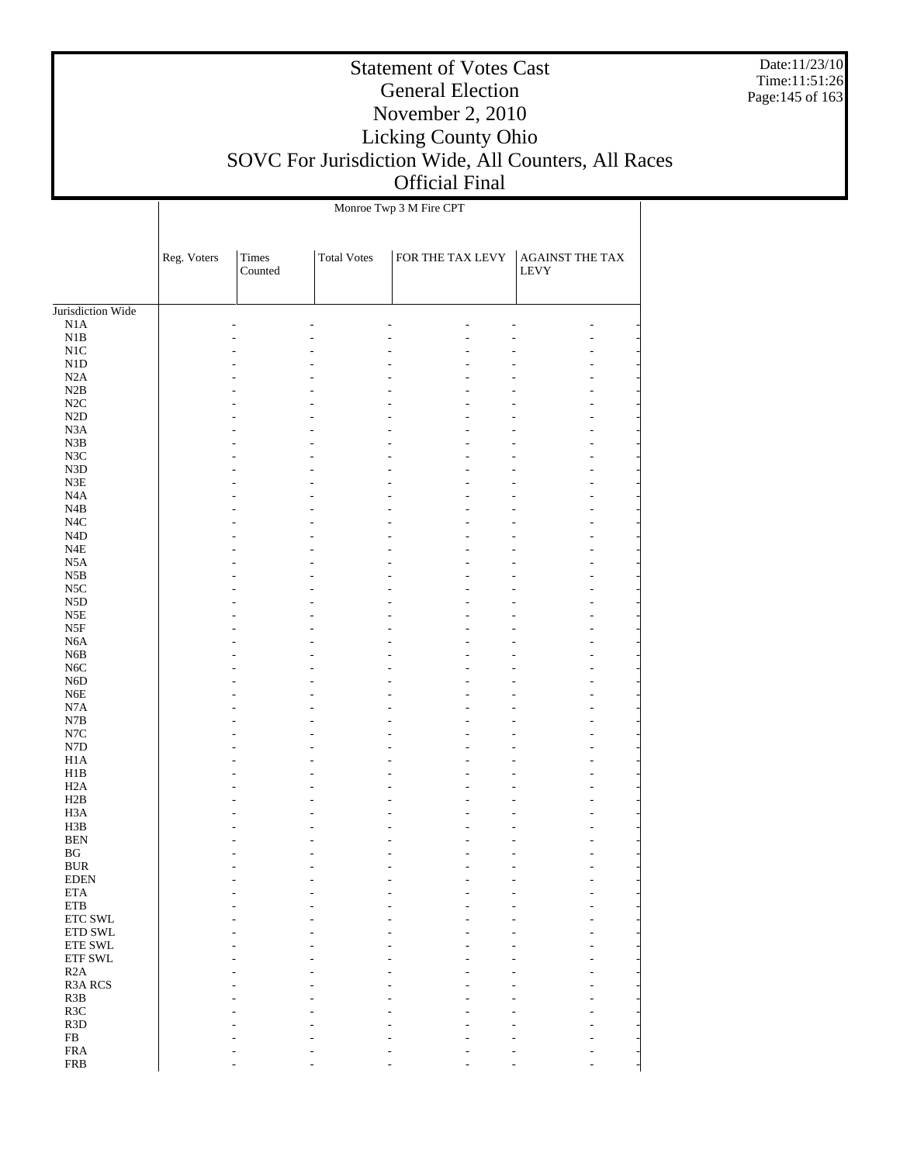Date:11/23/10 Time:11:51:26 Page:145 of 163

# Statement of Votes Cast General Election November 2, 2010 Licking County Ohio SOVC For Jurisdiction Wide, All Counters, All Races Official Final

|                             |             |                         |                    | Monroe Twp 3 M Fire CPT |                                        |
|-----------------------------|-------------|-------------------------|--------------------|-------------------------|----------------------------------------|
|                             | Reg. Voters | <b>Times</b><br>Counted | <b>Total Votes</b> | FOR THE TAX LEVY        | <b>AGAINST THE TAX</b><br>${\rm LEVY}$ |
| Jurisdiction Wide           |             |                         |                    |                         |                                        |
| N1A                         |             |                         |                    |                         |                                        |
| $_{\rm N1B}$                |             |                         |                    |                         | ۷                                      |
| $_{\rm N1C}$                |             |                         |                    |                         |                                        |
| ${\rm N1D}$                 |             |                         |                    |                         |                                        |
| N2A                         |             |                         |                    |                         |                                        |
| N2B                         |             |                         |                    |                         | ÷                                      |
| $\rm N2C$                   |             |                         |                    |                         |                                        |
| $\rm N2D$                   |             |                         |                    |                         | ÷                                      |
| N3A                         |             |                         |                    |                         |                                        |
| N3B                         |             |                         |                    |                         | ÷.                                     |
| N3C                         |             |                         |                    |                         |                                        |
| N3D                         |             |                         |                    |                         | ÷                                      |
| ${\rm N3E}$                 |             |                         |                    |                         |                                        |
| N4A                         |             |                         |                    |                         | ÷.                                     |
| N4B                         |             |                         |                    |                         |                                        |
| $_{\mathrm{N4C}}$           |             |                         |                    |                         | L.                                     |
| ${\rm N4D}$                 |             |                         |                    |                         |                                        |
| $_{\rm N4E}$                |             |                         |                    |                         | ۷                                      |
| N5A                         |             |                         |                    |                         |                                        |
| N5B                         |             |                         |                    |                         | L.                                     |
| $_{\rm NSC}$                |             |                         |                    |                         |                                        |
| ${\rm N5D}$                 |             |                         |                    |                         | ۷                                      |
| N5E                         |             |                         |                    |                         |                                        |
| N5F                         |             |                         |                    |                         | L.                                     |
| N6A                         |             |                         |                    |                         |                                        |
| N6B                         |             |                         |                    |                         | ۷                                      |
| N6C                         |             |                         |                    |                         |                                        |
| N6D                         |             |                         |                    |                         | L.                                     |
| ${\rm N6E}$<br>$_{\rm N7A}$ |             |                         |                    |                         |                                        |
| N7B                         |             |                         |                    |                         | ÷                                      |
|                             |             |                         |                    |                         |                                        |
| $_{\mathrm{N7C}}$           |             |                         |                    |                         | L.                                     |
| ${\rm N7D}$<br>H1A          |             |                         |                    |                         |                                        |
| H1B                         |             |                         |                    |                         | ÷                                      |
| H2A                         |             |                         |                    |                         |                                        |
| H2B                         |             |                         |                    |                         |                                        |
| H <sub>3</sub> A            |             |                         |                    |                         |                                        |
| H3B                         |             |                         |                    |                         |                                        |
| <b>BEN</b>                  |             |                         |                    |                         |                                        |
| BG                          |             |                         |                    | $\overline{a}$          | L,                                     |
| <b>BUR</b>                  |             |                         |                    |                         |                                        |
| <b>EDEN</b>                 |             |                         |                    |                         |                                        |
| $\rm ETA$                   |             |                         |                    |                         |                                        |
| ${\rm ETB}$                 |             |                         |                    |                         |                                        |
| ETC SWL                     |             |                         |                    |                         |                                        |
| ETD SWL                     |             |                         |                    |                         |                                        |
| ${\rm ETE}$ SWL             |             |                         |                    |                         |                                        |
| ETF SWL                     |             |                         |                    |                         |                                        |
| R2A                         |             |                         |                    |                         |                                        |
| R3A RCS                     |             |                         |                    |                         |                                        |
| R3B                         |             |                         |                    |                         |                                        |
| R3C                         |             |                         |                    |                         |                                        |
| R3D                         |             |                         |                    |                         |                                        |
| ${\rm FB}$                  |             |                         |                    |                         |                                        |
| ${\rm FRA}$                 |             |                         |                    |                         |                                        |
| <b>FRB</b>                  |             |                         |                    |                         |                                        |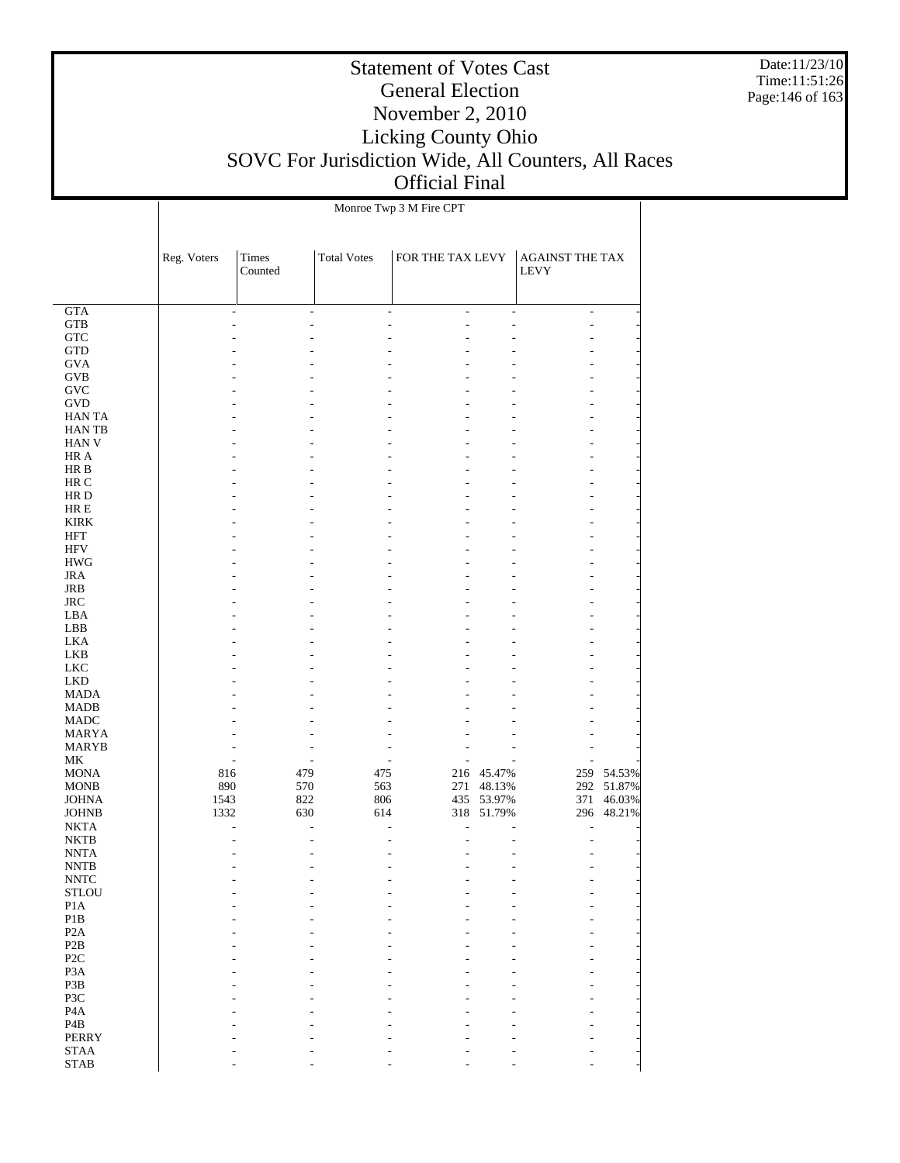Date:11/23/10 Time:11:51:26 Page:146 of 163

|                              |             |                  |                    | Monroe Twp 3 M Fire CPT |                          |                                       |                      |
|------------------------------|-------------|------------------|--------------------|-------------------------|--------------------------|---------------------------------------|----------------------|
|                              | Reg. Voters | Times<br>Counted | <b>Total Votes</b> | FOR THE TAX LEVY        |                          | <b>AGAINST THE TAX</b><br><b>LEVY</b> |                      |
| GTA                          |             |                  | ٠                  | ÷.                      |                          |                                       |                      |
| <b>GTB</b>                   |             | ÷                |                    | $\overline{a}$<br>L,    | $\overline{a}$<br>÷,     | ÷<br>ä,                               |                      |
| ${\rm GTC}$                  |             |                  |                    |                         |                          |                                       |                      |
| GTD                          |             |                  |                    |                         |                          |                                       |                      |
| <b>GVA</b>                   |             |                  |                    |                         |                          |                                       |                      |
| <b>GVB</b>                   |             |                  |                    |                         |                          |                                       |                      |
| GVC                          |             |                  |                    |                         |                          |                                       |                      |
| GVD                          |             |                  |                    |                         |                          |                                       |                      |
| <b>HANTA</b>                 |             |                  |                    |                         |                          |                                       |                      |
| <b>HANTB</b>                 |             |                  |                    |                         |                          |                                       |                      |
| <b>HAN V</b>                 |             |                  |                    |                         |                          |                                       |                      |
| HR A                         |             |                  |                    |                         |                          |                                       |                      |
| HR B<br>HR C                 |             |                  |                    |                         |                          |                                       |                      |
| HR D                         |             |                  |                    |                         |                          |                                       |                      |
| $HRE$                        |             |                  |                    |                         |                          |                                       |                      |
| <b>KIRK</b>                  |             |                  |                    |                         |                          |                                       |                      |
| HFT                          |             |                  |                    |                         |                          |                                       |                      |
| <b>HFV</b>                   |             |                  |                    |                         |                          |                                       |                      |
| <b>HWG</b>                   |             |                  |                    |                         |                          |                                       |                      |
| <b>JRA</b>                   |             |                  |                    |                         |                          |                                       |                      |
| <b>JRB</b>                   |             |                  |                    |                         |                          |                                       |                      |
| $\rm JRC$                    |             |                  |                    |                         |                          |                                       |                      |
| LBA                          |             |                  |                    |                         |                          |                                       |                      |
| LBB                          |             |                  |                    |                         |                          |                                       |                      |
| <b>LKA</b>                   |             |                  |                    |                         |                          |                                       |                      |
| <b>LKB</b><br><b>LKC</b>     |             |                  |                    |                         |                          |                                       |                      |
| <b>LKD</b>                   |             |                  |                    |                         |                          |                                       |                      |
| <b>MADA</b>                  |             |                  |                    |                         |                          |                                       |                      |
| <b>MADB</b>                  |             |                  |                    |                         |                          |                                       |                      |
| MADC                         |             |                  |                    |                         |                          |                                       |                      |
| <b>MARYA</b>                 |             |                  |                    |                         |                          |                                       |                      |
| MARYB                        |             |                  |                    |                         |                          |                                       |                      |
| MK                           |             |                  |                    |                         |                          |                                       |                      |
| <b>MONA</b>                  | 816         | 479              | 475                |                         | 216 45.47%               | 259                                   | 54.53%               |
| <b>MONB</b>                  | 890<br>1543 | 570              | 563                | 271                     | 48.13%                   | 292                                   | 51.87%               |
| <b>JOHNA</b><br><b>JOHNB</b> | 1332        | 822<br>630       | 806<br>614         |                         | 435 53.97%<br>318 51.79% | 371                                   | 46.03%<br>296 48.21% |
| <b>NKTA</b>                  |             |                  | L.                 | ÷.<br>٠                 |                          |                                       |                      |
| <b>NKTB</b>                  |             |                  |                    | L,                      |                          |                                       |                      |
| <b>NNTA</b>                  |             |                  | ٠                  | ÷<br>L,                 | $\overline{a}$           | ÷.                                    |                      |
| <b>NNTB</b>                  |             |                  |                    |                         |                          |                                       |                      |
| $\ensuremath{\text{NNTC}}$   |             |                  |                    |                         |                          |                                       |                      |
| <b>STLOU</b>                 |             |                  |                    |                         |                          |                                       |                      |
| P1A                          |             |                  |                    |                         |                          |                                       |                      |
| $\mathbf{P}1\mathbf{B}$      |             |                  |                    |                         |                          |                                       |                      |
| P2A                          |             |                  |                    |                         |                          |                                       |                      |
| P2B<br>P <sub>2C</sub>       |             |                  |                    |                         |                          |                                       |                      |
| P <sub>3</sub> A             |             |                  |                    |                         |                          |                                       |                      |
| P3B                          |             |                  |                    |                         |                          |                                       |                      |
| P3C                          |             |                  |                    |                         |                          |                                       |                      |
| P <sub>4</sub> A             |             |                  |                    |                         |                          |                                       |                      |
| P <sub>4</sub> B             |             |                  |                    |                         |                          |                                       |                      |
| <b>PERRY</b>                 |             |                  |                    |                         |                          |                                       |                      |
| $\operatorname{STAA}$        |             |                  |                    |                         |                          |                                       |                      |
| <b>STAB</b>                  |             |                  |                    |                         |                          |                                       |                      |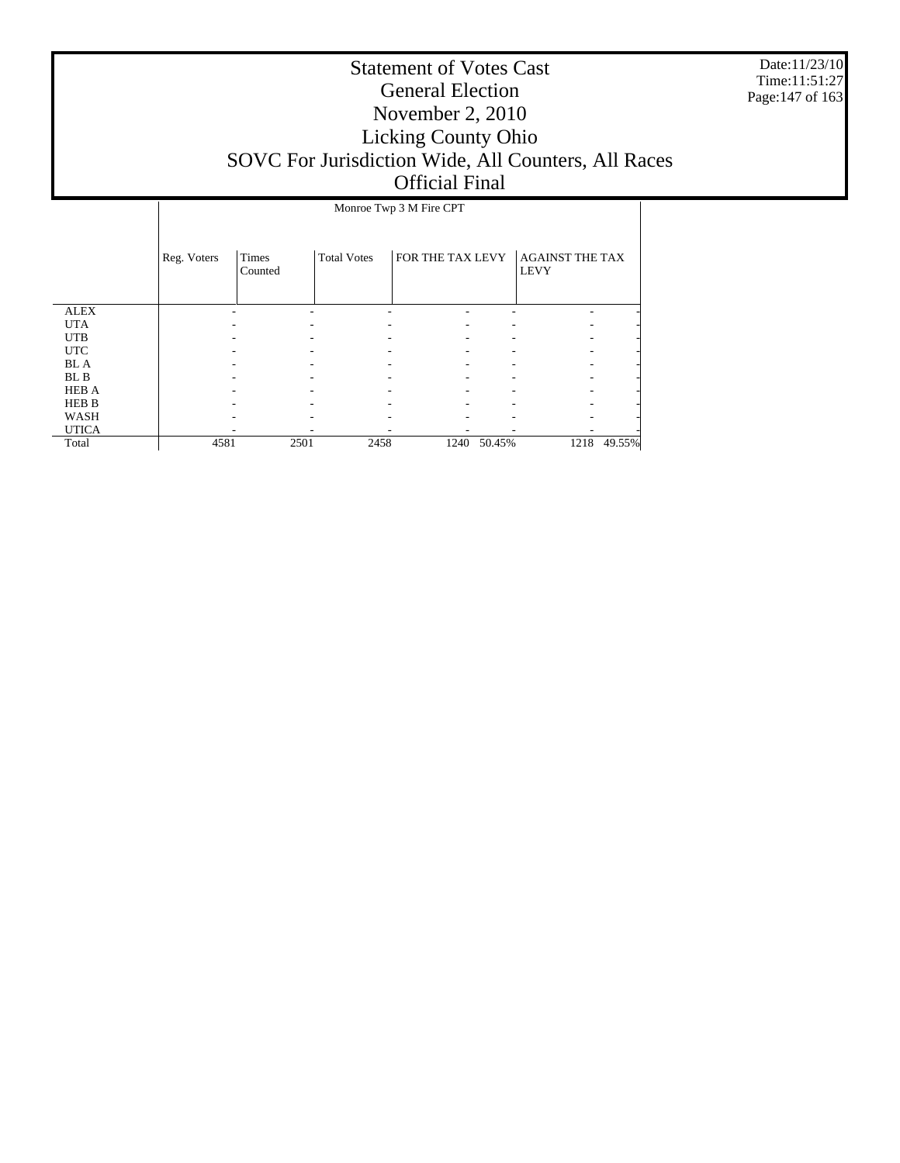Date:11/23/10 Time:11:51:27 Page:147 of 163

|              | Monroe Twp 3 M Fire CPT |                  |                    |                  |        |                                       |        |  |
|--------------|-------------------------|------------------|--------------------|------------------|--------|---------------------------------------|--------|--|
|              | Reg. Voters             | Times<br>Counted | <b>Total Votes</b> | FOR THE TAX LEVY |        | <b>AGAINST THE TAX</b><br><b>LEVY</b> |        |  |
| <b>ALEX</b>  |                         |                  |                    |                  |        |                                       |        |  |
| <b>UTA</b>   |                         |                  |                    |                  |        |                                       |        |  |
| <b>UTB</b>   |                         |                  |                    |                  |        |                                       |        |  |
| <b>UTC</b>   |                         |                  |                    |                  |        |                                       |        |  |
| <b>BL</b> A  |                         |                  |                    |                  |        |                                       |        |  |
| BL B         |                         |                  |                    |                  |        |                                       |        |  |
| <b>HEB A</b> |                         |                  |                    |                  |        |                                       |        |  |
| <b>HEB B</b> |                         |                  |                    |                  |        |                                       |        |  |
| WASH         |                         |                  |                    |                  |        |                                       |        |  |
| <b>UTICA</b> |                         |                  |                    |                  |        |                                       |        |  |
| Total        | 4581                    | 2501             | 2458               | 1240             | 50.45% | 1218                                  | 49.55% |  |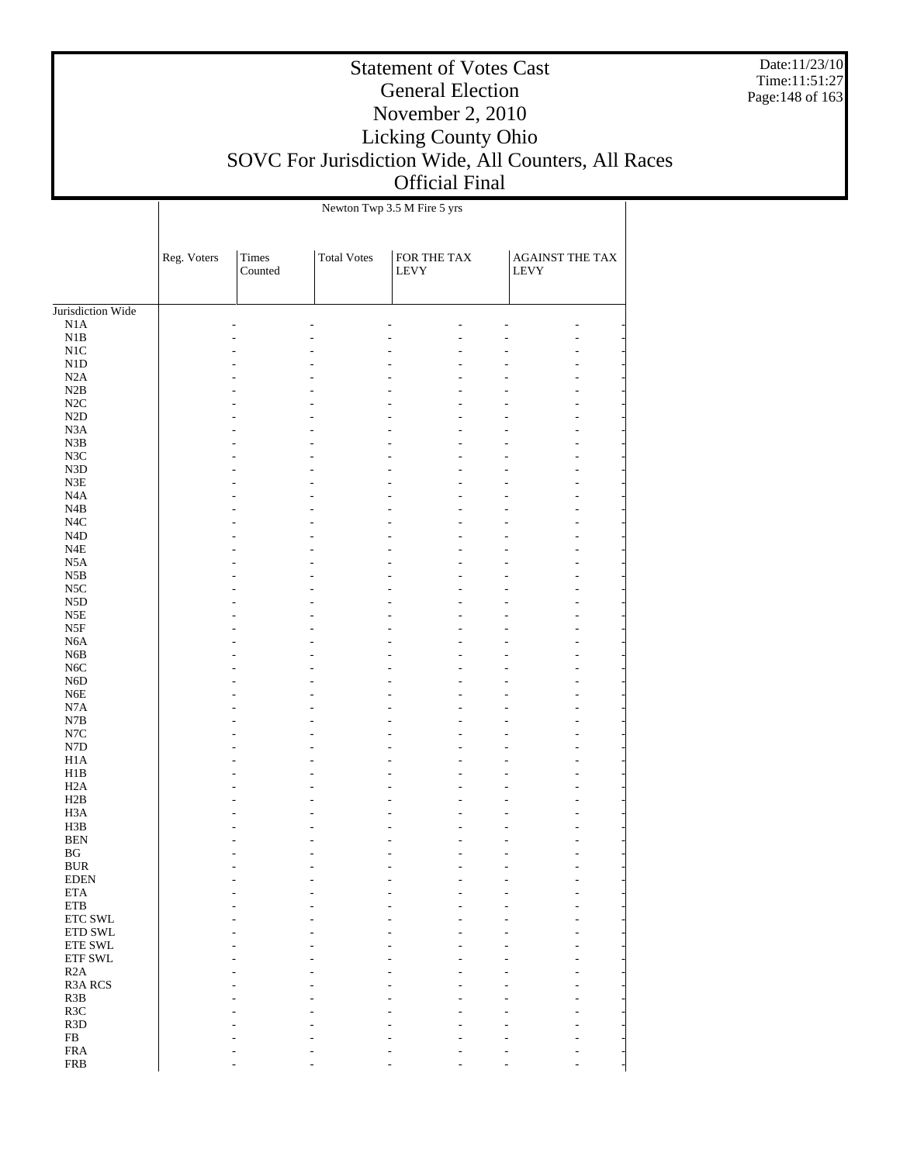Date:11/23/10 Time:11:51:27 Page:148 of 163

|                          |             |                                   |                    | Newton Twp 3.5 M Fire 5 yrs         |                                |
|--------------------------|-------------|-----------------------------------|--------------------|-------------------------------------|--------------------------------|
|                          | Reg. Voters | Times<br>$\operatorname{Counted}$ | <b>Total Votes</b> | ${\rm FOR}$ THE TAX<br>${\rm LEVY}$ | <b>AGAINST THE TAX</b><br>LEVY |
| Jurisdiction Wide        |             |                                   |                    |                                     |                                |
| N1A                      |             |                                   |                    |                                     |                                |
| $_{\rm N1B}$             |             |                                   |                    | L.                                  |                                |
| $\rm N1C$                |             |                                   |                    |                                     |                                |
| ${\rm N1D}$              |             |                                   |                    |                                     |                                |
| N2A                      |             |                                   |                    |                                     |                                |
| $\rm N2B$                |             |                                   |                    |                                     |                                |
| $\rm N2C$<br>$\rm N2D$   |             |                                   |                    |                                     |                                |
| N3A                      |             |                                   |                    |                                     |                                |
| ${\bf N3B}$              |             |                                   |                    |                                     |                                |
| N3C                      |             |                                   |                    |                                     |                                |
| ${\rm N3D}$              |             |                                   |                    |                                     |                                |
| ${\rm N3E}$              |             |                                   |                    |                                     |                                |
| N <sub>4</sub> A         |             |                                   |                    |                                     |                                |
| N4B                      |             |                                   |                    |                                     |                                |
| $_{\mathrm{N4C}}$        |             |                                   |                    |                                     |                                |
| ${\rm N4D}$              |             |                                   |                    |                                     |                                |
| $_{\rm N4E}$             |             |                                   |                    |                                     |                                |
| N5A                      |             |                                   |                    |                                     |                                |
| $_{\rm N5B}$             |             |                                   |                    |                                     |                                |
| $_{\rm NSC}$             |             |                                   |                    |                                     |                                |
| N5D                      |             |                                   |                    |                                     |                                |
| N5E                      |             |                                   |                    |                                     |                                |
| $_{\rm{NSF}}$            |             |                                   |                    |                                     |                                |
| N6A<br>N6B               |             |                                   |                    |                                     |                                |
| N6C                      |             |                                   |                    |                                     |                                |
| N <sub>6</sub> D         |             |                                   |                    |                                     |                                |
| ${\rm N6E}$              |             |                                   |                    |                                     |                                |
| N7A                      |             |                                   |                    |                                     |                                |
| $_{\rm N7B}$             |             |                                   |                    |                                     |                                |
| $_{\mathrm{N7C}}$        |             |                                   |                    |                                     |                                |
| ${\rm N7D}$              |             |                                   |                    |                                     |                                |
| H1A                      |             |                                   |                    |                                     |                                |
| H1B                      |             |                                   |                    |                                     |                                |
| H2A                      |             |                                   |                    |                                     |                                |
| H2B                      |             |                                   |                    |                                     |                                |
| H <sub>3</sub> A         |             |                                   |                    |                                     |                                |
| H3B                      |             |                                   |                    |                                     |                                |
| <b>BEN</b>               |             |                                   |                    |                                     |                                |
| BG                       |             |                                   |                    |                                     |                                |
| <b>BUR</b>               |             |                                   |                    |                                     |                                |
| <b>EDEN</b><br>$\rm ETA$ |             |                                   |                    |                                     |                                |
| $\rm ETB$                |             |                                   |                    |                                     |                                |
| ETC SWL                  |             |                                   |                    |                                     |                                |
| ETD SWL                  |             |                                   |                    |                                     |                                |
| ETE SWL                  |             |                                   |                    |                                     |                                |
| ETF SWL                  |             |                                   |                    |                                     |                                |
| R2A                      |             |                                   |                    |                                     |                                |
| R3A RCS                  |             |                                   |                    |                                     |                                |
| R3B                      |             |                                   |                    |                                     |                                |
| R3C                      |             |                                   |                    |                                     |                                |
| R3D                      |             |                                   |                    |                                     |                                |
| ${\rm FB}$               |             |                                   |                    |                                     |                                |
| <b>FRA</b>               |             |                                   |                    |                                     |                                |
| <b>FRB</b>               |             |                                   |                    |                                     |                                |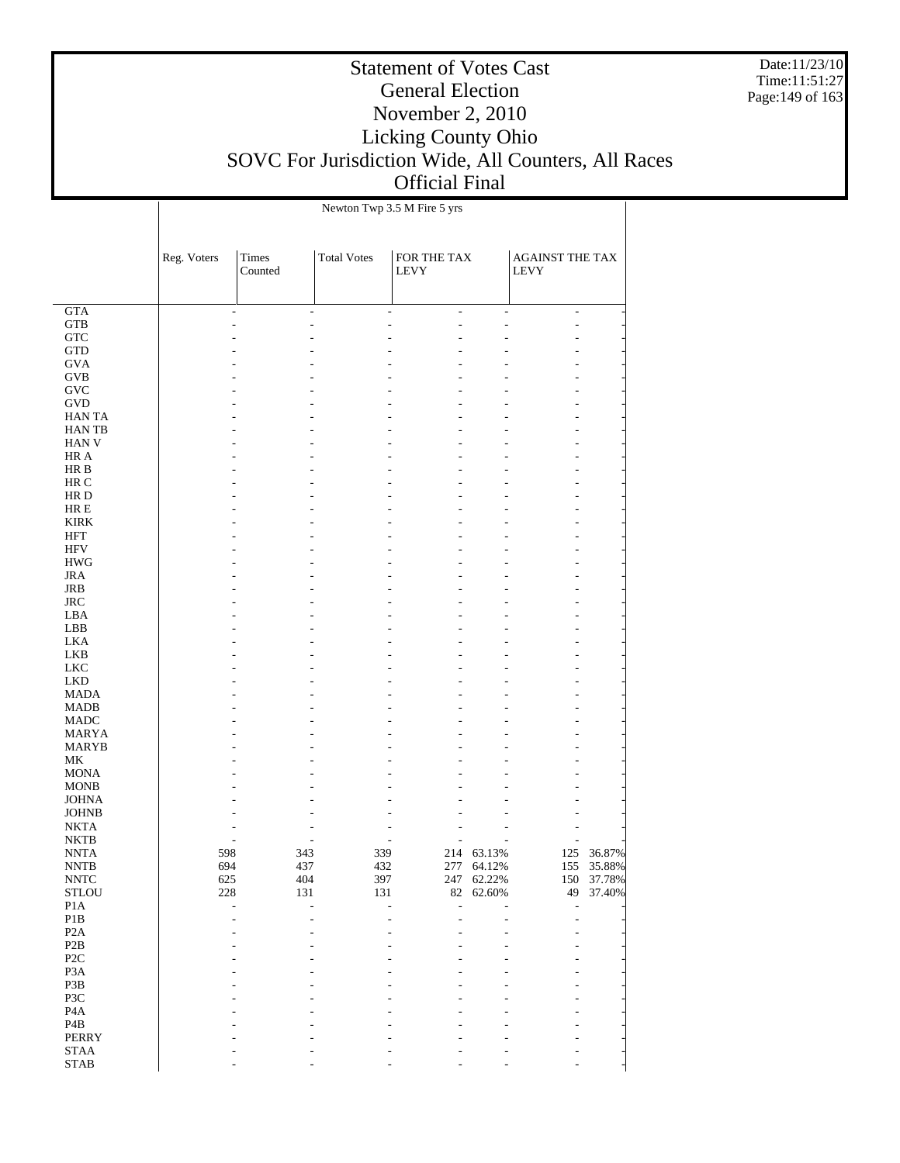Date:11/23/10 Time:11:51:27 Page:149 of 163

|                              |             |                  |                    | Newton Twp 3.5 M Fire 5 yrs                |                |                                |            |
|------------------------------|-------------|------------------|--------------------|--------------------------------------------|----------------|--------------------------------|------------|
|                              | Reg. Voters | Times<br>Counted | <b>Total Votes</b> | FOR THE TAX<br><b>LEVY</b>                 |                | AGAINST THE TAX<br><b>LEVY</b> |            |
| GTA                          |             | $\overline{a}$   | ÷.                 | $\overline{a}$<br>$\overline{\phantom{a}}$ | $\overline{a}$ | L,                             |            |
| <b>GTB</b>                   |             |                  |                    | L,<br>٠                                    |                | L,                             |            |
| <b>GTC</b>                   |             |                  |                    |                                            |                |                                |            |
| <b>GTD</b>                   |             |                  |                    |                                            |                |                                |            |
| <b>GVA</b>                   |             |                  |                    |                                            |                |                                |            |
| GVB                          |             |                  |                    |                                            |                |                                |            |
| <b>GVC</b>                   |             |                  |                    |                                            |                |                                |            |
| <b>GVD</b><br><b>HANTA</b>   |             |                  |                    |                                            |                |                                |            |
| <b>HANTB</b>                 |             |                  |                    |                                            |                |                                |            |
| <b>HAN V</b>                 |             |                  |                    |                                            |                |                                |            |
| HR A                         |             |                  |                    |                                            |                |                                |            |
| HR B                         |             |                  |                    |                                            |                |                                |            |
| HR C                         |             |                  |                    |                                            |                |                                |            |
| HR D                         |             |                  |                    |                                            |                |                                |            |
| HR E                         |             |                  |                    |                                            |                |                                |            |
| <b>KIRK</b>                  |             |                  |                    |                                            |                |                                |            |
| HFT                          |             |                  |                    |                                            |                |                                |            |
| <b>HFV</b>                   |             |                  |                    |                                            |                |                                |            |
| <b>HWG</b>                   |             |                  |                    |                                            |                |                                |            |
| <b>JRA</b>                   |             |                  |                    |                                            |                |                                |            |
| JRB<br><b>JRC</b>            |             |                  |                    |                                            |                |                                |            |
| LBA                          |             |                  |                    |                                            |                |                                |            |
| LBB                          |             |                  |                    |                                            |                |                                |            |
| <b>LKA</b>                   |             |                  |                    |                                            |                |                                |            |
| <b>LKB</b>                   |             |                  |                    |                                            |                |                                |            |
| <b>LKC</b>                   |             |                  |                    |                                            |                |                                |            |
| <b>LKD</b>                   |             |                  |                    |                                            |                |                                |            |
| MADA                         |             |                  |                    |                                            |                |                                |            |
| <b>MADB</b>                  |             |                  |                    |                                            |                |                                |            |
| MADC                         |             |                  |                    |                                            |                |                                |            |
| MARYA                        |             |                  |                    |                                            |                |                                |            |
| <b>MARYB</b>                 |             |                  |                    |                                            |                |                                |            |
| МK                           |             |                  |                    |                                            |                |                                |            |
| <b>MONA</b>                  |             |                  |                    |                                            |                |                                |            |
| <b>MONB</b>                  |             |                  |                    |                                            |                |                                |            |
| <b>JOHNA</b><br><b>JOHNB</b> |             |                  |                    |                                            |                |                                |            |
| <b>NKTA</b>                  |             |                  |                    |                                            |                |                                |            |
| <b>NKTB</b>                  |             |                  |                    |                                            |                |                                |            |
| <b>NNTA</b>                  | 598         | 343              | 339                |                                            | 214 63.13%     | 125                            | 36.87%     |
| <b>NNTB</b>                  | 694         | 437              | 432                | 277                                        | 64.12%         | 155                            | 35.88%     |
| <b>NNTC</b>                  | 625         | 404              | 397                | 247                                        | 62.22%         |                                | 150 37.78% |
| <b>STLOU</b>                 | 228         | 131              | 131                | $82\,$                                     | 62.60%         | 49                             | 37.40%     |
| P <sub>1</sub> A             |             | $\overline{a}$   | L,                 | ÷,<br>Ĭ.                                   |                | L,                             |            |
| $\mathbf{P}1\mathbf{B}$      |             |                  |                    |                                            |                |                                |            |
| P <sub>2</sub> A             |             |                  |                    |                                            |                |                                |            |
| $\mathbf{P2B}$               |             |                  |                    |                                            |                |                                |            |
| P <sub>2</sub> C             |             |                  |                    |                                            |                |                                |            |
| P <sub>3</sub> A             |             |                  |                    |                                            |                |                                |            |
| P3B<br>P3C                   |             |                  |                    |                                            |                |                                |            |
| P <sub>4</sub> A             |             |                  |                    |                                            |                |                                |            |
| $\mathbf{P4B}$               |             |                  |                    |                                            |                |                                |            |
| PERRY                        |             |                  |                    |                                            |                |                                |            |
| <b>STAA</b>                  |             |                  |                    |                                            |                |                                |            |
| <b>STAB</b>                  |             |                  |                    |                                            |                |                                |            |
|                              |             |                  |                    |                                            |                |                                |            |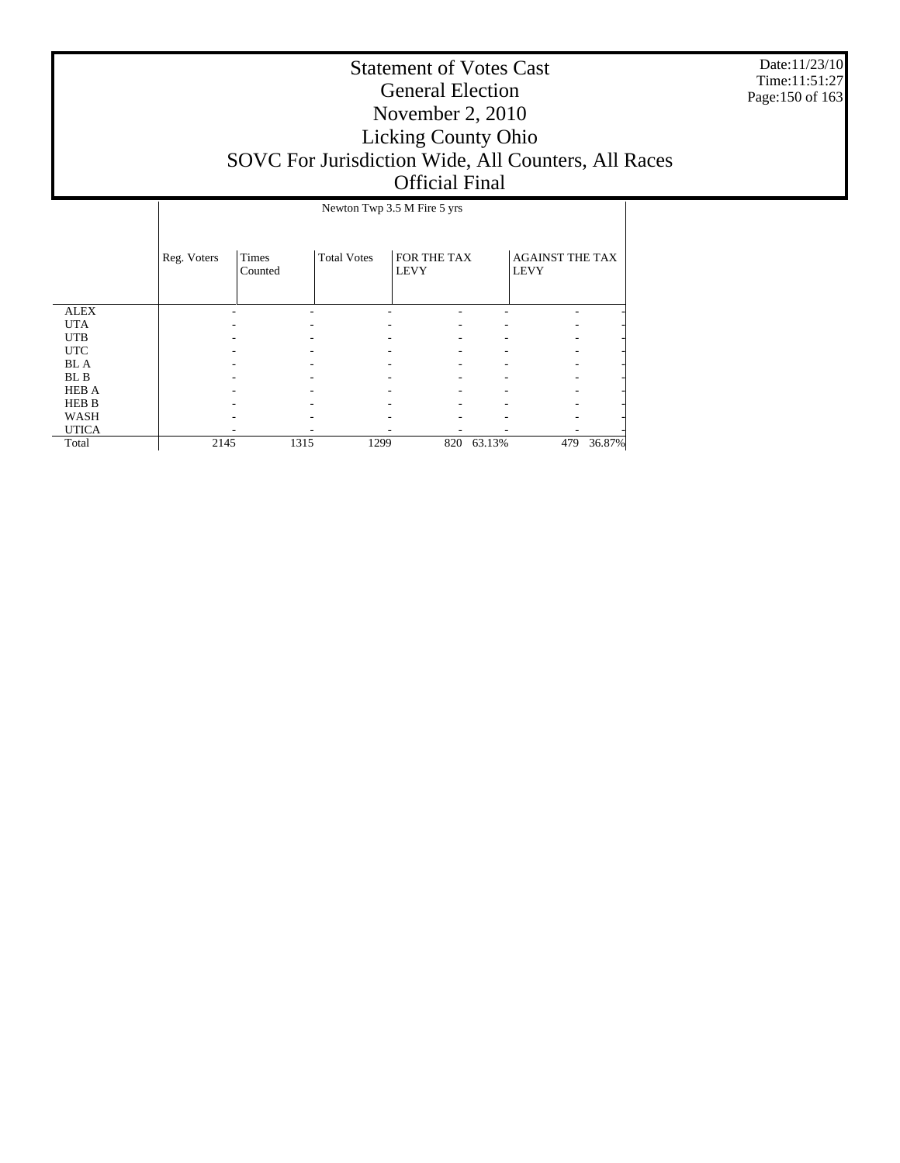Date:11/23/10 Time:11:51:27 Page:150 of 163

|              | Newton Twp 3.5 M Fire 5 yrs |                  |                    |                                   |        |                                       |        |  |
|--------------|-----------------------------|------------------|--------------------|-----------------------------------|--------|---------------------------------------|--------|--|
|              | Reg. Voters                 | Times<br>Counted | <b>Total Votes</b> | <b>FOR THE TAX</b><br><b>LEVY</b> |        | <b>AGAINST THE TAX</b><br><b>LEVY</b> |        |  |
| <b>ALEX</b>  |                             |                  |                    |                                   |        |                                       |        |  |
| <b>UTA</b>   |                             |                  |                    |                                   |        |                                       |        |  |
| <b>UTB</b>   |                             |                  |                    |                                   |        |                                       |        |  |
| <b>UTC</b>   |                             |                  |                    |                                   |        |                                       |        |  |
| <b>BL</b> A  |                             |                  |                    |                                   |        |                                       |        |  |
| BL B         |                             |                  |                    |                                   |        |                                       |        |  |
| <b>HEB A</b> |                             |                  |                    |                                   |        |                                       |        |  |
| <b>HEB B</b> |                             |                  |                    |                                   |        |                                       |        |  |
| WASH         |                             |                  |                    |                                   |        |                                       |        |  |
| <b>UTICA</b> |                             |                  |                    |                                   |        |                                       |        |  |
| Total        | 2145                        | 1315             | 1299               | 820                               | 63.13% | 479                                   | 36.87% |  |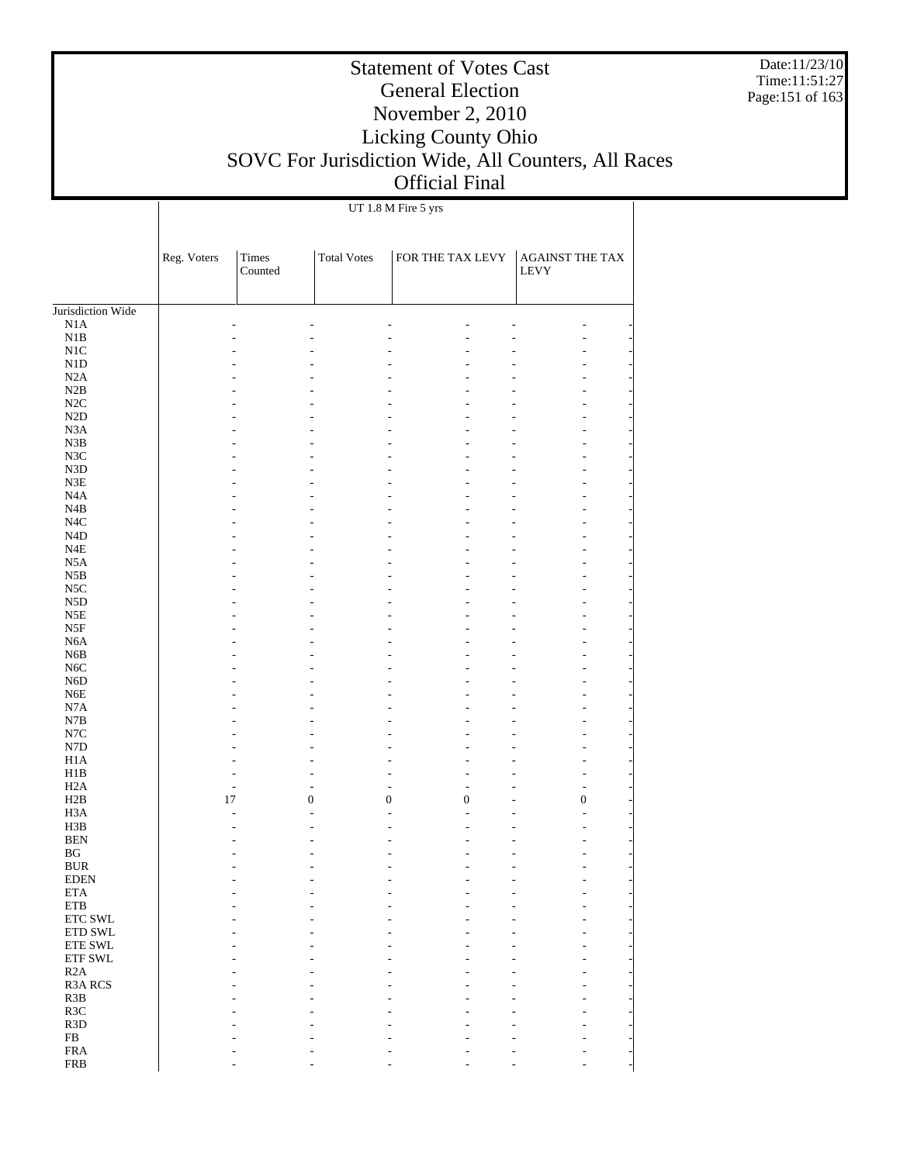Date:11/23/10 Time:11:51:27 Page:151 of 163

## Statement of Votes Cast General Election November 2, 2010 Licking County Ohio SOVC For Jurisdiction Wide, All Counters, All Races Official Final

UT 1.8 M Fire 5 yrs

|                                  | Reg. Voters | <b>Times</b><br>Counted | <b>Total Votes</b> | FOR THE TAX LEVY                     | AGAINST THE TAX<br>LEVY            |
|----------------------------------|-------------|-------------------------|--------------------|--------------------------------------|------------------------------------|
|                                  |             |                         |                    |                                      |                                    |
| Jurisdiction Wide                |             |                         |                    |                                      |                                    |
| N1A                              |             |                         |                    | ÷                                    | L,                                 |
| N1B<br>N <sub>1</sub> C          |             |                         |                    |                                      |                                    |
| N1D                              |             |                         |                    |                                      |                                    |
| N2A                              |             |                         |                    |                                      | ۰                                  |
| N2B                              |             |                         |                    |                                      |                                    |
| $\rm N2C$                        |             |                         |                    |                                      |                                    |
| $\rm N2D$                        |             |                         |                    |                                      |                                    |
| N <sub>3</sub> A                 |             |                         |                    |                                      | ۰                                  |
| N3B                              |             |                         |                    |                                      |                                    |
| N3C                              |             |                         |                    |                                      |                                    |
| N3D                              |             |                         |                    |                                      |                                    |
| N3E                              |             |                         |                    |                                      | ۰                                  |
| N4A                              |             |                         |                    |                                      |                                    |
| N4B                              |             |                         |                    |                                      |                                    |
| $_{\mathrm{N4C}}$                |             |                         |                    |                                      |                                    |
| N <sub>4</sub> D                 |             |                         |                    |                                      | ۰                                  |
| $_{\rm N4E}$<br>N <sub>5</sub> A |             |                         |                    |                                      |                                    |
| N5B                              |             |                         |                    |                                      |                                    |
| $_{\rm NSC}$                     |             |                         |                    |                                      | ۰                                  |
| ${\rm N5D}$                      |             |                         |                    |                                      |                                    |
| N5E                              |             |                         |                    |                                      |                                    |
| N5F                              |             |                         |                    |                                      |                                    |
| N <sub>6</sub> A                 |             |                         |                    |                                      | ۰                                  |
| N6B                              |             |                         |                    |                                      |                                    |
| $_{\mathrm{N6C}}$                |             |                         |                    |                                      |                                    |
| N <sub>6</sub> D                 |             |                         |                    |                                      |                                    |
| N <sub>6</sub> E                 |             |                         |                    |                                      | ٠                                  |
| N7A                              |             |                         |                    |                                      |                                    |
| N7B<br>$_{\mathrm{N7C}}$         |             |                         |                    |                                      |                                    |
| ${\rm N7D}$                      |             |                         |                    |                                      | ٠                                  |
| H1A                              |             |                         |                    |                                      | ۰                                  |
| H1B                              |             | ٠                       | ۰                  | L,<br>٠                              | ÷,                                 |
| H2A                              |             | $\sim$                  | $\overline{a}$     | L.<br>÷                              | $\overline{a}$<br>۰                |
| H2B                              | 17          |                         | $\boldsymbol{0}$   | $\boldsymbol{0}$<br>$\boldsymbol{0}$ | $\boldsymbol{0}$<br>$\overline{a}$ |
| H <sub>3</sub> A                 |             | L.                      | ÷                  | $\overline{a}$<br>÷                  | L.                                 |
| H3B                              |             |                         | ۰                  | ٠<br>۰                               |                                    |
| <b>BEN</b>                       |             |                         |                    |                                      |                                    |
| $\mathbf{B}\mathbf{G}$           |             |                         |                    |                                      |                                    |
| <b>BUR</b><br><b>EDEN</b>        |             |                         |                    |                                      |                                    |
| $\rm ETA$                        |             |                         |                    |                                      |                                    |
| $\rm ETB$                        |             |                         |                    |                                      |                                    |
| $\ensuremath{\text{ETC}}$ SWL    |             |                         |                    |                                      |                                    |
| $\rm ETD$ SWL                    |             |                         |                    |                                      |                                    |
| ETE SWL                          |             |                         |                    |                                      |                                    |
| ETF SWL                          |             |                         |                    |                                      |                                    |
| R2A                              |             |                         |                    |                                      |                                    |
| R3A RCS                          |             |                         |                    |                                      |                                    |
| R3B                              |             |                         |                    |                                      |                                    |
| R3C<br>R3D                       |             |                         |                    |                                      |                                    |
| ${\rm FB}$                       |             |                         |                    |                                      |                                    |
| ${\rm FRA}$                      |             |                         |                    |                                      |                                    |
| ${\rm FRB}$                      |             |                         |                    |                                      |                                    |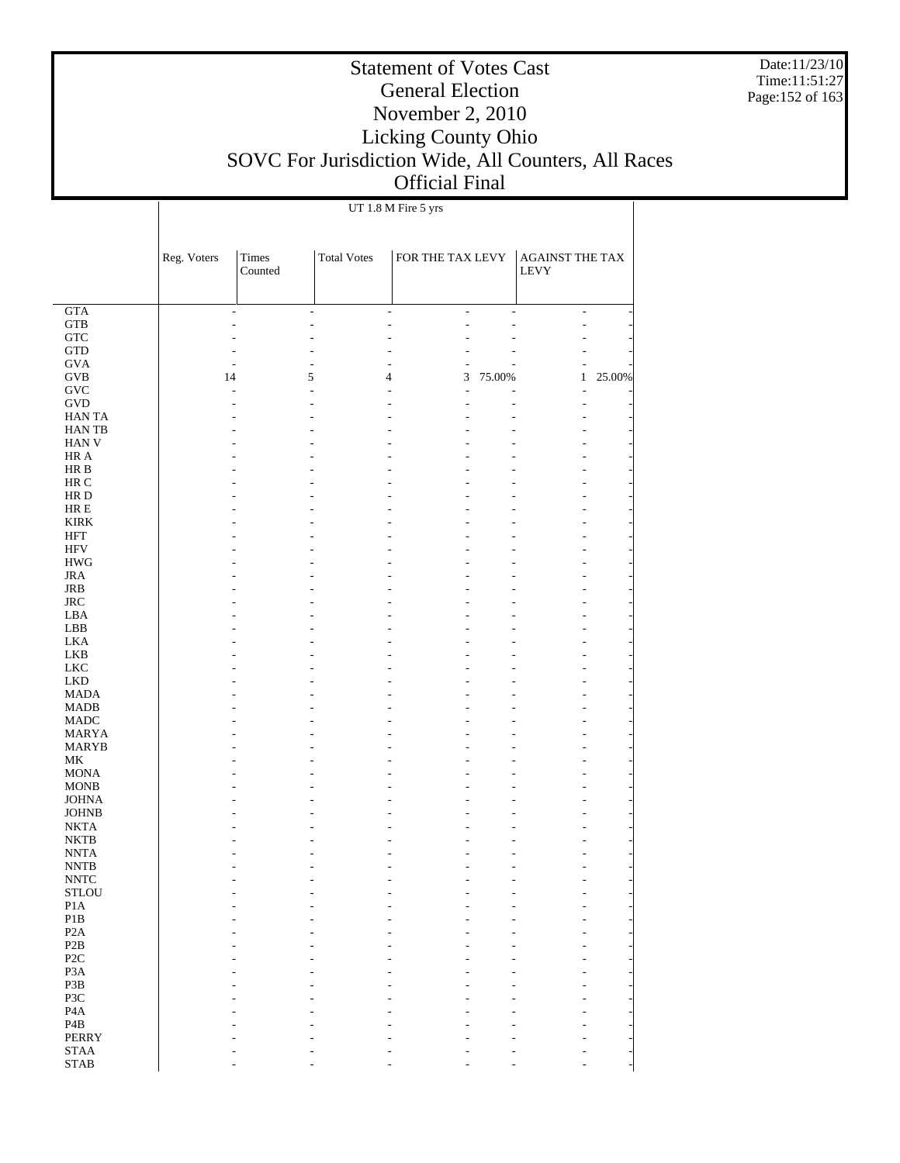Date:11/23/10 Time:11:51:27 Page:152 of 163

## Statement of Votes Cast General Election November 2, 2010 Licking County Ohio SOVC For Jurisdiction Wide, All Counters, All Races Official Final

UT 1.8 M Fire 5 yrs

|                              | Reg. Voters              | Times<br>Counted         | <b>Total Votes</b>       | FOR THE TAX LEVY             |                          | AGAINST THE TAX<br>LEVY  |        |
|------------------------------|--------------------------|--------------------------|--------------------------|------------------------------|--------------------------|--------------------------|--------|
| $\overline{GTA}$             | $\overline{\phantom{m}}$ | $\overline{\phantom{0}}$ | $\overline{\phantom{m}}$ | $\qquad \qquad \blacksquare$ | $\overline{\phantom{a}}$ | $\overline{\phantom{a}}$ |        |
| $_{\rm GTB}$                 | $\overline{a}$           | $\overline{a}$           | $\overline{a}$           | $\overline{a}$               | $\overline{\phantom{m}}$ | $\overline{a}$           |        |
| <b>GTC</b>                   |                          |                          |                          |                              |                          |                          |        |
| <b>GTD</b>                   |                          |                          |                          |                              |                          |                          |        |
| <b>GVA</b>                   |                          | $\overline{a}$           |                          | $\overline{a}$               |                          | $\overline{a}$           |        |
| <b>GVB</b>                   | 14                       | 5                        | 4                        | 3                            | 75.00%                   | $\mathbf{1}$             | 25.00% |
| <b>GVC</b>                   | $\overline{a}$           | $\overline{a}$           |                          | $\overline{\phantom{a}}$     |                          | $\overline{a}$           |        |
| <b>GVD</b>                   |                          |                          |                          |                              |                          | $\overline{a}$           |        |
| <b>HANTA</b>                 |                          |                          |                          |                              |                          |                          |        |
| <b>HANTB</b><br><b>HAN V</b> |                          |                          |                          |                              |                          |                          |        |
| HR A                         |                          |                          |                          |                              |                          |                          |        |
| HR B                         |                          |                          |                          |                              |                          |                          |        |
| HR C                         |                          |                          |                          |                              |                          |                          |        |
| HR D                         |                          |                          |                          |                              |                          |                          |        |
| HR E                         |                          |                          |                          |                              |                          |                          |        |
| <b>KIRK</b>                  |                          |                          |                          |                              |                          |                          |        |
| <b>HFT</b>                   |                          |                          |                          |                              |                          |                          |        |
| <b>HFV</b>                   |                          |                          |                          |                              |                          |                          |        |
| <b>HWG</b>                   |                          |                          |                          |                              |                          |                          |        |
| <b>JRA</b>                   |                          |                          |                          |                              |                          |                          |        |
| <b>JRB</b>                   |                          |                          |                          |                              |                          |                          |        |
| <b>JRC</b>                   |                          |                          |                          |                              |                          |                          |        |
| LBA                          |                          |                          |                          |                              |                          |                          |        |
| LBB                          |                          |                          |                          |                              |                          |                          |        |
| <b>LKA</b>                   |                          |                          |                          |                              |                          |                          |        |
| <b>LKB</b>                   |                          |                          |                          |                              |                          |                          |        |
| <b>LKC</b>                   |                          |                          |                          |                              |                          |                          |        |
| <b>LKD</b>                   |                          |                          |                          |                              |                          |                          |        |
| <b>MADA</b>                  |                          |                          |                          |                              |                          |                          |        |
| <b>MADB</b>                  |                          |                          |                          |                              |                          |                          |        |
| <b>MADC</b>                  |                          |                          |                          |                              |                          |                          |        |
| <b>MARYA</b>                 |                          |                          |                          |                              |                          |                          |        |
| <b>MARYB</b>                 |                          |                          |                          |                              |                          |                          |        |
| MK                           |                          |                          |                          |                              |                          |                          |        |
| $\rm{MONA}$                  |                          |                          |                          |                              |                          |                          |        |
| <b>MONB</b><br><b>JOHNA</b>  |                          |                          |                          |                              |                          |                          |        |
| <b>JOHNB</b>                 |                          |                          |                          |                              |                          |                          |        |
| <b>NKTA</b>                  |                          |                          |                          |                              |                          |                          |        |
| <b>NKTB</b>                  |                          |                          |                          |                              |                          |                          |        |
| <b>NNTA</b>                  |                          |                          |                          |                              |                          |                          |        |
| <b>NNTB</b>                  |                          |                          |                          |                              |                          |                          |        |
| $\ensuremath{\text{NNTC}}$   |                          |                          |                          |                              |                          |                          |        |
| <b>STLOU</b>                 |                          |                          |                          |                              |                          |                          |        |
| P1A                          |                          |                          |                          |                              |                          |                          |        |
| $\mathbf{P}1\mathbf{B}$      |                          |                          |                          |                              |                          |                          |        |
| P <sub>2</sub> A             |                          |                          |                          |                              |                          |                          |        |
| $\mathbf{P2B}$               |                          |                          |                          |                              |                          |                          |        |
| P <sub>2</sub> C             |                          |                          |                          |                              |                          |                          |        |
| P3A                          |                          |                          |                          |                              |                          |                          |        |
| P3B                          |                          |                          |                          |                              |                          |                          |        |
| P3C                          |                          |                          |                          |                              |                          |                          |        |
| P <sub>4</sub> A             |                          |                          |                          |                              |                          |                          |        |
| P <sub>4</sub> B             |                          |                          |                          |                              |                          |                          |        |
| PERRY                        |                          |                          |                          |                              |                          |                          |        |
| $\operatorname{STAA}$        |                          |                          |                          |                              |                          |                          |        |
| <b>STAB</b>                  |                          |                          |                          |                              |                          |                          |        |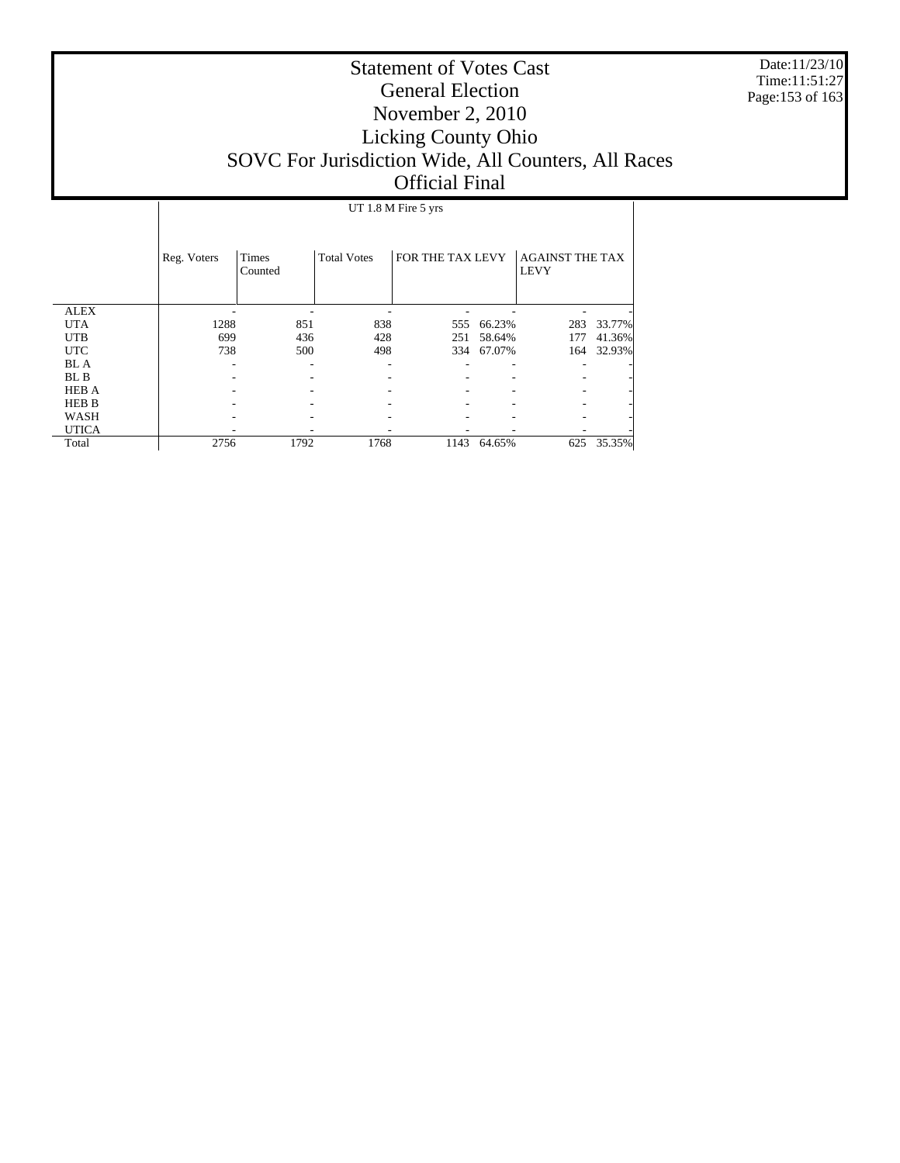Date:11/23/10 Time:11:51:27 Page:153 of 163

# Statement of Votes Cast General Election November 2, 2010 Licking County Ohio SOVC For Jurisdiction Wide, All Counters, All Races Official Final

#### UT 1.8 M Fire 5 yrs

|              | Reg. Voters | <b>Times</b><br>Counted | <b>Total Votes</b> | FOR THE TAX LEVY |        | <b>AGAINST THE TAX</b><br><b>LEVY</b> |            |
|--------------|-------------|-------------------------|--------------------|------------------|--------|---------------------------------------|------------|
| <b>ALEX</b>  |             |                         |                    |                  |        |                                       |            |
| <b>UTA</b>   | 1288        | 851                     | 838                | 555              | 66.23% | 283                                   | 33.77%     |
| <b>UTB</b>   | 699         | 436                     | 428                | 251              | 58.64% | 177                                   | 41.36%     |
| <b>UTC</b>   | 738         | 500                     | 498                | 334              | 67.07% | 164                                   | 32.93%     |
| <b>BL</b> A  |             |                         |                    |                  |        |                                       |            |
| BL B         |             |                         |                    |                  |        |                                       |            |
| <b>HEB A</b> |             |                         |                    |                  |        |                                       |            |
| <b>HEB B</b> |             |                         |                    |                  |        |                                       |            |
| WASH         |             |                         |                    |                  |        |                                       |            |
| <b>UTICA</b> |             |                         |                    |                  |        |                                       |            |
| Total        | 2756        | 1792                    | 1768               | 1143             | 64.65% |                                       | 625 35.35% |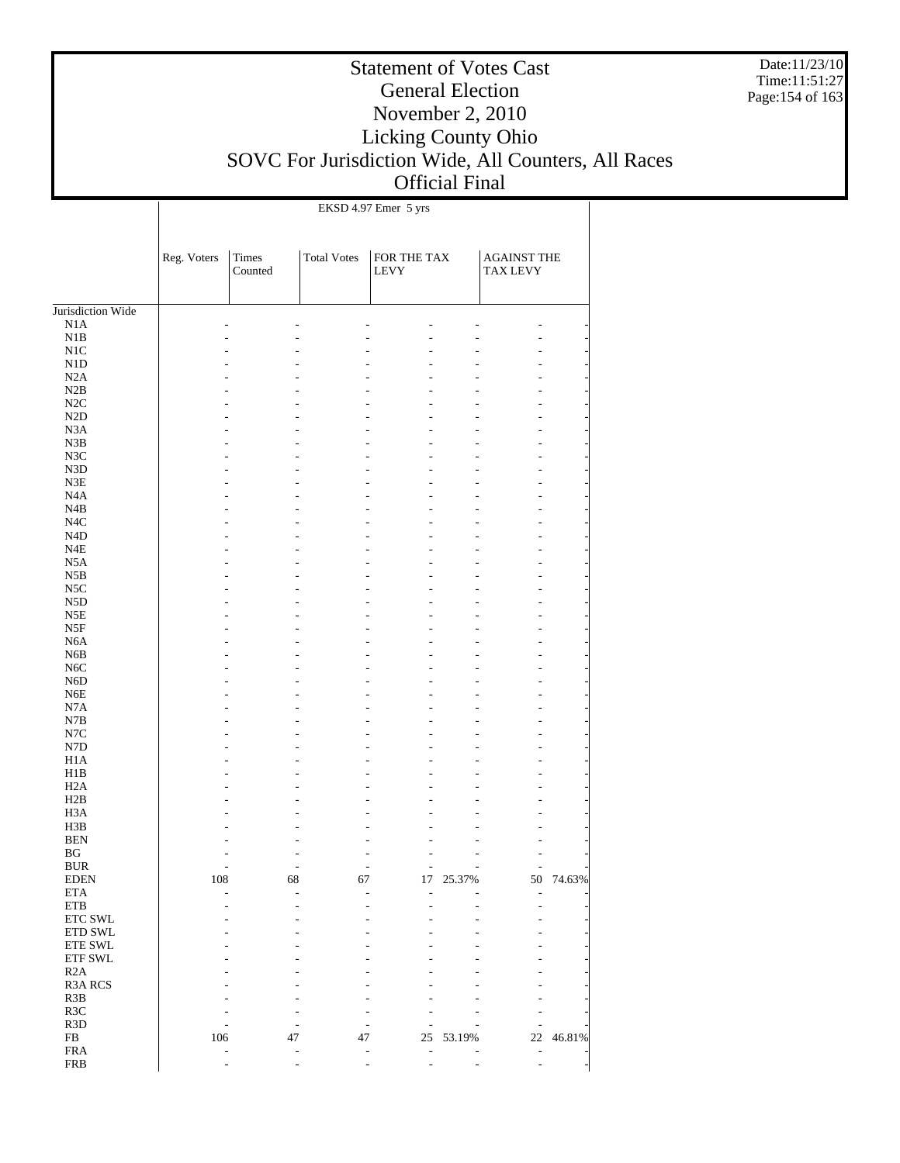Date:11/23/10 Time:11:51:27 Page:154 of 163

## Statement of Votes Cast General Election November 2, 2010 Licking County Ohio SOVC For Jurisdiction Wide, All Counters, All Races Official Final

EKSD 4.97 Emer 5 yrs

 $\overline{1}$ 

|                                      | Reg. Voters | Times<br>Counted | <b>Total Votes</b> | FOR THE TAX<br>LEVY |        | <b>AGAINST THE</b><br><b>TAX LEVY</b> |        |
|--------------------------------------|-------------|------------------|--------------------|---------------------|--------|---------------------------------------|--------|
| Jurisdiction Wide                    |             |                  |                    |                     |        |                                       |        |
| N1A                                  |             |                  |                    |                     |        |                                       |        |
| N1B                                  |             |                  |                    |                     |        |                                       |        |
| N1C                                  |             |                  |                    |                     |        |                                       |        |
| N1D                                  |             |                  |                    |                     |        |                                       |        |
| N2A                                  |             |                  |                    |                     |        |                                       |        |
| N2B                                  |             |                  |                    |                     |        |                                       |        |
| N2C                                  |             |                  |                    |                     |        |                                       |        |
| $\rm N2D$                            |             |                  |                    |                     |        |                                       |        |
| N3A                                  |             |                  |                    |                     |        |                                       |        |
| N3B                                  |             |                  |                    |                     |        |                                       |        |
| N3C<br>N3D                           |             |                  |                    |                     |        |                                       |        |
| $_{\rm N3E}$                         |             |                  |                    |                     |        |                                       |        |
| N <sub>4</sub> A                     |             |                  |                    |                     |        |                                       |        |
| N4B                                  |             |                  |                    |                     |        |                                       |        |
| N <sub>4</sub> C                     |             |                  |                    |                     |        |                                       |        |
| N <sub>4</sub> D                     |             |                  |                    |                     |        |                                       |        |
| N4E                                  |             |                  |                    |                     |        |                                       |        |
| N5A                                  |             |                  |                    |                     |        |                                       |        |
| N5B                                  |             |                  |                    |                     |        |                                       |        |
| N <sub>5</sub> C                     |             |                  |                    |                     |        |                                       |        |
| N <sub>5</sub> D                     |             |                  |                    |                     |        |                                       |        |
| N5E                                  |             |                  |                    |                     |        |                                       |        |
| $_{\rm{NSF}}$                        |             |                  |                    |                     |        |                                       |        |
| N <sub>6</sub> A                     |             |                  |                    |                     |        |                                       |        |
| N <sub>6</sub> B<br>N <sub>6</sub> C |             |                  |                    |                     |        |                                       |        |
| N <sub>6</sub> D                     |             |                  |                    |                     |        |                                       |        |
| N <sub>6</sub> E                     |             |                  |                    |                     |        |                                       |        |
| N7A                                  |             |                  |                    |                     |        |                                       |        |
| N7B                                  |             |                  |                    |                     |        |                                       |        |
| N7C                                  |             |                  |                    |                     |        |                                       |        |
| N7D                                  |             |                  |                    |                     |        |                                       |        |
| H <sub>1</sub> A                     |             |                  |                    |                     |        |                                       |        |
| H1B                                  |             |                  |                    |                     |        |                                       |        |
| H <sub>2</sub> A                     |             |                  |                    |                     |        |                                       |        |
| H2B                                  |             |                  |                    |                     |        |                                       |        |
| H <sub>3</sub> A<br>H3B              |             |                  |                    |                     |        |                                       |        |
| <b>BEN</b>                           |             |                  |                    |                     |        |                                       |        |
| $_{\rm BG}$                          |             |                  |                    |                     |        |                                       |        |
| <b>BUR</b>                           |             |                  |                    |                     |        |                                       |        |
| <b>EDEN</b>                          | 108         | 68               | 67                 | 17                  | 25.37% | 50                                    | 74.63% |
| <b>ETA</b>                           |             |                  |                    |                     |        |                                       |        |
| ETB                                  |             |                  |                    |                     |        |                                       |        |
| ETC SWL                              |             |                  |                    |                     |        |                                       |        |
| ETD SWL                              |             |                  |                    |                     |        |                                       |        |
| ETE SWL                              |             |                  |                    |                     |        |                                       |        |
| ETF SWL                              |             |                  |                    |                     |        |                                       |        |
| R2A                                  |             |                  |                    |                     |        |                                       |        |
| R3A RCS<br>R3B                       |             |                  |                    |                     |        |                                       |        |
| R3C                                  |             |                  |                    |                     |        |                                       |        |
| R3D                                  |             |                  |                    |                     |        |                                       |        |
| ${\rm FB}$                           | 106         | 47               | 47                 | 25                  | 53.19% | $22\,$                                | 46.81% |
| ${\rm FRA}$                          |             |                  |                    |                     |        |                                       |        |
| <b>FRB</b>                           |             |                  |                    |                     |        | $\overline{\phantom{0}}$              |        |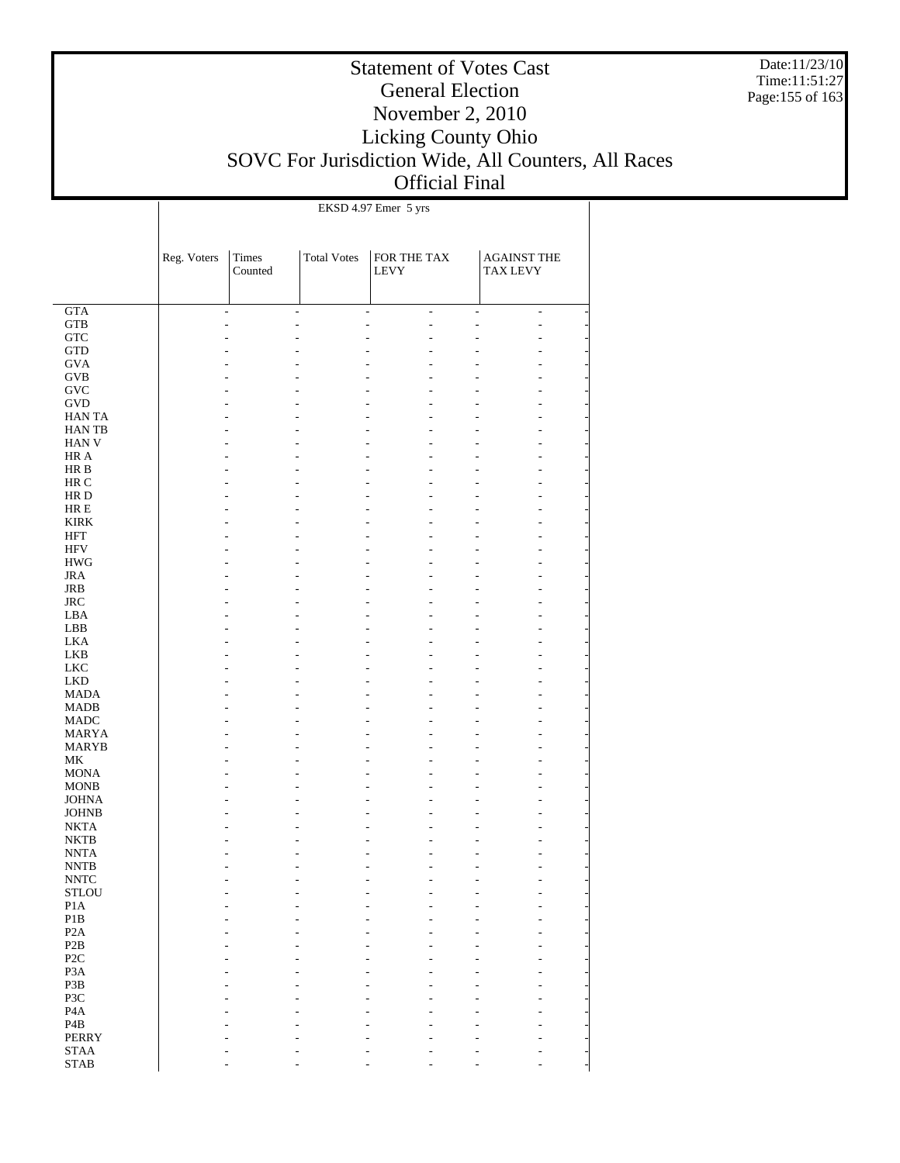Date:11/23/10 Time:11:51:27 Page:155 of 163

## Statement of Votes Cast General Election November 2, 2010 Licking County Ohio SOVC For Jurisdiction Wide, All Counters, All Races Official Final

|                            | EKSD 4.97 Emer 5 yrs |                |                    |                |                    |                |  |  |  |
|----------------------------|----------------------|----------------|--------------------|----------------|--------------------|----------------|--|--|--|
|                            |                      |                |                    |                |                    |                |  |  |  |
|                            |                      |                |                    |                |                    |                |  |  |  |
|                            |                      |                |                    |                |                    |                |  |  |  |
|                            | Reg. Voters          | Times          | <b>Total Votes</b> | FOR THE TAX    | <b>AGAINST THE</b> |                |  |  |  |
|                            |                      | Counted        |                    | <b>LEVY</b>    | <b>TAX LEVY</b>    |                |  |  |  |
|                            |                      |                |                    |                |                    |                |  |  |  |
|                            |                      |                |                    |                |                    |                |  |  |  |
| $\overline{GTA}$           |                      | $\overline{a}$ | ÷,                 | $\overline{a}$ | L,                 | $\overline{a}$ |  |  |  |
| <b>GTB</b>                 |                      |                | L,                 | L.             |                    | L,             |  |  |  |
| ${\rm GTC}$                |                      |                |                    |                |                    |                |  |  |  |
| <b>GTD</b>                 |                      |                |                    |                |                    |                |  |  |  |
| <b>GVA</b>                 |                      |                |                    |                |                    |                |  |  |  |
| <b>GVB</b>                 |                      |                |                    |                |                    |                |  |  |  |
| <b>GVC</b>                 |                      |                |                    |                |                    |                |  |  |  |
| <b>GVD</b>                 |                      |                |                    |                |                    |                |  |  |  |
|                            |                      |                |                    |                |                    |                |  |  |  |
| <b>HANTA</b>               |                      |                |                    |                |                    |                |  |  |  |
| <b>HANTB</b>               |                      |                |                    |                |                    |                |  |  |  |
| <b>HAN V</b>               |                      |                |                    |                |                    |                |  |  |  |
| HR A                       |                      |                |                    |                |                    |                |  |  |  |
| HR B                       |                      |                |                    |                |                    |                |  |  |  |
| HR C                       |                      |                |                    |                |                    |                |  |  |  |
| HR D                       |                      |                |                    |                |                    |                |  |  |  |
| $HRE$                      |                      |                |                    |                |                    |                |  |  |  |
| <b>KIRK</b>                |                      |                |                    |                |                    |                |  |  |  |
| <b>HFT</b>                 |                      |                |                    |                |                    |                |  |  |  |
| HFV                        |                      |                |                    |                |                    |                |  |  |  |
| <b>HWG</b>                 |                      |                |                    |                |                    |                |  |  |  |
| <b>JRA</b>                 |                      |                |                    |                |                    |                |  |  |  |
|                            |                      |                |                    |                |                    |                |  |  |  |
| JRB                        |                      |                |                    |                |                    |                |  |  |  |
| <b>JRC</b>                 |                      |                |                    |                |                    |                |  |  |  |
| LBA                        |                      |                |                    |                |                    |                |  |  |  |
| LBB                        |                      |                |                    |                |                    |                |  |  |  |
| <b>LKA</b>                 |                      |                |                    |                |                    |                |  |  |  |
| LKB                        |                      |                |                    |                |                    |                |  |  |  |
| <b>LKC</b>                 |                      |                |                    |                |                    |                |  |  |  |
| <b>LKD</b>                 |                      |                |                    |                |                    |                |  |  |  |
| <b>MADA</b>                |                      |                |                    |                |                    |                |  |  |  |
| <b>MADB</b>                |                      |                |                    |                |                    |                |  |  |  |
| <b>MADC</b>                |                      |                |                    |                |                    |                |  |  |  |
| <b>MARYA</b>               |                      |                |                    |                |                    |                |  |  |  |
| MARYB                      |                      |                |                    |                |                    |                |  |  |  |
| МK                         |                      |                |                    |                |                    |                |  |  |  |
| <b>MONA</b>                |                      |                |                    |                |                    |                |  |  |  |
|                            |                      |                |                    |                |                    |                |  |  |  |
| <b>MONB</b>                |                      |                |                    |                |                    |                |  |  |  |
| <b>JOHNA</b>               |                      |                |                    |                |                    |                |  |  |  |
| <b>JOHNB</b>               |                      |                |                    |                |                    |                |  |  |  |
| <b>NKTA</b>                |                      |                |                    |                |                    |                |  |  |  |
| <b>NKTB</b>                |                      |                |                    |                |                    |                |  |  |  |
| <b>NNTA</b>                |                      |                |                    |                |                    |                |  |  |  |
| $\ensuremath{\text{NNTB}}$ |                      |                |                    |                |                    |                |  |  |  |
| $\ensuremath{\text{NNTC}}$ |                      |                |                    |                |                    |                |  |  |  |
| <b>STLOU</b>               |                      |                |                    |                |                    |                |  |  |  |
| P1A                        |                      |                |                    |                |                    |                |  |  |  |
| P1B                        |                      |                |                    |                |                    |                |  |  |  |
| P <sub>2</sub> A           |                      |                |                    |                |                    |                |  |  |  |
| P2B                        |                      |                |                    |                |                    |                |  |  |  |
| P <sub>2</sub> C           |                      |                |                    |                |                    |                |  |  |  |
| P <sub>3</sub> A           |                      |                |                    |                |                    |                |  |  |  |
|                            |                      |                |                    |                |                    |                |  |  |  |
| P3B                        |                      |                |                    |                |                    |                |  |  |  |
| P3C                        |                      |                |                    |                |                    |                |  |  |  |
| P <sub>4</sub> A           |                      |                |                    |                |                    |                |  |  |  |
| P <sub>4</sub> B           |                      |                |                    |                |                    |                |  |  |  |
| <b>PERRY</b>               |                      |                |                    |                |                    |                |  |  |  |
| <b>STAA</b>                |                      |                |                    |                |                    |                |  |  |  |
| <b>STAB</b>                |                      |                |                    |                |                    |                |  |  |  |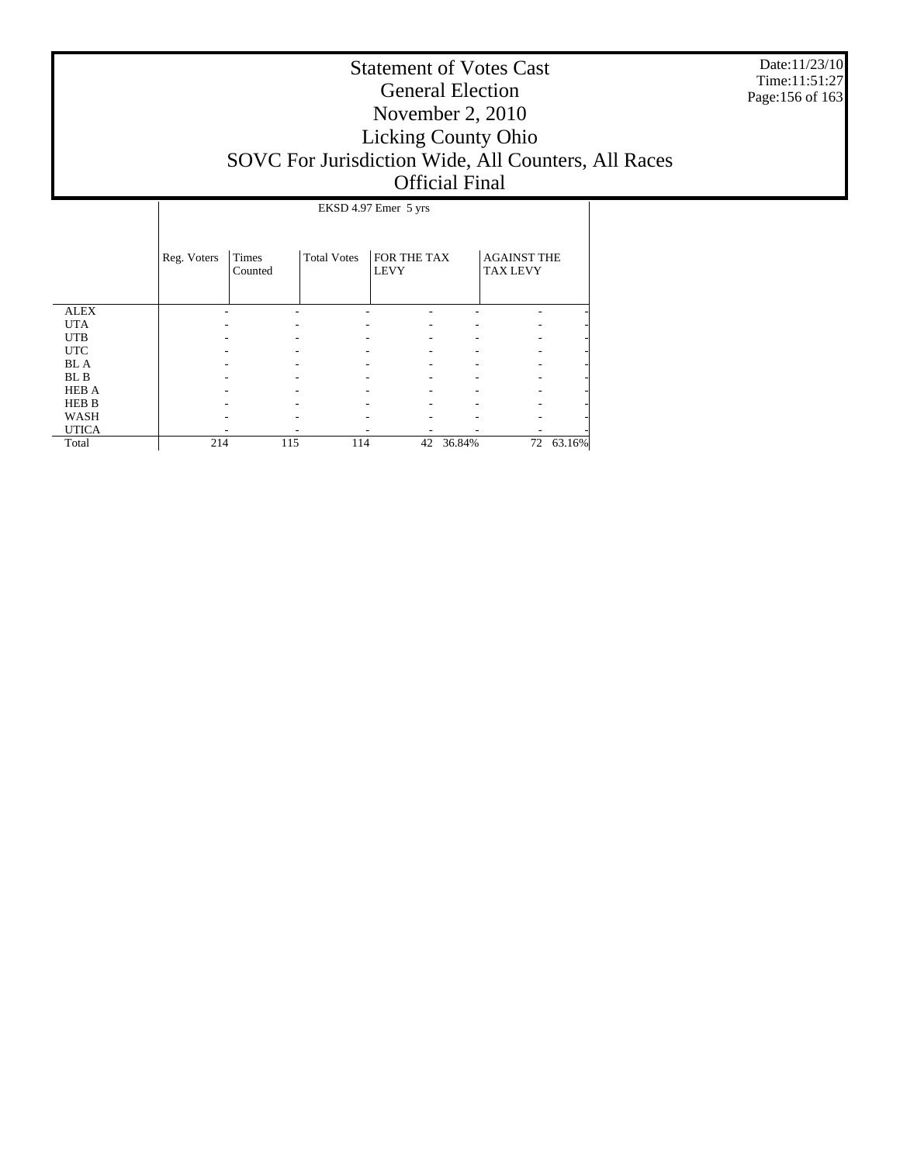Date:11/23/10 Time:11:51:27 Page:156 of 163

|              |             | EKSD 4.97 Emer 5 yrs |                    |                            |        |                                       |           |  |  |
|--------------|-------------|----------------------|--------------------|----------------------------|--------|---------------------------------------|-----------|--|--|
|              | Reg. Voters | Times<br>Counted     | <b>Total Votes</b> | FOR THE TAX<br><b>LEVY</b> |        | <b>AGAINST THE</b><br><b>TAX LEVY</b> |           |  |  |
| <b>ALEX</b>  |             |                      |                    |                            |        |                                       |           |  |  |
| <b>UTA</b>   |             |                      |                    |                            |        |                                       |           |  |  |
| <b>UTB</b>   |             |                      |                    |                            |        |                                       |           |  |  |
| <b>UTC</b>   |             |                      |                    |                            |        |                                       |           |  |  |
| <b>BL</b> A  |             |                      |                    |                            |        |                                       |           |  |  |
| BL B         |             |                      |                    |                            |        |                                       |           |  |  |
| <b>HEB A</b> |             |                      |                    |                            |        |                                       |           |  |  |
| <b>HEB B</b> |             |                      |                    |                            |        |                                       |           |  |  |
| WASH         |             |                      |                    |                            |        |                                       |           |  |  |
| <b>UTICA</b> |             |                      |                    |                            |        |                                       |           |  |  |
| Total        | 214         | 115                  | 114                | 42                         | 36.84% |                                       | 72 63.16% |  |  |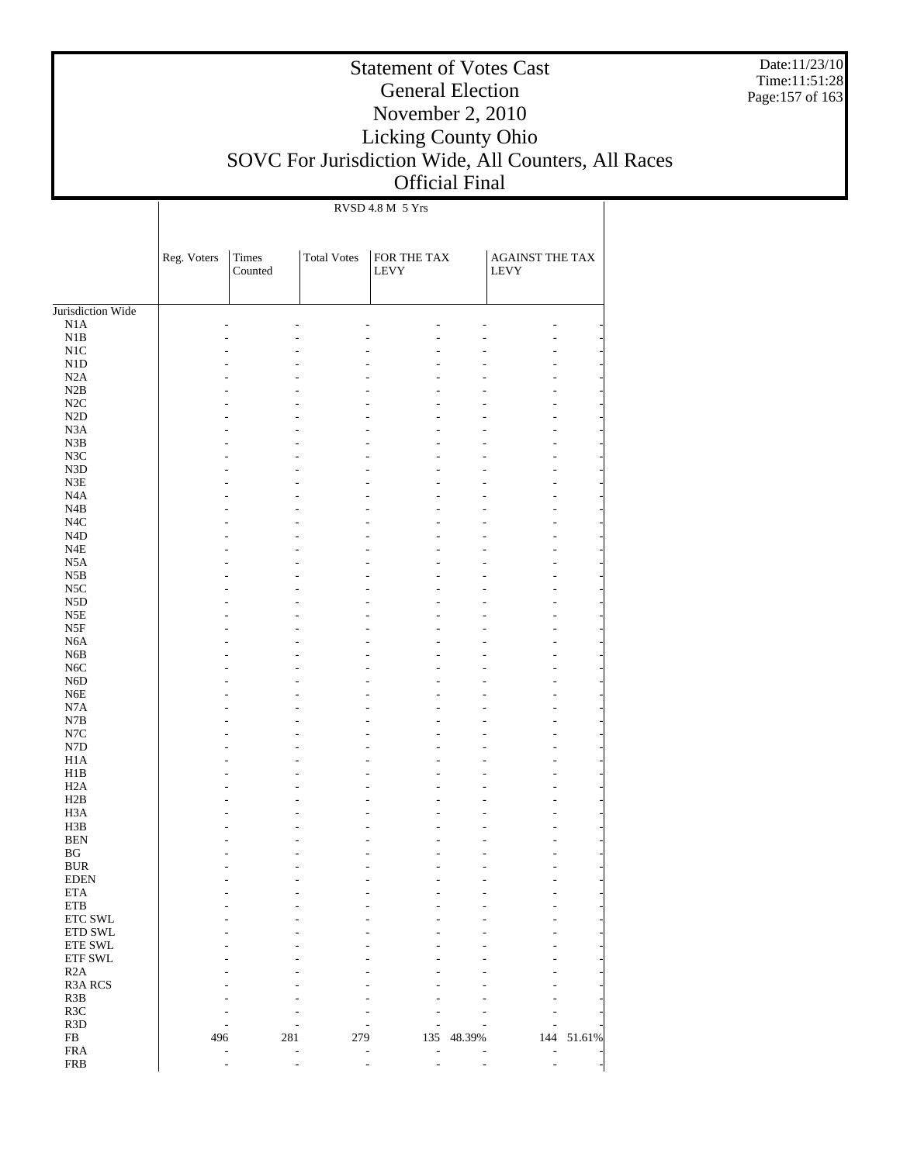Date:11/23/10 Time:11:51:28 Page:157 of 163

## Statement of Votes Cast General Election November 2, 2010 Licking County Ohio SOVC For Jurisdiction Wide, All Counters, All Races Official Final

RVSD 4.8 M 5 Yrs

|                        | Reg. Voters | Times<br>Counted | <b>Total Votes</b> | FOR THE TAX<br>LEVY |        | AGAINST THE TAX<br>LEVY |            |
|------------------------|-------------|------------------|--------------------|---------------------|--------|-------------------------|------------|
| Jurisdiction Wide      |             |                  |                    |                     |        |                         |            |
| $_{\rm N1A}$           |             |                  |                    |                     |        |                         |            |
| $\rm N1B$              |             |                  |                    |                     |        |                         |            |
| N1C                    |             |                  |                    |                     |        |                         |            |
| $\rm N1D$              |             |                  |                    |                     |        |                         |            |
| N2A                    |             |                  |                    |                     |        |                         |            |
| N2B<br>$\rm N2C$       |             |                  |                    |                     |        |                         |            |
| $\rm N2D$              |             |                  |                    |                     |        |                         |            |
| N3A                    |             |                  |                    |                     |        |                         |            |
| $_{\rm N3B}$           |             |                  |                    |                     |        |                         |            |
| $_{\mathrm{N3C}}$      |             |                  |                    |                     |        |                         |            |
| ${\rm N3D}$            |             |                  |                    |                     |        |                         |            |
| ${\rm N3E}$            |             |                  |                    |                     |        |                         |            |
| N4A                    |             |                  |                    |                     |        |                         |            |
| N4B                    |             |                  |                    |                     |        |                         |            |
| $_{\mathrm{N4C}}$      |             |                  |                    |                     |        |                         |            |
| $\rm N4D$              |             |                  |                    |                     |        |                         |            |
| $_{\rm N4E}$           |             |                  |                    |                     |        |                         |            |
| N5A                    |             |                  |                    |                     |        |                         |            |
| $_{\rm N5B}$           |             |                  |                    |                     |        |                         |            |
| $_{\rm NSC}$           |             |                  |                    |                     |        |                         |            |
| ${\rm N5D}$            |             |                  |                    |                     |        |                         |            |
| N5E                    |             |                  |                    |                     |        |                         |            |
| $_{\rm{NSF}}$          |             |                  |                    |                     |        |                         |            |
| N6A                    |             |                  |                    |                     |        |                         |            |
| N6B                    |             |                  |                    |                     |        |                         |            |
| $_{\mathrm{NGC}}$      |             |                  |                    |                     |        |                         |            |
| N6D<br>${\rm N6E}$     |             |                  |                    |                     |        |                         |            |
| N7A                    |             |                  |                    |                     |        |                         |            |
| $_{\rm N7B}$           |             |                  |                    |                     |        |                         |            |
| $_{\mathrm{N7C}}$      |             |                  |                    |                     |        |                         |            |
| ${\rm N7D}$            |             |                  |                    |                     |        |                         |            |
| H1A                    |             |                  |                    |                     |        |                         |            |
| H1B                    |             |                  |                    |                     |        |                         |            |
| H2A                    |             |                  |                    |                     |        |                         |            |
| H2B                    |             |                  |                    |                     |        |                         |            |
| H <sub>3</sub> A       |             |                  |                    |                     |        |                         |            |
| H3B                    |             |                  |                    |                     |        |                         |            |
| <b>BEN</b>             |             |                  |                    |                     |        |                         |            |
| BG                     |             |                  |                    |                     |        |                         |            |
| <b>BUR</b>             |             |                  |                    |                     |        |                         |            |
| <b>EDEN</b>            |             |                  |                    |                     |        |                         |            |
| <b>ETA</b>             |             |                  |                    |                     |        |                         |            |
| ${\rm ETB}$<br>ETC SWL |             |                  |                    |                     |        |                         |            |
| ETD SWL                |             |                  |                    |                     |        |                         |            |
| ETE SWL                |             |                  |                    |                     |        |                         |            |
| ETF SWL                |             |                  |                    |                     |        |                         |            |
| R2A                    |             |                  |                    |                     |        |                         |            |
| R3A RCS                |             |                  |                    |                     |        |                         |            |
| R3B                    |             |                  |                    |                     |        |                         |            |
| R3C                    |             |                  |                    |                     |        |                         |            |
| R3D                    |             |                  |                    |                     |        |                         |            |
| ${\rm FB}$             | 496         | 281              | 279                | 135                 | 48.39% |                         | 144 51.61% |
| <b>FRA</b>             |             |                  |                    |                     |        | L,                      |            |
| <b>FRB</b>             |             |                  |                    |                     |        |                         |            |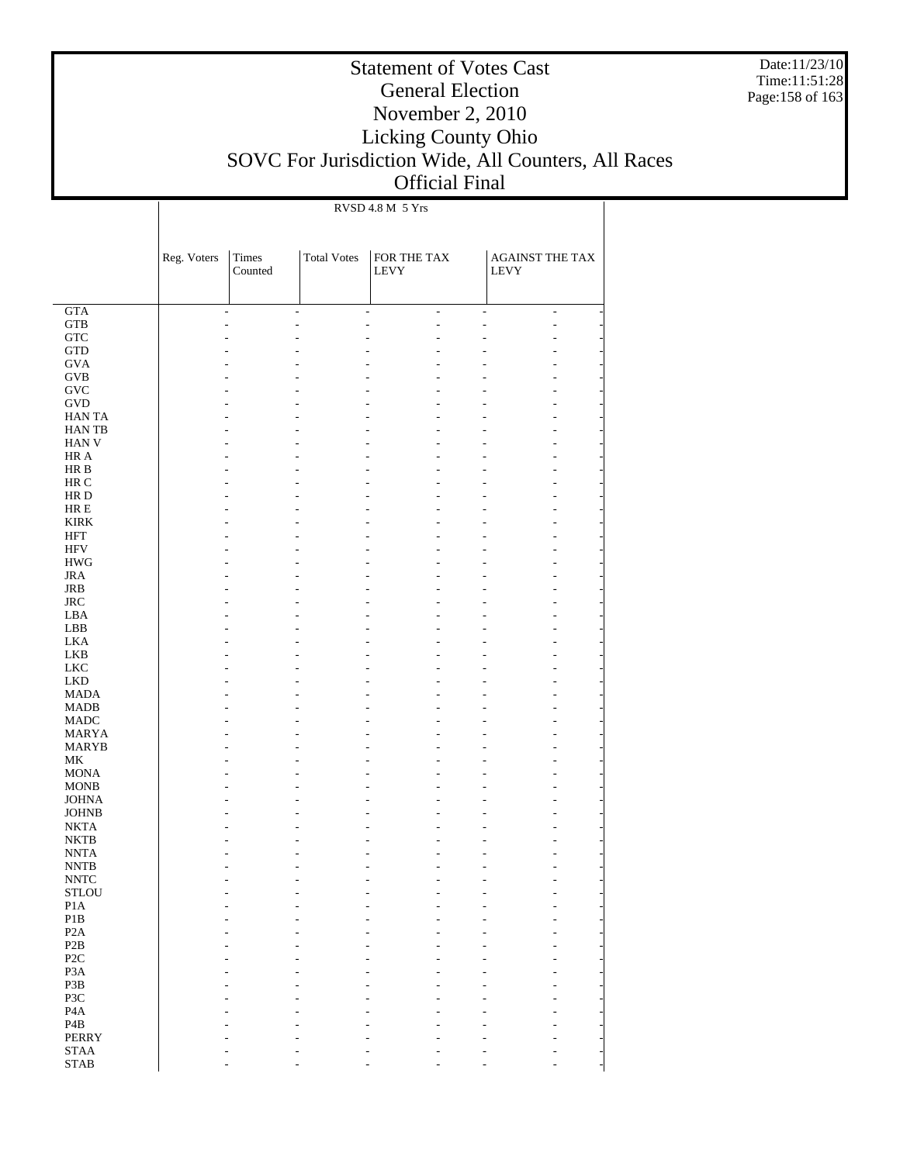Date:11/23/10 Time:11:51:28 Page:158 of 163

## Statement of Votes Cast General Election November 2, 2010 Licking County Ohio SOVC For Jurisdiction Wide, All Counters, All Races Official Final

RVSD 4.8 M 5 Yrs

|                              | Reg. Voters          | Times<br>Counted | <b>Total Votes</b>       | FOR THE TAX<br><b>LEVY</b>                       |                | <b>AGAINST THE TAX</b><br><b>LEVY</b>        |  |
|------------------------------|----------------------|------------------|--------------------------|--------------------------------------------------|----------------|----------------------------------------------|--|
|                              |                      |                  |                          |                                                  |                |                                              |  |
| <b>GTA</b><br><b>GTB</b>     | $\overline{a}$<br>L, | ÷                | $\overline{\phantom{a}}$ | $\overline{a}$<br>$\overline{\phantom{a}}$<br>L, | $\overline{a}$ | $\overline{a}$<br>$\overline{a}$<br>L,<br>L, |  |
| ${\rm GTC}$                  |                      |                  |                          |                                                  | L              | ٠                                            |  |
| <b>GTD</b>                   |                      |                  |                          |                                                  |                | ٠                                            |  |
| <b>GVA</b>                   |                      |                  |                          |                                                  |                | L                                            |  |
| <b>GVB</b>                   |                      |                  |                          |                                                  |                | L                                            |  |
| $\operatorname{GVC}$         |                      |                  |                          |                                                  |                | ٠                                            |  |
| <b>GVD</b>                   |                      |                  |                          |                                                  |                | ٠                                            |  |
| <b>HANTA</b>                 |                      |                  |                          |                                                  |                | ٠                                            |  |
| <b>HANTB</b><br><b>HAN V</b> |                      |                  |                          |                                                  |                | ٠                                            |  |
| HR A                         |                      |                  |                          |                                                  |                | ٠<br>٠                                       |  |
| HR B                         |                      |                  |                          |                                                  |                | ٠                                            |  |
| HR C                         |                      |                  |                          |                                                  |                | ٠                                            |  |
| HR D                         |                      |                  |                          |                                                  |                | ٠                                            |  |
| HR E                         |                      |                  |                          |                                                  |                | ٠                                            |  |
| <b>KIRK</b>                  |                      |                  |                          |                                                  |                | ٠                                            |  |
| <b>HFT</b>                   |                      |                  |                          |                                                  |                | ٠                                            |  |
| <b>HFV</b>                   |                      |                  |                          |                                                  |                | ٠                                            |  |
| <b>HWG</b>                   |                      |                  |                          |                                                  |                | ٠                                            |  |
| <b>JRA</b><br><b>JRB</b>     |                      |                  |                          |                                                  |                | ٠                                            |  |
| $\rm JRC$                    |                      |                  |                          |                                                  |                | ٠<br>٠                                       |  |
| LBA                          |                      |                  |                          |                                                  |                | ٠                                            |  |
| LBB                          |                      |                  |                          |                                                  |                | ٠                                            |  |
| <b>LKA</b>                   |                      |                  |                          |                                                  |                | ٠                                            |  |
| <b>LKB</b>                   |                      |                  |                          |                                                  |                | ٠                                            |  |
| <b>LKC</b>                   |                      |                  |                          |                                                  |                | ٠                                            |  |
| <b>LKD</b>                   |                      |                  |                          |                                                  |                | ٠                                            |  |
| <b>MADA</b>                  |                      |                  |                          |                                                  |                | ٠                                            |  |
| <b>MADB</b>                  |                      |                  |                          |                                                  |                | ٠                                            |  |
| <b>MADC</b><br><b>MARYA</b>  |                      |                  |                          |                                                  |                | ٠<br>٠                                       |  |
| <b>MARYB</b>                 |                      |                  |                          |                                                  |                | ٠                                            |  |
| МK                           |                      |                  |                          |                                                  |                | ٠                                            |  |
| <b>MONA</b>                  |                      |                  |                          |                                                  |                | ٠                                            |  |
| <b>MONB</b>                  |                      |                  |                          |                                                  |                | ٠                                            |  |
| <b>JOHNA</b>                 |                      |                  |                          |                                                  |                | ٠                                            |  |
| <b>JOHNB</b>                 |                      |                  |                          |                                                  |                | ٠                                            |  |
| <b>NKTA</b>                  |                      |                  |                          |                                                  |                | ٠                                            |  |
| <b>NKTB</b>                  |                      |                  |                          |                                                  |                |                                              |  |
| <b>NNTA</b><br><b>NNTB</b>   |                      |                  |                          |                                                  |                | ٠                                            |  |
| <b>NNTC</b>                  |                      |                  |                          |                                                  |                |                                              |  |
| <b>STLOU</b>                 |                      |                  |                          |                                                  |                |                                              |  |
| $\rm{P1A}$                   |                      |                  |                          |                                                  |                |                                              |  |
| $\mathbf{P}1\mathbf{B}$      |                      |                  |                          |                                                  |                |                                              |  |
| P2A                          |                      |                  |                          |                                                  |                |                                              |  |
| $\mathbf{P2B}$               |                      |                  |                          |                                                  |                |                                              |  |
| $\ensuremath{\mathsf{P2C}}$  |                      |                  |                          |                                                  |                |                                              |  |
| P <sub>3</sub> A             |                      |                  |                          |                                                  |                |                                              |  |
| P3B                          |                      |                  |                          |                                                  |                |                                              |  |
| P3C<br>$\rm PA$              |                      |                  |                          |                                                  |                |                                              |  |
| $\mathbf{P4B}$               |                      |                  |                          |                                                  |                |                                              |  |
| PERRY                        |                      |                  |                          |                                                  |                |                                              |  |
| <b>STAA</b>                  |                      |                  |                          |                                                  |                |                                              |  |
| <b>STAB</b>                  |                      |                  |                          |                                                  |                |                                              |  |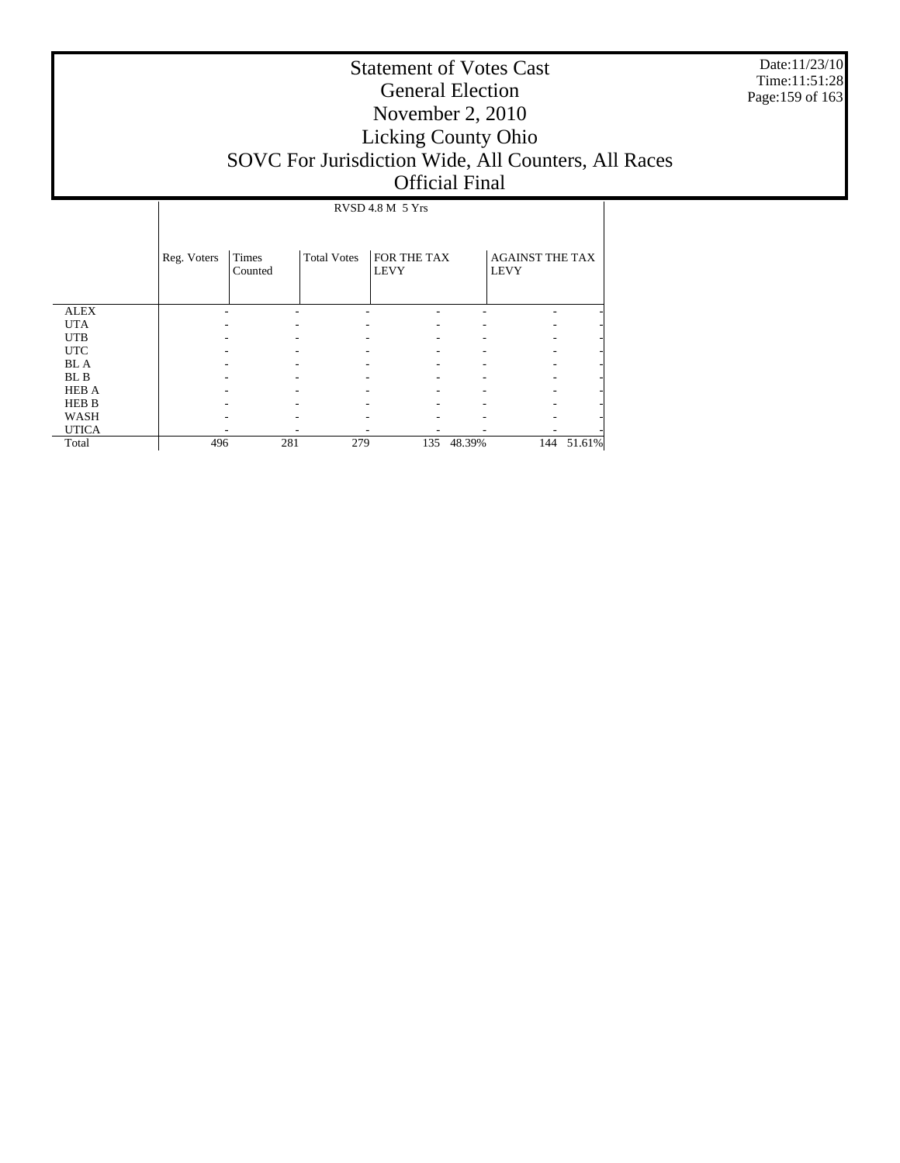Date:11/23/10 Time:11:51:28 Page:159 of 163

# Statement of Votes Cast General Election November 2, 2010 Licking County Ohio SOVC For Jurisdiction Wide, All Counters, All Races Official Final

 ALEX UTA UTB UTC BL A BL B HEB A HEB B WASH UTICA Total Reg. Voters | Times Counted Total Votes | FOR THE TAX LEVY AGAINST THE TAX LEVY RVSD 4.8 M 5 Yrs - - - - - - - - - - - - - - - - - - - - - - - - - - - - - - - - - - - - - - - - - - - - - - - - - - - - - - - - - - - - - - - - - - - - - - 496 281 279 135 48.39% 144 51.61%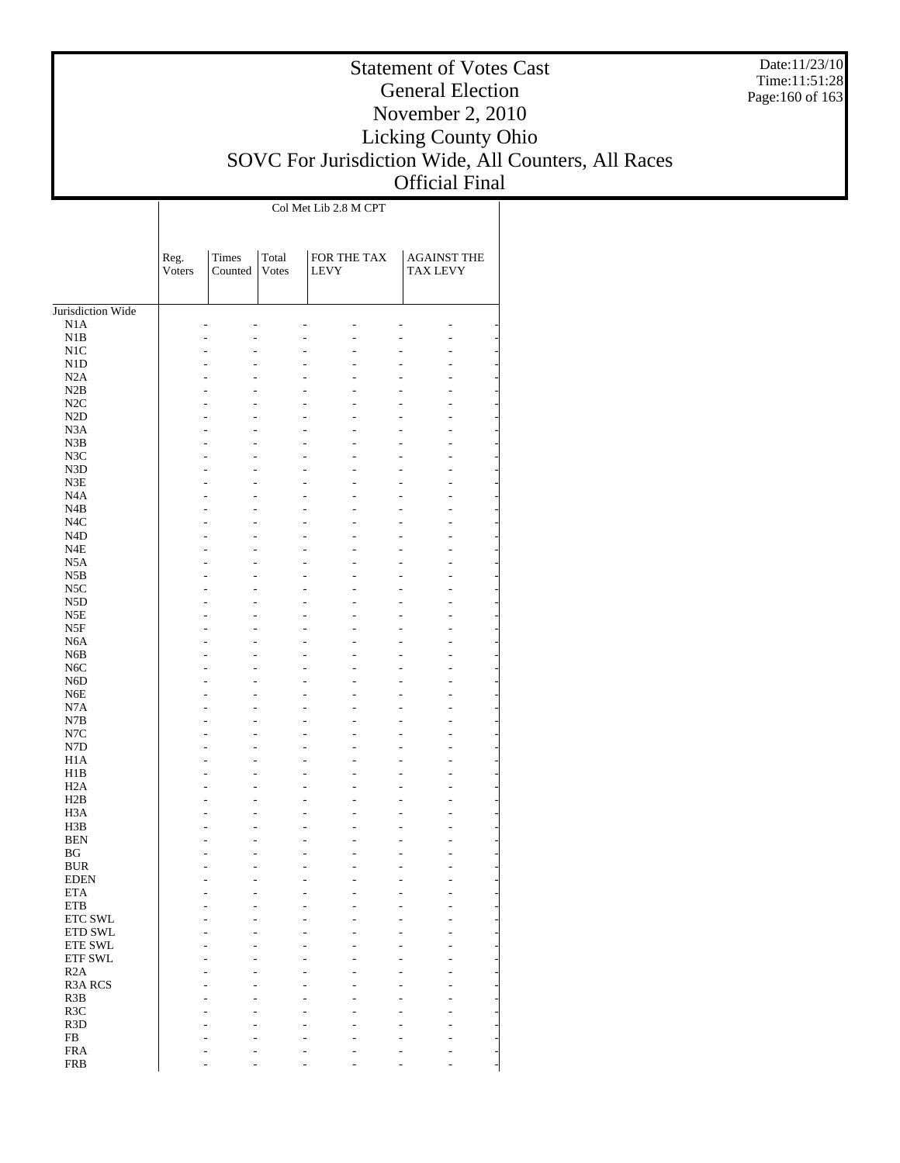Date:11/23/10 Time:11:51:28 Page:160 of 163

## Statement of Votes Cast General Election November 2, 2010 Licking County Ohio SOVC For Jurisdiction Wide, All Counters, All Races Official Final

 $\mathbf{I}$ 

|                                | Reg.<br>Voters | Times<br>Counted | Total<br>Votes | FOR THE TAX<br><b>LEVY</b> | <b>AGAINST THE</b><br><b>TAX LEVY</b> |
|--------------------------------|----------------|------------------|----------------|----------------------------|---------------------------------------|
| Jurisdiction Wide              |                |                  |                |                            |                                       |
| N1A                            |                |                  |                |                            |                                       |
| N1B                            |                |                  |                |                            |                                       |
| N1C                            |                |                  |                |                            |                                       |
| N1D                            |                |                  |                |                            |                                       |
| N2A<br>N2B                     |                |                  |                |                            |                                       |
| N2C                            |                |                  |                |                            |                                       |
| N2D                            |                |                  |                |                            |                                       |
| N <sub>3</sub> A               |                |                  |                |                            |                                       |
| N3B                            |                |                  |                | ٠                          |                                       |
| N3C                            |                |                  |                |                            |                                       |
| N3D                            |                |                  |                |                            |                                       |
| N3E<br>N <sub>4</sub> A        |                |                  |                | ٠                          |                                       |
| N4B                            |                |                  |                |                            |                                       |
| N <sub>4</sub> C               |                |                  |                |                            |                                       |
| N <sub>4</sub> D               |                |                  |                |                            |                                       |
| N4E                            |                |                  |                | ٠                          |                                       |
| N <sub>5</sub> A               |                |                  |                |                            |                                       |
| N5B                            |                |                  |                |                            |                                       |
| N5C                            |                |                  |                |                            |                                       |
| N5D<br>N5E                     |                |                  |                | ٠                          |                                       |
| N5F                            |                |                  |                |                            |                                       |
| N <sub>6</sub> A               |                |                  |                |                            |                                       |
| N <sub>6</sub> B               |                |                  |                | ٠                          |                                       |
| N <sub>6</sub> C               |                |                  |                |                            |                                       |
| N <sub>6</sub> D               |                |                  |                |                            |                                       |
| N <sub>6</sub> E               |                |                  |                |                            |                                       |
| N7A<br>N7B                     |                |                  |                | ٠                          |                                       |
| $_{\mathrm{N7C}}$              |                |                  |                |                            |                                       |
| N7D                            |                |                  |                |                            |                                       |
| H1A                            |                |                  |                | ٠                          |                                       |
| H1B                            |                |                  |                |                            |                                       |
| H <sub>2</sub> A               |                |                  |                |                            |                                       |
| H2B                            |                |                  |                |                            |                                       |
| H <sub>3</sub> A<br>H3B        |                |                  |                | ٠                          |                                       |
| <b>BEN</b>                     |                |                  |                |                            |                                       |
| ΒG                             |                |                  |                |                            |                                       |
| <b>BUR</b>                     |                |                  |                |                            |                                       |
| <b>EDEN</b>                    |                |                  |                |                            |                                       |
| <b>ETA</b>                     |                |                  |                |                            |                                       |
| <b>ETB</b>                     |                |                  |                |                            |                                       |
| ETC SWL<br>ETD SWL             |                |                  |                |                            |                                       |
| ETE SWL                        |                |                  |                |                            |                                       |
| <b>ETF SWL</b>                 |                |                  |                |                            |                                       |
| R <sub>2</sub> A               |                |                  |                |                            |                                       |
| <b>R3A RCS</b>                 |                |                  |                |                            |                                       |
| R <sub>3</sub> B               |                |                  |                |                            |                                       |
| R3C                            |                |                  |                |                            |                                       |
| R <sub>3</sub> D<br>${\rm FB}$ |                |                  |                |                            |                                       |
| <b>FRA</b>                     |                |                  |                |                            |                                       |
| <b>FRB</b>                     |                |                  |                |                            |                                       |
|                                |                |                  |                |                            |                                       |

Col Met Lib 2.8 M CPT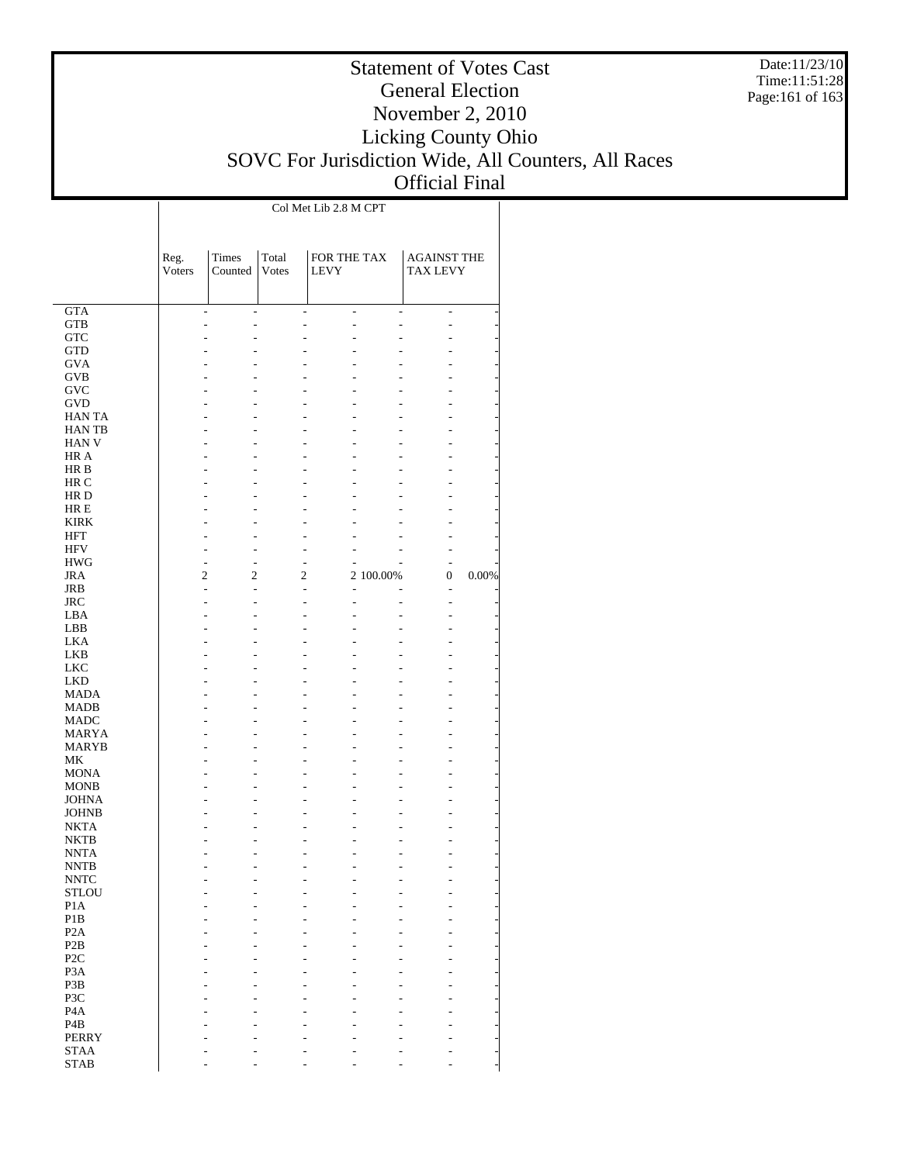Date:11/23/10 Time:11:51:28 Page:161 of 163

## Statement of Votes Cast General Election November 2, 2010 Licking County Ohio SOVC For Jurisdiction Wide, All Counters, All Races Official Final

 $\overline{1}$ 

|                            | Reg.<br>Voters           | Times<br>Counted | Total<br>Votes | FOR THE TAX<br><b>LEVY</b> |                     | <b>AGAINST THE</b><br><b>TAX LEVY</b> |       |
|----------------------------|--------------------------|------------------|----------------|----------------------------|---------------------|---------------------------------------|-------|
|                            |                          |                  |                |                            |                     |                                       |       |
| <b>GTA</b>                 | $\overline{\phantom{m}}$ | $\overline{a}$   | $\overline{a}$ | $\overline{\phantom{0}}$   | $\overline{a}$<br>L | $\overline{a}$                        |       |
| <b>GTB</b><br><b>GTC</b>   | L,                       | $\overline{a}$   | $\overline{a}$ |                            |                     |                                       |       |
| <b>GTD</b>                 |                          |                  |                |                            |                     |                                       |       |
| <b>GVA</b>                 |                          |                  |                |                            |                     |                                       |       |
| <b>GVB</b>                 |                          |                  |                |                            |                     |                                       |       |
| GVC                        |                          |                  |                |                            |                     |                                       |       |
| <b>GVD</b>                 |                          |                  |                |                            |                     |                                       |       |
| <b>HANTA</b>               |                          |                  |                |                            |                     |                                       |       |
| <b>HANTB</b>               |                          |                  |                |                            |                     |                                       |       |
| <b>HAN V</b>               |                          |                  |                |                            |                     |                                       |       |
| HR A                       |                          |                  |                |                            |                     |                                       |       |
| HR B<br>HR C               |                          |                  |                |                            |                     |                                       |       |
| HR D                       |                          |                  |                |                            |                     |                                       |       |
| HR E                       |                          |                  |                |                            |                     |                                       |       |
| <b>KIRK</b>                |                          |                  |                |                            |                     |                                       |       |
| <b>HFT</b>                 |                          |                  |                |                            |                     |                                       |       |
| <b>HFV</b>                 | L                        |                  | Ĭ.             |                            |                     |                                       |       |
| <b>HWG</b>                 | $\overline{a}$           | L                | L              |                            |                     |                                       |       |
| <b>JRA</b>                 | 2                        | 2                | 2              |                            | 2 100.00%           | 0                                     | 0.00% |
| <b>JRB</b>                 | $\overline{a}$           |                  |                |                            |                     | ÷,                                    |       |
| <b>JRC</b>                 | L                        |                  | L              |                            |                     |                                       |       |
| LBA<br>LBB                 |                          |                  |                |                            |                     |                                       |       |
| <b>LKA</b>                 |                          |                  |                |                            |                     |                                       |       |
| <b>LKB</b>                 |                          |                  |                |                            |                     |                                       |       |
| <b>LKC</b>                 |                          |                  |                |                            |                     |                                       |       |
| <b>LKD</b>                 |                          |                  |                |                            |                     |                                       |       |
| <b>MADA</b>                |                          |                  |                |                            |                     |                                       |       |
| <b>MADB</b>                |                          |                  |                |                            |                     |                                       |       |
| <b>MADC</b>                |                          |                  |                |                            |                     |                                       |       |
| <b>MARYA</b>               |                          |                  |                |                            |                     |                                       |       |
| <b>MARYB</b>               |                          |                  |                |                            |                     |                                       |       |
| MK<br><b>MONA</b>          |                          |                  |                |                            |                     |                                       |       |
| <b>MONB</b>                |                          |                  |                |                            |                     |                                       |       |
| <b>JOHNA</b>               |                          |                  |                |                            |                     |                                       |       |
| <b>JOHNB</b>               |                          |                  |                |                            |                     |                                       |       |
| <b>NKTA</b>                |                          |                  |                |                            |                     |                                       |       |
| <b>NKTB</b>                |                          |                  |                |                            |                     |                                       |       |
| <b>NNTA</b>                |                          |                  |                |                            |                     |                                       |       |
| <b>NNTB</b>                |                          |                  |                |                            |                     |                                       |       |
| <b>NNTC</b>                |                          |                  |                |                            |                     |                                       |       |
| <b>STLOU</b>               | -                        |                  |                |                            |                     |                                       |       |
| P <sub>1</sub> A<br>P1B    |                          |                  |                |                            |                     |                                       |       |
| P <sub>2</sub> A           |                          |                  |                |                            |                     |                                       |       |
| P <sub>2</sub> B           |                          |                  |                |                            |                     |                                       |       |
| P <sub>2C</sub>            |                          |                  |                |                            |                     |                                       |       |
| P <sub>3</sub> A           |                          |                  |                |                            |                     |                                       |       |
| P3B                        |                          |                  |                |                            |                     |                                       |       |
| P3C                        |                          |                  |                |                            |                     |                                       |       |
| P <sub>4</sub> A           |                          |                  |                |                            |                     |                                       |       |
| P <sub>4</sub> B           |                          |                  |                |                            |                     |                                       |       |
| <b>PERRY</b>               |                          |                  |                |                            |                     |                                       |       |
| <b>STAA</b><br><b>STAB</b> |                          |                  |                |                            |                     |                                       |       |
|                            |                          |                  |                |                            |                     |                                       |       |

Col Met Lib 2.8 M CPT

 $\mathbf{I}$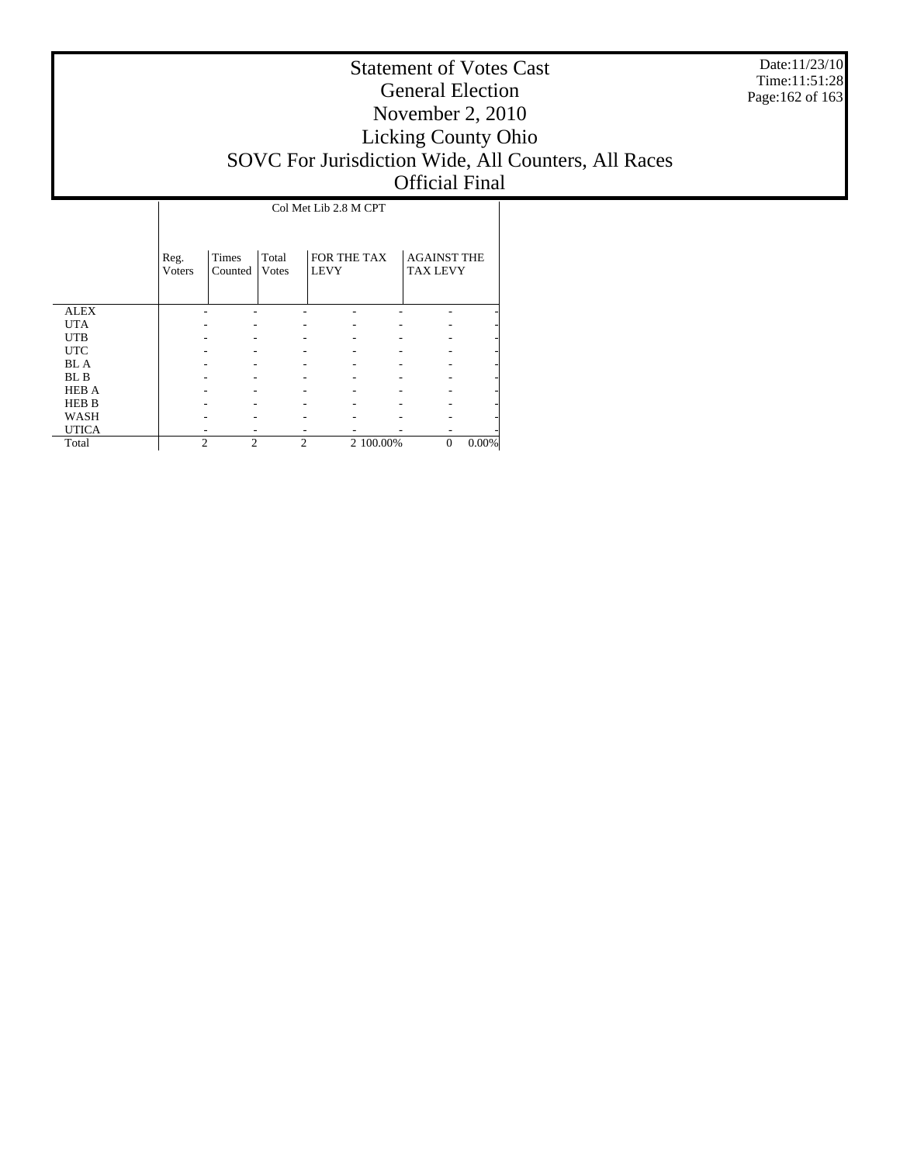Date:11/23/10 Time:11:51:28 Page:162 of 163

# Statement of Votes Cast General Election November 2, 2010 Licking County Ohio SOVC For Jurisdiction Wide, All Counters, All Races Official Final

Τ

|              | Reg.<br><b>Voters</b> | Times<br>Counted | Total<br>Votes | FOR THE TAX<br><b>LEVY</b> |           | <b>AGAINST THE</b><br><b>TAX LEVY</b> |          |
|--------------|-----------------------|------------------|----------------|----------------------------|-----------|---------------------------------------|----------|
| <b>ALEX</b>  |                       |                  |                |                            |           |                                       |          |
| <b>UTA</b>   |                       |                  |                |                            |           |                                       |          |
| <b>UTB</b>   |                       |                  |                |                            |           |                                       |          |
| <b>UTC</b>   |                       |                  |                |                            |           |                                       |          |
| <b>BLA</b>   |                       |                  |                |                            |           |                                       |          |
| BL B         |                       |                  |                |                            |           |                                       |          |
| <b>HEB A</b> |                       |                  |                |                            |           |                                       |          |
| <b>HEB B</b> |                       |                  |                |                            |           |                                       |          |
| <b>WASH</b>  |                       |                  |                |                            |           |                                       |          |
| <b>UTICA</b> |                       |                  |                |                            |           |                                       |          |
| Total        | $\mathfrak{D}$        | $\overline{2}$   | $\overline{c}$ |                            | 2 100.00% | $\Omega$                              | $0.00\%$ |

 $\overline{1}$ 

Col Met Lib 2.8 M CPT